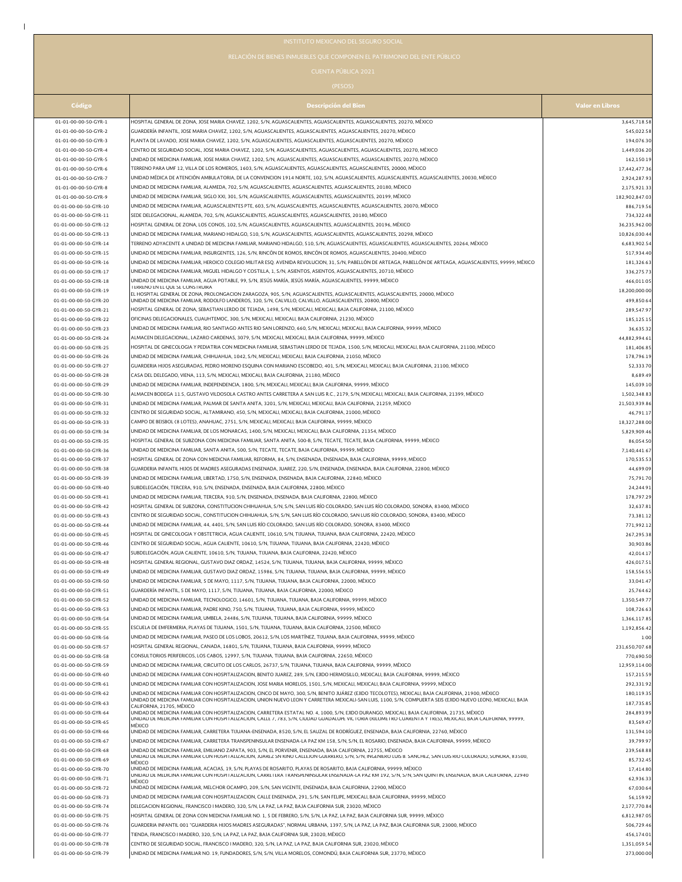$\|$ 

## INSTITUTO MEXICANO DEL SEGURO SOCIAL

|                                                | (PESOS)                                                                                                                                                                                                                                                                             |                            |
|------------------------------------------------|-------------------------------------------------------------------------------------------------------------------------------------------------------------------------------------------------------------------------------------------------------------------------------------|----------------------------|
| Código                                         | <b>Descripción del Bien</b>                                                                                                                                                                                                                                                         | Valor en Libros            |
| 01-01-00-00-50-GYR-1                           | HOSPITAL GENERAL DE ZONA, JOSE MARIA CHAVEZ, 1202, S/N, AGUASCALIENTES, AGUASCALIENTES, AGUASCALIENTES, 20270, MÊXICO                                                                                                                                                               | 3,645,718.58               |
| 01-01-00-00-50-GYR-2                           | GUARDERÍA INFANTIL, JOSE MARIA CHAVEZ, 1202, S/N, AGUASCALIENTES, AGUASCALIENTES, AGUASCALIENTES, 20270, MÉXICO                                                                                                                                                                     | 545,022.58                 |
| 01-01-00-00-50-GYR-3                           | PLANTA DE LAVADO, JOSE MARIA CHAVEZ, 1202, S/N, AGUASCALIENTES, AGUASCALIENTES, AGUASCALIENTES, 20270, MÉXICO                                                                                                                                                                       | 194,076.30                 |
| 01-01-00-00-50-GYR-4                           | CENTRO DE SEGURIDAD SOCIAL, JOSE MARIA CHAVEZ, 1202, S/N, AGUASCALIENTES, AGUASCALIENTES, AGUASCALIENTES, 20270, MÊXICO                                                                                                                                                             | 1,449,036.20               |
| 01-01-00-00-50-GYR-5<br>01-01-00-00-50-GYR-6   | UNIDAD DE MEDICINA FAMILIAR, JOSE MARIA CHAVEZ, 1202, S/N, AGUASCALIENTES, AGUASCALIENTES, AGUASCALIENTES, 20270, MÉXICO<br>TERRENO PARA UMF 12, VILLA DE LOS ROMEROS, 1603, S/N, AGUASCALIENTES, AGUASCALIENTES, AGUASCALIENTES, 20000, MÊXICO                                     | 162.150.1<br>17,442,477.36 |
| 01-01-00-00-50-GYR-7                           | UNIDAD MÉDICA DE ATENCIÓN AMBULATORIA, DE LA CONVENCION 1914 NORTE, 102, S/N, AGUASCALIENTES, AGUASCALIENTES, AGUASCALIENTES, 20030, MÉXICO                                                                                                                                         | 2,924,287.93               |
| 01-01-00-00-50-GYR-8                           | UNIDAD DE MEDICINA FAMILIAR, ALAMEDA, 702, S/N, AGUASCALIENTES, AGUASCALIENTES, AGUASCALIENTES, 20180, MÉXICO                                                                                                                                                                       | 2,175,921.33               |
| 01-01-00-00-50-GYR-9                           | UNIDAD DE MEDICINA FAMILIAR, SIGLO XXI, 301, S/N, AGUASCALIENTES, AGUASCALIENTES, AGUASCALIENTES, 20199, MÈXICO                                                                                                                                                                     | 182,902,847.03             |
| 01-01-00-00-50-GYR-10                          | UNIDAD DE MEDICINA FAMILIAR, AGUASCALIENTES PTE, 603, S/N, AGUASCALIENTES, AGUASCALIENTES, AGUASCALIENTES, 20070, MÉXICO                                                                                                                                                            | 886,719.56                 |
| 01-01-00-00-50-GYR-11                          | SEDE DELEGACIONAL, ALAMEDA, 702, S/N, AGUASCALIENTES, AGUASCALIENTES, AGUASCALIENTES, 20180, MÉXICO                                                                                                                                                                                 | 734,322.48                 |
| 01-01-00-00-50-GYR-12                          | HOSPITAL GENERAL DE ZONA, LOS CONOS, 102, S/N, AGUASCALIENTES, AGUASCALIENTES, AGUASCALIENTES, 20196, MÉXICO                                                                                                                                                                        | 36,235,962.00              |
| 01-01-00-00-50-GYR-13                          | UNIDAD DE MEDICINA FAMILIAR, MARIANO HIDALGO, 510, S/N, AGUASCALIENTES, AGUASCALIENTES, AGUASCALIENTES, 20298, MÉXICO                                                                                                                                                               | 10,826,030.44              |
| 01-01-00-00-50-GYR-14                          | TERRENO ADYACENTE A UNIDAD DE MEDICINA FAMILIAR, MARIANO HIDALGO, 510, S/N, AGUASCALIENTES, AGUASCALIENTES, AGUASCALIENTES, 20264, MÊXICO                                                                                                                                           | 6,683,902.54               |
| 01-01-00-00-50-GYR-15                          | UNIDAD DE MEDICINA FAMILIAR, INSURGENTES, 126, S/N, RINCÓN DE ROMOS, RINCÓN DE ROMOS, AGUASCALIENTES, 20400, MÉXICO                                                                                                                                                                 | 517,934.40                 |
| 01-01-00-00-50-GYR-16                          | UNIDAD DE MEDICINA FAMILIAR, HEROICO COLEGIO MILITAR ESQ. AVENIDA REVOLUCION, 31, S/N, PABELLÓN DE ARTEAGA, PABELLÓN DE ARTEAGA, AGUASCALIENTES, 99999, MÉXICO                                                                                                                      | 181,326.63                 |
| 01-01-00-00-50-GYR-17                          | UNIDAD DE MEDICINA FAMILIAR, MIGUEL HIDALGO Y COSTILLA, 1, S/N, ASIENTOS, ASIENTOS, AGUASCALIENTES, 20710, MÉXICO                                                                                                                                                                   | 336,275.73                 |
| 01-01-00-00-50-GYR-18                          | UNIDAD DE MEDICINA FAMILIAR, AGUA POTABLE, 99, S/N, JESÚS MARÍA, JESÚS MARÍA, AGUASCALIENTES, 99999, MÉXICO<br>TERRENO EN EL QUE SE CONSTRUIRA                                                                                                                                      | 466,011.05                 |
| 01-01-00-00-50-GYR-19                          | EL HOSPITAL GENERAL DE ZONA, PROLONGACION ZARAGOZA, 905, S/N, AGUASCALIENTES, AGUASCALIENTES, AGUASCALIENTES, 20000, MÉXICO                                                                                                                                                         | 18,200,000.00              |
| 01-01-00-00-50-GYR-20                          | UNIDAD DE MEDICINA FAMILIAR, RODOLFO LANDEROS, 320, S/N, CALVILLO, CALVILLO, AGUASCALIENTES, 20800, MÈXICO                                                                                                                                                                          | 499,850.64                 |
| 01-01-00-00-50-GYR-21                          | HOSPITAL GENERAL DE ZONA, SEBASTIAN LERDO DE TEJADA, 1498, S/N, MEXICALI, MEXICALI, BAJA CALIFORNIA, 21100, MÉXICO                                                                                                                                                                  | 289,547.97                 |
| 01-01-00-00-50-GYR-22                          | OFICINAS DELEGACIONALES, CUAUHTEMOC, 300, S/N, MEXICALI, MEXICALI, BAJA CALIFORNIA, 21230, MÉXICO                                                                                                                                                                                   | 185,125.15                 |
| 01-01-00-00-50-GYR-23                          | UNIDAD DE MEDICINA FAMILIAR, RIO SANTIAGO ANTES RIO SAN LORENZO, 660, S/N, MEXICALI, MEXICALI, BAJA CALIFORNIA, 99999, MÉXICO                                                                                                                                                       | 36,635.32                  |
| 01-01-00-00-50-GYR-24                          | ALMACEN DELEGACIONAL, LAZARO CARDENAS, 3079, S/N, MEXICALI, MEXICALI, BAJA CALIFORNIA, 99999, MÉXICO                                                                                                                                                                                | 44,882,994.61              |
| 01-01-00-00-50-GYR-25                          | HOSPITAL DE GINECOLOGIA Y PEDIATRIA CON MEDICINA FAMILIAR, SEBASTIAN LERDO DE TEJADA, 1500, S/N, MEXICALI, MEXICALI, BAJA CALIFORNIA, 21100, MÉXICO                                                                                                                                 | 181,406.85                 |
| 01-01-00-00-50-GYR-26                          | UNIDAD DE MEDICINA FAMILIAR, CHIHUAHUA, 1042, S/N, MEXICALI, MEXICALI, BAJA CALIFORNIA, 21050, MÉXICO                                                                                                                                                                               | 178,796.19                 |
| 01-01-00-00-50-GYR-27                          | GUARDERIA HIJOS ASEGURADAS, PEDRO MORENO ESQUINA CON MARIANO ESCOBEDO, 401, S/N, MEXICALI, MEXICALI, BAJA CALIFORNIA, 21100, MÉXICO                                                                                                                                                 | 52,333.70                  |
| 01-01-00-00-50-GYR-28                          | CASA DEL DELEGADO, VIENA, 113, S/N, MEXICALI, MEXICALI, BAJA CALIFORNIA, 21180, MÉXICO                                                                                                                                                                                              | 8,689.49                   |
| 01-01-00-00-50-GYR-29                          | UNIDAD DE MEDICINA FAMILIAR, INDEPENDENCIA, 1800, S/N, MEXICALI, MEXICALI, BAJA CALIFORNIA, 99999, MÉXICO                                                                                                                                                                           | 145.039.10                 |
| 01-01-00-00-50-GYR-30                          | ALMACEN BODEGA 11.5, GUSTAVO VILDOSOLA CASTRO ANTES CARRETERA A SAN LUIS R.C., 2179, S/N, MEXICALI, MEXICALI, BAJA CALIFORNIA, 21399, MÈXICO<br>UNIDAD DE MEDICINA FAMILIAR, PALMAR DE SANTA ANITA, 3201, S/N, MEXICALI, MEXICALI, BAJA CALIFORNIA, 21259, MÉXICO                   | 1,502,348.83               |
| 01-01-00-00-50-GYR-31<br>01-01-00-00-50-GYR-32 | CENTRO DE SEGURIDAD SOCIAL, ALTAMIRANO, 450, S/N, MEXICALI, MEXICALI, BAJA CALIFORNIA, 21000, MÉXICO                                                                                                                                                                                | 21,503,939.86<br>46,791.17 |
| 01-01-00-00-50-GYR-33                          | CAMPO DE BEISBOL (8 LOTES), ANAHUAC, 2751, S/N, MEXICALI, MEXICALI, BAJA CALIFORNIA, 99999, MÈXICO                                                                                                                                                                                  | 18,327,288.00              |
| 01-01-00-00-50-GYR-34                          | UNIDAD DE MEDICINA FAMILIAR, DE LOS MONARCAS, 1400, S/N, MEXICALI, MEXICALI, BAJA CALIFORNIA, 21354, MÈXICO                                                                                                                                                                         | 5,829,909.46               |
| 01-01-00-00-50-GYR-35                          | HOSPITAL GENERAL DE SUBZONA CON MEDICINA FAMILIAR, SANTA ANITA, 500-B, S/N, TECATE, TECATE, BAJA CALIFORNIA, 99999, MÊXICO                                                                                                                                                          | 86,054.50                  |
| 01-01-00-00-50-GYR-36                          | UNIDAD DE MEDICINA FAMILIAR, SANTA ANITA, 500, S/N, TECATE, TECATE, BAJA CALIFORNIA, 99999, MÉXICO                                                                                                                                                                                  | 7,140,441.67               |
| 01-01-00-00-50-GYR-37                          | HOSPITAL GENERAL DE ZONA CON MEDICNA FAMILIAR, REFORMA, 84, S/N, ENSENADA, ENSENADA, BAJA CALIFORNIA, 99999, MÉXICO                                                                                                                                                                 | 170,535.53                 |
| 01-01-00-00-50-GYR-38                          | GUARDERIA INFANTIL HIJOS DE MADRES ASEGURADAS ENSENADA, JUAREZ, 220, S/N, ENSENADA, ENSENADA, BAJA CALIFORNIA, 22800, MÊXICO                                                                                                                                                        | 44,699.09                  |
| 01-01-00-00-50-GYR-39                          | UNIDAD DE MEDICINA FAMILIAR, LIBERTAD, 1750, S/N, ENSENADA, ENSENADA, BAJA CALIFORNIA, 22840, MÉXICO                                                                                                                                                                                | 75,791.70                  |
| 01-01-00-00-50-GYR-40                          | SUBDELEGACIÓN, TERCERA, 910, S/N, ENSENADA, ENSENADA, BAJA CALIFORNIA, 22800, MÉXICO                                                                                                                                                                                                | 24,244.91                  |
| 01-01-00-00-50-GYR-41                          | UNIDAD DE MEDICINA FAMILIAR, TERCERA, 910, S/N, ENSENADA, ENSENADA, BAJA CALIFORNIA, 22800, MÉXICO                                                                                                                                                                                  | 178,797.29                 |
| 01-01-00-00-50-GYR-42                          | HOSPITAL GENERAL DE SUBZONA, CONSTITUCION CHIHUAHUA, S/N, S/N, SAN LUIS RÍO COLORADO, SAN LUIS RÍO COLORADO, SONORA, 83400, MÉXICO                                                                                                                                                  | 32,637.81                  |
| 01-01-00-00-50-GYR-43                          | CENTRO DE SEGURIDAD SOCIAL, CONSTITUCION CHIHUAHUA, S/N, S/N, SAN LUIS RÍO COLORADO, SAN LUIS RÍO COLORADO, SONORA, 83400, MÉXICO                                                                                                                                                   | 73,381.12                  |
| 01-01-00-00-50-GYR-44                          | UNIDAD DE MEDICINA FAMILIAR, 44, 4401, S/N, SAN LUIS RÍO COLORADO, SAN LUIS RÍO COLORADO, SONORA, 83400, MÉXICO                                                                                                                                                                     | 771,992.12                 |
| 01-01-00-00-50-GYR-45                          | HOSPITAL DE GINECOLOGIA Y OBSTETRICIA, AGUA CALIENTE, 10610, S/N, TIJUANA, TIJUANA, BAJA CALIFORNIA, 22420, MÊXICO                                                                                                                                                                  | 267,295.38                 |
| 01-01-00-00-50-GYR-46                          | CENTRO DE SEGURIDAD SOCIAL, AGUA CALIENTE, 10610, S/N, TIJUANA, TIJUANA, BAJA CALIFORNIA, 22420, MÉXICO                                                                                                                                                                             | 30,903.86                  |
| 01-01-00-00-50-GYR-47                          | SUBDELEGACIÓN, AGUA CALIENTE, 10610, S/N, TIJUANA, TIJUANA, BAJA CALIFORNIA, 22420, MÉXICO                                                                                                                                                                                          | 42,014.17                  |
| 01-01-00-00-50-GYR-48                          | HOSPITAL GENERAL REGIONAL, GUSTAVO DIAZ ORDAZ, 14524, S/N, TIJUANA, TIJUANA, BAJA CALIFORNIA, 99999, MĚXICO                                                                                                                                                                         | 426,017.51                 |
| 01-01-00-00-50-GYR-49                          | UNIDAD DE MEDICINA FAMILIAR, GUSTAVO DIAZ ORDAZ, 15986, S/N, TIJUANA, TIJUANA, BAJA CALIFORNIA, 99999, MÉXICO                                                                                                                                                                       | 158,556.55                 |
| 01-01-00-00-50-GYR-50                          | JNIDAD DE MEDICINA FAMILIAR, 5 DE MAYO, 1117, S/N, TIJUANA, TIJUANA, BAJA CALIFORNIA, 22000, MÊXICO                                                                                                                                                                                 | 33,041.47                  |
| 01-01-00-00-50-GYR-51                          | GUARDERÍA INFANTIL, 5 DE MAYO, 1117, S/N, TIJUANA, TIJUANA, BAJA CALIFORNIA, 22000, MÉXICO                                                                                                                                                                                          | 25,764.62                  |
| 01-01-00-00-50-GYR-52                          | UNIDAD DE MEDICINA FAMILIAR, TECNOLOGICO, 14601, S/N, TIJUANA, TIJUANA, BAJA CALIFORNIA, 99999, MÉXICO<br>UNIDAD DE MEDICINA FAMILIAR, PADRE KINO, 750, S/N, TIJUANA, TIJUANA, BAJA CALIFORNIA, 99999, MËXICO                                                                       | 1,350,549.77               |
| 01-01-00-00-50-GYR-53<br>01-01-00-00-50-GYR-54 | UNIDAD DE MEDICINA FAMILIAR, UMBELA, 24486, S/N, TIJUANA, TIJUANA, BAJA CALIFORNIA, 99999, MÉXICO                                                                                                                                                                                   | 108,726.63<br>1,366,117.85 |
| 01-01-00-00-50-GYR-55                          | ESCUELA DE EMFERMERIA, PLAYAS DE TIJUANA, 1501, S/N, TIJUANA, TIJUANA, BAJA CALIFORNIA, 22500, MÉXICO                                                                                                                                                                               | 1,192,856.42               |
| 01-01-00-00-50-GYR-56                          | UNIDAD DE MEDICINA FAMILIAR, PASEO DE LOS LOBOS, 20612, S/N, LOS MARTÍNEZ, TIJUANA, BAJA CALIFORNIA, 99999, MÉXICO                                                                                                                                                                  | 1.00                       |
| 01-01-00-00-50-GYR-57                          | HOSPITAL GENERAL REGIONAL, CANADA, 16801, S/N, TIJUANA, TIJUANA, BAJA CALIFORNIA, 99999, MÉXICO                                                                                                                                                                                     | 231,650,707.68             |
| 01-01-00-00-50-GYR-58                          | CONSULTORIOS PERIFERICOS, LOS CABOS, 12997, S/N, TIJUANA, TIJUANA, BAJA CALIFORNIA, 22650, MÈXICO                                                                                                                                                                                   | 770,690.50                 |
| 01-01-00-00-50-GYR-59                          | UNIDAD DE MEDICINA FAMILIAR, CIRCUITO DE LOS CARLOS, 26737, S/N, TIJUANA, TIJUANA, BAJA CALIFORNIA, 99999, MÉXICO                                                                                                                                                                   | 12,959,114.00              |
| 01-01-00-00-50-GYR-60                          | UNIDAD DE MEDICINA FAMILIAR CON HOSPITALIZACION, BENITO JUAREZ, 289, S/N, EJIDO HERMOSILLO, MEXICALI, BAJA CALIFORNIA, 99999, MÊXICO                                                                                                                                                | 157,215.59                 |
| 01-01-00-00-50-GYR-61                          | UNIDAD DE MEDICINA FAMILIAR CON HOSPITALIZACION, JOSE MARIA MORELOS, 1501, S/N, MEXICALI, MEXICALI, BAJA CALIFORNIA, 99999, MÉXICO                                                                                                                                                  | 292,331.92                 |
| 01-01-00-00-50-GYR-62                          | UNIDAD DE MEDICINA FAMILIAR CON HOSPITALIZACION, CINCO DE MAYO, 300, S/N, BENITO JUÁREZ (EJIDO TECOLOTES), MEXICALI, BAJA CALIFORNIA, 21900, MÉXICO                                                                                                                                 | 180,119.35                 |
| 01-01-00-00-50-GYR-63                          | UNIDAD DE MEDICINA FAMILIAR CON HOSPITALIZACION, UNION NUEVO LEON Y CARRETERA MEXICALI-SAN LUIS, 1100, S/N, COMPUERTA SEIS (EJIDO NUEVO LEON), MEXICALI, BAJA<br>CALIFORNIA, 21705, MÉXICO                                                                                          | 187,735.85                 |
| 01-01-00-00-50-GYR-64                          | UNIDAD DE MEDICINA FAMILIAR CON HOSPITALIZACION, CARRETERA ESTATAL NO. 4, 1000, S/N, EJIDO DURANGO, MEXICALI, BAJA CALIFORNIA, 21735, MÉXICO                                                                                                                                        | 284,893.99                 |
| 01-01-00-00-50-GYR-65                          | UNIDAD DE MEDICINA FAMILIAR CON HOSPHALIZACION, CALLE 7, 783, S/N, CIUDAD GUADALUPE VICTORIA (KILOMETRO CUARENTA Y TRES), MEXICALI, BAJA CALIFORNIA, 99999,<br>MÉXICO                                                                                                               | 83,569.47                  |
| 01-01-00-00-50-GYR-66                          | UNIDAD DE MEDICINA FAMILIAR, CARRETERA TIJUANA-ENSENADA, 8520, S/N, EL SAUZAL DE RODRÍGUEZ, ENSENADA, BAJA CALIFORNIA, 22760, MÉXICO                                                                                                                                                | 131,594.10                 |
| 01-01-00-00-50-GYR-67                          | UNIDAD DE MEDICINA FAMILIAR, CARRETERA TRANSPENINSULAR ENSENADA-LA PAZ KM 158, S/N, S/N, EL ROSARIO, ENSENADA, BAJA CALIFORNIA, 99999, MÉXICO                                                                                                                                       | 39,799.97                  |
| 01-01-00-00-50-GYR-68                          | UNIDAD DE MEDICINA FAMILIAR, EMILIANO ZAPATA, 903, S/N, EL PORVENIR, ENSENADA, BAJA CALIFORNIA, 22755, MÉXICO<br>UNIDAD DE MEDICINA FAMILIAR CON HOSPITALIZACION, JUAREZ SN KINO CALLEJON GUERRERO, S/N, S/N, INGENIERO LUIS B. SANCHEZ, SAN LUIS RIO COLORADO, SONORA, 83500,      | 239,568.88                 |
| 01-01-00-00-50-GYR-69                          | MĚXICO                                                                                                                                                                                                                                                                              | 85,732.45                  |
| 01-01-00-00-50-GYR-70                          | UNIDAD DE MEDICINA FAMILIAR, ACACIAS, 19, S/N, PLAYAS DE ROSARITO, PLAYAS DE ROSARITO, BAJA CALIFORNIA, 99999, MÉXICO<br>UNIDAD DE MEDICINA FAMILIAR CON HOSPITALIZACION, CARRETERA TRANSPENINSULAR ENSENADA-LA PAZ KM 192, S/N, S/N, SAN QUINTIN, ENSENADA, BAJA CALIFORNIA, 22940 | 17,414.80                  |
| 01-01-00-00-50-GYR-71                          | MĚXICO                                                                                                                                                                                                                                                                              | 62,936.33                  |
| 01-01-00-00-50-GYR-72                          | UNIDAD DE MEDICINA FAMILIAR, MELCHOR OCAMPO, 209, S/N, SAN VICENTE, ENSENADA, BAJA CALIFORNIA, 22900, MÉXICO                                                                                                                                                                        | 67,030.64                  |
| 01-01-00-00-50-GYR-73                          | UNIDAD DE MEDICINA FAMILIAR CON HOSPITALIZACION, CALLE ENSENADA, 291, S/N, SAN FELIPE, MEXICALI, BAJA CALIFORNIA, 99999, MÉXICO                                                                                                                                                     | 56,159.92                  |
| 01-01-00-00-50-GYR-74                          | DELEGACION REGIONAL, FRANCISCO I MADERO, 320, S/N, LA PAZ, LA PAZ, BAJA CALIFORNIA SUR, 23020, MÉXICO                                                                                                                                                                               | 2,177,770.84               |
| 01-01-00-00-50-GYR-75                          | HOSPITAL GENERAL DE ZONA CON MEDICNA FAMILIAR NO. 1, 5 DE FEBRERO, S/N, S/N, LA PAZ, LA PAZ, BAJA CALIFORNIA SUR, 99999, MÉXICO                                                                                                                                                     | 6,812,987.05               |
| 01-01-00-00-50-GYR-76                          | GUARDERIA INFANTIL 001 "GUARDERIA HIJOS MADRES ASEGURADAS", NORMAL URBANA, 1397, S/N, LA PAZ, LA PAZ, BAJA CALIFORNIA SUR, 23000, MÈXICO                                                                                                                                            | 506,729.46                 |
| 01-01-00-00-50-GYR-77<br>01-01-00-00-50-GYR-78 | TIENDA, FRANCISCO I MADERO, 320, S/N, LA PAZ, LA PAZ, BAJA CALIFORNIA SUR, 23020, MÉXICO<br>CENTRO DE SEGURIDAD SOCIAL, FRANCISCO I MADERO, 320, S/N, LA PAZ, LA PAZ, BAJA CALIFORNIA SUR, 23020, MÉXICO                                                                            | 456,174.01                 |
|                                                | UNIDAD DE MEDICINA FAMILIAR NO. 19, FUNDADORES, S/N, S/N, VILLA MORELOS, COMONDÚ, BAJA CALIFORNIA SUR, 23770, MÉXICO                                                                                                                                                                | 1,351,059.54<br>273,000.00 |
| 01-01-00-00-50-GYR-79                          |                                                                                                                                                                                                                                                                                     |                            |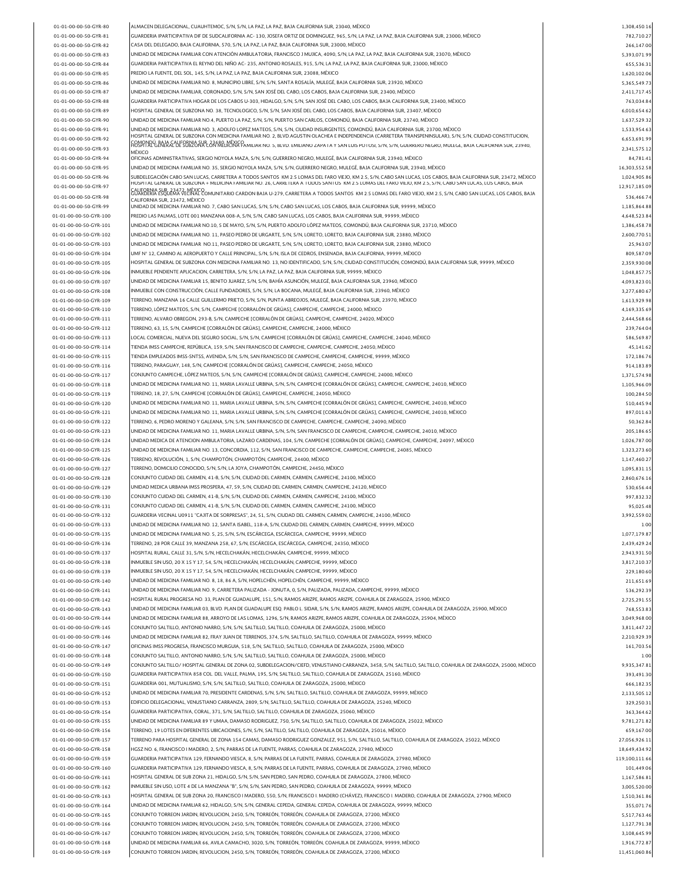| 01-01-00-00-50-GYR-80                            | ALMACEN DELEGACIONAL, CUAUHTEMOC, S/N, S/N, LA PAZ, LA PAZ, BAJA CALIFORNIA SUR, 23040, MÉXICO                                                                                                                                                                                                 | 1,308,450.16                  |
|--------------------------------------------------|------------------------------------------------------------------------------------------------------------------------------------------------------------------------------------------------------------------------------------------------------------------------------------------------|-------------------------------|
| 01-01-00-00-50-GYR-81                            | GUARDERIA IPARTICIPATIVA DIF DE SUDCALIFORNIA AC-130, JOSEFA ORTIZ DE DOMINGUEZ, 965, S/N, LA PAZ, LA PAZ, BAJA CALIFORNIA SUR, 23000, MÉXICO                                                                                                                                                  | 782,710.27                    |
| 01-01-00-00-50-GYR-82                            | CASA DEL DELEGADO, BAJA CALIFORNIA, 570, S/N, LA PAZ, LA PAZ, BAJA CALIFORNIA SUR, 23000, MÉXICO                                                                                                                                                                                               | 266,147.00                    |
|                                                  |                                                                                                                                                                                                                                                                                                |                               |
| 01-01-00-00-50-GYR-83                            | UNIDAD DE MEDICINA FAMILIAR CON ATENCIÓN AMBULATORIA, FRANCISCO J MUJICA, 4090, S/N, LA PAZ, LA PAZ, BAJA CALIFORNIA SUR, 23070, MÈXICO                                                                                                                                                        | 5,393,071.99                  |
| 01-01-00-00-50-GYR-84                            | GUARDERIA PARTICIPATIVA EL REYNO DEL NIÑO AC-235, ANTONIO ROSALES, 915, S/N, LA PAZ, LA PAZ, BAJA CALIFORNIA SUR, 23000, MÉXICO                                                                                                                                                                | 655,536.31                    |
| 01-01-00-00-50-GYR-85                            | PREDIO LA FUENTE, DEL SOL, 145, S/N, LA PAZ, LA PAZ, BAJA CALIFORNIA SUR, 23088, MÈXICO                                                                                                                                                                                                        | 1,620,102.06                  |
| 01-01-00-00-50-GYR-86                            | UNIDAD DE MEDICINA FAMILIAR NO. 8. MUNICIPIO LIBRE. S/N. S/N. SANTA ROSALÍA. MULEGÉ. BAJA CALIFORNIA SUR. 23920. MÉXICO                                                                                                                                                                        | 5,365,549.73                  |
| 01-01-00-00-50-GYR-87                            | UNIDAD DE MEDICINA FAMILIAR, CORONADO, S/N, S/N, SAN JOSÉ DEL CABO, LOS CABOS, BAJA CALIFORNIA SUR, 23400, MÉXICO                                                                                                                                                                              | 2,411,717.45                  |
| 01-01-00-00-50-GYR-88                            | GUARDERIA PARTICIPATIVA HOGAR DE LOS CABOS U-303, HIDALGO, S/N, S/N, SAN JOSÉ DEL CABO, LOS CABOS, BAJA CALIFORNIA SUR, 23400, MÉXICO                                                                                                                                                          | 763,034.84                    |
| 01-01-00-00-50-GYR-89                            | HOSPITAL GENERAL DE SUBZONA NO. 38, TECNOLOGICO, S/N, S/N, SAN JOSÉ DEL CABO, LOS CABOS, BAJA CALIFORNIA SUR, 23407, MÉXICO                                                                                                                                                                    | 6,010,654.62                  |
| 01-01-00-00-50-GYR-90                            | UNIDAD DE MEDICINA FAMILIAR NO.4, PUERTO LA PAZ, S/N, S/N, PUERTO SAN CARLOS, COMONDÚ, BAJA CALIFORNIA SUR, 23740, MÊXICO                                                                                                                                                                      | 1,637,529.32                  |
|                                                  |                                                                                                                                                                                                                                                                                                |                               |
| 01-01-00-00-50-GYR-91                            | UNIDAD DE MEDICINA FAMILIAR NO. 3, ADOLFO LOPEZ MATEOS, S/N, S/N, CIUDAD INSURGENTES, COMONDÚ, BAJA CALIFORNIA SUR, 23700, MÉXICO<br>HOSPITAL GENERAL DE SUBZONA CON MEDICINA FAMILIAR NO. 2, BLVD.AGUSTIN OLACHEA E INDEPENDENCIA (CARRETERA TRANSPENINSULAR), S/N, S/N, CIUDAD CONSTITUCION, | 1,533,954.63                  |
| 01-01-00-00-50-GYR-92                            | <u>SBYAYA''GBARAA'NESOBYOAR'EOARBEMEN</u> KSA MILIAR NO. 5, BLVD. EMILIANO ZAPA I A Y SAN LUIS POTOSI, S/N, S/N, GUERRERO NEGRO, MULEGE, BAJA CALIFORNIA SUR, 23940,                                                                                                                           | 6.653.691.99                  |
| 01-01-00-00-50-GYR-93                            | MÉXICO                                                                                                                                                                                                                                                                                         | 2,341,575.12                  |
| 01-01-00-00-50-GYR-94                            | OFICINAS ADMINISTRATIVAS, SERGIO NOYOLA MAZA, S/N, S/N, GUERRERO NEGRO, MULEGÉ, BAJA CALIFORNIA SUR, 23940, MÉXICO                                                                                                                                                                             | 84,781.41                     |
| 01-01-00-00-50-GYR-95                            | UNIDAD DE MEDICINA FAMILIAR NO. 35. SERGIO NOYOLA MAZA, S/N, S/N, GUERRERO NEGRO, MULEGÉ, BAJA CALIFORNIA SUR, 23940, MÉXICO                                                                                                                                                                   | 16,303,552.58                 |
| 01-01-00-00-50-GYR-96                            | SUBDELEGACIÓN CABO SAN LUCAS, CARRETERA A TODOS SANTOS KM 2.5 LOMAS DEL FARO VIEJO, KM 2.5, S/N, CABO SAN LUCAS, LOS CABOS, BAJA CALIFORNIA SUR, 23472, MÉXICO                                                                                                                                 | 1,024,905.86                  |
|                                                  | HOSPITAL GENERAL DE SUBZONA + MEDICINA FAMILIAR NO. 26, CARRETERA A TODOS SANTOS KM 2.5 LOMAS DEL FARO VIEJO, KM 2.5, S/N, CABO SAN LUCAS, LOS CABOS, BAJA                                                                                                                                     |                               |
| 01-01-00-00-50-GYR-97                            | SCURRBRINA ESUSTAN JELIKAL COMUNITARIO CARDON BAJA U-279, CARRETERA A TODOS SANTOS KM 2.5 LOMAS DEL FARO VIEJO, KM 2.5, S/N, CABO SAN LUCAS, LOS CABOS, BAJA                                                                                                                                   | 12,917,185.09                 |
| 01-01-00-00-50-GYR-98                            | CALIFORNIA SUR, 23472, MÉXICO                                                                                                                                                                                                                                                                  | 536,466.7                     |
| 01-01-00-00-50-GYR-99                            | UNIDAD DE MEDICINA FAMILIAR NO. 7, CABO SAN LUCAS, S/N, S/N, CABO SAN LUCAS, LOS CABOS, BAJA CALIFORNIA SUR, 99999, MÉXICO                                                                                                                                                                     | 1,185,864.88                  |
| 01-01-00-00-50-GYR-100                           | PREDIO LAS PALMAS, LOTE 001 MANZANA 008-A, S/N, S/N, CABO SAN LUCAS, LOS CABOS, BAJA CALIFORNIA SUR, 99999, MÉXICO                                                                                                                                                                             | 4,648,523.84                  |
| 01-01-00-00-50-GYR-101                           | UNIDAD DE MEDICINA FAMILIAR NO.10, 5 DE MAYO, S/N, S/N, PUERTO ADOLFO LÓPEZ MATEOS, COMONDÚ, BAJA CALIFORNIA SUR, 23710, MÊXICO                                                                                                                                                                | 1,386,458.78                  |
| 01-01-00-00-50-GYR-102                           | UNIDAD DE MEDICINA FAMILIAR NO. 11, PASEO PEDRO DE URGARTE, S/N, S/N, LORETO, LORETO, BAJA CALIFORNIA SUR, 23880, MÉXICO                                                                                                                                                                       | 2,600,770.51                  |
|                                                  |                                                                                                                                                                                                                                                                                                |                               |
| 01-01-00-00-50-GYR-103                           | UNIDAD DE MEDICINA FAMILIAR NO.11, PASEO PEDRO DE URGARTE, S/N, S/N, LORETO, LORETO, BAJA CALIFORNIA SUR, 23880, MÊXICO                                                                                                                                                                        | 25,963.07                     |
| 01-01-00-00-50-GYR-104                           | UMF N° 12, CAMINO AL AEROPUERTO Y CALLE PRINCIPAL, S/N, S/N, ISLA DE CEDROS, ENSENADA, BAJA CALIFORNIA, 99999, MÉXICO                                                                                                                                                                          | 809,587.09                    |
| 01-01-00-00-50-GYR-105                           | HOSPITAL GENERAL DE SUBZONA CON MEDICINA FAMILIAR NO. 13, NO IDENTIFICADO, S/N, S/N, CIUDAD CONSTITUCIÓN, COMONDÚ, BAJA CALIFORNIA SUR, 99999, MÉXICO                                                                                                                                          | 2,359,930.08                  |
| 01-01-00-00-50-GYR-106                           | INMUEBLE PENDIENTE APLICACION, CARRETERA, S/N, S/N, LA PAZ, LA PAZ, BAJA CALIFORNIA SUR, 99999, MÉXICO                                                                                                                                                                                         | 1,048,857.75                  |
| 01-01-00-00-50-GYR-107                           | UNIDAD DE MEDICINA FAMILIAR 15, BENITO JUAREZ, S/N, S/N, BAHÍA ASUNCIÓN, MULEGÉ, BAJA CALIFORNIA SUR, 23960, MÉXICO                                                                                                                                                                            | 4,093,823.01                  |
| 01-01-00-00-50-GYR-108                           | INMUEBLE CON CONSTRUCCIÓN, CALLE FUNDADORES, S/N, S/N, LA BOCANA, MULEGÉ, BAJA CALIFORNIA SUR, 23960, MÉXICO                                                                                                                                                                                   | 3,277,680.67                  |
|                                                  | TERRENO. MANZANA 16 CALLE GUILLERMO PRIETO. S/N. S/N. PUNTA ABREOJOS. MULEGÉ. BAJA CALIFORNIA SUR. 23970. MÉXICO                                                                                                                                                                               |                               |
| 01-01-00-00-50-GYR-109                           |                                                                                                                                                                                                                                                                                                | 1,613,929.98                  |
| 01-01-00-00-50-GYR-110                           | TERRENO, LÓPEZ MATEOS, S/N, S/N, CAMPECHE [CORRALÓN DE GRÚAS], CAMPECHE, CAMPECHE, 24000, MÉXICO                                                                                                                                                                                               | 4.169.335.69                  |
| 01-01-00-00-50-GYR-111                           | TERRENO, ALVARO OBREGON, 293-B, S/N, CAMPECHE [CORRALÓN DE GRÚAS], CAMPECHE, CAMPECHE, 24020, MÉXICO                                                                                                                                                                                           | 2,444,568.66                  |
| 01-01-00-00-50-GYR-112                           | TERRENO, 63, 15, S/N, CAMPECHE [CORRALÓN DE GRÚAS], CAMPECHE, CAMPECHE, 24000, MÉXICO                                                                                                                                                                                                          | 239,764.04                    |
| 01-01-00-00-50-GYR-113                           | LOCAL COMERCIAL, NUEVA DEL SEGURO SOCIAL, S/N, S/N, CAMPECHE [CORRALÒN DE GRÚAS], CAMPECHE, CAMPECHE, 24040, MÈXICO                                                                                                                                                                            | 586,569.87                    |
| 01-01-00-00-50-GYR-114                           | TIENDA IMSS CAMPECHE, REPÚBLICA, 159, S/N, SAN FRANCISCO DE CAMPECHE, CAMPECHE, CAMPECHE, 24050, MÉXICO                                                                                                                                                                                        | 45,141.62                     |
| 01-01-00-00-50-GYR-115                           | TIENDA EMPLEADOS IMSS-SNTSS, AVENIDA, S/N, S/N, SAN FRANCISCO DE CAMPECHE, CAMPECHE, CAMPECHE, 99999, MÉXICO                                                                                                                                                                                   | 172,186.76                    |
| 01-01-00-00-50-GYR-116                           | TERRENO, PARAGUAY, 148, S/N, CAMPECHE [CORRALON DE GRUAS], CAMPECHE, CAMPECHE, 24050, MÉXICO                                                                                                                                                                                                   | 914.183.89                    |
|                                                  |                                                                                                                                                                                                                                                                                                |                               |
| 01-01-00-00-50-GYR-117                           | CONJUNTO CAMPECHE, LÓPEZ MATEOS, S/N, S/N, CAMPECHE [CORRALÓN DE GRÚAS], CAMPECHE, CAMPECHE, 24000, MÉXICO                                                                                                                                                                                     | 1,371,574.98                  |
| 01-01-00-00-50-GYR-118                           | UNIDAD DE MEDICINA FAMILIAR NO. 11, MARIA LAVALLE URBINA, S/N, S/N, CAMPECHE [CORRALÓN DE GRÚAS], CAMPECHE, CAMPECHE, 24010, MÉXICO                                                                                                                                                            | 1,105,966.09                  |
| 01-01-00-00-50-GYR-119                           | TERRENO, 18, 27, S/N, CAMPECHE [CORRALÓN DE GRÚAS], CAMPECHE, CAMPECHE, 24050, MÉXICO                                                                                                                                                                                                          | 100,284.50                    |
| 01-01-00-00-50-GYR-120                           | UNIDAD DE MEDICINA FAMILIAR NO. 11, MARIA LAVALLE URBINA, S/N, S/N, CAMPECHE [CORRALÓN DE GRÚAS], CAMPECHE, CAMPECHE, 24010, MÉXICO                                                                                                                                                            | 510.445.94                    |
| 01-01-00-00-50-GYR-121                           | UNIDAD DE MEDICINA FAMILIAR NO. 11, MARIA LAVALLE URBINA, S/N, S/N, CAMPECHE [CORRALÒN DE GRÙAS], CAMPECHE, CAMPECHE, 24010, MÊXICO                                                                                                                                                            | 897,011.63                    |
| 01-01-00-00-50-GYR-122                           | TERRENO, 6, PEDRO MORENO Y GALEANA, S/N, S/N, SAN FRANCISCO DE CAMPECHE, CAMPECHE, CAMPECHE, 24090, MÉXICO                                                                                                                                                                                     | 50,362.84                     |
| 01-01-00-00-50-GYR-123                           | UNIDAD DE MEDICINA FAMILIAR NO. 11, MARIA LAVALLE URBINA, S/N, S/N, SAN FRANCISCO DE CAMPECHE, CAMPECHE, CAMPECHE, 24010, MÊXICO                                                                                                                                                               | 205,186.65                    |
|                                                  |                                                                                                                                                                                                                                                                                                |                               |
| 01-01-00-00-50-GYR-124                           | UNIDAD MEDICA DE ATENCION AMBULATORIA, LAZARO CARDENAS, 104, S/N, CAMPECHE [CORRALÓN DE GRÚAS], CAMPECHE, CAMPECHE, 24097, MÉXICO                                                                                                                                                              | 1,026,787.00                  |
| 01-01-00-00-50-GYR-125                           | UNIDAD DE MEDICINA FAMILIAR NO. 13, CONCORDIA, 112, S/N, SAN FRANCISCO DE CAMPECHE, CAMPECHE, CAMPECHE, 24085, MÉXICO                                                                                                                                                                          | 1,323,273.60                  |
| 01-01-00-00-50-GYR-126                           | TERRENO, REVOLUCIÓN, 1, S/N, CHAMPOTÓN, CHAMPOTÓN, CAMPECHE, 24400, MÉXICO                                                                                                                                                                                                                     | 1,147,460.27                  |
| 01-01-00-00-50-GYR-127                           | TERRENO, DOMICILIO CONOCIDO, S/N, S/N, LA JOYA, CHAMPOTÓN, CAMPECHE, 24450, MÉXICO                                                                                                                                                                                                             | 1,095,831.15                  |
| 01-01-00-00-50-GYR-128                           | CONJUNTO CUIDAD DEL CARMEN, 41-B, S/N, S/N, CIUDAD DEL CARMEN, CARMEN, CAMPECHE, 24100, MÉXICO                                                                                                                                                                                                 | 2,860,676.16                  |
| 01-01-00-00-50-GYR-129                           | UNIDAD MEDICA URBANA IMSS PROSPERA, 47, 59, S/N, CIUDAD DEL CARMEN, CARMEN, CAMPECHE, 24120, MÉXICO                                                                                                                                                                                            | 530,656.44                    |
| 01-01-00-00-50-GYR-130                           | CONJUNTO CUIDAD DEL CARMEN, 41-B, S/N, S/N, CIUDAD DEL CARMEN, CARMEN, CAMPECHE, 24100, MÉXICO                                                                                                                                                                                                 | 997,832.32                    |
| 01-01-00-00-50-GYR-131                           | CONJUNTO CUIDAD DEL CARMEN, 41-B, S/N, S/N, CIUDAD DEL CARMEN, CARMEN, CAMPECHE, 24100, MÉXICO                                                                                                                                                                                                 |                               |
|                                                  | GUARDERIA VECINAL U0911 "CAJITA DE SORPRESAS", 24, 51, S/N, CIUDAD DEL CARMEN, CARMEN, CAMPECHE, 24100, MÉXICO                                                                                                                                                                                 | 95,025.48                     |
| 01-01-00-00-50-GYR-132                           |                                                                                                                                                                                                                                                                                                | 3,992,559.02                  |
| 01-01-00-00-50-GYR-133                           | UNIDAD DE MEDICINA FAMILIAR NO. 12, SANTA ISABEL, 118-A, S/N, CIUDAD DEL CARMEN, CARMEN, CAMPECHE, 99999, MÉXICO                                                                                                                                                                               | 1.00                          |
| 01-01-00-00-50-GYR-135                           | UNIDAD DE MEDICINA FAMILIAR NO. 5, 25, S/N, S/N, ESCÁRCEGA, ESCÁRCEGA, CAMPECHE, 99999, MÉXICO                                                                                                                                                                                                 | 1,077,179.87                  |
| 01-01-00-00-50-GYR-136                           | TERRENO, 28 POR CALLE 39, MANZANA 258, 67, S/N, ESCÁRCEGA, ESCÁRCEGA, CAMPECHE, 24350, MÉXICO                                                                                                                                                                                                  | 2,439,429.24                  |
| 01-01-00-00-50-GYR-137                           | HOSPITAL RURAL, CALLE 31, S/N, S/N, HECELCHAKÁN, HECELCHAKÁN, CAMPECHE, 99999, MÉXICO                                                                                                                                                                                                          | 2,943,931.50                  |
| 01-01-00-00-50-GYR-138                           | INMUEBLE SIN USO, 20 X 15 Y 17, 54, S/N, HECELCHAKÁN, HECELCHAKÁN, CAMPECHE, 99999, MÉXICO                                                                                                                                                                                                     | 3,817,210.37                  |
| 01-01-00-00-50-GYR-139                           | INMUEBLE SIN USO, 20 X 15 Y 17, 54, S/N, HECELCHAKÁN, HECELCHAKÁN, CAMPECHE, 99999, MÉXICO                                                                                                                                                                                                     | 229,180.60                    |
|                                                  |                                                                                                                                                                                                                                                                                                |                               |
| 01-01-00-00-50-GYR-140                           | UNIDAD DE MEDICINA FAMILIAR NO. 8, 18, 86 A, S/N, HOPELCHÉN, HOPELCHÉN, CAMPECHE, 99999, MÉXICO                                                                                                                                                                                                | 211,651.69                    |
| 01-01-00-00-50-GYR-141                           | UNIDAD DE MEDICINA FAMILIAR NO. 9, CARRETERA PALIZADA - JONUTA, 0, S/N, PALIZADA, PALIZADA, CAMPECHE, 99999, MÉXICO                                                                                                                                                                            |                               |
|                                                  |                                                                                                                                                                                                                                                                                                | 536,292.39                    |
| 01-01-00-00-50-GYR-142                           | HOSPITAL RURAL PROGRESA NO. 33, PLAN DE GUADALUPE, 151, S/N, RAMOS ARIZPE, RAMOS ARIZPE, COAHUILA DE ZARAGOZA, 25900, MÊXICO                                                                                                                                                                   | 2,725,291.55                  |
| 01-01-00-00-50-GYR-143                           | UNIDAD DE MEDICINA FAMILIAR 03, BLVD. PLAN DE GUADALUPE ESQ. PABLO L. SIDAR, S/N, S/N, RAMOS ARIZPE, RAMOS ARIZPE, COAHUILA DE ZARAGOZA, 25900, MÉXICO                                                                                                                                         | 768,553.83                    |
| 01-01-00-00-50-GYR-144                           | UNIDAD DE MEDICINA FAMILIAR 88, ARROYO DE LAS LOMAS, 1296, S/N, RAMOS ARIZPE, RAMOS ARIZPE, COAHUILA DE ZARAGOZA, 25904, MÉXICO                                                                                                                                                                | 3,049,968.00                  |
| 01-01-00-00-50-GYR-145                           | CONJUNTO SALTILLO, ANTONIO NARRO, S/N, S/N, SALTILLO, SALTILLO, COAHUILA DE ZARAGOZA, 25000, MÉXICO                                                                                                                                                                                            | 3,811,447.22                  |
|                                                  |                                                                                                                                                                                                                                                                                                |                               |
| 01-01-00-00-50-GYR-146                           | UNIDAD DE MEDICINA FAMILIAR 82, FRAY JUAN DE TERRENOS, 374, S/N, SALTILLO, SALTILLO, COAHUILA DE ZARAGOZA, 99999, MÉXICO                                                                                                                                                                       | 2,210,929.39                  |
| 01-01-00-00-50-GYR-147                           | OFICINAS IMSS PROGRESA, FRANCISCO MURGUIA, 518, S/N, SALTILLO, SALTILLO, COAHUILA DE ZARAGOZA, 25000, MÊXICO                                                                                                                                                                                   | 161,703.56                    |
| 01-01-00-00-50-GYR-148                           | CONJUNTO SALTILLO, ANTONIO NARRO, S/N, S/N, SALTILLO, SALTILLO, COAHUILA DE ZARAGOZA, 25000, MÉXICO                                                                                                                                                                                            | 1.00                          |
| 01-01-00-00-50-GYR-149                           | CONJUNTO SALTILLO/ HOSPITAL GENERAL DE ZONA 02, SUBDELEGACION/CIEFD, VENUSTIANO CARRANZA, 3458, S/N, SALTILLO, SALTILLO, COAHUILA DE ZARAGOZA, 25000, MÉXICO                                                                                                                                   | 9,935,347.81                  |
| 01-01-00-00-50-GYR-150                           | GUARDERIA PARTICIPATIVA 858 COL. DEL VALLE, PALMA, 195, S/N, SALTILLO, SALTILLO, COAHUILA DE ZARAGOZA, 25160, MÉXICO                                                                                                                                                                           | 393,491.30                    |
| 01-01-00-00-50-GYR-151                           | GUARDERIA 001, MUTUALISMO, S/N, S/N, SALTILLO, SALTILLO, COAHUILA DE ZARAGOZA, 25000, MÉXICO                                                                                                                                                                                                   | 666,182.35                    |
| 01-01-00-00-50-GYR-152                           | UNIDAD DE MEDICINA FAMILIAR 70, PRESIDENTE CARDENAS, S/N, S/N, SALTILLO, SALTILLO, COAHUILA DE ZARAGOZA, 99999, MÊXICO                                                                                                                                                                         | 2,133,505.12                  |
|                                                  |                                                                                                                                                                                                                                                                                                |                               |
| 01-01-00-00-50-GYR-153                           | EDIFICIO DELEGACIONAL, VENUSTIANO CARRANZA, 2809, S/N, SALTILLO, SALTILLO, COAHUILA DE ZARAGOZA, 25240, MÉXICO                                                                                                                                                                                 | 329,250.31                    |
| 01-01-00-00-50-GYR-154                           | GUARDERIA PARTICIPATIVA, CORAL, 371, S/N, SALTILLO, SALTILLO, COAHUILA DE ZARAGOZA, 25060, MÉXICO                                                                                                                                                                                              | 363,364.62                    |
| 01-01-00-00-50-GYR-155                           | UNIDAD DE MEDICINA FAMILIAR 89 Y UMAA, DAMASO RODRIGUEZ, 750, S/N, SALTILLO, SALTILLO, COAHUILA DE ZARAGOZA, 25022, MÊXICO                                                                                                                                                                     | 9,781,271.82                  |
| 01-01-00-00-50-GYR-156                           | TERRENO, 19 LOTES EN DIFERENTES UBICACIONES, S/N, S/N, SALTILLO, SALTILLO, COAHUILA DE ZARAGOZA, 25016, MÉXICO                                                                                                                                                                                 | 659,167.00                    |
| 01-01-00-00-50-GYR-157                           | TERRENO PARA HOSPITAL GENERAL DE ZONA 154 CAMAS, DAMASO RODRIGUEZ GONZALEZ, 951, S/N, SALTILLO, SALTILLO, COAHUILA DE ZARAGOZA, 25022, MÉXICO                                                                                                                                                  | 27,056,926.11                 |
| 01-01-00-00-50-GYR-158                           | HGSZ NO. 6, FRANCISCO I MADERO, 2, S/N, PARRAS DE LA FUENTE, PARRAS, COAHUILA DE ZARAGOZA, 27980, MÉXICO                                                                                                                                                                                       | 18,649,434.92                 |
| 01-01-00-00-50-GYR-159                           | GUARDERIA PARTICIPATIVA 129, FERNANDO VIESCA, 8, S/N, PARRAS DE LA FUENTE, PARRAS, COAHUILA DE ZARAGOZA, 27980, MÊXICO                                                                                                                                                                         | 119,100,111.66                |
|                                                  |                                                                                                                                                                                                                                                                                                |                               |
| 01-01-00-00-50-GYR-160                           | GUARDERIA PARTICIPATIVA 129, FERNANDO VIESCA, 8, S/N, PARRAS DE LA FUENTE, PARRAS, COAHUILA DE ZARAGOZA, 27980, MÊXICO                                                                                                                                                                         | 101,449.06                    |
| 01-01-00-00-50-GYR-161                           | HOSPITAL GENERAL DE SUB ZONA 21, HIDALGO, S/N, S/N, SAN PEDRO, SAN PEDRO, COAHUILA DE ZARAGOZA, 27800, MÉXICO                                                                                                                                                                                  | 1,167,586.81                  |
| 01-01-00-00-50-GYR-162                           | INMUEBLE SIN USO, LOTE 4 DE LA MANZANA "B", S/N, S/N, SAN PEDRO, SAN PEDRO, COAHUILA DE ZARAGOZA, 99999, MÉXICO                                                                                                                                                                                | 3,005,520.00                  |
| 01-01-00-00-50-GYR-163                           | HOSPITAL GENERAL DE SUB ZONA 20, FRANCISCO I MADERO, 550, S/N, FRANCISCO I. MADERO (CHÁVEZ), FRANCISCO I. MADERO, COAHUILA DE ZARAGOZA, 27900, MÉXICO                                                                                                                                          | 1,510,361.86                  |
| 01-01-00-00-50-GYR-164                           | UNIDAD DE MEDICINA FAMILIAR 62, HIDALGO, S/N, S/N, GENERAL CEPEDA, GENERAL CEPEDA, COAHUILA DE ZARAGOZA, 99999, MÉXICO                                                                                                                                                                         | 355,071.76                    |
| 01-01-00-00-50-GYR-165                           | CONJUNTO TORREON JARDIN, REVOLUCION, 2450, S/N, TORREÓN, TORREÓN, COAHUILA DE ZARAGOZA, 27200, MÉXICO                                                                                                                                                                                          | 5,517,763.46                  |
| 01-01-00-00-50-GYR-166                           | CONJUNTO TORREON JARDIN, REVOLUCION, 2450, S/N, TORREÓN, TORREÓN, COAHUILA DE ZARAGOZA, 27200, MÉXICO                                                                                                                                                                                          | 1,127,791.38                  |
|                                                  |                                                                                                                                                                                                                                                                                                |                               |
| 01-01-00-00-50-GYR-167                           | CONJUNTO TORREON JARDIN, REVOLUCION, 2450, S/N, TORREON, TORREON, COAHUILA DE ZARAGOZA, 27200, MEXICO                                                                                                                                                                                          | 3,108,645.99                  |
| 01-01-00-00-50-GYR-168<br>01-01-00-00-50-GYR-169 | UNIDAD DE MEDICINA FAMILIAR 66, AVILA CAMACHO, 3020, S/N, TORREÓN, TORREÓN, COAHUILA DE ZARAGOZA, 99999, MÉXICO<br>CONJUNTO TORREON JARDIN, REVOLUCION, 2450, S/N, TORREÓN, TORREÓN, COAHUILA DE ZARAGOZA, 27200, MÉXICO                                                                       | 1,916,772.87<br>11,451,060.86 |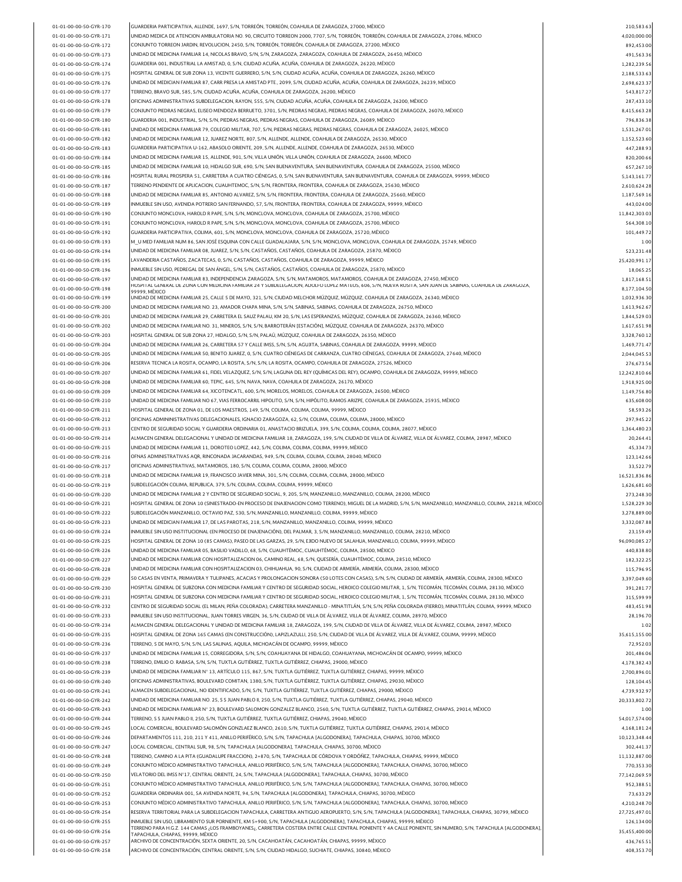| 01-01-00-00-50-GYR-170                           | GUARDERIA PARTICIPATIVA, ALLENDE, 1697, S/N, TORREÓN, TORREÓN, COAHUILA DE ZARAGOZA, 27000, MÉXICO                                                                                                                                                                                        | 210,583.63               |
|--------------------------------------------------|-------------------------------------------------------------------------------------------------------------------------------------------------------------------------------------------------------------------------------------------------------------------------------------------|--------------------------|
|                                                  |                                                                                                                                                                                                                                                                                           |                          |
| 01-01-00-00-50-GYR-171                           | UNIDAD MEDICA DE ATENCION AMBULATORIA NO. 90, CIRCUITO TORREON 2000, 7707, S/N, TORREÓN, TORREÓN, COAHUILA DE ZARAGOZA, 27086, MÉXICO                                                                                                                                                     | 4,020,000.00             |
| 01-01-00-00-50-GYR-172                           | CONJUNTO TORREON JARDIN, REVOLUCION, 2450, S/N, TORREÓN, TORREÓN, COAHUILA DE ZARAGOZA, 27200, MÉXICO                                                                                                                                                                                     | 892,453.00               |
| 01-01-00-00-50-GYR-173                           | UNIDAD DE MEDICINA FAMILIAR 14, NICOLAS BRAVO, S/N, S/N, ZARAGOZA, ZARAGOZA, COAHUILA DE ZARAGOZA, 26450, MÉXICO                                                                                                                                                                          | 491,563.36               |
| 01-01-00-00-50-GYR-174                           | GUARDERIA 001, INDUSTRIAL LA AMISTAD, 0, S/N, CIUDAD ACUÑA, ACUÑA, COAHUILA DE ZARAGOZA, 26220, MÉXICO                                                                                                                                                                                    | 1,282,239.56             |
|                                                  |                                                                                                                                                                                                                                                                                           |                          |
| 01-01-00-00-50-GYR-175                           | HOSPITAL GENERAL DE SUB ZONA 13, VICENTE GUERRERO, S/N, S/N, CIUDAD ACUÑA, ACUÑA, COAHUILA DE ZARAGOZA, 26260, MÊXICO                                                                                                                                                                     | 2,188,533.63             |
| 01-01-00-00-50-GYR-176                           | UNIDAD DE MEDICIAN FAMILIAR 87. CARR PRESA LA AMISTAD PTE 2099. S/N. CIUDAD ACUÑA. ACUÑA. COAHUILA DE ZARAGOZA. 26239. MÉXICO                                                                                                                                                             | 2,698,623.37             |
| 01-01-00-00-50-GYR-177                           | TERRENO, BRAVO SUR, 585, S/N, CIUDAD ACUÑA, ACUÑA, COAHUILA DE ZARAGOZA, 26200, MÉXICO                                                                                                                                                                                                    | 543,817.27               |
|                                                  | OFICINAS ADMINISTRATIVAS SUBDELEGACION, RAYON, 555, S/N, CIUDAD ACUÑA, ACUÑA, COAHUILA DE ZARAGOZA, 26200, MÊXICO                                                                                                                                                                         |                          |
| 01-01-00-00-50-GYR-178                           |                                                                                                                                                                                                                                                                                           | 287,433.10               |
| 01-01-00-00-50-GYR-179                           | CONJUNTO PIEDRAS NEGRAS, ELISEO MENDOZA BERRUETO, 3701, S/N, PIEDRAS NEGRAS, PIEDRAS NEGRAS, COAHUILA DE ZARAGOZA, 26070, MÉXICO                                                                                                                                                          | 8,415,663.28             |
| 01-01-00-00-50-GYR-180                           | GUARDERIA 001, INDUSTRIAL, S/N, S/N, PIEDRAS NEGRAS, PIEDRAS NEGRAS, COAHUILA DE ZARAGOZA, 26089, MÊXICO                                                                                                                                                                                  | 796,836.38               |
| 01-01-00-00-50-GYR-181                           | UNIDAD DE MEDICINA FAMILIAR 79, COLEGIO MILITAR, 707, S/N, PIEDRAS NEGRAS, PIEDRAS NEGRAS, COAHUILA DE ZARAGOZA, 26025, MÉXICO                                                                                                                                                            | 1,531,267.01             |
| 01-01-00-00-50-GYR-182                           |                                                                                                                                                                                                                                                                                           |                          |
|                                                  | UNIDAD DE MEDICINA FAMILIAR 12, JUAREZ NORTE, 807, S/N, ALLENDE, ALLENDE, COAHUILA DE ZARAGOZA, 26530, MÉXICO                                                                                                                                                                             | 1,152,523.60             |
| 01-01-00-00-50-GYR-183                           | GUARDERIA PARTICIPATIVA U-162, ABASOLO ORIENTE, 209, S/N, ALLENDE, ALLENDE, COAHUILA DE ZARAGOZA, 26530, MÉXICO                                                                                                                                                                           | 447,288.93               |
| 01-01-00-00-50-GYR-184                           | UNIDAD DE MEDICINA FAMILIAR 15, ALLENDE, 901, S/N, VILLA UNIÓN, VILLA UNIÓN, COAHUILA DE ZARAGOZA, 26600, MÉXICO                                                                                                                                                                          | 820.200.66               |
| 01-01-00-00-50-GYR-185                           | UNIDAD DE MEDICINA FAMILIAR 10, HIDALGO SUR, 690, S/N, SAN BUENAVENTURA, SAN BUENAVENTURA, COAHUILA DE ZARAGOZA, 25500, MÈXICO                                                                                                                                                            | 657,267.10               |
|                                                  |                                                                                                                                                                                                                                                                                           |                          |
| 01-01-00-00-50-GYR-186                           | HOSPITAL RURAL PROSPERA 51, CARRETERA A CUATRO CIÉNEGAS, 0, S/N, SAN BUENAVENTURA, SAN BUENAVENTURA, COAHUILA DE ZARAGOZA, 99999, MÉXICO                                                                                                                                                  | 5.143.161.77             |
| 01-01-00-00-50-GYR-187                           | TERRENO PENDIENTE DE APLICACION, CUAUHTEMOC, S/N, S/N, FRONTERA, FRONTERA, COAHUILA DE ZARAGOZA, 25630, MÉXICO                                                                                                                                                                            | 2,610,624.28             |
| 01-01-00-00-50-GYR-188                           | UNIDAD DE MEDICINA FAMILIAR 85, ANTONIO ALVAREZ, S/N, S/N, FRONTERA, FRONTERA, COAHUILA DE ZARAGOZA, 25660, MÊXICO                                                                                                                                                                        | 1,187,569.16             |
| 01-01-00-00-50-GYR-189                           | INMUEBLE SIN USO, AVENIDA POTRERO SAN FERNANDO, 57, S/N, FRONTERA, FRONTERA, COAHUILA DE ZARAGOZA, 99999, MÉXICO                                                                                                                                                                          | 443,024.00               |
|                                                  |                                                                                                                                                                                                                                                                                           |                          |
| 01-01-00-00-50-GYR-190                           | CONJUNTO MONCLOVA, HAROLD R PAPE, S/N, S/N, MONCLOVA, MONCLOVA, COAHUILA DE ZARAGOZA, 25700, MÊXICO                                                                                                                                                                                       | 11,842,303.03            |
| 01-01-00-00-50-GYR-191                           | CONJUNTO MONCLOVA, HAROLD R PAPE, S/N, S/N, MONCLOVA, MONCLOVA, COAHUILA DE ZARAGOZA, 25700, MÉXICO                                                                                                                                                                                       | 564,308.10               |
| 01-01-00-00-50-GYR-192                           | GUARDERIA PARTICIPATIVA, COLIMA, 601, S/N, MONCLOVA, MONCLOVA, COAHUILA DE ZARAGOZA, 25720, MÉXICO                                                                                                                                                                                        | 101,449.72               |
| 01-01-00-00-50-GYR-193                           | M_U MED FAMILIAR NUM 86, SAN JOSÉ ESQUINA CON CALLE GUADALAJARA, S/N, S/N, MONCLOVA, MONCLOVA, COAHUILA DE ZARAGOZA, 25749, MÉXICO                                                                                                                                                        | 1.00                     |
|                                                  |                                                                                                                                                                                                                                                                                           |                          |
| 01-01-00-00-50-GYR-194                           | UNIDAD DE MEDICINA FAMILIAR 08, JUAREZ, S/N, S/N, CASTAÑOS, CASTAÑOS, COAHUILA DE ZARAGOZA, 25870, MÉXICO                                                                                                                                                                                 | 523.231.48               |
| 01-01-00-00-50-GYR-195                           | LAVANDERIA CASTAÑOS, ZACATECAS, 0, S/N, CASTAÑOS, CASTAÑOS, COAHUILA DE ZARAGOZA, 99999, MÉXICO                                                                                                                                                                                           | 25,420,991.17            |
| 01-01-00-00-50-GYR-196                           | INMUEBLE SIN USO. PEDREGAL DE SAN ÁNGEL. S/N. S/N. CASTAÑOS. CASTAÑOS. COAHUILA DE ZARAGOZA. 25870. MÉXICO                                                                                                                                                                                | 18,065.25                |
| 01-01-00-00-50-GYR-197                           |                                                                                                                                                                                                                                                                                           |                          |
|                                                  | UNIDAD DE MEDICINA FAMILIAR 83, INDEPENDENCIA ZARAGOZA, S/N, S/N, MATAMOROS, MATAMOROS, COAHUILA DE ZARAGOZA, 27450, MÊXICO<br>HOSPITAL GENERAL DE ZONA CON MEDICINA FAMILIAR 24 Y SUBDELEGACION, ADOLFO LOPEZ MATEOS, 606, S/N, NUEVA ROSITA, SAN JUAN DE SABINAS, COAHUILA DE ZARAGOZA, | 1,817,168.51             |
| 01-01-00-00-50-GYR-198                           | 99999. MÉXICO                                                                                                                                                                                                                                                                             | 8,177,104.50             |
| 01-01-00-00-50-GYR-199                           | UNIDAD DE MEDICINA FAMILIAR 25, CALLE 5 DE MAYO, 321, S/N, CIUDAD MELCHOR MÚZQUIZ, MÚZQUIZ, COAHUILA DE ZARAGOZA, 26340, MÉXICO                                                                                                                                                           | 1.032.936.30             |
| 01-01-00-00-50-GYR-200                           | UNIDAD DE MEDICINA FAMILIAR NO. 23, AMADOR CHAPA MINA, S/N, S/N, SABINAS, SABINAS, COAHUILA DE ZARAGOZA, 26750, MÊXICO                                                                                                                                                                    | 1,613,962.67             |
|                                                  |                                                                                                                                                                                                                                                                                           |                          |
| 01-01-00-00-50-GYR-201                           | UNIDAD DE MEDICINA FAMILIAR 29, CARRETERA EL SAUZ PALAU, KM 20, S/N, LAS ESPERANZAS, MÚZQUIZ, COAHUILA DE ZARAGOZA, 26360, MÉXICO                                                                                                                                                         | 1,844,529.03             |
| 01-01-00-00-50-GYR-202                           | UNIDAD DE MEDICINA FAMILIAR NO. 31, MINEROS, S/N, S/N, BARROTERÁN [ESTACIÓN], MÚZQUIZ, COAHUILA DE ZARAGOZA, 26370, MÉXICO                                                                                                                                                                | 1,617,651.98             |
| 01-01-00-00-50-GYR-203                           | HOSPITAL GENERAL DE SUB ZONA 27, HIDALGO, S/N, S/N, PALAÚ, MÚZQUIZ, COAHUILA DE ZARAGOZA, 26350, MÉXICO                                                                                                                                                                                   | 3,328,760.12             |
| 01-01-00-00-50-GYR-204                           | UNIDAD DE MEDICINA FAMILIAR 26, CARRETERA 57 Y CALLE IMSS, S/N, S/N, AGUJITA, SABINAS, COAHUILA DE ZARAGOZA, 99999, MÊXICO                                                                                                                                                                | 1,469,771.47             |
|                                                  |                                                                                                                                                                                                                                                                                           |                          |
| 01-01-00-00-50-GYR-205                           | UNIDAD DE MEDICINA FAMILIAR 50, BENITO JUAREZ, 0, S/N, CUATRO CIÊNEGAS DE CARRANZA, CUATRO CIÊNEGAS, COAHUILA DE ZARAGOZA, 27640, MÊXICO                                                                                                                                                  | 2,044,045.53             |
| 01-01-00-00-50-GYR-206                           | RESERVA TECNICA LA ROSITA, OCAMPO, LA ROSITA, S/N, S/N, LA ROSITA, OCAMPO, COAHUILA DE ZARAGOZA, 27526, MÉXICO                                                                                                                                                                            | 276,673.56               |
| 01-01-00-00-50-GYR-207                           | UNIDAD DE MEDICINA FAMILIAR 61, FIDEL VELAZQUEZ, S/N, S/N, LAGUNA DEL REY (QUÍMICAS DEL REY), OCAMPO, COAHUILA DE ZARAGOZA, 99999, MÉXICO                                                                                                                                                 | 12,242,810.66            |
|                                                  | UNIDAD DE MEDICINA FAMILIAR 60, TEPIC, 645, S/N, NAVA, NAVA, COAHUILA DE ZARAGOZA, 26170, MÊXICO                                                                                                                                                                                          |                          |
| 01-01-00-00-50-GYR-208                           |                                                                                                                                                                                                                                                                                           | 1,918,925.00             |
| 01-01-00-00-50-GYR-209                           | UNIDAD DE MEDICINA FAMILIAR 64, XICOTENCATL, 600, S/N, MORELOS, MORELOS, COAHUILA DE ZARAGOZA, 26500, MÉXICO                                                                                                                                                                              | 1,149,756.80             |
| 01-01-00-00-50-GYR-210                           | UNIDAD DE MEDICINA FAMILIAR NO 67, VIAS FERROCARRIL HIPOLITO, S/N, S/N, HIPÒLITO, RAMOS ARIZPE, COAHUILA DE ZARAGOZA, 25935, MÈXICO                                                                                                                                                       | 635,608.00               |
| 01-01-00-00-50-GYR-211                           | HOSPITAL GENERAL DE ZONA 01, DE LOS MAESTROS, 149, S/N, COLIMA, COLIMA, COLIMA, 99999, MÉXICO                                                                                                                                                                                             | 58,593.26                |
|                                                  |                                                                                                                                                                                                                                                                                           |                          |
| 01-01-00-00-50-GYR-212                           | OFICINAS ADMININISTRATIVAS DELEGACIONALES, IGNACIO ZARAGOZA, 62, S/N, COLIMA, COLIMA, COLIMA, 28000, MÉXICO                                                                                                                                                                               | 297,945.22               |
| 01-01-00-00-50-GYR-213                           | CENTRO DE SEGURIDAD SOCIAL Y GUARDERIA ORDINARIA 01, ANASTACIO BRIZUELA, 399, S/N, COLIMA, COLIMA, COLIMA, 28077, MÊXICO                                                                                                                                                                  | 1,364,480.23             |
| 01-01-00-00-50-GYR-214                           | ALMACEN GENERAL DELEGACIONAL Y UNIDAD DE MEDICINA FAMILIAR 18, ZARAGOZA, 199, S/N, CIUDAD DE VILLA DE ÅLVAREZ, VILLA DE ÅLVAREZ, COLIMA, 28987, MÈXICO                                                                                                                                    | 20.264.43                |
| 01-01-00-00-50-GYR-215                           | UNIDAD DE MEDICINA FAMILIAR 11, DOROTEO LOPEZ, 442, S/N, COLIMA, COLIMA, COLIMA, 99999, MĚXICO                                                                                                                                                                                            | 45,334.73                |
|                                                  |                                                                                                                                                                                                                                                                                           |                          |
| 01-01-00-00-50-GYR-216                           | OFNAS ADMINISTRATIVAS AQR, RINCONADA JACARANDAS, 949, S/N, COLIMA, COLIMA, COLIMA, 28040, MÉXICO                                                                                                                                                                                          | 123,142.66               |
| 01-01-00-00-50-GYR-217                           | OFICINAS ADMINISTRATIVAS, MATAMOROS, 180, S/N, COLIMA, COLIMA, COLIMA, 28000, MÉXICO                                                                                                                                                                                                      | 33,522.79                |
| 01-01-00-00-50-GYR-218                           | UNIDAD DE MEDICINA FAMILIAR 19, FRANCISCO JAVIER MINA, 301, S/N, COLIMA, COLIMA, COLIMA, 28000, MÉXICO                                                                                                                                                                                    |                          |
|                                                  |                                                                                                                                                                                                                                                                                           |                          |
|                                                  |                                                                                                                                                                                                                                                                                           | 16,521,836.86            |
| 01-01-00-00-50-GYR-219                           | SUBDELEGACIÓN COLIMA, REPUBLICA, 379, S/N, COLIMA, COLIMA, COLIMA, 99999, MÉXICO                                                                                                                                                                                                          | 1.626.681.60             |
| 01-01-00-00-50-GYR-220                           | UNIDAD DE MEDICINA FAMILIAR 2 Y CENTRO DE SEGURIDAD SOCIAL, 9, 205, S/N, MANZANILLO, MANZANILLO, COLIMA, 28200, MÉXICO                                                                                                                                                                    | 273,248.30               |
| 01-01-00-00-50-GYR-221                           | HOSPITAL GENERAL DE ZONA 10 (SINIESTRADO-EN PROCESO DE ENAJENACION COMO TERRENO), MIGUEL DE LA MADRID, S/N, S/N, MANZANILLO, MANZANILLO, COLIMA, 28218, MÉXICO                                                                                                                            | 1,528,229.30             |
|                                                  |                                                                                                                                                                                                                                                                                           |                          |
| 01-01-00-00-50-GYR-222                           | SUBDELEGACIÓN MANZANILLO, OCTAVIO PAZ, 530, S/N, MANZANILLO, MANZANILLO, COLIMA, 99999, MÉXICO                                                                                                                                                                                            | 3,278,889.00             |
| 01-01-00-00-50-GYR-223                           | UNIDAD DE MEDICIAN FAMILIAR 17, DE LAS PAROTAS, 218, S/N, MANZANILLO, MANZANILLO, COLIMA, 99999, MEXICO                                                                                                                                                                                   | 3,332,087.88             |
| 01-01-00-00-50-GYR-224                           | INMUEBLE SIN USO INSTITUCIONAL (EN PROCESO DE ENAJENACIÓN), DEL PALMAR, 3, S/N, MANZANILLO, MANZANILLO, COLIMA, 28210, MÉXICO                                                                                                                                                             | 23.159.49                |
| 01-01-00-00-50-GYR-225                           | HOSPITAL GENERAL DE ZONA 10 (85 CAMAS), PASEO DE LAS GARZAS, 29, S/N, EJIDO NUEVO DE SALAHUA, MANZANILLO, COLIMA, 99999, MÊXICO                                                                                                                                                           | 96,090,085.27            |
|                                                  |                                                                                                                                                                                                                                                                                           |                          |
| 01-01-00-00-50-GYR-226                           | UNIDAD DE MEDICINA FAMILIAR 05, BASILIO VADILLO, 68, S/N, CUAUHTÉMOC, CUAUHTÉMOC, COLIMA, 28500, MÉXICO                                                                                                                                                                                   | 440,838.80               |
| 01-01-00-00-50-GYR-227                           | UNIDAD DE MEDICINA FAMILIAR CON HOSPITALIZACION 06, CAMINO REAL, 68, S/N, QUESERÍA, CUAUHTÉMOC, COLIMA, 28510, MÉXICO                                                                                                                                                                     | 182,322.25               |
| 01-01-00-00-50-GYR-228                           | UNIDAD DE MEDICINA FAMILIAR CON HOSPITALIZACION 03, CHIHUAHUA, 90, S/N, CIUDAD DE ARMERÍA, ARMERÍA, COLIMA, 28300, MÉXICO                                                                                                                                                                 | 115,796.95               |
| 01-01-00-00-50-GYR-229                           | 50 CASAS EN VENTA, PRIMAVERA Y TULIPANES, ACACIAS Y PROLONGACION SONORA (50 LOTES CON CASAS), S/N, S/N, CIUDAD DE ARMERÍA, ARMERÍA, COLIMA, 28300, MÉXICO                                                                                                                                 | 3.397.049.60             |
|                                                  |                                                                                                                                                                                                                                                                                           |                          |
| 01-01-00-00-50-GYR-230                           | HOSPITAL GENERAL DE SUBZONA CON MEDICINA FAMILIAR Y CENTRO DE SEGURIDAD SOCIAL, HEROICO COLEGIO MILITAR, 1, S/N, TECOMÁN, TECOMÁN, COLIMA, 28130, MÊXICO                                                                                                                                  | 391,281.77               |
| 01-01-00-00-50-GYR-231                           | HOSPITAL GENERAL DE SUBZONA CON MEDICINA FAMILIAR Y CENTRO DE SEGURIDAD SOCIAL, HEROICO COLEGIO MILITAR, 1, S/N, TECOMÁN, TECOMÁN, COLIMA, 28130, MÉXICO                                                                                                                                  | 315,599.99               |
| 01-01-00-00-50-GYR-232                           | CENTRO DE SEGURIDAD SOCIAL (EL MILAN, PEÑA COLORADA), CARRETERA MANZANILLO - MINATITLÁN, S/N, S/N, PEÑA COLORADA (FIERRO), MINATITLÁN, COLIMA, 99999, MÉXICO                                                                                                                              | 483,451.98               |
| 01-01-00-00-50-GYR-233                           | INMUEBLE SIN USO INSTITUCIONAL, JUAN TORRES VIRGEN, 36, S/N, CIUDAD DE VILLA DE ÁLVAREZ, VILLA DE ÁLVAREZ, COLIMA, 28970, MÉXICO                                                                                                                                                          | 28,196.70                |
| 01-01-00-00-50-GYR-234                           | ALMACEN GENERAL DELEGACIONAL Y UNIDAD DE MEDICINA FAMILIAR 18, ZARAGOZA, 199, S/N, CIUDAD DE VILLA DE ÁLVAREZ, VILLA DE ÁLVAREZ, COLIMA, 28987, MÉXICO                                                                                                                                    | 1.02                     |
|                                                  |                                                                                                                                                                                                                                                                                           |                          |
| 01-01-00-00-50-GYR-235                           | HOSPITAL GENERAL DE ZONA 165 CAMAS (EN CONSTRUCCIÓN), LAPIZLAZULLI, 250, S/N, CIUDAD DE VILLA DE ÁLVAREZ, VILLA DE ÁLVAREZ, COLIMA, 99999, MÉXICO                                                                                                                                         | 35,615,155.00            |
| 01-01-00-00-50-GYR-236                           | TERRENO. 5 DE MAYO. S/N. S/N. LAS SALINAS. AOUILA. MICHOACÁN DE OCAMPO. 99999. MÉXICO                                                                                                                                                                                                     | 72,952.03                |
| 01-01-00-00-50-GYR-237                           | UNIDAD DE MEDICINA FAMILIAR 15, CORREGIDORA, S/N, S/N, COAHUAYANA DE HIDALGO, COAHUAYANA, MICHOACÁN DE OCAMPO, 99999, MÉXICO                                                                                                                                                              | 201,486.06               |
|                                                  |                                                                                                                                                                                                                                                                                           |                          |
| 01-01-00-00-50-GYR-238                           | TERRENO, EMILIO O. RABASA, S/N, S/N, TUXTLA GUTIÉRREZ, TUXTLA GUTIÉRREZ, CHIAPAS, 29000, MÉXICO                                                                                                                                                                                           | 4,178,382.43             |
| 01-01-00-00-50-GYR-239                           | UNIDAD DE MEDICINA FAMILIAR N° 13, ARTÍCULO 115, 867, S/N, TUXTLA GUTIÉRREZ, TUXTLA GUTIÉRREZ, CHIAPAS, 99999, MÉXICO                                                                                                                                                                     | 2,700,896.01             |
| 01-01-00-00-50-GYR-240                           | OFICINAS ADMINISTRATIVAS, BOULEVARD COMITAN, 1380, S/N, TUXTLA GUTIÈRREZ, TUXTLA GUTIÈRREZ, CHIAPAS, 29030, MÈXICO                                                                                                                                                                        | 128,104.45               |
| 01-01-00-00-50-GYR-241                           | ALMACEN SUBDELEGACIONAL, NO IDENTIFICADO, S/N, S/N, TUXTLA GUTIÉRREZ, TUXTLA GUTIÉRREZ, CHIAPAS, 29000, MÉXICO                                                                                                                                                                            |                          |
|                                                  |                                                                                                                                                                                                                                                                                           | 4,739,932.97             |
| 01-01-00-00-50-GYR-242                           | UNIDAD DE MEDICINA FAMILIAR NO. 25, S S JUAN PABLO II, 250, S/N, TUXTLA GUTIÉRREZ, TUXTLA GUTIÉRREZ, CHIAPAS, 29040, MÉXICO                                                                                                                                                               | 20,333,802.72            |
| 01-01-00-00-50-GYR-243                           | UNIDAD DE MEDICINA FAMILIAR Nº 23, BOULEVARD SALOMON GONZALEZ BLANCO, 2560, S/N, TUXTLA GUTIÉRREZ, TUXTLA GUTIÉRREZ, CHIAPAS, 29014, MÉXICO                                                                                                                                               | 1.00                     |
| 01-01-00-00-50-GYR-244                           | TERRENO, S S JUAN PABLO II, 250, S/N, TUXTLA GUTIÉRREZ, TUXTLA GUTIÉRREZ, CHIAPAS, 29040, MÉXICO                                                                                                                                                                                          | 54,017,574.00            |
| 01-01-00-00-50-GYR-245                           | LOCAL COMERCIAL, BOULEVARD SALOMÓN GONZLAEZ BLANCO, 2610, S/N, TUXTLA GUTIÉRREZ, TUXTLA GUTIÉRREZ, CHIAPAS, 29014, MÉXICO                                                                                                                                                                 | 4,168,181.24             |
|                                                  |                                                                                                                                                                                                                                                                                           |                          |
| 01-01-00-00-50-GYR-246                           | DEPARTAMENTOS 111, 210, 211 Y 411, ANILLO PERIFÉRICO, S/N, S/N, TAPACHULA [ALGODONERA], TAPACHULA, CHIAPAS, 30700, MÉXICO                                                                                                                                                                 | 10.123.348.44            |
| 01-01-00-00-50-GYR-247                           | LOCAL COMERCIAL, CENTRAL SUR, 98, S/N, TAPACHULA [ALGODONERA], TAPACHULA, CHIAPAS, 30700, MÉXICO                                                                                                                                                                                          | 302,441.37               |
| 01-01-00-00-50-GYR-248                           | TERRENO, CAMINO A LA PITA (GUADALUPE FRACCION), 2+870, S/N, TAPACHULA DE CÓRDOVA Y ORDÓÑEZ, TAPACHULA, CHIAPAS, 99999, MÉXICO                                                                                                                                                             | 11,132,887.00            |
|                                                  |                                                                                                                                                                                                                                                                                           |                          |
| 01-01-00-00-50-GYR-249                           | CONJUNTO MÉDICO ADMINISTRATIVO TAPACHULA, ANILLO PERIFÉRICO, S/N, S/N, TAPACHULA [ALGODONERA], TAPACHULA, CHIAPAS, 30700, MÉXICO                                                                                                                                                          | 770,353.30               |
| 01-01-00-00-50-GYR-250                           | VELATORIO DEL IMSS Nº17, CENTRAL ORIENTE, 24, S/N, TAPACHULA [ALGODONERA], TAPACHULA, CHIAPAS, 30700, MÊXICO                                                                                                                                                                              | 77,142,069.59            |
| 01-01-00-00-50-GYR-251                           | CONJUNTO MÉDICO ADMINISTRATIVO TAPACHULA, ANILLO PERIFÉRICO, S/N, S/N, TAPACHULA [ALGODONERA], TAPACHULA, CHIAPAS, 30700, MÉXICO                                                                                                                                                          | 952,388.51               |
| 01-01-00-00-50-GYR-252                           | GUARDERIA ORDINARIA 001, 5A AVENIDA NORTE, 94, S/N, TAPACHULA [ALGODONERA], TAPACHULA, CHIAPAS, 30700, MÉXICO                                                                                                                                                                             | 73,633.29                |
|                                                  |                                                                                                                                                                                                                                                                                           |                          |
| 01-01-00-00-50-GYR-253                           | CONJUNTO MĖDICO ADMINISTRATIVO TAPACHULA, ANILLO PERIFĖRICO, S/N, S/N, TAPACHULA [ALGODONERA], TAPACHULA, CHIAPAS, 30700, MĖXICO                                                                                                                                                          | 4,210,248.70             |
| 01-01-00-00-50-GYR-254                           | RESERVA TERRITORIAL PARA LA SUBDELEGACION TAPACHULA, CARRETERA ANTIGUO AEROPUERTO, S/N, S/N, TAPACHULA [ALGODONERA], TAPACHULA, CHIAPAS, 30799, MÉXICO                                                                                                                                    | 27,725,497.01            |
| 01-01-00-00-50-GYR-255                           | INMUEBLE SIN USO, LIBRAMIENTO SUR PORNIENTE, KM 5+900, S/N, TAPACHULA [ALGODONERA], TAPACHULA, CHIAPAS, 99999, MÈXICO                                                                                                                                                                     | 126,134.00               |
|                                                  | TERRENO PARA H.G.Z. 144 CAMAS ¿LOS FRAMBOYANES¿, CARRETERA COSTERA ENTRE CALLE CENTRAL PONIENTE Y 4A CALLE PONIENTE, SIN NUMERO, S/N, TAPACHULA [ALGODONERA]                                                                                                                              |                          |
| 01-01-00-00-50-GYR-256                           | TAPACHULA, CHIAPAS, 99999, MÉXICO                                                                                                                                                                                                                                                         | 35,455,400.00            |
| 01-01-00-00-50-GYR-257<br>01-01-00-00-50-GYR-258 | ARCHIVO DE CONCENTRACIÓN, SEXTA ORIENTE, 20, S/N, CACAHOATÁN, CACAHOATÁN, CHIAPAS, 99999, MÉXICO<br>ARCHIVO DE CONCENTRACIÓN, CENTRAL ORIENTE, S/N, S/N, CIUDAD HIDALGO, SUCHIATE, CHIAPAS, 30840, MÉXICO                                                                                 | 436,765.51<br>408,353.70 |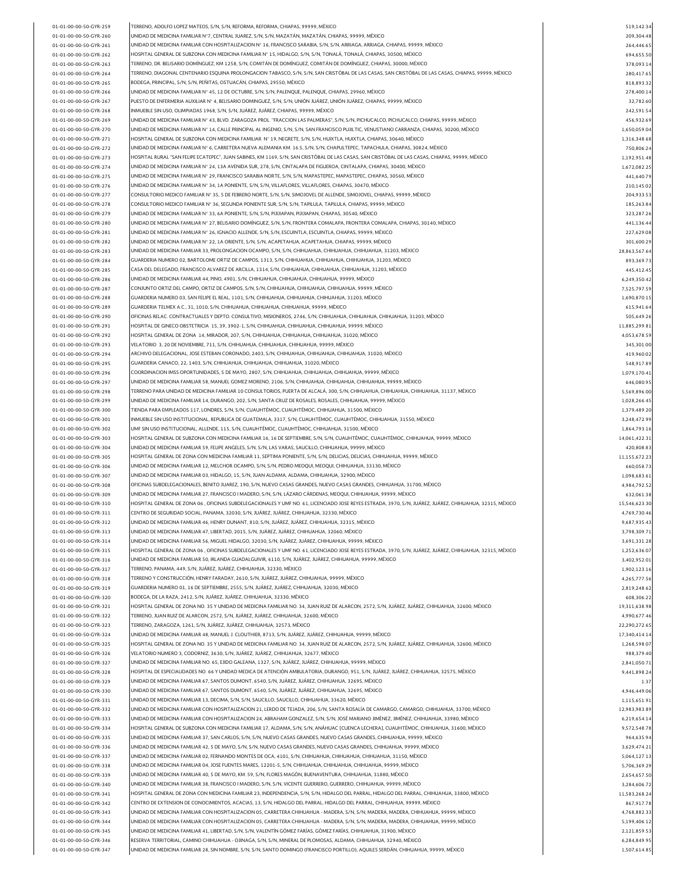| 01-01-00-00-50-GYR-259 | TERRENO, ADOLFO LOPEZ MATEOS, S/N, S/N, REFORMA, REFORMA, CHIAPAS, 99999, MÉXICO                                                                         | 519.142.34    |
|------------------------|----------------------------------------------------------------------------------------------------------------------------------------------------------|---------------|
| 01-01-00-00-50-GYR-260 | UNIDAD DE MEDICINA FAMILIAR Nº7, CENTRAL JUAREZ, S/N, S/N, MAZATÁN, MAZATÁN, CHIAPAS, 99999, MÉXICO                                                      | 209.304.48    |
| 01-01-00-00-50-GYR-261 | UNIDAD DE MEDICINA FAMILIAR CON HOSPITALIZACION Nº 16, FRANCISCO SARABIA, S/N, S/N, ARRIAGA, ARRIAGA, CHIAPAS, 99999, MÉXICO                             | 264,446.65    |
| 01-01-00-00-50-GYR-262 | HOSPITAL GENERAL DE SUBZONA CON MEDICINA FAMILIAR Nº 15, HIDALGO, S/N, S/N, TONALÁ, TONALÁ, CHIAPAS, 30500, MÉXICO                                       | 694,655.50    |
| 01-01-00-00-50-GYR-263 | TERRENO, DR. BELISARIO DOMÍNGUEZ, KM 1258, S/N, COMITÁN DE DOMÍNGUEZ, COMITÁN DE DOMÍNGUEZ, CHIAPAS, 30000, MÉXICO                                       | 378,093.14    |
| 01-01-00-00-50-GYR-264 | TERRENO, DIAGONAL CENTENARIO ESQUINA PROLONGACION TABASCO, S/N, S/N, SAN CRISTÓBAL DE LAS CASAS, SAN CRISTÓBAL DE LAS CASAS, CHIAPAS, 99999, MÉXICO      | 280,417.65    |
| 01-01-00-00-50-GYR-265 | BODEGA, PRINCIPAL, S/N, S/N, PEÑITAS, OSTUACÁN, CHIAPAS, 29550, MÉXICO                                                                                   | 818.893.32    |
| 01-01-00-00-50-GYR-266 | UNIDAD DE MEDICINA FAMILIAR Nº 45, 12 DE OCTUBRE, S/N, S/N, PALENQUE, PALENQUE, CHIAPAS, 29960, MÉXICO                                                   | 278,400.14    |
| 01-01-00-00-50-GYR-267 | PUESTO DE ENFERMERIA AUXILIAR Nº 4, BELISARIO DOMINGUEZ, S/N, S/N, UNIÓN JUÁREZ, UNIÓN JUÁREZ, CHIAPAS, 99999, MÉXICO                                    | 32,782.60     |
| 01-01-00-00-50-GYR-268 | INMUEBLE SIN USO, OLIMPIADAS 1968, S/N, S/N, JUĀREZ, JUĀREZ, CHIAPAS, 99999, MĒXICO                                                                      | 242,591.54    |
| 01-01-00-00-50-GYR-269 | UNIDAD DE MEDICINA FAMILIAR Nº 43, BLVD. ZARAGOZA PROL. "FRACCION LAS PALMERAS", S/N, S/N, PICHUCALCO, PICHUCALCO, CHIAPAS, 99999, MÉXICO                | 456,932.69    |
| 01-01-00-00-50-GYR-270 | UNIDAD DE MEDICINA FAMILIAR Nº 14, CALLE PRINCIPAL AL INGENIO, S/N, S/N, SAN FRANCISCO PUJILTIC, VENUSTIANO CARRANZA, CHIAPAS, 30200, MÉXICO             | 1.650.059.04  |
| 01-01-00-00-50-GYR-271 | HOSPITAL GENERAL DE SUBZONA CON MEDICINA FAMILIAR Nº 19, NEGRETE, S/N, S/N, HUIXTLA, HUIXTLA, CHIAPAS, 30640, MÊXICO                                     | 1,316,348.68  |
| 01-01-00-00-50-GYR-272 | UNIDAD DE MEDICINA FAMILIAR N° 6, CARRETERA NUEVA ALEMANIA KM. 16.5, S/N, S/N, CHAPULTEPEC, TAPACHULA, CHIAPAS, 30824, MÉXICO                            | 750,806.24    |
| 01-01-00-00-50-GYR-273 | HOSPITAL RURAL "SAN FELIPE ECATEPEC", JUAN SABINES, KM 1169, S/N, SAN CRISTÓBAL DE LAS CASAS, SAN CRISTÓBAL DE LAS CASAS, CHIAPAS, 99999, MÉXICO         | 1,192,951.48  |
| 01-01-00-00-50-GYR-274 | UNIDAD DE MEDICINA FAMILIAR Nº 24, 13A AVENIDA SUR, 278, S/N, CINTALAPA DE FIGUEROA, CINTALAPA, CHIAPAS, 30400, MÉXICO                                   | 1,672,082.25  |
|                        | UNIDAD DE MEDICINA FAMILIAR Nº 29, FRANCISCO SARABIA NORTE, S/N, S/N, MAPASTEPEC, MAPASTEPEC, CHIAPAS, 30560, MÉXICO                                     |               |
| 01-01-00-00-50-GYR-275 |                                                                                                                                                          | 441,640.79    |
| 01-01-00-00-50-GYR-276 | UNIDAD DE MEDICINA FAMILIAR Nº 34, 1A PONIENTE, S/N, S/N, VILLAFLORES, VILLAFLORES, CHIAPAS, 30470, MÉXICO                                               | 210,145.02    |
| 01-01-00-00-50-GYR-277 | CONSULTORIO MEDICO FAMILIAR N° 35, 5 DE FEBRERO NORTE, S/N, S/N, SIMOJOVEL DE ALLENDE, SIMOJOVEL, CHIAPAS, 99999, MÉXICO                                 | 204,933.53    |
| 01-01-00-00-50-GYR-278 | CONSULTORIO MEDICO FAMILIAR Nº 36, SEGUNDA PONIENTE SUR, S/N, S/N, TAPILULA, TAPILULA, CHIAPAS, 99999, MÉXICO                                            | 185,263.84    |
| 01-01-00-00-50-GYR-279 | UNIDAD DE MEDICINA FAMILIAR Nº 33, 6A PONIENTE, S/N, S/N, PIJIJIAPAN, PIJIJIAPAN, CHIAPAS, 30540, MÉXICO                                                 | 323,287.26    |
| 01-01-00-00-50-GYR-280 | UNIDAD DE MEDICINA FAMILIAR N° 27, BELISARIO DOMÍNGUEZ, S/N, S/N, FRONTERA COMALAPA, FRONTERA COMALAPA, CHIAPAS, 30140, MÉXICO                           | 441,136.44    |
| 01-01-00-00-50-GYR-281 | UNIDAD DE MEDICINA FAMILIAR Nº 26, IGNACIO ALLENDE, S/N, S/N, ESCUINTLA, ESCUINTLA, CHIAPAS, 99999, MÉXICO                                               | 227,629.08    |
| 01-01-00-00-50-GYR-282 | UNIDAD DE MEDICINA FAMILIAR Nº 22. 1A ORIENTE, S/N, S/N, ACAPETAHUA, ACAPETAHUA, CHIAPAS, 99999, MÉXICO                                                  | 301.600.29    |
| 01-01-00-00-50-GYR-283 | UNIDAD DE MEDICINA FAMILIAR 33, PROLONGACION OCAMPO, S/N, S/N, CHIHUAHUA, CHIHUAHUA, CHIHUAHUA, 31203, MÊXICO                                            | 28,863,567.64 |
| 01-01-00-00-50-GYR-284 | GUARDERIA NUMERO 02, BARTOLOME ORTIZ DE CAMPOS, 1313, S/N, CHIHUAHUA, CHIHUAHUA, CHIHUAHUA, 31203, MÊXICO                                                | 893,369.73    |
| 01-01-00-00-50-GYR-285 | CASA DEL DELEGADO, FRANCISCO ALVAREZ DE ARCILLA, 1314, S/N, CHIHUAHUA, CHIHUAHUA, CHIHUAHUA, 31203, MÉXICO                                               | 445,412.45    |
| 01-01-00-00-50-GYR-286 | UNIDAD DE MEDICINA FAMILIAR 44, PINO, 4901, S/N, CHIHUAHUA, CHIHUAHUA, CHIHUAHUA, 99999, MÉXICO                                                          | 6,249,350.42  |
| 01-01-00-00-50-GYR-287 | CONJUNTO ORTIZ DEL CAMPO, ORTIZ DE CAMPOS, S/N, S/N, CHIHUAHUA, CHIHUAHUA, CHIHUAHUA, 99999, MÉXICO                                                      | 7,525,797.59  |
|                        |                                                                                                                                                          |               |
| 01-01-00-00-50-GYR-288 | GUARDERIA NUMERO 03, SAN FELIPE EL REAL, 1101, S/N, CHIHUAHUA, CHIHUAHUA, CHIHUAHUA, 31203, MÈXICO                                                       | 1,690,870.15  |
| 01-01-00-00-50-GYR-289 | GUARDERIA TELMEX A.C., 31, 1010, S/N, CHIHUAHUA, CHIHUAHUA, CHIHUAHUA, 99999, MÉXICO                                                                     | 615,941.64    |
| 01-01-00-00-50-GYR-290 | OFICINAS RELAC. CONTRACTUALES Y DEPTO. CONSULTIVO, MISIONEROS, 2746, S/N, CHIHUAHUA, CHIHUAHUA, CHIHUAHUA, 31203, MÉXICO                                 | 505,649.26    |
| 01-01-00-00-50-GYR-291 | HOSPITAL DE GINECO OBSTETRICIA 15, 39, 3902-1, S/N, CHIHUAHUA, CHIHUAHUA, CHIHUAHUA, 99999, MÊXICO                                                       | 11,885,299.81 |
| 01-01-00-00-50-GYR-292 | HOSPITAL GENERAL DE ZONA 14, MIRADOR, 207, S/N, CHIHUAHUA, CHIHUAHUA, CHIHUAHUA, 31020, MÉXICO                                                           | 4,053,678.59  |
| 01-01-00-00-50-GYR-293 | VELATORIO 3, 20 DE NOVIEMBRE, 711, S/N, CHIHUAHUA, CHIHUAHUA, CHIHUAHUA, 99999, MÊXICO                                                                   | 345,301.00    |
| 01-01-00-00-50-GYR-294 | ARCHIVO DELEGACIONAL, JOSE ESTEBAN CORONADO, 2403, S/N, CHIHUAHUA, CHIHUAHUA, CHIHUAHUA, 31020, MÉXICO                                                   | 419,960.02    |
| 01-01-00-00-50-GYR-295 | GUARDERIA CANACO, 22, 1403, S/N, CHIHUAHUA, CHIHUAHUA, CHIHUAHUA, 31020, MÉXICO                                                                          | 548,917.89    |
| 01-01-00-00-50-GYR-296 | COORDINACION IMSS OPORTUNIDADES, 5 DE MAYO, 2807, S/N, CHIHUAHUA, CHIHUAHUA, CHIHUAHUA, 99999, MEXICO                                                    | 1,079,170.41  |
| 01-01-00-00-50-GYR-297 | UNIDAD DE MEDICINA FAMILIAR 58, MANUEL GOMEZ MORENO, 2106, S/N, CHIHUAHUA, CHIHUAHUA, CHIHUAHUA, 99999, MÉXICO                                           | 646,080.95    |
| 01-01-00-00-50-GYR-298 | TERRENO PARA UNIDAD DE MEDICINA FAMILIAR 10 CONSULTORIOS, PUERTA DE ALCALÁ, 300, S/N, CHIHUAHUA, CHIHUAHUA, CHIHUAHUA, 31137, MÉXICO                     | 5,569,896.00  |
| 01-01-00-00-50-GYR-299 | UNIDAD DE MEDICINA FAMILIAR 14, DURANGO, 202, S/N, SANTA CRUZ DE ROSALES, ROSALES, CHIHUAHUA, 99999, MÉXICO                                              |               |
|                        |                                                                                                                                                          | 1,028,266.45  |
| 01-01-00-00-50-GYR-300 | TIENDA PARA EMPLEADOS 117, LONDRES, S/N, S/N, CUAUHTÉMOC, CUAUHTÉMOC, CHIHUAHUA, 31500, MÉXICO                                                           | 1,379,489.20  |
| 01-01-00-00-50-GYR-301 | INMUEBLE SIN USO INSTITUCIONAL, REPUBLICA DE GUATEMALA, 3317, S/N, CUAUHTÉMOC, CUAUHTÉMOC, CHIHUAHUA, 31550, MÉXICO                                      | 3,248,472.99  |
| 01-01-00-00-50-GYR-302 | UMF SIN USO INSTITUCIONAL, ALLENDE, 115, S/N, CUAUHTÉMOC, CUAUHTÉMOC, CHIHUAHUA, 31500, MÉXICO                                                           | 1,864,793.16  |
| 01-01-00-00-50-GYR-303 | HOSPITAL GENERAL DE SUBZONA CON MEDICINA FAMILIAR 16, 16 DE SEPTIEMBRE, S/N, S/N, CUAUHTÉMOC, CUAUHTÉMOC, CHIHUAHUA, 99999, MÉXICO                       | 14,061,422.31 |
| 01-01-00-00-50-GYR-304 | UNIDAD DE MEDICINA FAMILIAR 59, FELIPE ANGELES, S/N, S/N, LAS VARAS, SAUCILLO, CHIHUAHUA, 99999, MÉXICO                                                  | 420,808.83    |
| 01-01-00-00-50-GYR-305 | HOSPITAL GENERAL DE ZONA CON MEDICINA FAMILIAR 11, SEPTIMA PONIENTE, S/N, S/N, DELICIAS, DELICIAS, CHIHUAHUA, 99999, MÉXICO                              | 11,155,672.23 |
| 01-01-00-00-50-GYR-306 | UNIDAD DE MEDICINA FAMILIAR 12, MELCHOR OCAMPO, S/N, S/N, PEDRO MEOQUI, MEOQUI, CHIHUAHUA, 33130, MÉXICO                                                 | 660,058.73    |
| 01-01-00-00-50-GYR-307 | UNIDAD DE MEDICINA FAMILIAR 03, HIDALGO, 15, S/N, JUAN ALDAMA, ALDAMA, CHIHUAHUA, 32900, MÉXICO                                                          | 1,098,683.61  |
| 01-01-00-00-50-GYR-308 | OFICINAS SUBDELEGACIONALES, BENITO JUAREZ, 190, S/N, NUEVO CASAS GRANDES, NUEVO CASAS GRANDES, CHIHUAHUA, 31700, MÊXICO                                  | 4,984,792.52  |
| 01-01-00-00-50-GYR-309 | UNIDAD DE MEDICINA FAMILIAR 27, FRANCISCO I MADERO, S/N, S/N, LÁZARO CÁRDENAS, MEOQUI, CHIHUAHUA, 99999, MÉXICO                                          | 632.061.38    |
| 01-01-00-00-50-GYR-310 | HOSPITAL GENERAL DE ZONA 06, OFICINAS SUBDELEGACIONALES Y UMF NO. 61, LICENCIADO JOSE REYES ESTRADA, 3970, S/N, JUÁREZ, JUÁREZ, CHIHUAHUA, 32315, MÉXICO | 15,546,623.30 |
|                        | CENTRO DE SEGURIDAD SOCIAL, PANAMA, 32030, S/N, JUÁREZ, JUÁREZ, CHIHUAHUA, 32330, MÉXICO                                                                 |               |
| 01-01-00-00-50-GYR-311 |                                                                                                                                                          | 4,769,730.46  |
| 01-01-00-00-50-GYR-312 | UNIDAD DE MEDICINA FAMILIAR 46, HENRY DUNANT, 810, S/N, JUÁREZ, JUÁREZ, CHIHUAHUA, 32315, MÉXICO                                                         | 9,687,935.43  |
| 01-01-00-00-50-GYR-313 | UNIDAD DE MEDICINA FAMILIAR 47, LIBERTAD, 2015, S/N, JUÁREZ, JUÁREZ, CHIHUAHUA, 32060, MÉXICO                                                            | 3,798,309.71  |
| 01-01-00-00-50-GYR-314 | UNIDAD DE MEDICINA FAMILIAR 56, MIGUEL HIDALGO, 32030, S/N, JUÁREZ, JUÁREZ, CHIHUAHUA, 99999, MÉXICO                                                     | 3,691,331.28  |
| 01-01-00-00-50-GYR-315 | HOSPITAL GENERAL DE ZONA 06, OFICINAS SUBDELEGACIONALES Y UMF NO. 61, LICENCIADO JOSE REYES ESTRADA, 3970, S/N, JUÁREZ, JUÁREZ, CHIHUAHUA, 32315, MÉXICO | 1,252,636.07  |
| 01-01-00-00-50-GYR-316 | UNIDAD DE MEDICINA FAMILIAR 50, IRLANDA GUADALGUIVIR, 6110, S/N, JUÂREZ, JUÂREZ, CHIHUAHUA, 99999, MÊXICO                                                | 3,402,952.01  |
| 01-01-00-00-50-GYR-317 | TERRENO, PANAMA, 449, S/N, JUÁREZ, JUÁREZ, CHIHUAHUA, 32330, MÉXICO                                                                                      | 1,902,123.16  |
| 01-01-00-00-50-GYR-318 | TERRENO Y CONSTRUCCIÓN, HENRY FARADAY, 2610, S/N, JUÁREZ, JUÁREZ, CHIHUAHUA, 99999, MÉXICO                                                               | 4,265,777.56  |
| 01-01-00-00-50-GYR-319 | GUARDERIA NUMERO 01, 16 DE SEPTIEMBRE, 2555, S/N, JUÁREZ, JUÁREZ, CHIHUAHUA, 32030, MÉXICO                                                               | 2,819,248.62  |
| 01-01-00-00-50-GYR-320 | BODEGA, DE LA RAZA, 2412, S/N, JUÁREZ, JUÁREZ, CHIHUAHUA, 32330, MÉXICO                                                                                  | 608,306.22    |
| 01-01-00-00-50-GYR-321 | HOSPITAL GENERAL DE ZONA NO. 35 Y UNIDAD DE MEDICINA FAMILIAR NO. 34, JUAN RUIZ DE ALARCON, 2572, S/N, JUÁREZ, JUÁREZ, CHIHUAHUA, 32600, MÉXICO          | 19,311,638.98 |
| 01-01-00-00-50-GYR-322 | TERRENO, JUAN RUIZ DE ALARCON, 2572, S/N, JUÁREZ, JUÁREZ, CHIHUAHUA, 32600, MÉXICO                                                                       | 4,990,677.46  |
| 01-01-00-00-50-GYR-323 | TERRENO, ZARAGOZA, 1261, S/N, JUÁREZ, JUÁREZ, CHIHUAHUA, 32573, MÉXICO                                                                                   | 22,290,272.65 |
| 01-01-00-00-50-GYR-324 | UNIDAD DE MEDICINA FAMILIAR 48, MANUEL J. CLOUTHIER, 8713, S/N, JUÁREZ, JUÁREZ, CHIHUAHUA, 99999, MÉXICO                                                 | 17,340,414.14 |
| 01-01-00-00-50-GYR-325 | HOSPITAL GENERAL DE ZONA NO. 35 Y UNIDAD DE MEDICINA FAMILIAR NO. 34, JUAN RUIZ DE ALARCON, 2572, S/N, JUÁREZ, JUÁREZ, CHIHUAHUA, 32600, MÉXICO          | 1,268,598.07  |
|                        |                                                                                                                                                          |               |
| 01-01-00-00-50-GYR-326 | VELATORIO NUMERO 3, CODORNIZ, 3630, S/N, JUÁREZ, JUÁREZ, CHIHUAHUA, 32677, MÉXICO                                                                        | 988,379.40    |
| 01-01-00-00-50-GYR-327 | UNIDAD DE MEDICINA FAMILIAR NO. 65, EJIDO GALEANA, 1327, S/N, JUÁREZ, JUÁREZ, CHIHUAHUA, 99999, MÉXICO                                                   | 2,841,050.71  |
| 01-01-00-00-50-GYR-328 | HOSPITAL DE ESPECIALIDADES NO. 66 Y UNIDAD MEDICA DE ATENCIÓN AMBULATORIA, DURANGO, 951, S/N, JUÁREZ, JUÁREZ, CHIHUAHUA, 32575, MÉXICO                   | 9,441,898.24  |
| 01-01-00-00-50-GYR-329 | UNIDAD DE MEDICINA FAMILIAR 67, SANTOS DUMONT, 6540, S/N, JUÁREZ, JUÁREZ, CHIHUAHUA, 32695, MÉXICO                                                       | 1.37          |
| 01-01-00-00-50-GYR-330 | UNIDAD DE MEDICINA FAMILIAR 67, SANTOS DUMONT, 6540, S/N, JUÁREZ, JUÁREZ, CHIHUAHUA, 32695, MÉXICO                                                       | 4,946,449.06  |
| 01-01-00-00-50-GYR-331 | UNIDAD DE MEDICINA FAMILIAR 13, DECIMA, S/N, S/N, SAUCILLO, SAUCILLO, CHIHUAHUA, 33620, MÉXICO                                                           | 1,115,651.91  |
| 01-01-00-00-50-GYR-332 | UNIDAD DE MEDICINA FAMILIAR CON HOSPITALIZACION 21, LERDO DE TEJADA, 206, S/N, SANTA ROSALÍA DE CAMARGO, CAMARGO, CHIHUAHUA, 33700, MÉXICO               | 12,983,983.89 |
| 01-01-00-00-50-GYR-333 | UNIDAD DE MEDICINA FAMILIAR CON HOSPITALIZACION 24, ABRAHAM GONZALEZ, S/N, S/N, JOSÉ MARIANO JIMÉNEZ, JIMÉNEZ, CHIHUAHUA, 33980, MÉXICO                  | 6,219,654.14  |
| 01-01-00-00-50-GYR-334 | HOSPITAL GENERAL DE SUBZONA CON MEDICINA FAMILIAR 17, ALDAMA, S/N, S/N, ANÁHUAC [CUENCA LECHERA], CUAUHTÉMOC, CHIHUAHUA, 31600, MÉXICO                   | 9,572,548.78  |
| 01-01-00-00-50-GYR-335 | UNIDAD DE MEDICINA FAMILIAR 37, SAN CARLOS, S/N, S/N, NUEVO CASAS GRANDES, NUEVO CASAS GRANDES, CHIHUAHUA, 99999, MÉXICO                                 | 964,635.94    |
| 01-01-00-00-50-GYR-336 | UNIDAD DE MEDICINA FAMILIAR 42, 5 DE MAYO, S/N, S/N, NUEVO CASAS GRANDES, NUEVO CASAS GRANDES, CHIHUAHUA, 99999, MÊXICO                                  | 3,629,474.21  |
| 01-01-00-00-50-GYR-337 | UNIDAD DE MEDICINA FAMILIAR 02, FERNANDO MONTES DE OCA, 4101, S/N, CHIHUAHUA, CHIHUAHUA, CHIHUAHUA, 31150, MÉXICO                                        | 5,064,127.13  |
|                        | UNIDAD DE MEDICINA FAMILIAR 04, JOSE FUENTES MARES, 12201-5, S/N, CHIHUAHUA, CHIHUAHUA, CHIHUAHUA, 99999, MÉXICO                                         |               |
| 01-01-00-00-50-GYR-338 |                                                                                                                                                          | 5,706,369.29  |
| 01-01-00-00-50-GYR-339 | UNIDAD DE MEDICINA FAMILIAR 40, 5 DE MAYO, KM. 59, S/N, FLORES MAGÓN, BUENAVENTURA, CHIHUAHUA, 31880, MÉXICO                                             | 2,654,657.50  |
| 01-01-00-00-50-GYR-340 | UNIDAD DE MEDICINA FAMILIAR 38, FRANCISCO I MADERO, S/N, S/N, VICENTE GUERRERO, GUERRERO, CHIHUAHUA, 99999, MÉXICO                                       | 3,284,606.72  |
| 01-01-00-00-50-GYR-341 | HOSPITAL GENERAL DE ZONA CON MEDICINA FAMILIAR 23, INDEPENDENCIA, S/N, S/N, HIDALGO DEL PARRAL, HIDALGO DEL PARRAL, CHIHUAHUA, 33800, MÈXICO             | 11,583,268.24 |
| 01-01-00-00-50-GYR-342 | CENTRO DE EXTENSION DE CONOCIMIENTOS, ACACIAS, 13, S/N, HIDALGO DEL PARRAL, HIDALGO DEL PARRAL, CHIHUAHUA, 99999, MÉXICO                                 | 867,917.78    |
| 01-01-00-00-50-GYR-343 | UNIDAD DE MEDICINA FAMILIAR CON HOSPITALIZACION 05, CARRETERA CHIHUAHUA - MADERA, S/N, S/N, MADERA, MADERA, CHIHUAHUA, 99999, MÈXICO                     | 4,768,882.33  |
| 01-01-00-00-50-GYR-344 | UNIDAD DE MEDICINA FAMILIAR CON HOSPITALIZACION 05, CARRETERA CHIHUAHUA - MADERA, S/N, S/N, MADERA, MADERA, CHIHUAHUA, 99999, MÉXICO                     | 5,199,406.12  |
| 01-01-00-00-50-GYR-345 | UNIDAD DE MEDICINA FAMILIAR 41, LIBERTAD, S/N, S/N, VALENTÍN GÓMEZ FARÍAS, GÓMEZ FARÍAS, CHIHUAHUA, 31900, MÉXICO                                        | 2,121,859.53  |
| 01-01-00-00-50-GYR-346 | RESERVA TERRITORIAL, CAMINO CHIHUAHUA - OJINAGA, S/N, S/N, MINERAL DE PLOMOSAS, ALDAMA, CHIHUAHUA, 32940, MÉXICO                                         | 6,284,849.95  |
| 01-01-00-00-50-GYR-347 | UNIDAD DE MEDICINA FAMILIAR 28, SIN NOMBRE, S/N, S/N, SANTO DOMINGO (FRANCISCO PORTILLO), AQUILES SERDÁN, CHIHUAHUA, 99999, MÉXICO                       | 1,507,614.85  |
|                        |                                                                                                                                                          |               |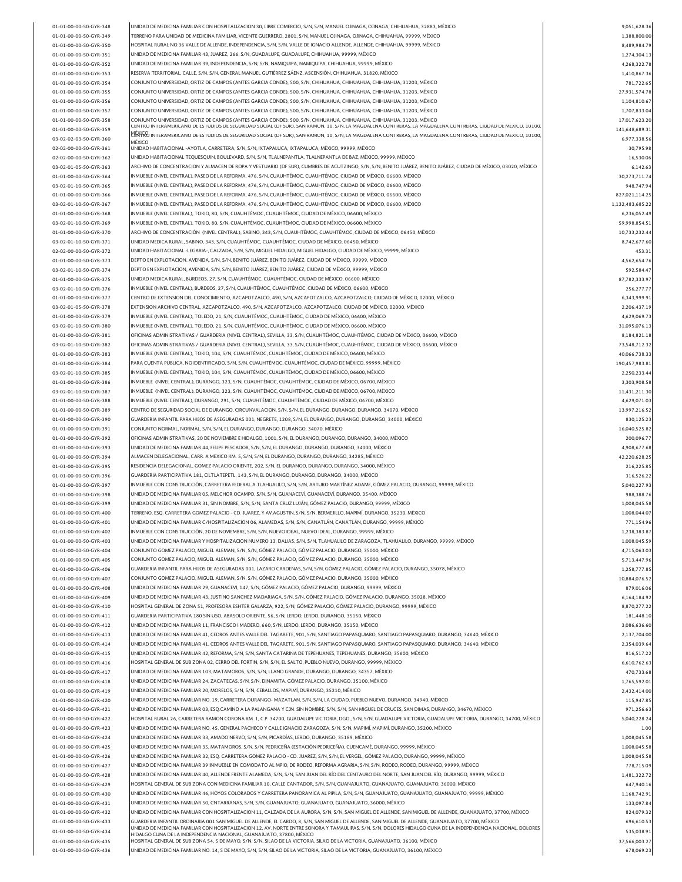| 01-01-00-00-50-GYR-348 | UNIDAD DE MEDICINA FAMILIAR CON HOSPITALIZACION 30, LIBRE COMERCIO, S/N, S/N, MANUEL OJINAGA, OJINAGA, CHIHUAHUA, 32883, MÉXICO                                 | 9,051,628.36     |
|------------------------|-----------------------------------------------------------------------------------------------------------------------------------------------------------------|------------------|
| 01-01-00-00-50-GYR-349 | TERRENO PARA UNIDAD DE MEDICINA FAMILIAR, VICENTE GUERRERO, 2801, S/N, MANUEL OJINAGA, OJINAGA, CHIHUAHUA, 99999, MÉXICO                                        | 1,388,800.00     |
| 01-01-00-00-50-GYR-350 | HOSPITAL RURAL NO.36 VALLE DE ALLENDE, INDEPENDENCIA, S/N, S/N, VALLE DE IGNACIO ALLENDE, ALLENDE, CHIHUAHUA, 99999, MÊXICO                                     | 8,489,984.79     |
| 01-01-00-00-50-GYR-351 | UNIDAD DE MEDICINA FAMILIAR 43, JUAREZ, 266, S/N, GUADALUPE, GUADALUPE, CHIHUAHUA, 99999, MÉXICO                                                                | 1,274,304.13     |
| 01-01-00-00-50-GYR-352 | UNIDAD DE MEDICINA FAMILIAR 39, INDEPENDENCIA, S/N, S/N, NAMIQUIPA, NAMIQUIPA, CHIHUAHUA, 99999, MÉXICO                                                         | 4,268,322.78     |
| 01-01-00-00-50-GYR-353 | RESERVA TERRITORIAL, CALLE, S/N, S/N, GENERAL MANUEL GUTIÉRREZ SÁENZ, ASCENSIÓN, CHIHUAHUA, 31820, MÉXICO                                                       | 1,410,867.36     |
| 01-01-00-00-50-GYR-354 | CONJUNTO UNIVERSIDAD, ORTIZ DE CAMPOS (ANTES GARCIA CONDE), 500, S/N, CHIHUAHUA, CHIHUAHUA, CHIHUAHUA, 31203, MÉXICO                                            | 781.722.65       |
| 01-01-00-00-50-GYR-355 | CONJUNTO UNIVERSIDAD, ORTIZ DE CAMPOS (ANTES GARCIA CONDE), 500, S/N, CHIHUAHUA, CHIHUAHUA, CHIHUAHUA, 31203, MÊXICO                                            | 27,931,574.78    |
| 01-01-00-00-50-GYR-356 | CONJUNTO UNIVERSIDAD, ORTIZ DE CAMPOS (ANTES GARCIA CONDE), 500, S/N, CHIHUAHUA, CHIHUAHUA, CHIHUAHUA, 31203, MÉXICO                                            | 1,104,810.67     |
| 01-01-00-00-50-GYR-357 | CONJUNTO UNIVERSIDAD, ORTIZ DE CAMPOS (ANTES GARCIA CONDE), 500, S/N, CHIHUAHUA, CHIHUAHUA, CHIHUAHUA, 31203, MÉXICO                                            | 1,707,833.04     |
| 01-01-00-00-50-GYR-358 | CONJUNTO UNIVERSIDAD, ORTIZ DE CAMPOS (ANTES GARCIA CONDE), 500, S/N, CHIHUAHUA, CHIHUAHUA, CHIHUAHUA, 31203, MÊXICO                                            | 17,017,623.20    |
| 01-01-00-00-50-GYR-359 | CENTRO INTERAMERICANO DE ESTUDIOS DE SEGURIDAD SOCIAL (DF SUR), SAN RAMON, 10, S/N, LA MAGDALENA CONTRERAS, LA MAGDALENA CONTRERAS, CIUDAD DE MEXICO, 10100,    | 141,648,689.31   |
|                        | MENTRO INTERAMERICANO DE ESTUDIOS DE SEGURIDAD SOCIAL (DF SUR), SAN RAMON, 10, S/N, LA MAGDALENA CONTRERAS, LA MAGDALENA CONTRERAS, CIUDAD DE MEXICO, 10100,    | 6,977,338.56     |
| 03-02-02-03-50-GYR-360 | <b>MÉXICO</b><br>UNIDAD HABITACIONAL -AYOTLA, CARRETERA, S/N, S/N, IXTAPALUCA, IXTAPALUCA, MÉXICO, 99999, MÉXICO                                                |                  |
| 02-02-00-00-50-GYR-361 |                                                                                                                                                                 | 30,795.98        |
| 02-02-00-00-50-GYR-362 | UNIDAD HABITACIONAL TEQUESQUIN, BOULEVARD, S/N, S/N, TLALNEPANTLA, TLALNEPANTLA DE BAZ, MÊXICO, 99999, MÊXICO                                                   | 16,530.06        |
| 03-02-01-05-50-GYR-363 | ARCHIVO DE CONCENTRACION Y ALMACEN DE ROPA Y VESTUARIO (DF SUR), CUMBRES DE ACUTZINGO, S/N, S/N, BENITO JUÁREZ, BENITO JUÁREZ, CIUDAD DE MÉXICO, 03020, MÉXICO  | 6,142.63         |
| 01-01-00-00-50-GYR-364 | INMUEBLE (NIVEL CENTRAL), PASEO DE LA REFORMA, 476, S/N, CUAUHTÉMOC, CUAUHTÉMOC, CIUDAD DE MÉXICO, 06600, MÉXICO                                                | 30,273,711.74    |
| 03-02-01-10-50-GYR-365 | INMUEBLE (NIVEL CENTRAL), PASEO DE LA REFORMA, 476, S/N, CUAUHTÉMOC, CUAUHTÉMOC, CIUDAD DE MÉXICO, 06600, MÉXICO                                                | 948,747.94       |
| 01-01-00-00-50-GYR-366 | INMUEBLE (NIVEL CENTRAL), PASEO DE LA REFORMA, 476, S/N, CUAUHTÉMOC, CUAUHTÉMOC, CIUDAD DE MÉXICO, 06600, MÉXICO                                                | 827,021,114.25   |
| 03-02-01-10-50-GYR-367 | INMUEBLE (NIVEL CENTRAL), PASEO DE LA REFORMA, 476, S/N, CUAUHTÉMOC, CUAUHTÉMOC, CIUDAD DE MÉXICO, 06600, MÉXICO                                                | 1,132,483,685.22 |
| 01-01-00-00-50-GYR-368 | INMUEBLE (NIVEL CENTRAL), TOKIO, 80, S/N, CUAUHTÉMOC, CUAUHTÉMOC, CIUDAD DE MÉXICO, 06600, MÉXICO                                                               | 6,236,052.49     |
| 03-02-01-10-50-GYR-369 | INMUEBLE (NIVEL CENTRAL), TOKIO, 80, S/N, CUAUHTÉMOC, CUAUHTÉMOC, CIUDAD DE MÉXICO, 06600, MÉXICO                                                               | 59,998,854.51    |
| 01-01-00-00-50-GYR-370 | ARCHIVO DE CONCENTRACIÓN (NIVEL CENTRAL), SABINO, 343, S/N, CUAUHTÉMOC, CUAUHTÉMOC, CIUDAD DE MÉXICO, 06450, MÉXICO                                             | 10,733,232.44    |
| 03-02-01-10-50-GYR-371 | UNIDAD MEDICA RURAL, SABINO, 343, S/N, CUAUHTÉMOC, CUAUHTÉMOC, CIUDAD DE MÉXICO, 06450, MÉXICO                                                                  | 8,742,677.60     |
| 02-02-00-00-50-GYR-372 | UNIDAD HABITACIONAL -LEGARIA-, CALZADA, S/N, S/N, MIGUEL HIDALGO, MIGUEL HIDALGO, CIUDAD DE MÊXICO, 99999, MÊXICO                                               | 453.31           |
| 01-01-00-00-50-GYR-373 | DEPTO EN EXPLOTACION, AVENIDA, S/N, S/N, BENITO JUÁREZ, BENITO JUÁREZ, CIUDAD DE MÉXICO, 99999, MÉXICO                                                          | 4,562,654.76     |
| 03-02-01-10-50-GYR-374 | DEPTO EN EXPLOTACION, AVENIDA, S/N, S/N, BENITO JUÁREZ, BENITO JUÁREZ, CIUDAD DE MÉXICO, 99999, MÉXICO                                                          | 592.584.47       |
| 01-01-00-00-50-GYR-375 | UNIDAD MEDICA RURAL, BURDEOS, 27, S/N, CUAUHTÉMOC, CUAUHTÉMOC, CIUDAD DE MÉXICO, 06600, MÉXICO                                                                  | 87,782,333.97    |
| 03-02-01-10-50-GYR-376 | INMUEBLE (NIVEL CENTRAL). BURDEOS. 27. S/N. CUAUHTÉMOC. CUAUHTÉMOC. CIUDAD DE MÉXICO. 06600. MÉXICO                                                             | 256,277.77       |
| 01-01-00-00-50-GYR-377 | CENTRO DE EXTENSION DEL CONOCIMIENTO, AZCAPOTZALCO, 490, S/N, AZCAPOTZALCO, AZCAPOTZALCO, CIUDAD DE MÉXICO, 02000, MÉXICO                                       | 6,343,999.91     |
| 03-02-01-05-50-GYR-378 | EXTENSION ARCHIVO CENTRAL, AZCAPOTZALCO, 490, S/N, AZCAPOTZALCO, AZCAPOTZALCO, CIUDAD DE MÉXICO, 02000, MÉXICO                                                  | 2,206,437.19     |
| 01-01-00-00-50-GYR-379 | INMUEBLE (NIVEL CENTRAL), TOLEDO, 21, S/N, CUAUHTÉMOC, CUAUHTÉMOC, CIUDAD DE MÉXICO, 06600, MÉXICO                                                              | 4.629.069.73     |
| 03-02-01-10-50-GYR-380 | INMUEBLE (NIVEL CENTRAL), TOLEDO, 21, S/N, CUAUHTÉMOC, CUAUHTÉMOC, CIUDAD DE MÉXICO, 06600, MÉXICO                                                              | 31,095,076.13    |
| 01-01-00-00-50-GYR-381 | OFICINAS ADMINISTRATIVAS / GUARDERIA (NIVEL CENTRAL), SEVILLA, 33, S/N, CUAUHTÉMOC, CUAUHTÉMOC, CIUDAD DE MÉXICO, 06600, MÉXICO                                 | 8,184,821.18     |
| 03-02-01-10-50-GYR-382 | OFICINAS ADMINISTRATIVAS / GUARDERIA (NIVEL CENTRAL), SEVILLA, 33, S/N, CUAUHTÉMOC, CUAUHTÉMOC, CIUDAD DE MÉXICO, 06600, MÉXICO                                 | 73,548,712.32    |
| 01-01-00-00-50-GYR-383 | INMUEBLE (NIVEL CENTRAL), TOKIO, 104, S/N, CUAUHTÉMOC, CUAUHTÉMOC, CIUDAD DE MÉXICO, 06600, MÉXICO                                                              | 40,066,738.33    |
| 01-01-00-00-50-GYR-384 | PARA CUENTA PUBLICA, NO IDENTIFICADO, S/N, S/N, CUAUHTÉMOC, CUAUHTÉMOC, CIUDAD DE MÉXICO, 99999, MÉXICO                                                         | 190,457,983.81   |
| 03-02-01-10-50-GYR-385 | INMUEBLE (NIVEL CENTRAL), TOKIO, 104, S/N, CUAUHTÉMOC, CUAUHTÉMOC, CIUDAD DE MÉXICO, 06600, MÉXICO                                                              | 2,250,233.44     |
| 01-01-00-00-50-GYR-386 | INMUEBLE (NIVEL CENTRAL), DURANGO, 323, S/N, CUAUHTÉMOC, CUAUHTÉMOC, CIUDAD DE MÉXICO, 06700, MÉXICO                                                            | 3,303,908.58     |
| 03-02-01-10-50-GYR-387 | INMUEBLE (NIVEL CENTRAL), DURANGO, 323, S/N, CUAUHTÉMOC, CUAUHTÉMOC, CIUDAD DE MÉXICO, 06700, MÉXICO                                                            | 11,431,211.30    |
| 01-01-00-00-50-GYR-388 |                                                                                                                                                                 |                  |
|                        | INMUEBLE (NIVEL CENTRAL), DURANGO, 291, S/N, CUAUHTÉMOC, CUAUHTÉMOC, CIUDAD DE MÉXICO, 06700, MÉXICO                                                            | 4,629,071.03     |
| 01-01-00-00-50-GYR-389 | CENTRO DE SEGURIDAD SOCIAL DE DURANGO, CIRCUNVALACION, S/N, S/N, EL DURANGO, DURANGO, DURANGO, 34070, MÉXICO                                                    | 13,997,216.52    |
| 01-01-00-00-50-GYR-390 | GUARDERIA INFANTIL PARA HIJOS DE ASEGURADAS 001, NEGRETE, 1208, S/N, EL DURANGO, DURANGO, DURANGO, 34000, MÉXICO                                                | 830,125.23       |
| 01-01-00-00-50-GYR-391 | CONJUNTO NORMAL, NORMAL, S/N, S/N, EL DURANGO, DURANGO, DURANGO, 34070, MÉXICO                                                                                  | 16,040,525.82    |
| 01-01-00-00-50-GYR-392 | OFICINAS ADMINISTRATIVAS, 20 DE NOVIEMBRE E HIDALGO, 1001, S/N, EL DURANGO, DURANGO, DURANGO, 34000, MÉXICO                                                     | 200,096.77       |
| 01-01-00-00-50-GYR-393 | UNIDAD DE MEDICINA FAMILIAR 44, FELIPE PESCADOR, S/N, S/N, EL DURANGO, DURANGO, DURANGO, 34000, MÉXICO                                                          | 4,908,677.68     |
| 01-01-00-00-50-GYR-394 | ALMACEN DELEGACIONAL, CARR. A MEXICO KM. 5, S/N, S/N, EL DURANGO, DURANGO, DURANGO, 34285, MÉXICO                                                               | 42.220.628.25    |
| 01-01-00-00-50-GYR-395 | RESIDENCIA DELEGACIONAL, GOMEZ PALACIO ORIENTE, 202, S/N, EL DURANGO, DURANGO, DURANGO, 34000, MÉXICO                                                           | 216,225.85       |
| 01-01-00-00-50-GYR-396 | GUARDERIA PARTICIPATIVA 181, CILTLATEPETL, 143, S/N, EL DURANGO, DURANGO, DURANGO, 34000, MÉXICO                                                                | 316,526.22       |
| 01-01-00-00-50-GYR-397 | INMUEBLE CON CONSTRUCCIÓN, CARRETERA FEDERAL A TLAHUALILO, S/N, S/N, ARTURO MARTÍNEZ ADAME, GÓMEZ PALACIO, DURANGO, 99999, MÊXICO                               | 5,040,227.93     |
| 01-01-00-00-50-GYR-398 | UNIDAD DE MEDICINA FAMILIAR 05, MELCHOR OCAMPO, S/N, S/N, GUANACEVÍ, GUANACEVÍ, DURANGO, 35400, MÉXICO                                                          | 988,388.76       |
| 01-01-00-00-50-GYR-399 | UNIDAD DE MEDICINA FAMILIAR 31, SIN NOMBRE, S/N, S/N, SANTA CRUZ LUJÁN, GÓMEZ PALACIO, DURANGO, 99999, MÉXICO                                                   | 1,008,045.58     |
| 01-01-00-00-50-GYR-400 | TERRENO, ESQ. CARRETERA GOMEZ PALACIO - CD. JUAREZ, Y AV.AGUSTIN, S/N, S/N, BERMEJILLO, MAPIMÍ, DURANGO, 35230, MÉXICO                                          | 1,008,044.07     |
| 01-01-00-00-50-GYR-401 | JNIDAD DE MEDICINA FAMILIAR C/HOSPITALIZACION 06, ALAMEDAS, S/N, S/N, CANATLÁN, CANATLÁN, DURANGO, 99999, MÉXICO                                                | 771.154.96       |
| 01-01-00-00-50-GYR-402 | INMUEBLE CON CONSTRUCCIÓN, 20 DE NOVIEMBRE, S/N, S/N, NUEVO IDEAL, NUEVO IDEAL, DURANGO, 99999, MÉXICO                                                          | 1,238,383.87     |
| 01-01-00-00-50-GYR-403 | UNIDAD DE MEDICINA FAMILIAR Y HOSPITALIZACION NUMERO 13, DALIAS, S/N, S/N, TLAHUALILO DE ZARAGOZA, TLAHUALILO, DURANGO, 99999, MÉXICO                           | 1,008,045.59     |
| 01-01-00-00-50-GYR-404 | CONJUNTO GOMEZ PALACIO, MIGUEL ALEMAN, S/N, S/N, GÓMEZ PALACIO, GÓMEZ PALACIO, DURANGO, 35000, MÉXICO                                                           | 4.715.063.03     |
| 01-01-00-00-50-GYR-405 | CONJUNTO GOMEZ PALACIO, MIGUEL ALEMAN, S/N, S/N, GÓMEZ PALACIO, GÓMEZ PALACIO, DURANGO, 35000, MÉXICO                                                           | 5,713,447.96     |
| 01-01-00-00-50-GYR-406 | GUARDERIA INFANTIL PARA HIJOS DE ASEGURADAS 001, LAZARO CARDENAS, S/N, S/N, GÓMEZ PALACIO, GÓMEZ PALACIO, DURANGO, 35078, MÉXICO                                | 1,258,777.85     |
| 01-01-00-00-50-GYR-407 | CONJUNTO GOMEZ PALACIO, MIGUEL ALEMAN, S/N, S/N, GÓMEZ PALACIO, GÓMEZ PALACIO, DURANGO, 35000, MÊXICO                                                           | 10,884,076.52    |
| 01-01-00-00-50-GYR-408 | UNIDAD DE MEDICINA FAMILIAR 29, GUANACEVI, 147, S/N, GÓMEZ PALACIO, GÓMEZ PALACIO, DURANGO, 99999, MÉXICO                                                       | 879,016.06       |
| 01-01-00-00-50-GYR-409 | UNIDAD DE MEDICINA FAMILIAR 43, JUSTINO SANCHEZ MADARIAGA, S/N, S/N, GÓMEZ PALACIO, GÓMEZ PALACIO, DURANGO, 35028, MÉXICO                                       | 6.164.184.92     |
| 01-01-00-00-50-GYR-410 | HOSPITAL GENERAL DE ZONA 51, PROFESORA ESHTER GALARZA, 922, S/N, GÓMEZ PALACIO, GÓMEZ PALACIO, DURANGO, 99999, MÉXICO                                           | 8,870,277.22     |
| 01-01-00-00-50-GYR-411 | GUARDERIA PARTICIPATIVA 180 SIN USO, ABASOLO ORIENTE, 56, S/N, LERDO, LERDO, DURANGO, 35150, MÉXICO                                                             | 181,448.10       |
| 01-01-00-00-50-GYR-412 | UNIDAD DE MEDICINA FAMILIAR 11, FRANCISCO I MADERO, 660, S/N, LERDO, LERDO, DURANGO, 35150, MÉXICO                                                              | 3,086,636.60     |
| 01-01-00-00-50-GYR-413 | UNIDAD DE MEDICINA FAMILIAR 41, CEDROS ANTES VALLE DEL TAGARETE, 901, S/N, SANTIAGO PAPASQUIARO, SANTIAGO PAPASQUIARO, DURANGO, 34640, MÉXICO                   | 2,137,704.00     |
| 01-01-00-00-50-GYR-414 | UNIDAD DE MEDICINA FAMILIAR 41, CEDROS ANTES VALLE DEL TAGARETE, 901, S/N, SANTIAGO PAPASQUIARO, SANTIAGO PAPASQUIARO, DURANGO, 34640, MÉXICO                   | 2,354,039.64     |
| 01-01-00-00-50-GYR-415 |                                                                                                                                                                 | 816,517.22       |
|                        | UNIDAD DE MEDICINA FAMILIAR 42, REFORMA, S/N, S/N, SANTA CATARINA DE TEPEHUANES, TEPEHUANES, DURANGO, 35600, MÊXICO                                             |                  |
| 01-01-00-00-50-GYR-416 | HOSPITAL GENERAL DE SUB ZONA 02, CERRO DEL FORTIN, S/N, S/N, EL SALTO, PUEBLO NUEVO, DURANGO, 99999, MÉXICO                                                     | 6,610,762.63     |
| 01-01-00-00-50-GYR-417 | UNIDAD DE MEDICINA FAMILIAR 103, MATAMOROS, S/N, S/N, LLANO GRANDE, DURANGO, DURANGO, 34357, MÊXICO                                                             | 470,733.68       |
| 01-01-00-00-50-GYR-418 | UNIDAD DE MEDICINA FAMILIAR 24, ZACATECAS, S/N, S/N, DINAMITA, GÓMEZ PALACIO, DURANGO, 35100, MÉXICO                                                            | 1,765,592.01     |
| 01-01-00-00-50-GYR-419 | UNIDAD DE MEDICINA FAMILIAR 20, MORELOS, S/N, S/N, CEBALLOS, MAPIMÍ, DURANGO, 35210, MÉXICO                                                                     | 2,432,414.00     |
| 01-01-00-00-50-GYR-420 | UNIDAD DE MEDICINA FAMILIAR NO. 19, CARRETERA DURANGO- MAZATLAN, S/N, S/N, LA CIUDAD, PUEBLO NUEVO, DURANGO, 34940, MÊXICO                                      | 115,947.85       |
| 01-01-00-00-50-GYR-421 | UNIDAD DE MEDICINA FAMILIAR 03, ESQ.CAMINO A LA PALANGANA Y CJN. SIN NOMBRE, S/N, S/N, SAN MIGUEL DE CRUCES, SAN DIMAS, DURANGO, 34670, MÉXICO                  | 971,256.63       |
| 01-01-00-00-50-GYR-422 | HOSPITAL RURAL 26, CARRETERA RAMON CORONA KM. 1, C.P. 34700, GUADALUPE VICTORIA, DGO., S/N, S/N, GUADALUPE VICTORIA, GUADALUPE VICTORIA, DURANGO, 34700, MÉXICO | 5,040,228.24     |
| 01-01-00-00-50-GYR-423 | UNIDAD DE MEDICINA FAMILIAR NO. 45, GENERAL PACHECO Y CALLE IGNACIO ZARAGOZA, S/N, S/N, MAPIMÍ, MAPIMÍ, DURANGO, 35200, MÉXICO                                  | 1.00             |
| 01-01-00-00-50-GYR-424 | UNIDAD DE MEDICINA FAMILIAR 33, AMADO NERVO, S/N, S/N, PICARDÍAS, LERDO, DURANGO, 35189, MÉXICO                                                                 | 1,008,045.58     |
| 01-01-00-00-50-GYR-425 | UNIDAD DE MEDICINA FAMILIAR 35, MATAMOROS, S/N, S/N, PEDRICEÑA (ESTACIÓN PEDRICEÑA), CUENCAMÉ, DURANGO, 99999, MÉXICO                                           | 1,008,045.58     |
| 01-01-00-00-50-GYR-426 | UNIDAD DE MEDICINA FAMILIAR 32, ESQ. CARRETERA GOMEZ PALACIO - CD. JUAREZ, S/N, S/N, EL VERGEL, GÓMEZ PALACIO, DURANGO, 99999, MÉXICO                           | 1,008,045.58     |
| 01-01-00-00-50-GYR-427 | UNIDAD DE MEDICINA FAMILIAR 39 INMUEBLE EN COMODATO AL MPIO, DE RODEO, REFORMA AGRARIA, S/N, S/N, RODEO, RODEO, DURANGO, 99999, MÊXICO                          | 778,715.09       |
| 01-01-00-00-50-GYR-428 | UNIDAD DE MEDICINA FAMILIAR 40, ALLENDE FRENTE ALAMEDA, S/N, S/N, SAN JUAN DEL RÍO DEL CENTAURO DEL NORTE, SAN JUAN DEL RÍO, DURANGO, 99999, MÉXICO             | 1,481,322.72     |
| 01-01-00-00-50-GYR-429 | HOSPITAL GENERAL DE SUB ZONA CON MEDICINA FAMILIAR 10, CALLE CANTADOR, S/N, S/N, GUANAJUATO, GUANAJUATO, GUANAJUATO, 36000, MÉXICO                              | 647,940.16       |
| 01-01-00-00-50-GYR-430 | UNIDAD DE MEDICINA FAMILIAR 46, HOYOS COLORADOS Y CARRETERA PANORAMICA AL PIPILA, S/N, S/N, GUANAJUATO, GUANAJUATO, GUANAJUATO, 99999, MÈXICO                   | 1,168,742.91     |
| 01-01-00-00-50-GYR-431 | UNIDAD DE MEDICINA FAMILIAR 50, CNTARRANAS, S/N, S/N, GUANAJUATO, GUANAJUATO, GUANAJUATO, 36000, MÉXICO                                                         | 133,097.84       |
| 01-01-00-00-50-GYR-432 | UNIDAD DE MEDICINA FAMILIAR CON HOSPITALIZACION 11, CALZADA DE LA AURORA, S/N, S/N, SAN MIGUEL DE ALLENDE, SAN MIGUEL DE ALLENDE, GUANAJUATO, 37700, MÉXICO     | 824,079.32       |
| 01-01-00-00-50-GYR-433 | GUARDERIA INFANTIL ORDINARIA 001 SAN MIGUEL DE ALLENDE, EL CARDO, 8, S/N, SAN MIGUEL DE ALLENDE, SAN MIGUEL DE ALLENDE, GUANAJUATO, 37700, MÉXICO               | 696,610.53       |
| 01-01-00-00-50-GYR-434 | UNIDAD DE MEDICINA FAMILIAR CON HOSPITALIZACION 12, AV. NORTE ENTRE SONORA Y TAMAULIPAS, S/N, S/N, DOLORES HIDALGO CUNA DE LA INDEPENDENCIA NACIONAL, DOLORES   | 535,038.91       |
|                        | HIDALGO CUNA DE LA INDEPENDENCIA NACIONAL, GUANAJUATO, 37800, MÉXICO                                                                                            |                  |
| 01-01-00-00-50-GYR-435 | HOSPITAL GENERAL DE SUB ZONA 54, 5 DE MAYO, S/N, S/N, SILAO DE LA VICTORIA, SILAO DE LA VICTORIA, GUANAJUATO, 36100, MÉXICO                                     | 37,566,003.27    |
| 01-01-00-00-50-GYR-436 | UNIDAD DE MEDICINA FAMILIAR NO. 14, 5 DE MAYO, S/N, S/N, SILAO DE LA VICTORIA, SILAO DE LA VICTORIA, GUANAJUATO, 36100, MÉXICO                                  | 678,069.23       |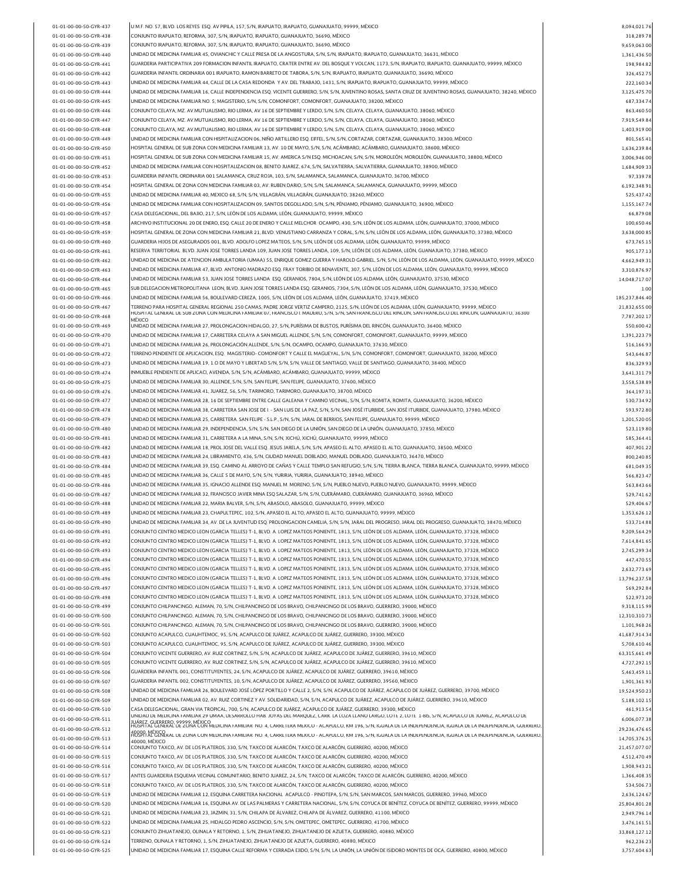| 01-01-00-00-50-GYR-437                           | U.M.F. NO. 57, BLVD. LOS REYES ESO. AV PIPILA, 157, S/N, IRAPUATO, IRAPUATO, GUANAJUATO, 99999, MÉXICO                                                                                                                                                                                                       | 8,094,021.76                   |
|--------------------------------------------------|--------------------------------------------------------------------------------------------------------------------------------------------------------------------------------------------------------------------------------------------------------------------------------------------------------------|--------------------------------|
| 01-01-00-00-50-GYR-438                           | CONJUNTO IRAPUATO, REFORMA, 307, S/N, IRAPUATO, IRAPUATO, GUANAJUATO, 36690, MÉXICO                                                                                                                                                                                                                          | 318,289.78                     |
| 01-01-00-00-50-GYR-439                           | CONJUNTO IRAPUATO. REFORMA. 307. S/N. IRAPUATO. IRAPUATO. GUANAJUATO. 36690. MÉXICO                                                                                                                                                                                                                          | 9,659,063.00                   |
| 01-01-00-00-50-GYR-440                           | UNIDAD DE MEDICINA FAMILIAR 45, OVIANCHIC Y CALLE PRESA DE LA ANGOSTURA, S/N, S/N, IRAPUATO, IRAPUATO, GUANAJUATO, 36631, MÉXICO                                                                                                                                                                             | 1.361.436.50                   |
| 01-01-00-00-50-GYR-441                           | GUARDERIA PARTICIPATIVA 209 FORMACION INFANTIL IRAPUATO, CRATER ENTRE AV. DEL BOSQUE Y VOLCAN, 1173, S/N, IRAPUATO, IRAPUATO, GUANAJUATO, 99999, MÉXICO                                                                                                                                                      | 198,984.82                     |
| 01-01-00-00-50-GYR-442                           | GUARDERIA INFANTIL ORDINARIA 001 IRAPUATO, RAMON BARRETO DE TABORA, S/N, S/N, IRAPUATO, IRAPUATO, GUANAJUATO, 36690, MÉXICO                                                                                                                                                                                  | 326.452.75                     |
| 01-01-00-00-50-GYR-443                           | UNIDAD DE MEDICINA FAMILIAR 44, CALLE DE LA CASA REDONDA Y AV. DEL TRABAJO, 1431, S/N, IRAPUATO, IRAPUATO, GUANAJUATO, 99999, MÉXICO                                                                                                                                                                         | 222,160.34                     |
| 01-01-00-00-50-GYR-444                           | UNIDAD DE MEDICINA FAMILIAR 16. CALLE INDEPENDENCIA ESO. VICENTE GUERRERO, S/N, S/N, JUVENTINO ROSAS, SANTA CRUZ DE JUVENTINO ROSAS, GUANAJUATO, 38240, MÉXICO                                                                                                                                               | 3,125,475.70                   |
| 01-01-00-00-50-GYR-445                           | UNIDAD DE MEDICINA FAMILIAR NO. 5, MAGISTERIO, S/N, S/N, COMONFORT, COMONFORT, GUANAJUATO, 38200, MÉXICO                                                                                                                                                                                                     | 687,334.74                     |
| 01-01-00-00-50-GYR-446                           | CONJUNTO CELAYA, MZ. AV.MUTUALISMO, RIO LERMA, AV 16 DE SEPTIEMBRE Y LERDO, S/N, S/N, CELAYA, CELAYA, GUANAJUATO, 38060, MÉXICO                                                                                                                                                                              | 863,460.50                     |
| 01-01-00-00-50-GYR-447                           | CONJUNTO CELAYA, MZ. AV.MUTUALISMO, RIO LERMA, AV 16 DE SEPTIEMBRE Y LERDO, S/N, S/N, CELAYA, CELAYA, GUANAJUATO, 38060, MÉXICO                                                                                                                                                                              | 7.919.549.84                   |
| 01-01-00-00-50-GYR-448                           | CONJUNTO CELAYA, MZ. AV.MUTUALISMO, RIO LERMA, AV 16 DE SEPTIEMBRE Y LERDO, S/N, S/N, CELAYA, CELAYA, GUANAJUATO, 38060, MÊXICO                                                                                                                                                                              | 1,403,919.00                   |
| 01-01-00-00-50-GYR-449                           | UNIDAD DE MEDICINA FAMILIAR CON HISPITALIZACION 06, NIÑO ARTILLERO ESO. EIFFEL, S/N, S/N, CORTAZAR, CORTAZAR, GUANAJUATO, 38300, MÉXICO                                                                                                                                                                      | 801,565.41                     |
| 01-01-00-00-50-GYR-450                           | HOSPITAL GENERAL DE SUB ZONA CON MEDICINA FAMILIAR 13, AV. 10 DE MAYO, S/N, S/N, ACÁMBARO, ACÁMBARO, GUANAJUATO, 38600, MÊXICO                                                                                                                                                                               | 1.636.239.84                   |
| 01-01-00-00-50-GYR-451<br>01-01-00-00-50-GYR-452 | HOSPITAL GENERAL DE SUB ZONA CON MEDICINA FAMILIAR 15, AV. AMERICA S/N ESQ. MICHOACAN, S/N, S/N, MOROLEÓN, MOROLEÓN, GUANAJUATO, 38800, MÉXICO<br>UNIDAD DE MEDICINA FAMILIAR CON HOSPITALIZACION 08, BENITO JUAREZ, 674, S/N, SALVATIERRA, SALVATIERRA, GUANAJUATO, 38900, MÉXICO                           | 3,006,946.00                   |
| 01-01-00-00-50-GYR-453                           | GUARDERIA INFANTIL ORDINARIA 001 SALAMANCA, CRUZ ROJA, 103, S/N, SALAMANCA, SALAMANCA, GUANAJUATO, 36700, MÉXICO                                                                                                                                                                                             | 1,684,909.33<br>97,339.78      |
| 01-01-00-00-50-GYR-454                           | HOSPITAL GENERAL DE ZONA CON MEDICINA FAMILIAR 03, AV. RUBEN DARIO, S/N, S/N, SALAMANCA, SALAMANCA, GUANAJUATO, 99999, MÉXICO                                                                                                                                                                                | 6,192,348.91                   |
| 01-01-00-00-50-GYR-455                           | UNIDAD DE MEDICINA FAMILIAR 40, MEXICO 68, S/N, S/N, VILLAGRÁN, VILLAGRÁN, GUANAJUATO, 38260, MÉXICO                                                                                                                                                                                                         | 525,437.42                     |
| 01-01-00-00-50-GYR-456                           | UNIDAD DE MEDICINA FAMILIAR CON HOSPITALIZACION 09, SANTOS DEGOLLADO, S/N, S/N, PÉNJAMO, PÉNJAMO, GUANAJUATO, 36900, MÉXICO                                                                                                                                                                                  | 1,155,167.74                   |
| 01-01-00-00-50-GYR-457                           | CASA DELEGACIONAL, DEL BAJIO, 217, S/N, LEÓN DE LOS ALDAMA, LEÓN, GUANAJUATO, 99999, MÉXICO                                                                                                                                                                                                                  | 66,879.08                      |
| 01-01-00-00-50-GYR-458                           | ARCHIVO INSTITUCIONAL 20 DE ENERO, ESQ. CALLE 20 DE ENERO Y CALLE MELCHOR OCAMPO, 430, S/N, LEÓN DE LOS ALDAMA, LEÓN, GUANAJUATO, 37000, MÉXICO                                                                                                                                                              | 100,650.46                     |
| 01-01-00-00-50-GYR-459                           | HOSPITAL GENERAL DE ZONA CON MEDICINA FAMILIAR 21, BLVD. VENUSTIANO CARRANZA Y CORAL, S/N, S/N, LEÓN DE LOS ALDAMA, LEÓN, GUANAJUATO, 37380, MÉXICO                                                                                                                                                          | 3,638,000.85                   |
| 01-01-00-00-50-GYR-460                           | GUARDERIA HIJOS DE ASEGURADOS 001, BLVD. ADOLFO LOPEZ MATEOS, S/N, S/N, LEÓN DE LOS ALDAMA, LEÓN, GUANAJUATO, 99999, MÉXICO                                                                                                                                                                                  | 673,765.15                     |
| 01-01-00-00-50-GYR-461                           | RESERVA TERRITORIAL BLVD. JUAN JOSE TORRES LANDA 109, JUAN JOSE TORRES LANDA, 109, S/N, LEÓN DE LOS ALDAMA, LEÓN, GUANAJUATO, 37380, MÉXICO                                                                                                                                                                  | 905,177.13                     |
| 01-01-00-00-50-GYR-462                           | UNIDAD DE MEDICINA DE ATENCION AMBULATORIA (UMAA) 55, ENRIQUE GOMEZ GUERRA Y HAROLD GABRIEL, S/N, S/N, LEÓN DE LOS ALDAMA, LEÓN, GUANAJUATO, 99999, MÉXICO                                                                                                                                                   | 4.662.949.3                    |
| 01-01-00-00-50-GYR-463                           | UNIDAD DE MEDICINA FAMILIAR 47, BLVD. ANTONIO MADRAZO ESQ. FRAY TORIBIO DE BENAVENTE, 307, S/N, LEÓN DE LOS ALDAMA, LEÓN, GUANAJUATO, 99999, MÉXICO                                                                                                                                                          | 3,310,876.97                   |
| 01-01-00-00-50-GYR-464                           | UNIDAD DE MEDICINA FAMILIAR 53, JUAN JOSE TORRES LANDA ESQ. GERANIOS, 7804, S/N, LEÓN DE LOS ALDAMA, LEÓN, GUANAJUATO, 37530, MÉXICO                                                                                                                                                                         | 14,048,717.07                  |
| 01-01-00-00-50-GYR-465                           | SUB DELEGACION METROPOLITANA LEON, BLVD. JUAN JOSE TORRES LANDA ESQ. GERANIOS, 7304, S/N, LEÓN DE LOS ALDAMA, LEÓN, GUANAJUATO, 37530, MÉXICO                                                                                                                                                                | 1.00                           |
| 01-01-00-00-50-GYR-466                           | UNIDAD DE MEDICINA FAMILIAR 56. BOULEVARD CEREZA. 1005. S/N. LEÓN DE LOS ALDAMA. LEÓN. GUANAJUATO. 37419. MÉXICO                                                                                                                                                                                             | 185,237,846.40                 |
| 01-01-00-00-50-GYR-467                           | TERRENO PARA HOSPITAL GENERAL REGIONAL 250 CAMAS, PADRE JORGE VERTIZ CAMPERO, 2125, S/N, LEÓN DE LOS ALDAMA, LEÓN, GUANAJUATO, 99999, MÉXICO<br>HOSPITAL GENERAL DE SUB ZONA CON MEDICINA FAMILIAR 07, FRANCISCO I. MADERO, S/N, S/N, SAN FRANCISCO DEL RINCON, SAN FRANCISCO DEL RINCON, GUANAJUATO, 36300  | 21,832,655.00                  |
| 01-01-00-00-50-GYR-468<br>01-01-00-00-50-GYR-469 | MÉXICO<br>UNIDAD DE MEDICINA FAMILIAR 27. PROLONGACION HIDALGO. 27. S/N. PURÍSIMA DE BUSTOS, PURÍSIMA DEL RINCÓN. GUANAJUATO. 36400. MÉXICO                                                                                                                                                                  | 7,787,202.17                   |
|                                                  |                                                                                                                                                                                                                                                                                                              | 550,600.42                     |
| 01-01-00-00-50-GYR-470                           | UNIDAD DE MEDICINA FAMILIAR 17, CARRETERA CELAYA A SAN MIGUEL ALLENDE, S/N, S/N, COMONFORT, COMONFORT, GUANAJUATO, 99999, MÉXICO<br>UNIDAD DE MEDICINA FAMILIAR 26. PROLONGACIÓN ALLENDE. S/N. S/N. OCAMPO. OCAMPO. GUANAJUATO. 37630. MÉXICO                                                                | 1,391,223.79                   |
| 01-01-00-00-50-GYR-471<br>01-01-00-00-50-GYR-472 | TERRENO PENDIENTE DE APLICACION, ESQ. MAGISTERIO- COMONFORT Y CALLE EL MAGUEYAL, S/N, S/N, COMONFORT, COMONFORT, GUANAJUATO, 38200, MÉXICO                                                                                                                                                                   | 516,166.93<br>543.646.8        |
| 01-01-00-00-50-GYR-473                           | UNIDAD DE MEDICINA FAMILIAR 19, 1.O DE MAYO Y LIBERTAD S/N, S/N, S/N, VALLE DE SANTIAGO, VALLE DE SANTIAGO, GUANAJUATO, 38400, MÊXICO                                                                                                                                                                        | 836,329.93                     |
| 01-01-00-00-50-GYR-474                           | INMUEBLE PENDIENTE DE APLICACI, AVENIDA, S/N, S/N, ACÁMBARO, ACÁMBARO, GUANAJUATO, 99999, MÉXICO                                                                                                                                                                                                             | 3,641,311.79                   |
| 01-01-00-00-50-GYR-475                           | UNIDAD DE MEDICINA FAMILIAR 30, ALLENDE, S/N, S/N, SAN FELIPE, SAN FELIPE, GUANAJUATO, 37600, MÉXICO                                                                                                                                                                                                         | 3,558,538.89                   |
| 01-01-00-00-50-GYR-476                           | UNIDAD DE MEDICINA FAMILIAR 41, JUAREZ, 56, S/N, TARIMORO, TARIMORO, GUANAJUATO, 38700, MÉXICO                                                                                                                                                                                                               | 364,197.31                     |
| 01-01-00-00-50-GYR-477                           | UNIDAD DE MEDICINA FAMILIAR 28, 16 DE SEPTIEMBRE ENTRE CALLE GALEANA Y CAMINO VECINAL, S/N, S/N, ROMITA, ROMITA, GUANAJUATO, 36200, MÉXICO                                                                                                                                                                   | 530,734.92                     |
| 01-01-00-00-50-GYR-478                           | UNIDAD DE MEDICINA FAMILIAR 38, CARRETERA SAN JOSE DE I. - SAN LUIS DE LA PAZ, S/N, S/N, SAN JOSÈ ITURBIDE, SAN JOSÈ ITURBIDE, GUANAJUATO, 37980, MÈXICO                                                                                                                                                     | 593,972.80                     |
| 01-01-00-00-50-GYR-479                           | UNIDAD DE MEDICINA FAMILIAR 25, CARRETERA. SAN FELIPE - S.L.P., S/N, S/N, JARAL DE BERRIOS, SAN FELIPE, GUANAJUATO, 99999, MÉXICO                                                                                                                                                                            | 1,201,520.05                   |
| 01-01-00-00-50-GYR-480                           | UNIDAD DE MEDICINA FAMILIAR 29, INDEPENDENCIA, S/N, S/N, SAN DIEGO DE LA UNIÓN, SAN DIEGO DE LA UNIÓN, GUANAJUATO, 37850, MÉXICO                                                                                                                                                                             | 523,119.80                     |
| 01-01-00-00-50-GYR-481                           | UNIDAD DE MEDICINA FAMILIAR 31, CARRETERA A LA MINA, S/N, S/N, XICHÚ, XICHÚ, GUANAJUATO, 99999, MÉXICO                                                                                                                                                                                                       | 585,364.4                      |
| 01-01-00-00-50-GYR-482                           | UNIDAD DE MEDICINA FAMILIAR 18, PROL.JOSE DEL VALLE ESQ. JESUS JARELA, S/N, S/N, APASEO EL ALTO, APASEO EL ALTO, GUANAJUATO, 38500, MÉXICO                                                                                                                                                                   | 407,901.22                     |
| 01-01-00-00-50-GYR-483                           | UNIDAD DE MEDICINA FAMILIAR 24, LIBRAMIENTO, 436, S/N, CIUDAD MANUEL DOBLADO, MANUEL DOBLADO, GUANAJUATO, 36470, MÉXICO                                                                                                                                                                                      | 800,240.85                     |
| 01-01-00-00-50-GYR-484                           | UNIDAD DE MEDICINA FAMILIAR 39, ESO. CAMINO AL ARROYO DE CAÑAS Y CALLE TEMPLO SAN REFUGIO, S/N, S/N, TIERRA BLANCA, TIERRA BLANCA, GUANAJUATO, 99999, MÉXICO                                                                                                                                                 | 681,049.35                     |
| 01-01-00-00-50-GYR-485                           | UNIDAD DE MEDICINA FAMILIAR 36, CALLE 5 DE MAYO, S/N, S/N, YURIRIA, YURIRIA, GUANAJUATO, 38940, MÉXICO                                                                                                                                                                                                       | 566,823.47                     |
| 01-01-00-00-50-GYR-486                           | UNIDAD DE MEDICINA FAMILIAR 35, IGNACIO ALLENDE ESQ. MANUEL M. MORENO, S/N, S/N, PUEBLO NUEVO, PUEBLO NUEVO, GUANAJUATO, 99999, MÊXICO                                                                                                                                                                       | 563,843.66                     |
| 01-01-00-00-50-GYR-487                           | UNIDAD DE MEDICINA FAMILIAR 32, FRANCISCO JAVIER MINA ESQ SALAZAR, S/N, S/N, CUERÁMARO, CUERÁMARO, GUANAJUATO, 36960, MÉXICO                                                                                                                                                                                 | 529,741.62                     |
| 01-01-00-00-50-GYR-488                           | UNIDAD DE MEDICINA FAMILIAR 22, MARIA BALVER, S/N, S/N, ABASOLO, ABASOLO, GUANAJUATO, 99999, MÉXICO<br>UNIDAD DE MEDICINA FAMILIAR 23. CHAPULTEPEC, 102. S/N. APASEO EL ALTO, APASEO EL ALTO, GUANAJUATO, 99999, MÉXICO                                                                                      | 529,406.67                     |
| 01-01-00-00-50-GYR-489                           |                                                                                                                                                                                                                                                                                                              | 1,353,626.12                   |
| 01-01-00-00-50-GYR-490                           | UNIDAD DE MEDICINA FAMILIAR 34, AV. DE LA JUVENTUD ESQ. PROLONGACION CAMELIA, S/N, S/N, JARAL DEL PROGRESO, JARAL DEL PROGRESO, GUANAJUATO, 38470, MÉXICO<br>CONJUNTO CENTRO MEDICO LEON (GARCIA TELLES) T-1, BLVD. A. LOPEZ MATEOS PONIENTE, 1813, S/N, LEÓN DE LOS ALDAMA, LEÓN, GUANAJUATO, 37328, MÉXICO | 533.714.88                     |
| 01-01-00-00-50-GYR-491<br>01-01-00-00-50-GYR-492 | CONJUNTO CENTRO MEDICO LEON (GARCIA TELLES) T-1, BLVD. A. LOPEZ MATEOS PONIENTE, 1813, S/N, LEÓN DE LOS ALDAMA, LEÓN, GUANAJUATO, 37328, MÉXICO                                                                                                                                                              | 9,209,564.29<br>7,614,841.65   |
| 01-01-00-00-50-GYR-493                           | CONJUNTO CENTRO MEDICO LEON (GARCIA TELLES) T-1, BLVD. A. LOPEZ MATEOS PONIENTE, 1813, S/N, LEÓN DE LOS ALDAMA, LEÓN, GUANAJUATO, 37328, MÉXICO                                                                                                                                                              | 2,745,299.34                   |
| 01-01-00-00-50-GYR-494                           | CONJUNTO CENTRO MEDICO LEON (GARCIA TELLES) T-1. BLVD. A. LOPEZ MATEOS PONIENTE. 1813. S/N. LEÓN DE LOS ALDAMA. LEÓN. GUANAJUATO. 37328. MÉXICO                                                                                                                                                              | 447,470.55                     |
| 01-01-00-00-50-GYR-495                           | CONJUNTO CENTRO MEDICO LEON (GARCIA TELLES) T-1, BLVD. A. LOPEZ MATEOS PONIENTE, 1813, S/N, LEÓN DE LOS ALDAMA, LEÓN, GUANAJUATO, 37328, MÉXICO                                                                                                                                                              | 2.632.773.69                   |
| 01-01-00-00-50-GYR-496                           | CONJUNTO CENTRO MEDICO LEON (GARCIA TELLES) T-1, BLVD. A. LOPEZ MATEOS PONIENTE, 1813, S/N, LEÓN DE LOS ALDAMA, LEÓN, GUANAJUATO, 37328, MÉXICO                                                                                                                                                              | 13,796,237.58                  |
| 01-01-00-00-50-GYR-497                           | CONJUNTO CENTRO MEDICO LEON (GARCIA TELLES) T-1, BLVD. A. LOPEZ MATEOS PONIENTE, 1813, S/N, LEÓN DE LOS ALDAMA, LEÓN, GUANAJUATO, 37328, MÉXICO                                                                                                                                                              | 569,292.84                     |
| 01-01-00-00-50-GYR-498                           | CONJUNTO CENTRO MEDICO LEON (GARCIA TELLES) T-1, BLVD. A. LOPEZ MATEOS PONIENTE, 1813, S/N, LEÓN DE LOS ALDAMA, LEÓN, GUANAJUATO, 37328, MÉXICO                                                                                                                                                              | 522,973.20                     |
| 01-01-00-00-50-GYR-499                           | CONJUNTO CHILPANCINGO. ALEMAN. 70. S/N. CHILPANCINGO DE LOS BRAVO. CHILPANCINGO DE LOS BRAVO. GUERRERO. 39000. MÉXICO                                                                                                                                                                                        | 9,318,115.99                   |
| 01-01-00-00-50-GYR-500                           | CONJUNTO CHILPANCINGO, ALEMAN, 70, S/N, CHILPANCINGO DE LOS BRAVO, CHILPANCINGO DE LOS BRAVO, GUERRERO, 39000, MÉXICO                                                                                                                                                                                        | 12.310.310.73                  |
| 01-01-00-00-50-GYR-501                           | CONJUNTO CHILPANCINGO, ALEMAN, 70, S/N, CHILPANCINGO DE LOS BRAVO, CHILPANCINGO DE LOS BRAVO, GUERRERO, 39000, MÉXICO                                                                                                                                                                                        | 1,101,968.26                   |
| 01-01-00-00-50-GYR-502                           | CONJUNTO ACAPULCO. CUAUHTEMOC. 95. S/N. ACAPULCO DE JUÁREZ. ACAPULCO DE JUÁREZ. GUERRERO. 39300. MÉXICO                                                                                                                                                                                                      | 41,687,914.34                  |
| 01-01-00-00-50-GYR-503                           | CONJUNTO ACAPULCO, CUAUHTEMOC, 95, S/N, ACAPULCO DE JUÁREZ, ACAPULCO DE JUÁREZ, GUERRERO, 39300, MÉXICO                                                                                                                                                                                                      | 5,708,610.46                   |
| 01-01-00-00-50-GYR-504                           | CONJUNTO VICENTE GUERRERO, AV. RUIZ CORTINEZ, S/N, S/N, ACAPULCO DE JUÁREZ, ACAPULCO DE JUÁREZ, GUERRERO, 39610, MÉXICO                                                                                                                                                                                      | 63,315,661.49                  |
| 01-01-00-00-50-GYR-505                           | CONJUNTO VICENTE GUERRERO, AV. RUIZ CORTINEZ, S/N, S/N, ACAPULCO DE JUÁREZ, ACAPULCO DE JUÁREZ, GUERRERO, 39610, MÉXICO                                                                                                                                                                                      | 4,727,292.15                   |
| 01-01-00-00-50-GYR-506                           | GUARDERIA INFANTIL 001, CONSTITUYENTES, 24, S/N, ACAPULCO DE JUÁREZ, ACAPULCO DE JUÁREZ, GUERRERO, 39610, MÉXICO                                                                                                                                                                                             | 5,463,459.11                   |
| 01-01-00-00-50-GYR-507                           | GUARDERIA INFANTIL 002, CONSTITUYENTES, 10, S/N, ACAPULCO DE JUÁREZ, ACAPULCO DE JUÁREZ, GUERRERO, 39560, MÉXICO                                                                                                                                                                                             | 1,901,361.93                   |
| 01-01-00-00-50-GYR-508                           | UNIDAD DE MEDICINA FAMILIAR 26, BOULEVARD JOSÉ LÓPEZ PORTILLO Y CALLE 2, S/N, S/N, ACAPULCO DE JUÁREZ, ACAPULCO DE JUÁREZ, GUERRERO, 39700, MÉXICO                                                                                                                                                           | 19,524,950.23                  |
| 01-01-00-00-50-GYR-509                           | UNIDAD DE MEDICINA FAMILIAR 02, AV. RUIZ CORTINEZ Y AV. SOLIDARIDAD, S/N, S/N, ACAPULCO DE JUÁREZ, ACAPULCO DE JUÁREZ, GUERRERO, 39610, MÉXICO<br>CASA DELEGACIONAL, GRAN VIA TROPICAL, 700, S/N, ACAPULCO DE JUÁREZ, ACAPULCO DE JUÁREZ, GUERRERO, 39300, MÉXICO                                            | 5,188,102.15                   |
| 01-01-00-00-50-GYR-510                           | UNIDAD DE MEDICINA FAMILIAR 29 UMAA, DESARROLLO HAB. JOYAS DEL MARQUEZ, CARR. LA LOZA LLANO LARGO, LOTE 2, LOTE 1-BIS, S/N, ACAPULCO DE JUAREZ, ACAPULCO DE                                                                                                                                                  | 461,913.54                     |
| 01-01-00-00-50-GYR-511                           | JUÁREZ, GUERRERO, 9999)<br>HOSPITAL GENERAL DE ZONA CON MEDICINA FAMILIAR NO. 4, CARRETERA MEXICO - ACAPULCO, KM 196, S/N, IGUALA DE LA INDEPENDENCIA, GODINERO, GODERRERO,                                                                                                                                  | 6,006,077.38                   |
| 01-01-00-00-50-GYR-512                           | 400%/http://www.com/medicinataling.nd.4, nd.4, carretera mexico - acapulco, km 196, s/n, iguala de la independencia, iguala de la independencia, guerrero,                                                                                                                                                   | 29,236,476.65                  |
| 01-01-00-00-50-GYR-513<br>01-01-00-00-50-GYR-514 | 40000 MÉXICO<br>CONJUNTO TAXCO, AV. DE LOS PLATEROS, 330, S/N, TAXCO DE ALARCÓN, TAXCO DE ALARCÓN, GUERRERO, 40200, MÉXICO                                                                                                                                                                                   | 14,705,376.25<br>21,457,077.07 |
| 01-01-00-00-50-GYR-515                           | CONJUNTO TAXCO, AV. DE LOS PLATEROS, 330, S/N, TAXCO DE ALARCÓN, TAXCO DE ALARCÓN, GUERRERO, 40200, MÉXICO                                                                                                                                                                                                   | 4,512,470.49                   |
| 01-01-00-00-50-GYR-516                           | CONJUNTO TAXCO, AV. DE LOS PLATEROS, 330, S/N, TAXCO DE ALARCÓN, TAXCO DE ALARCÓN, GUERRERO, 40200, MÉXICO                                                                                                                                                                                                   | 1,908,943.21                   |
| 01-01-00-00-50-GYR-517                           | ANTES GUARDERIA ESQUEMA VECINAL COMUNITARIO, BENITO JUAREZ, 24, S/N, TAXCO DE ALARCÔN, TAXCO DE ALARCÔN, GUERRERO, 40200, MÊXICO                                                                                                                                                                             | 1,366,408.35                   |
| 01-01-00-00-50-GYR-518                           | CONJUNTO TAXCO, AV. DE LOS PLATEROS, 330, S/N, TAXCO DE ALARCÓN, TAXCO DE ALARCÓN, GUERRERO, 40200, MÉXICO                                                                                                                                                                                                   | 534,506.73                     |
| 01-01-00-00-50-GYR-519                           | UNIDAD DE MEDICINA FAMILIAR 12, ESQUINA CARRETERA NACIONAL ACAPULCO - PINOTEPA, S/N, S/N, SAN MARCOS, SAN MARCOS, GUERRERO, 39960, MÉXICO                                                                                                                                                                    | 2,636,124.6                    |
| 01-01-00-00-50-GYR-520                           | UNIDAD DE MEDICINA FAMILIAR 16, ESQUINA AV. DE LAS PALMERAS Y CARRETERA NACIONAL, S/N, S/N, COYUCA DE BENÍTEZ, COYUCA DE BENÍTEZ, GUERRERO, 99999, MÉXICO                                                                                                                                                    | 25,804,801.28                  |
| 01-01-00-00-50-GYR-521                           | UNIDAD DE MEDICINA FAMILIAR 23, JAZMIN, 31, S/N, CHILAPA DE ÁLVAREZ, CHILAPA DE ÁLVAREZ, GUERRERO, 41100, MÉXICO                                                                                                                                                                                             | 2,949,796.14                   |
| 01-01-00-00-50-GYR-522                           | UNIDAD DE MEDICINA FAMILIAR 25, HIDALGO PEDRO ASCENCIO, S/N, S/N, OMETEPEC, OMETEPEC, GUERRERO, 41700, MÉXICO                                                                                                                                                                                                | 3,476,161.5                    |
| 01-01-00-00-50-GYR-523                           | CONJUNTO ZIHUATANEJO, OLINALA Y RETORNO, 1, S/N, ZIHUATANEJO, ZIHUATANEJO DE AZUETA, GUERRERO, 40880, MÉXICO                                                                                                                                                                                                 | 33,868,127.12                  |
| 01-01-00-00-50-GYR-524                           | TERRENO, OLINALA Y RETORNO, 1, S/N, ZIHUATANEJO, ZIHUATANEJO DE AZUETA, GUERRERO, 40880, MÉXICO                                                                                                                                                                                                              | 962,236.23                     |
| 01-01-00-00-50-GYR-525                           | UNIDAD DE MEDICINA FAMILIAR 17, ESQUINA CALLE REFORMA Y CERRADA EJIDO, S/N, S/N, LA UNIÓN, LA UNIÓN DE ISIDORO MONTES DE OCA, GUERRERO, 40800, MÉXICO                                                                                                                                                        | 3,757,604.63                   |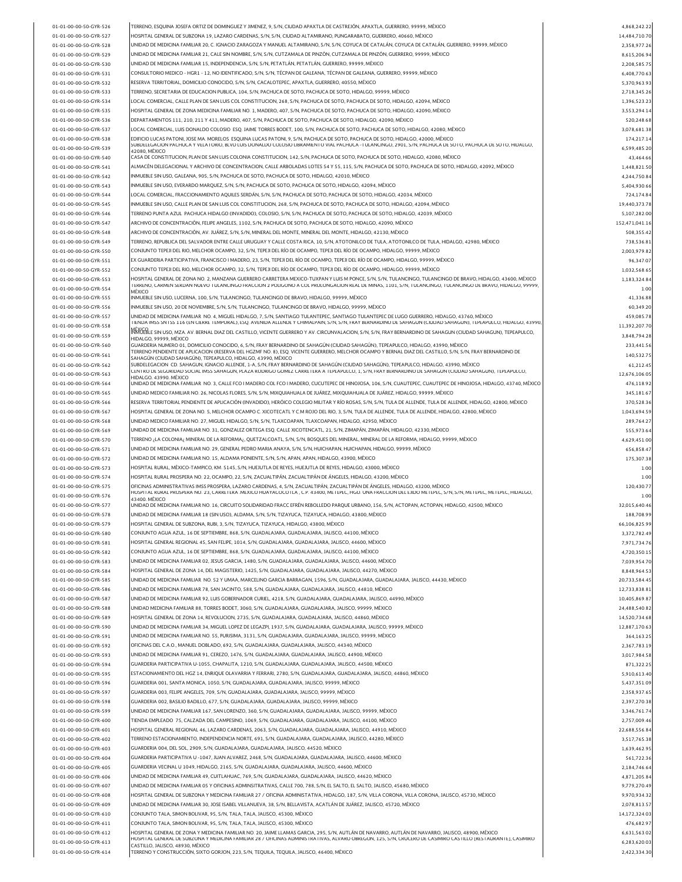| 01-01-00-00-50-GYR-527 | TERRENO, ESQUINA JOSEFA ORTIZ DE DOMINGUEZ Y JIMENEZ, 9, S/N, CIUDAD APAXTLA DE CASTREJÓN, APAXTLA, GUERRERO, 99999, MÉXICO                                                                                               | 4,868,242.22                 |
|------------------------|---------------------------------------------------------------------------------------------------------------------------------------------------------------------------------------------------------------------------|------------------------------|
|                        | HOSPITAL GENERAL DE SUBZONA 19, LAZARO CARDENAS, S/N, S/N, CIUDAD ALTAMIRANO, PUNGARABATO, GUERRERO, 40660, MÉXICO                                                                                                        | 14,484,710.70                |
| 01-01-00-00-50-GYR-528 | UNIDAD DE MEDICINA FAMILIAR 20, C. IGNACIO ZARAGOZA Y MANUEL ALTAMIRANO, S/N, S/N, COYUCA DE CATALÁN, COYUCA DE CATALÁN, GUERRERO, 99999, MÉXICO                                                                          | 2,358,977.26                 |
|                        | UNIDAD DE MEDICINA FAMILIAR 21, CALE SIN NOMBRE, S/N, S/N, CUTZAMALA DE PINZÓN, CUTZAMALA DE PINZÓN, GUERRERO, 99999, MÉXICO                                                                                              |                              |
| 01-01-00-00-50-GYR-529 |                                                                                                                                                                                                                           | 8,615,206.94                 |
| 01-01-00-00-50-GYR-530 | UNIDAD DE MEDICINA FAMILIAR 15, INDEPENDENCIA, S/N, S/N, PETATLÁN, PETATLÁN, GUERRERO, 99999, MÉXICO                                                                                                                      | 2.208.585.75                 |
| 01-01-00-00-50-GYR-531 | CONSULTORIO MEDICO - HGR1 - 12, NO IDENTIFICADO, S/N, S/N, TÊCPAN DE GALEANA, TÊCPAN DE GALEANA, GUERRERO, 99999, MÊXICO                                                                                                  | 6,408,770.63                 |
| 01-01-00-00-50-GYR-532 | RESERVA TERRITORIAL, DOMICILIO CONOCIDO, S/N, S/N, CACALOTEPEC, APAXTLA, GUERRERO, 40550, MÉXICO                                                                                                                          | 5.370.963.93                 |
| 01-01-00-00-50-GYR-533 | TERRENO, SECRETARIA DE EDUCACION PUBLICA, 104, S/N, PACHUCA DE SOTO, PACHUCA DE SOTO, HIDALGO, 99999, MÉXICO                                                                                                              | 2,718,345.26                 |
| 01-01-00-00-50-GYR-534 | LOCAL COMERCIAL, CALLE PLAN DE SAN LUIS COL CONSTITUCION, 268, S/N, PACHUCA DE SOTO, PACHUCA DE SOTO, HIDALGO, 42094, MÉXICO                                                                                              | 1,396,523.23                 |
| 01-01-00-00-50-GYR-535 | HOSPITAL GENERAL DE ZONA MEDICINA FAMILIAR NO. 1, MADERO, 407, S/N, PACHUCA DE SOTO, PACHUCA DE SOTO, HIDALGO, 42090, MÉXICO                                                                                              | 3,553,294.14                 |
| 01-01-00-00-50-GYR-536 | DEPARTAMENTOS 111, 210, 211 Y 411, MADERO, 407, S/N, PACHUCA DE SOTO, PACHUCA DE SOTO, HIDALGO, 42090, MÊXICO                                                                                                             | 520,248.68                   |
| 01-01-00-00-50-GYR-537 | LOCAL COMERCIAL, LUIS DONALDO COLOSIO ESQ. JAIME TORRES BODET, 100, S/N, PACHUCA DE SOTO, PACHUCA DE SOTO, HIDALGO, 42080, MÉXICO                                                                                         | 3,078,681.38                 |
| 01-01-00-00-50-GYR-538 | EDIFICIO LUCAS PATONI, JOSE MA. MORELOS ESQUINA LUCAS PATONI, 9, S/N, PACHUCA DE SOTO, PACHUCA DE SOTO, HIDALGO, 42000, MÊXICO                                                                                            | 174,217.14                   |
| 01-01-00-00-50-GYR-539 | SUBDELEGACION PACHUCA Y VELATORIO. BLVD LUIS DONALDO COLOSIO LIBRAMIENTO VIAL PACHUCA -TULANCINGO. 2901. S/N. PACHUCA DE SOTO. PACHUCA DE SOTO. HIDALGO.                                                                  | 6,599,485.20                 |
| 01-01-00-00-50-GYR-540 | 42080. MĚXICO<br>CASA DE CONSTITUCION, PLAN DE SAN LUIS COLONIA CONSTITUCION, 142, S/N, PACHUCA DE SOTO, PACHUCA DE SOTO, HIDALGO, 42080, MÉXICO                                                                          | 43.464.66                    |
| 01-01-00-00-50-GYR-541 | ALMACÈN DELEGACIONAL Y ARCHIVO DE CONCENTRACION, CALLE ARBOLADAS LOTES 54 Y 55, 115, S/N, PACHUCA DE SOTO, PACHUCA DE SOTO, HIDALGO, 42092, MÈXICO                                                                        | 1,448,821.50                 |
| 01-01-00-00-50-GYR-542 | INMUEBLE SIN USO, GALEANA, 905, S/N, PACHUCA DE SOTO, PACHUCA DE SOTO, HIDALGO, 42010, MÉXICO                                                                                                                             | 4,244,750.84                 |
|                        |                                                                                                                                                                                                                           |                              |
| 01-01-00-00-50-GYR-543 | INMUEBLE SIN USO, EVERARDO MARQUEZ, S/N, S/N, PACHUCA DE SOTO, PACHUCA DE SOTO, HIDALGO, 42094, MÊXICO                                                                                                                    | 5,404,930.66                 |
| 01-01-00-00-50-GYR-544 | LOCAL COMERCIAL, FRACCIONAMIENTO AQUILES SERDÂN, S/N, S/N, PACHUCA DE SOTO, PACHUCA DE SOTO, HIDALGO, 42034, MÊXICO                                                                                                       | 724,174.84                   |
| 01-01-00-00-50-GYR-545 | INMUEBLE SIN USO, CALLE PLAN DE SAN LUIS COL CONSTITUCION, 268, S/N, PACHUCA DE SOTO, PACHUCA DE SOTO, HIDALGO, 42094, MÊXICO                                                                                             | 19,440,373.78                |
| 01-01-00-00-50-GYR-546 | TERRENO PUNTA AZUL PACHUCA HIDALGO (INVADIDO), COLOSIO, S/N, S/N, PACHUCA DE SOTO, PACHUCA DE SOTO, HIDALGO, 42039, MÊXICO                                                                                                | 5,107,282.00                 |
| 01-01-00-00-50-GYR-547 | ARCHIVO DE CONCENTRACIÓN, FELIPE ANGELES, 1102, S/N, PACHUCA DE SOTO, PACHUCA DE SOTO, HIDALGO, 42090, MÉXICO                                                                                                             | 152,471,041.16               |
| 01-01-00-00-50-GYR-548 | ARCHIVO DE CONCENTRACIÓN, AV. JUÁREZ, S/N, S/N, MINERAL DEL MONTE, MINERAL DEL MONTE, HIDALGO, 42130, MÉXICO                                                                                                              | 508,355.42                   |
| 01-01-00-00-50-GYR-549 | TERRENO, REPUBLICA DEL SALVADOR ENTRE CALLE URUGUAY Y CALLE COSTA RICA, 10, S/N, ATOTONILCO DE TULA, ATOTONILCO DE TULA, HIDALGO, 42980, MÉXICO                                                                           | 738,536.81                   |
| 01-01-00-00-50-GYR-550 | CONJUNTO TEPEJI DEL RIO, MELCHOR OCAMPO, 32, S/N, TEPEJI DEL RÍO DE OCAMPO, TEPEJI DEL RÍO DE OCAMPO, HIDALGO, 99999, MÉXICO                                                                                              | 2.003.979.82                 |
| 01-01-00-00-50-GYR-551 | EX GUARDERIA PARTICIPATIVA, FRANCISCO I MADERO, 23, S/N, TEPEJI DEL RÍO DE OCAMPO, TEPEJI DEL RÍO DE OCAMPO, HIDALGO, 99999, MÊXICO                                                                                       | 96,347.07                    |
| 01-01-00-00-50-GYR-552 | CONJUNTO TEPEJI DEL RIO, MELCHOR OCAMPO, 32, S/N, TEPEJI DEL RÍO DE OCAMPO, TEPEJI DEL RÍO DE OCAMPO, HIDALGO, 99999, MÉXICO                                                                                              | 1,032,568.65                 |
| 01-01-00-00-50-GYR-553 | HOSPITAL GENERAL DE ZONA NO. 2, MANZANA GUERRERO CARRETERA MEXICO-TUXPAN Y LUIS M PONCE, S/N, S/N, TULANCINGO, TULANCINGO DE BRAVO, HIDALGO, 43600, MÉXICO                                                                | 1,183,324.84                 |
| 01-01-00-00-50-GYR-554 | I ERRENO, CARMEN SERDAN NUEVO TULANCINGO FRACCION 2 POLIGONO A COL PROLONGACION REAL DE MINAS, 1101, S/N, TULANCINGO, TULANCINGO DE BRAVO, HIDALGO, 99999,<br>MÉXICO                                                      | 1.00                         |
| 01-01-00-00-50-GYR-555 | INMUEBLE SIN USO, LUCERNA, 100, S/N, TULANCINGO, TULANCINGO DE BRAVO, HIDALGO, 99999, MÉXICO                                                                                                                              | 41.336.88                    |
| 01-01-00-00-50-GYR-556 | INMUEBLE SIN USO, 20 DE NOVIEMBRE, S/N, S/N, TULANCINGO, TULANCINGO DE BRAVO, HIDALGO, 99999, MÊXICO                                                                                                                      | 60,349.20                    |
| 01-01-00-00-50-GYR-557 | UNIDAD DE MEDICINA FAMILIAR NO. 4, MIGUEL HIDALGO, 7, S/N, SANTIAGO TULANTEPEC, SANTIAGO TULANTEPEC DE LUGO GUERRERO, HIDALGO, 43760, MÉXICO                                                                              | 459.085.78                   |
|                        | TIENDA IMSS SNTSS 116 (EN CIERRE TEMPORAL), ESQ. AVENIDA ALLENDE Y CHIMALPAIN, S/N, S/N, FRAY BERNARDINO DE SAHAGUN (CIUDAD SAHAGUN), TEPEAPULCO, HIDALGO, 43990,                                                         |                              |
| 01-01-00-00-50-GYR-558 | MÉXICO.<br>MÁXICOLE SIN USO, MZA. AV. BERNAL DIAZ DEL CASTILLO, VICENTE GUERRERO Y AV. CIRCUNVALACION, S/N, S/N, FRAY BERNARDINO DE SAHAGUN (CIUDAD SAHAGUN), TEPEAPULCO,                                                 | 11,392,207.70                |
| 01-01-00-00-50-GYR-559 | HIDALGO, 99999, MÉXICO                                                                                                                                                                                                    | 3,848,794.28                 |
| 01-01-00-00-50-GYR-560 | GUARDERIA NUMERO 01, DOMICILIO CONOCIDO, 6, S/N, FRAY BERNARDINO DE SAHAGÚN (CIUDAD SAHAGÚN), TEPEAPULCO, HIDALGO, 43990, MÉXICO                                                                                          | 233,441.56                   |
| 01-01-00-00-50-GYR-561 | TERRENO PENDIENTE DE APLICACION (RESERVA DEL HGZMF NO. 8), ESQ. VICENTE GUERRERO, MELCHOR OCAMPO Y BERNAL DIAZ DEL CASTILLO, S/N, S/N, FRAY BERNARDINO DE<br>SAHAGÚN (CIUDAD SAHAGÚN), TEPEAPULCO, HIDALGO, 43990, MÉXICO | 140,532.75                   |
| 01-01-00-00-50-GYR-562 | SUBDELEGACION CD. SAHAGUN, IGNACIO ALLENDE, 1-A, S/N, FRAY BERNARDINO DE SAHAGÚN (CIUDAD SAHAGÚN), TEPEAPULCO, HIDALGO, 43990, MÉXICO                                                                                     | 61,212.45                    |
| 01-01-00-00-50-GYR-563 | CENTRO DE SEGURIDAD SOCIAL IMSS SAHAGUN, PLAZA RODRIGO GOMEZ CARRETERA A TEPEAPULCO, 1, S/N, FRAY BERNARDINO DE SAHAGUN (CIUDAD SAHAGUN), TEPEAPULCO,                                                                     | 12,676,106.05                |
| 01-01-00-00-50-GYR-564 | HIDALGO. 43990. MĚXICO<br>UNIDAD DE MEDICINA FAMILIAR NO. 3, CALLE FCO I MADERO COL FCO I MADERO, CUCUTEPEC DE HINOJOSA, 106, S/N, CUAUTEPEC, CUAUTEPEC DE HINOJOSA, HIDALGO, 43740, MÉXICO                               | 476,118.92                   |
| 01-01-00-00-50-GYR-565 | UNIDAD MEDICO FAMILIAR NO. 26, NICOLAS FLORES, S/N, S/N, MIXQUIAHUALA DE JUÁREZ, MIXQUIAHUALA DE JUÁREZ, HIDALGO, 99999, MÉXICO                                                                                           | 345.181.67                   |
| 01-01-00-00-50-GYR-566 | RESERVA TERRITORIAL PENDIENTE DE APLICACIÓN (INVADIDO), HERÓICO COLEGIO MILITAR Y RÍO ROSAS, S/N, S/N, TULA DE ALLENDE, TULA DE ALLENDE, HIDALGO, 42800, MÉXICO                                                           | 370,528.36                   |
| 01-01-00-00-50-GYR-567 | HOSPITAL GENERAL DE ZONA NO. 5, MELCHOR OCAMPO C. XICOTECATL Y C.M ROJO DEL RIO, 3, S/N, TULA DE ALLENDE, TULA DE ALLENDE, HIDALGO, 42800, MÉXICO                                                                         | 1,043,694.59                 |
|                        | UNIDAD MEDICO FAMILIAR NO. 27, MIGUEL HIDALGO, S/N, S/N, TLAXCOAPAN, TLAXCOAPAN, HIDALGO, 42950, MÈXICO                                                                                                                   |                              |
| 01-01-00-00-50-GYR-568 |                                                                                                                                                                                                                           | 289,764.27                   |
| 01-01-00-00-50-GYR-569 | UNIDAD DE MEDICINA FAMILIAR NO. 31, GONZALEZ ORTEGA ESQ. CALLE XICOTENCATL, 21, S/N, ZIMAPÁN, ZIMAPÁN, HIDALGO, 42330, MÉXICO                                                                                             | 555,973.64                   |
| 01-01-00-00-50-GYR-570 | TERRENO ¿LA COLONIA¿ MINERAL DE LA REFORMA¿, QUETZALCOATL, S/N, S/N, BOSQUES DEL MINERAL, MINERAL DE LA REFORMA, HIDALGO, 99999, MÉXICO                                                                                   | 4.629.451.00                 |
| 01-01-00-00-50-GYR-571 | UNIDAD DE MEDICINA FAMILIAR NO. 29, GENERAL PEDRO MARIA ANAYA, S/N, S/N, HUICHAPAN, HUICHAPAN, HIDALGO, 99999, MÊXICO                                                                                                     | 656,858.47                   |
| 01-01-00-00-50-GYR-572 | UNIDAD DE MEDICINA FAMILIAR NO. 15, ALDAMA PONIENTE, S/N, S/N, APAN, APAN, HIDALGO, 43900, MÉXICO                                                                                                                         | 175.307.38                   |
| 01-01-00-00-50-GYR-573 | HOSPITAL RURAL, MĖXICO-TAMPICO, KM. 5145, S/N, HUEJUTLA DE REYES, HUEJUTLA DE REYES, HIDALGO, 43000, MĖXICO                                                                                                               | 1.00                         |
| 01-01-00-00-50-GYR-574 | HOSPITAL RURAL PROSPERA NO. 22, OCAMPO, 22, S/N, ZACUALTIPÁN, ZACUALTIPÁN DE ÁNGELES, HIDALGO, 43200, MÉXICO                                                                                                              | 1.00                         |
| 01-01-00-00-50-GYR-575 | OFICINAS ADMINISTRATIVAS IMSS PROSPERA, LAZARO CARDENAS, 4, S/N, ZACUALTIPÁN, ZACUALTIPÁN DE ÁNGELES, HIDALGO, 43200, MÉXICO                                                                                              |                              |
| 01-01-00-00-50-GYR-576 | HOSPITAL RURAL PROSPERA NO. 23, CARRETERA .MEXICO HUAYACOCOTLA , C.P. 43400, METEPEC, HGO. UNA FRACCION DEL EJIDO METEPEC, 5/N, S/N, METEPEC, METEPEC, HIDALGO,<br>43400. MĚXICO                                          | 120,430.77                   |
|                        |                                                                                                                                                                                                                           | 1.00                         |
| 01-01-00-00-50-GYR-577 | UNIDAD DE MEDICINA FAMILIAR NO. 16, CIRCUITO SOLIDARIDAD FRACC EFRÉN REBOLLEDO PARQUE URBANO, 156, S/N, ACTOPAN, ACTOPAN, HIDALGO, 42500, MÉXICO                                                                          | 32.015.640.46                |
| 01-01-00-00-50-GYR-578 | UNIDAD DE MEDICINA FAMILIAR 18 (SIN USO), ALDAMA, S/N, S/N, TIZAYUCA, TIZAYUCA, HIDALGO, 43800, MÉXICO                                                                                                                    | 188,708.99                   |
| 01-01-00-00-50-GYR-579 |                                                                                                                                                                                                                           |                              |
|                        | HOSPITAL GENERAL DE SUBZONA, RUBI, 3, S/N, TIZAYUCA, TIZAYUCA, HIDALGO, 43800, MEXICO                                                                                                                                     | 66,106,825.99                |
| 01-01-00-00-50-GYR-580 | CONJUNTO AGUA AZUL, 16 DE SEPTIEMBRE, 868, S/N, GUADALAJARA, GUADALAJARA, JALISCO, 44100, MÈXICO                                                                                                                          | 3,372,782.49                 |
| 01-01-00-00-50-GYR-581 | HOSPITAL GENERAL REGIONAL 45, SAN FELIPE, 1014, S/N, GUADALAJARA, GUADALAJARA, JALISCO, 44600, MÉXICO                                                                                                                     | 7,971,734.76                 |
| 01-01-00-00-50-GYR-582 | CONJUNTO AGUA AZUL, 16 DE SEPTIEMBRE, 868, S/N, GUADALAJARA, GUADALAJARA, JALISCO, 44100, MÉXICO                                                                                                                          | 4,720,350.15                 |
| 01-01-00-00-50-GYR-583 | UNIDAD DE MEDICINA FAMILIAR 02, JESUS GARCIA, 1480, S/N, GUADALAJARA, GUADALAJARA, JALISCO, 44600, MÉXICO                                                                                                                 | 7,039,954.70                 |
| 01-01-00-00-50-GYR-584 | HOSPITAL GENERAL DE ZONA 14, DEL MAGISTERIO, 1425, S/N, GUADALAJARA, GUADALAJARA, JALISCO, 44270, MÈXICO                                                                                                                  | 8,848,964.53                 |
| 01-01-00-00-50-GYR-585 | UNIDAD DE MEDICINA FAMILIAR NO. 52 Y UMAA, MARCELINO GARCIA BARRAGAN, 1596, S/N, GUADALAJARA, GUADALAJARA, JALISCO, 44430, MÉXICO                                                                                         | 20,733,584.45                |
| 01-01-00-00-50-GYR-586 | UNIDAD DE MEDICINA FAMILIAR 78, SAN JACINTO, 588, S/N, GUADALAJARA, GUADALAJARA, JALISCO, 44810, MÉXICO                                                                                                                   | 12,733,838.81                |
| 01-01-00-00-50-GYR-587 | UNIDAD DE MEDICINA FAMILIAR 92, LUIS GOBERNADOR CURIEL, 4218, S/N, GUADALAJARA, GUADALAJARA, JALISCO, 44990, MÉXICO                                                                                                       | 10,405,869.87                |
| 01-01-00-00-50-GYR-588 | UNIDAD MEDICINA FAMILIAR 88, TORRES BODET, 3060, S/N, GUADALAJARA, GUADALAJARA, JALISCO, 99999, MÈXICO                                                                                                                    | 24,488,540.82                |
| 01-01-00-00-50-GYR-589 | HOSPITAL GENERAL DE ZONA 14, REVOLUCION, 2735, S/N, GUADALAJARA, GUADALAJARA, JALISCO, 44860, MÉXICO                                                                                                                      | 14,520,734.68                |
| 01-01-00-00-50-GYR-590 | UNIDAD DE MEDICINA FAMILIAR 34, MIGUEL LOPEZ DE LEGAZPI, 1937, S/N, GUADALAJARA, GUADALAJARA, JALISCO, 99999, MÉXICO                                                                                                      | 12,887,170.63                |
| 01-01-00-00-50-GYR-591 | UNIDAD DE MEDICINA FAMILIAR NO. 55, PURISIMA, 3131, S/N, GUADALAJARA, GUADALAJARA, JALISCO, 99999, MÉXICO                                                                                                                 | 364,163.25                   |
| 01-01-00-00-50-GYR-592 | OFICINAS DEL C.A.O., MANUEL DOBLADO, 692, S/N, GUADALAJARA, GUADALAJARA, JALISCO, 44340, MÉXICO                                                                                                                           | 2,367,783.19                 |
| 01-01-00-00-50-GYR-593 | UNIDAD DE MEDICINA FAMILIAR 91, CEREZO, 1476, S/N, GUADALAJARA, GUADALAJARA, JALISCO, 44900, MÉXICO                                                                                                                       | 3,017,984.58                 |
| 01-01-00-00-50-GYR-594 | GUARDERIA PARTICIPATIVA U-1055, CHAPALITA, 1210, S/N, GUADALAJARA, GUADALAJARA, JALISCO, 44500, MEXICO                                                                                                                    | 871,322.25                   |
| 01-01-00-00-50-GYR-595 | ESTACIONAMIENTO DEL HGZ 14, ENRIQUE OLAVARRIA Y FERRARI, 2780, S/N, GUADALAJARA, GUADALAJARA, JALISCO, 44860, MÉXICO                                                                                                      | 5,910,613.40                 |
| 01-01-00-00-50-GYR-596 | GUARDERIA 001, SANTA MONICA, 1050, S/N, GUADALAJARA, GUADALAJARA, JALISCO, 99999, MÉXICO                                                                                                                                  | 5,437,351.09                 |
| 01-01-00-00-50-GYR-597 | GUARDERIA 003, FELIPE ANGELES, 709, S/N, GUADALAJARA, GUADALAJARA, JALISCO, 99999, MÉXICO                                                                                                                                 | 2,358,937.65                 |
|                        | GUARDERIA 002, BASILIO BADILLO, 677, S/N, GUADALAJARA, GUADALAJARA, JALISCO, 99999, MÉXICO                                                                                                                                |                              |
| 01-01-00-00-50-GYR-598 |                                                                                                                                                                                                                           | 2,397,270.38                 |
| 01-01-00-00-50-GYR-599 | UNIDAD DE MEDICINA FAMILIAR 167, SAN LORENZO, 360, S/N, GUADALAJARA, GUADALAJARA, JALISCO, 99999, MÊXICO                                                                                                                  | 3,346,761.74                 |
| 01-01-00-00-50-GYR-600 | TIENDA EMPLEADO 75, CALZADA DEL CAMPESINO, 1069, S/N, GUADALAJARA, GUADALAJARA, JALISCO, 44100, MÉXICO                                                                                                                    | 2,757,009.46                 |
| 01-01-00-00-50-GYR-601 | HOSPITAL GENERAL REGIONAL 46, LAZARO CARDENAS, 2063, S/N, GUADALAJARA, GUADALAJARA, JALISCO, 44910, MÈXICO                                                                                                                | 22,688,556.84                |
| 01-01-00-00-50-GYR-602 | TERRENO ESTACIONAMIENTO, INDEPENDENCIA NORTE, 691, S/N, GUADALAJARA, GUADALAJARA, JALISCO, 44280, MÉXICO                                                                                                                  | 3,517,765.38                 |
| 01-01-00-00-50-GYR-603 | GUARDERIA 004, DEL SOL, 2909, S/N, GUADALAJARA, GUADALAJARA, JALISCO, 44520, MÉXICO                                                                                                                                       | 1,639,462.95                 |
| 01-01-00-00-50-GYR-604 | GUARDERIA PARTICIPATIVA U -1047, JUAN ALVAREZ, 2468, S/N, GUADALAJARA, GUADALAJARA, JALISCO, 44600, MÊXICO                                                                                                                | 561,722.36                   |
| 01-01-00-00-50-GYR-605 | GUARDERIA VECINAL U 1049, HIDALGO, 2165, S/N, GUADALAJARA, GUADALAJARA, JALISCO, 44600, MÉXICO                                                                                                                            | 2,184,746.64                 |
| 01-01-00-00-50-GYR-606 | UNIDAD DE MEDICINA FAMILIAR 49, CUITLAHUAC, 769, S/N, GUADALAJARA, GUADALAJARA, JALISCO, 44620, MÉXICO                                                                                                                    | 4,871,205.84                 |
| 01-01-00-00-50-GYR-607 | UNIDAD DE MEDICINA FAMILIAR 05 Y OFICINAS ADMINSITRATIVAS, CALLE 700, 788, S/N, EL SALTO, EL SALTO, JALISCO, 45680, MÉXICO                                                                                                | 9,779,270.49                 |
| 01-01-00-00-50-GYR-608 | HOSPITAL GENERAL DE SUBZONA Y MEDICINA FAMILIAR 27 / OFICINA ADMINISTATIVA, HIDALGO, 187, S/N, VILLA CORONA, VILLA CORONA, JALISCO, 45730, MÊXICO                                                                         | 9,970,934.32                 |
| 01-01-00-00-50-GYR-609 | UNIDAD DE MEDICINA FAMILIAR 30, JOSE ISABEL VILLANUEVA, 38, S/N, BELLAVISTA, ACATLÂN DE JUÂREZ, JALISCO, 45720, MÊXICO                                                                                                    | 2,078,813.57                 |
| 01-01-00-00-50-GYR-610 | CONJUNTO TALA, SIMON BOLIVAR, 95, S/N, TALA, TALA, JALISCO, 45300, MÉXICO                                                                                                                                                 | 14.172.324.03                |
| 01-01-00-00-50-GYR-611 | CONJUNTO TALA, SIMON BOLIVAR, 95, S/N, TALA, TALA, JALISCO, 45300, MÈXICO                                                                                                                                                 | 476,682.97                   |
| 01-01-00-00-50-GYR-612 | HOSPITAL GENERAL DE ZONA Y MEDICINA FAMILIAR NO. 20, JAIME LLAMAS GARCIA, 295, S/N, AUTLÁN DE NAVARRO, AUTLÁN DE NAVARRO, JALISCO, 48900, MÉXICO                                                                          | 6,631,563.02                 |
| 01-01-00-00-50-GYR-613 | HOSPITAL GENERAL DE SUBZONA Y MEDICINA FAMILIAR 28 / OFICINAS ADMINISTRATIVAS, ALVARO OBREGON, 125, S/N, CRUCERO DE CASIMIRO CASTILLO [RESTAURANTE], CASIMIRO                                                             |                              |
| 01-01-00-00-50-GYR-614 | CASTILLO, JALISCO, 48930, MÉXICO<br>TERRENO Y CONSTRUCCIÓN, SIXTO GORJON, 223, S/N, TEQUILA, TEQUILA, JALISCO, 46400, MÉXICO                                                                                              | 6,283,620.03<br>2,422,334.30 |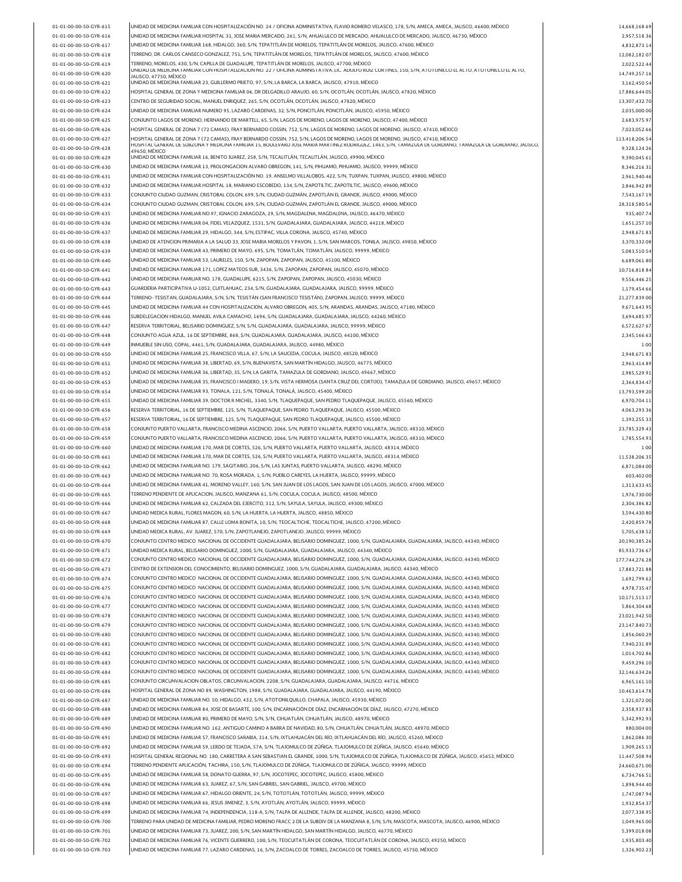| 01-01-00-00-50-GYR-615 |                                                                                                                                                                                                  |                |
|------------------------|--------------------------------------------------------------------------------------------------------------------------------------------------------------------------------------------------|----------------|
|                        | UNIDAD DE MEDICINA FAMILIAR CON HOSPITALIZACIÓN NO. 24 / OFICINA ADMINISTATIVA, FLAVIO ROMERO VELASCO, 178, S/N, AMECA, AMECA, JALISCO, 46600, MÉXICO                                            | 14.668.168.69  |
| 01-01-00-00-50-GYR-616 | UNIDAD DE MEDICINA FAMILIAR HOSPITAL 31, JOSE MARIA MERCADO, 261, S/N, AHUALULCO DE MERCADO, AHUALULCO DE MERCADO, JALISCO, 46730, MÉXICO                                                        | 2,957,518.36   |
| 01-01-00-00-50-GYR-617 | UNIDAD DE MEDICINA FAMILIAR 168, HIDALGO, 360, S/N, TEPATITLÂN DE MORELOS, TEPATITLÂN DE MORELOS, JALISCO, 47600, MÊXICO                                                                         | 4,832,873.14   |
| 01-01-00-00-50-GYR-618 | TERRENO, DR. CARLOS CANSECO GONZALEZ, 751, S/N, TEPATITLÁN DE MORELOS, TEPATITLÁN DE MORELOS, JALISCO, 47600, MÉXICO                                                                             | 12,082,182.07  |
| 01-01-00-00-50-GYR-619 | TERRENO, MORELOS, 430, S/N, CAPILLA DE GUADALUPE, TEPATITLÂN DE MORELOS, JALISCO, 47700, MÊXICO                                                                                                  | 2,022,522.44   |
| 01-01-00-00-50-GYR-620 | UNIDAD DE MEDICINA FAMILIAR CON HOSPITALIZACION NO. 22 / OFICINA ADMINISTATIVA, LIC. ADOLFO RUIZ CORTINES, 150, S/N, ATO FONILCO EL ALTO, ATO FONILCO EL ALTO, LOL ALTO,<br>IALISCO 47750 MĚXICO | 14,749,257.16  |
| 01-01-00-00-50-GYR-621 | UNIDAD DE MEDICINA FAMILIAR 23, GUILLERMO PRIETO, 97, S/N, LA BARCA, LA BARCA, JALISCO, 47910, MÉXICO                                                                                            | 3,162,450.54   |
| 01-01-00-00-50-GYR-622 | HOSPITAL GENERAL DE ZONA Y MEDICINA FAMILIAR 06, DR DELGADILLO ARAUJO, 60, S/N, OCOTLÂN, OCOTLÂN, JALISCO, 47820, MÊXICO                                                                         | 17,886,644.05  |
| 01-01-00-00-50-GYR-623 | CENTRO DE SEGURIDAD SOCIAL, MANUEL ENRIQUEZ, 265, S/N, OCOTLÁN, OCOTLÁN, JALISCO, 47820, MÉXICO                                                                                                  | 13,307,432.70  |
| 01-01-00-00-50-GYR-624 | UNIDAD DE MEDICINA FAMILIAR NUMERO 95, LAZARO CARDENAS, 32, S/N, PONCITLÂN, PONCITLÂN, JALISCO, 45950, MÊXICO                                                                                    | 2,035,000.00   |
| 01-01-00-00-50-GYR-625 | CONJUNTO LAGOS DE MORENO, HERNANDO DE MARTELL, 65, S/N, LAGOS DE MORENO, LAGOS DE MORENO, JALISCO, 47400, MÉXICO                                                                                 | 2,683,975.97   |
| 01-01-00-00-50-GYR-626 | HOSPITAL GENERAL DE ZONA 7 (72 CAMAS), FRAY BERNARDO COSSIN, 752, S/N, LAGOS DE MORENO, LAGOS DE MORENO, JALISCO, 47410, MÉXICO                                                                  | 7.023.052.66   |
| 01-01-00-00-50-GYR-627 | HOSPITAL GENERAL DE ZONA 7 (72 CAMAS), FRAY BERNARDO COSSIN, 752, S/N, LAGOS DE MORENO, LAGOS DE MORENO, JALISCO, 47410, MÊXICO                                                                  | 113,418,206.54 |
|                        | HOSPITAL GENERAL DE SUBZONA Y MEDICINA FAMILIAR 15, BOULEVARD JOSE MARIA MARTINEZ RODRIGUEZ, 1463, S/N, TAMAZULA DE GORDIANO, TAMAZULA DE GORDIANO, JALISCO,                                     |                |
| 01-01-00-00-50-GYR-628 | 49650. MĚXICO                                                                                                                                                                                    | 9.328.124.26   |
| 01-01-00-00-50-GYR-629 | UNIDAD DE MEDICINA FAMILIAR 16, BENITO JUAREZ, 258, S/N, TECALITLÁN, TECALITLÁN, JALISCO, 49900, MÉXICO                                                                                          | 9,390,045.61   |
| 01-01-00-00-50-GYR-630 | UNIDAD DE MEDICINA FAMILIAR 13, PROLONGACION ALVARO OBREGON, 141, S/N, PIHUAMO, PIHUAMO, JALISCO, 99999, MÉXICO                                                                                  | 8,346,216.31   |
| 01-01-00-00-50-GYR-631 | UNIDAD DE MEDICINA FAMILIAR CON HOSPITALIZACIÓN NO. 19, ANSELMO VILLALOBOS, 422, S/N, TUXPAN, TUXPAN, JALISCO, 49800, MÉXICO                                                                     | 2,961,940.46   |
| 01-01-00-00-50-GYR-632 | UNIDAD DE MEDICINA FAMILIAR HOSPITAL 18, MARIANO ESCOBEDO, 134, S/N, ZAPOTILTIC, ZAPOTILTIC, JALISCO, 49600, MÊXICO                                                                              | 2,846,942.89   |
| 01-01-00-00-50-GYR-633 | CONJUNTO CIUDAD GUZMAN, CRISTOBAL COLON, 699, S/N, CIUDAD GUZMÁN, ZAPOTLÁN EL GRANDE, JALISCO, 49000, MÉXICO                                                                                     | 7,543,167.19   |
| 01-01-00-00-50-GYR-634 | CONJUNTO CIUDAD GUZMAN, CRISTOBAL COLON, 699, S/N, CIUDAD GUZMÂN, ZAPOTLÂN EL GRANDE, JALISCO, 49000, MÊXICO                                                                                     | 28,318,580.54  |
| 01-01-00-00-50-GYR-635 | UNIDAD DE MEDICINA FAMILIAR NO.97, IGNACIO ZARAGOZA, 29, S/N, MAGDALENA, MAGDALENA, JALISCO, 46470, MÊXICO                                                                                       | 935.407.74     |
| 01-01-00-00-50-GYR-636 | UNIDAD DE MEDICINA FAMILIAR 04, FIDEL VELAZQUEZ, 1531, S/N, GUADALAJARA, GUADALAJARA, JALISCO, 44218, MÉXICO                                                                                     | 1,651,257.10   |
| 01-01-00-00-50-GYR-637 | UNIDAD DE MEDICINA FAMILIAR 29, HIDALGO, 344, S/N, ESTIPAC, VILLA CORONA, JALISCO, 45740, MÉXICO                                                                                                 | 2,948,671.83   |
| 01-01-00-00-50-GYR-638 | UNIDAD DE ATENCION PRIMARIA A LA SALUD 33, JOSE MARIA MORELOS Y PAVON, 1, S/N, SAN MARCOS, TONILA, JALISCO, 49850, MÉXICO                                                                        | 3,370,332.08   |
|                        |                                                                                                                                                                                                  |                |
| 01-01-00-00-50-GYR-639 | UNIDAD DE MEDICINA FAMILIAR 43, PRIMERO DE MAYO, 695, S/N, TOMATLÁN, TOMATLÁN, JALISCO, 99999, MÉXICO                                                                                            | 5,083,510.54   |
| 01-01-00-00-50-GYR-640 | UNIDAD DE MEDICINA FAMILIAR 53, LAURELES, 150, S/N, ZAPOPAN, ZAPOPAN, JALISCO, 45100, MÉXICO                                                                                                     | 6,689,061.80   |
| 01-01-00-00-50-GYR-641 | UNIDAD DE MEDICINA FAMILIAR 171, LOPEZ MATEOS SUR, 3436, S/N, ZAPOPAN, ZAPOPAN, JALISCO, 45070, MÉXICO                                                                                           | 10.716.818.84  |
| 01-01-00-00-50-GYR-642 | UNIDAD DE MEDICINA FAMILIAR NO. 178, GUADALUPE, 6215, S/N, ZAPOPAN, ZAPOPAN, JALISCO, 45030, MÉXICO                                                                                              | 9,556,446.25   |
| 01-01-00-00-50-GYR-643 | GUARDERIA PARTICIPATIVA U-1052, CUITLAHUAC, 234, S/N, GUADALAJARA, GUADALAJARA, JALISCO, 99999, MÉXICO                                                                                           | 1,179,454.66   |
| 01-01-00-00-50-GYR-644 | TERRENO- TESISTAN, GUADALAJARA, S/N, S/N, TESISTÁN (SAN FRANCISCO TESISTÁN), ZAPOPAN, JALISCO, 99999, MÉXICO                                                                                     | 21,277,839.00  |
| 01-01-00-00-50-GYR-645 | UNIDAD DE MEDICINA FAMILIAR 44 CON HOSPITALIZACION, ALVARO OBREGON, 405, S/N, ARANDAS, ARANDAS, JALISCO, 47180, MÊXICO                                                                           | 9,671,643.95   |
| 01-01-00-00-50-GYR-646 | SUBDELEGACION HIDALGO, MANUEL AVILA CAMACHO, 1696, S/N, GUADALAJARA, GUADALAJARA, JALISCO, 44260, MÊXICO                                                                                         | 3,694,685.97   |
| 01-01-00-00-50-GYR-647 | RESERVA TERRITORIAL, BELISARIO DOMINGUEZ, S/N, S/N, GUADALAJARA, GUADALAJARA, JALISCO, 99999, MÉXICO                                                                                             | 6,572,627.67   |
| 01-01-00-00-50-GYR-648 | CONJUNTO AGUA AZUL, 16 DE SEPTIEMBRE, 868, S/N, GUADALAJARA, GUADALAJARA, JALISCO, 44100, MÉXICO                                                                                                 | 2,345,166.63   |
| 01-01-00-00-50-GYR-649 | INMUEBLE SIN USO, COPAL, 4461, S/N, GUADALAJARA, GUADALAJARA, JALISCO, 44980, MÈXICO                                                                                                             | 1.00           |
| 01-01-00-00-50-GYR-650 | UNIDAD DE MEDICINA FAMILIAR 25, FRANCISCO VILLA, 67, S/N, LA SAUCEDA, COCULA, JALISCO, 48520, MÊXICO                                                                                             | 2.948.671.83   |
|                        |                                                                                                                                                                                                  |                |
| 01-01-00-00-50-GYR-651 | UNIDAD DE MEDICINA FAMILIAR 38, LIBERTAD, 69, S/N, BUENAVISTA, SAN MARTÍN HIDALGO, JALISCO, 46775, MÉXICO                                                                                        | 2,963,414.89   |
| 01-01-00-00-50-GYR-652 | UNIDAD DE MEDICINA FAMILIAR 36, LIBERTAD, 35, S/N, LA GARITA, TAMAZULA DE GORDIANO, JALISCO, 49667, MÈXICO                                                                                       | 2,985,529.91   |
| 01-01-00-00-50-GYR-653 | UNIDAD DE MEDICINA FAMILIAR 35, FRANCISCO I MADERO, 19, S/N, VISTA HERMOSA (SANTA CRUZ DEL CORTIJO), TAMAZULA DE GORDIANO, JALISCO, 49657, MÉXICO                                                | 2.364.834.47   |
| 01-01-00-00-50-GYR-654 | UNIDAD DE MEDICINA FAMILIAR 93, TONALA, 121, S/N, TONALÁ, TONALÁ, JALISCO, 45400, MÉXICO                                                                                                         | 13,793,599.20  |
| 01-01-00-00-50-GYR-655 | UNIDAD DE MEDICINA FAMILIAR 39, DOCTOR R MICHEL, 3340, S/N, TLAQUEPAQUE, SAN PEDRO TLAQUEPAQUE, JALISCO, 45560, MÊXICO                                                                           | 6,970,704.11   |
| 01-01-00-00-50-GYR-656 | RESERVA TERRITORIAL, 16 DE SEPTIEMBRE, 125, S/N, TLAQUEPAQUE, SAN PEDRO TLAQUEPAQUE, JALISCO, 45500, MÈXICO                                                                                      | 4,063,293.36   |
| 01-01-00-00-50-GYR-657 | RESERVA TERRITORIAL, 16 DE SEPTIEMBRE, 125, S/N, TLAQUEPAQUE, SAN PEDRO TLAQUEPAQUE, JALISCO, 45500, MÈXICO                                                                                      | 1,393,255.33   |
| 01-01-00-00-50-GYR-658 | CONJUNTO PUERTO VALLARTA, FRANCISCO MEDINA ASCENCIO, 2066, S/N, PUERTO VALLARTA, PUERTO VALLARTA, JALISCO, 48310, MÉXICO                                                                         | 23.785.329.43  |
| 01-01-00-00-50-GYR-659 | CONJUNTO PUERTO VALLARTA, FRANCISCO MEDINA ASCENCIO, 2066, S/N, PUERTO VALLARTA, PUERTO VALLARTA, JALISCO, 48310, MÊXICO                                                                         | 1,785,554.93   |
| 01-01-00-00-50-GYR-660 | UNIDAD DE MEDICINA FAMILIAR 170, MAR DE CORTES, 526, S/N, PUERTO VALLARTA, PUERTO VALLARTA, JALISCO, 48314, MÊXICO                                                                               | 1.00           |
| 01-01-00-00-50-GYR-661 | UNIDAD DE MEDICINA FAMILIAR 170, MAR DE CORTES, 526, S/N, PUERTO VALLARTA, PUERTO VALLARTA, JALISCO, 48314, MÊXICO                                                                               | 11.538.206.35  |
|                        |                                                                                                                                                                                                  |                |
| 01-01-00-00-50-GYR-662 | UNIDAD DE MEDICINA FAMILIAR NO. 179, SAGITARIO, 206, S/N, LAS JUNTAS, PUERTO VALLARTA, JALISCO, 48290, MÉXICO                                                                                    | 6,871,084.00   |
| 01-01-00-00-50-GYR-663 | UNIDAD DE MEDICINA FAMILIAR NO. 70, ROSA MORADA, 1, S/N, PUEBLO CAREYES, LA HUERTA, JALISCO, 99999, MÉXICO                                                                                       | 603,402.00     |
| 01-01-00-00-50-GYR-664 | UNIDAD DE MEDICINA FAMILIAR 41, MORENO VALLEY, 160, S/N, SAN JUAN DE LOS LAGOS, SAN JUAN DE LOS LAGOS, JALISCO, 47000, MÉXICO                                                                    | 1,313,633.45   |
|                        | TERRENO PENDIENTE DE APLICACION, JALISCO, MANZANA 61, S/N, COCULA, COCULA, JALISCO, 48500, MÉXICO                                                                                                |                |
| 01-01-00-00-50-GYR-665 |                                                                                                                                                                                                  | 1,976,730.00   |
| 01-01-00-00-50-GYR-666 | UNIDAD DE MEDICINA FAMILIAR 62, CALZADA DEL EJERCITO, 312, S/N, SAYULA, SAYULA, JALISCO, 49300, MÉXICO                                                                                           | 2.304.386.82   |
| 01-01-00-00-50-GYR-667 | UNIDAD MEDICA RURAL, FLORES MAGON, 60, S/N, LA HUERTA, LA HUERTA, JALISCO, 48850, MÉXICO                                                                                                         | 3,594,430.80   |
| 01-01-00-00-50-GYR-668 | UNIDAD DE MEDICINA FAMILIAR 87, CALLE LOMA BONITA, 10, S/N, TEOCALTICHE, TEOCALTICHE, JALISCO, 47200, MÉXICO                                                                                     | 2,420,859.78   |
| 01-01-00-00-50-GYR-669 | UNIDAD MEDICA RURAL, AV. JUAREZ, 570, S/N, ZAPOTLANEJO, ZAPOTLANEJO, JALISCO, 99999, MĚXICO                                                                                                      | 5,705,638.52   |
|                        |                                                                                                                                                                                                  |                |
| 01-01-00-00-50-GYR-670 | CONJUNTO CENTRO MEDICO NACIONAL DE OCCIDENTE GUADALAJARA, BELISARIO DOMINGUEZ, 1000, S/N, GUADALAJARA, GUADALAJARA, JALISCO, 44340, MÉXICO                                                       | 20,190,385.26  |
| 01-01-00-00-50-GYR-671 | UNIDAD MEDICA RURAL, BELISARIO DOMINGUEZ, 1000, S/N, GUADALAJARA, GUADALAJARA, JALISCO, 44340, MÉXICO                                                                                            | 85,933,736.67  |
| 01-01-00-00-50-GYR-672 | CONJUNTO CENTRO MEDICO NACIONAL DE OCCIDENTE GUADALAJARA, BELISARIO DOMINGUEZ, 1000, S/N, GUADALAJARA, GUADALAJARA, JALISCO, 44340, MÈXICO                                                       | 177,744,276.28 |
| 01-01-00-00-50-GYR-673 | CENTRO DE EXTENSION DEL CONOCIMIENTO, BELISARIO DOMINGUEZ, 1000, S/N, GUADALAJARA, GUADALAJARA, JALISCO, 44340, MÉXICO                                                                           | 17,883,721.88  |
| 01-01-00-00-50-GYR-674 | CONJUNTO CENTRO MEDICO NACIONAL DE OCCIDENTE GUADALAJARA, BELISARIO DOMINGUEZ, 1000, S/N, GUADALAJARA, GUADALAJARA, JALISCO, 44340, MÈXICO                                                       | 1,692,799.62   |
| 01-01-00-00-50-GYR-675 | CONJUNTO CENTRO MEDICO NACIONAL DE OCCIDENTE GUADALAJARA, BELISARIO DOMINGUEZ, 1000, S/N, GUADALAJARA, GUADALAJARA, JALISCO, 44340, MÉXICO                                                       | 4,978,735.47   |
| 01-01-00-00-50-GYR-676 | CONJUNTO CENTRO MEDICO NACIONAL DE OCCIDENTE GUADALAJARA, BELISARIO DOMINGUEZ, 1000, S/N, GUADALAJARA, GUADALAJARA, JALISCO, 44340, MÉXICO                                                       | 10,171,513.17  |
| 01-01-00-00-50-GYR-677 | CONJUNTO CENTRO MEDICO NACIONAL DE OCCIDENTE GUADALAJARA, BELISARIO DOMINGUEZ, 1000, S/N, GUADALAJARA, GUADALAJARA, JALISCO, 44340, MÈXICO                                                       | 5,864,304.68   |
| 01-01-00-00-50-GYR-678 | CONJUNTO CENTRO MEDICO NACIONAL DE OCCIDENTE GUADALAJARA, BELISARIO DOMINGUEZ, 1000, S/N, GUADALAJARA, GUADALAJARA, JALISCO, 44340, MÉXICO                                                       | 23,021,942.50  |
| 01-01-00-00-50-GYR-679 | CONJUNTO CENTRO MEDICO NACIONAL DE OCCIDENTE GUADALAJARA, BELISARIO DOMINGUEZ, 1000, S/N, GUADALAJARA, GUADALAJARA, JALISCO, 44340, MÉXICO                                                       | 23,147,840.73  |
| 01-01-00-00-50-GYR-680 | CONJUNTO CENTRO MEDICO NACIONAL DE OCCIDENTE GUADALAJARA, BELISARIO DOMINGUEZ, 1000, S/N, GUADALAJARA, GUADALAJARA, JALISCO, 44340, MÉXICO                                                       | 1,856,060.29   |
| 01-01-00-00-50-GYR-681 | CONJUNTO CENTRO MEDICO NACIONAL DE OCCIDENTE GUADALAJARA, BELISARIO DOMINGUEZ, 1000, S/N, GUADALAJARA, GUADALAJARA, JALISCO, 44340, MÉXICO                                                       | 7,940,231.89   |
| 01-01-00-00-50-GYR-682 | CONJUNTO CENTRO MEDICO NACIONAL DE OCCIDENTE GUADALAJARA, BELISARIO DOMINGUEZ, 1000, S/N, GUADALAJARA, GUADALAJARA, JALISCO, 44340, MÈXICO                                                       | 1,014,702.86   |
|                        | CONJUNTO CENTRO MEDICO NACIONAL DE OCCIDENTE GUADALAJARA, BELISARIO DOMINGUEZ, 1000, S/N, GUADALAJARA, GUADALAJARA, JALISCO, 44340, MÉXICO                                                       |                |
| 01-01-00-00-50-GYR-683 | CONJUNTO CENTRO MEDICO NACIONAL DE OCCIDENTE GUADALAJARA, BELISARIO DOMINGUEZ, 1000, S/N, GUADALAJARA, GUADALAJARA, JALISCO, 44340, MÊXICO                                                       | 9,459,296.10   |
| 01-01-00-00-50-GYR-684 |                                                                                                                                                                                                  | 32,146,634.26  |
| 01-01-00-00-50-GYR-685 | CONJUNTO CIRCUNVALACION OBLATOS, CIRCUNVALACION, 2208, S/N, GUADALAJARA, GUADALAJARA, JALISCO, 44716, MÉXICO                                                                                     | 6,965,161.10   |
| 01-01-00-00-50-GYR-686 | HOSPITAL GENERAL DE ZONA NO 89, WASHINGTON, 1988, S/N, GUADALAJARA, GUADALAJARA, JALISCO, 44190, MÉXICO                                                                                          | 10,463,614.78  |
| 01-01-00-00-50-GYR-687 | UNIDAD DE MEDICINA FAMILIAR NO. 50, HIDALGO, 432, S/N, ATOTONILQUILLO, CHAPALA, JALISCO, 45930, MÉXICO                                                                                           | 1,321,072.00   |
| 01-01-00-00-50-GYR-688 | UNIDAD DE MEDICINA FAMILIAR 84, JOSE DE BASARTE, 100, S/N, ENCARNACIÓN DE DÍAZ, ENCARNACIÓN DE DÍAZ, JALISCO, 47270, MÉXICO                                                                      | 2,358,937.83   |
| 01-01-00-00-50-GYR-689 | UNIDAD DE MEDICINA FAMILIAR 80, PRIMERO DE MAYO, S/N, S/N, CIHUATLÂN, CIHUATLÂN, JALISCO, 48970, MÉXICO                                                                                          | 5,342,992.93   |
| 01-01-00-00-50-GYR-690 | UNIDAD DE MEDICINA FAMILIAR NO. 162, ANTIGUO CAMINO A BARRA DE NAVIDAD, 80, S/N, CIHUATLÁN, CIHUATLÁN, JALISCO, 48970, MÉXICO                                                                    | 880,004.00     |
| 01-01-00-00-50-GYR-691 | UNIDAD DE MEDICINA FAMILIAR 57, FRANCISCO SARABIA, 314, S/N, IXTLAHUACÁN DEL RÍO, IXTLAHUACÁN DEL RÍO, JALISCO, 45260, MÉXICO                                                                    | 1,862,086.30   |
| 01-01-00-00-50-GYR-692 | UNIDAD DE MEDICINA FAMILIAR 59, LERDO DE TEJADA, 57A, S/N, TLAJOMULCO DE ZÚÑIGA, TLAJOMULCO DE ZÚÑIGA, JALISCO, 45640, MÉXICO                                                                    | 1,909,265.13   |
| 01-01-00-00-50-GYR-693 | HOSPITAL GENERAL REGIONAL NO. 180, CARRETERA A SAN SEBASTIAN EL GRANDE, 1000, S/N, TLAJOMULCO DE ZÚÑIGA, TLAJOMULCO DE ZÚÑIGA, JALISCO, 45653, MÉXICO                                            | 11,447,508.94  |
| 01-01-00-00-50-GYR-694 | TERRENO PENDIENTE APLICACIÓN, TACHIRA, 150, S/N, TLAJOMULCO DE ZÚÑIGA, TLAJOMULCO DE ZÚÑIGA, JALISCO, 99999, MÉXICO                                                                              | 24,660,671.00  |
| 01-01-00-00-50-GYR-695 | UNIDAD DE MEDICINA FAMILIAR 58, DONATO GUERRA, 97, S/N, JOCOTEPEC, JOCOTEPEC, JALISCO, 45800, MÉXICO                                                                                             | 6,734,766.51   |
| 01-01-00-00-50-GYR-696 | UNIDAD DE MEDICINA FAMILIAR 63, JUAREZ, 67, S/N, SAN GABRIEL, SAN GABRIEL, JALISCO, 49700, MÉXICO                                                                                                | 1,898,944.40   |
|                        |                                                                                                                                                                                                  |                |
| 01-01-00-00-50-GYR-697 | UNIDAD DE MEDICINA FAMILIAR 67, HIDALGO ORIENTE, 24, S/N, TOTOTLÁN, TOTOTLÁN, JALISCO, 99999, MÉXICO                                                                                             | 1,747,087.94   |
| 01-01-00-00-50-GYR-698 | UNIDAD DE MEDICINA FAMILIAR 66, JESUS JIMENEZ, 3, S/N, AYOTLÁN, AYOTLÁN, JALISCO, 99999, MÉXICO                                                                                                  | 1,932,854.37   |
| 01-01-00-00-50-GYR-699 | UNIDAD DE MEDICINA FAMILIAR 74, INDEPENDENCIA, 118-A, S/N, TALPA DE ALLENDE, TALPA DE ALLENDE, JALISCO, 48200, MÉXICO                                                                            | 2,077,338.95   |
| 01-01-00-00-50-GYR-700 | TERRENO PARA UNIDAD DE MEDICINA FAMILIAR, PEDRO MORENO FRACC 2 DE LA SUBDIV DE LA MANZANA 8, S/N, S/N, MASCOTA, MASCOTA, JALISCO, 46900, MÉXICO                                                  | 1,049,965.00   |
| 01-01-00-00-50-GYR-701 | UNIDAD DE MEDICINA FAMILIAR 73, JUAREZ, 200, S/N, SAN MARTÍN HIDALGO, SAN MARTÍN HIDALGO, JALISCO, 46770, MÉXICO                                                                                 | 5,399,018.08   |
| 01-01-00-00-50-GYR-702 | UNIDAD DE MEDICINA FAMILIAR 76, VICENTE GUERRERO, 100, S/N, TEOCUITATLÁN DE CORONA, TEOCUITATLÁN DE CORONA, JALISCO, 49250, MÉXICO                                                               | 1,935,803.40   |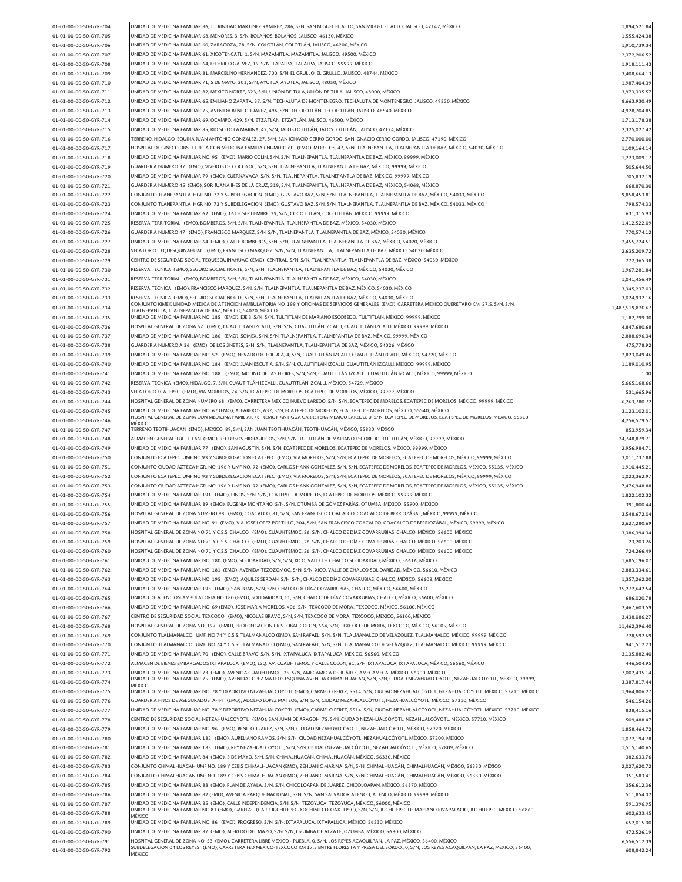| 01-01-00-00-50-GYR-704<br>01-01-00-00-50-GYR-705<br>01-01-00-00-50-GYR-706 | UNIDAD DE MEDICINA FAMILIAR 86, J. TRINIDAD MARTINEZ RAMIREZ, 286, S/N, SAN MIGUEL EL ALTO, SAN MIGUEL EL ALTO, JALISCO, 47147, MÉXICO                                                                                                                                                                | 1,894,521.84     |
|----------------------------------------------------------------------------|-------------------------------------------------------------------------------------------------------------------------------------------------------------------------------------------------------------------------------------------------------------------------------------------------------|------------------|
|                                                                            |                                                                                                                                                                                                                                                                                                       |                  |
|                                                                            | UNIDAD DE MEDICINA FAMILIAR 68, MENORES, 3, S/N, BOLAÑOS, BOLAÑOS, JALISCO, 46130, MÉXICO                                                                                                                                                                                                             | 1,555,424.38     |
|                                                                            | UNIDAD DE MEDICINA FAMILIAR 60, ZARAGOZA, 78, S/N, COLOTLÂN, COLOTLÂN, JALISCO, 46200, MÊXICO                                                                                                                                                                                                         | 1,910,739.34     |
| 01-01-00-00-50-GYR-707                                                     | UNIDAD DE MEDICINA FAMILIAR 61, XICOTENCATL, 1, S/N, MAZAMITLA, MAZAMITLA, JALISCO, 49500, MÉXICO                                                                                                                                                                                                     | 2,372,206.5      |
| 01-01-00-00-50-GYR-708                                                     | UNIDAD DE MEDICINA FAMILIAR 64, FEDERICO GALVEZ, 19, S/N, TAPALPA, TAPALPA, JALISCO, 99999, MÉXICO                                                                                                                                                                                                    | 1,918,111.43     |
| 01-01-00-00-50-GYR-709                                                     | UNIDAD DE MEDICINA FAMILIAR 81, MARCELINO HERNANDEZ, 700, S/N, EL GRULLO, EL GRULLO, JALISCO, 48744, MÈXICO                                                                                                                                                                                           | 3,408,664.1      |
| 01-01-00-00-50-GYR-710                                                     | UNIDAD DE MEDICINA FAMILIAR 71, 5 DE MAYO, 201, S/N, AYUTLA, AYUTLA, JALISCO, 48050, MÉXICO                                                                                                                                                                                                           | 1,987,404.39     |
| 01-01-00-00-50-GYR-711                                                     | UNIDAD DE MEDICINA FAMILIAR 82, MEXICO NORTE, 323, S/N, UNIÓN DE TULA, UNIÓN DE TULA, JALISCO, 48000, MÉXICO                                                                                                                                                                                          | 3,973,335.57     |
| 01-01-00-00-50-GYR-712                                                     | UNIDAD DE MEDICINA FAMILIAR 65. EMILIANO ZAPATA. 37. S/N. TECHALUTA DE MONTENEGRO. TECHALUTA DE MONTENEGRO. JALISCO. 49230. MÉXICO                                                                                                                                                                    | 8,663,930.4      |
|                                                                            |                                                                                                                                                                                                                                                                                                       |                  |
| 01-01-00-00-50-GYR-713                                                     | UNIDAD DE MEDICINA FAMILIAR 75, AVENIDA BENITO JUAREZ, 496, S/N, TECOLOTLÁN, TECOLOTLÁN, JALISCO, 48540, MÊXICO                                                                                                                                                                                       | 4,928,704.85     |
| 01-01-00-00-50-GYR-714                                                     | UNIDAD DE MEDICINA FAMILIAR 69, OCAMPO, 429, S/N, ETZATLÁN, ETZATLÁN, JALISCO, 46500, MÉXICO                                                                                                                                                                                                          | 1,713,178.3      |
| 01-01-00-00-50-GYR-715                                                     | UNIDAD DE MEDICINA FAMILIAR 85, RIO SOTO LA MARINA, 42, S/N, JALOSTOTITLÁN, JALOSTOTITLÁN, JALISCO, 47124, MÉXICO                                                                                                                                                                                     | 2,325,027.42     |
| 01-01-00-00-50-GYR-716                                                     | TERRENO, HIDALGO EQUINA JUAN ANTONIO GONZALEZ, 27, S/N, SAN IGNACIO CERRO GORDO, SAN IGNACIO CERRO GORDO, JALISCO, 47190, MÉXICO                                                                                                                                                                      | 2,770,000.00     |
| 01-01-00-00-50-GYR-717                                                     | HOSPITAL DE GINECO OBSTETRICIA CON MEDICINA FAMILIAR NUMERO 60 (EMO), MORELOS, 47, S/N, TLALNEPANTLA, TLALNEPANTLA DE BAZ, MÉXICO, 54030, MÉXICO                                                                                                                                                      | 1,109,164.1      |
| 01-01-00-00-50-GYR-718                                                     | UNIDAD DE MEDICINA FAMILIAR NO. 95 (EMO), MARIO COLIN, S/N, S/N, TLALNEPANTLA, TLALNEPANTLA DE BAZ, MÈXICO, 99999, MÈXICO                                                                                                                                                                             | 1,223,009.17     |
| 01-01-00-00-50-GYR-719                                                     | GUARDERIA NUMERO 37 (EMO), VIVEROS DE COCOYOC, S/N, S/N, TLALNEPANTLA, TLALNEPANTLA DE BAZ, MÊXICO, 99999, MÊXICO                                                                                                                                                                                     | 505,644.50       |
| 01-01-00-00-50-GYR-720                                                     |                                                                                                                                                                                                                                                                                                       |                  |
|                                                                            | UNIDAD DE MEDICINA FAMILIAR 79 (EMO), CUERNAVACA, S/N, S/N, TLALNEPANTLA, TLALNEPANTLA DE BAZ, MÉXICO, 99999, MÉXICO                                                                                                                                                                                  | 705,832.1        |
| 01-01-00-00-50-GYR-721                                                     | GUARDERIA NUMERO 45 (EMO), SOR JUANA INES DE LA CRUZ, 319, S/N, TLALNEPANTLA, TLALNEPANTLA DE BAZ, MÉXICO, 54068, MÉXICO                                                                                                                                                                              | 668,870.00       |
| 01-01-00-00-50-GYR-722                                                     | CONJUNTO TLANEPANTLA HGR NO. 72 Y SUBDELEGACION (EMO), GUSTAVO BAZ, S/N, S/N, TLALNEPANTLA, TLALNEPANTLA DE BAZ, MÉXICO, 54033, MÉXICO                                                                                                                                                                | 9,858,453.8      |
| 01-01-00-00-50-GYR-723                                                     | CONJUNTO TLANEPANTLA HGR NO. 72 Y SUBDELEGACION (EMO), GUSTAVO BAZ, S/N, S/N, TLALNEPANTLA, TLALNEPANTLA DE BAZ, MÉXICO, 54033, MÉXICO                                                                                                                                                                | 798,574.33       |
| 01-01-00-00-50-GYR-724                                                     | UNIDAD DE MEDICINA FAMILIAR 62 (EMO), 16 DE SEPTIEMBRE, 39, S/N, COCOTITLÁN, COCOTITLÁN, MÉXICO, 99999, MÉXICO                                                                                                                                                                                        | 631,315.9        |
| 01-01-00-00-50-GYR-725                                                     | RESERVA TERRITORIAL (EMO), BOMBEROS, S/N, S/N, TLALNEPANTLA, TLALNEPANTLA DE BAZ, MÉXICO, 54030, MÉXICO                                                                                                                                                                                               | 1,412,522.09     |
| 01-01-00-00-50-GYR-726                                                     | GUARDERIA NUMERO 47 (EMO), FRANCISCO MARQUEZ, S/N, S/N, TLALNEPANTLA, TLALNEPANTLA DE BAZ, MÊXICO, 54030, MÊXICO                                                                                                                                                                                      | 770,574.12       |
|                                                                            | UNIDAD DE MEDICINA FAMILIAR 64 (EMO), CALLE BOMBEROS, S/N, S/N, TLALNEPANTLA, TLALNEPANTLA DE BAZ, MÉXICO, 54020, MÉXICO                                                                                                                                                                              |                  |
| 01-01-00-00-50-GYR-727                                                     |                                                                                                                                                                                                                                                                                                       | 2,455,724.51     |
| 01-01-00-00-50-GYR-728                                                     | VELATORIO TEQUESQUINAHUAC (EMO), FRANCISCO MARQUEZ, S/N, S/N, TLALNEPANTLA, TLALNEPANTLA DE BAZ, MÉXICO, 54030, MÉXICO                                                                                                                                                                                | 2,635,209.72     |
| 01-01-00-00-50-GYR-729                                                     | CENTRO DE SEGURIDAD SOCIAL TEQUESQUINAHUAC(EMO), CENTRAL, S/N, S/N, TLALNEPANTLA, TLALNEPANTLA DE BAZ, MÉXICO, 54030, MÉXICO                                                                                                                                                                          | 222,365.3        |
| 01-01-00-00-50-GYR-730                                                     | RESERVA TECNICA (EMO), SEGURO SOCIAL NORTE, S/N, S/N, TLALNEPANTLA, TLALNEPANTLA DE BAZ, MÉXICO, 54030, MÉXICO                                                                                                                                                                                        | 1,967,281.84     |
| 01-01-00-00-50-GYR-731                                                     | RESERVA TERRITORIAL (EMO), BOMBEROS, S/N, S/N, TLALNEPANTLA, TLALNEPANTLA DE BAZ, MÉXICO, 54030, MÉXICO                                                                                                                                                                                               | 1,041,456.49     |
| 01-01-00-00-50-GYR-732                                                     | RESERVA TECNICA (EMO), FRANCISCO MARQUEZ, S/N, S/N, TLALNEPANTLA, TLALNEPANTLA DE BAZ, MÉXICO, 54030, MÉXICO                                                                                                                                                                                          | 3,345,237.03     |
| 01-01-00-00-50-GYR-733                                                     | RESERVA TECNICA (EMO), SEGURO SOCIAL NORTE, S/N, S/N, TLALNEPANTLA, TLALNEPANTLA DE BAZ, MÉXICO, 54030, MÉXICO                                                                                                                                                                                        | 3,024,932.16     |
|                                                                            | CONJUNTO KIMEX UNIDAD MEDICA DE ATENCION AMBULATORIA NO. 199 Y OFICINAS DE SERVICIOS GENERALES (EMO), CARRETERA MEXICO QUERETARO KM. 27.5, S/N, S/N,                                                                                                                                                  |                  |
| 01-01-00-00-50-GYR-734                                                     | TLALNEPANTLA, TLALNEPANTLA DE BAZ, MÊXICO, 54020, MÊXICO                                                                                                                                                                                                                                              | 1,487,519,820.67 |
| 01-01-00-00-50-GYR-735                                                     | UNIDAD DE MEDICINA FAMILIAR NO. 185 (EMO), EJE 3, S/N, S/N, TULTITLÁN DE MARIANO ESCOBEDO, TULTITLÁN, MÉXICO, 99999, MÉXICO                                                                                                                                                                           | 1,182,799.30     |
| 01-01-00-00-50-GYR-736                                                     | HOSPITAL GENERAL DE ZONA 57 (EMO). CUAUTITLAN IZCALLI. S/N. S/N. CUAUTITLÁN IZCALLI. CUAUTITLÁN IZCALLI. MÉXICO, 99999. MÉXICO                                                                                                                                                                        | 4,847,680.6      |
| 01-01-00-00-50-GYR-737                                                     | UNIDAD DE MEDICINA FAMILIAR NO. 186 (EMO), SOMEX, S/N, S/N, TLALNEPANTLA, TLALNEPANTLA DE BAZ, MÊXICO, 99999, MÊXICO                                                                                                                                                                                  | 2,888,696.34     |
| 01-01-00-00-50-GYR-738                                                     | GUARDERIA NUMERO A 36 (EMO), DE LOS JINETES, S/N, S/N, TLALNEPANTLA, TLALNEPANTLA DE BAZ, MÉXICO, 54026, MÉXICO                                                                                                                                                                                       | 475,778.92       |
| 01-01-00-00-50-GYR-739                                                     | UNIDAD DE MEDICINA FAMILIAR NO. 52 (EMO), NEVADO DE TOLUCA, 4, S/N, CUAUTITLÁN IZCALLI, CUAUTITLÁN IZCALLI, MÉXICO, 54720, MÉXICO                                                                                                                                                                     | 2,823,049.4      |
|                                                                            | UNIDAD DE MEDICINA FAMILIAR NO. 184 (EMO), JUAN ESCUTIA, S/N, S/N, CUAUTITLÁN IZCALLI, CUAUTITLÁN IZCALLI, MÉXICO, 99999, MÉXICO                                                                                                                                                                      |                  |
| 01-01-00-00-50-GYR-740                                                     |                                                                                                                                                                                                                                                                                                       | 1,189,010.95     |
| 01-01-00-00-50-GYR-741                                                     | UNIDAD DE MEDICINA FAMILIAR NO. 188 (EMO), MOLINO DE LAS FLORES, S/N, S/N, CUAUTITLÁN IZCALLI, CUAUTITLÁN IZCALLI, MÉXICO, 99999, MÉXICO                                                                                                                                                              | 1.0              |
| 01-01-00-00-50-GYR-742                                                     | RESERVA TECNICA (EMO), HIDALGO, 7, S/N, CUAUTITLÁN IZCALLI, CUAUTITLÁN IZCALLI, MÉXICO, 54729, MÉXICO                                                                                                                                                                                                 | 5,665,168.66     |
| 01-01-00-00-50-GYR-743                                                     | VELATORIO ECATEPEC (EMO), VIA MORELOS, 74, S/N, ECATEPEC DE MORELOS, ECATEPEC DE MORELOS, MÉXICO, 99999, MÉXICO                                                                                                                                                                                       | 531,665.96       |
| 01-01-00-00-50-GYR-744                                                     | HOSPITAL GENERAL DE ZONA NUMERO 68 (EMO), CARRETERA MEXICO NUEVO LAREDO, S/N, S/N, ECATEPEC DE MORELOS, ECATEPEC DE MORELOS, MÉXICO, 99999, MÉXICO                                                                                                                                                    | 6,263,780.72     |
| 01-01-00-00-50-GYR-745                                                     | UNIDAD DE MEDICINA FAMILIAR NO. 67 (EMO), ALFAREROS, 637, S/N, ECATEPEC DE MORELOS, ECATEPEC DE MORELOS, MÈXICO, 55540, MÈXICO                                                                                                                                                                        | 3,123,102.01     |
| 01-01-00-00-50-GYR-746                                                     | HOSPITAL GENERAL DE ZONA CON MEDICINA FAMILIAR 76 (EMO), ANTIGUA CARRETERA MEXICO LAREDO, 0, S/N, ECATEPEC DE MORELOS, ECATEPEC DE MORELOS, MEXICO, 55310,                                                                                                                                            | 4,256,579.57     |
|                                                                            | MÉXICO                                                                                                                                                                                                                                                                                                |                  |
| 01-01-00-00-50-GYR-747                                                     | TERRENO TEOTIHUACAN (EMO), MEXICO, 89, S/N, SAN JUAN TEOTIHUACÁN, TEOTIHUACÁN, MÉXICO, 55830, MÉXICO                                                                                                                                                                                                  | 853,959.3        |
| 01-01-00-00-50-GYR-748                                                     | ALMACEN GENERAL TULTITLAN (EMO), RECURSOS HIDRAULICOS, S/N, S/N, TULTITLÁN DE MARIANO ESCOBEDO, TULTITLÁN, MÉXICO, 99999, MÉXICO                                                                                                                                                                      | 24,748,879.71    |
| 01-01-00-00-50-GYR-749                                                     | UNIDAD DE MEDICINA FAMILIAR 77 (EMO), SAN AGUSTIN, S/N, S/N, ECATEPEC DE MORELOS, ECATEPEC DE MORELOS, MÉXICO, 99999, MÉXICO                                                                                                                                                                          | 2,956,984.7      |
| 01-01-00-00-50-GYR-750                                                     | CONJUNTO ECATEPEC. UMF NO 93 Y SUBDEKEGACION ECATEPEC (EMO), VIA MORELOS, S/N, S/N, ECATEPEC DE MORELOS, ECATEPEC DE MORELOS, MÉXICO, 99999, MÉXICO                                                                                                                                                   | 3,011,737.88     |
|                                                                            | CONJUNTO CIUDAD AZTECA HGR. NO. 196 Y UMF NO. 92 (EMO), CARLOS HANK GONZALEZ, S/N, S/N, ECATEPEC DE MORELOS, ECATEPEC DE MORELOS, MÉXICO, 55135, MÉXICO                                                                                                                                               |                  |
| 01-01-00-00-50-GYR-751                                                     |                                                                                                                                                                                                                                                                                                       | 1,910,445.21     |
|                                                                            |                                                                                                                                                                                                                                                                                                       |                  |
| 01-01-00-00-50-GYR-752                                                     | CONJUNTO ECATEPEC. UMF NO 93 Y SUBDEKEGACION ECATEPEC (EMO), VIA MORELOS, S/N, S/N, ECATEPEC DE MORELOS, ECATEPEC DE MORELOS, MÊXICO, 99999, MÊXICO                                                                                                                                                   | 1,023,362.9      |
| 01-01-00-00-50-GYR-753                                                     | CONJUNTO CIUDAD AZTECA HGR. NO. 196 Y UMF NO. 92 (EMO), CARLOS HANK GONZALEZ, S/N, S/N, ECATEPEC DE MORELOS, ECATEPEC DE MORELOS, MÉXICO, 55135, MÉXICO                                                                                                                                               | 7,476,948.88     |
| 01-01-00-00-50-GYR-754                                                     | UNIDAD DE MEDICINA FAMILIAR 191 (EMO), PINOS, S/N, S/N, ECATEPEC DE MORELOS, ECATEPEC DE MORELOS, MÉXICO, 99999, MÉXICO                                                                                                                                                                               | 1,822,102.32     |
| 01-01-00-00-50-GYR-755                                                     | UNIDAD DE MEDICINA FAMILIAR 89 (EMO), EUGENIA MONTAÑO, S/N, S/N, OTUMBA DE GÓMEZ FARÍAS, OTUMBA, MÉXICO, 55900, MÉXICO                                                                                                                                                                                | 391,800.44       |
| 01-01-00-00-50-GYR-756                                                     | HOSPITAL GENERAL DE ZONA NUMERO 98 (EMO), COACALCO, 81, S/N, SAN FRANCISCO COACALCO, COACALCO DE BERRIOZÁBAL, MÉXICO, 99999, MÉXICO                                                                                                                                                                   | 3,548,672.04     |
| 01-01-00-00-50-GYR-757                                                     | UNIDAD DE MEDICINA FAMILIAR NO. 91 (EMO), VIA JOSE LOPEZ PORTILLO, 204, S/N, SAN FRANCISCO COACALCO, COACALCO DE BERRIOZÁBAL, MÉXICO, 99999, MÉXICO                                                                                                                                                   | 2,627,280.69     |
| 01-01-00-00-50-GYR-758                                                     | HOSPITAL GENERAL DE ZONA NO 71 Y C.S.S. CHALCO (EMO), CUAUHTEMOC, 26, S/N, CHALCO DE DÍAZ COVARRUBIAS, CHALCO, MÉXICO, 56600, MÉXICO                                                                                                                                                                  | 3,386,394.34     |
|                                                                            |                                                                                                                                                                                                                                                                                                       |                  |
| 01-01-00-00-50-GYR-759                                                     | HOSPITAL GENERAL DE ZONA NO 71 Y C.S.S. CHALCO (EMO), CUAUHTEMOC, 26, S/N, CHALCO DE DÍAZ COVARRUBIAS, CHALCO, MÉXICO, 56600, MÉXICO                                                                                                                                                                  | 23,203.26        |
| 01-01-00-00-50-GYR-760                                                     | HOSPITAL GENERAL DE ZONA NO 71 Y C.S.S. CHALCO (EMO), CUAUHTEMOC, 26, S/N, CHALCO DE DÍAZ COVARRUBIAS, CHALCO, MÉXICO, 56600, MÉXICO                                                                                                                                                                  | 724,266.49       |
| 01-01-00-00-50-GYR-761                                                     | UNIDAD DE MEDICINA FAMILIAR NO. 180 (EMO). SOLIDARIDAD. S/N. S/N. XICO. VALLE DE CHALCO SOLIDARIDAD. MÉXICO. 56616. MÉXICO                                                                                                                                                                            | 1,685,196.07     |
| 01-01-00-00-50-GYR-762                                                     | UNIDAD DE MEDICINA FAMILIAR NO. 181 (EMO), AVENIDA TEZOZOMOC, S/N, S/N, XICO, VALLE DE CHALCO SOLIDARIDAD, MÉXICO, 56610, MÉXICO                                                                                                                                                                      | 2,883,334.61     |
| 01-01-00-00-50-GYR-763                                                     | UNIDAD DE MEDICINA FAMILIAR NO. 195 (EMO), AQUILES SERDAN, S/N, S/N, CHALCO DE DÍAZ COVARRUBIAS, CHALCO, MÉXICO, 56608, MÉXICO                                                                                                                                                                        | 1,357,262.20     |
| 01-01-00-00-50-GYR-764                                                     | UNIDAD DE MEDICINA FAMILIAR 193 (EMO), SAN JUAN, S/N, S/N, CHALCO DE DÍAZ COVARRUBIAS, CHALCO, MÉXICO, 56600, MÉXICO                                                                                                                                                                                  | 35,272,642.54    |
| 01-01-00-00-50-GYR-765                                                     | UNIDAD DE ATENCION AMBULATORIA NO 180 (EMO), SOLIDARIDAD, 11, S/N, CHALCO DE DÍAZ COVARRUBIAS, CHALCO, MÉXICO, 56600, MÉXICO                                                                                                                                                                          | 686,020.78       |
| 01-01-00-00-50-GYR-766                                                     | UNIDAD DE MEDICINA FAMILIAR NO. 69 (EMO), JOSE MARIA MORELOS, 406, S/N, TEXCOCO DE MORA, TEXCOCO, MÉXICO, 56100, MÉXICO                                                                                                                                                                               | 2,467,603.59     |
|                                                                            |                                                                                                                                                                                                                                                                                                       |                  |
| 01-01-00-00-50-GYR-767                                                     | CENTRO DE SEGURIDAD SOCIAL TEXCOCO (EMO), NICOLAS BRAVO, S/N, S/N, TEXCOCO DE MORA, TEXCOCO, MÉXICO, 56100, MÉXICO                                                                                                                                                                                    | 3,438,086.27     |
| 01-01-00-00-50-GYR-768                                                     | HOSPITAL GENERAL DE ZONA NO. 197 (EMO), PROLONGACION CRISTOBAL COLON, 664, S/N, TEXCOCO DE MORA, TEXCOCO, MÉXICO, 56105, MÉXICO                                                                                                                                                                       | 11,462,396.40    |
| 01-01-00-00-50-GYR-769                                                     | CONJUNTO TLALMANALCO. UMF. NO 74 Y C.S.S. TLALMANALCO (EMO), SAN RAFAEL, S/N, S/N, TLALMANALCO DE VELÁZQUEZ, TLALMANALCO, MÉXICO, 99999, MÉXICO                                                                                                                                                       | 728,592.69       |
| 01-01-00-00-50-GYR-770                                                     | CONJUNTO TLALMANALCO. UMF. NO 74 Y C.S.S. TLALMANALCO (EMO), SAN RAFAEL, S/N, S/N, TLALMANALCO DE VELÁZQUEZ, TLALMANALCO, MÉXICO, 99999, MÉXICO                                                                                                                                                       | 941,512.23       |
| 01-01-00-00-50-GYR-771                                                     | UNIDAD DE MEDICINA FAMILIAR 70 (EMO), CALLE BRAVO, S/N, S/N, IXTAPALUCA, IXTAPALUCA, MÉXICO, 56560, MÉXICO                                                                                                                                                                                            | 3,135,882.40     |
| 01-01-00-00-50-GYR-772                                                     | ALMACEN DE BIENES EMBARGADOS IXTAPALUCA (EMO), ESQ. AV. CUAUHTEMOC Y CALLE COLON, 61, S/N, IXTAPALUCA, IXTAPALUCA, MÉXICO, 56560, MÉXICO                                                                                                                                                              | 446,504.95       |
| 01-01-00-00-50-GYR-773                                                     | UNIDAD DE MEDICINA FAMILIAR 73 (EMO), AVENIDA CUAUHTEMOC, 25, S/N, AMECAMECA DE JUÁREZ, AMECAMECA, MÉXICO, 56900, MÉXICO                                                                                                                                                                              | 7,002,435.14     |
|                                                                            | UNIDAD DE MEDICINA FAMILIAR 75 (EMO), AVENIDA LOPEZ MATEOS ESQUINA AVENIDA CHIMALHUACAN, S/N, S/N, CIUDAD NEZAHUALCOYOTL, NEZAHUALCOYOTL, MEXICO, 99999,                                                                                                                                              |                  |
| 01-01-00-00-50-GYR-774                                                     | MÉXICO                                                                                                                                                                                                                                                                                                | 3,387,817.44     |
| 01-01-00-00-50-GYR-775                                                     | UNIDAD DE MEDICINA FAMILIAR NO. 78 Y DEPORTIVO NEZAHUALCOYOTL (EMO), CARMELO PEREZ, 5514, S/N, CIUDAD NEZAHUALCÓYOTL, NEZAHUALCÓYOTL, MÉXICO, 57710, MÉXICO                                                                                                                                           | 1,964,806.27     |
| 01-01-00-00-50-GYR-776                                                     | GUARDERIA HIJOS DE ASEGURADOS A-44 (EMO), ADOLFO LOPEZ MATEOS, S/N, S/N, CIUDAD NEZAHUALCÓYOTL, NEZAHUALCÓYOTL, MÉXICO, 57310, MÉXICO                                                                                                                                                                 | 546,154.26       |
| 01-01-00-00-50-GYR-777                                                     | UNIDAD DE MEDICINA FAMILIAR NO. 78 Y DEPORTIVO NEZAHUALCOYOTL (EMO), CARMELO PEREZ, 5514, S/N, CIUDAD NEZAHUALCÒYOTL, NEZAHUALCÒYOTL, MÈXICO, 57710, MÈXICO                                                                                                                                           | 838,415.16       |
| 01-01-00-00-50-GYR-778                                                     | CENTRO DE SEGURIDAD SOCIAL NETZAHUALCOYOTL (EMO), SAN JUAN DE ARAGON, 75, S/N, CIUDAD NEZAHUALCÓYOTL, NEZAHUALCÓYOTL, MÉXICO, 57710, MÉXICO                                                                                                                                                           | 509,488.47       |
| 01-01-00-00-50-GYR-779                                                     | UNIDAD DE MEDICINA FAMILIAR NO. 96 (EMO), BENITO JUAREZ, S/N, S/N, CIUDAD NEZAHUALCÓYOTL, NEZAHUALCÓYOTL, MÉXICO, 57920, MÉXICO                                                                                                                                                                       | 1,858,464.72     |
|                                                                            | UNIDAD DE MEDICINA FAMILIAR 182 (EMO), AURELIANO RAMOS, S/N, S/N, CIUDAD NEZAHUALCÓYOTL, NEZAHUALCÓYOTL, MÉXICO, 57200, MÉXICO                                                                                                                                                                        |                  |
| 01-01-00-00-50-GYR-780                                                     |                                                                                                                                                                                                                                                                                                       | 1,072,194.78     |
| 01-01-00-00-50-GYR-781                                                     | UNIDAD DE MEDICINA FAMILIAR 183 (EMO), REY NEZAHUALCOYOTL, S/N, S/N, CIUDAD NEZAHUALCÓYOTL, NEZAHUALCÓYOTL, MÉXICO, 57809, MÉXICO                                                                                                                                                                     | 1,515,140.65     |
| 01-01-00-00-50-GYR-782                                                     | UNIDAD DE MEDICINA FAMILIAR 84 (EMO), 5 DE MAYO, S/N, S/N, CHIMALHUACÁN, CHIMALHUACÁN, MÊXICO, 56330, MÊXICO                                                                                                                                                                                          | 382,633.76       |
| 01-01-00-00-50-GYR-783                                                     | CONJUNTO CHIMALHUACAN UMF NO. 189 Y CEBIS CHIMALHUACAN (EMO), ZEHUAN C MARINA, S/N, S/N, CHIMALHUACÁN, CHIMALHUACÁN, MÉXICO, 56330, MÉXICO                                                                                                                                                            | 2,027,620.72     |
| 01-01-00-00-50-GYR-784                                                     | CONJUNTO CHIMALHUACAN UMF NO. 189 Y CEBIS CHIMALHUACAN (EMO), ZEHUAN C MARINA, S/N, S/N, CHIMALHUACÁN, CHIMALHUACÁN, MÉXICO, 56330, MÉXICO                                                                                                                                                            | 351,583.41       |
| 01-01-00-00-50-GYR-785                                                     | UNIDAD DE MEDICINA FAMILIAR 83 (EMO), PLAN DE AYALA, S/N, S/N, CHICOLOAPAN DE JUÁREZ, CHICOLOAPAN, MÉXICO, 56370, MÉXICO                                                                                                                                                                              | 356,612.36       |
| 01-01-00-00-50-GYR-786                                                     | UNIDAD DE MEDICINA FAMILIAR 82 (EMO), AVENIDA PARQUE NACIONAL, S/N, S/N, SAN SALVADOR ATENCO, ATENCO, MÉXICO, 99999, MÉXICO                                                                                                                                                                           | 511,854.02       |
|                                                                            |                                                                                                                                                                                                                                                                                                       |                  |
| 01-01-00-00-50-GYR-787                                                     | UNIDAD DE MEDICINA FAMILIAR 85 (EMO), CALLE INDEPENDENCIA, S/N, S/N, TEZOYUCA, TEZOYUCA, MÊXICO, 56000, MÊXICO<br>UNIDAD DE MEDICINA FAMILIAR NO 81 (EMO), GARITA, (CARRJUCHITEPEC-XOCHIMILCO-OAXTEPEC), S/N, S/N, JUCHITEPEC DE MARIANO RIVAPALACIO, JUCHITEPEC, MEXICO, 56860,                      | 591,396.95       |
| 01-01-00-00-50-GYR-788                                                     | <b>MÉXICO</b>                                                                                                                                                                                                                                                                                         | 602,633.45       |
| 01-01-00-00-50-GYR-789                                                     | UNIDAD DE MEDICINA FAMILIAR NO. 86 (EMO), PROGRESO, S/N, S/N, IXTAPALUCA, IXTAPALUCA, MÉXICO, 56530, MÉXICO                                                                                                                                                                                           | 652,015.00       |
| 01-01-00-00-50-GYR-790                                                     | UNIDAD DE MEDICINA FAMILIAR 87 (EMO), ALFREDO DEL MAZO, S/N, S/N, OZUMBA DE ALZATE, OZUMBA, MÉXICO, 56800, MÉXICO                                                                                                                                                                                     | 472,526.19       |
| 01-01-00-00-50-GYR-791                                                     | HOSPITAL GENERAL DE ZONA NO. 53 (EMO), CARRETERA LIBRE MEXICO - PUEBLA, 0, S/N, LOS REYES ACAQUILPAN, LA PAZ, MÉXICO, 56400, MÉXICO<br>SUBDELEGACION 04 LOS REYES (EMO), CARRETERA FED MEXICO-TEXCOCO KM 17.5 ENTRE FLORESTA Y PRESA DEL SORDO., 0, S/N, LOS REYES ACAQUILPAN, LA PAZ, MEXICO, 56400, | 6,556,512.39     |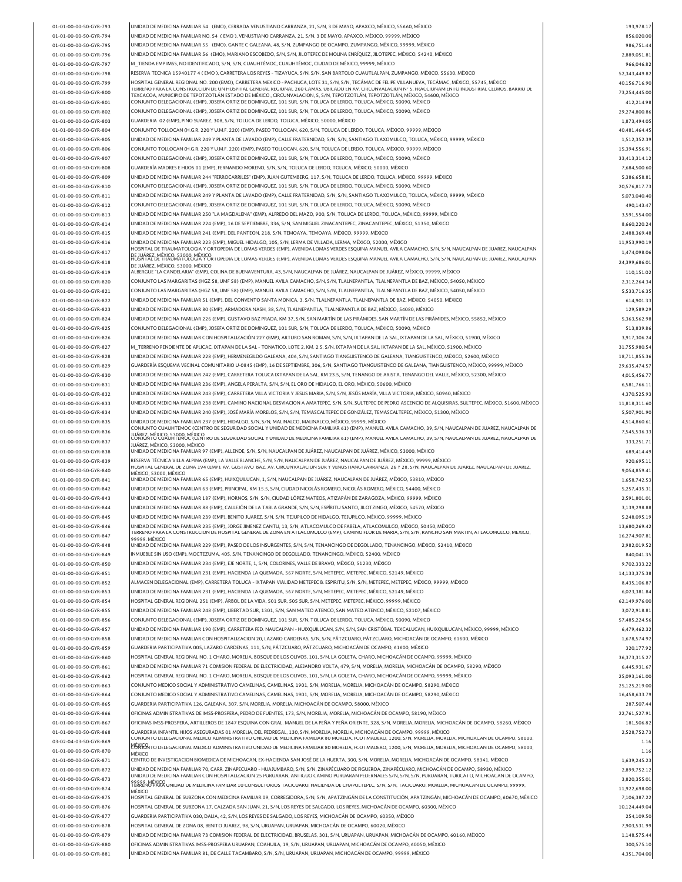| 01-01-00-00-50-GYR-793 | UNIDAD DE MEDICINA FAMILIAR 54 (EMO), CERRADA VENUSTIANO CARRANZA, 21, S/N, 3 DE MAYO, APAXCO, MÉXICO, 55660, MÉXICO                                                                                                                                                                      | 193,978.17       |
|------------------------|-------------------------------------------------------------------------------------------------------------------------------------------------------------------------------------------------------------------------------------------------------------------------------------------|------------------|
|                        |                                                                                                                                                                                                                                                                                           |                  |
| 01-01-00-00-50-GYR-794 | UNIDAD DE MEDICINA FAMILIAR NO. 54 (EMO), VENUSTIANO CARRANZA, 21, S/N, 3 DE MAYO, APAXCO, MÊXICO, 99999, MÊXICO                                                                                                                                                                          | 856,020.00       |
| 01-01-00-00-50-GYR-795 | UNIDAD DE MEDICINA FAMILIAR 55 (EMO), GANTE C GALEANA, 48, S/N, ZUMPANGO DE OCAMPO, ZUMPANGO, MÉXICO, 99999, MÉXICO                                                                                                                                                                       | 986,751.44       |
| 01-01-00-00-50-GYR-796 | UNIDAD DE MEDICINA FAMILIAR 56 (EMO), MARIANO ESCOBEDO, S/N, S/N, JILOTEPEC DE MOLINA ENRÍQUEZ, JILOTEPEC, MÉXICO, 54240, MÉXICO                                                                                                                                                          | 2,889,051.81     |
| 01-01-00-00-50-GYR-797 | M TIENDA EMP IMSS, NO IDENTIFICADO, S/N, S/N, CUAUHTÉMOC, CUAUHTÉMOC, CIUDAD DE MÉXICO, 99999, MÉXICO                                                                                                                                                                                     | 966,046.82       |
|                        |                                                                                                                                                                                                                                                                                           |                  |
| 01-01-00-00-50-GYR-798 | RESERVA TECNICA 15940177 4 (EMO), CARRETERA LOS REYES - TIZAYUCA, S/N, S/N, SAN BARTOLO CUAUTLALPAN, ZUMPANGO, MÉXICO, 55630, MÉXICO                                                                                                                                                      | 52,343,449.82    |
| 01-01-00-00-50-GYR-799 | HOSPITAL GENERAL REGIONAL NO. 200 (EMO), CARRETERA MEXICO - PACHUCA, LOTE 31, S/N, S/N, TECÁMAC DE FELIPE VILLANUEVA, TECÁMAC, MÉXICO, 55745, MÉXICO                                                                                                                                      | 40,156,716.90    |
| 01-01-00-00-50-GYR-800 | TERRENO PARA LA CONSTRUCCION DE UN HOSPITAL GENERAL REGIONAL 260 CAMAS, UBICADO EN AV. CIRCUNVALACION Nº 5, FRACCIONAMIENTO INDUSTRIAL CEDROS, BARRIO DE<br>TEXCACOA, MUNICIPIO DE TEPOTZOTLÁN ESTADO DE MÉXICO., CIRCUNVALACION, 5, S/N, TEPOTZOTLÁN, TEPOTZOTLÁN, MÉXICO, 54600, MÉXICO | 73,254,445.00    |
| 01-01-00-00-50-GYR-801 | CONJUNTO DELEGACIONAL (EMP), JOSEFA ORTIZ DE DOMINGUEZ, 101 SUR, S/N, TOLUCA DE LERDO, TOLUCA, MÉXICO, 50090, MÉXICO                                                                                                                                                                      | 412.214.98       |
|                        |                                                                                                                                                                                                                                                                                           |                  |
| 01-01-00-00-50-GYR-802 | CONJUNTO DELEGACIONAL (EMP), JOSEFA ORTIZ DE DOMINGUEZ, 101 SUR, S/N, TOLUCA DE LERDO, TOLUCA, MÉXICO, 50090, MÉXICO                                                                                                                                                                      | 29,274,800.86    |
| 01-01-00-00-50-GYR-803 | GUARDERIA 02 (EMP), PINO SUAREZ, 308, S/N, TOLUCA DE LERDO, TOLUCA, MÉXICO, 50000, MÉXICO                                                                                                                                                                                                 | 1.873.494.05     |
| 01-01-00-00-50-GYR-804 | CONJUNTO TOLLOCAN (H.G.R. 220 Y U.M.F. 220) (EMP), PASEO TOLLOCAN, 620, S/N, TOLUCA DE LERDO, TOLUCA, MÉXICO, 99999, MÉXICO                                                                                                                                                               | 40,481,464.45    |
|                        |                                                                                                                                                                                                                                                                                           |                  |
| 01-01-00-00-50-GYR-805 | UNIDAD DE MEDICINA FAMILIAR 249 Y PLANTA DE LAVADO (EMP), CALLE FRATERNIDAD, S/N, S/N, SANTIAGO TLAXOMULCO, TOLUCA, MÉXICO, 99999, MÉXICO                                                                                                                                                 | 1,512,352.39     |
| 01-01-00-00-50-GYR-806 | CONJUNTO TOLLOCAN (H.G.R. 220 Y U.M.F. 220) (EMP), PASEO TOLLOCAN, 620, S/N, TOLUCA DE LERDO, TOLUCA, MÉXICO, 99999, MÉXICO                                                                                                                                                               | 15.394.556.91    |
| 01-01-00-00-50-GYR-807 | CONJUNTO DELEGACIONAL (EMP), JOSEFA ORTIZ DE DOMINGUEZ, 101 SUR, S/N, TOLUCA DE LERDO, TOLUCA, MÉXICO, 50090, MÉXICO                                                                                                                                                                      | 33,413,314.12    |
| 01-01-00-00-50-GYR-808 | GUARDERÍA MADRES E HIJOS 01 (EMP), FERNANDO MORENO, S/N, S/N, TOLUCA DE LERDO, TOLUCA, MÉXICO, 50000, MÉXICO                                                                                                                                                                              | 7,684,500.60     |
|                        | UNIDAD DE MEDICINA FAMILIAR 244 "FERROCARRILES" (EMP), JUAN GUTEMBERG, 117, S/N, TOLUCA DE LERDO, TOLUCA, MÉXICO, 99999, MÉXICO                                                                                                                                                           |                  |
| 01-01-00-00-50-GYR-809 |                                                                                                                                                                                                                                                                                           | 5.386.658.81     |
| 01-01-00-00-50-GYR-810 | CONJUNTO DELEGACIONAL (EMP), JOSEFA ORTIZ DE DOMINGUEZ, 101 SUR, S/N, TOLUCA DE LERDO, TOLUCA, MÉXICO, 50090, MÉXICO                                                                                                                                                                      | 20,576,817.73    |
| 01-01-00-00-50-GYR-811 | UNIDAD DE MEDICINA FAMILIAR 249 Y PLANTA DE LAVADO (EMP), CALLE FRATERNIDAD, S/N, S/N, SANTIAGO TLAXOMULCO, TOLUCA, MÉXICO, 99999, MÉXICO                                                                                                                                                 | 5.073.040.40     |
| 01-01-00-00-50-GYR-812 | CONJUNTO DELEGACIONAL (EMP), JOSEFA ORTIZ DE DOMINGUEZ, 101 SUR, S/N, TOLUCA DE LERDO, TOLUCA, MÉXICO, 50090, MÉXICO                                                                                                                                                                      | 490,143.47       |
|                        |                                                                                                                                                                                                                                                                                           |                  |
| 01-01-00-00-50-GYR-813 | UNIDAD DE MEDICINA FAMILIAR 250 "LA MAGDALENA" (EMP), ALFREDO DEL MAZO, 900, S/N, TOLUCA DE LERDO, TOLUCA, MÉXICO, 99999, MÉXICO                                                                                                                                                          | 3,591,554.00     |
| 01-01-00-00-50-GYR-814 | UNIDAD DE MEDICINA FAMILIAR 224 (EMP), 16 DE SEPTIEMBRE, 336, S/N, SAN MIGUEL ZINACANTEPEC, ZINACANTEPEC, MÉXICO, 51350, MÉXICO                                                                                                                                                           | 8.660.220.24     |
| 01-01-00-00-50-GYR-815 | UNIDAD DE MEDICINA FAMILIAR 241 (EMP), DEL PANTEON, 218, S/N, TEMOAYA, TEMOAYA, MÊXICO, 99999, MÊXICO                                                                                                                                                                                     | 2,488,369.48     |
| 01-01-00-00-50-GYR-816 | UNIDAD DE MEDICINA FAMILIAR 223 (EMP), MIGUEL HIDALGO, 105, S/N, LERMA DE VILLADA, LERMA, MÉXICO, 52000, MÉXICO                                                                                                                                                                           | 11.953.990.19    |
|                        | HOSPITAL DE TRAUMATOLOGIA Y ORTOPEDIA DE LOMAS VERDES (EMP), AVENIDA LOMAS VERDES ESQUINA MANUEL AVILA CAMACHO, S/N, S/N, NAUCALPAN DE JUAREZ, NAUCALPAN                                                                                                                                  |                  |
| 01-01-00-00-50-GYR-817 | )E IJJÁREZ, MĚXICO, S3000, MÉXICO<br>HOSPÍTAL DE TRAUMATOLOGIA Y ORTOPEDIA DE LOMAS VERDES (EMP), AVENIDA LOMAS VERDES ESQUINA MANUEL AVILA CAMACHO, S/N, S/N, NAUCALPAN DE JUAREZ, NAUCALPAN                                                                                             | 1,474,098.06     |
| 01-01-00-00-50-GYR-818 |                                                                                                                                                                                                                                                                                           | 24,399,686.01    |
| 01-01-00-00-50-GYR-819 | DE JUÁREZ, MÉXICO, 53000, MÉXICO<br>ALBERGUE "LA CANDELARIA" (EMP), COLINA DE BUENAVENTURA, 43, S/N, NAUCALPAN DE JUÁREZ, NAUCALPAN DE JUÁREZ, MÉXICO, 99999, MÉXICO                                                                                                                      | 110.151.02       |
|                        |                                                                                                                                                                                                                                                                                           |                  |
| 01-01-00-00-50-GYR-820 | CONJUNTO LAS MARGARITAS (HGZ 58, UMF 58) (EMP), MANUEL AVILA CAMACHO, S/N, S/N, TLALNEPANTLA, TLALNEPANTLA DE BAZ, MÉXICO, 54050, MÉXICO                                                                                                                                                  | 2,312,264.34     |
| 01-01-00-00-50-GYR-821 | CONJUNTO LAS MARGARITAS (HGZ 58, UMF 58) (EMP), MANUEL AVILA CAMACHO, S/N, S/N, TLALNEPANTLA, TLALNEPANTLA DE BAZ, MÉXICO, 54050, MÉXICO                                                                                                                                                  | 5.533.716.35     |
| 01-01-00-00-50-GYR-822 | UNIDAD DE MEDICINA FAMILIAR 51 (EMP), DEL CONVENTO SANTA MONICA, 3, S/N, TLALNEPANTLA, TLALNEPANTLA DE BAZ, MÉXICO, 54050, MÉXICO                                                                                                                                                         | 614,901.33       |
|                        | UNIDAD DE MEDICINA FAMILIAR 80 (EMP), ARMADORA NASH, 38, S/N, TLALNEPANTLA, TLALNEPANTLA DE BAZ, MÉXICO, 54080, MÉXICO                                                                                                                                                                    | 129,589.29       |
| 01-01-00-00-50-GYR-823 |                                                                                                                                                                                                                                                                                           |                  |
| 01-01-00-00-50-GYR-824 | UNIDAD DE MEDICINA FAMILIAR 226 (EMP), GUSTAVO BAZ PRADA, KM 37, S/N, SAN MARTÍN DE LAS PIRÁMIDES, SAN MARTÍN DE LAS PIRÁMIDES, MÉXICO, 55852, MÉXICO                                                                                                                                     | 5,363,562.98     |
| 01-01-00-00-50-GYR-825 | CONJUNTO DELEGACIONAL (EMP), JOSEFA ORTIZ DE DOMINGUEZ, 101 SUR, S/N, TOLUCA DE LERDO, TOLUCA, MÉXICO, 50090, MÉXICO                                                                                                                                                                      | 513,839.86       |
| 01-01-00-00-50-GYR-826 | UNIDAD DE MEDICINA FAMILIAR CON HOSPITALIZACIÓN 227 (EMP), ARTURO SAN ROMAN, S/N, S/N, IXTAPAN DE LA SAL, IXTAPAN DE LA SAL, MÉXICO, 51900, MÉXICO                                                                                                                                        | 3,917,306.24     |
|                        |                                                                                                                                                                                                                                                                                           |                  |
| 01-01-00-00-50-GYR-827 | M_TERRENO PENDIENTE DE APLICAC, IXTAPAN DE LA SAL - TONATICO, LOTE 2, KM. 2.5, S/N, IXTAPAN DE LA SAL, IXTAPAN DE LA SAL, MÉXICO, 51900, MÉXICO                                                                                                                                           | 31,755,980.54    |
| 01-01-00-00-50-GYR-828 | UNIDAD DE MEDICINA FAMILIAR 228 (EMP), HERMENEGILDO GALEANA, 406, S/N, SANTIAGO TIANGUISTENCO DE GALEANA, TIANGUISTENCO, MÉXICO, 52600, MÉXICO                                                                                                                                            | 18.711.855.36    |
| 01-01-00-00-50-GYR-829 | GUARDERÍA ESQUEMA VECINAL COMUNITARIO U-0845 (EMP), 16 DE SEPTIEMBRE, 306, S/N, SANTIAGO TIANGUISTENCO DE GALEANA, TIANGUISTENCO, MÉXICO, 99999, MÉXICO                                                                                                                                   | 29,635,474.57    |
| 01-01-00-00-50-GYR-830 | UNIDAD DE MEDICINA FAMILIAR 242 (EMP), CARRETERA TOLUCA IXTAPAN DE LA SAL, KM 23.5, S/N, TENANGO DE ARISTA, TENANGO DEL VALLE, MÉXICO, 52300, MÉXICO                                                                                                                                      | 4,015,456.77     |
|                        |                                                                                                                                                                                                                                                                                           |                  |
| 01-01-00-00-50-GYR-831 | UNIDAD DE MEDICINA FAMILIAR 236 (EMP), ANGELA PERALTA, S/N, S/N, EL ORO DE HIDALGO, EL ORO, MÉXICO, 50600, MÉXICO                                                                                                                                                                         | 6,581,766.11     |
| 01-01-00-00-50-GYR-832 | UNIDAD DE MEDICINA FAMILIAR 243 (EMP), CARRETERA VILLA VICTORIA Y JESUS MARIA, S/N, S/N, JESÚS MARÍA, VILLA VICTORIA, MÉXICO, 50960, MÉXICO                                                                                                                                               | 4,370,525.93     |
| 01-01-00-00-50-GYR-833 | UNIDAD DE MEDICINA FAMILIAR 238 (EMP), CAMINO NACIONAL DESVIACION A AMATEPEC, S/N, S/N, SULTEPEC DE PEDRO ASCENCIO DE ALQUISIRAS, SULTEPEC, MÉXICO, 51600, MÉXICO                                                                                                                         | 11.818.311.60    |
| 01-01-00-00-50-GYR-834 | UNIDAD DE MEDICINA FAMILIAR 240 (EMP), JOSÉ MARÍA MORELOS, S/N, S/N, TEMASCALTEPEC DE GONZÁLEZ, TEMASCALTEPEC, MÉXICO, 51300, MÉXICO                                                                                                                                                      | 5,507,901.90     |
|                        |                                                                                                                                                                                                                                                                                           |                  |
| 01-01-00-00-50-GYR-835 | UNIDAD DE MEDICINA FAMILIAR 237 (EMP), HIDALGO, S/N, S/N, MALINALCO, MALINALCO, MÉXICO, 99999, MÉXICO                                                                                                                                                                                     | 4,514,860.61     |
|                        |                                                                                                                                                                                                                                                                                           |                  |
| 01-01-00-00-50-GYR-836 | CONJUNTO CUAUHTEMOC (CENTRO DE SEGURIDAD SOCIAL Y UNIDAD DE MEDICINA FAMILIAR 61) (EMP), MANUEL AVILA CAMACHO, 39, S/N, NAUCALPAN DE JUAREZ, NAUCALPAN DE                                                                                                                                 | 7,545,536.33     |
|                        | JUAREZ MEXEGAJ 3400 MEXER<br>LONJUNUS COAJ 31 PENOC (CENTRO DE SEGURIDAD SOCIAL Y UNIDAD DE MEDICINA FAMILIAR 61) (EMP), MANUEL AVILA CAMACHO, 39, S/N, NAUCALPAN DE JUAREZ, NAUCALPAN DE                                                                                                 |                  |
| 01-01-00-00-50-GYR-837 | JUÁREZ, MÉXICO, 53000, MÉXICO                                                                                                                                                                                                                                                             | 333,251.71       |
| 01-01-00-00-50-GYR-838 | UNIDAD DE MEDICINA FAMILIAR 97 (EMP), ALLENDE, S/N, S/N, NAUCALPAN DE JUÁREZ, NAUCALPAN DE JUÁREZ, MÉXICO, 53000, MÉXICO                                                                                                                                                                  | 689,414.49       |
| 01-01-00-00-50-GYR-839 | RESERVA TÉCNICA VILLA ALPINA (EMP), LA VALLE BLANCHE, S/N, S/N, NAUCALPAN DE JUÁREZ, NAUCALPAN DE JUÁREZ, MÉXICO, 99999, MÉXICO                                                                                                                                                           | 920,695.11       |
|                        | HOSPITAL GENERAL DE ZONA 194 (EMP), AV. GUSTAVO BAZ, AV. CIRCUNVALACION SUR Y VENUSTIANO CARRANZA, 26 Y 28, S/N, NAUCALPAN DE JUAREZ, NAUCALPAN DE JUAREZ,                                                                                                                                |                  |
| 01-01-00-00-50-GYR-840 | MÉXICO, 53000, MÉXICO                                                                                                                                                                                                                                                                     | 9,054,859.41     |
| 01-01-00-00-50-GYR-841 | UNIDAD DE MEDICINA FAMILIAR 65 (EMP), HUIXQUILUCAN, 1, S/N, NAUCALPAN DE JUÁREZ, NAUCALPAN DE JUÁREZ, MÉXICO, 53810, MÉXICO                                                                                                                                                               | 1,658,742.53     |
| 01-01-00-00-50-GYR-842 | UNIDAD DE MEDICINA FAMILIAR 63 (EMP), PRINCIPAL, KM 15.5, S/N, CIUDAD NICOLÁS ROMERO, NICOLÁS ROMERO, MÉXICO, 54400, MÉXICO                                                                                                                                                               | 5,257,435.31     |
| 01-01-00-00-50-GYR-843 | UNIDAD DE MEDICINA FAMILIAR 187 (EMP), HORNOS, S/N, S/N, CIUDAD LÓPEZ MATEOS, ATIZAPÁN DE ZARAGOZA, MÉXICO, 99999, MÉXICO                                                                                                                                                                 | 2,591,801.01     |
|                        |                                                                                                                                                                                                                                                                                           |                  |
| 01-01-00-00-50-GYR-844 | UNIDAD DE MEDICINA FAMILIAR 88 (EMP), CALLEJÓN DE LA TABLA GRANDE, S/N, S/N, ESPÍRITU SANTO, JILOTZINGO, MÉXICO, 54570, MÉXICO                                                                                                                                                            | 3,139,298.88     |
| 01-01-00-00-50-GYR-845 | UNIDAD DE MEDICINA FAMILIAR 239 (EMP), BENITO JUAREZ, S/N, S/N, TEJUPILCO DE HIDALGO, TEJUPILCO, MÉXICO, 99999, MÉXICO                                                                                                                                                                    | 5,248,095.19     |
| 01-01-00-00-50-GYR-846 | UNIDAD DE MEDICINA FAMILIAR 235 (EMP), JORGE JIMENEZ CANTU, 13, S/N, ATLACOMULCO DE FABELA, ATLACOMULCO, MÉXICO, 50450, MÉXICO                                                                                                                                                            | 13.680.269.42    |
|                        | TERRENO PARA LA CONSTRUCCION DE HOSPITAL GENERAL DE ZONA EN ATLACOMULCO (EMP), CAMINO FLOR DE MARIA, S/N, S/N, RANCHO SAN MARTIN, ATLACOMULCO, MEXICO,                                                                                                                                    |                  |
| 01-01-00-00-50-GYR-847 | 99999. MĚXICO                                                                                                                                                                                                                                                                             | 16,274,907.81    |
| 01-01-00-00-50-GYR-848 | UNIDAD DE MEDICINA FAMILIAR 229 (EMP), PASEO DE LOS INSURGENTES, S/N, S/N, TENANCINGO DE DEGOLLADO, TENANCINGO, MÉXICO, 52410, MÉXICO                                                                                                                                                     | 2,982,019.52     |
| 01-01-00-00-50-GYR-849 | INMUEBLE SIN USO (EMP), MOCTEZUMA, 405, S/N, TENANCINGO DE DEGOLLADO, TENANCINGO, MÉXICO, 52400, MÉXICO                                                                                                                                                                                   | 840,041.35       |
| 01-01-00-00-50-GYR-850 | UNIDAD DE MEDICINA FAMILIAR 234 (EMP), EJE NORTE, 1, S/N, COLORINES, VALLE DE BRAVO, MÉXICO, 51230, MÉXICO                                                                                                                                                                                | 9.702.333.22     |
|                        |                                                                                                                                                                                                                                                                                           |                  |
| 01-01-00-00-50-GYR-851 | UNIDAD DE MEDICINA FAMILIAR 231 (EMP). HACIENDA LA OUEMADA. 567 NORTE. S/N. METEPEC. METEPEC. MÉXICO, 52149. MÉXICO                                                                                                                                                                       | 14,133,375.38    |
| 01-01-00-00-50-GYR-852 | ALMACEN DELEGACIONAL (EMP), CARRETERA TOLUCA - IXTAPAN VIALIDAD METEPEC B. ESPIRITU, S/N, S/N, METEPEC, METEPEC, MÉXICO, 99999, MÉXICO                                                                                                                                                    | 8,435,106.87     |
| 01-01-00-00-50-GYR-853 | UNIDAD DE MEDICINA FAMILIAR 231 (EMP), HACIENDA LA QUEMADA, 567 NORTE, S/N, METEPEC, METEPEC, MÉXICO, 52149, MÉXICO                                                                                                                                                                       | 6,023,381.84     |
|                        |                                                                                                                                                                                                                                                                                           |                  |
| 01-01-00-00-50-GYR-854 | HOSPITAL GENERAL REGIONAL 251 (EMP), ÁRBOL DE LA VIDA, 501 SUR, 505 SUR, S/N, METEPEC, METEPEC, MÉXICO, 99999, MÉXICO                                                                                                                                                                     | 62,149,976.00    |
| 01-01-00-00-50-GYR-855 | UNIDAD DE MEDICINA FAMILIAR 248 (EMP), LIBERTAD SUR, 1301, S/N, SAN MATEO ATENCO, SAN MATEO ATENCO, MÉXICO, 52107, MÉXICO                                                                                                                                                                 | 3,072,918.81     |
| 01-01-00-00-50-GYR-856 | CONJUNTO DELEGACIONAL (EMP), JOSEFA ORTIZ DE DOMINGUEZ, 101 SUR, S/N, TOLUCA DE LERDO, TOLUCA, MÉXICO, 50090, MÉXICO                                                                                                                                                                      | 57,485,224.56    |
| 01-01-00-00-50-GYR-857 | UNIDAD DE MEDICINA FAMILIAR 190 (EMP), CARRETERA FED. NAUCALPAN - HUIXQUILUCAN, S/N, S/N, SAN CRISTÓBAL TEXCALUCAN, HUIXQUILUCAN, MÉXICO, 99999, MÉXICO                                                                                                                                   | 6,479,462.32     |
|                        |                                                                                                                                                                                                                                                                                           |                  |
| 01-01-00-00-50-GYR-858 | UNIDAD DE MEDICINA FAMILIAR CON HOSPITALIZACION 20, LAZARO CARDENAS, S/N, S/N, PÁTZCUARO, PÁTZCUARO, MICHOACÁN DE OCAMPO, 61600, MÉXICO                                                                                                                                                   | 1,678,574.92     |
| 01-01-00-00-50-GYR-859 | GUARDERIA PARTICIPATIVA 005, LAZARO CARDENAS, 111, S/N, PÁTZCUARO, PÁTZCUARO, MICHOACÁN DE OCAMPO, 61600, MÉXICO                                                                                                                                                                          | 320,177.92       |
| 01-01-00-00-50-GYR-860 | HOSPITAL GENERAL REGIONAL NO. 1 CHARO, MORELIA, BOSQUE DE LOS OLIVOS, 101, S/N, LA GOLETA, CHARO, MICHOACÁN DE OCAMPO, 99999, MÉXICO                                                                                                                                                      | 36, 373, 315. 27 |
|                        |                                                                                                                                                                                                                                                                                           |                  |
| 01-01-00-00-50-GYR-861 | UNIDAD DE MEDICINA FAMILIAR 71 COMISION FEDERAL DE ELECTRICIDAD, ALEJANDRO VOLTA, 479, S/N, MORELIA, MORELIA, MICHOACÁN DE OCAMPO, 58290, MÉXICO                                                                                                                                          | 6,445,931.67     |
| 01-01-00-00-50-GYR-862 | HOSPITAL GENERAL REGIONAL NO. 1 CHARO, MORELIA, BOSQUE DE LOS OLIVOS, 101, S/N, LA GOLETA, CHARO, MICHOACÁN DE OCAMPO, 99999, MÉXICO                                                                                                                                                      | 25,093,161.00    |
| 01-01-00-00-50-GYR-863 | CONJUNTO MEDICO SOCIAL Y ADMINISTRATIVO CAMELINAS, CAMELINAS, 1901, S/N, MORELIA, MORELIA, MICHOACÁN DE OCAMPO, 58290, MÉXICO                                                                                                                                                             | 25,125,219.00    |
| 01-01-00-00-50-GYR-864 | CONJUNTO MEDICO SOCIAL Y ADMINISTRATIVO CAMELINAS, CAMELINAS, 1901, S/N, MORELIA, MORELIA, MICHOACÁN DE OCAMPO, 58290, MÉXICO                                                                                                                                                             | 16,458,633.79    |
|                        |                                                                                                                                                                                                                                                                                           |                  |
| 01-01-00-00-50-GYR-865 | GUARDERIA PARTICIPATIVA 126, GALEANA, 307, S/N, MORELIA, MORELIA, MICHOACÁN DE OCAMPO, 58000, MÉXICO                                                                                                                                                                                      | 287,507.44       |
| 01-01-00-00-50-GYR-866 | OFICINAS ADMINISTRATIVAS DE IMSS-PROSPERA, PEDRO DE FUENTES, 173, S/N, MORELIA, MORELIA, MICHOACÁN DE OCAMPO, 58190, MÉXICO                                                                                                                                                               | 22,761,527.91    |
| 01-01-00-00-50-GYR-867 | OFICINAS IMSS-PROSPERA, ARTILLEROS DE 1847 ESQUINA CON GRAL. MANUEL DE LA PEÑA Y PEÑA ORIENTE, 328, S/N, MORELIA, MORELIA, MICHOACÁN DE OCAMPO, 58260, MÉXICO                                                                                                                             | 181,506.82       |
|                        | GUARDERIA INFANTIL HIJOS ASEGURADAS 01 MORELIA, DEL PEDREGAL, 130, S/N, MORELIA, MORELIA, MICHOACÁN DE OCAMPO, 99999, MÉXICO                                                                                                                                                              |                  |
| 01-01-00-00-50-GYR-868 | CONJUNTO DELEGACIONAL MEDICO ADMINISTRATIVO UNIDAD DE MEDICINA FAMILIAR 80 MORELIA, FCOTMADERO, 1200, S/N, MORELIA, MORELIA, MICHOACAN DE OCAMPO, 58000,                                                                                                                                  | 2,528,752.73     |
| 03-02-04-03-50-GYR-869 |                                                                                                                                                                                                                                                                                           | 1.16             |
| 01-01-00-00-50-GYR-870 | <u>MS</u> NGNTO delegacional medico administrativo unidad de medicina familiar 80 morelia, fco i madero, 1200, s/n, morelia, morelia, michoacan de ocampo, s8000,<br><b>MÉXICO</b>                                                                                                        | 1.16             |
| 01-01-00-00-50-GYR-871 | CENTRO DE INVESTIGACION BIOMEDICA DE MICHOACAN, EX-HACIENDA SAN JOSÉ DE LA HUERTA, 300, S/N, MORELIA, MORELIA, MICHOACÁN DE OCAMPO, 58341, MÉXICO                                                                                                                                         | 1,639,245.23     |
|                        |                                                                                                                                                                                                                                                                                           |                  |
| 01-01-00-00-50-GYR-872 | UNIDAD DE MEDICINA FAMILIAR 70, CARR. ZINAPECUARO - HUAJUMBARO, S/N, S/N, ZINAPÉCUARO DE FIGUEROA, ZINAPÉCUARO, MICHOACÁN DE OCAMPO, 58930, MÉXICO                                                                                                                                        | 2,899,752.12     |
| 01-01-00-00-50-GYR-873 | UNIDAD DE MEDICINA FAMILIAR CON HOSPITALIZACION 25 PURUARAN, ANTIGUO CAMINO PURUARAN PEDERNALES S/N, S/N, S/N, PURUARAN, TURICATO, MICHOACAN DE OCAMPO,                                                                                                                                   | 3,820,355.01     |
| 01-01-00-00-50-GYR-874 | 1988RWWFARR UNIDAD DE MEDICINA FAMILIAR 10 CONSULTORIOS TACICUARO, HACIENDA DE CHAPULTEPEC, S/N, S/N, TACICUARO, MORELIA, MICHOACAN DE OCAMPO, 99999,                                                                                                                                     | 11,922,698.00    |
|                        | MÉXICO                                                                                                                                                                                                                                                                                    |                  |
| 01-01-00-00-50-GYR-875 | HOSPITAL GENERAL DE SUBZONA CON MEDICINA FAMILIAR 09, CORREGIDORA, S/N, S/N, APATZINGÁN DE LA CONSTITUCIÓN, APATZINGÁN, MICHOACÁN DE OCAMPO, 60670, MÉXICO                                                                                                                                | 7,106,387.22     |
| 01-01-00-00-50-GYR-876 | HOSPITAL GENERAL DE SUBZONA 17, CALZADA SAN JUAN, 21, S/N, LOS REYES DE SALGADO, LOS REYES, MICHOACÁN DE OCAMPO, 60300, MÉXICO                                                                                                                                                            | 10,124,449.04    |
| 01-01-00-00-50-GYR-877 | GUARDERIA PARTICIPATIVA 030, DALIA, 42, S/N, LOS REYES DE SALGADO, LOS REYES, MICHOACÁN DE OCAMPO, 60350, MÉXICO                                                                                                                                                                          | 254,109.50       |
|                        |                                                                                                                                                                                                                                                                                           |                  |
| 01-01-00-00-50-GYR-878 | HOSPITAL GENERAL DE ZONA 08, BENITO JUAREZ, 98, S/N, URUAPAN, URUAPAN, MICHOACÁN DE OCAMPO, 60020, MÉXICO                                                                                                                                                                                 | 7,903,531.99     |
| 01-01-00-00-50-GYR-879 | UNIDAD DE MEDICINA FAMILIAR 73 COMISION FEDERAL DE ELECTRICIDAD, BRUSELAS, 301, S/N, URUAPAN, URUAPAN, MICHOACÁN DE OCAMPO, 60160, MÉXICO                                                                                                                                                 | 1,148,575.44     |
| 01-01-00-00-50-GYR-880 | OFICINAS ADMINISTRATIVAS IMSS-PROSPERA URUAPAN, COAHUILA, 19, S/N, URUAPAN, URUAPAN, MICHOACÁN DE OCAMPO, 60050, MÉXICO                                                                                                                                                                   | 300,575.10       |
| 01-01-00-00-50-GYR-881 | UNIDAD DE MEDICINA FAMILIAR 81, DE CALLE TACAMBARO, S/N, S/N, URUAPAN, URUAPAN, MICHOACÁN DE OCAMPO, 99999, MÉXICO                                                                                                                                                                        | 4,351,704.00     |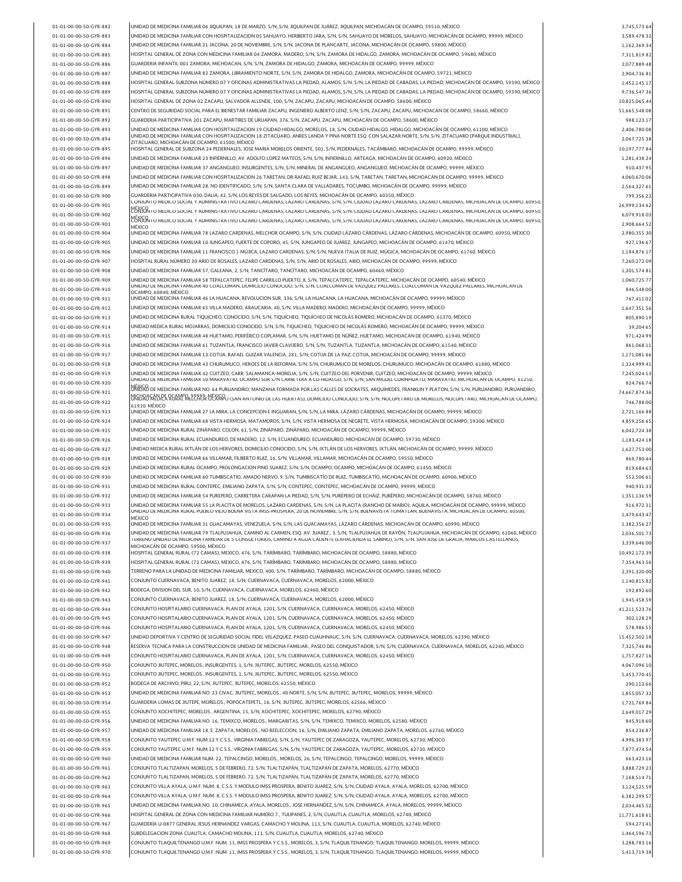| 01-01-00-00-50-GYR-882 | UNIDAD DE MEDICINA FAMILIAR 06 JIQUILPAN, 18 DE MARZO, S/N, S/N, JIQUILPAN DE JUÁREZ, JIQUILPAN, MICHOACÁN DE OCAMPO, 59510, MÉXICO                                                                                                                                                                      | 3,745,573.64  |
|------------------------|----------------------------------------------------------------------------------------------------------------------------------------------------------------------------------------------------------------------------------------------------------------------------------------------------------|---------------|
| 01-01-00-00-50-GYR-883 | UNIDAD DE MEDICINA FAMILIAR CON HOSPITALIZACION 05 SAHUAYO. HERIBERTO JARA. S/N. S/N. SAHUAYO DE MORELOS. SAHUAYO. MICHOACÁN DE OCAMPO. 99999. MÉXICO                                                                                                                                                    | 3,589,478.32  |
| 01-01-00-00-50-GYR-884 | JNIDAD DE MEDICINA FAMILIAR 21 JACONA, 20 DE NOVIEMBRE, S/N, S/N, JACONA DE PLANCARTE, JACONA, MICHOACÁN DE OCAMPO, 59800, MÉXICO                                                                                                                                                                        | 1,162,369.34  |
| 01-01-00-00-50-GYR-885 | HOSPITAL GENERAL DE ZONA CON MEDICINA FAMILIAR 04 ZAMORA, MADERO, S/N, S/N, ZAMORA DE HIDALGO, ZAMORA, MICHOACÁN DE OCAMPO, 59680, MÉXICO                                                                                                                                                                | 7,311,819.82  |
|                        |                                                                                                                                                                                                                                                                                                          |               |
| 01-01-00-00-50-GYR-886 | GUARDERIA INFANTIL 001 ZAMORA, MICHOACAN, S/N, S/N, ZAMORA DE HIDALGO, ZAMORA, MICHOACÁN DE OCAMPO, 99999, MÉXICO                                                                                                                                                                                        | 2,077,889.48  |
| 01-01-00-00-50-GYR-887 | UNIDAD DE MEDICINA FAMILIAR 82 ZAMORA, LIBRAMIENTO NORTE, S/N, S/N, ZAMORA DE HIDALGO, ZAMORA, MICHOACÂN DE OCAMPO, 59721, MÊXICO                                                                                                                                                                        | 2,904,736.81  |
| 01-01-00-00-50-GYR-888 | HOSPITAL GENERAL SUBZONA NÚMERO 07 Y OFICINAS ADMINISTRATIVAS LA PIEDAD, ALAMOS, S/N, S/N, LA PIEDAD DE CABADAS, LA PIEDAD, MICHOACÁN DE OCAMPO, 59390, MÉXICO                                                                                                                                           | 1,452,145.17  |
| 01-01-00-00-50-GYR-889 | HOSPITAL GENERAL SUBZONA NÚMERO 07 Y OFICINAS ADMINISTRATIVAS LA PIEDAD, ALAMOS, S/N, S/N, LA PIEDAD DE CABADAS, LA PIEDAD, MICHOACÁN DE OCAMPO, 59390, MÉXICO                                                                                                                                           | 9,736,547.36  |
|                        |                                                                                                                                                                                                                                                                                                          |               |
| 01-01-00-00-50-GYR-890 | HOSPITAL GENERAL DE ZONA 02 ZACAPU, SALVADOR ALLENDE, 100, S/N, ZACAPU, ZACAPU, MICHOACÂN DE OCAMPO, 58600, MÊXICO                                                                                                                                                                                       | 10,825,065.44 |
| 01-01-00-00-50-GYR-891 | CENTRO DE SEGURIDAD SOCIAL PARA EL BIENESTAR FAMILIAR ZACAPU, INGENIERO ALBERTO LENZ, S/N, S/N, ZACAPU, ZACAPU, MICHOACÁN DE OCAMPO, 58660, MÉXICO                                                                                                                                                       | 51.665.548.08 |
| 01-01-00-00-50-GYR-892 | GUARDERIA PARTICIPATIVA 201 ZACAPU, MARTIRES DE URUAPAN, 376, S/N, ZACAPU, ZACAPU, MICHOACÁN DE OCAMPO, 58600, MÊXICO                                                                                                                                                                                    | 988,123.17    |
|                        | JNIDAD DE MEDICINA FAMILIAR CON HOSPITALIZACION 19 CIUDAD HIDALGO. MORELOS. 18. S/N. CIUDAD HIDALGO. HIDALGO. MICHOACÁN DE OCAMPO. 61100. MÉXICO                                                                                                                                                         |               |
| 01-01-00-00-50-GYR-893 | JNIDAD DE MEDICINA FAMILIAR CON HOSPITALIZACION 18 ZITACUARO, ANRES LANDA Y PINA NORTE ESO. CON SALAZAR NORTE, S/N, S/N, ZITACUARO [PARQUE INDUSTRIAL],                                                                                                                                                  | 2,406,780.08  |
| 01-01-00-00-50-GYR-894 | ZITÁCUARO, MICHOACÁN DE OCAMPO, 61500, MÉXICO                                                                                                                                                                                                                                                            | 2,067,725.38  |
| 01-01-00-00-50-GYR-895 | HOSPITAL GENERAL DE SUBZONA 24 PEDERNALES, JOSE MARIA MORELOS ORIENTE, 501, S/N, PEDERNALES, TACÁMBARO, MICHOACÁN DE OCAMPO, 99999, MÉXICO                                                                                                                                                               | 10,197,777.84 |
| 01-01-00-00-50-GYR-896 | UNIDAD DE MEDICINA FAMILIAR 23 INFIERNILLO, AV. ADOLFO LOPEZ MATEOS, S/N, S/N, INFIERNILLO, ARTEAGA, MICHOACÁN DE OCAMPO, 60920, MÉXICO                                                                                                                                                                  | 1,281,438.24  |
|                        |                                                                                                                                                                                                                                                                                                          |               |
| 01-01-00-00-50-GYR-897 | UNIDAD DE MEDICINA FAMILIAR 37 ANGANGUEO, INSURGENTES, S/N, S/N, MINERAL DE ANGANGUEO, ANGANGUEO, MICHOACÁN DE OCAMPO, 99999, MÉXICO                                                                                                                                                                     | 910,437.95    |
| 01-01-00-00-50-GYR-898 | UNIDAD DE MEDICINA FAMILIAR CON HOSPITALIZACION 26 TARETAN, DR RAFAEL RUIZ BEJAR, 143, S/N, TARETAN, TARETAN, MICHOACĂN DE OCAMPO, 99999, MÈXICO                                                                                                                                                         | 4,060,670.06  |
| 01-01-00-00-50-GYR-899 | UNIDAD DE MEDICINA FAMILIAR 28, NO IDENTIFICADO, S/N, S/N, SANTA CLARA DE VALLADARES, TOCUMBO, MICHOACÁN DE OCAMPO, 99999, MÉXICO                                                                                                                                                                        | 2.564.327.61  |
|                        | GUARDERIA PARTICIPATIVA 030, DALIA, 42, S/N, LOS REYES DE SALGADO, LOS REYES, MICHOACÁN DE OCAMPO, 60350, MÉXICO                                                                                                                                                                                         |               |
| 01-01-00-00-50-GYR-900 | CONJUNTO MEDICO SOCIAL Y ADMINISTRATIVO LAZARO CARDENAS, LAZARO CARDENAS, S/N, S/N, CIUDAD LAZARO CARDENAS, LAZARO CARDENAS, MICHOACAN DE OCAMPO, 60950                                                                                                                                                  | 799,356.22    |
| 01-01-00-00-50-GYR-901 |                                                                                                                                                                                                                                                                                                          | 26,999,134.62 |
| 01-01-00-00-50-GYR-902 | <u>WENG</u> RI 10 medicu sucial y administra hvu lazaru cardenas, lazaru cardenas, s/n, s/n, ciudad lazaru cardenas, lazaru cardenas, michuacan de ucampu, 60950                                                                                                                                         | 6,079,918.03  |
| 01-01-00-00-50-GYR-903 | MŠNGN i o medico social y administra hvo lazaro cardenas, lazaro cardenas, s/n, s/n, ciudad lazaro cardenas, lazaro cardenas, michoacan de ocampo, 60950                                                                                                                                                 | 2,908,664.52  |
|                        | MÉXICO                                                                                                                                                                                                                                                                                                   |               |
| 01-01-00-00-50-GYR-904 | UNIDAD DE MEDICINA FAMILIAR 78 LAZARO CARDENAS, MELCHOR OCAMPO, S/N, S/N, CIUDAD LÁZARO CÁRDENAS, LÁZARO CÁRDENAS, MICHOACÁN DE OCAMPO, 60950, MÉXICO                                                                                                                                                    | 2,980,355.30  |
| 01-01-00-00-50-GYR-905 | UNIDAD DE MEDICINA FAMILIAR 10 JUNGAPEO, FUERTE DE COPORO, 45, S/N, JUNGAPEO DE JUÁREZ, JUNGAPEO, MICHOACÁN DE OCAMPO, 61470, MÉXICO                                                                                                                                                                     | 927.136.67    |
| 01-01-00-00-50-GYR-906 | UNIDAD DE MEDICINA FAMILIAR 11 FRANCISCO J. MÚJICA, LAZARO CARDENAS, S/N, S/N, NUEVA ITALIA DE RUIZ, MÚGICA, MICHOACÁN DE OCAMPO, 61760, MÉXICO                                                                                                                                                          | 1,184,876.17  |
| 01-01-00-00-50-GYR-907 | HOSPITAL RURAL NÚMERO 30 ARIO DE ROSALES, LAZARO CARDENAS, S/N, S/N, ARIO DE ROSALES, ARIO, MICHOACÁN DE OCAMPO, 99999, MÉXICO                                                                                                                                                                           | 7.260.272.09  |
|                        |                                                                                                                                                                                                                                                                                                          |               |
| 01-01-00-00-50-GYR-908 | UNIDAD DE MEDICINA FAMILIAR 57, GALEANA, 2, S/N, TANCÍTARO, TANCÍTARO, MICHOACÁN DE OCAMPO, 60460, MÉXICO                                                                                                                                                                                                | 1,201,574.81  |
| 01-01-00-00-50-GYR-909 | JNIDAD DE MEDICINA FAMILIAR 58 TEPALCATEPEC, FELIPE CARRILLO PUERTO, 8, S/N, TEPALCATEPEC, TEPALCATEPEC, MICHOACÁN DE OCAMPO, 60540, MÉXICO                                                                                                                                                              | 1,060,725.77  |
| 01-01-00-00-50-GYR-910 | JNIDAD DE MEDICINA FAMILIAR 40 COALCOMAN, DOMICILIO CONOCIDO, S/N, S/N, COALCOMAN DE VAZQUEZ PALLARES, COALCOMAN DE VAZQUEZ PALLARES, MICHOACAN DE                                                                                                                                                       | 846.548.00    |
|                        | OCAMPO 60840 MÉXICO<br>UNIDAD DE MEDICINA FAMILIAR 46 LA HUACANA, REVOLUCION SUR, 336, S/N, LA HUACANA, LA HUACANA, MICHOACÁN DE OCAMPO, 99999, MÉXICO                                                                                                                                                   | 767,411.02    |
| 01-01-00-00-50-GYR-911 |                                                                                                                                                                                                                                                                                                          |               |
| 01-01-00-00-50-GYR-912 | UNIDAD DE MEDICINA FAMILIAR 65 VILLA MADERO, ARAUCARIA, 40, S/N, VILLA MADERO, MADERO, MICHOACÁN DE OCAMPO, 99999, MÉXICO                                                                                                                                                                                | 1,647,351.56  |
| 01-01-00-00-50-GYR-913 | UNIDAD DE MEDICINA RURAL TIQUICHEO, CONOCIDO, S/N, S/N, TIQUICHEO, TIQUICHEO DE NICOLÁS ROMERO, MICHOACÁN DE OCAMPO, 61370, MÉXICO                                                                                                                                                                       | 805,890.19    |
| 01-01-00-00-50-GYR-914 | UNIDAD MEDICA RURAL MOJARRAS, DOMICILIO CONOCIDO, S/N, S/N, TIQUICHEO, TIQUICHEO DE NICOLÁS ROMERO, MICHOACÁN DE OCAMPO, 99999, MÉXICO                                                                                                                                                                   | 39.204.65     |
|                        |                                                                                                                                                                                                                                                                                                          |               |
| 01-01-00-00-50-GYR-915 | UNIDAD DE MEDICINA FAMILIAR 48 HUETAMO, PERIFÉRICO COPLAMAR, S/N, S/N, HUETAMO DE NÚÑEZ, HUETAMO, MICHOACÁN DE OCAMPO, 61940, MÉXICO                                                                                                                                                                     | 971,424.99    |
| 01-01-00-00-50-GYR-916 | UNIDAD DE MEDICINA FAMILIAR 61 TUZANTLA, FRANCISCO JAVIER CLAVIJERO, S/N, S/N, TUZANTLA, TUZANTLA, MICHOACÁN DE OCAMPO, 61540, MÊXICO                                                                                                                                                                    | 861,068.11    |
| 01-01-00-00-50-GYR-917 | UNIDAD DE MEDICINA FAMILIAR 13 COTIJA, RAFAEL GUIZAR VALENCIA, 281, S/N, COTIJA DE LA PAZ, COTIJA, MICHOACÁN DE OCAMPO, 99999, MÉXICO                                                                                                                                                                    | 1,171,081.66  |
| 01-01-00-00-50-GYR-918 | UNIDAD DE MEDICINA FAMILIAR 43 CHURUMUCO, HEROES DE LA REFORMA, S/N, S/N, CHURUMUCO DE MORELOS, CHURUMUCO, MICHOACÁN DE OCAMPO, 61880, MÉXICO                                                                                                                                                            | 1,324,999.41  |
|                        |                                                                                                                                                                                                                                                                                                          |               |
| 01-01-00-00-50-GYR-919 | UNIDAD DE MEDICINA FAMILIAR 42 CUITZEO, CARR. SALAMANCA-MORELIA, S/N, S/N, CUITZEO DEL PORVENIR, CUITZEO, MICHOACÁN DE OCAMPO, 99999, MÉXICO<br>UNIDAD DE MEDICINA FAMILIAR 50 MARAVA HO, OCAMPO SUR S/N CARRETERA A CD HIDALGO, S/N, S/N, SAN MIGUEL CURINHUATO, MARAVA HO, MICHOACAN DE OCAMPO, 61250, | 7,245,024.13  |
| 01-01-00-00-50-GYR-920 |                                                                                                                                                                                                                                                                                                          | 824.766.74    |
| 01-01-00-00-50-GYR-921 | MÑNSO de medicina familiar no. 64 puruandiro, manzana formada por las calles de socrates, arquimedes, franklin y platon, s/n, s/n, puruandiro, puruandiro,                                                                                                                                               | 74,667,874.36 |
|                        | YNTBR6MPENR REGENPMPERPRES NEXNPo (san antonio de las huertas), domicilio conocido, s/n, s/n, nocupetaro de morelos, nocupetaro, michoacan de ocampo,                                                                                                                                                    |               |
| 01-01-00-00-50-GYR-922 | 61910. MÉXICO                                                                                                                                                                                                                                                                                            | 746,788.00    |
| 01-01-00-00-50-GYR-923 | UNIDAD DE MEDICINA FAMILIAR 27 LA MIRA, LA CONCEPCION E INGUARAN, S/N, S/N, LA MIRA, LÁZARO CÁRDENAS, MICHOACÁN DE OCAMPO, 99999, MÉXICO                                                                                                                                                                 | 2,721,166.88  |
| 01-01-00-00-50-GYR-924 | UNIDAD DE MEDICINA FAMILIAR 68 VISTA HERMOSA, MATAMOROS, S/N, S/N, VISTA HERMOSA DE NEGRETE, VISTA HERMOSA, MICHOACÂN DE OCAMPO, 59200, MÊXICO                                                                                                                                                           | 4,859,256.65  |
| 01-01-00-00-50-GYR-925 | UNIDAD DE MEDICINA RURAL ZINÁPARO, COLON, 61, S/N, ZINÁPARO, ZINÁPARO, MICHOACÁN DE OCAMPO, 99999, MÉXICO                                                                                                                                                                                                | 6,042,724.38  |
|                        |                                                                                                                                                                                                                                                                                                          |               |
| 01-01-00-00-50-GYR-926 | JNIDAD DE MEDICINA RURAL ECUANDUREO, DE MADERO, 12, S/N, ECUANDUREO, ECUANDUREO, MICHOACÁN DE OCAMPO, 59730, MÉXICO                                                                                                                                                                                      | 1,183,424.18  |
| 01-01-00-00-50-GYR-927 | UNIDAD MEDICA RURAL IXTLÁN DE LOS HERVORES, DOMICILIO CONOCIDO, S/N, S/N, IXTLÁN DE LOS HERVORES, IXTLÁN, MICHOACÁN DE OCAMPO, 99999, MÉXICO                                                                                                                                                             | 1,627,753.00  |
| 01-01-00-00-50-GYR-928 | UNIDAD DE MEDICINA FAMILIAR 66 VILLAMAR, FILIBERTO RUIZ, 16, S/N, VILLAMAR, VILLAMAR, MICHOACÁN DE OCAMPO, 59550, MÉXICO                                                                                                                                                                                 | 869,780.44    |
| 01-01-00-00-50-GYR-929 | UNIDAD DE MEDICINA RURAL OCAMPO, PROLONGACION PINO SUAREZ, S/N, S/N, OCAMPO, OCAMPO, MICHOACÁN DE OCAMPO, 61450, MÉXICO                                                                                                                                                                                  | 819,684.63    |
|                        |                                                                                                                                                                                                                                                                                                          |               |
| 01-01-00-00-50-GYR-930 | UNIDAD DE MEDICINA FAMILIAR 60 TUMBISCATIO, AMADO NERVO, 9, S/N, TUMBISCATÍO DE RUIZ, TUMBISCATÍO, MICHOACÁN DE OCAMPO, 60900, MÉXICO                                                                                                                                                                    | 552,506.61    |
| 01-01-00-00-50-GYR-931 | UNIDAD DE MEDICINA RURAL CONTEPEC, EMILIANO ZAPATA, S/N, S/N, CONTEPEC, CONTEPEC, MICHOACÁN DE OCAMPO, 99999, MÉXICO                                                                                                                                                                                     | 940,931.33    |
| 01-01-00-00-50-GYR-932 | UNIDAD DE MEDICINA FAMILIAR 54 PUREPERO, CARRETERA CARAPAN LA PIEDAD, S/N, S/N, PURÈPERO DE ECHÂIZ, PURÈPERO, MICHOACÂN DE OCAMPO, 58760, MÈXICO                                                                                                                                                         | 1,351,136.59  |
| 01-01-00-00-50-GYR-933 | UNIDAD DE MEDICINA FAMILIAR 55 LA PLACITA DE MORELOS, LAZARO CARDENAS, S/N, S/N, LA PLACITA (RANCHO DE MARIO), AQUILA, MICHOACÁN DE OCAMPO, 99999, MÉXICO                                                                                                                                                |               |
|                        | UNIDAD DE MEDICINA RURAL PUEBLO VIEJO BUENA VISTA IMSS-PROSPERA, 20 DE NOVIEMBRE, S/N, S/N, BUENAVISTA TOMATLAN, BUENAVISTA, MICHOACAN DE OCAMPO, 60500,                                                                                                                                                 | 916,972.31    |
| 01-01-00-00-50-GYR-934 | MÉXICO                                                                                                                                                                                                                                                                                                   | 1,479,643.47  |
| 01-01-00-00-50-GYR-935 | UNIDAD DE MEDICINA FAMILIAR 31 GUACAMAYAS, VENEZUELA, S/N, S/N, LAS GUACAMAYAS, LÁZARO CÁRDENAS, MICHOACÁN DE OCAMPO, 60990, MÉXICO                                                                                                                                                                      | 1,382,356.27  |
| 01-01-00-00-50-GYR-936 | JNIDAD DE MEDICINA FAMILIAR 79 TLALPUJAHUA, CAMINO AL CARMEN, ESQ. AV. JUAREZ., 3, S/N, TLALPUJAHUA DE RAYÓN, TLALPUJAHUA, MICHOACÁN DE OCAMPO, 61060, MÉXICO                                                                                                                                            | 2,036,501.73  |
|                        | TERRENO UNIDAD DE MEDICINA FAMILIAR DE 5 CONSULTORIOS, CAMINO A AGUA CALIENTE (EXHACIENDA EL SABINO), S/N, S/N, SAN JOSE DE GRACIA, MARCOS CASTELLANOS,                                                                                                                                                  |               |
| 01-01-00-00-50-GYR-937 | MICHOACÁN DE OCAMPO, 59500, MÉXICO                                                                                                                                                                                                                                                                       | 3,339,646.00  |
| 01-01-00-00-50-GYR-938 | HOSPITAL GENERAL RURAL (72 CAMAS), MEXICO, 476, S/N, TARÍMBARO, TARÍMBARO, MICHOACÁN DE OCAMPO, 58880, MÉXICO                                                                                                                                                                                            | 10,492,172.39 |
| 01-01-00-00-50-GYR-939 | HOSPITAL GENERAL RURAL (72 CAMAS), MEXICO, 476, S/N, TARÍMBARO, TARÍMBARO, MICHOACÁN DE OCAMPO, 58880, MÉXICO                                                                                                                                                                                            | 7,354,963.56  |
| 01-01-00-00-50-GYR-940 | TERRENO PARA LA UNIDAD DE MEDICINA FAMILIAR, MEXICO, 400, S/N, TARÍMBARO, TARÍMBARO, MICHOACÁN DE OCAMPO, 58880, MÉXICO                                                                                                                                                                                  | 2,391,320.00  |
|                        |                                                                                                                                                                                                                                                                                                          |               |
| 01-01-00-00-50-GYR-941 | CONJUNTO CUERNAVACA, BENITO JUAREZ, 18, S/N, CUERNAVACA, CUERNAVACA, MORELOS, 62000, MÉXICO                                                                                                                                                                                                              | 1,140,815.82  |
| 01-01-00-00-50-GYR-942 | BODEGA, DIVISION DEL SUR, 10, S/N, CUERNAVACA, CUERNAVACA, MORELOS, 62460, MÉXICO                                                                                                                                                                                                                        | 192,892.60    |
| 01-01-00-00-50-GYR-943 | CONJUNTO CUERNAVACA, BENITO JUAREZ, 18, S/N, CUERNAVACA, CUERNAVACA, MORELOS, 62000, MÉXICO                                                                                                                                                                                                              | 1,945,458.59  |
| 01-01-00-00-50-GYR-944 | CONJUNTO HOSPITALARIO CUERNAVACA, PLAN DE AYALA, 1201, S/N, CUERNAVACA, CUERNAVACA, MORELOS, 62450, MÉXICO                                                                                                                                                                                               | 41,211,523.76 |
|                        |                                                                                                                                                                                                                                                                                                          |               |
| 01-01-00-00-50-GYR-945 | CONJUNTO HOSPITALARIO CUERNAVACA, PLAN DE AYALA, 1201, S/N, CUERNAVACA, CUERNAVACA, MORELOS, 62450, MÉXICO                                                                                                                                                                                               | 302,128.29    |
| 01-01-00-00-50-GYR-946 | CONJUNTO HOSPITALARIO CUERNAVACA, PLAN DE AYALA, 1201, S/N, CUERNAVACA, CUERNAVACA, MORELOS, 62450, MÉXICO                                                                                                                                                                                               | 578,986.55    |
| 01-01-00-00-50-GYR-947 | UNIDAD DEPORTIVA Y CENTRO DE SEGURIDAD SOCIAL FIDEL VELAZQUEZ, PASEO CUAUHNAUC, S/N, S/N, CUERNAVACA, CUERNAVACA, MORELOS, 62390, MÉXICO                                                                                                                                                                 | 15.452.502.18 |
|                        |                                                                                                                                                                                                                                                                                                          |               |
| 01-01-00-00-50-GYR-948 | RESERVA TECNICA PARA LA CONSTRUCCION DE UNIDAD DE MEDICINA FAMILIAR., PASEO DEL CONQUISTADOR, S/N, S/N, CUERNAVACA, CUERNAVACA, MORELOS, 62240, MÉXICO                                                                                                                                                   | 7,325,746.86  |
| 01-01-00-00-50-GYR-949 | CONJUNTO HOSPITALARIO CUERNAVACA, PLAN DE AYALA, 1201, S/N, CUERNAVACA, CUERNAVACA, MORELOS, 62450, MÉXICO                                                                                                                                                                                               | 1,757,827.16  |
| 01-01-00-00-50-GYR-950 | CONJUNTO JIUTEPEC, MORELOS., INSURGENTES, 1, S/N, JIUTEPEC, JIUTEPEC, MORELOS, 62550, MÉXICO                                                                                                                                                                                                             | 4,067,096.10  |
| 01-01-00-00-50-GYR-951 | CONJUNTO JIUTEPEC, MORELOS., INSURGENTES, 1, S/N, JIUTEPEC, JIUTEPEC, MORELOS, 62550, MÉXICO                                                                                                                                                                                                             | 5,453,770.45  |
|                        |                                                                                                                                                                                                                                                                                                          |               |
| 01-01-00-00-50-GYR-952 | BODEGA DE ARCHIVO, PIRU, 22, S/N, JIUTEPEC, JIUTEPEC, MORELOS, 62550, MÉXICO                                                                                                                                                                                                                             | 290.112.66    |
| 01-01-00-00-50-GYR-953 | UNIDAD DE MEDICINA FAMILIAR NO. 23 CIVAC, JIUTEPEC, MORELOS., 40 NORTE, S/N, S/N, JIUTEPEC, JIUTEPEC, MORELOS, 99999, MÊXICO                                                                                                                                                                             | 1,855,057.32  |
| 01-01-00-00-50-GYR-954 | GUARDERIA LOMAS DE JIUTEPE, MORELOS., POPOCATEPETL, 16, S/N, JIUTEPEC, JIUTEPEC, MORELOS, 62566, MÉXICO                                                                                                                                                                                                  | 1,721,769.84  |
| 01-01-00-00-50-GYR-955 | CONJUNTO XOCHITEPEC, MORELOS., ARGENTINA, 15, S/N, XOCHITEPEC, XOCHITEPEC, MORELOS, 62790, MÉXICO                                                                                                                                                                                                        | 2,649,017.29  |
|                        |                                                                                                                                                                                                                                                                                                          |               |
| 01-01-00-00-50-GYR-956 | UNIDAD DE MEDICINA FAMILIAR NO. 16, TEMIXCO, MORELOS., MARGARITAS, S/N, S/N, TEMIXCO, TEMIXCO, MORELOS, 62580, MÉXICO                                                                                                                                                                                    | 845,918.60    |
| 01-01-00-00-50-GYR-957 | UNIDAD DE MEDICINA FAMILIAR 18, E. ZAPATA, MORELOS., NO REELECCION, 16, S/N, EMILIANO ZAPATA, EMILIANO ZAPATA, MORELOS, 62760, MÉXICO                                                                                                                                                                    | 854,236.87    |
| 01-01-00-00-50-GYR-958 | CONJUNTO YAUTEPEC U.M.F. NUM.12 Y C.S.S., VIRGINIA FABREGAS, S/N, S/N, YAUTEPEC DE ZARAGOZA, YAUTEPEC, MORELOS, 62730, MÊXICO                                                                                                                                                                            | 4,996,383.97  |
| 01-01-00-00-50-GYR-959 | CONJUNTO YAUTEPEC U.M.F. NUM.12 Y C.S.S., VIRGINIA FABREGAS, S/N, S/N, YAUTEPEC DE ZARAGOZA, YAUTEPEC, MORELOS, 62730, MÉXICO                                                                                                                                                                            | 7,877,474.54  |
|                        |                                                                                                                                                                                                                                                                                                          |               |
| 01-01-00-00-50-GYR-960 | UNIDAD DE MEDICINA FAMILIAR NUM. 22, TEPALCINGO, MORELOS., MORELOS, 26, S/N, TEPALCINGO, TEPALCINGO, MORELOS, 99999, MÉXICO                                                                                                                                                                              | 663,423.16    |
| 01-01-00-00-50-GYR-961 | CONJUNTO TLALTIZAPAN, MORELOS, 5 DE FEBRERO, 72, S/N, TLALTIZAPÁN, TLALTIZAPÁN DE ZAPATA, MORELOS, 62770, MÉXICO                                                                                                                                                                                         | 3,888,729.23  |
| 01-01-00-00-50-GYR-962 | CONJUNTO TLALTIZAPAN, MORELOS, 5 DE FEBRERO, 72, S/N, TLALTIZAPÁN, TLALTIZAPÁN DE ZAPATA, MORELOS, 62770, MÉXICO                                                                                                                                                                                         | 7,168,514.71  |
|                        |                                                                                                                                                                                                                                                                                                          |               |
| 01-01-00-00-50-GYR-963 | CONJUNTO VILLA AYALA, U.M.F. NUM. 8, C.S.S. Y MODULO IMSS PROSPERA, BENITO JUAREZ, S/N, S/N, CIUDAD AYALA, AYALA, MORELOS, 62700, MÊXICO                                                                                                                                                                 | 3,124,525.59  |
| 01-01-00-00-50-GYR-964 | CONJUNTO VILLA AYALA, U.M.F. NUM. 8, C.S.S. Y MODULO IMSS PROSPERA, BENITO JUAREZ, S/N, S/N, CIUDAD AYALA, AYALA, MORELOS, 62700, MÉXICO                                                                                                                                                                 | 6,382,299.57  |
| 01-01-00-00-50-GYR-965 | UNIDAD DE MEDICINA FAMILIAR NO. 10, CHINAMECA, AYALA, MORELOS., JOSE HERNANDEZ, S/N, S/N, CHINAMECA, AYALA, MORELOS, 99999, MÉXICO                                                                                                                                                                       | 2,034,465.52  |
| 01-01-00-00-50-GYR-966 | HOSPITAL GENERAL DE ZONA CON MEDICINA FAMILIAR NUMERO 7., TULIPANES, 2, S/N, CUAUTLA, CUAUTLA, MORELOS, 62740, MÉXICO                                                                                                                                                                                    | 11,771,618.61 |
|                        |                                                                                                                                                                                                                                                                                                          |               |
| 01-01-00-00-50-GYR-967 |                                                                                                                                                                                                                                                                                                          |               |
|                        | GUARDERÍA U-0877 GENERAL JESUS HERNANDEZ VARGAS, CAMACHO Y MOLINA, 113, S/N, CUAUTLA, CUAUTLA, MORELOS, 62740, MÉXICO                                                                                                                                                                                    | 594,273.41    |
| 01-01-00-00-50-GYR-968 | SUBDELEGACION ZONA CUAUTLA, CAMACHO MOLINA, 111, S/N, CUAUTLA, CUAUTLA, MORELOS, 62740, MÉXICO                                                                                                                                                                                                           | 1,464,596.73  |
| 01-01-00-00-50-GYR-969 | CONJUNTO TLAQUILTENANGO U.M.F. NUM. 11, IMSS PROSPERA Y C.S.S., MORELOS, 3, S/N, TLAQUILTENANGO, TLAQUILTENANGO, MORELOS, 99999, MÉXICO                                                                                                                                                                  | 3,288,783.16  |
| 01-01-00-00-50-GYR-970 | CONJUNTO TLAQUILTENANGO U.M.F. NUM. 11, IMSS PROSPERA Y C.S.S., MORELOS, 3, S/N, TLAQUILTENANGO, TLAQUILTENANGO, MORELOS, 99999, MÉXICO                                                                                                                                                                  | 5,413,719.38  |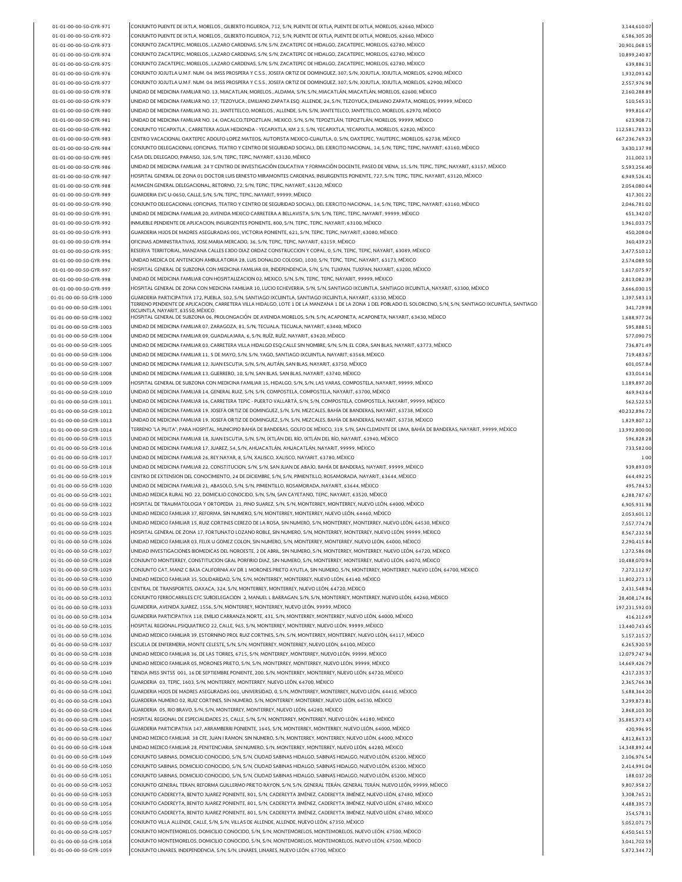| 01-01-00-00-50-GYR-971                             |                                                                                                                                                                                                      |                              |
|----------------------------------------------------|------------------------------------------------------------------------------------------------------------------------------------------------------------------------------------------------------|------------------------------|
|                                                    | CONJUNTO PUENTE DE IXTLA, MORELOS., GILBERTO FIGUEROA, 712, S/N, PUENTE DE IXTLA, PUENTE DE IXTLA, MORELOS, 62660, MÉXICO                                                                            | 3,144,610.07                 |
| 01-01-00-00-50-GYR-972                             | CONJUNTO PUENTE DE IXTLA, MORELOS., GILBERTO FIGUEROA, 712, S/N, PUENTE DE IXTLA, PUENTE DE IXTLA, MORELOS, 62660, MÉXICO                                                                            | 6,586,305.20                 |
| 01-01-00-00-50-GYR-973                             | CONJUNTO ZACATEPEC, MORELOS., LAZARO CARDENAS, S/N, S/N, ZACATEPEC DE HIDALGO, ZACATEPEC, MORELOS, 62780, MÊXICO                                                                                     | 20,901,068.15                |
| 01-01-00-00-50-GYR-974                             | CONJUNTO ZACATEPEC, MORELOS., LAZARO CARDENAS, S/N, S/N, ZACATEPEC DE HIDALGO, ZACATEPEC, MORELOS, 62780, MÉXICO                                                                                     | 10.899.240.87                |
| 01-01-00-00-50-GYR-975                             | CONJUNTO ZACATEPEC, MORELOS., LAZARO CARDENAS, S/N, S/N, ZACATEPEC DE HIDALGO, ZACATEPEC, MORELOS, 62780, MÊXICO                                                                                     | 639,886.31                   |
| 01-01-00-00-50-GYR-976                             | CONJUNTO JOJUTLA U.M.F. NUM. 04. IMSS PROSPERA Y C.S.S., JOSEFA ORTIZ DE DOMINGUEZ, 307, S/N, JOJUTLA, JOJUTLA, MORELOS, 62900, MÉXICO                                                               | 1,932,093.62                 |
| 01-01-00-00-50-GYR-977                             | CONJUNTO JOJUTLA U.M.F. NUM. 04. IMSS PROSPERA Y C.S.S., JOSEFA ORTIZ DE DOMINGUEZ, 307, S/N, JOJUTLA, JOJUTLA, MORELOS, 62900, MÉXICO                                                               | 2,557,976.98                 |
|                                                    |                                                                                                                                                                                                      |                              |
| 01-01-00-00-50-GYR-978                             | UNIDAD DE MEDICINA FAMILIAR NO. 13, MIACATLAN, MORELOS., ALDAMA, S/N, S/N, MIACATLÂN, MIACATLÂN, MORELOS, 62600, MÊXICO                                                                              | 2,160,288.89                 |
| 01-01-00-00-50-GYR-979                             | UNIDAD DE MEDICINA FAMILIAR NO. 17. TEZOYUCA EMILIANO ZAPATA ESO. ALLENDE. 24. S/N. TEZOYUCA. EMILIANO ZAPATA. MORELOS. 99999. MÉXICO                                                                | 510.565.31                   |
| 01-01-00-00-50-GYR-980                             | UNIDAD DE MEDICINA FAMILIAR NO. 21, JANTETELCO, MORELOS., ALLENDE, S/N, S/N, JANTETELCO, JANTETELCO, MORELOS, 62970, MÊXICO                                                                          | 999,816.47                   |
| 01-01-00-00-50-GYR-981                             | UNIDAD DE MEDICINA FAMILIAR NO. 14, OACALCO,TEPOZTLAN., MEXICO, S/N, S/N, TEPOZTLÁN, TEPOZTLÁN, MORELOS, 99999, MÉXICO                                                                               | 623,908.71                   |
| 01-01-00-00-50-GYR-982                             | CONJUNTO YECAPIXTLA., CARRETERA AGUA HEDIONDA - YECAPIXTLA, KM 2.5, S/N, YECAPIXTLA, YECAPIXTLA, MORELOS, 62820, MÉXICO                                                                              | 112,581,783.23               |
| 01-01-00-00-50-GYR-983                             | CENTRO VACACIONAL OAXTEPEC ADOLFO LOPEZ MATEOS, AUTOPISTA MEXICO-CUAUTLA, 0, S/N, OAXTEPEC, YAUTEPEC, MORELOS, 62738, MÊXICO                                                                         | 667,236,769.23               |
|                                                    |                                                                                                                                                                                                      |                              |
| 01-01-00-00-50-GYR-984                             | CONJUNTO DELEGACIONAL (OFICINAS, TEATRO Y CENTRO DE SEGURIDAD SOCIAL), DEL EJERCITO NACIONAL, 14, S/N, TEPIC, TEPIC, NAYARIT, 63160, MÉXICO                                                          | 3,630,137.98                 |
| 01-01-00-00-50-GYR-985                             | CASA DEL DELEGADO, PARAISO, 326, S/N, TEPIC, TEPIC, NAYARIT, 63130, MÈXICO                                                                                                                           | 211,002.13                   |
| 01-01-00-00-50-GYR-986                             | UNIDAD DE MEDICINA FAMILIAR 24 Y CENTRO DE INVESTIGACIÓN EDUCATIVA Y FORMACIÓN DOCENTE, PASEO DE VIENA, 15, S/N, TEPIC, TEPIC, NAYARIT, 63157, MÉXICO                                                | 5,593,256.40                 |
| 01-01-00-00-50-GYR-987                             | HOSPITAL GENERAL DE ZONA 01 DOCTOR LUIS ERNESTO MIRAMONTES CARDENAS, INSURGENTES PONIENTE, 727, S/N, TEPIC, TEPIC, NAYARIT, 63120, MÉXICO                                                            | 6,949,526.41                 |
| 01-01-00-00-50-GYR-988                             | ALMACEN GENERAL DELEGACIONAL, RETORNO, 72, S/N, TEPIC, TEPIC, NAYARIT, 63120, MÉXICO                                                                                                                 | 2,054,080.64                 |
|                                                    | GUARDERIA EVC U-0650, CALLE, S/N, S/N, TEPIC, TEPIC, NAYARIT, 99999, MÉXICO                                                                                                                          |                              |
| 01-01-00-00-50-GYR-989                             |                                                                                                                                                                                                      | 417.301.22                   |
| 01-01-00-00-50-GYR-990                             | CONJUNTO DELEGACIONAL (OFICINAS, TEATRO Y CENTRO DE SEGURIDAD SOCIAL), DEL EJERCITO NACIONAL, 14, S/N, TEPIC, TEPIC, NAYARIT, 63160, MÉXICO                                                          | 2,046,781.02                 |
| 01-01-00-00-50-GYR-991                             | UNIDAD DE MEDICINA FAMILIAR 20, AVENIDA MEXICO CARRETERA A BELLAVISTA, S/N, S/N, TEPIC, TEPIC, NAYARIT, 99999, MÉXICO                                                                                | 651,342.07                   |
| 01-01-00-00-50-GYR-992                             | NMUEBLE PENDIENTE DE APLICACION, INSURGENTES PONIENTE, 800, S/N, TEPIC, TEPIC, NAYARIT, 63100, MÉXICO                                                                                                | 1,961,033.75                 |
| 01-01-00-00-50-GYR-993                             | GUARDERIA HIJOS DE MADRES ASEGURADAS 001, VICTORIA PONIENTE, 621, S/N, TEPIC, TEPIC, NAYARIT, 63080, MÊXICO                                                                                          | 450,208.04                   |
| 01-01-00-00-50-GYR-994                             | OFICINAS ADMINISTRATIVAS, JOSE MARIA MERCADO, 36, S/N, TEPIC, TEPIC, NAYARIT, 63159, MÉXICO                                                                                                          | 360.439.23                   |
|                                                    |                                                                                                                                                                                                      |                              |
| 01-01-00-00-50-GYR-995                             | RESERVA TERRITORIAL, MANZANA CALLES EJIDO DIAZ ORDAZ CONSTRUCCION Y COPAL, 0, S/N, TEPIC, TEPIC, NAYARIT, 63089, MÊXICO                                                                              | 3,477,510.12                 |
| 01-01-00-00-50-GYR-996                             | UNIDAD MEDICA DE ANTENCION AMBULATORIA 28, LUIS DONALDO COLOSIO, 1030, S/N, TEPIC, TEPIC, NAYARIT, 63173, MÉXICO                                                                                     | 2,574,089.50                 |
| 01-01-00-00-50-GYR-997                             | HOSPITAL GENERAL DE SUBZONA CON MEDICINA FAMILIAR 08, INDEPENDENCIA, S/N, S/N, TUXPAN, TUXPAN, NAYARIT, 63200, MÉXICO                                                                                | 1,617,075.97                 |
| 01-01-00-00-50-GYR-998                             | UNIDAD DE MEDICINA FAMILIAR CON HOSPITALIZACION 02, MEXICO, S/N, S/N, TEPIC, TEPIC, NAYARIT, 99999, MÉXICO                                                                                           | 2,813,082.39                 |
| 01-01-00-00-50-GYR-999                             | HOSPITAL GENERAL DE ZONA CON MEDICINA FAMILIAR 10, LUCIO ECHEVERRIA, S/N, S/N, SANTIAGO IXCUINTLA, SANTIAGO IXCUINTLA, NAYARIT, 63300, MÉXICO                                                        | 3,666,030.15                 |
|                                                    | GUARDERIA PARTICIPATIVA 172, PUEBLA, 502, S/N, SANTIAGO IXCUINTLA, SANTIAGO IXCUINTLA, NAYARIT, 63330, MÉXICO                                                                                        |                              |
| 01-01-00-00-50-GYR-1000                            | TERRENO PENDIENTE DE APLICACION, CARRETERA VILLA HIDALGO, LOTE 1 DE LA MANZANA 1 DE LA ZONA 1 DEL POBLADO EL SOLORCENO, S/N, S/N, SANTIAGO IXCUINTLA, SANTIAGO                                       | 1,397,583.13                 |
| 01-01-00-00-50-GYR-1001                            | IXCUINTLA, NAYARIT, 63550, MÉXICO                                                                                                                                                                    | 341,729.98                   |
| 01-01-00-00-50-GYR-1002                            | HOSPITAL GENERAL DE SUBZONA 06, PROLONGACIÓN DE AVENIDA MORELOS, S/N, S/N, ACAPONETA, ACAPONETA, NAYARIT, 63430, MÉXICO                                                                              | 1,688,977.26                 |
| 01-01-00-00-50-GYR-1003                            | UNIDAD DE MEDICINA FAMILIAR 07, ZARAGOZA, 81, S/N, TECUALA, TECUALA, NAYARIT, 63440, MÉXICO                                                                                                          | 595,888.51                   |
| 01-01-00-00-50-GYR-1004                            | UNIDAD DE MEDICINA FAMILIAR 09, GUADALAJARA, 6, S/N, RUÍZ, RUÍZ, NAYARIT, 63620, MÉXICO                                                                                                              | 577,090.75                   |
|                                                    |                                                                                                                                                                                                      |                              |
| 01-01-00-00-50-GYR-1005                            | UNIDAD DE MEDICINA FAMILIAR 03, CARRETERA VILLA HIDALGO ESQ.CALLE SIN NOMBRE, S/N, S/N, EL CORA, SAN BLAS, NAYARIT, 63773, MÉXICO                                                                    | 736,871.49                   |
| 01-01-00-00-50-GYR-1006                            | UNIDAD DE MEDICINA FAMILIAR 11, 5 DE MAYO, S/N, S/N, YAGO, SANTIAGO IXCUINTLA, NAYARIT, 63568, MÉXICO                                                                                                | 719,483.67                   |
| 01-01-00-00-50-GYR-1007                            | UNIDAD DE MEDICINA FAMILIAR 12, JUAN ESCUTIA, S/N, S/N, AUTÂN, SAN BLAS, NAYARIT, 63750, MÊXICO                                                                                                      | 601,057.84                   |
| 01-01-00-00-50-GYR-1008                            | UNIDAD DE MEDICINA FAMILIAR 13, GUERRERO, 10, S/N, SAN BLAS, SAN BLAS, NAYARIT, 63740, MÉXICO                                                                                                        | 633,014.16                   |
| 01-01-00-00-50-GYR-1009                            | HOSPITAL GENERAL DE SUBZONA CON MEDICINA FAMILIAR 15, HIDALGO, S/N, S/N, LAS VARAS, COMPOSTELA, NAYARIT, 99999, MÊXICO                                                                               | 1,189,897.20                 |
|                                                    | UNIDAD DE MEDICINA FAMILIAR 14, GENERAL RUIZ, S/N, S/N, COMPOSTELA, COMPOSTELA, NAYARIT, 63700, MÉXICO                                                                                               |                              |
| 01-01-00-00-50-GYR-1010                            |                                                                                                                                                                                                      | 469,943.64                   |
| 01-01-00-00-50-GYR-1011                            | UNIDAD DE MEDICINA FAMILIAR 16, CARRETERA TEPIC - PUERTO VALLARTA, S/N, S/N, COMPOSTELA, COMPOSTELA, NAYARIT, 99999, MÉXICO                                                                          | 562,522.53                   |
| 01-01-00-00-50-GYR-1012                            | UNIDAD DE MEDICINA FAMILIAR 19, JOSEFA ORTIZ DE DOMINGUEZ, S/N, S/N, MEZCALES, BAHÍA DE BANDERAS, NAYARIT, 63738, MÉXICO                                                                             | 40,232,896.72                |
| 01-01-00-00-50-GYR-1013                            | UNIDAD DE MEDICINA FAMILIAR 19, JOSEFA ORTIZ DE DOMINGUEZ, S/N, S/N, MEZCALES, BAHÍA DE BANDERAS, NAYARIT, 63738, MÉXICO                                                                             | 1,829,807.12                 |
| 01-01-00-00-50-GYR-1014                            | TERRENO "LA PILITA", PARA HOSPITAL, MUNICIPIO BAHÍA DE BANDERAS, GOLFO DE MÉXICO, 319, S/N, SAN CLEMENTE DE LIMA, BAHÍA DE BANDERAS, NAYARIT, 99999, MÉXICO                                          | 13,992,800.00                |
| 01-01-00-00-50-GYR-1015                            | UNIDAD DE MEDICINA FAMILIAR 18, JUAN ESCUTIA, S/N, S/N, IXTLÁN DEL RÍO, IXTLÁN DEL RÍO, NAYARIT, 63940, MÉXICO                                                                                       | 596,828.28                   |
|                                                    |                                                                                                                                                                                                      |                              |
| 01-01-00-00-50-GYR-1016                            | UNIDAD DE MEDICINA FAMILIAR 17, JUAREZ, 54, S/N, AHUACATLÁN, AHUACATLÁN, NAYARIT, 99999, MÉXICO                                                                                                      | 733,582.00                   |
| 01-01-00-00-50-GYR-1017                            | UNIDAD DE MEDICINA FAMILIAR 26, REY NAYAR, 8, S/N, XALISCO, XALISCO, NAYARIT, 63780, MÉXICO                                                                                                          | 1.00                         |
| 01-01-00-00-50-GYR-1018                            | UNIDAD DE MEDICINA FAMILIAR 22, CONSTITUCION, S/N, S/N, SAN JUAN DE ABAJO, BAHÍA DE BANDERAS, NAYARIT, 99999, MÉXICO                                                                                 | 939,893.09                   |
| 01-01-00-00-50-GYR-1019                            | CENTRO DE EXTENSION DEL CONOCIMIENTO, 24 DE DICIEMBRE, S/N, S/N, PIMIENTILLO, ROSAMORADA, NAYARIT, 63644, MÉXICO                                                                                     | 664,492.25                   |
| 01-01-00-00-50-GYR-1020                            | UNIDAD DE MEDICINA FAMILIAR 21, ABASOLO, S/N, S/N, PIMIENTILLO, ROSAMORADA, NAYARIT, 63644, MÉXICO                                                                                                   | 495,784.52                   |
|                                                    |                                                                                                                                                                                                      |                              |
|                                                    | UNIDAD MEDICA RURAL NO. 22, DOMICILIO CONOCIDO, S/N, S/N, SAN CAYETANO, TEPIC, NAYARIT, 63520, MÉXICO                                                                                                |                              |
| 01-01-00-00-50-GYR-1021                            |                                                                                                                                                                                                      | 6,288,787.67                 |
| 01-01-00-00-50-GYR-1022                            | HOSPITAL DE TRAUMATOLOGIA Y ORTOPEDIA 21, PINO SUAREZ, S/N, S/N, MONTERREY, MONTERREY, NUEVO LEÓN, 64000, MÉXICO                                                                                     | 6,905,931.98                 |
| 01-01-00-00-50-GYR-1023                            | UNIDAD MEDICO FAMILIAR 37, REFORMA, SIN NUMERO, S/N, MONTERREY, MONTERREY, NUEVO LEÓN, 64460, MÉXICO                                                                                                 | 2,053,601.12                 |
| 01-01-00-00-50-GYR-1024                            |                                                                                                                                                                                                      | 7,557,774.78                 |
|                                                    | JNIDAD MEDICO FAMILIAR 15, RUIZ CORTINES CEREZO DE LA ROSA, SIN NUMERO, S/N, MONTERREY, MONTERREY, NUEVO LEON, 64530, MEXICO                                                                         |                              |
| 01-01-00-00-50-GYR-1025                            | HOSPITAL GENERAL DE ZONA 17, FORTUNATO LOZANO ROBLE, SIN NUMERO, S/N, MONTERREY, MONTERREY, NUEVO LEÓN, 99999, MÉXICO                                                                                | 8,567,232.58                 |
| 01-01-00-00-50-GYR-1026                            | UNIDAD MEDICO FAMILIAR 03, FELIX U GOMEZ COLON, SIN NUMERO, S/N, MONTERREY, MONTERREY, NUEVO LEÓN, 64000, MÉXICO                                                                                     | 2,290,415.84                 |
| 01-01-00-00-50-GYR-1027                            | UNIDAD INVESTIGACIONES BIOMEDICAS DEL NOROESTE, 2 DE ABRIL, SIN NUMERO, S/N, MONTERREY, MONTERREY, NUEVO LEÓN, 64720, MÉXICO                                                                         | 1,272,586.08                 |
| 01-01-00-00-50-GYR-1028                            | CONJUNTO MONTERREY, CONSTITUCION GRAL PORFIRIO DIAZ, SIN NUMERO, S/N, MONTERREY, MONTERREY, NUEVO LEÓN, 64070, MÉXICO                                                                                | 10,488,070.94                |
| 01-01-00-00-50-GYR-1029                            | CONJUNTO CAT, MANZ C BAJA CALIFORNIA AV DR 1 MORONES PRIETO AYUTLA, SIN NUMERO, S/N, MONTERREY, MONTERREY, NUEVO LEÓN, 64700, MÉXICO                                                                 | 7,272,112.97                 |
|                                                    | UNIDAD MEDICO FAMILIAR 35, SOLIDARIDAD, S/N, S/N, MONTERREY, MONTERREY, NUEVO LEÓN, 64140, MÉXICO                                                                                                    | 11,802,273.13                |
| 01-01-00-00-50-GYR-1030                            |                                                                                                                                                                                                      |                              |
| 01-01-00-00-50-GYR-1031                            | CENTRAL DE TRANSPORTES, OAXACA, 324, S/N, MONTERREY, MONTERREY, NUEVO LEÓN, 64720, MÉXICO                                                                                                            | 2,431,548.94                 |
| 01-01-00-00-50-GYR-1032                            | CONJUNTO FERROCARRILES CFC SUBDELEGACION 2, MANUEL L BARRAGAN, S/N, S/N, MONTERREY, MONTERREY, NUEVO LEÓN, 64260, MÉXICO                                                                             | 28,408,174.86                |
| 01-01-00-00-50-GYR-1033                            | GUARDERIA, AVENIDA JUAREZ, 1556, S/N, MONTERREY, MONTERREY, NUEVO LEÓN, 99999, MÉXICO                                                                                                                | 197,231,592.03               |
| 01-01-00-00-50-GYR-1034                            | GUARDERIA PARTICIPATIVA 118, EMILIO CARRANZA NORTE, 431, S/N, MONTERREY, MONTERREY, NUEVO LEÓN, 64000, MÉXICO                                                                                        | 416,212.69                   |
| 01-01-00-00-50-GYR-1035                            | HOSPITAL REGIONAL PSIQUIATRICO 22, CALLE, 965, S/N, MONTERREY, MONTERREY, NUEVO LEÓN, 99999, MÉXICO                                                                                                  | 13,440,743.65                |
| 01-01-00-00-50-GYR-1036                            | UNIDAD MEDICO FAMILIAR 39, ESTORNINO PROL RUIZ CORTINES, S/N, S/N, MONTERREY, MONTERREY, NUEVO LEÓN, 64117, MÉXICO                                                                                   | 5,157,215.27                 |
|                                                    |                                                                                                                                                                                                      |                              |
| 01-01-00-00-50-GYR-1037                            | ESCUELA DE ENFERMERIA, MONTE CELESTE, S/N, S/N, MONTERREY, MONTERREY, NUEVO LEÓN, 64100, MÉXICO                                                                                                      | 6,265,920.59                 |
| 01-01-00-00-50-GYR-1038                            | UNIDAD MEDICO FAMILIAR 36, DE LAS TORRES, 6715, S/N, MONTERREY, MONTERREY, NUEVO LEÓN, 99999, MÉXICO                                                                                                 | 12,079,747.94                |
| 01-01-00-00-50-GYR-1039                            | UNIDAD MEDICO FAMILIAR 05, MORONES PRIETO, S/N, S/N, MONTERREY, MONTERREY, NUEVO LEÓN, 99999, MÉXICO                                                                                                 | 14,669,426.79                |
| 01-01-00-00-50-GYR-1040                            | TIENDA IMSS SNTSS 001, 16 DE SEPTIEMBRE PONIENTE, 200, S/N, MONTERREY, MONTERREY, NUEVO LEÓN, 64720, MÉXICO                                                                                          | 4,217,235.37                 |
| 01-01-00-00-50-GYR-1041                            | GUARDERIA 03, TEPIC, 1603, S/N, MONTERREY, MONTERREY, NUEVO LEÓN, 64700, MÉXICO                                                                                                                      | 2,365,766.38                 |
|                                                    |                                                                                                                                                                                                      |                              |
| 01-01-00-00-50-GYR-1042                            | GUARDERIA HIJOS DE MADRES ASEGURADAS 001, UNIVERSIDAD, 0, S/N, MONTERREY, MONTERREY, NUEVO LEÓN, 64410, MÉXICO                                                                                       | 5,688,364.20                 |
| 01-01-00-00-50-GYR-1043                            | GUARDERIA NUMERO 02, RUIZ CORTINES, SIN NUMERO, S/N, MONTERREY, MONTERREY, NUEVO LEÓN, 64530, MÉXICO                                                                                                 | 3,299,873.81                 |
| 01-01-00-00-50-GYR-1044                            | GUARDERIA 05, RIO BRAVO, S/N, S/N, MONTERREY, MONTERREY, NUEVO LEÓN, 64280, MÉXICO                                                                                                                   | 2,868,103.30                 |
| 01-01-00-00-50-GYR-1045                            | HOSPITAL REGIONAL DE ESPECIALIDADES 25, CALLE, S/N, S/N, MONTERREY, MONTERREY, NUEVO LEÓN, 64180, MÉXICO                                                                                             | 35,885,973.43                |
| 01-01-00-00-50-GYR-1046                            | GUARDERIA PARTICIPATIVA 147, ARRAMBERRI PONIENTE, 1645, S/N, MONTERREY, MONTERREY, NUEVO LEÓN, 64000, MÉXICO                                                                                         | 420,996.95                   |
| 01-01-00-00-50-GYR-1047                            | UNIDAD MEDICO FAMILIAR 38 CFE, JUAN I RAMON, SIN NUMERO, S/N, MONTERREY, MONTERREY, NUEVO LEÓN, 64000, MÉXICO                                                                                        | 4,812,863.23                 |
|                                                    |                                                                                                                                                                                                      |                              |
| 01-01-00-00-50-GYR-1048                            | UNIDAD MEDICO FAMILIAR 28, PENITENCIARIA, SIN NUMERO, S/N, MONTERREY, MONTERREY, NUEVO LEÓN, 64280, MÉXICO                                                                                           | 14,348,892.44                |
| 01-01-00-00-50-GYR-1049                            | CONJUNTO SABINAS, DOMICILIO CONOCIDO, S/N, S/N, CIUDAD SABINAS HIDALGO, SABINAS HIDALGO, NUEVO LEÓN, 65200, MÉXICO                                                                                   | 2,106,976.54                 |
| 01-01-00-00-50-GYR-1050                            | CONJUNTO SABINAS, DOMICILIO CONOCIDO, S/N, S/N, CIUDAD SABINAS HIDALGO, SABINAS HIDALGO, NUEVO LEÓN, 65200, MÉXICO                                                                                   | 2,414,991.04                 |
| 01-01-00-00-50-GYR-1051                            | CONJUNTO SABINAS, DOMICILIO CONOCIDO, S/N, S/N, CIUDAD SABINAS HIDALGO, SABINAS HIDALGO, NUEVO LEÓN, 65200, MÉXICO                                                                                   | 188,037.20                   |
| 01-01-00-00-50-GYR-1052                            | CONJUNTO GENERAL TERAN, REFORMA GUILLERMO PRIETO RAYON, S/N, S/N, GENERAL TERÁN, GENERAL TERÁN, NUEVO LEÓN, 99999, MÉXICO                                                                            | 9,807,958.27                 |
|                                                    |                                                                                                                                                                                                      |                              |
| 01-01-00-00-50-GYR-1053                            | CONJUNTO CADEREYTA, BENITO JUAREZ PONIENTE, 801, S/N, CADEREYTA JIMÉNEZ, CADEREYTA JIMÉNEZ, NUEVO LEÓN, 67480, MÉXICO                                                                                | 3,308,765.21                 |
| 01-01-00-00-50-GYR-1054                            | CONJUNTO CADEREYTA, BENITO JUAREZ PONIENTE, 801, S/N, CADEREYTA JIMÉNEZ, CADEREYTA JIMÉNEZ, NUEVO LEÓN, 67480, MÉXICO                                                                                | 4,488,395.73                 |
| 01-01-00-00-50-GYR-1055                            | CONJUNTO CADEREYTA, BENITO JUAREZ PONIENTE, 801, S/N, CADEREYTA JIMÉNEZ, CADEREYTA JIMÉNEZ, NUEVO LEÓN, 67480, MÉXICO                                                                                | 254,578.31                   |
| 01-01-00-00-50-GYR-1056                            | CONJUNTO VILLA ALLENDE, CALLE, S/N, S/N, VILLAS DE ALLENDE, ALLENDE, NUEVO LEÓN, 67350, MÉXICO                                                                                                       | 5,052,071.75                 |
| 01-01-00-00-50-GYR-1057                            | CONJUNTO MONTEMORELOS, DOMICILIO CONOCIDO, S/N, S/N, MONTEMORELOS, MONTEMORELOS, NUEVO LEÓN, 67500, MÉXICO                                                                                           | 6,450,561.53                 |
|                                                    |                                                                                                                                                                                                      |                              |
| 01-01-00-00-50-GYR-1058<br>01-01-00-00-50-GYR-1059 | CONJUNTO MONTEMORELOS, DOMICILIO CONOCIDO, S/N, S/N, MONTEMORELOS, MONTEMORELOS, NUEVO LEÓN, 67500, MÉXICO<br>CONJUNTO LINARES, INDEPENDENCIA, S/N, S/N, LINARES, LINARES, NUEVO LEÓN, 67700, MÉXICO | 3,041,702.59<br>5,872,344.72 |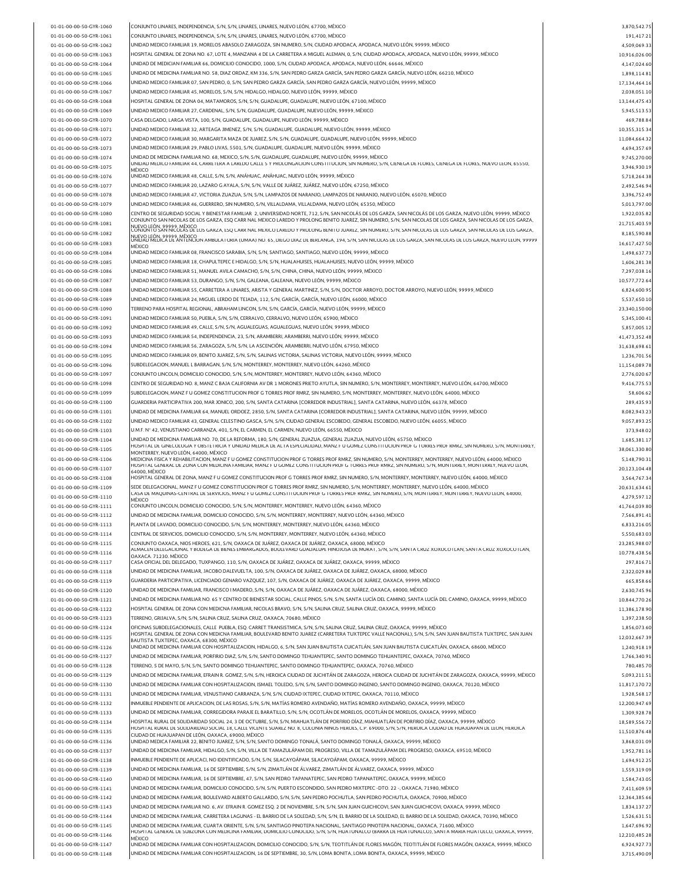| 01-01-00-00-50-GYR-1060 | CONJUNTO LINARES, INDEPENDENCIA, S/N, S/N, LINARES, LINARES, NUEVO LEÓN, 67700, MÉXICO                                                                                                              | 3.870.542.75  |
|-------------------------|-----------------------------------------------------------------------------------------------------------------------------------------------------------------------------------------------------|---------------|
|                         |                                                                                                                                                                                                     |               |
| 01-01-00-00-50-GYR-1061 | CONJUNTO LINARES, INDEPENDENCIA, S/N, S/N, LINARES, LINARES, NUEVO LEÓN, 67700, MÉXICO                                                                                                              | 191,417.21    |
| 01-01-00-00-50-GYR-1062 | UNIDAD MEDICO FAMILIAR 19, MORELOS ABASOLO ZARAGOZA, SIN NUMERO, S/N, CIUDAD APODACA, APODACA, NUEVO LEÓN, 99999, MÉXICO                                                                            | 4,509,069.33  |
| 01-01-00-00-50-GYR-1063 | HOSPITAL GENERAL DE ZONA NO. 67, LOTE 4, MANZANA 4 DE LA CARRETERA A MIGUEL ALEMAN, 0, S/N, CIUDAD APODACA, APODACA, NUEVO LEÓN, 99999, MÉXICO                                                      | 10,916,026.00 |
| 01-01-00-00-50-GYR-1064 | UNIDAD DE MEDICIAN FAMILIAR 66, DOMICILIO CONOCIDO, 1000, S/N, CIUDAD APODACA, APODACA, NUEVO LEÓN, 66646, MÉXICO                                                                                   | 4,147,024.60  |
| 01-01-00-00-50-GYR-1065 | UNIDAD DE MEDICINA FAMILIAR NO. 58, DIAZ ORDAZ, KM 336, S/N, SAN PEDRO GARZA GARCÍA, SAN PEDRO GARZA GARCÍA, NUEVO LEÓN, 66210, MÉXICO                                                              | 1,898,114.81  |
| 01-01-00-00-50-GYR-1066 | UNIDAD MEDICO FAMILIAR 07, SAN PEDRO, 0, S/N, SAN PEDRO GARZA GARCÍA, SAN PEDRO GARZA GARCÍA, NUEVO LEÓN, 99999, MÉXICO                                                                             | 17,134,464.16 |
| 01-01-00-00-50-GYR-1067 | UNIDAD MEDICO FAMILIAR 45, MORELOS, S/N, S/N, HIDALGO, HIDALGO, NUEVO LEÓN, 99999, MÉXICO                                                                                                           | 2,038,051.10  |
| 01-01-00-00-50-GYR-1068 | HOSPITAL GENERAL DE ZONA 04, MATAMOROS, S/N, S/N, GUADALUPE, GUADALUPE, NUEVO LEÓN, 67100, MÉXICO                                                                                                   | 13,144,475.43 |
| 01-01-00-00-50-GYR-1069 | UNIDAD MEDICO FAMILIAR 27, CARDENAL, S/N, S/N, GUADALUPE, GUADALUPE, NUEVO LEÓN, 99999, MÉXICO                                                                                                      | 5,945,513.53  |
|                         |                                                                                                                                                                                                     |               |
| 01-01-00-00-50-GYR-1070 | CASA DELGADO, LARGA VISTA, 100, S/N, GUADALUPE, GUADALUPE, NUEVO LEÓN, 99999, MÉXICO                                                                                                                | 469,788.84    |
| 01-01-00-00-50-GYR-1071 | UNIDAD MEDICO FAMILIAR 32, ARTEAGA JIMENEZ, S/N, S/N, GUADALUPE, GUADALUPE, NUEVO LEÓN, 99999, MÉXICO                                                                                               | 10,355,315.34 |
| 01-01-00-00-50-GYR-1072 | UNIDAD MEDICO FAMILIAR 30, MARGARITA MAZA DE JUAREZ, S/N, S/N, GUADALUPE, GUADALUPE, NUEVO LEÓN, 99999, MÉXICO                                                                                      | 11,084,664.32 |
| 01-01-00-00-50-GYR-1073 | UNIDAD MEDICO FAMILIAR 29, PABLO LIVAS, 5501, S/N, GUADALUPE, GUADALUPE, NUEVO LEÓN, 99999, MÉXICO                                                                                                  | 4,694,357.69  |
| 01-01-00-00-50-GYR-1074 | UNIDAD DE MEDICINA FAMILIAR NO. 68, MEXICO, S/N, S/N, GUADALUPE, GUADALUPE, NUEVO LEÓN, 99999, MÉXICO                                                                                               | 9,745,270.00  |
| 01-01-00-00-50-GYR-1075 | UNIDAD MEDICO FAMILIAR 44, CARRE I ERA A LAREDO CALLE 5 Y PROLONGACION CONSTITUCION, SIN NUMERO, S/N, CIENEGA DE FLORES, CIENEGA DE FLORES, NUEVO LEON, 65550,                                      | 3,946,930.19  |
| 01-01-00-00-50-GYR-1076 | MÉXICO<br>UNIDAD MEDICO FAMILIAR 48, CALLE, S/N, S/N, ANÁHUAC, ANÁHUAC, NUEVO LEÓN, 99999, MÉXICO                                                                                                   | 5,718,264.38  |
| 01-01-00-00-50-GYR-1077 | UNIDAD MEDICO FAMILIAR 20, LAZARO G AYALA, S/N, S/N, VALLE DE JUÁREZ, JUÁREZ, NUEVO LEÓN, 67250, MÉXICO                                                                                             | 2,492,546.94  |
|                         |                                                                                                                                                                                                     |               |
| 01-01-00-00-50-GYR-1078 | UNIDAD MEDICO FAMILIAR 47, VICTORIA ZUAZUA, S/N, S/N, LAMPAZOS DE NARANJO, LAMPAZOS DE NARANJO, NUEVO LEÓN, 65070, MÉXICO                                                                           | 3,396,752.49  |
| 01-01-00-00-50-GYR-1079 | UNIDAD MEDICO FAMILIAR 46, GUERRERO, SIN NUMERO, S/N, VILLALDAMA, VILLALDAMA, NUEVO LEÓN, 65350, MÉXICO                                                                                             | 5,013,797.00  |
| 01-01-00-00-50-GYR-1080 | CENTRO DE SEGURIDAD SOCIAL Y BIENESTAR FAMILIAR 2, UNIVERSIDAD NORTE, 712, S/N, SAN NICOLÁS DE LOS GARZA, SAN NICOLÁS DE LOS GARZA, NUEVO LEÓN, 99999, MÉXICO                                       | 1,922,035.82  |
| 01-01-00-00-50-GYR-1081 | CONJUNTO SAN NICOLAS DE LOS GARZA, ESQ CARR NAL MEXICO LAREDO Y PROLONG BENITO JUAREZ, SIN NUMERO, S/N, SAN NICOLAS DE LOS GARZA, SAN NICOLAS DE LOS GARZA,                                         | 21,715,403.59 |
| 01-01-00-00-50-GYR-1082 | NUEVO LEÓN, 99999 MÉXICO<br>CONJUNTO SAN NICOLAS DE LOS GARZA, ESQ CARR NAL MEXICO LAREDO Y PROLONG BENITO JUAREZ, SIN NUMERO, S/N, SAN NICOLAS DE LOS GARZA, SAN NICOLAS DE LOS GARZA,             | 8,185,590.88  |
| 01-01-00-00-50-GYR-1083 | UNIVALFREDIC2822 ANFENCION ambula i uria (umaa) nu. 65, uiegu diaz de berlanga, 194, s/n, san niculas de lus garza, san niculas de lus garza, nuevu leun, 99999                                     | 16,617,427.50 |
| 01-01-00-00-50-GYR-1084 | MÉXICO<br>UNIDAD MEDICO FAMILIAR 08, FRANCISCO SARABIA, S/N, S/N, SANTIAGO, SANTIAGO, NUEVO LEÓN, 99999, MÉXICO                                                                                     | 1,498,637.73  |
| 01-01-00-00-50-GYR-1085 |                                                                                                                                                                                                     |               |
|                         | UNIDAD MEDICO FAMILIAR 18, CHAPULTEPEC E HIDALGO, S/N, S/N, HUALAHUISES, HUALAHUISES, NUEVO LEÓN, 99999, MÉXICO                                                                                     | 1,606,281.38  |
| 01-01-00-00-50-GYR-1086 | UNIDAD MEDICO FAMILIAR 51, MANUEL AVILA CAMACHO, S/N, S/N, CHINA, CHINA, NUEVO LEÕN, 99999, MÊXICO                                                                                                  | 7,297,038.16  |
| 01-01-00-00-50-GYR-1087 | UNIDAD MEDICO FAMILIAR 53, DURANGO, S/N, S/N, GALEANA, GALEANA, NUEVO LEÓN, 99999, MÉXICO                                                                                                           | 10,577,772.64 |
| 01-01-00-00-50-GYR-1088 | UNIDAD MEDICO FAMILIAR 55, CARRETERA A LINARES, ARISTA Y GENERAL MARTINEZ, S/N, S/N, DOCTOR ARROYO, DOCTOR ARROYO, NUEVO LEÓN, 99999, MÉXICO                                                        | 6.824.600.95  |
| 01-01-00-00-50-GYR-1089 | UNIDAD MEDICO FAMILIAR 24, MIGUEL LERDO DE TEJADA, 112, S/N, GARCÍA, GARCÍA, NUEVO LEÓN, 66000, MÉXICO                                                                                              | 5,537,650.10  |
| 01-01-00-00-50-GYR-1090 | TERRENO PARA HOSPITAL REGIONAL, ABRAHAM LINCON, S/N, S/N, GARCÍA, GARCÍA, NUEVO LEÓN, 99999, MÉXICO                                                                                                 | 23,340,150.00 |
| 01-01-00-00-50-GYR-1091 | UNIDAD MEDICO FAMILIAR 50, PUEBLA, S/N, S/N, CERRALVO, CERRALVO, NUEVO LEÓN, 65900, MÉXICO                                                                                                          | 5,345,100.41  |
| 01-01-00-00-50-GYR-1092 | UNIDAD MEDICO FAMILIAR 49. CALLE, S/N, S/N, AGUALEGUAS, AGUALEGUAS, NUEVO LEÓN, 99999, MÉXICO                                                                                                       | 5,857,005.12  |
| 01-01-00-00-50-GYR-1093 | UNIDAD MEDICO FAMILIAR 54, INDEPENDENCIA, 23, S/N, ARAMBERRI, ARAMBERRI, NUEVO LEÓN, 99999, MÉXICO                                                                                                  | 41.473.352.48 |
|                         |                                                                                                                                                                                                     |               |
| 01-01-00-00-50-GYR-1094 | UNIDAD MEDICO FAMILIAR 56, ZARAGOZA, S/N, S/N, LA ASCENCIÓN, ARAMBERRI, NUEVO LEÓN, 67950, MÉXICO                                                                                                   | 31,638,698.61 |
| 01-01-00-00-50-GYR-1095 | UNIDAD MEDICO FAMILIAR 09, BENITO JUAREZ, S/N, S/N, SALINAS VICTORIA, SALINAS VICTORIA, NUEVO LEÓN, 99999, MÉXICO                                                                                   | 1.236.701.56  |
| 01-01-00-00-50-GYR-1096 | SUBDELEGACION, MANUEL L BARRAGAN, S/N, S/N, MONTERREY, MONTERREY, NUEVO LEÓN, 64260, MÉXICO                                                                                                         | 11,154,089.78 |
| 01-01-00-00-50-GYR-1097 | CONJUNTO LINCOLN, DOMICILIO CONOCIDO, S/N, S/N, MONTERREY, MONTERREY, NUEVO LEÓN, 64360, MÉXICO                                                                                                     | 2.776.020.67  |
| 01-01-00-00-50-GYR-1098 | CENTRO DE SEGURIDAD NO. 8, MANZ C BAJA CALIFORNIA AV DR 1 MORONES PRIETO AYUTLA, SIN NUMERO, S/N, MONTERREY, MONTERREY, NUEVO LEÓN, 64700, MÉXICO                                                   | 9,416,775.53  |
| 01-01-00-00-50-GYR-1099 | SUBDELEGACION, MANZ F U GOMEZ CONSTITUCION PROF G TORRES PROF RMRZ, SIN NUMERO, S/N, MONTERREY, MONTERREY, NUEVO LEÓN, 64000, MÉXICO                                                                | 58,606.62     |
| 01-01-00-00-50-GYR-1100 | GUARDERIA PARTICIPATIVA 200, MAR JONICO, 200, S/N, SANTA CATARINA [CORREDOR INDUSTRIAL], SANTA CATARINA, NUEVO LEÓN, 66378, MÉXICO                                                                  | 289,435.93    |
| 01-01-00-00-50-GYR-1101 | UNIDAD DE MEDICINA FAMILIAR 64, MANUEL ORDOEZ, 2850, S/N, SANTA CATARINA [CORREDOR INDUSTRIAL], SANTA CATARINA, NUEVO LEÓN, 99999, MÉXICO                                                           | 8,082,943.23  |
| 01-01-00-00-50-GYR-1102 | UNIDAD MEDICO FAMILIAR 43, GENERAL CELESTINO GASCA, S/N, S/N, CIUDAD GENERAL ESCOBEDO, GENERAL ESCOBEDO, NUEVO LEÓN, 66055, MÉXICO                                                                  | 9,057,893.25  |
|                         |                                                                                                                                                                                                     |               |
| 01-01-00-00-50-GYR-1103 | U.M.F. Nº 42, VENUSTIANO CARRANZA, 401, S/N, EL CARMEN, EL CARMEN, NUEVO LEÓN, 66550, MÉXICO                                                                                                        | 373,948.02    |
| 01-01-00-00-50-GYR-1104 | UNIDAD DE MEDICINA FAMILIAR NO. 70, DE LA REFORMA, 180, S/N, GENERAL ZUAZUA, GENERAL ZUAZUA, NUEVO LEÓN, 65750, MÉXICO                                                                              | 1,685,381.17  |
| 01-01-00-00-50-GYR-1105 | HOSPITAL DE GINECOLOGIA Y OBSTETRICIA Y UNIDAD MEDICA DE ALTA ESPECIALIDAD, MANZ FU GOMEZ CONSTITUCION PROF G TORRES PROF RMRZ, SIN NUMERO, S/N, MONTERREY,<br>MONTERREY, NUEVO LEÓN, 64000, MÉXICO | 38,061,330.80 |
| 01-01-00-00-50-GYR-1106 | MEDICINA FISICA Y REHABILITACION, MANZ F U GOMEZ CONSTITUCION PROF G TORRES PROF RMRZ, SIN NUMERO, S/N, MONTERREY, MONTERREY, NUEVO LEÓN, 64000, MÉXICO                                             | 5,148,790.31  |
| 01-01-00-00-50-GYR-1107 | HOSPITAL GENERAL DE ZONA CON MEDICINA FAMILIAR, MANZ F U GOMEZ CONSTITUCION PROF G TORRES PROF RMRZ, SIN NUMERO, S/N, MONTERREY, MONTERREY, NUEVO LEON,                                             | 20,123,104.48 |
| 01-01-00-00-50-GYR-1108 | 64000. MÉXICO<br>HOSPITAL GENERAL DE ZONA, MANZ FU GOMEZ CONSTITUCION PROF G TORRES PROF RMRZ, SIN NUMERO, S/N, MONTERREY, MONTERREY, NUEVO LEÓN, 64000, MÉXICO                                     | 3,564,767.34  |
| 01-01-00-00-50-GYR-1109 | SEDE DELEGACIONAL, MANZ F U GOMEZ CONSTITUCION PROF G TORRES PROF RMRZ, SIN NUMERO, S/N, MONTERREY, MONTERREY, NUEVO LEÓN, 64000, MÉXICO                                                            | 20,631,634.61 |
|                         | CASA DE MAQUINAS-CENTRAL DE SERVICIOS, MANZ F U GOMEZ CONSTITUCION PROF G TORRES PROF RMRZ, SIN NUMERO, S/N, MONTERREY, MONTERREY, NUEVO LEON, 64000,                                               |               |
| 01-01-00-00-50-GYR-1110 | MĚXICO                                                                                                                                                                                              | 4,279,597.12  |
| 01-01-00-00-50-GYR-1111 | CONJUNTO LINCOLN, DOMICILIO CONOCIDO, S/N, S/N, MONTERREY, MONTERREY, NUEVO LEÓN, 64360, MÉXICO                                                                                                     | 41,764,039.80 |
| 01-01-00-00-50-GYR-1112 | UNIDAD DE MEDICINA FAMILIAR, DOMICILIO CONOCIDO, S/N, S/N, MONTERREY, MONTERREY, NUEVO LEÓN, 64360, MÉXICO                                                                                          | 7,566,891.41  |
| 01-01-00-00-50-GYR-1113 | PLANTA DE LAVADO, DOMICILIO CONOCIDO, S/N, S/N, MONTERREY, MONTERREY, NUEVO LEÓN, 64360, MÉXICO                                                                                                     | 6,833,216.05  |
| 01-01-00-00-50-GYR-1114 | CENTRAL DE SERVICIOS, DOMICILIO CONOCIDO, S/N, S/N, MONTERREY, MONTERREY, NUEVO LEÓN, 64360, MÉXICO                                                                                                 | 5,550,683.03  |
| 01-01-00-00-50-GYR-1115 | CONJUNTO OAXACA, NIOS HEROES, 621, S/N, OAXACA DE JUÂREZ, OAXACA DE JUÂREZ, OAXACA, 68000, MÊXICO                                                                                                   | 23,285,988.07 |
| 01-01-00-00-50-GYR-1116 | ALMACEN DELEGACIONAL Y BODEGA DE BIENES EMBARGADOS, BOULEVARD GUADALUPE HINOJOSA DE MURAT, S/N, S/N, SANTA CRUZ XOXOCOTLAN, SANTA CRUZ XOXOCOTLAN,                                                  | 10,778,438.56 |
|                         | OAXACA. 71230. MÉXICO<br>CASA OFICIAL DEL DELEGADO, TUXPANGO, 110, S/N, OAXACA DE JUÁREZ, OAXACA DE JUÁREZ, OAXACA, 99999, MÉXICO                                                                   |               |
| 01-01-00-00-50-GYR-1117 |                                                                                                                                                                                                     | 297,816.71    |
| 01-01-00-00-50-GYR-1118 | UNIDAD DE MEDICINA FAMILIAR, JACOBO DALEVUELTA, 100, S/N, OAXACA DE JUÁREZ, OAXACA DE JUÁREZ, OAXACA, 68000, MÉXICO                                                                                 | 2.322.029.88  |
| 01-01-00-00-50-GYR-1119 | GUARDERIA PARTICIPATIVA, LICENCIADO GENARO VAZQUEZ, 107, S/N, OAXACA DE JUÁREZ, OAXACA DE JUÁREZ, OAXACA, 99999, MÉXICO                                                                             | 665,858.66    |
| 01-01-00-00-50-GYR-1120 | UNIDAD DE MEDICINA FAMILIAR, FRANCISCO I MADERO, S/N, S/N, OAXACA DE JUÁREZ, OAXACA DE JUÁREZ, OAXACA, 68000, MÉXICO                                                                                | 2,630,745.96  |
| 01-01-00-00-50-GYR-1121 | UNIDAD DE MEDICINA FAMILIAR NO. 65 Y CENTRO DE BIENESTAR SOCIAL, CALLE PINOS, S/N, S/N, SANTA LUCÍA DEL CAMINO, SANTA LUCÍA DEL CAMINO, OAXACA, 99999, MÉXICO                                       | 10,844,770.26 |
| 01-01-00-00-50-GYR-1122 | HOSPITAL GENERAL DE ZONA CON MEDICNA FAMILIAR, NICOLAS BRAVO, S/N, S/N, SALINA CRUZ, SALINA CRUZ, OAXACA, 99999, MÊXICO                                                                             | 11,386,178.90 |
| 01-01-00-00-50-GYR-1123 | TERRENO, GRIJALVA, S/N, S/N, SALINA CRUZ, SALINA CRUZ, OAXACA, 70680, MÉXICO                                                                                                                        | 1,397,238.50  |
| 01-01-00-00-50-GYR-1124 | OFICINAS SUBDELEGACIONALES, CALLE PUEBLA, ESQ. CARRET.TRANSISTMICA, S/N, S/N, SALINA CRUZ, SALINA CRUZ, OAXACA, 99999, MÉXICO                                                                       | 1,856,073.60  |
| 01-01-00-00-50-GYR-1125 | HOSPITAL GENERAL DE ZONA CON MEDICNA FAMILIAR, BOULEVARD BENITO JUAREZ (CARRETERA TUXTEPEC VALLE NACIONAL), S/N, S/N, S/N, SAN JUAN BAUTISTA TUXTEPEC, SAN JUAN                                     | 12,032,667.39 |
|                         | BAUTISTA TUXTEPEC, OAXACA, 68300, MÉXICO<br>UNIDAD DE MEDICINA FAMILIAR CON HOSPITALIZACION, HIDALGO, 6, S/N, SAN JUAN BAUTISTA CUICATLÁN, SAN JUAN BAUTISTA CUICATLÁN, OAXACA, 68600, MÉXICO       |               |
| 01-01-00-00-50-GYR-1126 |                                                                                                                                                                                                     | 1,240,918.19  |
| 01-01-00-00-50-GYR-1127 | UNIDAD DE MEDICINA FAMILIAR, PORFIRIO DIAZ, S/N, S/N, SANTO DOMINGO TEHUANTEPEC, SANTO DOMINGO TEHUANTEPEC, OAXACA, 70760, MÉXICO                                                                   | 1,766,340.91  |
| 01-01-00-00-50-GYR-1128 | TERRENO, 5 DE MAYO, S/N, S/N, SANTO DOMINGO TEHUANTEPEC, SANTO DOMINGO TEHUANTEPEC, OAXACA, 70760, MÉXICO                                                                                           | 780,485.70    |
| 01-01-00-00-50-GYR-1129 | UNIDAD DE MEDICINA FAMILIAR, EFRAIN R. GOMEZ, S/N, S/N, HEROICA CIUDAD DE JUCHITÁN DE ZARAGOZA, HEROICA CIUDAD DE JUCHITÁN DE ZARAGOZA, OAXACA, 99999, MÉXICO                                       | 5.093.211.51  |
| 01-01-00-00-50-GYR-1130 | UNIDAD DE MEDICINA FAMILIAR CON HOSPITALIZACION, ISMAEL TOLEDO, S/N, S/N, SANTO DOMINGO INGENIO, SANTO DOMINGO INGENIO, OAXACA, 70120, MÉXICO                                                       | 11,817,170.72 |
| 01-01-00-00-50-GYR-1131 | UNIDAD DE MEDICINA FAMILIAR, VENUSTIANO CARRANZA, S/N, S/N, CIUDAD IXTEPEC, CIUDAD IXTEPEC, OAXACA, 70110, MÊXICO                                                                                   | 1,928,568.17  |
| 01-01-00-00-50-GYR-1132 | INMUEBLE PENDIENTE DE APLICACION, DE LAS ROSAS, S/N, S/N, MATÍAS ROMERO AVENDAÑO, MATÍAS ROMERO AVENDAÑO, OAXACA, 99999, MÉXICO                                                                     | 12,200,947.69 |
| 01-01-00-00-50-GYR-1133 | UNIDAD DE MEDICINA FAMILIAR, CORREGIDORA PARAJE EL BARATILLO, S/N, S/N, OCOTLÁN DE MORELOS, OCOTLÁN DE MORELOS, OAXACA, 99999, MÉXICO                                                               | 1,309,928.78  |
| 01-01-00-00-50-GYR-1134 | HOSPITAL RURAL DE SOLIDARIDAD SOCIAL 24, 3 DE OCTUBRE, S/N, S/N, MIAHUATLÁN DE PORFIRIO DÍAZ, MIAHUATLÁN DE PORFIRIO DÍAZ, OAXACA, 99999, MÉXICO                                                    | 18,589,556.72 |
|                         | HOSPITAL RURAL DE SOLIDARIDAD SOCIAL 18, CALLE VICENTE SUAREZ NO. 8, COLONIA NINOS HEROES, C.P. 69000, S/N, S/N, HEROICA CIUDAD DE HUAJUAPAN DE LEON, HEROICA                                       |               |
| 01-01-00-00-50-GYR-1135 | CIUDAD DE HUAJUAPAN DE LEÓN, OAXACA, 69000, MÉXICO                                                                                                                                                  | 11,510,876.48 |
| 01-01-00-00-50-GYR-1136 | UNIDAD MEDICA FAMILIAR 22, BENITO JUAREZ, S/N, S/N, SANTO DOMINGO TONALÁ, SANTO DOMINGO TONALÁ, OAXACA, 99999, MÉXICO                                                                               | 3,868,031.09  |
| 01-01-00-00-50-GYR-1137 | UNIDAD DE MEDICINA FAMILIAR, HIDALGO, S/N, S/N, VILLA DE TAMAZULĂPAM DEL PROGRESO, VILLA DE TAMAZULĂPAM DEL PROGRESO, OAXACA, 69510, MÊXICO                                                         | 1,952,781.16  |
| 01-01-00-00-50-GYR-1138 | INMUEBLE PENDIENTE DE APLICACI, NO IDENTIFICADO, S/N, S/N, SILACAYOÁPAM, SILACAYOÁPAM, OAXACA, 99999, MÉXICO                                                                                        | 1,694,912.25  |
| 01-01-00-00-50-GYR-1139 | UNIDAD DE MEDICINA FAMILIAR, 16 DE SEPTIEMBRE, S/N, S/N, ZIMATLÁN DE ÁLVAREZ, ZIMATLÁN DE ÁLVAREZ, OAXACA, 99999, MÉXICO                                                                            | 1,559,319.09  |
| 01-01-00-00-50-GYR-1140 | UNIDAD DE MEDICINA FAMILIAR, 16 DE SEPTIEMBRE, 47, S/N, SAN PEDRO TAPANATEPEC, SAN PEDRO TAPANATEPEC, OAXACA, 99999, MÉXICO                                                                         | 1,584,743.05  |
| 01-01-00-00-50-GYR-1141 | UNIDAD DE MEDICINA FAMILIAR, DOMICILIO CONOCIDO, S/N, S/N, PUERTO ESCONDIDO, SAN PEDRO MIXTEPEC -DTO. 22 -, OAXACA, 71980, MÉXICO                                                                   | 7,411,609.59  |
|                         |                                                                                                                                                                                                     |               |
| 01-01-00-00-50-GYR-1142 | UNIDAD DE MEDICINA FAMILIAR, BOULEVARD ALBERTO GALLARDO, S/N, S/N, SAN PEDRO POCHUTLA, SAN PEDRO POCHUTLA, OAXACA, 70900, MÊXICO                                                                    | 12,364,385.66 |
| 01-01-00-00-50-GYR-1143 | UNIDAD DE MEDICINA FAMILIAR NO. 6, AV. EFRAIN R. GOMEZ ESQ. 2 DE NOVIEMBRE, S/N, S/N, SAN JUAN GUICHICOVI, SAN JUAN GUICHICOVI, OAXACA, 99999, MÊXICO                                               | 1,834,137.27  |
| 01-01-00-00-50-GYR-1144 | UNIDAD DE MEDICINA FAMILIAR, CARRETERA LAGUNAS - EL BARRIO DE LA SOLEDAD, S/N, S/N, EL BARRIO DE LA SOLEDAD, EL BARRIO DE LA SOLEDAD, OAXACA, 70390, MÉXICO                                         | 1,526,631.51  |
| 01-01-00-00-50-GYR-1145 | UNIDAD DE MEDICINA FAMILIAR, CUARTA ORIENTE, S/N, S/N, SANTIAGO PINOTEPA NACIONAL, SANTIAGO PINOTEPA NACIONAL, OAXACA, 71600, MÉXICO                                                                | 1,647,696.92  |
| 01-01-00-00-50-GYR-1146 | HOSPITAL GENERAL DE SUBZONA CON MEDICINA FAMILIAR, DOMICILIO CONOCIDO, S/N, S/N, HUATUNALCO (BARRA DE HUATUNALCO), SANTA MARIA HUATULCO, OAXACA, 99999,<br>MÉXICO                                   | 12,210,485.28 |
| 01-01-00-00-50-GYR-1147 | UNIDAD DE MEDICINA FAMILIAR CON HOSPITALIZACION, DOMICILIO CONOCIDO, S/N, S/N, TEOTITLÁN DE FLORES MAGÓN, TEOTITLÁN DE FLORES MAGÓN, OAXACA, 99999, MÉXICO                                          | 6,924,927.73  |
| 01-01-00-00-50-GYR-1148 | UNIDAD DE MEDICINA FAMILIAR CON HOSPITALIZACION, 16 DE SEPTIEMBRE, 30, S/N, LOMA BONITA, LOMA BONITA, OAXACA, 99999, MÉXICO                                                                         | 3,715,490.09  |
|                         |                                                                                                                                                                                                     |               |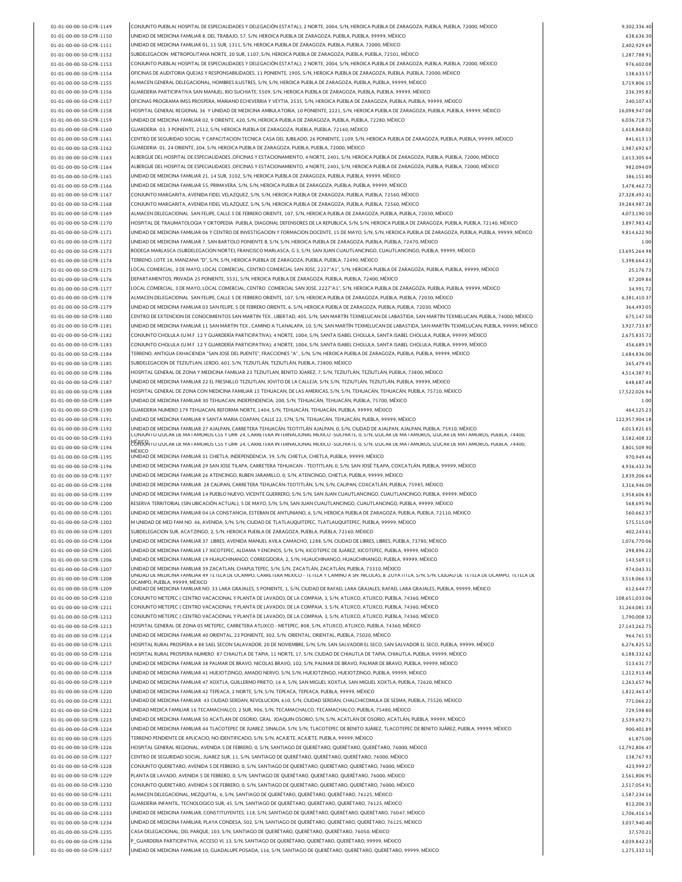| 01-01-00-00-50-GYR-1149 | CONJUNTO PUEBLA( HOSPITAL DE ESPECIALIDADES Y DELEGACIÓN ESTATAL), 2 NORTE, 2004, S/N, HEROICA PUEBLA DE ZARAGOZA, PUEBLA, PUEBLA, 72000, MÉXICO                                                                                                                              | 9,302,336.40   |
|-------------------------|-------------------------------------------------------------------------------------------------------------------------------------------------------------------------------------------------------------------------------------------------------------------------------|----------------|
| 01-01-00-00-50-GYR-1150 | UNIDAD DE MEDICINA FAMILIAR 8, DEL TRABAJO, 57, S/N, HEROICA PUEBLA DE ZARAGOZA, PUEBLA, PUEBLA, 99999, MÉXICO                                                                                                                                                                | 638,636.30     |
|                         |                                                                                                                                                                                                                                                                               |                |
| 01-01-00-00-50-GYR-1151 | UNIDAD DE MEDICINA FAMILIAR 01, 11 SUR, 1311, S/N, HEROICA PUEBLA DE ZARAGOZA, PUEBLA, PUEBLA, 72000, MÉXICO                                                                                                                                                                  | 2,402,929.69   |
| 01-01-00-00-50-GYR-1152 | SUBDELEGACION METROPOLITANA NORTE, 20 SUR, 1107, S/N, HEROICA PUEBLA DE ZARAGOZA, PUEBLA, PUEBLA, 72501, MÈXICO                                                                                                                                                               | 1,287,788.91   |
| 01-01-00-00-50-GYR-1153 | CONJUNTO PUEBLA( HOSPITAL DE ESPECIALIDADES Y DELEGACIÓN ESTATAL), 2 NORTE, 2004, S/N, HEROICA PUEBLA DE ZARAGOZA, PUEBLA, PUEBLA, 72000, MÉXICO                                                                                                                              | 976,602.08     |
| 01-01-00-00-50-GYR-1154 | OFICINAS DE AUDITORIA QUEJAS Y RESPONSABILIDADES, 11 PONIENTE, 1905, S/N, HEROICA PUEBLA DE ZARAGOZA, PUEBLA, PUEBLA, 72000, MÉXICO                                                                                                                                           | 138,633.57     |
| 01-01-00-00-50-GYR-1155 | ALMACEN GENERAL DELEGACIONAL, HOMBRES ILUSTRES, S/N, S/N, HEROICA PUEBLA DE ZARAGOZA, PUEBLA, PUEBLA, 99999, MÉXICO                                                                                                                                                           | 3,719,806.15   |
| 01-01-00-00-50-GYR-1156 | GUARDERIA PARTICIPATIVA SAN MANUEL. RIO SUCHIATE. 5509. S/N. HEROICA PUEBLA DE ZARAGOZA. PUEBLA. PUEBLA. 99999. MÉXICO                                                                                                                                                        | 236,395.82     |
| 01-01-00-00-50-GYR-1157 | OFICINAS PROGRAMA IMSS PROSPERA, MARIANO ECHEVERRIA Y VEYTIA, 2535, S/N, HEROICA PUEBLA DE ZARAGOZA, PUEBLA, PUEBLA, 99999, MÊXICO                                                                                                                                            | 240,107.43     |
| 01-01-00-00-50-GYR-1158 | HOSPITAL GENERAL REGIONAL 36 Y UNIDAD DE MEDICINA AMBULATORIA, 10 PONIENTE, 2221, S/N, HEROICA PUEBLA DE ZARAGOZA, PUEBLA, PUEBLA, 99999, MÉXICO                                                                                                                              | 16,098,947.08  |
|                         |                                                                                                                                                                                                                                                                               |                |
| 01-01-00-00-50-GYR-1159 | UNIDAD DE MEDICINA FAMILIAR 02, 9 ORIENTE, 420, S/N, HEROICA PUEBLA DE ZARAGOZA, PUEBLA, PUEBLA, 72280, MÉXICO                                                                                                                                                                | 6,036,718.75   |
| 01-01-00-00-50-GYR-1160 | GUARDERIA 03, 3 PONIENTE, 2512, S/N, HEROICA PUEBLA DE ZARAGOZA, PUEBLA, PUEBLA, 72160, MÉXICO                                                                                                                                                                                | 1,618,868.02   |
| 01-01-00-00-50-GYR-1161 | CENTRO DE SEGURIDAD SOCIAL Y CAPACITACION TECNICA CASA DEL JUBILADO, 26 PONIENTE, 1109, S/N, HEROICA PUEBLA DE ZARAGOZA, PUEBLA, PUEBLA, 99999, MÉXICO                                                                                                                        | 841.613.13     |
| 01-01-00-00-50-GYR-1162 | GUARDERIA 01, 24 ORIENTE, 204, S/N, HEROICA PUEBLA DE ZARAGOZA, PUEBLA, PUEBLA, 72000, MÉXICO                                                                                                                                                                                 | 1,987,692.67   |
| 01-01-00-00-50-GYR-1163 | ALBERGUE DEL HOSPITAL DE ESPECIALIDADES ,OFICINAS Y ESTACIONAMIENTO, 4 NORTE, 2401, S/N, HEROICA PUEBLA DE ZARAGOZA, PUEBLA, PUEBLA, 72000, MÉXICO                                                                                                                            | 1,613,305.64   |
| 01-01-00-00-50-GYR-1164 | ALBERGUE DEL HOSPITAL DE ESPECIALIDADES ,OFICINAS Y ESTACIONAMIENTO, 4 NORTE, 2401, S/N, HEROICA PUEBLA DE ZARAGOZA, PUEBLA, PUEBLA, 72000, MÉXICO                                                                                                                            | 982,094.09     |
|                         | UNIDAD DE MEDICINA FAMILIAR 21, 14 SUR, 3102, S/N, HEROICA PUEBLA DE ZARAGOZA, PUEBLA, PUEBLA, 99999, MÉXICO                                                                                                                                                                  |                |
| 01-01-00-00-50-GYR-1165 |                                                                                                                                                                                                                                                                               | 386,151.80     |
| 01-01-00-00-50-GYR-1166 | UNIDAD DE MEDICINA FAMILIAR 55, PRIMAVERA, S/N, S/N, HEROICA PUEBLA DE ZARAGOZA, PUEBLA, PUEBLA, 99999, MÉXICO                                                                                                                                                                | 3,478,462.72   |
| 01-01-00-00-50-GYR-1167 | CONJUNTO MARGARITA, AVENIDA FIDEL VELAZQUEZ, S/N, S/N, HEROICA PUEBLA DE ZARAGOZA, PUEBLA, PUEBLA, 72560, MÊXICO                                                                                                                                                              | 27,328,492.41  |
| 01-01-00-00-50-GYR-1168 | CONJUNTO MARGARITA, AVENIDA FIDEL VELAZQUEZ, S/N, S/N, HEROICA PUEBLA DE ZARAGOZA, PUEBLA, PUEBLA, 72560, MÉXICO                                                                                                                                                              | 39,284,987.28  |
| 01-01-00-00-50-GYR-1169 | ALMACEN DELEGACIONAL SAN FELIPE, CALLE 5 DE FEBRERO ORIENTE, 107, S/N, HEROICA PUEBLA DE ZARAGOZA, PUEBLA, PUEBLA, 72030, MÉXICO                                                                                                                                              | 4,073,190.10   |
| 01-01-00-00-50-GYR-1170 | HOSPITAL DE TRAUMATOLOGIA Y ORTOPEDIA PUEBLA, DIAGONAL DEFENSORES DE LA REPUBLICA, S/N, S/N, HEROICA PUEBLA DE ZARAGOZA, PUEBLA, PUEBLA, 72140, MÉXICO                                                                                                                        | 3,897,983.42   |
| 01-01-00-00-50-GYR-1171 | UNIDAD DE MEDICINA FAMILIAR 06 Y CENTRO DE INVESTIGACION Y FORMACION DOCENTE, 15 DE MAYO, S/N, S/N, HEROICA PUEBLA DE ZARAGOZA, PUEBLA, PUEBLA, 99999, MÉXICO                                                                                                                 | 9,814,622.90   |
|                         |                                                                                                                                                                                                                                                                               |                |
| 01-01-00-00-50-GYR-1172 | UNIDAD DE MEDICINA FAMILIAR 7, SAN BARTOLO PONIENTE B, S/N, S/N, HEROICA PUEBLA DE ZARAGOZA, PUEBLA, PUEBLA, 72470, MÊXICO                                                                                                                                                    | 1.00           |
| 01-01-00-00-50-GYR-1173 | BODEGA MARLASCA (SUBDELEGACION NORTE), FRANCISCO MARLASCA, G 3, S/N, SAN JUAN CUAUTLANCINGO, CUAUTLANCINGO, PUEBLA, 99999, MÉXICO                                                                                                                                             | 13,695,264.98  |
| 01-01-00-00-50-GYR-1174 | TERRENO, LOTE 18, MANZANA "D", S/N, S/N, HEROICA PUEBLA DE ZARAGOZA, PUEBLA, PUEBLA, 72490, MÉXICO                                                                                                                                                                            | 5,398,664.23   |
| 01-01-00-00-50-GYR-1175 | LOCAL COMERCIAL, 3 DE MAYO, LOCAL COMERCIAL, CENTRO COMERCIAL SAN JOSE, 2227"A1", S/N, HEROICA PUEBLA DE ZARAGOZA, PUEBLA, PUEBLA, 99999, MÉXICO                                                                                                                              | 25,176.73      |
| 01-01-00-00-50-GYR-1176 | DEPARTAMENTOS, PRIVADA 25 PONIENTE, 3531, S/N, HEROICA PUEBLA DE ZARAGOZA, PUEBLA, PUEBLA, 72400, MÉXICO                                                                                                                                                                      | 87,209.84      |
| 01-01-00-00-50-GYR-1177 | LOCAL COMERCIAL, 3 DE MAYO, LOCAL COMERCIAL, CENTRO COMERCIAL SAN JOSE, 2227"A1", S/N, HEROICA PUEBLA DE ZARAGOZA, PUEBLA, PUEBLA, 99999, MÈXICO                                                                                                                              | 34,991.72      |
| 01-01-00-00-50-GYR-1178 | ALMACEN DELEGACIONAL SAN FELIPE, CALLE 5 DE FEBRERO ORIENTE, 107, S/N, HEROICA PUEBLA DE ZARAGOZA, PUEBLA, PUEBLA, 72030, MÉXICO                                                                                                                                              | 6,381,410.37   |
|                         |                                                                                                                                                                                                                                                                               |                |
| 01-01-00-00-50-GYR-1179 | UNIDAD DE MEDICINA FAMILIAR 03 SAN FELIPE, 5 DE FEBRERO ORIENTE, 6, S/N, HEROICA PUEBLA DE ZARAGOZA, PUEBLA, PUEBLA, 72030, MÉXICO                                                                                                                                            | 364,493.05     |
| 01-01-00-00-50-GYR-1180 | CENTRO DE EXTENCION DE CONOCIMIENTOS SAN MARTIN TEX., LIBERTAD, 405, S/N, SAN MARTÍN TEXMELUCAN DE LABASTIDA, SAN MARTÍN TEXMELUCAN, PUEBLA, 74000, MÉXICO                                                                                                                    | 675,147.50     |
| 01-01-00-00-50-GYR-1181 | UNIDAD DE MEDICINA FAMILIAR 11 SAN MÀRTIN TEX., CAMINO A TLANALAPA, 10, S/N, SAN MARTÍN TEXMELUCAN DE LABASTIDA, SAN MARTÍN TEXMELUCAN, PUEBLA, 99999, MÉXICO                                                                                                                 | 3.927.733.87   |
| 01-01-00-00-50-GYR-1182 | CONJUNTO CHOLULA (U.M.F. 12 Y GUARDERÍA PARTICIPATIVA), 4 NORTE, 1004, S/N, SANTA ISABEL CHOLULA, SANTA ISABEL CHOLULA, PUEBLA, 99999, MÉXICO                                                                                                                                 | 2,675,835.72   |
| 01-01-00-00-50-GYR-1183 | CONJUNTO CHOLULA (U.M.F. 12 Y GUARDERÌA PARTICIPATIVA), 4 NORTE, 1004, S/N, SANTA ISABEL CHOLULA, SANTA ISABEL CHOLULA, PUEBLA, 99999, MÉXICO                                                                                                                                 | 456,689.19     |
| 01-01-00-00-50-GYR-1184 | TERRENO, ANTIGUA EXHACIENDA "SAN JOSE DEL PUENTE", FRACCIONES "A"., S/N, S/N, HEROICA PUEBLA DE ZARAGOZA, PUEBLA, PUEBLA, 99999, MÉXICO                                                                                                                                       | 1,684,836.00   |
|                         | SUBDELEGACION DE TEZIUTLAN, LERDO, 601, S/N, TEZIUTLÁN, TEZIUTLÁN, PUEBLA, 73800, MÉXICO                                                                                                                                                                                      | 265,479.45     |
| 01-01-00-00-50-GYR-1185 |                                                                                                                                                                                                                                                                               |                |
| 01-01-00-00-50-GYR-1186 | HOSPITAL GENERAL DE ZONA Y MEDICINA FAMILIAR 23 TEZIUTLAN, BENITO JÚAREZ, 7, S/N, TEZIUTLÁN, TEZIUTLÁN, PUEBLA, 73800, MÉXICO                                                                                                                                                 | 4,514,387.91   |
| 01-01-00-00-50-GYR-1187 | UNIDAD DE MEDICINA FAMILIAR 22 EL FRESNILLO TEZIUTLAN, JOVITO DE LA CALLEJA, S/N, S/N, TEZIUTLÁN, TEZIUTLÁN, PUEBLA, 99999, MÉXICO                                                                                                                                            | 648,687.48     |
| 01-01-00-00-50-GYR-1188 | HOSPITAL GENERAL DE ZONA CON MEDICINA FAMILIAR 15 TEHUACAN, DE LAS AMERICAS, S/N, S/N, TEHUACÁN, TEHUACÁN, PUEBLA, 75710, MÉXICO                                                                                                                                              | 17,522,026.94  |
| 01-01-00-00-50-GYR-1189 | UNIDAD DE MEDICINA FAMILIAR 30 TEHUACAN, INDEPENDENCIA, 200, S/N, TEHUACÁN, TEHUACÁN, PUEBLA, 75700, MÉXICO                                                                                                                                                                   | 1.00           |
| 01-01-00-00-50-GYR-1190 | GUARDERIA NUMERO 179 TEHUACAN, REFORMA NORTE, 1404, S/N, TEHUACÁN, TEHUACÁN, PUEBLA, 99999, MÉXICO                                                                                                                                                                            | 464,125.23     |
| 01-01-00-00-50-GYR-1191 | UNIDAD DE MEDICINA FAMILIAR 9 SANTA MARIA COAPAN, CALLE 22, S7N, S/N, TEHUACÁN, TEHUACÁN, PUEBLA, 99999, MÉXICO                                                                                                                                                               | 122,957,904.18 |
| 01-01-00-00-50-GYR-1192 | UNIDAD DE MEDICINA FAMILIAR 27 AJALPAN, CARRETERA TEHUACÁN-TEOTITLÁN AJALPAN, 0, S/N, CIUDAD DE AJALPAN, AJALPAN, PUEBLA, 75910, MÉXICO                                                                                                                                       | 6,013,821.65   |
|                         | CONJUNTO IZUCAR DE MATAMOROS CSS Y UMF 24, CARRETERA INTERNACIONAL MEXICO -SUCHIATE, 0, S/N, IZUCAR DE MATAMOROS, IZUCAR DE MATAMOROS, PUEBLA, 74400,                                                                                                                         |                |
| 01-01-00-00-50-GYR-1193 | NENGRI 10 izucar de ma i amoros css y ume 24, carrei era in i ernacional mexico -suchia i e, 0, s/n, izucar de ma i amoros, izucar de ma i amoros, puebla, 74400,                                                                                                             | 3,582,408.32   |
| 01-01-00-00-50-GYR-1194 | MÉXICO                                                                                                                                                                                                                                                                        | 3,801,509.90   |
| 01-01-00-00-50-GYR-1195 | UNIDAD DE MEDICINA FAMILIAR 31 CHIETLA, INDEPENDENCIA, 39, S/N, CHIETLA, CHIETLA, PUEBLA, 99999, MÉXICO                                                                                                                                                                       | 970,949.46     |
| 01-01-00-00-50-GYR-1196 | UNIDAD DE MEDICINA FAMILIAR 29 SAN JOSE TILAPA, CARRETERA TEHUACAN - TEOTITLAN, 0, S/N, SAN JOSÉ TILAPA, COXCATLÁN, PUEBLA, 99999, MÉXICO                                                                                                                                     | 4,936,432.36   |
| 01-01-00-00-50-GYR-1197 | UNIDAD DE MEDICINA FAMILIAR 26 ATENCINGO, RUBEN JARAMILLO, 0, S/N, ATENCINGO, CHIETLA, PUEBLA, 99999, MÉXICO                                                                                                                                                                  | 2,839,206.64   |
| 01-01-00-00-50-GYR-1198 | UNIDAD DE MEDICINA FAMILIAR 28 CALIPAN, CARRETERA TEHUACÁN-TEOTITLÁN, S/N, S/N, CALIPAN, COXCATLÁN, PUEBLA, 75985, MÉXICO                                                                                                                                                     | 3,316,946.09   |
| 01-01-00-00-50-GYR-1199 | UNIDAD DE MEDICINA FAMILIAR 14 PUEBLO NUEVO, VICENTE GUERRERO, S/N, S/N, SAN JUAN CUAUTLANCINGO, CUAUTLANCINGO, PUEBLA, 99999, MÉXICO                                                                                                                                         | 1,958,606.83   |
|                         |                                                                                                                                                                                                                                                                               |                |
| 01-01-00-00-50-GYR-1200 | RESERVA TERRITORIAL (SIN UBICACIÓN ACTUAL), 5 DE MAYO, S/N, S/N, SAN JUAN CUAUTLANCINGO, CUAUTLANCINGO, PUEBLA, 99999, MÉXICO                                                                                                                                                 | 568,695.96     |
| 01-01-00-00-50-GYR-1201 | UNIDAD DE MEDICINA FAMILIAR 04 LA CONSTANCIA, ESTEBAN DE ANTUNIANO, 6, S/N, HEROICA PUEBLA DE ZARAGOZA, PUEBLA, PUEBLA, 72110, MÉXICO                                                                                                                                         | 560,662.37     |
| 01-01-00-00-50-GYR-1202 | M UNIDAD DE MED FAM NO. 46, AVENIDA, S/N, S/N, CIUDAD DE TLATLAUQUITEPEC, TLATLAUQUITEPEC, PUEBLA, 99999, MEXICO                                                                                                                                                              | 575,515.09     |
| 01-01-00-00-50-GYR-1203 | SUBDELEGACION SUR, ACATZINGO, 2, S/N, HEROICA PUEBLA DE ZARAGOZA, PUEBLA, PUEBLA, 72160, MÉXICO                                                                                                                                                                               | 402,243.61     |
| 01-01-00-00-50-GYR-1204 | UNIDAD DE MEDICINA FAMILIAR 37 LIBRES, AVENIDA MANUEL AVILA CAMACHO, 1288, S/N, CIUDAD DE LIBRES, LIBRES, PUEBLA, 73780, MÉXICO                                                                                                                                               | 1,076,770.06   |
| 01-01-00-00-50-GYR-1205 | UNIDAD DE MEDICINA FAMILIAR 17 XICOTEPEC, ALDAMA Y ENCINOS, S/N, S/N, XICOTEPEC DE JUÁREZ, XICOTEPEC, PUEBLA, 99999, MÉXICO                                                                                                                                                   | 298,896.22     |
| 01-01-00-00-50-GYR-1206 |                                                                                                                                                                                                                                                                               |                |
|                         | UNIDAD DE MEDICINA FAMILIAR 19 HUAUCHINANGO, CORREGIDORA, 2, S/N, HUAUCHINANGO, HUAUCHINANGO, PUEBLA, 99999, MÉXICO                                                                                                                                                           | 143,569.11     |
| 01-01-00-00-50-GYR-1207 | UNIDAD DE MEDICINA FAMILIAR 39 ZACATLAN, CHAPULTEPEC, S/N, S/N, ZACATLÁN, ZACATLÁN, PUEBLA, 73310, MÉXICO<br>UNIDAD DE MEDICINA FAMILIAR 49 TETELA DE OCAMPO, CARRETERA MEXICO - TETELA Y CAMINO A SN. NICOLAS, B. ZOYATITLA, S/N, S/N, CIUDAD DE TETELA DE OCAMPO, TETELA DE | 974,043.31     |
| 01-01-00-00-50-GYR-1208 | OCAMPO, PUEBLA, 99999, MÉXICO                                                                                                                                                                                                                                                 | 3,518,066.53   |
| 01-01-00-00-50-GYR-1209 | UNIDAD DE MEDICINA FAMILIAR NO. 33 LARA GRAJALES, 5 PONIENTE, 1, S/N, CIUDAD DE RAFAEL LARA GRAJALES, RAFAEL LARA GRAJALES, PUEBLA, 99999, MÉXICO                                                                                                                             | 612,644.77     |
| 01-01-00-00-50-GYR-1210 | CONJUNTO METEPEC (CENTRO VACACIONAL Y PLANTA DE LAVADO), DE LA COMPAIA, 3, S/N, ATLIXCO, ATLIXCO, PUEBLA, 74360, MÉXICO                                                                                                                                                       | 108,651,033.06 |
| 01-01-00-00-50-GYR-1211 | CONJUNTO METEPEC (CENTRO VACACIONAL Y PLANTA DE LAVADO), DE LA COMPAIA, 3, S/N, ATLIXCO, ATLIXCO, PUEBLA, 74360, MÉXICO                                                                                                                                                       | 31,264,081.33  |
|                         |                                                                                                                                                                                                                                                                               |                |
| 01-01-00-00-50-GYR-1212 | CONJUNTO METEPEC ( CENTRO VACACIONAL Y PLANTA DE LAVADO), DE LA COMPAIA, 3, S/N, ATLIXCO, ATLIXCO, PUEBLA, 74360, MÉXICO                                                                                                                                                      | 1,790,008.32   |
| 01-01-00-00-50-GYR-1213 | HOSPITAL GENERAL DE ZONA 05 METEPEC, CARRETERA ATLIXCO - METEPEC, 808, S/N, ATLIXCO, ATLIXCO, PUEBLA, 74360, MÉXICO                                                                                                                                                           | 27,143,262.75  |
| 01-01-00-00-50-GYR-1214 | UNIDAD DE MEDICINA FAMILIAR 40 ORIENTAL, 23 PONIENTE, 302, S/N, ORIENTAL, ORIENTAL, PUEBLA, 75020, MÉXICO                                                                                                                                                                     | 964,761.55     |
| 01-01-00-00-50-GYR-1215 | HOSPITAL RURAL PROSPERA # 88 SAEL SECON SALAVADOR, 20 DE NOVIEMBRE, S/N, S/N, SAN SALVADOR EL SECO, SAN SALVADOR EL SECO, PUEBLA, 99999, MÉXICO                                                                                                                               | 6.276.825.52   |
| 01-01-00-00-50-GYR-1216 | HOSPITAL RURAL PROSPERA NUMERO 87 CHIAUTLA DE TAPIA, 11 NORTE, 17, S/N, CIUDAD DE CHIAUTLA DE TAPIA, CHIAUTLA, PUEBLA, 99999, MÉXICO                                                                                                                                          | 6,188,332.62   |
| 01-01-00-00-50-GYR-1217 | UNIDAD DE MEDICINA FAMILIAR 38 PALMAR DE BRAVO, NICOLAS BRAVO, 102, S/N, PALMAR DE BRAVO, PALMAR DE BRAVO, PUEBLA, 99999, MÉXICO                                                                                                                                              | 513,631.77     |
| 01-01-00-00-50-GYR-1218 | UNIDAD DE MEDICINA FAMILIAR 41 HUEJOTZINGO, AMADO NERVO, S/N, S/N, HUEJOTZINGO, HUEJOTZINGO, PUEBLA, 99999, MÊXICO                                                                                                                                                            | 1,212,913.48   |
|                         |                                                                                                                                                                                                                                                                               |                |
| 01-01-00-00-50-GYR-1219 | UNIDAD DE MEDICINA FAMILIAR 47 XOXTLA, GUILLERMO PRIETO, 16 A, S/N, SAN MIGUEL XOXTLA, SAN MIGUEL XOXTLA, PUEBLA, 72620, MÉXICO                                                                                                                                               | 1,263,657.96   |
| 01-01-00-00-50-GYR-1220 | UNIDAD DE MEDICINA FAMILIAR 42 TEPEACA, 2 NORTE, S/N, S/N, TEPEACA, TEPEACA, PUEBLA, 99999, MÉXICO                                                                                                                                                                            | 1,822,463.47   |
| 01-01-00-00-50-GYR-1221 | UNIDAD DE MEDICINA FAMILIAR 43 CIUDAD SERDAN, REVOLUCION, 610, S/N, CIUDAD SERDÂN, CHALCHICOMULA DE SESMA, PUEBLA, 75520, MÊXICO                                                                                                                                              | 771,066.22     |
| 01-01-00-00-50-GYR-1222 | UNIDAD MEDICA FAMILIAR 16 TECAMACHALCO, 2 SUR, 906, S/N, TECAMACHALCO, TECAMACHALCO, PUEBLA, 75480, MÉXICO                                                                                                                                                                    | 729,598.80     |
| 01-01-00-00-50-GYR-1223 | UNIDAD DE MEDICINA FAMILIAR 50 ACATLAN DE OSORIO, GRAL. JOAQUIN OSORIO, S/N, S/N, ACATLÁN DE OSORIO, ACATLÁN, PUEBLA, 99999, MÉXICO                                                                                                                                           | 2,539,692.71   |
| 01-01-00-00-50-GYR-1224 | UNIDAD DE MEDICINA FAMILIAR 44 TLACOTEPEC DE JUAREZ, SINALOA, S/N, S/N, TLACOTEPEC DE BENITO JUÁREZ, TLACOTEPEC DE BENITO JUÁREZ, PUEBLA, 99999, MÉXICO                                                                                                                       | 900,401.89     |
| 01-01-00-00-50-GYR-1225 | TERRENO PENDIENTE DE APLICACIO, NO IDENTIFICADO, S/N, S/N, ACAJETE, ACAJETE, PUEBLA, 99999, MÉXICO                                                                                                                                                                            | 61,875.00      |
|                         |                                                                                                                                                                                                                                                                               |                |
| 01-01-00-00-50-GYR-1226 | HOSPITAL GENERAL REGIONAL, AVENIDA 5 DE FEBRERO, 0, S/N, SANTIAGO DE QUERÉTARO, QUERÉTARO, QUERÉTARO, 76000, MÉXICO                                                                                                                                                           | 12,792,806.47  |
| 01-01-00-00-50-GYR-1227 | CENTRO DE SEGURIDAD SOCIAL, JUAREZ SUR, 11, S/N, SANTIAGO DE QUERÉTARO, QUERÉTARO, QUERÉTARO, 76000, MÉXICO                                                                                                                                                                   | 138,767.93     |
| 01-01-00-00-50-GYR-1228 | CONJUNTO QUERETARO, AVENIDA 5 DE FEBRERO, 0, S/N, SANTIAGO DE QUERÉTARO, QUERÉTARO, QUERÉTARO, 76000, MÉXICO                                                                                                                                                                  | 423,999.27     |
| 01-01-00-00-50-GYR-1229 | PLANTA DE LAVADO, AVENIDA 5 DE FEBRERO, 0, S/N, SANTIAGO DE QUERÉTARO, QUERÉTARO, QUERÉTARO, 76000, MÉXICO                                                                                                                                                                    | 2,561,806.95   |
| 01-01-00-00-50-GYR-1230 | CONJUNTO QUERETARO, AVENIDA 5 DE FEBRERO, 0, S/N, SANTIAGO DE QUERÉTARO, QUERÉTARO, QUERÉTARO, 76000, MÉXICO                                                                                                                                                                  | 2,517,054.91   |
| 01-01-00-00-50-GYR-1231 | ALMACEN DELEGACIONAL, MEZQUITAL, 6, S/N, SANTIAGO DE QUERÉTARO, QUERÉTARO, QUERÉTARO, 76125, MÉXICO                                                                                                                                                                           | 1,587,234.16   |
|                         |                                                                                                                                                                                                                                                                               |                |
| 01-01-00-00-50-GYR-1232 | GUARDERIA INFANTIL, TECNOLOGICO SUR, 45, S/N, SANTIAGO DE QUERÉTARO, QUERÉTARO, QUERÉTARO, 76125, MÉXICO                                                                                                                                                                      | 812,206.33     |
| 01-01-00-00-50-GYR-1233 | UNIDAD DE MEDICINA FAMILIAR, CONSTITUYENTES, 118, S/N, SANTIAGO DE QUERÉTARO, QUERÉTARO, QUERÉTARO, 76047, MÉXICO                                                                                                                                                             | 1,706,416.14   |
| 01-01-00-00-50-GYR-1234 | UNIDAD DE MEDICINA FAMILIAR, PLAYA CONDESA, 502, S/N, SANTIAGO DE QUERÉTARO, QUERÉTARO, QUERÉTARO, 76125, MÉXICO                                                                                                                                                              | 3,037,940.40   |
| 01-01-00-00-50-GYR-1235 | CASA DELEGACIONAL, DEL PARQUE, 103, S/N, SANTIAGO DE QUERÉTARO, QUERÉTARO, QUERÉTARO, 76050, MÉXICO                                                                                                                                                                           | 37,570.21      |
|                         |                                                                                                                                                                                                                                                                               |                |
| 01-01-00-00-50-GYR-1236 | P_GUARDERIA PARTICIPATIVA, ACCESO VI, 13, S/N, SANTIAGO DE QUERÉTARO, QUERÉTARO, QUERÉTARO, 99999, MÉXICO                                                                                                                                                                     | 4,039,842.23   |
| 01-01-00-00-50-GYR-1237 | UNIDAD DE MEDICINA FAMILIAR 10, GUADALUPE POSADA, 116, S/N, SANTIAGO DE QUERÉTARO, QUERÉTARO, QUERÉTARO, 99999, MÉXICO                                                                                                                                                        | 1,275,332.11   |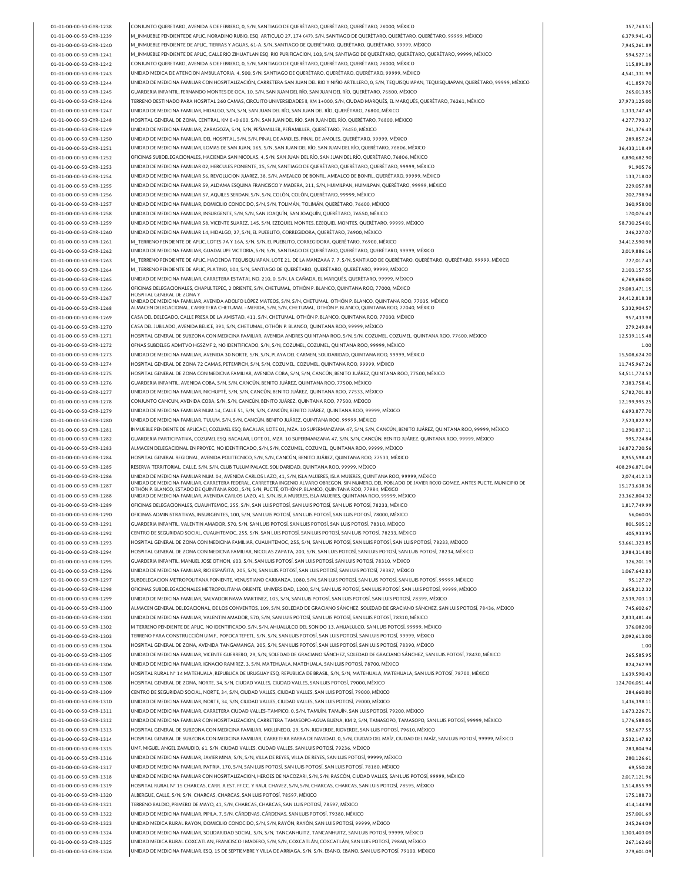| 01-01-00-00-50-GYR-1238                            | CONJUNTO QUERETARO, AVENIDA 5 DE FEBRERO, 0, S/N, SANTIAGO DE QUERÉTARO, QUERÉTARO, QUERÉTARO, 76000, MÉXICO                                                                                                                                       | 357,763.51               |
|----------------------------------------------------|----------------------------------------------------------------------------------------------------------------------------------------------------------------------------------------------------------------------------------------------------|--------------------------|
| 01-01-00-00-50-GYR-1239                            | M_INMUEBLE PENDIENTEDE APLIC, NORADINO RUBIO, ESQ. ARTICULO 27, 174 (47), S/N, SANTIAGO DE QUERÉTARO, QUERÉTARO, QUERÉTARO, 99999, MÉXICO                                                                                                          | 6,379,941.43             |
|                                                    |                                                                                                                                                                                                                                                    |                          |
| 01-01-00-00-50-GYR-1240                            | M_INMUEBLE PENDIENTE DE APLIC, TIERRAS Y AGUAS, 61-A, S/N, SANTIAGO DE QUERÉTARO, QUERÉTARO, QUERÉTARO, 99999, MÉXICO                                                                                                                              | 7.945.261.89             |
| 01-01-00-00-50-GYR-1241                            | M_INMUEBLE PENDIENTE DE APLIC, CALLE RIO ZIHUATLAN ESQ. RIO PURIFICACION, 103, S/N, SANTIAGO DE QUERÉTARO, QUERÉTARO, QUERÉTARO, 99999, MÉXICO                                                                                                     | 594.527.16               |
| 01-01-00-00-50-GYR-1242                            | CONJUNTO QUERETARO, AVENIDA 5 DE FEBRERO, 0, S/N, SANTIAGO DE QUERÉTARO, QUERÉTARO, QUERÉTARO, 76000, MÉXICO                                                                                                                                       | 115,891.89               |
| 01-01-00-00-50-GYR-1243                            | UNIDAD MEDICA DE ATENCION AMBULATORIA, 4, 500, S/N, SANTIAGO DE QUERÉTARO, QUERÉTARO, QUERÉTARO, 99999, MÉXICO                                                                                                                                     | 4,541,331.99             |
| 01-01-00-00-50-GYR-1244                            | UNIDAD DE MEDICINA FAMILIAR CON HOSPITALIZACIÓN, CARRETERA SAN JUAN DEL RIO Y NIÑO ARTILLERO, 0, S/N, TEQUISQUIAPAN, TEQUISQUIAPAN, QUERÉTARO, 99999, MÉXICO                                                                                       | 411,859.70               |
| 01-01-00-00-50-GYR-1245                            | GUARDERIA INFANTIL, FERNANDO MONTES DE OCA, 10, S/N, SAN JUAN DEL RÍO, SAN JUAN DEL RÍO, QUERÉTARO, 76800, MÉXICO                                                                                                                                  | 265,013.85               |
| 01-01-00-00-50-GYR-1246                            | TERRENO DESTINADO PARA HOSPITAL 260 CAMAS, CIRCUITO UNIVERSIDADES II, KM 1+000, S/N, CIUDAD MARQUÉS, EL MARQUÉS, QUERÉTARO, 76261, MÉXICO                                                                                                          | 27,973,125.00            |
|                                                    | UNIDAD DE MEDICINA FAMILIAR, HIDALGO, S/N, S/N, SAN JUAN DEL RÍO, SAN JUAN DEL RÍO, QUERÉTARO, 76800, MÉXICO                                                                                                                                       | 1,333,747.49             |
| 01-01-00-00-50-GYR-1247                            |                                                                                                                                                                                                                                                    |                          |
| 01-01-00-00-50-GYR-1248                            | HOSPITAL GENERAL DE ZONA, CENTRAL, KM 0+0.600, S/N, SAN JUAN DEL RÍO, SAN JUAN DEL RÍO, QUERÉTARO, 76800, MÉXICO                                                                                                                                   | 4,277,793.37             |
| 01-01-00-00-50-GYR-1249                            | UNIDAD DE MEDICINA FAMILIAR, ZARAGOZA, S/N, S/N, PEÑAMILLER, PEÑAMILLER, QUERÉTARO, 76450, MÉXICO                                                                                                                                                  | 261.376.43               |
| 01-01-00-00-50-GYR-1250                            | UNIDAD DE MEDICINA FAMILIAR, DEL HOSPITAL, S/N, S/N, PINAL DE AMOLES, PINAL DE AMOLES, QUERÉTARO, 99999, MÉXICO                                                                                                                                    | 289,857.24               |
| 01-01-00-00-50-GYR-1251                            | UNIDAD DE MEDICINA FAMILIAR, LOMAS DE SAN JUAN, 165, S/N, SAN JUAN DEL RÍO, SAN JUAN DEL RÍO, QUERÉTARO, 76806, MÉXICO                                                                                                                             | 36,433,118.49            |
| 01-01-00-00-50-GYR-1252                            | OFICINAS SUBDELEGACIONALES, HACIENDA SAN NICOLAS, 4, S/N, SAN JUAN DEL RÍO, SAN JUAN DEL RÍO, QUERÉTARO, 76806, MÉXICO                                                                                                                             | 6,890,682.90             |
| 01-01-00-00-50-GYR-1253                            | UNIDAD DE MEDICINA FAMILIAR 02, HERCULES PONIENTE, 25, S/N, SANTIAGO DE QUERÉTARO, QUERÉTARO, QUERÉTARO, 99999, MÉXICO                                                                                                                             | 91,905.76                |
| 01-01-00-00-50-GYR-1254                            | UNIDAD DE MEDICINA FAMILIAR 56, REVOLUCION JUAREZ, 38, S/N, AMEALCO DE BONFIL, AMEALCO DE BONFIL, QUERÈTARO, 99999, MÉXICO                                                                                                                         | 133,718.02               |
|                                                    |                                                                                                                                                                                                                                                    |                          |
| 01-01-00-00-50-GYR-1255                            | UNIDAD DE MEDICINA FAMILIAR 59, ALDAMA ESQUINA FRANCISCO Y MADERA, 211, S/N, HUIMILPAN, HUIMILPAN, QUERÉTARO, 99999, MÉXICO                                                                                                                        | 229,057.88               |
| 01-01-00-00-50-GYR-1256                            | UNIDAD DE MEDICINA FAMILIAR 57, AQUILES SERDAN, S/N, S/N, COLÓN, COLÓN, QUERÉTARO, 99999, MÉXICO                                                                                                                                                   | 202,798.94               |
| 01-01-00-00-50-GYR-1257                            | UNIDAD DE MEDICINA FAMILIAR, DOMICILIO CONOCIDO, S/N, S/N, TOLIMÁN, TOLIMÁN, QUERÉTARO, 76600, MÉXICO                                                                                                                                              | 360,958.00               |
| 01-01-00-00-50-GYR-1258                            | UNIDAD DE MEDICINA FAMILIAR, INSURGENTE, S/N, S/N, SAN JOAQUÍN, SAN JOAQUÍN, QUERÉTARO, 76550, MÉXICO                                                                                                                                              | 170,076.43               |
| 01-01-00-00-50-GYR-1259                            | UNIDAD DE MEDICINA FAMILIAR 58, VICENTE SUAREZ, 145, S/N, EZEQUIEL MONTES, EZEQUIEL MONTES, QUERÊTARO, 99999, MÊXICO                                                                                                                               | 58,730,254.01            |
| 01-01-00-00-50-GYR-1260                            | UNIDAD DE MEDICINA FAMILIAR 14, HIDALGO, 27, S/N, EL PUEBLITO, CORREGIDORA, QUERÉTARO, 76900, MÉXICO                                                                                                                                               | 246.227.07               |
| 01-01-00-00-50-GYR-1261                            | M_TERRENO PENDIENTE DE APLIC, LOTES 7A Y 16A, S/N, S/N, EL PUEBLITO, CORREGIDORA, QUERÉTARO, 76900, MÉXICO                                                                                                                                         | 34.412.590.98            |
|                                                    | UNIDAD DE MEDICINA FAMILIAR, GUADALUPE VICTORIA, S/N, S/N, SANTIAGO DE QUERÉTARO, QUERÉTARO, QUERÉTARO, 99999, MÉXICO                                                                                                                              | 2,019,886.16             |
| 01-01-00-00-50-GYR-1262                            |                                                                                                                                                                                                                                                    |                          |
| 01-01-00-00-50-GYR-1263                            | M_TERRENO PENDIENTE DE APLIC, HACIENDA TEQUISQUIAPAN, LOTE 21, DE LA MANZAAA 7, 7, S/N, SANTIAGO DE QUERÉTARO, QUERÉTARO, QUERÉTARO, 99999, MÉXICO                                                                                                 | 727,017.43               |
| 01-01-00-00-50-GYR-1264                            | M_TERRENO PENDIENTE DE APLIC, PLATINO, 104, S/N, SANTIAGO DE QUERÉTARO, QUERÉTARO, QUERÉTARO, 99999, MÉXICO                                                                                                                                        | 2,103,157.55             |
| 01-01-00-00-50-GYR-1265                            | UNIDAD DE MEDICINA FAMILIAR, CARRETERA ESTATAL NO. 210, 0, S/N, LA CAÑADA, EL MARQUÉS, QUERÉTARO, 99999, MÉXICO                                                                                                                                    | 6.769.686.00             |
| 01-01-00-00-50-GYR-1266                            | OFICINAS DELEGACIONALES, CHAPULTEPEC, 2 ORIENTE, S/N, CHETUMAL, OTHÓN P. BLANCO, QUINTANA ROO, 77000, MÉXICO                                                                                                                                       | 29.083.471.15            |
| 01-01-00-00-50-GYR-1267                            | HOSPITAL GENERAL DE ZONA Y                                                                                                                                                                                                                         | 24,412,818.38            |
| 01-01-00-00-50-GYR-1268                            | UNIDAD DE MEDICINA FAMILIAR, AVENIDA ADOLFO LÓPEZ MATEOS, S/N, S/N, CHETUMAL, OTHÓN P. BLANCO, QUINTANA ROO, 77035, MÊXICO<br>ALMACEN DELEGACIONAL, CARRETERA CHETUMAL - MERIDA, S/N, S/N, CHETUMAL, OTHÓN P. BLANCO, QUINTANA ROO, 77040, MÊXICO  | 5,332,904.57             |
|                                                    | CASA DEL DELEGADO, CALLE PRESA DE LA AMISTAD, 411, S/N, CHETUMAL, OTHÓN P. BLANCO, QUINTANA ROO, 77030, MÉXICO                                                                                                                                     |                          |
| 01-01-00-00-50-GYR-1269                            |                                                                                                                                                                                                                                                    | 957,433.98               |
| 01-01-00-00-50-GYR-1270                            | CASA DEL JUBILADO, AVENIDA BELICE, 391, S/N, CHETUMAL, OTHÓN P. BLANCO, QUINTANA ROO, 99999, MÉXICO                                                                                                                                                | 279,249.84               |
| 01-01-00-00-50-GYR-1271                            | HOSPITAL GENERAL DE SUBZONA CON MEDICINA FAMILIAR, AVENIDA ANDRES QUINTANA ROO, S/N, S/N, COZUMEL, COZUMEL, QUINTANA ROO, 77600, MÉXICO                                                                                                            | 12,539,115.48            |
| 01-01-00-00-50-GYR-1272                            | OFNAS SUBDELEG ADMTVO HGSZMF 2, NO IDENTIFICADO, S/N, S/N, COZUMEL, COZUMEL, QUINTANA ROO, 99999, MÉXICO                                                                                                                                           | 1.00                     |
| 01-01-00-00-50-GYR-1273                            | UNIDAD DE MEDICINA FAMILIAR, AVENIDA 30 NORTE, S/N, S/N, PLAYA DEL CARMEN, SOLIDARIDAD, QUINTANA ROO, 99999, MÊXICO                                                                                                                                | 15,508,624.20            |
| 01-01-00-00-50-GYR-1274                            | HOSPITAL GENERAL DE ZONA 72 CAMAS, PETEMPICH, S/N, S/N, COZUMEL, COZUMEL, QUINTANA ROO, 99999, MÉXICO                                                                                                                                              | 11,745,967.26            |
| 01-01-00-00-50-GYR-1275                            | HOSPITAL GENERAL DE ZONA CON MEDICNA FAMILIAR, AVENIDA COBA, S/N, S/N, CANCÚN, BENITO JUÁREZ, QUINTANA ROO, 77500, MÉXICO                                                                                                                          | 54, 511, 774. 53         |
|                                                    |                                                                                                                                                                                                                                                    |                          |
| 01-01-00-00-50-GYR-1276                            | GUARDERIA INFANTIL, AVENIDA COBA, S/N, S/N, CANCÚN, BENITO JUÁREZ, QUINTANA ROO, 77500, MÉXICO                                                                                                                                                     | 7,383,758.41             |
| 01-01-00-00-50-GYR-1277                            | UNIDAD DE MEDICINA FAMILIAR, NICHUPTÉ, S/N, S/N, CANCÚN, BENITO JUÁREZ, QUINTANA ROO, 77533, MÉXICO                                                                                                                                                | 5,782,701.83             |
| 01-01-00-00-50-GYR-1278                            | CONJUNTO CANCUN, AVENIDA COBA, S/N, S/N, CANCUN, BENITO JUÂREZ, QUINTANA ROO, 77500, MÉXICO                                                                                                                                                        | 12,199,995.25            |
| 01-01-00-00-50-GYR-1279                            | UNIDAD DE MEDICINA FAMILIAR NUM.14, CALLE 51, S/N, S/N, CANCÚN, BENITO JUÁREZ, QUINTANA ROO, 99999, MÉXICO                                                                                                                                         | 6,693,877.70             |
| 01-01-00-00-50-GYR-1280                            | UNIDAD DE MEDICINA FAMILIAR, TULUM, S/N, S/N, CANCÚN, BENITO JUÁREZ, QUINTANA ROO, 99999, MÉXICO                                                                                                                                                   | 7,523,822.92             |
| 01-01-00-00-50-GYR-1281                            | INMUEBLE PENDIENTE DE APLICACI, COZUMEL ESQ. BACALAR, LOTE 01, MZA. 10 SUPERMANZANA 47, S/N, S/N, CANCÚN, BENITO JUÁREZ, QUINTANA ROO, 99999, MÉXICO                                                                                               | 1,290,837.11             |
|                                                    |                                                                                                                                                                                                                                                    |                          |
|                                                    |                                                                                                                                                                                                                                                    |                          |
| 01-01-00-00-50-GYR-1282                            | GUARDERIA PARTICIPATIVA, COZUMEL ESQ. BACALAR, LOTE 01, MZA. 10 SUPERMANZANA 47, S/N, S/N, CANCÚN, BENITO JUÁREZ, QUINTANA ROO, 99999, MÉXICO                                                                                                      | 995,724.84               |
| 01-01-00-00-50-GYR-1283                            | ALMACEN DELEGACIONAL EN PROYEC, NO IDENTIFICADO, S/N, S/N, COZUMEL, COZUMEL, QUINTANA ROO, 99999, MÉXICO                                                                                                                                           | 16,872,720.56            |
| 01-01-00-00-50-GYR-1284                            | HOSPITAL GENERAL REGIONAL, AVENIDA POLITECNICO, S/N, S/N, CANCÚN, BENITO JUÁREZ, QUINTANA ROO, 77533, MÉXICO                                                                                                                                       | 8,955,598.43             |
| 01-01-00-00-50-GYR-1285                            | RESERVA TERRITORIAL, CALLE, S/N, S/N, CLUB TULUM PALACE, SOLIDARIDAD, QUINTANA ROO, 99999, MÉXICO                                                                                                                                                  | 408,296,871.04           |
| 01-01-00-00-50-GYR-1286                            | UNIDAD DE MEDICINA FAMILIAR NUM. 04. AVENIDA CARLOS LAZO. 41. S/N. ISLA MUJERES. ISLA MUJERES. OUINTANA ROO, 99999. MÉXICO                                                                                                                         | 2,074,412.13             |
| 01-01-00-00-50-GYR-1287                            | UNIDAD DE MEDICINA FAMILIAR, CARRETERA FEDERAL, CARRETERA INGENIO ALVARO OBREGON, SIN NUMERO, DEL POBLADO DE JAVIER ROJO GOMEZ, ANTES PUCTE, MUNICIPIO DE                                                                                          |                          |
|                                                    | OTHÓN P. BLANCO, ESTADO DE OUINTANA ROO., S/N, S/N, PUCTÉ, OTHÓN P. BLANCO, OUINTANA ROO, 77984, MÉXICO                                                                                                                                            | 15,173,638.36            |
| 01-01-00-00-50-GYR-1288                            | UNIDAD DE MEDICINA FAMILIAR, AVENIDA CARLOS LAZO, 41, S/N, ISLA MUJERES, ISLA MUJERES, QUINTANA ROO, 99999, MÉXICO                                                                                                                                 | 23.362.804.32            |
| 01-01-00-00-50-GYR-1289                            | OFICINAS DELEGACIONALES, CUAUHTEMOC, 255, S/N, SAN LUIS POTOSĪ, SAN LUIS POTOSĪ, SAN LUIS POTOSĪ, 78233, MĒXICO                                                                                                                                    | 1,817,749.99             |
| 01-01-00-00-50-GYR-1290                            | OFICINAS ADMINISTRATIVAS, INSURGENTES, 100, S/N, SAN LUIS POTOSÍ, SAN LUIS POTOSÍ, SAN LUIS POTOSÍ, 78000, MÉXICO                                                                                                                                  | 56,060.05                |
| 01-01-00-00-50-GYR-1291                            | GUARDERIA INFANTIL, VALENTIN AMADOR, 570, S/N, SAN LUIS POTOSĪ, SAN LUIS POTOSĪ, SAN LUIS POTOSĪ, 78310, MĒXICO                                                                                                                                    | 801,505.12               |
| 01-01-00-00-50-GYR-1292                            | CENTRO DE SEGURIDAD SOCIAL, CUAUHTEMOC, 255, S/N, SAN LUIS POTOSÍ, SAN LUIS POTOSÍ, SAN LUIS POTOSÍ, 78233, MÉXICO                                                                                                                                 | 405,933.95               |
| 01-01-00-00-50-GYR-1293                            | HOSPITAL GENERAL DE ZONA CON MEDICINA FAMILIAR, CUAUHTEMOC, 255, S/N, SAN LUIS POTOSÍ, SAN LUIS POTOSÍ, SAN LUIS POTOSÍ, 78233, MÉXICO                                                                                                             | 53,661,323.85            |
| 01-01-00-00-50-GYR-1294                            | HOSPITAL GENERAL DE ZONA CON MEDICNA FAMILIAR, NICOLAS ZAPATA, 203, S/N, SAN LUIS POTOSÍ, SAN LUIS POTOSÍ, SAN LUIS POTOSÍ, 78234, MÉXICO                                                                                                          | 3,984,314.80             |
|                                                    |                                                                                                                                                                                                                                                    |                          |
| 01-01-00-00-50-GYR-1295                            | GUARDERIA INFANTIL, MANUEL JOSE OTHON, 603, S/N, SAN LUIS POTOSÍ, SAN LUIS POTOSÍ, SAN LUIS POTOSÍ, 78310, MÉXICO                                                                                                                                  | 326,201.19               |
| 01-01-00-00-50-GYR-1296                            | UNIDAD DE MEDICINA FAMILIAR, RIO ESPAÑITA, 205, S/N, SAN LUIS POTOSÍ, SAN LUIS POTOSÍ, SAN LUIS POTOSÍ, 78387, MÉXICO                                                                                                                              | 1,067,642.83             |
| 01-01-00-00-50-GYR-1297                            | SUBDELEGACION METROPOLITANA PONIENTE, VENUSTIANO CARRANZA, 1080, S/N, SAN LUIS POTOSÍ, SAN LUIS POTOSÍ, SAN LUIS POTOSÍ, 99999, MÉXICO                                                                                                             | 95,127.29                |
| 01-01-00-00-50-GYR-1298                            | OFICINAS SUBDELEGACIONALES METROPOLITANA ORIENTE, UNIVERSIDAD, 1200, S/N, SAN LUIS POTOSÍ, SAN LUIS POTOSÍ, SAN LUIS POTOSÍ, 99999, MÉXICO                                                                                                         | 2,658,212.32             |
| 01-01-00-00-50-GYR-1299                            | UNIDAD DE MEDICINA FAMILIAR, SALVADOR NAVA MARTINEZ, 105, S/N, SAN LUIS POTOSÍ, SAN LUIS POTOSÍ, SAN LUIS POTOSÍ, 78399, MÉXICO                                                                                                                    | 2,539,703.13             |
| 01-01-00-00-50-GYR-1300                            | ALMACEN GENERAL DELEGACIONAL, DE LOS CONVENTOS, 109, S/N, SOLEDAD DE GRACIANO SÁNCHEZ, SOLEDAD DE GRACIANO SÁNCHEZ, SAN LUIS POTOSÍ, 78436, MÉXICO                                                                                                 | 745,602.67               |
| 01-01-00-00-50-GYR-1301                            | UNIDAD DE MEDICINA FAMILIAR, VALENTIN AMADOR, 570, S/N, SAN LUIS POTOSÍ, SAN LUIS POTOSÍ, SAN LUIS POTOSÍ, 78310, MÉXICO                                                                                                                           | 2,833,481.46             |
|                                                    |                                                                                                                                                                                                                                                    |                          |
| 01-01-00-00-50-GYR-1302                            | M TERRENO PENDIENTE DE APLIC, NO IDENTIFICADO, S/N, S/N, AHUALULCO DEL SONIDO 13, AHUALULCO, SAN LUIS POTOSÍ, 99999, MÉXICO                                                                                                                        | 376,082.00               |
| 01-01-00-00-50-GYR-1303                            | TERRENO PARA CONSTRUCCIÓN U.M.F., POPOCATEPETL, S/N, S/N, SAN LUIS POTOSÍ, SAN LUIS POTOSÍ, SAN LUIS POTOSÍ, 99999, MÉXICO                                                                                                                         | 2,092,613.00             |
| 01-01-00-00-50-GYR-1304                            | HOSPITAL GENERAL DE ZONA, AVENIDA TANGAMANGA, 205, S/N, SAN LUIS POTOSÍ, SAN LUIS POTOSÍ, SAN LUIS POTOSÍ, 78390, MÉXICO                                                                                                                           | 1.00                     |
| 01-01-00-00-50-GYR-1305                            | UNIDAD DE MEDICINA FAMILIAR, VICENTE GUERRERO, 29, S/N, SOLEDAD DE GRACIANO SÁNCHEZ, SOLEDAD DE GRACIANO SÁNCHEZ, SAN LUIS POTOSÍ, 78430, MÉXICO                                                                                                   | 265,585.95               |
| 01-01-00-00-50-GYR-1306                            | UNIDAD DE MEDICINA FAMILIAR, IGNACIO RAMIREZ, 3, S/N, MATEHUALA, MATEHUALA, SAN LUIS POTOSÍ, 78700, MÉXICO                                                                                                                                         | 824,262.99               |
| 01-01-00-00-50-GYR-1307                            | HOSPITAL RURAL Nº 14 MATEHUALA, REPUBLICA DE URUGUAY ESQ. REPUBLICA DE BRASIL, S/N, S/N, MATEHUALA, MATEHUALA, SAN LUIS POTOSÍ, 78700, MÉXICO                                                                                                      | 1,639,590.43             |
| 01-01-00-00-50-GYR-1308                            | HOSPITAL GENERAL DE ZONA, NORTE, 34, S/N, CIUDAD VALLES, CIUDAD VALLES, SAN LUIS POTOSÍ, 79000, MÉXICO                                                                                                                                             | 124,706,051.44           |
|                                                    |                                                                                                                                                                                                                                                    |                          |
| 01-01-00-00-50-GYR-1309                            | CENTRO DE SEGURIDAD SOCIAL, NORTE, 34, S/N, CIUDAD VALLES, CIUDAD VALLES, SAN LUIS POTOSÍ, 79000, MÉXICO                                                                                                                                           | 284,660.80               |
| 01-01-00-00-50-GYR-1310                            | UNIDAD DE MEDICINA FAMILIAR, NORTE, 34, S/N, CIUDAD VALLES, CIUDAD VALLES, SAN LUIS POTOSÍ, 79000, MÉXICO                                                                                                                                          | 1,436,398.11             |
| 01-01-00-00-50-GYR-1311                            | UNIDAD DE MEDICINA FAMILIAR, CARRETERA CIUDAD VALLES-TAMPICO, 0, S/N, TAMUÍN, TAMUÍN, SAN LUIS POTOSÍ, 79200, MÉXICO                                                                                                                               | 1,673,226.71             |
| 01-01-00-00-50-GYR-1312                            | UNIDAD DE MEDICINA FAMILIAR CON HOSPITALIZACION, CARRETERA TAMASOPO-AGUA BUENA, KM 2, S/N, TAMASOPO, TAMASOPO, SAN LUIS POTOSÍ, 99999, MÉXICO                                                                                                      | 1,776,588.05             |
| 01-01-00-00-50-GYR-1313                            | HOSPITAL GENERAL DE SUBZONA CON MEDICINA FAMILIAR, MOLLINEDO, 29, S/N, RIOVERDE, RIOVERDE, SAN LUIS POTOSÍ, 79610, MÉXICO                                                                                                                          | 582,677.55               |
| 01-01-00-00-50-GYR-1314                            | HOSPITAL GENERAL DE SUBZONA CON MEDICINA FAMILIAR, CARRETERA BARRA DE NAVIDAD, 0, S/N, CIUDAD DEL MAÍZ, CIUDAD DEL MAÍZ, SAN LUIS POTOSÍ, 99999, MÉXICO                                                                                            | 3,532,147.82             |
|                                                    | UMF, MIGUEL ANGEL ZAMUDIO, 61, S/N, CIUDAD VALLES, CIUDAD VALLES, SAN LUIS POTOSÍ, 79236, MÉXICO                                                                                                                                                   |                          |
| 01-01-00-00-50-GYR-1315                            |                                                                                                                                                                                                                                                    | 283,804.94               |
| 01-01-00-00-50-GYR-1316                            | UNIDAD DE MEDICINA FAMILIAR, JAVIER MINA, S/N, S/N, VILLA DE REYES, VILLA DE REYES, SAN LUIS POTOSÍ, 99999, MÉXICO                                                                                                                                 | 280,126.61               |
| 01-01-00-00-50-GYR-1317                            | UNIDAD DE MEDICINA FAMILIAR, PATRIA, 170, S/N, SAN LUIS POTOSÍ, SAN LUIS POTOSÍ, SAN LUIS POTOSÍ, 78180, MÉXICO                                                                                                                                    | 69,550.28                |
| 01-01-00-00-50-GYR-1318                            | UNIDAD DE MEDICINA FAMILIAR CON HOSPITALIZACION, HEROES DE NACOZARI, S/N, S/N, RASCÓN, CIUDAD VALLES, SAN LUIS POTOSÍ, 99999, MÉXICO                                                                                                               | 2,017,121.96             |
| 01-01-00-00-50-GYR-1319                            | HOSPITAL RURAL Nº 15 CHARCAS, CARR. A EST. FF.CC. Y RAUL CHAVEZ, S/N, S/N, CHARCAS, CHARCAS, SAN LUIS POTOSÍ, 78595, MÉXICO                                                                                                                        | 1,514,855.99             |
| 01-01-00-00-50-GYR-1320                            | ALBERGUE, CALLE, S/N, S/N, CHARCAS, CHARCAS, SAN LUIS POTOSÍ, 78597, MÉXICO                                                                                                                                                                        | 175,188.73               |
| 01-01-00-00-50-GYR-1321                            | TERRENO BALDIO, PRIMERO DE MAYO, 41, S/N, CHARCAS, CHARCAS, SAN LUIS POTOSÍ, 78597, MÉXICO                                                                                                                                                         | 414,144.98               |
|                                                    |                                                                                                                                                                                                                                                    |                          |
| 01-01-00-00-50-GYR-1322                            | UNIDAD DE MEDICINA FAMILIAR, PIPILA, 7, S/N, CÁRDENAS, CÁRDENAS, SAN LUIS POTOSÍ, 79380, MÉXICO                                                                                                                                                    | 257,001.69               |
| 01-01-00-00-50-GYR-1323                            | UNIDAD MEDICA RURAL RAYON, DOMICILIO CONOCIDO, S/N, S/N, RAYÓN, RAYÓN, SAN LUIS POTOSÍ, 99999, MÉXICO                                                                                                                                              | 245,264.09               |
| 01-01-00-00-50-GYR-1324                            | UNIDAD DE MEDICINA FAMILIAR, SOLIDARIDAD SOCIAL, S/N, S/N, TANCANHUITZ, TANCANHUITZ, SAN LUIS POTOSÍ, 99999, MÉXICO                                                                                                                                | 1,303,403.09             |
| 01-01-00-00-50-GYR-1325<br>01-01-00-00-50-GYR-1326 | UNIDAD MEDICA RURAL COXCATLAN, FRANCISCO I MADERO, S/N, S/N, COXCATLÁN, COXCATLÁN, SAN LUIS POTOSÍ, 79860, MÉXICO<br>UNIDAD DE MEDICINA FAMILIAR, ESQ. 15 DE SEPTIEMBRE Y VILLA DE ARRIAGA, S/N, S/N, EBANO, EBANO, SAN LUIS POTOSÍ, 79100, MÉXICO | 267,162.60<br>279,601.09 |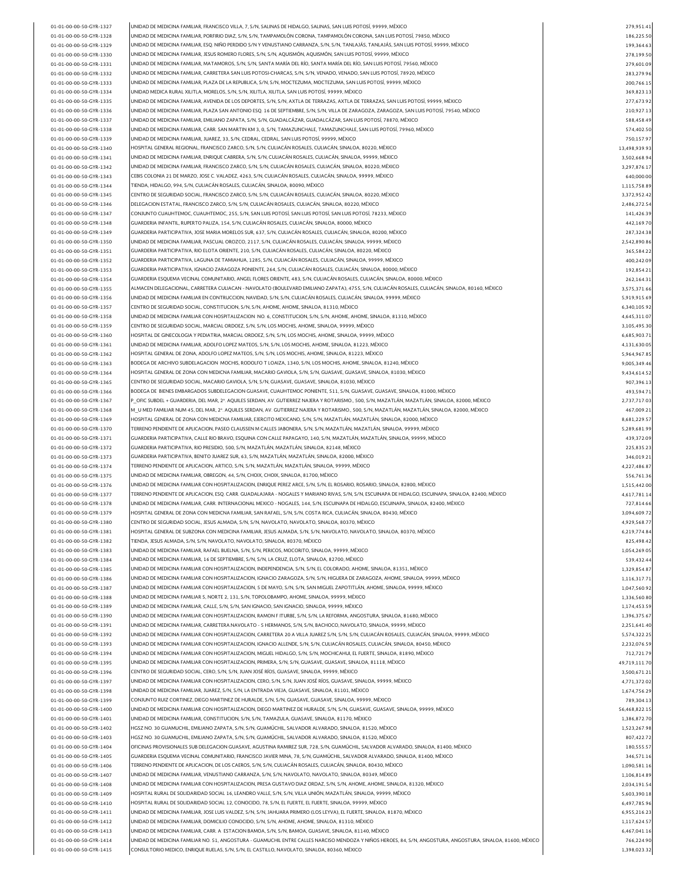| 01-01-00-00-50-GYR-1327 | UNIDAD DE MEDICINA FAMILIAR, FRANCISCO VILLA, 7, S/N, SALINAS DE HIDALGO, SALINAS, SAN LUIS POTOSI, 99999, MÉXICO                                            | 279,951.41    |
|-------------------------|--------------------------------------------------------------------------------------------------------------------------------------------------------------|---------------|
| 01-01-00-00-50-GYR-1328 | UNIDAD DE MEDICINA FAMILIAR, PORFIRIO DIAZ, S/N, S/N, TAMPAMOLÓN CORONA, TAMPAMOLÓN CORONA, SAN LUIS POTOSÍ, 79850, MÉXICO                                   | 186,225.50    |
| 01-01-00-00-50-GYR-1329 | UNIDAD DE MEDICINA FAMILIAR, ESQ. NIÑO PERDIDO S/N Y VENUSTIANO CARRANZA, S/N, S/N, TANLAJÁS, TANLAJÁS, SAN LUIS POTOSÍ, 99999, MÉXICO                       | 199,364.63    |
| 01-01-00-00-50-GYR-1330 | UNIDAD DE MEDICINA FAMILIAR, JESUS ROMERO FLORES, S/N, S/N, AQUISMÓN, AQUISMÓN, SAN LUIS POTOSÍ, 99999, MÉXICO                                               | 278,199.50    |
| 01-01-00-00-50-GYR-1331 | UNIDAD DE MEDICINA FAMILIAR, MATAMOROS, S/N, S/N, SANTA MARÍA DEL RÍO, SANTA MARÍA DEL RÍO, SAN LUIS POTOSÍ, 79560, MÉXICO                                   | 279,601.09    |
| 01-01-00-00-50-GYR-1332 | UNIDAD DE MEDICINA FAMILIAR, CARRETERA SAN LUIS POTOSI-CHARCAS, S/N, S/N, VENADO, VENADO, SAN LUIS POTOSÍ, 78920, MÉXICO                                     | 283,279.96    |
| 01-01-00-00-50-GYR-1333 | UNIDAD DE MEDICINA FAMILIAR, PLAZA DE LA REPUBLICA, S/N, S/N, MOCTEZUMA, MOCTEZUMA, SAN LUIS POTOSÍ, 99999, MÉXICO                                           | 200,766.15    |
| 01-01-00-00-50-GYR-1334 | UNIDAD MEDICA RURAL XILITLA, MORELOS, S/N, S/N, XILITLA, XILITLA, SAN LUIS POTOSÍ, 99999, MÉXICO                                                             | 369,823.13    |
|                         | UNIDAD DE MEDICINA FAMILIAR, AVENIDA DE LOS DEPORTES, S/N, S/N, AXTLA DE TERRAZAS, AXTLA DE TERRAZAS, SAN LUIS POTOSÍ, 99999, MÉXICO                         |               |
| 01-01-00-00-50-GYR-1335 |                                                                                                                                                              | 277,673.92    |
| 01-01-00-00-50-GYR-1336 | UNIDAD DE MEDICINA FAMILIAR, PLAZA SAN ANTONIO ESQ. 16 DE SEPTIEMBRE, S/N, S/N, VILLA DE ZARAGOZA, ZARAGOZA, SAN LUIS POTOSÍ, 79540, MÉXICO                  | 210,927.13    |
| 01-01-00-00-50-GYR-1337 | UNIDAD DE MEDICINA FAMILIAR, EMILIANO ZAPATA, S/N, S/N, GUADALCÁZAR, GUADALCÁZAR, SAN LUIS POTOSÍ, 78870, MÉXICO                                             | 588,458.49    |
| 01-01-00-00-50-GYR-1338 | UNIDAD DE MEDICINA FAMILIAR, CARR. SAN MARTIN KM 3, 0, S/N, TAMAZUNCHALE, TAMAZUNCHALE, SAN LUIS POTOSÍ, 79960, MÉXICO                                       | 574,402.50    |
| 01-01-00-00-50-GYR-1339 | UNIDAD DE MEDICINA FAMILIAR, JUAREZ, 33, S/N, CEDRAL, CEDRAL, SAN LUIS POTOSÍ, 99999, MÉXICO                                                                 | 750,157.97    |
| 01-01-00-00-50-GYR-1340 | HOSPITAL GENERAL REGIONAL, FRANCISCO ZARCO, S/N, S/N, CULIACÁN ROSALES, CULIACÁN, SINALOA, 80220, MÉXICO                                                     | 13,498,939.93 |
| 01-01-00-00-50-GYR-1341 | UNIDAD DE MEDICINA FAMILIAR, ENRIQUE CABRERA, S/N, S/N, CULIACÁN ROSALES, CULIACÁN, SINALOA, 99999, MÉXICO                                                   | 3.502.668.94  |
| 01-01-00-00-50-GYR-1342 | UNIDAD DE MEDICINA FAMILIAR, FRANCISCO ZARCO, S/N, S/N, CULIACÂN ROSALES, CULIACÂN, SINALOA, 80220, MÊXICO                                                   | 3,297,876.17  |
|                         | CEBIS COLONIA 21 DE MARZO, JOSE C. VALADEZ, 4263, S/N, CULIACÁN ROSALES, CULIACÁN, SINALOA, 99999, MÉXICO                                                    |               |
| 01-01-00-00-50-GYR-1343 |                                                                                                                                                              | 640,000.00    |
| 01-01-00-00-50-GYR-1344 | TIENDA, HIDALGO, 994, S/N, CULIACÁN ROSALES, CULIACÁN, SINALOA, 80090, MÉXICO                                                                                | 1,115,758.89  |
| 01-01-00-00-50-GYR-1345 | CENTRO DE SEGURIDAD SOCIAL, FRANCISCO ZARCO, S/N, S/N, CULIACÁN ROSALES, CULIACÁN, SINALOA, 80220, MÉXICO                                                    | 3,372,952.42  |
| 01-01-00-00-50-GYR-1346 | DELEGACION ESTATAL, FRANCISCO ZARCO, S/N, S/N, CULIACÁN ROSALES, CULIACÁN, SINALOA, 80220, MÉXICO                                                            | 2,486,272.54  |
| 01-01-00-00-50-GYR-1347 | CONJUNTO CUAUHTEMOC, CUAUHTEMOC, 255, S/N, SAN LUIS POTOSÍ, SAN LUIS POTOSÍ, SAN LUIS POTOSÍ, 78233, MÉXICO                                                  | 141,426.39    |
| 01-01-00-00-50-GYR-1348 | GUARDERIA INFANTIL, RUPERTO PALIZA, 154, S/N, CULIACÁN ROSALES, CULIACÁN, SINALOA, 80000, MÉXICO                                                             | 442,169.70    |
| 01-01-00-00-50-GYR-1349 | GUARDERIA PARTICIPATIVA, JOSE MARIA MORELOS SUR, 637, S/N, CULIACÁN ROSALES, CULIACÁN, SINALOA, 80200, MÉXICO                                                | 287,324.38    |
|                         | UNIDAD DE MEDICINA FAMILIAR, PASCUAL OROZCO, 2117, S/N, CULIACÁN ROSALES, CULIACÁN, SINALOA, 99999, MÉXICO                                                   | 2,542,890.86  |
| 01-01-00-00-50-GYR-1350 |                                                                                                                                                              |               |
| 01-01-00-00-50-GYR-1351 | GUARDERIA PARTICIPATIVA, RIO ELOTA ORIENTE, 210, S/N, CULIACÁN ROSALES, CULIACÁN, SINALOA, 80220, MÉXICO                                                     | 365.584.22    |
| 01-01-00-00-50-GYR-1352 | GUARDERIA PARTICIPATIVA, LAGUNA DE TAMIAHUA, 1285, S/N, CULIACÁN ROSALES, CULIACÁN, SINALOA, 99999, MÉXICO                                                   | 400,242.09    |
| 01-01-00-00-50-GYR-1353 | GUARDERIA PARTICIPATIVA, IGNACIO ZARAGOZA PONIENTE, 264, S/N, CULIACÁN ROSALES, CULIACÁN, SINALOA, 80000, MÉXICO                                             | 192,854.21    |
| 01-01-00-00-50-GYR-1354 | GUARDERIA ESQUEMA VECINAL COMUNITARIO, ANGEL FLORES ORIENTE, 483, S/N, CULIACÁN ROSALES, CULIACÁN, SINALOA, 80000, MÉXICO                                    | 262,164.31    |
| 01-01-00-00-50-GYR-1355 | ALMACEN DELEGACIONAL, CARRETERA CULIACAN - NAVOLATO (BOULEVARD EMILIANO ZAPATA), 4755, S/N, CULIACÁN ROSALES, CULIACÁN, SINALOA, 80160, MÉXICO               | 3,575,371.66  |
| 01-01-00-00-50-GYR-1356 | UNIDAD DE MEDICINA FAMILIAR EN CONTRUCCION, NAVIDAD, S/N, S/N, CULIACÁN ROSALES, CULIACÁN, SINALOA, 99999, MÉXICO                                            | 5,919,915.69  |
| 01-01-00-00-50-GYR-1357 | CENTRO DE SEGURIDAD SOCIAL, CONSTITUCION, S/N, S/N, AHOME, AHOME, SINALOA, 81310, MÉXICO                                                                     | 6,340,105.92  |
| 01-01-00-00-50-GYR-1358 | UNIDAD DE MEDICINA FAMILIAR CON HOSPITALIZACION NO. 6, CONSTITUCION, S/N, S/N, AHOME, AHOME, SINALOA, 81310, MÉXICO                                          |               |
|                         |                                                                                                                                                              | 4,645,311.07  |
| 01-01-00-00-50-GYR-1359 | CENTRO DE SEGURIDAD SOCIAL, MARCIAL ORDOEZ, S/N, S/N, LOS MOCHIS, AHOME, SINALOA, 99999, MÉXICO                                                              | 3,105,495.30  |
| 01-01-00-00-50-GYR-1360 | HOSPITAL DE GINECOLOGIA Y PEDIATRIA, MARCIAL ORDOEZ, S/N, S/N, LOS MOCHIS, AHOME, SINALOA, 99999, MÊXICO                                                     | 6,685,903.71  |
| 01-01-00-00-50-GYR-1361 | UNIDAD DE MEDICINA FAMILIAR, ADOLFO LOPEZ MATEOS, S/N, S/N, LOS MOCHIS, AHOME, SINALOA, 81223, MÉXICO                                                        | 4,131,630.05  |
| 01-01-00-00-50-GYR-1362 | HOSPITAL GENERAL DE ZONA, ADOLFO LOPEZ MATEOS, S/N, S/N, LOS MOCHIS, AHOME, SINALOA, 81223, MÉXICO                                                           | 5,964,967.85  |
| 01-01-00-00-50-GYR-1363 | BODEGA DE ARCHIVO SUBDELAGACION MOCHIS, RODOLFO T LOAIZA, 1340, S/N, LOS MOCHIS, AHOME, SINALOA, 81240, MÉXICO                                               | 9,005,349.46  |
| 01-01-00-00-50-GYR-1364 | HOSPITAL GENERAL DE ZONA CON MEDICNA FAMILIAR, MACARIO GAVIOLA, S/N, S/N, GUASAVE, GUASAVE, SINALOA, 81030, MÉXICO                                           | 9,434,614.52  |
|                         |                                                                                                                                                              |               |
| 01-01-00-00-50-GYR-1365 | CENTRO DE SEGURIDAD SOCIAL, MACARIO GAVIOLA, S/N, S/N, GUASAVE, GUASAVE, SINALOA, 81030, MÉXICO                                                              | 907,396.13    |
| 01-01-00-00-50-GYR-1366 | BODEGA DE BIENES EMBARGADOS SUBDELEGACION GUASAVE, CUAUHTEMOC PONIENTE, 511, S/N, GUASAVE, GUASAVE, SINALOA, 81000, MÉXICO                                   | 493,594.71    |
| 01-01-00-00-50-GYR-1367 | P_OFIC SUBDEL + GUARDERIA, DEL MAR, 2º. AQUILES SERDAN, AV. GUTIERREZ NAJERA Y ROTARISMO., 500, S/N, MAZATLÂN, MAZATLÂN, SINALOA, 82000, MÊXICO              | 2,737,717.03  |
| 01-01-00-00-50-GYR-1368 | M_U MED FAMILIAR NUM 45, DEL MAR, 2º. AQUILES SERDAN, AV. GUTIERREZ NAJERA Y ROTARISMO., 500, S/N, MAZATLÁN, MAZATLÁN, SINALOA, 82000, MÉXICO                | 467,009.21    |
| 01-01-00-00-50-GYR-1369 | HOSPITAL GENERAL DE ZONA CON MEDICNA FAMILIAR, EJERCITO MEXICANO, S/N, S/N, MAZATLÁN, MAZATLÁN, SINALOA, 82000, MÉXICO                                       | 8,681,229.57  |
| 01-01-00-00-50-GYR-1370 | TERRENO PENDIENTE DE APLICACION, PASEO CLAUSSEN M CALLES JABONERA, S/N, S/N, MAZATLÁN, MAZATLÁN, SINALOA, 99999, MÉXICO                                      | 5,289,681.99  |
| 01-01-00-00-50-GYR-1371 | GUARDERIA PARTICIPATIVA, CALLE RIO BRAVO, ESQUINA CON CALLE PAPAGAYO, 140, S/N, MAZATLÁN, MAZATLÁN, SINALOA, 99999, MÉXICO                                   | 439,372.09    |
|                         |                                                                                                                                                              |               |
| 01-01-00-00-50-GYR-1372 | GUARDERIA PARTICIPATIVA, RIO PRESIDIO, 500, S/N, MAZATLÁN, MAZATLÁN, SINALOA, 82148, MÉXICO                                                                  | 225,835.23    |
| 01-01-00-00-50-GYR-1373 | GUARDERIA PARTICIPATIVA. BENITO JUAREZ SUR. 63. S/N. MAZATLÁN. MAZATLÁN. SINALOA. 82000. MÉXICO                                                              | 346,019.21    |
| 01-01-00-00-50-GYR-1374 | TERRENO PENDIENTE DE APLICACION, ARTICO, S/N, S/N, MAZATLÁN, MAZATLÁN, SINALOA, 99999, MÉXICO                                                                | 4,227,486.87  |
| 01-01-00-00-50-GYR-1375 | UNIDAD DE MEDICINA FAMILIAR, OBREGON, 44, S/N, CHOIX, CHOIX, SINALOA, 81700, MÊXICO                                                                          | 556,761.36    |
| 01-01-00-00-50-GYR-1376 | UNIDAD DE MEDICINA FAMILIAR CON HOSPITALIZACION, ENRIQUE PEREZ ARCE, S/N, S/N, EL ROSARIO, ROSARIO, SINALOA, 82800, MÉXICO                                   | 1,515,442.00  |
| 01-01-00-00-50-GYR-1377 | TERRENO PENDIENTE DE APLICACION, ESQ. CARR. GUADALAJARA - NOGALES Y MARIANO RIVAS, S/N, S/N, ESCUINAPA DE HIDALGO, ESCUINAPA, SINALOA, 82400, MÈXICO         | 4,617,781.14  |
| 01-01-00-00-50-GYR-1378 | UNIDAD DE MEDICINA FAMILIAR, CARR. INTERNACIONAL MEXICO - NOGALES, 144, S/N, ESCUINAPA DE HIDALGO, ESCUINAPA, SINALOA, 82400, MÉXICO                         | 727,814.66    |
|                         |                                                                                                                                                              |               |
| 01-01-00-00-50-GYR-1379 | HOSPITAL GENERAL DE ZONA CON MEDICNA FAMILIAR, SAN RAFAEL, S/N, S/N, COSTA RICA, CULIACÁN, SINALOA, 80430, MÉXICO                                            | 3,094,609.72  |
| 01-01-00-00-50-GYR-1380 | CENTRO DE SEGURIDAD SOCIAL, JESUS ALMADA, S/N, S/N, NAVOLATO, NAVOLATO, SINALOA, 80370, MEXICO                                                               | 4,929,568.77  |
| 01-01-00-00-50-GYR-1381 | HOSPITAL GENERAL DE SUBZONA CON MEDICINA FAMILIAR, JESUS ALMADA, S/N, S/N, NAVOLATO, NAVOLATO, SINALOA, 80370, MÉXICO                                        | 6,219,774.84  |
| 01-01-00-00-50-GYR-1382 | TIENDA, JESUS ALMADA, S/N, S/N, NAVOLATO, NAVOLATO, SINALOA, 80370, MÊXICO                                                                                   | 825,498.42    |
| 01-01-00-00-50-GYR-1383 | UNIDAD DE MEDICINA FAMILIAR, RAFAEL BUELNA, S/N, S/N, PERICOS, MOCORITO, SINALOA, 99999, MÉXICO                                                              | 1,054,269.05  |
| 01-01-00-00-50-GYR-1384 | UNIDAD DE MEDICINA FAMILIAR, 16 DE SEPTIEMBRE, S/N, S/N, LA CRUZ, ELOTA, SINALOA, 82700, MÉXICO                                                              | 539,432.44    |
|                         | UNIDAD DE MEDICINA FAMILIAR CON HOSPITALIZACION, INDEPENDENCIA, S/N, S/N, EL COLORADO, AHOME, SINALOA, 81351, MÉXICO                                         |               |
| 01-01-00-00-50-GYR-1385 |                                                                                                                                                              | 1,329,854.87  |
| 01-01-00-00-50-GYR-1386 | UNIDAD DE MEDICINA FAMILIAR CON HOSPITALIZACION, IGNACIO ZARAGOZA, S/N, S/N, HIGUERA DE ZARAGOZA, AHOME, SINALOA, 99999, MÉXICO                              | 1,116,317.71  |
| 01-01-00-00-50-GYR-1387 | UNIDAD DE MEDICINA FAMILIAR CON HOSPITALIZACION, 5 DE MAYO, S/N, S/N, SAN MIGUEL ZAPOTITLÂN, AHOME, SINALOA, 99999, MÊXICO                                   | 1,047,560.92  |
| 01-01-00-00-50-GYR-1388 | UNIDAD DE MEDICINA FAMILIAR 5, NORTE 2, 131, S/N, TOPOLOBAMPO, AHOME, SINALOA, 99999, MÉXICO                                                                 | 1,336,560.80  |
| 01-01-00-00-50-GYR-1389 | UNIDAD DE MEDICINA FAMILIAR, CALLE, S/N, S/N, SAN IGNACIO, SAN IGNACIO, SINALOA, 99999, MÉXICO                                                               | 1,174,453.59  |
| 01-01-00-00-50-GYR-1390 | UNIDAD DE MEDICINA FAMILIAR CON HOSPITALIZACION, RAMON FITURBE, S/N, S/N, LA REFORMA, ANGOSTURA, SINALOA, 81680, MÉXICO                                      | 1,396,375.67  |
| 01-01-00-00-50-GYR-1391 | UNIDAD DE MEDICINA FAMILIAR, CARRETERA.NAVOLATO - 5 HERMANOS, S/N, S/N, BACHOCO, NAVOLATO, SINALOA, 99999, MÉXICO                                            | 2,251,641.40  |
| 01-01-00-00-50-GYR-1392 | UNIDAD DE MEDICINA FAMILIAR CON HOSPITALIZACION, CARRETERA 20 A VILLA JUAREZ S/N, S/N, S/N, CULIACÁN ROSALES, CULIACÁN, SINALOA, 99999, MÉXICO               | 5,574,322.25  |
| 01-01-00-00-50-GYR-1393 | UNIDAD DE MEDICINA FAMILIAR CON HOSPITALIZACION, IGNACIO ALLENDE, S/N, S/N, CULIACÁN ROSALES, CULIACÁN, SINALOA, 80450, MÉXICO                               |               |
|                         |                                                                                                                                                              | 2,232,076.59  |
| 01-01-00-00-50-GYR-1394 | UNIDAD DE MEDICINA FAMILIAR CON HOSPITALIZACION, MIGUEL HIDALGO, S/N, S/N, MOCHICAHUI, EL FUERTE, SINALOA, 81890, MÉXICO                                     | 712,721.79    |
| 01-01-00-00-50-GYR-1395 | UNIDAD DE MEDICINA FAMILIAR CON HOSPITALIZACION, PRIMERA, S/N, S/N, GUASAVE, GUASAVE, SINALOA, 81118, MÉXICO                                                 | 49,719,111.70 |
| 01-01-00-00-50-GYR-1396 | CENTRO DE SEGURIDAD SOCIAL, CERO, S/N, S/N, JUAN JOSÉ RÍOS, GUASAVE, SINALOA, 99999, MÉXICO                                                                  | 3,500,671.21  |
| 01-01-00-00-50-GYR-1397 | UNIDAD DE MEDICINA FAMILIAR CON HOSPITALIZACION, CERO, S/N, S/N, JUAN JOSĒ RĪOS, GUASAVE, SINALOA, 99999, MĒXICO                                             | 4,771,372.02  |
| 01-01-00-00-50-GYR-1398 | UNIDAD DE MEDICINA FAMILIAR, JUAREZ, S/N, S/N, LA ENTRADA VIEJA, GUASAVE, SINALOA, 81101, MÉXICO                                                             | 1,674,756.29  |
| 01-01-00-00-50-GYR-1399 | CONJUNTO RUIZ CORTINEZ, DIEGO MARTINEZ DE HURALDE, S/N, S/N, GUASAVE, GUASAVE, SINALOA, 99999, MÉXICO                                                        | 789,304.13    |
|                         | UNIDAD DE MEDICINA FAMILIAR CON HOSPITALIZACION, DIEGO MARTINEZ DE HURALDE, S/N, S/N, GUASAVE, GUASAVE, SINALOA, 99999, MÉXICO                               |               |
| 01-01-00-00-50-GYR-1400 |                                                                                                                                                              | 56,468,822.15 |
| 01-01-00-00-50-GYR-1401 | UNIDAD DE MEDICINA FAMILIAR, CONSTITUCION, S/N, S/N, TAMAZULA, GUASAVE, SINALOA, 81170, MÉXICO                                                               | 1,386,872.70  |
| 01-01-00-00-50-GYR-1402 | HGSZ NO. 30 GUAMUCHIL, EMILIANO ZAPATA, S/N, S/N, GUAMUCHIL, SALVADOR ALVARADO, SINALOA, 81520, MÊXICO                                                       | 1,523,267.98  |
| 01-01-00-00-50-GYR-1403 | HGSZ NO. 30 GUAMUCHIL, EMILIANO ZAPATA, S/N, S/N, GUAMÚCHIL, SALVADOR ALVARADO, SINALOA, 81520, MÉXICO                                                       | 807,422.72    |
| 01-01-00-00-50-GYR-1404 | OFICINAS PROVISIONALES SUB DELEGACION GUASAVE, AGUSTINA RAMIREZ SUR, 728, S/N, GUAMÚCHIL, SALVADOR ALVARADO, SINALOA, 81400, MÉXICO                          | 180,555.57    |
| 01-01-00-00-50-GYR-1405 | GUARDERIA ESQUEMA VECINAL COMUNITARIO, FRANCISCO JAVIER MINA, 78, S/N, GUAMÚCHIL, SALVADOR ALVARADO, SINALOA, 81400, MÊXICO                                  | 346,571.16    |
| 01-01-00-00-50-GYR-1406 | TERRENO PENDIENTE DE APLICACION, DE LOS CAEROS, S/N, S/N, CULIACÁN ROSALES, CULIACÁN, SINALOA, 80430, MÉXICO                                                 | 1,090,581.16  |
| 01-01-00-00-50-GYR-1407 | UNIDAD DE MEDICINA FAMILIAR, VENUSTIANO CARRANZA, S/N, S/N, NAVOLATO, NAVOLATO, SINALOA, 80349, MÉXICO                                                       | 1,106,814.89  |
|                         | UNIDAD DE MEDICINA FAMILIAR CON HOSPITALIZACION, PRESA GUSTAVO DIAZ ORDAZ, S/N, S/N, AHOME, AHOME, SINALOA, 81320, MÉXICO                                    |               |
| 01-01-00-00-50-GYR-1408 |                                                                                                                                                              | 2,034,191.54  |
| 01-01-00-00-50-GYR-1409 | HOSPITAL RURAL DE SOLIDARIDAD SOCIAL 16, LEANDRO VALLE, S/N, S/N, VILLA UNIÓN, MAZATLÁN, SINALOA, 99999, MÉXICO                                              | 5,603,390.18  |
| 01-01-00-00-50-GYR-1410 | HOSPITAL RURAL DE SOLIDARIDAD SOCIAL 12, CONOCIDO, 78, S/N, EL FUERTE, EL FUERTE, SINALOA, 99999, MÉXICO                                                     | 6,497,785.96  |
| 01-01-00-00-50-GYR-1411 | UNIDAD DE MEDICINA FAMILIAR, JOSE LUIS VALDEZ, S/N, S/N, JAHUARA PRIMERO (LOS LEYVA), EL FUERTE, SINALOA, 81870, MÉXICO                                      | 6,955,216.23  |
| 01-01-00-00-50-GYR-1412 | UNIDAD DE MEDICINA FAMILIAR, DOMICILIO CONOCIDO, S/N, S/N, AHOME, AHOME, SINALOA, 81310, MÉXICO                                                              | 1,117,624.57  |
| 01-01-00-00-50-GYR-1413 | UNIDAD DE MEDICINA FAMILIAR, CARR. A ESTACION BAMOA, S/N, S/N, BAMOA, GUASAVE, SINALOA, 81140, MÉXICO                                                        | 6,467,041.16  |
| 01-01-00-00-50-GYR-1414 | UNIDAD DE MEDICINA FAMILIAR NO. 51, ANGOSTURA - GUAMUCHIL ENTRE CALLES NARCISO MENDOZA Y NIÑOS HEROES, 84, S/N, ANGOSTURA, ANGOSTURA, SINALOA, 81600, MÉXICO | 766,224.90    |
|                         |                                                                                                                                                              |               |
| 01-01-00-00-50-GYR-1415 | CONSULTORIO MEDICO, ENRIQUE RUELAS, S/N, S/N, EL CASTILLO, NAVOLATO, SINALOA, 80360, MÉXICO                                                                  | 1,398,023.32  |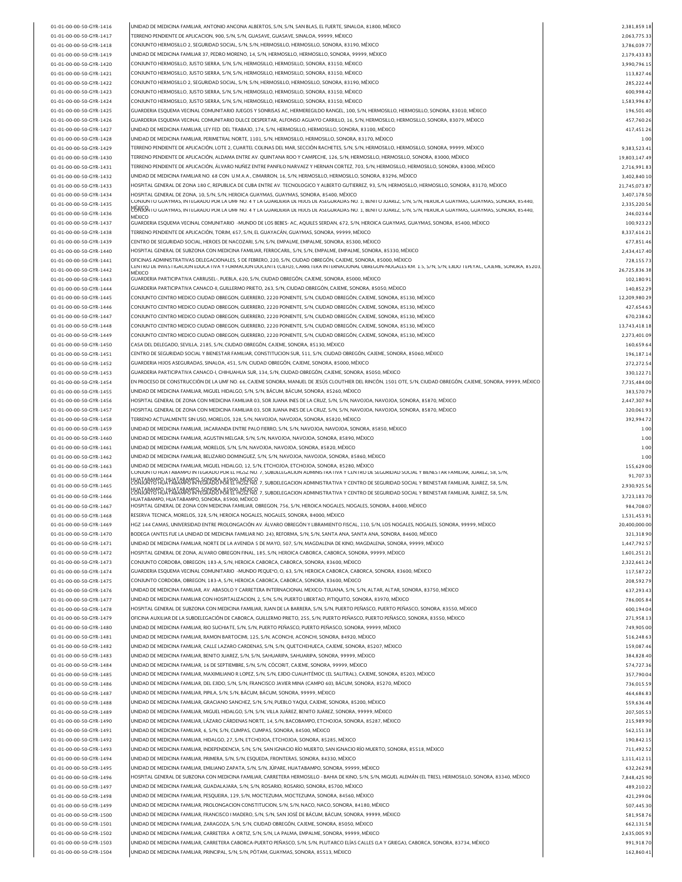| 01-01-00-00-50-GYR-1416 | UNIDAD DE MEDICINA FAMILIAR, ANTONIO ANCONA ALBERTOS, S/N, S/N, SAN BLAS, EL FUERTE, SINALOA, 81800, MÉXICO                                                                                                                                                                       | 2,381,859.18  |
|-------------------------|-----------------------------------------------------------------------------------------------------------------------------------------------------------------------------------------------------------------------------------------------------------------------------------|---------------|
|                         |                                                                                                                                                                                                                                                                                   |               |
| 01-01-00-00-50-GYR-1417 | TERRENO PENDIENTE DE APLICACION, 900, S/N, S/N, GUASAVE, GUASAVE, SINALOA, 99999, MÉXICO                                                                                                                                                                                          | 2,063,775.33  |
| 01-01-00-00-50-GYR-1418 | CONJUNTO HERMOSILLO 2, SEGURIDAD SOCIAL, S/N, S/N, HERMOSILLO, HERMOSILLO, SONORA, 83190, MÉXICO                                                                                                                                                                                  | 3.786.039.77  |
| 01-01-00-00-50-GYR-1419 | UNIDAD DE MEDICINA FAMILIAR 37, PEDRO MORENO, 14, S/N, HERMOSILLO, HERMOSILLO, SONORA, 99999, MÉXICO                                                                                                                                                                              | 2,179,433.83  |
| 01-01-00-00-50-GYR-1420 | CONJUNTO HERMOSILLO, JUSTO SIERRA, S/N, S/N, HERMOSILLO, HERMOSILLO, SONORA, 83150, MÉXICO                                                                                                                                                                                        | 3,990,796.15  |
| 01-01-00-00-50-GYR-1421 | CONJUNTO HERMOSILLO, JUSTO SIERRA, S/N, S/N, HERMOSILLO, HERMOSILLO, SONORA, 83150, MÉXICO                                                                                                                                                                                        | 113,827.46    |
| 01-01-00-00-50-GYR-1422 | CONJUNTO HERMOSILLO 2, SEGURIDAD SOCIAL, S/N, S/N, HERMOSILLO, HERMOSILLO, SONORA, 83190, MÉXICO                                                                                                                                                                                  | 285,222.44    |
| 01-01-00-00-50-GYR-1423 | CONJUNTO HERMOSILLO. JUSTO SIERRA, S/N, S/N, HERMOSILLO, HERMOSILLO, SONORA, 83150, MÉXICO                                                                                                                                                                                        | 600,998.42    |
| 01-01-00-00-50-GYR-1424 | CONJUNTO HERMOSILLO, JUSTO SIERRA, S/N, S/N, HERMOSILLO, HERMOSILLO, SONORA, 83150, MÉXICO                                                                                                                                                                                        | 1,583,996.87  |
|                         |                                                                                                                                                                                                                                                                                   |               |
| 01-01-00-00-50-GYR-1425 | GUARDERIA ESQUEMA VECINAL COMUNITARIO JUEGOS Y SONRISAS AC, HERMEREGILDO RANGEL, 100, S/N, HERMOSILLO, HERMOSILLO, SONORA, 83010, MÉXICO                                                                                                                                          | 196,501.40    |
| 01-01-00-00-50-GYR-1426 | GUARDERIA ESQUEMA VECINAL COMUNITARIO DULCE DESPERTAR, ALFONSO AGUAYO CARRILLO, 16, S/N, HERMOSILLO, HERMOSILLO, SONORA, 83079, MÉXICO                                                                                                                                            | 457,760.26    |
| 01-01-00-00-50-GYR-1427 | UNIDAD DE MEDICINA FAMILIAR, LEY FED. DEL TRABAJO, 174, S/N, HERMOSILLO, HERMOSILLO, SONORA, 83100, MÉXICO                                                                                                                                                                        | 417,451.26    |
| 01-01-00-00-50-GYR-1428 | UNIDAD DE MEDICINA FAMILIAR, PERIMETRAL NORTE, 1101, S/N, HERMOSILLO, HERMOSILLO, SONORA, 83170, MÉXICO                                                                                                                                                                           | 1.00          |
| 01-01-00-00-50-GYR-1429 | TERRENO PENDIENTE DE APLICACIÓN, LOTE 2, CUARTEL COLINAS DEL MAR, SECCIÓN RACHETES, S/N, S/N, HERMOSILLO, HERMOSILLO, SONORA, 99999, MÉXICO                                                                                                                                       | 9,383,523.41  |
| 01-01-00-00-50-GYR-1430 | TERRENO PENDIENTE DE APLICACIÓN, ALDAMA ENTRE AV. QUINTANA ROO Y CAMPECHE, 126, S/N, HERMOSILLO, HERMOSILLO, SONORA, 83000, MÉXICO                                                                                                                                                | 19,803,147.49 |
| 01-01-00-00-50-GYR-1431 | TERRENO PENDIENTE DE APLICACIÓN, ÁLVARO NUÑEZ ENTRE PANFILO NARVAEZ Y HERNAN CORTEZ, 703, S/N, HERMOSILLO, HERMOSILLO, SONORA, 83000, MÉXICO                                                                                                                                      | 2,716,991.83  |
| 01-01-00-00-50-GYR-1432 | UNIDAD DE MEDICINA FAMILIAR NO. 68 CON U.M.A.A., CIMARRON, 16, S/N, HERMOSILLO, HERMOSILLO, SONORA, 83296, MÉXICO                                                                                                                                                                 | 3,402,840.10  |
|                         |                                                                                                                                                                                                                                                                                   |               |
| 01-01-00-00-50-GYR-1433 | HOSPITAL GENERAL DE ZONA 180 C, REPUBLICA DE CUBA ENTRE AV. TECNOLOGICO Y ALBERTO GUTIERREZ, 93, S/N, HERMOSILLO, HERMOSILLO, SONORA, 83170, MÉXICO                                                                                                                               | 21,745,073.87 |
| 01-01-00-00-50-GYR-1434 | HOSPITAL GENERAL DE ZONA, 10, S/N, S/N, HEROICA GUAYMAS, GUAYMAS, SONORA, 85400, MÉXICO<br>CONJUNTO GUAYMAS, INTEGRADO POR LA UMF NO. 4 Y LA GUARDERIA DE HIJOS DE ASEGURADAS NO. 1, BENITO JUAREZ, S/N, S/N, HEROICA GUAYMAS, GUAYMAS, SONORA, 85440,                            | 3,407,178.50  |
| 01-01-00-00-50-GYR-1435 | <u>MS</u> AGRI 10 guaymas, ini egradu pur la umf no. 4 y la guarderia de hijos de aseguradas no. 1, beni 10 juarez, s/n, s/n, heroica guaymas, guaymas, sonora, 85440,                                                                                                            | 2,335,220.56  |
| 01-01-00-00-50-GYR-1436 | MÉXICO                                                                                                                                                                                                                                                                            | 246,023.64    |
| 01-01-00-00-50-GYR-1437 | GUARDERIA ESQUEMA VECINAL COMUNITARIO -MUNDO DE LOS BEBES-AC, AQUILES SERDAN, 672, S/N, HEROICA GUAYMAS, GUAYMAS, SONORA, 85400, MÉXICO                                                                                                                                           | 100,923.23    |
| 01-01-00-00-50-GYR-1438 | TERRENO PENDIENTE DE APLICACIÓN, TORIM, 657, S/N, EL GUAYACÁN, GUAYMAS, SONORA, 99999, MÉXICO                                                                                                                                                                                     | 8,337,616.21  |
| 01-01-00-00-50-GYR-1439 | CENTRO DE SEGURIDAD SOCIAL, HEROES DE NACOZARI, S/N, S/N, EMPALME, EMPALME, SONORA, 85300, MÉXICO                                                                                                                                                                                 | 677,851.46    |
| 01-01-00-00-50-GYR-1440 | HOSPITAL GENERAL DE SUBZONA CON MEDICINA FAMILIAR. FERROCARIL, S/N, S/N, EMPALME, EMPALME, SONORA, 85330, MÉXICO                                                                                                                                                                  | 2,434,417.40  |
|                         |                                                                                                                                                                                                                                                                                   |               |
| 01-01-00-00-50-GYR-1441 | OFICINAS ADMINISTRATIVAS DELEGACIONALES, 5 DE FEBRERO, 220, S/N, CIUDAD OBREGÓN, CAJEME, SONORA, 85000, MÉXICO<br>CENTRO DE INVESTIGACION EDUCATIVA Y FORMACION DOCENTE (CIEFD), CARRETERA INTERNACIONAL OBREGON-NOGALES KM. 1.5, S/N, S/N, EJIDO TEPEYAC, CAJEME, SONORA, 85203, | 728,155.73    |
| 01-01-00-00-50-GYR-1442 | MĚXICO                                                                                                                                                                                                                                                                            | 26,725,836.38 |
| 01-01-00-00-50-GYR-1443 | GUARDERIA PARTICIPATIVA CARRUSEL-, PUEBLA, 620, S/N, CIUDAD OBREGÓN, CAJEME, SONORA, 85000, MÉXICO                                                                                                                                                                                | 102,180.91    |
| 01-01-00-00-50-GYR-1444 | GUARDERIA PARTICIPATIVA CANACO-II, GUILLERMO PRIETO, 263, S/N, CIUDAD OBREGÓN, CAJEME, SONORA, 85050, MÉXICO                                                                                                                                                                      | 140,852.29    |
| 01-01-00-00-50-GYR-1445 | CONJUNTO CENTRO MEDICO CIUDAD OBREGON, GUERRERO, 2220 PONIENTE, S/N, CIUDAD OBREGÓN, CAJEME, SONORA, 85130, MÉXICO                                                                                                                                                                | 12,209,980.29 |
| 01-01-00-00-50-GYR-1446 | CONJUNTO CENTRO MEDICO CIUDAD OBREGON, GUERRERO, 2220 PONIENTE, S/N, CIUDAD OBREGÓN, CAJEME, SONORA, 85130, MÉXICO                                                                                                                                                                | 427,654.63    |
| 01-01-00-00-50-GYR-1447 | CONJUNTO CENTRO MEDICO CIUDAD OBREGON, GUERRERO, 2220 PONIENTE, S/N, CIUDAD OBREGÓN, CAJEME, SONORA, 85130, MÉXICO                                                                                                                                                                | 670,238.62    |
| 01-01-00-00-50-GYR-1448 | CONJUNTO CENTRO MEDICO CIUDAD OBREGON, GUERRERO, 2220 PONIENTE, S/N, CIUDAD OBREGÓN, CAJEME, SONORA, 85130, MÉXICO                                                                                                                                                                | 13,743,418.18 |
|                         |                                                                                                                                                                                                                                                                                   |               |
| 01-01-00-00-50-GYR-1449 | CONJUNTO CENTRO MEDICO CIUDAD OBREGON, GUERRERO, 2220 PONIENTE, S/N, CIUDAD OBREGÓN, CAJEME, SONORA, 85130, MÉXICO                                                                                                                                                                | 2,273,401.09  |
| 01-01-00-00-50-GYR-1450 | CASA DEL DELEGADO, SEVILLA, 2185, S/N, CIUDAD OBREGÓN, CAJEME, SONORA, 85130, MÉXICO                                                                                                                                                                                              | 160,659.64    |
| 01-01-00-00-50-GYR-1451 | CENTRO DE SEGURIDAD SOCIAL Y BIENESTAR FAMILIAR, CONSTITUCION SUR, 511, S/N, CIUDAD OBREGÓN, CAJEME, SONORA, 85060, MÉXICO                                                                                                                                                        | 196,187.14    |
| 01-01-00-00-50-GYR-1452 | GUARDERIA HIJOS ASEGURADAS, SINALOA, 451, S/N, CIUDAD OBREGÓN, CAJEME, SONORA, 85000, MÉXICO                                                                                                                                                                                      | 272,272.54    |
| 01-01-00-00-50-GYR-1453 | GUARDERIA PARTICIPATIVA CANACO-I, CHIHUAHUA SUR, 134, S/N, CIUDAD OBREGÓN, CAJEME, SONORA, 85050, MÉXICO                                                                                                                                                                          | 330,122.71    |
| 01-01-00-00-50-GYR-1454 | EN PROCESO DE CONSTRUCCIÓN DE LA UMF NO. 66, CAJEME SONORA, MANUEL DE JESÚS CLOUTHIER DEL RINCÓN, 1501 OTE, S/N, CIUDAD OBREGÓN, CAJEME, SONORA, 99999, MÉXICO                                                                                                                    | 7,735,484.00  |
| 01-01-00-00-50-GYR-1455 | UNIDAD DE MEDICINA FAMILIAR, MIGUEL HIDALGO, S/N, S/N, BÁCUM, BÁCUM, SONORA, 85260, MÉXICO                                                                                                                                                                                        | 383,570.79    |
|                         |                                                                                                                                                                                                                                                                                   |               |
| 01-01-00-00-50-GYR-1456 | HOSPITAL GENERAL DE ZONA CON MEDICINA FAMILIAR 03, SOR JUANA INES DE LA CRUZ, S/N, S/N, NAVOJOA, NAVOJOA, SONORA, 85870, MÊXICO                                                                                                                                                   | 2,447,307.94  |
| 01-01-00-00-50-GYR-1457 | HOSPITAL GENERAL DE ZONA CON MEDICINA FAMILIAR 03, SOR JUANA INES DE LA CRUZ, S/N, S/N, NAVOJOA, NAVOJOA, SONORA, 85870, MÊXICO                                                                                                                                                   | 320,061.93    |
| 01-01-00-00-50-GYR-1458 | TERRENO ACTUALMENTE SIN USO, MORELOS, 328, S/N, NAVOJOA, NAVOJOA, SONORA, 85820, MÉXICO                                                                                                                                                                                           | 392,994.72    |
| 01-01-00-00-50-GYR-1459 | UNIDAD DE MEDICINA FAMILIAR, JACARANDA ENTRE PALO FIERRO, S/N, S/N, NAVOJOA, NAVOJOA, SONORA, 85850, MÉXICO                                                                                                                                                                       | 1.00          |
| 01-01-00-00-50-GYR-1460 | UNIDAD DE MEDICINA FAMILIAR, AGUSTIN MELGAR, S/N, S/N, NAVOJOA, NAVOJOA, SONORA, 85890, MÉXICO                                                                                                                                                                                    | 1.00          |
| 01-01-00-00-50-GYR-1461 | UNIDAD DE MEDICINA FAMILIAR, MORELOS, S/N, S/N, NAVOJOA, NAVOJOA, SONORA, 85820, MÉXICO                                                                                                                                                                                           | 1.00          |
| 01-01-00-00-50-GYR-1462 | UNIDAD DE MEDICINA FAMILIAR, BELIZARIO DOMINGUEZ, S/N, S/N, NAVOJOA, NAVOJOA, SONORA, 85860, MÊXICO                                                                                                                                                                               | 1.00          |
| 01-01-00-00-50-GYR-1463 |                                                                                                                                                                                                                                                                                   |               |
|                         | UNIDAD DE MEDICINA FAMILIAR, MIGUEL HIDALGO, 12, S/N, ETCHOJOA, ETCHOJOA, SONORA, 85280, MÉXICO<br>CONJUNTO HUATABAMPO INTEGRADO POR EL HGSZ NO. 7, SUBDELEGACION ADMINISTRATIVA Y CENTRO DE SEGURIDAD SOCIAL Y BIENESTAR FAMILIAR, JUAREZ, 58, S/N,                              | 155,629.00    |
| 01-01-00-00-50-GYR-1464 |                                                                                                                                                                                                                                                                                   | 91,707.33     |
| 01-01-00-00-50-GYR-1465 |                                                                                                                                                                                                                                                                                   | 2.930.925.56  |
| 01-01-00-00-50-GYR-1466 | HUATABAMPO, HUATABAMPO, SONORA, 85900, MÉXICO<br>CONJUNTO HUATABAMPO INTEGRADO POR EL HGSZ NO. 7, SUBDELEGACION ADMINISTRATIVA Y CENTRO DE SEGURIDAD SOCIAL Y BIENESTAR FAMILIAR, JUAREZ, 58, S/N,                                                                                | 3,723,183.70  |
| 01-01-00-00-50-GYR-1467 | HUATABAMPO, HUATABAMPO, SONORA, 85900, MÉXICO<br>HOSPITAL GENERAL DE ZONA CON MEDICINA FAMILIAR, OBREGON, 756, S/N, HEROICA NOGALES, NOGALES, SONORA, 84000, MÉXICO                                                                                                               | 984,708.07    |
|                         | RESERVA TECNICA, MORELOS, 328, S/N, HEROICA NOGALES, NOGALES, SONORA, 84000, MÉXICO                                                                                                                                                                                               |               |
| 01-01-00-00-50-GYR-1468 |                                                                                                                                                                                                                                                                                   | 1,531,453.91  |
| 01-01-00-00-50-GYR-1469 | HGZ 144 CAMAS, UNIVERSIDAD ENTRE PROLONGACIÓN AV. ÁLVARO OBREGÓN Y LIBRAMIENTO FISCAL, 110, S/N, LOS NOGALES, NOGALES, SONORA, 99999, MÉXICO                                                                                                                                      | 20.400.000.00 |
| 01-01-00-00-50-GYR-1470 | BODEGA (ANTES FUE LA UNIDAD DE MEDICINA FAMILIAR NO. 24), REFORMA, S/N, S/N, SANTA ANA, SANTA ANA, SONORA, 84600, MÉXICO                                                                                                                                                          | 321,318.90    |
| 01-01-00-00-50-GYR-1471 | UNIDAD DE MEDICINA FAMILIAR, NORTE DE LA AVENIDA 5 DE MAYO, 507, S/N, MAGDALENA DE KINO, MAGDALENA, SONORA, 99999, MÉXICO                                                                                                                                                         | 1,447,792.57  |
| 01-01-00-00-50-GYR-1472 | HOSPITAL GENERAL DE ZONA, ALVARO OBREGON FINAL, 185, S/N, HEROICA CABORCA, CABORCA, SONORA, 99999, MÉXICO                                                                                                                                                                         | 1.601.251.21  |
| 01-01-00-00-50-GYR-1473 | CONJUNTO CORDOBA, OBREGON, 183-A, S/N, HEROICA CABORCA, CABORCA, SONORA, 83600, MÉXICO                                                                                                                                                                                            | 2,322,661.24  |
| 01-01-00-00-50-GYR-1474 | GUARDERIA ESQUEMA VECINAL COMUNITARIO -MUNDO PEQUE <sup>2</sup> O, O, 63, S/N, HEROICA CABORCA, CABORCA, SONORA, 83600, MÉXICO                                                                                                                                                    | 117,587.22    |
|                         |                                                                                                                                                                                                                                                                                   |               |
| 01-01-00-00-50-GYR-1475 | CONJUNTO CORDOBA, OBREGON, 183-A, S/N, HEROICA CABORCA, CABORCA, SONORA, 83600, MÉXICO                                                                                                                                                                                            | 208,592.79    |
| 01-01-00-00-50-GYR-1476 | UNIDAD DE MEDICINA FAMILIAR, AV. ABASOLO Y CARRETERA INTERNACIONAL MEXICO-TIJUANA, S/N, S/N, ALTAR, ALTAR, SONORA, 83750, MÉXICO                                                                                                                                                  | 637,293.43    |
| 01-01-00-00-50-GYR-1477 | UNIDAD DE MEDICINA FAMILIAR CON HOSPITALIZACION, 2, S/N, S/N, PUERTO LIBERTAD, PITIQUITO, SONORA, 83970, MÉXICO                                                                                                                                                                   | 786,005.84    |
| 01-01-00-00-50-GYR-1478 | HOSPITAL GENERAL DE SUBZONA CON MEDICINA FAMILIAR, JUAN DE LA BARRERA, S/N, S/N, PUERTO PEÑASCO, PUERTO PEÑASCO, SONORA, 83550, MÉXICO                                                                                                                                            | 600,194.04    |
| 01-01-00-00-50-GYR-1479 | OFICINA AUXILIAR DE LA SUBDELEGACIÓN DE CABORCA, GUILLERMO PRIETO, 255, S/N, PUERTO PEÑASCO, PUERTO PEÑASCO, SONORA, 83550, MÉXICO                                                                                                                                                | 271,958.13    |
| 01-01-00-00-50-GYR-1480 | UNIDAD DE MEDICINA FAMILIAR, RIO SUCHIATE, S/N, S/N, PUERTO PEÑASCO, PUERTO PEÑASCO, SONORA, 99999, MÉXICO                                                                                                                                                                        | 749,905.00    |
| 01-01-00-00-50-GYR-1481 | UNIDAD DE MEDICINA FAMILIAR, RAMON BARTOCIMI, 125, S/N, ACONCHI, ACONCHI, SONORA, 84920, MÉXICO                                                                                                                                                                                   | 516,248.63    |
| 01-01-00-00-50-GYR-1482 | UNIDAD DE MEDICINA FAMILIAR, CALLE LAZARO CARDENAS, S/N, S/N, QUETCHEHUECA, CAJEME, SONORA, 85207, MÉXICO                                                                                                                                                                         | 159,087.46    |
| 01-01-00-00-50-GYR-1483 | UNIDAD DE MEDICINA FAMILIAR, BENITO JUAREZ, S/N, S/N, SAHUARIPA, SAHUARIPA, SONORA, 99999, MÉXICO                                                                                                                                                                                 | 384,828.40    |
|                         |                                                                                                                                                                                                                                                                                   |               |
| 01-01-00-00-50-GYR-1484 | UNIDAD DE MEDICINA FAMILIAR, 16 DE SEPTIEMBRE, S/N, S/N, CÓCORIT, CAJEME, SONORA, 99999, MÉXICO                                                                                                                                                                                   | 574,727.36    |
| 01-01-00-00-50-GYR-1485 | UNIDAD DE MEDICINA FAMILIAR, MAXIMILIANO R LOPEZ, S/N, S/N, EJIDO CUAUHTÉMOC (EL SALITRAL), CAJEME, SONORA, 85203, MÉXICO                                                                                                                                                         | 357,790.04    |
| 01-01-00-00-50-GYR-1486 | UNIDAD DE MEDICINA FAMILIAR, DEL EJIDO, S/N, S/N, FRANCISCO JAVIER MINA (CAMPO 60), BÁCUM, SONORA, 85270, MÉXICO                                                                                                                                                                  | 736,015.59    |
| 01-01-00-00-50-GYR-1487 | UNIDAD DE MEDICINA FAMILIAR, PIPILA, S/N, S/N, BÁCUM, BÁCUM, SONORA, 99999, MÉXICO                                                                                                                                                                                                | 464,686.83    |
| 01-01-00-00-50-GYR-1488 | UNIDAD DE MEDICINA FAMILIAR, GRACIANO SANCHEZ, S/N, S/N, PUEBLO YAQUI, CAJEME, SONORA, 85200, MÉXICO                                                                                                                                                                              | 559,636.48    |
| 01-01-00-00-50-GYR-1489 | UNIDAD DE MEDICINA FAMILIAR, MIGUEL HIDALGO, S/N, S/N, VILLA JUÁREZ, BENITO JUÁREZ, SONORA, 99999, MÉXICO                                                                                                                                                                         | 207,505.53    |
|                         | UNIDAD DE MEDICINA FAMILIAR, LÁZARO CÁRDENAS NORTE, 14, S/N, BACOBAMPO, ETCHOJOA, SONORA, 85287, MÉXICO                                                                                                                                                                           |               |
| 01-01-00-00-50-GYR-1490 |                                                                                                                                                                                                                                                                                   | 215,989.90    |
| 01-01-00-00-50-GYR-1491 | UNIDAD DE MEDICINA FAMILIAR, 6, S/N, S/N, CUMPAS, CUMPAS, SONORA, 84500, MÉXICO                                                                                                                                                                                                   | 562,151.38    |
| 01-01-00-00-50-GYR-1492 | UNIDAD DE MEDICINA FAMILIAR, HIDALGO, 27, S/N, ETCHOJOA, ETCHOJOA, SONORA, 85285, MÉXICO                                                                                                                                                                                          | 190,842.15    |
| 01-01-00-00-50-GYR-1493 | UNIDAD DE MEDICINA FAMILIAR, INDEPENDENCIA, S/N, S/N, SAN IGNACIO RÍO MUERTO, SAN IGNACIO RÍO MUERTO, SONORA, 85518, MÉXICO                                                                                                                                                       | 711,492.52    |
| 01-01-00-00-50-GYR-1494 | UNIDAD DE MEDICINA FAMILIAR, PRIMERA, S/N, S/N, ESQUEDA, FRONTERAS, SONORA, 84330, MÉXICO                                                                                                                                                                                         | 1,111,412.11  |
| 01-01-00-00-50-GYR-1495 | UNIDAD DE MEDICINA FAMILIAR, EMILIANO ZAPATA, S/N, S/N, JÚPARE, HUATABAMPO, SONORA, 99999, MĚXICO                                                                                                                                                                                 | 632,262.98    |
| 01-01-00-00-50-GYR-1496 | HOSPITAL GENERAL DE SUBZONA CON MEDICINA FAMILIAR, CARRETERA HERMOSILLO - BAHIA DE KINO, S/N, S/N, MIGUEL ALEMÁN (EL TRES), HERMOSILLO, SONORA, 83340, MÉXICO                                                                                                                     | 7,848,425.90  |
| 01-01-00-00-50-GYR-1497 | UNIDAD DE MEDICINA FAMILIAR, GUADALAJARA, S/N, S/N, ROSARIO, ROSARIO, SONORA, 85700, MÉXICO                                                                                                                                                                                       | 489,210.22    |
|                         |                                                                                                                                                                                                                                                                                   |               |
| 01-01-00-00-50-GYR-1498 | UNIDAD DE MEDICINA FAMILIAR, PESQUEIRA, 129, S/N, MOCTEZUMA, MOCTEZUMA, SONORA, 84560, MÉXICO                                                                                                                                                                                     | 421,299.06    |
| 01-01-00-00-50-GYR-1499 | UNIDAD DE MEDICINA FAMILIAR, PROLONGACION CONSTITUCION, S/N, S/N, NACO, NACO, SONORA, 84180, MÉXICO                                                                                                                                                                               | 507,445.30    |
| 01-01-00-00-50-GYR-1500 | UNIDAD DE MEDICINA FAMILIAR, FRANCISCO I MADERO, S/N, S/N, SAN JOSÉ DE BÁCUM, BÁCUM, SONORA, 99999, MÉXICO                                                                                                                                                                        | 581,958.76    |
| 01-01-00-00-50-GYR-1501 | UNIDAD DE MEDICINA FAMILIAR, ZARAGOZA, S/N, S/N, CIUDAD OBREGÓN, CAJEME, SONORA, 85050, MÉXICO                                                                                                                                                                                    | 662,131.58    |
| 01-01-00-00-50-GYR-1502 | UNIDAD DE MEDICINA FAMILIAR, CARRETERA A ORTIZ, S/N, S/N, LA PALMA, EMPALME, SONORA, 99999, MÉXICO                                                                                                                                                                                | 2,635,005.93  |
| 01-01-00-00-50-GYR-1503 | UNIDAD DE MEDICINA FAMILIAR, CARRETERA CABORCA-PUERTO PEÑASCO, S/N, S/N, PLUTARCO ELÍAS CALLES (LA Y GRIEGA), CABORCA, SONORA, 83734, MÉXICO                                                                                                                                      | 991,918.70    |
| 01-01-00-00-50-GYR-1504 | UNIDAD DE MEDICINA FAMILIAR, PRINCIPAL, S/N, S/N, PÓTAM, GUAYMAS, SONORA, 85513, MÉXICO                                                                                                                                                                                           | 162,860.41    |
|                         |                                                                                                                                                                                                                                                                                   |               |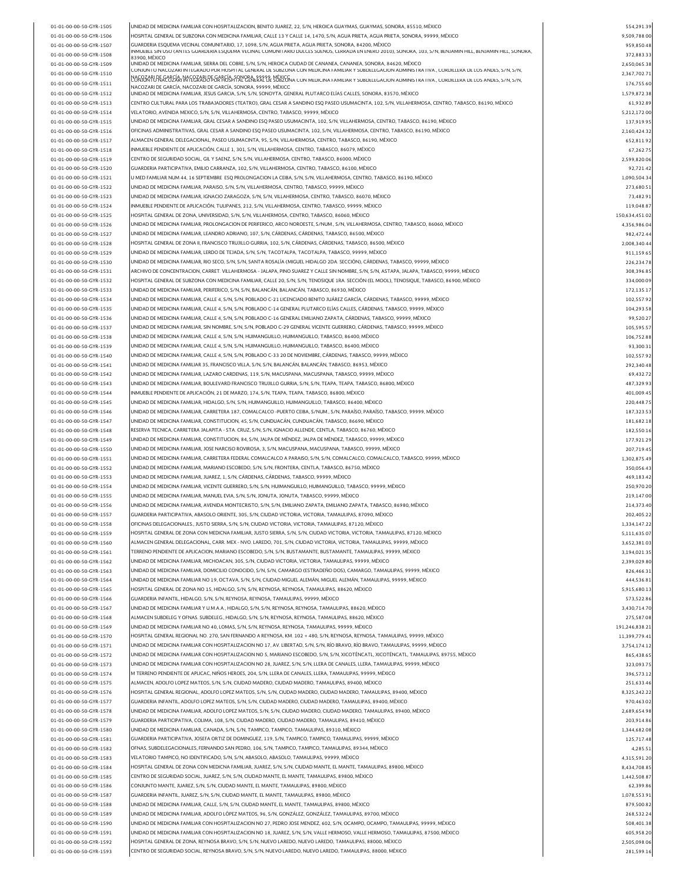| 01-01-00-00-50-GYR-1505 | UNIDAD DE MEDICINA FAMILIAR CON HOSPITALIZACION, BENITO JUAREZ, 22, S/N, HEROICA GUAYMAS, GUAYMAS, SONORA, 85510, MÊXICO                                                                                                                                                    | 554,291.39     |
|-------------------------|-----------------------------------------------------------------------------------------------------------------------------------------------------------------------------------------------------------------------------------------------------------------------------|----------------|
| 01-01-00-00-50-GYR-1506 | HOSPITAL GENERAL DE SUBZONA CON MEDICINA FAMILIAR, CALLE 13 Y CALLE 14, 1470, S/N, AGUA PRIETA, AGUA PRIETA, SONORA, 99999, MÉXICO                                                                                                                                          | 9,509,788.00   |
| 01-01-00-00-50-GYR-1507 | GUARDERIA ESQUEMA VECINAL COMUNITARIO, 17, 1098, S/N, AGUA PRIETA, AGUA PRIETA, SONORA, 84200, MÉXICO                                                                                                                                                                       | 959,850.48     |
|                         | INMUEBLE SIN USO (ANTES GUARDERIA ESQUEMA VECINAL COMUNITARIO DULCES SUENOS, CERRADA EN ENERO 2010), SONORA, 103, S/N, BENJAMIN HILL, BENJAMIN HILL, SONORA,                                                                                                                |                |
| 01-01-00-00-50-GYR-1508 | 83900 MFXICO                                                                                                                                                                                                                                                                | 372,883.33     |
| 01-01-00-00-50-GYR-1509 | UNIDAD DE MEDICINA FAMILIAR, SIERRA DEL COBRE, S/N, S/N, HEROICA CIUDAD DE CANANEA, CANANEA, SONORA, 84620, MÉXICO<br>CONJUNTO NACOZARI INTEGRADO POR HOSPITAL GENERAL DE SUBZONA CON MEDICINA FAMILIAR Y SUBDELEGACION ADMINISTRATIVA., CORDILLERA DE LOS ANDES, S/N, S/N, | 2.650.065.3    |
| 01-01-00-00-50-GYR-1510 | RCÍA, NACOZARI DE GARCÍA, SONORA, 99999, MÉXICO.<br>VZARI INTEGRADO POR HOSPITAL GENERAL DE SUBZONA CON MEDICINA FAMILIAR Y SUBDELEGACION ADMINISTRATIVA., CORDILLERA DE LOS ANDES, S/N, S/N,                                                                               | 2,367,702.71   |
| 01-01-00-00-50-GYR-1511 | NACOZARI DE GARCÍA. NACOZARI DE GARCÍA. SONORA. 99999. MÉXICO                                                                                                                                                                                                               | 176,755.60     |
| 01-01-00-00-50-GYR-1512 | UNIDAD DE MEDICINA FAMILIAR, JESUS GARCIA, S/N, S/N, SONOYTA, GENERAL PLUTARCO ELÍAS CALLES, SONORA, 83570, MÉXICO                                                                                                                                                          | 1,579,872.38   |
| 01-01-00-00-50-GYR-1513 | CENTRO CULTURAL PARA LOS TRABAJADORES (TEATRO), GRAL CESAR A SANDINO ESQ PASEO USUMACINTA, 102, S/N, VILLAHERMOSA, CENTRO, TABASCO, 86190, MÈXICO                                                                                                                           | 61,932.8       |
| 01-01-00-00-50-GYR-1514 | VELATORIO, AVENIDA MEXICO, S/N, S/N, VILLAHERMOSA, CENTRO, TABASCO, 99999, MÉXICO                                                                                                                                                                                           | 5,212,172.00   |
|                         |                                                                                                                                                                                                                                                                             |                |
| 01-01-00-00-50-GYR-1515 | UNIDAD DE MEDICINA FAMILIAR, GRAL CESAR A SANDINO ESQ PASEO USUMACINTA, 102, S/N, VILLAHERMOSA, CENTRO, TABASCO, 86190, MÊXICO                                                                                                                                              | 137,919.9      |
| 01-01-00-00-50-GYR-1516 | OFICINAS ADMINISTRATIVAS, GRAL CESAR A SANDINO ESQ PASEO USUMACINTA, 102, S/N, VILLAHERMOSA, CENTRO, TABASCO, 86190, MÉXICO                                                                                                                                                 | 2,160,424.3    |
| 01-01-00-00-50-GYR-1517 | ALMACEN GENERAL DELEGACIONAL, PASEO USUMACINTA, 95, S/N, VILLAHERMOSA, CENTRO, TABASCO, 86190, MÈXICO                                                                                                                                                                       | 652,811.92     |
| 01-01-00-00-50-GYR-1518 | INMUEBLE PENDIENTE DE APLICACIÓN, CALLE 1, 301, S/N, VILLAHERMOSA, CENTRO, TABASCO, 86079, MÉXICO                                                                                                                                                                           | 67,262.7       |
| 01-01-00-00-50-GYR-1519 | CENTRO DE SEGURIDAD SOCIAL, GIL Y SAENZ, S/N, S/N, VILLAHERMOSA, CENTRO, TABASCO, 86000, MÉXICO                                                                                                                                                                             | 2,599,820.06   |
| 01-01-00-00-50-GYR-1520 | GUARDERIA PARTICIPATIVA, EMILIO CARRANZA, 102, S/N, VILLAHERMOSA, CENTRO, TABASCO, 86100, MÉXICO                                                                                                                                                                            | 92,721.4       |
|                         | U MED FAMILIAR NUM 44, 16 SEPTIEMBRE ESQ PROLONGACION LA CEIBA, S/N, S/N, VILLAHERMOSA, CENTRO, TABASCO, 86190, MÉXICO                                                                                                                                                      |                |
| 01-01-00-00-50-GYR-1521 |                                                                                                                                                                                                                                                                             | 1,090,504.3    |
| 01-01-00-00-50-GYR-1522 | UNIDAD DE MEDICINA FAMILIAR, PARAISO, S/N, S/N, VILLAHERMOSA, CENTRO, TABASCO, 99999, MÉXICO                                                                                                                                                                                | 273,680.51     |
| 01-01-00-00-50-GYR-1523 | UNIDAD DE MEDICINA FAMILIAR, IGNACIO ZARAGOZA, S/N, S/N, VILLAHERMOSA, CENTRO, TABASCO, 86070, MÊXICO                                                                                                                                                                       | 73,482.91      |
| 01-01-00-00-50-GYR-1524 | INMUEBLE PENDIENTE DE APLICACIÓN, TULIPANES, 212, S/N, VILLAHERMOSA, CENTRO, TABASCO, 99999, MÉXICO                                                                                                                                                                         | 119,048.87     |
| 01-01-00-00-50-GYR-1525 | HOSPITAL GENERAL DE ZONA, UNIVERSIDAD, S/N, S/N, VILLAHERMOSA, CENTRO, TABASCO, 86060, MÉXICO                                                                                                                                                                               | 150,634,451.02 |
| 01-01-00-00-50-GYR-1526 | UNIDAD DE MEDICINA FAMILIAR, PROLONGACION DE PERIFERICO, ARCO NOROESTE, S/NUM., S/N, VILLAHERMOSA, CENTRO, TABASCO, 86060, MÉXICO                                                                                                                                           | 4,356,986.04   |
| 01-01-00-00-50-GYR-1527 | UNIDAD DE MEDICINA FAMILIAR, LEANDRO ADRIANO, 107, S/N, CĀRDENAS, CĀRDENAS, TABASCO, 86500, MĒXICO                                                                                                                                                                          | 982,472.44     |
|                         | HOSPITAL GENERAL DE ZONA II, FRANCISCO TRUJILLO GURRIA, 102, S/N, CÁRDENAS, CÁRDENAS, TABASCO, 86500, MÉXICO                                                                                                                                                                |                |
| 01-01-00-00-50-GYR-1528 |                                                                                                                                                                                                                                                                             | 2,008,340.4    |
| 01-01-00-00-50-GYR-1529 | UNIDAD DE MEDICINA FAMILIAR, LERDO DE TEJADA, S/N, S/N, TACOTALPA, TACOTALPA, TABASCO, 99999, MÉXICO                                                                                                                                                                        | 911,159.65     |
| 01-01-00-00-50-GYR-1530 | UNIDAD DE MEDICINA FAMILIAR, RIO SECO, S/N, S/N, SANTA ROSALÍA (MIGUEL HIDALGO 2DA. SECCIÓN), CÁRDENAS, TABASCO, 99999, MÉXICO                                                                                                                                              | 226,234.78     |
| 01-01-00-00-50-GYR-1531 | ARCHIVO DE CONCENTRACION, CARRET. VILLAHERMOSA - JALAPA, PINO SUAREZ Y CALLE SIN NOMBRE, S/N, S/N, ASTAPA, JALAPA, TABASCO, 99999, MÉXICO                                                                                                                                   | 308,396.85     |
| 01-01-00-00-50-GYR-1532 | HOSPITAL GENERAL DE SUBZONA CON MEDICINA FAMILIAR, CALLE 20, S/N, S/N, TENOSIQUE 1RA. SECCIÓN (EL MOOL), TENOSIQUE, TABASCO, 86900, MÉXICO                                                                                                                                  | 334,000.09     |
| 01-01-00-00-50-GYR-1533 | UNIDAD DE MEDICINA FAMILIAR, PERIFERICO, S/N, S/N, BALANCÁN, BALANCÁN, TABASCO, 86930, MÉXICO                                                                                                                                                                               | 172,135.1      |
| 01-01-00-00-50-GYR-1534 | UNIDAD DE MEDICINA FAMILIAR, CALLE 4, S/N, S/N, POBLADO C-21 LICENCIADO BENITO JUÁREZ GARCÍA, CÁRDENAS, TABASCO, 99999, MÉXICO                                                                                                                                              | 102,557.92     |
|                         | UNIDAD DE MEDICINA FAMILIAR, CALLE 4, S/N, S/N, POBLADO C-14 GENERAL PLUTARCO ELÍAS CALLES, CÁRDENAS, TABASCO, 99999, MÉXICO                                                                                                                                                |                |
| 01-01-00-00-50-GYR-1535 |                                                                                                                                                                                                                                                                             | 104,293.58     |
| 01-01-00-00-50-GYR-1536 | UNIDAD DE MEDICINA FAMILIAR, CALLE 4, S/N, S/N, POBLADO C-16 GENERAL EMILIANO ZAPATA, CÁRDENAS, TABASCO, 99999, MÉXICO                                                                                                                                                      | 99,520.2       |
| 01-01-00-00-50-GYR-1537 | UNIDAD DE MEDICINA FAMILIAR, SIN NOMBRE, S/N, S/N, POBLADO C-29 GENERAL VICENTE GUERRERO, CĂRDENAS, TABASCO, 99999, MÊXICO                                                                                                                                                  | 105,595.57     |
| 01-01-00-00-50-GYR-1538 | UNIDAD DE MEDICINA FAMILIAR, CALLE 4, S/N, S/N, HUIMANGUILLO, HUIMANGUILLO, TABASCO, 86400, MÊXICO                                                                                                                                                                          | 106,752.8      |
| 01-01-00-00-50-GYR-1539 | UNIDAD DE MEDICINA FAMILIAR, CALLE 4, S/N, S/N, HUIMANGUILLO, HUIMANGUILLO, TABASCO, 86400, MÉXICO                                                                                                                                                                          | 93,300.31      |
| 01-01-00-00-50-GYR-1540 | UNIDAD DE MEDICINA FAMILIAR, CALLE 4, S/N, S/N, POBLADO C-33 20 DE NOVIEMBRE, CÁRDENAS, TABASCO, 99999, MÉXICO                                                                                                                                                              | 102,557.9      |
| 01-01-00-00-50-GYR-1541 | UNIDAD DE MEDICINA FAMILIAR 35, FRANCISCO VILLA, S/N, S/N, BALANCÁN, BALANCÁN, TABASCO, 86953, MÉXICO                                                                                                                                                                       | 292,340.48     |
|                         |                                                                                                                                                                                                                                                                             |                |
| 01-01-00-00-50-GYR-1542 | UNIDAD DE MEDICINA FAMILIAR, LAZARO CARDENAS, 119, S/N, MACUSPANA, MACUSPANA, TABASCO, 99999, MÉXICO                                                                                                                                                                        | 69,432.72      |
| 01-01-00-00-50-GYR-1543 | UNIDAD DE MEDICINA FAMILIAR, BOULEVARD FRANCISCO TRUJILLO GURRIA, S/N, S/N, TEAPA, TEAPA, TABASCO, 86800, MÉXICO                                                                                                                                                            | 487,329.9      |
| 01-01-00-00-50-GYR-1544 | INMUEBLE PENDIENTE DE APLICACIÓN, 21 DE MARZO, 174, S/N, TEAPA, TEAPA, TABASCO, 86800, MÉXICO                                                                                                                                                                               | 401,009.45     |
| 01-01-00-00-50-GYR-1545 | UNIDAD DE MEDICINA FAMILIAR, HIDALGO, S/N, S/N, HUIMANGUILLO, HUIMANGUILLO, TABASCO, 86400, MÈXICO                                                                                                                                                                          | 220,448.75     |
| 01-01-00-00-50-GYR-1546 | UNIDAD DE MEDICINA FAMILIAR, CARRETERA 187, COMALCALCO -PUERTO CEIBA, S/NUM., S/N, PARAÍSO, PARAÍSO, TABASCO, 99999, MÉXICO                                                                                                                                                 | 187,323.5      |
| 01-01-00-00-50-GYR-1547 | UNIDAD DE MEDICINA FAMILIAR, CONSTITUCION, 45, S/N, CUNDUACÁN, CUNDUACÁN, TABASCO, 86690, MÉXICO                                                                                                                                                                            | 181,682.18     |
| 01-01-00-00-50-GYR-1548 | RESERVA TECNICA, CARRETERA JALAPITA - STA. CRUZ, S/N, S/N, IGNACIO ALLENDE, CENTLA, TABASCO, 86760, MÊXICO                                                                                                                                                                  | 182,550.1      |
|                         |                                                                                                                                                                                                                                                                             |                |
| 01-01-00-00-50-GYR-1549 | UNIDAD DE MEDICINA FAMILIAR, CONSTITUCION, 84, S/N, JALPA DE MÉNDEZ, JALPA DE MÉNDEZ, TABASCO, 99999, MÉXICO                                                                                                                                                                | 177,921.29     |
| 01-01-00-00-50-GYR-1550 | UNIDAD DE MEDICINA FAMILIAR, JOSE NARCISO ROVIROSA, 3, S/N, MACUSPANA, MACUSPANA, TABASCO, 99999, MÈXICO                                                                                                                                                                    | 207,719.4      |
| 01-01-00-00-50-GYR-1551 | UNIDAD DE MEDICINA FAMILIAR, CARRETERA FEDERAL COMALCALCO A PARAISO, S/N, S/N, COMALCALCO, COMALCALCO, TABASCO, 99999, MÉXICO                                                                                                                                               | 1,302,875.49   |
| 01-01-00-00-50-GYR-1552 | UNIDAD DE MEDICINA FAMILIAR, MARIANO ESCOBEDO, S/N, S/N, FRONTERA, CENTLA, TABASCO, 86750, MÉXICO                                                                                                                                                                           | 350,056.43     |
| 01-01-00-00-50-GYR-1553 | UNIDAD DE MEDICINA FAMILIAR, JUAREZ, 1, S/N, CÁRDENAS, CÁRDENAS, TABASCO, 99999, MÉXICO                                                                                                                                                                                     | 469,183.4      |
| 01-01-00-00-50-GYR-1554 | UNIDAD DE MEDICINA FAMILIAR, VICENTE GUERRERO, S/N, S/N, HUIMANGUILLO, HUIMANGUILLO, TABASCO, 99999, MÉXICO                                                                                                                                                                 | 250,970.20     |
|                         |                                                                                                                                                                                                                                                                             |                |
| 01-01-00-00-50-GYR-1555 | UNIDAD DE MEDICINA FAMILIAR, MANUEL EVIA, S/N, S/N, JONUTA, JONUTA, TABASCO, 99999, MÉXICO                                                                                                                                                                                  | 219,147.00     |
| 01-01-00-00-50-GYR-1556 | UNIDAD DE MEDICINA FAMILIAR, AVENIDA MONTECRISTO, S/N, S/N, EMILIANO ZAPATA, EMILIANO ZAPATA, TABASCO, 86980, MÉXICO                                                                                                                                                        | 214,373.40     |
| 01-01-00-00-50-GYR-1557 | GUARDERIA PARTICIPATIVA, ABASOLO ORIENTE, 305, S/N, CIUDAD VICTORIA, VICTORIA, TAMAULIPAS, 87090, MÉXICO                                                                                                                                                                    | 202,405.22     |
| 01-01-00-00-50-GYR-1558 | OFICINAS DELEGACIONALES., JUSTO SIERRA, S/N, S/N, CIUDAD VICTORIA, VICTORIA, TAMAULIPAS, 87120, MEXICO                                                                                                                                                                      | 1,334,147.22   |
| 01-01-00-00-50-GYR-1559 | HOSPITAL GENERAL DE ZONA CON MEDICNA FAMILIAR, JUSTO SIERRA, S/N, S/N, CIUDAD VICTORIA, VICTORIA, TAMAULIPAS, 87120, MÊXICO                                                                                                                                                 | 5,111,635.07   |
| 01-01-00-00-50-GYR-1560 | ALMACEN GENERAL DELEGACIONAL, CARR. MEX - NVO. LAREDO, 701, S/N, CIUDAD VICTORIA, VICTORIA, TAMAULIPAS, 99999, MÊXICO                                                                                                                                                       | 3,652,381.03   |
| 01-01-00-00-50-GYR-1561 | TERRENO PENDIENTE DE APLICACION, MARIANO ESCOBEDO, S/N, S/N, BUSTAMANTE, BUSTAMANTE, TAMAULIPAS, 99999, MÉXICO                                                                                                                                                              | 3,194,021.35   |
|                         | UNIDAD DE MEDICINA FAMILIAR, MICHOACAN, 305, S/N, CIUDAD VICTORIA, VICTORIA, TAMAULIPAS, 99999, MÊXICO                                                                                                                                                                      |                |
| 01-01-00-00-50-GYR-1562 |                                                                                                                                                                                                                                                                             | 2,399,029.80   |
| 01-01-00-00-50-GYR-1563 | UNIDAD DE MEDICINA FAMILIAR, DOMICILIO CONOCIDO, S/N, S/N, CAMARGO (ESTRADEÑO DOS), CAMARGO, TAMAULIPAS, 99999, MÉXICO                                                                                                                                                      | 826,466.31     |
| 01-01-00-00-50-GYR-1564 | UNIDAD DE MEDICINA FAMILIAR NO 19, OCTAVA, S/N, S/N, CIUDAD MIGUEL ALEMÁN, MIGUEL ALEMÁN, TAMAULIPAS, 99999, MÉXICO                                                                                                                                                         | 444,536.81     |
| 01-01-00-00-50-GYR-1565 | HOSPITAL GENERAL DE ZONA NO 15, HIDALGO, S/N, S/N, REYNOSA, REYNOSA, TAMAULIPAS, 88620, MÉXICO                                                                                                                                                                              | 5,915,680.13   |
| 01-01-00-00-50-GYR-1566 | GUARDERIA INFANTIL, HIDALGO, S/N, S/N, REYNOSA, REYNOSA, TAMAULIPAS, 99999, MÉXICO                                                                                                                                                                                          | 573,522.86     |
| 01-01-00-00-50-GYR-1567 | UNIDAD DE MEDICINA FAMILIAR Y U.M.A.A., HIDALGO, S/N, S/N, REYNOSA, REYNOSA, TAMAULIPAS, 88620, MÊXICO                                                                                                                                                                      | 3,430,714.70   |
| 01-01-00-00-50-GYR-1568 | ALMACEN SUBDELEG Y OFNAS. SUBDELEG., HIDALGO, S/N, S/N, REYNOSA, REYNOSA, TAMAULIPAS, 88620, MÉXICO                                                                                                                                                                         | 275,587.08     |
| 01-01-00-00-50-GYR-1569 | UNIDAD DE MEDICINA FAMILIAR NO 40, LOMAS, S/N, S/N, REYNOSA, REYNOSA, TAMAULIPAS, 99999, MÉXICO                                                                                                                                                                             |                |
|                         |                                                                                                                                                                                                                                                                             | 191,246,838.21 |
| 01-01-00-00-50-GYR-1570 | HOSPITAL GENERAL REGIONAL NO. 270, SAN FERNANDO A REYNOSA, KM. 102 + 480, S/N, REYNOSA, REYNOSA, TAMAULIPAS, 99999, MÉXICO                                                                                                                                                  | 11,399,779.41  |
| 01-01-00-00-50-GYR-1571 | UNIDAD DE MEDICINA FAMILIAR CON HOSPITALIZACION NO 17, AV. LIBERTAD, S/N, S/N, RÍO BRAVO, RÍO BRAVO, TAMAULIPAS, 99999, MÉXICO                                                                                                                                              | 3,754,174.12   |
| 01-01-00-00-50-GYR-1572 | UNIDAD DE MEDICINA FAMILIAR CON HOSPITALIZACION NO 5, MARIANO ESCOBEDO, S/N, S/N, XICOTÉNCATL, XICOTÉNCATL, TAMAULIPAS, 89755, MÉXICO                                                                                                                                       | 865,438.65     |
| 01-01-00-00-50-GYR-1573 | UNIDAD DE MEDICINA FAMILIAR CON HOSPITALIZACION NO 28, JUAREZ, S/N, S/N, LLERA DE CANALES, LLERA, TAMAULIPAS, 99999, MÉXICO                                                                                                                                                 | 323,093.75     |
| 01-01-00-00-50-GYR-1574 | M TERRENO PENDIENTE DE APLICAC, NIÑOS HEROES, 204, S/N, LLERA DE CANALES, LLERA, TAMAULIPAS, 99999, MÉXICO                                                                                                                                                                  | 396,573.12     |
| 01-01-00-00-50-GYR-1575 | ALMACEN, ADOLFO LOPEZ MATEOS, S/N, S/N, CIUDAD MADERO, CIUDAD MADERO, TAMAULIPAS, 89400, MÈXICO                                                                                                                                                                             | 251,633.46     |
|                         |                                                                                                                                                                                                                                                                             |                |
| 01-01-00-00-50-GYR-1576 | HOSPITAL GENERAL REGIONAL, ADOLFO LOPEZ MATEOS, S/N, S/N, CIUDAD MADERO, CIUDAD MADERO, TAMAULIPAS, 89400, MÉXICO                                                                                                                                                           | 8,325,242.22   |
| 01-01-00-00-50-GYR-1577 | GUARDERIA INFANTIL, ADOLFO LOPEZ MATEOS, S/N, S/N, CIUDAD MADERO, CIUDAD MADERO, TAMAULIPAS, 89400, MÊXICO                                                                                                                                                                  | 970,463.02     |
| 01-01-00-00-50-GYR-1578 | UNIDAD DE MEDICINA FAMILIAR, ADOLFO LOPEZ MATEOS, S/N, S/N, CIUDAD MADERO, CIUDAD MADERO, TAMAULIPAS, 89400, MÉXICO                                                                                                                                                         | 2,689,654.98   |
| 01-01-00-00-50-GYR-1579 | GUARDERIA PARTICIPATIVA, COLIMA, 108, S/N, CIUDAD MADERO, CIUDAD MADERO, TAMAULIPAS, 89410, MÉXICO                                                                                                                                                                          | 203,914.86     |
| 01-01-00-00-50-GYR-1580 | UNIDAD DE MEDICINA FAMILIAR, CANADA, S/N, S/N, TAMPICO, TAMPICO, TAMAULIPAS, 89310, MÉXICO                                                                                                                                                                                  | 1,344,682.08   |
| 01-01-00-00-50-GYR-1581 | GUARDERIA PARTICIPATIVA, JOSEFA ORTIZ DE DOMINGUEZ, 119, S/N, TAMPICO, TAMPICO, TAMAULIPAS, 99999, MÉXICO                                                                                                                                                                   | 125,717.48     |
| 01-01-00-00-50-GYR-1582 | OFNAS, SUBDELEGACIONALES, FERNANDO SAN PEDRO, 106, S/N, TAMPICO, TAMPICO, TAMAULIPAS, 89344, MÊXICO                                                                                                                                                                         | 4,285.51       |
|                         |                                                                                                                                                                                                                                                                             |                |
| 01-01-00-00-50-GYR-1583 | VELATORIO TAMPICO, NO IDENTIFICADO, S/N, S/N, ABASOLO, ABASOLO, TAMAULIPAS, 99999, MÉXICO                                                                                                                                                                                   | 4,315,591.20   |
| 01-01-00-00-50-GYR-1584 | HOSPITAL GENERAL DE ZONA CON MEDICNA FAMILIAR, JUAREZ, S/N, S/N, CIUDAD MANTE, EL MANTE, TAMAULIPAS, 89800, MÈXICO                                                                                                                                                          | 8,434,708.85   |
| 01-01-00-00-50-GYR-1585 | CENTRO DE SEGURIDAD SOCIAL, JUAREZ, S/N, S/N, CIUDAD MANTE, EL MANTE, TAMAULIPAS, 89800, MÉXICO                                                                                                                                                                             | 1,442,508.87   |
| 01-01-00-00-50-GYR-1586 | CONJUNTO MANTE, JUAREZ, S/N, S/N, CIUDAD MANTE, EL MANTE, TAMAULIPAS, 89800, MÉXICO                                                                                                                                                                                         | 62,399.86      |
| 01-01-00-00-50-GYR-1587 | GUARDERIA INFANTIL, JUAREZ, S/N, S/N, CIUDAD MANTE, EL MANTE, TAMAULIPAS, 89800, MÉXICO                                                                                                                                                                                     | 1,078,553.91   |
|                         | UNIDAD DE MEDICINA FAMILIAR, CALLE, S/N, S/N, CIUDAD MANTE, EL MANTE, TAMAULIPAS, 89800, MÉXICO                                                                                                                                                                             |                |
| 01-01-00-00-50-GYR-1588 |                                                                                                                                                                                                                                                                             | 879,500.82     |
| 01-01-00-00-50-GYR-1589 | UNIDAD DE MEDICINA FAMILIAR, ADOLFO LÓPEZ MATEOS, 96, S/N, GONZÁLEZ, GONZÁLEZ, TAMAULIPAS, 89700, MÉXICO                                                                                                                                                                    | 268,532.24     |
| 01-01-00-00-50-GYR-1590 | UNIDAD DE MEDICINA FAMILIAR CON HOSPITALIZACION NO 27, PEDRO JOSE MENDEZ, 602, S/N, OCAMPO, OCAMPO, TAMAULIPAS, 99999, MÊXICO                                                                                                                                               | 508,401.38     |
| 01-01-00-00-50-GYR-1591 | UNIDAD DE MEDICINA FAMILIAR CON HOSPITALIZACION NO 18, JUAREZ, S/N, S/N, VALLE HERMOSO, VALLE HERMOSO, TAMAULIPAS, 87500, MÉXICO                                                                                                                                            | 605,958.20     |
| 01-01-00-00-50-GYR-1592 | HOSPITAL GENERAL DE ZONA, REYNOSA BRAVO, S/N, S/N, NUEVO LAREDO, NUEVO LAREDO, TAMAULIPAS, 88000, MÊXICO                                                                                                                                                                    | 2,505,098.06   |
| 01-01-00-00-50-GYR-1593 | CENTRO DE SEGURIDAD SOCIAL, REYNOSA BRAVO, S/N, S/N, NUEVO LAREDO, NUEVO LAREDO, TAMAULIPAS, 88000, MÉXICO                                                                                                                                                                  | 281,599.16     |
|                         |                                                                                                                                                                                                                                                                             |                |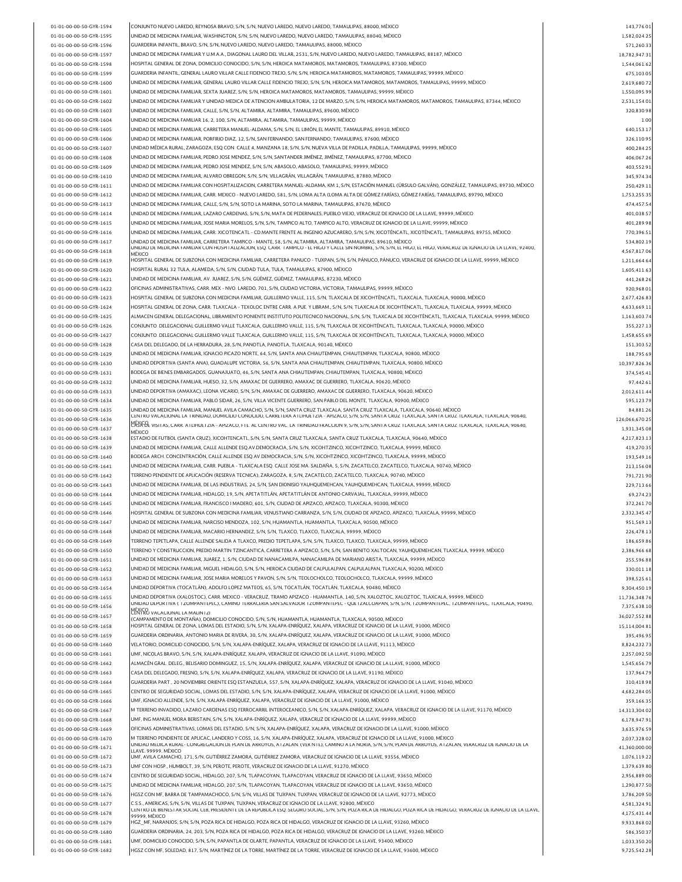| 01-01-00-00-50-GYR-1594                            | CONJUNTO NUEVO LAREDO, REYNOSA BRAVO, S/N, S/N, NUEVO LAREDO, NUEVO LAREDO, TAMAULIPAS, 88000, MÉXICO                                                                                                                                                                                      | 143,776.01                 |
|----------------------------------------------------|--------------------------------------------------------------------------------------------------------------------------------------------------------------------------------------------------------------------------------------------------------------------------------------------|----------------------------|
| 01-01-00-00-50-GYR-1595                            | UNIDAD DE MEDICINA FAMILIAR, WASHINGTON, S/N, S/N, NUEVO LAREDO, NUEVO LAREDO, TAMAULIPAS, 88040, MÉXICO                                                                                                                                                                                   | 1,582,024.25               |
| 01-01-00-00-50-GYR-1596                            | GUARDERIA INFANTIL, BRAVO, S/N, S/N, NUEVO LAREDO, NUEVO LAREDO, TAMAULIPAS, 88000, MÉXICO                                                                                                                                                                                                 | 571.260.3                  |
|                                                    |                                                                                                                                                                                                                                                                                            |                            |
| 01-01-00-00-50-GYR-1597                            | UNIDAD DE MEDICINA FAMILIAR Y U.M.A.A., DIAGONAL LAURO DEL VILLAR, 2531, S/N, NUEVO LAREDO, NUEVO LAREDO, TAMAULIPAS, 88187, MÊXICO                                                                                                                                                        | 18,782,947.3               |
| 01-01-00-00-50-GYR-1598                            | HOSPITAL GENERAL DE ZONA, DOMICILIO CONOCIDO, S/N, S/N, HEROICA MATAMOROS, MATAMOROS, TAMAULIPAS, 87300, MÉXICO                                                                                                                                                                            | 1,544,061.62               |
| 01-01-00-00-50-GYR-1599                            | GUARDERIA INFANTIL, GENERAL LAURO VILLAR CALLE FIDENCIO TREJO, S/N, S/N, HEROICA MATAMOROS, MATAMOROS, TAMAULIPAS, 99999, MÊXICO                                                                                                                                                           | 675,103.05                 |
| 01-01-00-00-50-GYR-1600                            | UNIDAD DE MEDICINA FAMILIAR, GENERAL LAURO VILLAR CALLE FIDENCIO TREJO, S/N, S/N, HEROICA MATAMOROS, MATAMOROS, TAMAULIPAS, 99999, MÉXICO                                                                                                                                                  | 2,619,680.72               |
| 01-01-00-00-50-GYR-1601                            | UNIDAD DE MEDICINA FAMILIAR, SEXTA JUAREZ, S/N, S/N, HEROICA MATAMOROS, MATAMOROS, TAMAULIPAS, 99999, MÉXICO                                                                                                                                                                               | 1,550,095.99               |
| 01-01-00-00-50-GYR-1602                            | UNIDAD DE MEDICINA FAMILIAR Y UNIDAD MEDICA DE ATENCION AMBULATORIA, 12 DE MARZO, S/N, S/N, HEROICA MATAMOROS, MATAMOROS, TAMAULIPAS, 87344, MÉXICO                                                                                                                                        | 2,531,154.01               |
| 01-01-00-00-50-GYR-1603                            | UNIDAD DE MEDICINA FAMILIAR, CALLE, S/N, S/N, ALTAMIRA, ALTAMIRA, TAMAULIPAS, 89600, MÉXICO                                                                                                                                                                                                | 320,830.98                 |
| 01-01-00-00-50-GYR-1604                            | UNIDAD DE MEDICINA FAMILIAR 16, 2, 100, S/N, ALTAMIRA, ALTAMIRA, TAMAULIPAS, 99999, MÉXICO                                                                                                                                                                                                 | 1.00                       |
| 01-01-00-00-50-GYR-1605                            | UNIDAD DE MEDICINA FAMILIAR, CARRETERA MANUEL-ALDAMA, S/N, S/N, EL LIMÓN, EL MANTE, TAMAULIPAS, 89910, MÉXICO                                                                                                                                                                              | 640,153.17                 |
| 01-01-00-00-50-GYR-1606                            | UNIDAD DE MEDICINA FAMILIAR. PORFIRIO DIAZ. 12. S/N. SAN FERNANDO. SAN FERNANDO. TAMAULIPAS. 87600. MÉXICO                                                                                                                                                                                 | 326,110.95                 |
| 01-01-00-00-50-GYR-1607                            | UNIDAD MÈDICA RURAL, ZARAGOZA, ESQ CON CALLE 4, MANZANA 18, S/N, S/N, NUEVA VILLA DE PADILLA, PADILLA, TAMAULIPAS, 99999, MÈXICO                                                                                                                                                           | 400,284.2                  |
| 01-01-00-00-50-GYR-1608                            | UNIDAD DE MEDICINA FAMILIAR. PEDRO JOSE MENDEZ, S/N, S/N, SANTANDER JIMÉNEZ, JIMÉNEZ, TAMAULIPAS, 87700, MÉXICO                                                                                                                                                                            | 406,067.26                 |
| 01-01-00-00-50-GYR-1609                            | UNIDAD DE MEDICINA FAMILIAR, PEDRO JOSE MENDEZ, S/N, S/N, ABASOLO, ABASOLO, TAMAULIPAS, 99999, MÉXICO                                                                                                                                                                                      | 403,552.9                  |
| 01-01-00-00-50-GYR-1610                            | UNIDAD DE MEDICINA FAMILIAR, ALVARO OBREGON, S/N, S/N, VILLAGRÁN, VILLAGRÁN, TAMAULIPAS, 87880, MÉXICO                                                                                                                                                                                     | 345,974.34                 |
| 01-01-00-00-50-GYR-1611                            | UNIDAD DE MEDICINA FAMILIAR CON HOSPITALIZACION, CARRETERA MANUEL-ALDAMA, KM 1, S/N, ESTACIÓN MANUEL (ÚRSULO GALVÁN), GONZÁLEZ, TAMAULIPAS, 89730, MÉXICO                                                                                                                                  | 250,429.1                  |
| 01-01-00-00-50-GYR-1612                            | UNIDAD DE MEDICINA FAMILIAR, CARR. MEXICO - NUEVO LAREDO, 581, S/N, LOMA ALTA (LOMA ALTA DE GÓMEZ FARÍAS), GÓMEZ FARÍAS, TAMAULIPAS, 89790, MÊXICO                                                                                                                                         | 1,753,255.35               |
| 01-01-00-00-50-GYR-1613                            | UNIDAD DE MEDICINA FAMILIAR, CALLE, S/N, S/N, SOTO LA MARINA, SOTO LA MARINA, TAMAULIPAS, 87670, MÉXICO                                                                                                                                                                                    | 474,457.54                 |
| 01-01-00-00-50-GYR-1614                            | UNIDAD DE MEDICINA FAMILIAR, LAZARO CARDENAS, S/N, S/N, MATA DE PEDERNALES, PUEBLO VIEJO, VERACRUZ DE IGNACIO DE LA LLAVE, 99999, MÉXICO                                                                                                                                                   | 401,038.57                 |
| 01-01-00-00-50-GYR-1615                            | UNIDAD DE MEDICINA FAMILIAR, JOSE MARIA MORELOS, S/N, S/N, TAMPICO ALTO, TAMPICO ALTO, VERACRUZ DE IGNACIO DE LA LLAVE, 99999, MÉXICO                                                                                                                                                      | 401,289.98                 |
| 01-01-00-00-50-GYR-1616                            | UNIDAD DE MEDICINA FAMILIAR, CARR. XICOTENCATL - CD.MANTE FRENTE AL INGENIO AZUCARERO, S/N, S/N, XICOTÉNCATL, XICOTÉNCATL, TAMAULIPAS, 89755, MÉXICO                                                                                                                                       | 770,396.51                 |
| 01-01-00-00-50-GYR-1617                            | UNIDAD DE MEDICINA FAMILIAR, CARRETERA TAMPICO - MANTE, 58, S/N, ALTAMIRA, ALTAMIRA, TAMAULIPAS, 89610, MÉXICO                                                                                                                                                                             | 534,802.19                 |
| 01-01-00-00-50-GYR-1618                            | UNIDAD DE MEDICINA FAMILIAR CON HOSPITALIZACION, ESQ. CARR. TAMPICO - EL HIGO Y CALLE SIN NOMBRE, S/N, S/N, EL HIGO, EL HIGO, VERACRUZ DE IGNACIO DE LA LLAVE, 92400,<br><b>MÉXICO</b>                                                                                                     | 4,567,817.06               |
| 01-01-00-00-50-GYR-1619                            | HOSPITAL GENERAL DE SUBZONA CON MEDICINA FAMILIAR. CARRETERA PANUCO - TUXPAN. S/N. S/N. PÁNUCO, PÁNUCO, VERACRUZ DE IGNACIO DE LA LLAVE, 99999. MÉXICO                                                                                                                                     | 1,211,664.64               |
| 01-01-00-00-50-GYR-1620                            | HOSPITAL RURAL 32 TULA, ALAMEDA, S/N, S/N, CIUDAD TULA, TULA, TAMAULIPAS, 87900, MÉXICO                                                                                                                                                                                                    | 1,605,411.63               |
| 01-01-00-00-50-GYR-1621                            | UNIDAD DE MEDICINA FAMILIAR, AV. JUAREZ, S/N, S/N, GÜÉMEZ, GÜÉMEZ, TAMAULIPAS, 87230, MÉXICO                                                                                                                                                                                               | 441.268.2                  |
| 01-01-00-00-50-GYR-1622                            | OFICINAS ADMINISTRATIVAS, CARR. MEX - NVO. LAREDO, 701, S/N, CIUDAD VICTORIA, VICTORIA, TAMAULIPAS, 99999, MÉXICO                                                                                                                                                                          | 920,968.01                 |
| 01-01-00-00-50-GYR-1623                            | HOSPITAL GENERAL DE SUBZONA CON MEDICINA FAMILIAR, GUILLERMO VALLE, 115, S/N, TLAXCALA DE XICOHTÉNCATL, TLAXCALA, TLAXCALA, 90000, MÉXICO                                                                                                                                                  | 2,677,426.83               |
| 01-01-00-00-50-GYR-1624                            | HOSPITAL GENERAL DE ZONA, CARR. TLAXCALA - TEXOLOC ENTRE CARR. A PUE. Y LIBRAM., S/N, S/N, TLAXCALA DE XICOHTÉNCATL, TLAXCALA, TLAXCALA, 99999, MÉXICO                                                                                                                                     | 4,633,669.1                |
| 01-01-00-00-50-GYR-1625                            | ALMACEN GENERAL DELEGACIONAL, LIBRAMIENTO PONIENTE INSTITUTO POLITECNICO NACIONAL, S/N, S/N, TLAXCALA DE XICOHTÉNCATL, TLAXCALA, TLAXCALA, 99999, MÉXICO                                                                                                                                   | 1,163,603.7                |
| 01-01-00-00-50-GYR-1626                            | CONJUNTO DELEGACIONAL GUILLERMO VALLE TLAXCALA, GUILLERMO VALLE, 115, S/N, TLAXCALA DE XICOHTÉNCATL, TLAXCALA, TLAXCALA, 90000, MÉXICO                                                                                                                                                     | 355.227.1                  |
| 01-01-00-00-50-GYR-1627                            | CONJUNTO DELEGACIONAL GUILLERMO VALLE TLAXCALA, GUILLERMO VALLE, 115, S/N, TLAXCALA DE XICOHTÈNCATL, TLAXCALA, TLAXCALA, 90000, MÈXICO                                                                                                                                                     | 1,458,655.69               |
| 01-01-00-00-50-GYR-1628                            | CASA DEL DELEGADO, DE LA HERRADURA, 28, S/N, PANOTLA, PANOTLA, TLAXCALA, 90140, MÉXICO                                                                                                                                                                                                     | 151,303.52                 |
| 01-01-00-00-50-GYR-1629                            | UNIDAD DE MEDICINA FAMILIAR, IGNACIO PICAZO NORTE, 64, S/N, SANTA ANA CHIAUTEMPAN, CHIAUTEMPAN, TLAXCALA, 90800, MÊXICO                                                                                                                                                                    | 188,795.69                 |
|                                                    | UNIDAD DEPORTIVA (SANTA ANA), GUADALUPE VICTORIA, 56, S/N, SANTA ANA CHIAUTEMPAN, CHIAUTEMPAN, TLAXCALA, 90800, MÉXICO                                                                                                                                                                     |                            |
| 01-01-00-00-50-GYR-1630<br>01-01-00-00-50-GYR-1631 | BODEGA DE BIENES EMBARGADOS, GUANAJUATO, 46, S/N, SANTA ANA CHIAUTEMPAN, CHIAUTEMPAN, TLAXCALA, 90800, MÉXICO                                                                                                                                                                              | 10,397,826.36<br>374,545.4 |
|                                                    |                                                                                                                                                                                                                                                                                            |                            |
| 01-01-00-00-50-GYR-1632                            | UNIDAD DE MEDICINA FAMILIAR, HUESO, 32, S/N, AMAXAC DE GUERRERO, AMAXAC DE GUERRERO, TLAXCALA, 90620, MÊXICO                                                                                                                                                                               | 97,442.61                  |
| 01-01-00-00-50-GYR-1633                            | UNIDAD DEPORTIVA (AMAXAC), LEONA VICARIO, S/N, S/N, AMAXAC DE GUERRERO, AMAXAC DE GUERRERO, TLAXCALA, 90620, MÉXICO                                                                                                                                                                        | 2,012,611.44               |
| 01-01-00-00-50-GYR-1634                            | UNIDAD DE MEDICINA FAMILIAR, PABLO SIDAR, 26, S/N, VILLA VICENTE GUERRERO, SAN PABLO DEL MONTE, TLAXCALA, 90900, MÈXICO                                                                                                                                                                    | 595,123.7                  |
| 01-01-00-00-50-GYR-1635                            | UNIDAD DE MEDICINA FAMILIAR, MANUEL AVILA CAMACHO, S/N, S/N, SANTA CRUZ TLAXCALA, SANTA CRUZ TLAXCALA, TLAXCALA, 90640, MÈXICO<br>CENTRO VACACIONAL LA TRINIDAD, DOMICILIO CONOCIDO, CARRETERA ATLIHUETZIA - APIZACO, S/N, S/N, SANTA CRUZ TLAXCALA, SANTA CRUZ TLAXCALA, TLAXCALA, 19640, | 84,881.26                  |
| 01-01-00-00-50-GYR-1636                            | MASKOŁ visitas, carr. atlihuetzia - apizacu, fte. al centru vac. la trinidad hracciun 9, s/n, s/n, santa cruz tlaxcala, santa cruz tlaxcala, tlaxcala, 90640,                                                                                                                              | 126,066,670.25             |
| 01-01-00-00-50-GYR-1637                            | MĚXICO                                                                                                                                                                                                                                                                                     | 1,931,345.08               |
| 01-01-00-00-50-GYR-1638                            | ESTADIO DE FUTBOL (SANTA CRUZ), XICOHTENCATL, S/N, S/N, SANTA CRUZ TLAXCALA, SANTA CRUZ TLAXCALA, TLAXCALA, 90640, MÉXICO                                                                                                                                                                  | 4,217,823.13               |
| 01-01-00-00-50-GYR-1639                            | UNIDAD DE MEDICINA FAMILIAR, CALLE ALLENDE ESQ.AV.DEMOCRACIA, S/N, S/N, XICOHTZINCO, XICOHTZINCO, TLAXCALA, 99999, MÉXICO                                                                                                                                                                  | 419,270.3                  |
| 01-01-00-00-50-GYR-1640                            | BODEGA ARCH. CONCENTRACIÓN, CALLE ALLENDE ESQ.AV.DEMOCRACIA, S/N, S/N, XICOHTZINCO, XICOHTZINCO, TLAXCALA, 99999, MÉXICO                                                                                                                                                                   | 193,549.1                  |
| 01-01-00-00-50-GYR-1641                            | UNIDAD DE MEDICINA FAMILIAR, CARR. PUEBLA - TLAXCALA ESQ. CALLE JOSE MA. SALDAÑA, 5, S/N, ZACATELCO, ZACATELCO, TLAXCALA, 90740, MÉXICO                                                                                                                                                    | 213,156.08                 |
| 01-01-00-00-50-GYR-1642                            | TERRENO PENDIENTE DE APLICACIÓN (RESERVA TECNICA), ZARAGOZA, 8, S/N, ZACATELCO, ZACATELCO, TLAXCALA, 90740, MÊXICO                                                                                                                                                                         | 791,721.90                 |
| 01-01-00-00-50-GYR-1643                            | UNIDAD DE MEDICINA FAMILIAR, DE LAS INDUSTRIAS, 24, S/N, SAN DIONISIO YAUHQUEMEHCAN, YAUHQUEMEHCAN, TLAXCALA, 99999, MÉXICO                                                                                                                                                                | 229,713.66                 |
| 01-01-00-00-50-GYR-1644                            | UNIDAD DE MEDICINA FAMILIAR, HIDALGO, 19, S/N, APETATITLÁN, APETATITLÁN DE ANTONIO CARVAJAL, TLAXCALA, 99999, MÉXICO                                                                                                                                                                       | 69,274.2                   |
| 01-01-00-00-50-GYR-1645                            | UNIDAD DE MEDICINA FAMILIAR, FRANCISCO I MADERO, 601, S/N, CIUDAD DE APIZACO, APIZACO, TLAXCALA, 90300, MÊXICO                                                                                                                                                                             | 372,261.70                 |
| 01-01-00-00-50-GYR-1646                            | HOSPITAL GENERAL DE SUBZONA CON MEDICINA FAMILIAR, VENUSTIANO CARRANZA, S/N, S/N, CIUDAD DE APIZACO, APIZACO, TLAXCALA, 99999, MÉXICO                                                                                                                                                      | 2,332,345.47               |
| 01-01-00-00-50-GYR-1647                            | UNIDAD DE MEDICINA FAMILIAR. NARCISO MENDOZA. 102. S/N. HUAMANTLA. HUAMANTLA. TLAXCALA. 90500. MÉXICO                                                                                                                                                                                      | 951,569.13                 |
| 01-01-00-00-50-GYR-1648                            | UNIDAD DE MEDICINA FAMILIAR, MACARIO HERNANDEZ, S/N, S/N, TLAXCO, TLAXCO, TLAXCALA, 99999, MÉXICO                                                                                                                                                                                          | 226,478.13                 |
| 01-01-00-00-50-GYR-1649                            | TERRENO TEPETLAPA, CALLE ALLENDE SALIDA A TLAXCO, PREDIO TEPETLAPA, S/N, S/N, TLAXCO, TLAXCO, TLAXCALA, 99999, MÉXICO                                                                                                                                                                      | 186,659.8                  |
| 01-01-00-00-50-GYR-1650                            | TERRENO Y CONSTRUCCION, PREDIO MARTIN TZINCANTICA, CARRETERA A APIZACO, S/N, S/N, SAN BENITO XALTOCAN, YAUHQUEMEHCAN, TLAXCALA, 99999, MÉXICO                                                                                                                                              | 2,386,966.68               |
| 01-01-00-00-50-GYR-1651                            | UNIDAD DE MEDICINA FAMILIAR, JUAREZ, 1, S/N, CIUDAD DE NANACAMILPA, NANACAMILPA DE MARIANO ARISTA, TLAXCALA, 99999, MÉXICO                                                                                                                                                                 | 255,596.88                 |
| 01-01-00-00-50-GYR-1652                            | UNIDAD DE MEDICINA FAMILIAR, MIGUEL HIDALGO, S/N, S/N, HEROICA CIUDAD DE CALPULALPAN, CALPULALPAN, TLAXCALA, 90200, MÉXICO                                                                                                                                                                 | 330,011.18                 |
| 01-01-00-00-50-GYR-1653                            | UNIDAD DE MEDICINA FAMILIAR, JOSE MARIA MORELOS Y PAVON, S/N, S/N, TEOLOCHOLCO, TEOLOCHOLCO, TLAXCALA, 99999, MÉXICO                                                                                                                                                                       | 398,525.61                 |
| 01-01-00-00-50-GYR-1654                            | UNIDAD DEPORTIVA (TOCATLÁN), ADOLFO LOPEZ MATEOS, 65, S/N, TOCATLÁN, TOCATLÁN, TLAXCALA, 90480, MÉXICO                                                                                                                                                                                     | 9,304,450.19               |
| 01-01-00-00-50-GYR-1655                            | UNIDAD DEPORTIVA (XALOSTOC), CARR. MEXICO - VERACRUZ, TRAMO APIZACO - HUAMANTLA, 140, S/N, XALOZTOC, XALOZTOC, TLAXCALA, 99999, MÉXICO                                                                                                                                                     | 11,736,348.76              |
| 01-01-00-00-50-GYR-1656                            | UNIDAD DEPORTIVA (TZOMPANTEPEC), CAMINO TERRACERIA SAN SALVADOR TZOMPANTEPEC - QUETZALCOAPAN, S/N, S/N, TZOMPANTEPEC, TZOMPANTEPEC, TLAXCALA, 90490,                                                                                                                                       | 7,375,638.10               |
| 01-01-00-00-50-GYR-1657                            | MĚXÍFRO VACACIONAL LA MALINTZI                                                                                                                                                                                                                                                             | 36,027,552.88              |
| 01-01-00-00-50-GYR-1658                            | (CAMPAMENTO DE MONTAÑA), DOMICILIO CONOCIDO, S/N, S/N, HUAMANTLA, HUAMANTLA, TLAXCALA, 90500, MÉXICO<br>HOSPITAL GENERAL DE ZONA, LOMAS DEL ESTADIO, S/N, S/N, XALAPA-ENRÍQUEZ, XALAPA, VERACRUZ DE IGNACIO DE LA LLAVE, 91000, MÉXICO                                                     | 15,114,004.81              |
|                                                    |                                                                                                                                                                                                                                                                                            |                            |
| 01-01-00-00-50-GYR-1659                            | GUARDERIA ORDINARIA, ANTONIO MARIA DE RIVERA, 30, S/N, XALAPA-ENRÍQUEZ, XALAPA, VERACRUZ DE IGNACIO DE LA LLAVE, 91000, MÉXICO<br>VELATORIO, DOMICILIO CONOCIDO, S/N, S/N, XALAPA-ENRÍQUEZ, XALAPA, VERACRUZ DE IGNACIO DE LA LLAVE, 91113, MÉXICO                                         | 395,496.9                  |
| 01-01-00-00-50-GYR-1660                            |                                                                                                                                                                                                                                                                                            | 8,824,232.73               |
| 01-01-00-00-50-GYR-1661                            | UMF, NICOLAS BRAVO, S/N, S/N, XALAPA-ENRÍQUEZ, XALAPA, VERACRUZ DE IGNACIO DE LA LLAVE, 91090, MÉXICO                                                                                                                                                                                      | 2,257,092.50               |
| 01-01-00-00-50-GYR-1662                            | ALMACÉN GRAL. DELEG., BELISARIO DOMINGUEZ, 15, S/N, XALAPA-ENRÍQUEZ, XALAPA, VERACRUZ DE IGNACIO DE LA LLAVE, 91000, MÉXICO                                                                                                                                                                | 1,545,656.7                |
| 01-01-00-00-50-GYR-1663                            | CASA DEL DELEGADO, FRESNO, S/N, S/N, XALAPA-ENRÍQUEZ, XALAPA, VERACRUZ DE IGNACIO DE LA LLAVE, 91190, MÉXICO                                                                                                                                                                               | 137,964.79                 |
| 01-01-00-00-50-GYR-1664                            | GUARDERIA PART., 20 NOVIEMBRE ORIENTE ESQ ESTANZUELA, 557, S/N, XALAPA-ENRÍQUEZ, XALAPA, VERACRUZ DE IGNACIO DE LA LLAVE, 91040, MÉXICO                                                                                                                                                    | 310,418.98                 |
| 01-01-00-00-50-GYR-1665                            | CENTRO DE SEGURIDAD SOCIAL, LOMAS DEL ESTADIO, S/N, S/N, XALAPA-ENRÍQUEZ, XALAPA, VERACRUZ DE IGNACIO DE LA LLAVE, 91000, MÉXICO                                                                                                                                                           | 4,682,284.05               |
| 01-01-00-00-50-GYR-1666                            | UMF, IGNACIO ALLENDE, S/N, S/N, XALAPA-ENRÍQUEZ, XALAPA, VERACRUZ DE IGNACIO DE LA LLAVE, 91000, MÉXICO                                                                                                                                                                                    | 359,166.35                 |
| 01-01-00-00-50-GYR-1667                            | M TERRENO INVADIDO, LAZARO CARDENAS ESQ FERROCARRIL INTEROCEANICO, S/N, S/N, XALAPA-ENRÍQUEZ, XALAPA, VERACRUZ DE IGNACIO DE LA LLAVE, 91170, MÉXICO                                                                                                                                       | 14,313,304.02              |
| 01-01-00-00-50-GYR-1668                            | UMF, ING MANUEL MORA BERISTAIN, S/N, S/N, XALAPA-ENRÍQUEZ, XALAPA, VERACRUZ DE IGNACIO DE LA LLAVE, 99999, MÉXICO                                                                                                                                                                          | 6,178,947.91               |
| 01-01-00-00-50-GYR-1669                            | OFICINAS ADMINISTRATIVAS, LOMAS DEL ESTADIO, S/N, S/N, XALAPA-ENRÍQUEZ, XALAPA, VERACRUZ DE IGNACIO DE LA LLAVE, 91000, MÉXICO                                                                                                                                                             | 3,635,976.5                |
| 01-01-00-00-50-GYR-1670                            | M TERRENO PENDIENTE DE APLICAC, LANDERO Y COSS, 16, S/N, XALAPA-ENRÍQUEZ, XALAPA, VERACRUZ DE IGNACIO DE LA LLAVE, 91000, MÉXICO                                                                                                                                                           | 2,037,328.02               |
| 01-01-00-00-50-GYR-1671                            | UNIDAD MEDICA RURAL- CONGREGACION DE PLAN DE ARROYOS, ATZALAN. (VER NTE), CAMINO A LA NORIA, S/N, S/N, PLAN DE ARROYOS, ATZALAN, VERACRUZ DE IGNACIO DE LA<br>LLAVE. 99999. MĚXICO                                                                                                         | 41,360,000.00              |
| 01-01-00-00-50-GYR-1672                            | UMF, AVILA CAMACHO, 171, S/N, GUTIÉRREZ ZAMORA, GUTIÉRREZ ZAMORA, VERACRUZ DE IGNACIO DE LA LLAVE, 93556, MÉXICO                                                                                                                                                                           | 1,076,119.22               |
| 01-01-00-00-50-GYR-1673                            | UMF CON HOSP., HUMBOLT, 39, S/N, PEROTE, PEROTE, VERACRUZ DE IGNACIO DE LA LLAVE, 91270, MÉXICO                                                                                                                                                                                            | 1,379,639.80               |
| 01-01-00-00-50-GYR-1674                            | CENTRO DE SEGURIDAD SOCIAL, HIDALGO, 207, S/N, TLAPACOYAN, TLAPACOYAN, VERACRUZ DE IGNACIO DE LA LLAVE, 93650, MÊXICO                                                                                                                                                                      | 2,956,889.00               |
| 01-01-00-00-50-GYR-1675                            | UNIDAD DE MEDICINA FAMILIAR, HIDALGO, 207, S/N, TLAPACOYAN, TLAPACOYAN, VERACRUZ DE IGNACIO DE LA LLAVE, 93650, MÉXICO                                                                                                                                                                     | 1,290,877.50               |
| 01-01-00-00-50-GYR-1676                            | HGSZ CON MF, BARRA DE TAMPAMACHOCO, S/N, S/N, VILLAS DE TUXPAN, TUXPAN, VERACRUZ DE IGNACIO DE LA LLAVE, 92773, MÊXICO                                                                                                                                                                     | 3,786,209.50               |
| 01-01-00-00-50-GYR-1677                            | C.S.S., AMERICAS, S/N, S/N, VILLAS DE TUXPAN, TUXPAN, VERACRUZ DE IGNACIO DE LA LLAVE, 92800, MÉXICO                                                                                                                                                                                       | 4,581,324.9                |
| 01-01-00-00-50-GYR-1678                            | CENTRO DE BIENESTAR SOCIAL CEB, PRESIDENTE DE LA REPUBLICA ESQ. SEGURO SOCIAL, S/N, S/N, POZA RICA DE HIDALGO, POZA RICA DE HIDALGO, VERACRUZ DE IGNACIO DE LA LLAVE,<br>99999. MÉXICO                                                                                                     | 4,175,431.44               |
| 01-01-00-00-50-GYR-1679                            | HGZ_MF, NARANJOS, S/N, S/N, POZA RICA DE HIDALGO, POZA RICA DE HIDALGO, VERACRUZ DE IGNACIO DE LA LLAVE, 93260, MÊXICO                                                                                                                                                                     | 9,933,868.02               |
| 01-01-00-00-50-GYR-1680                            | GUARDERIA ORDINARIA, 24, 203, S/N, POZA RICA DE HIDALGO, POZA RICA DE HIDALGO, VERACRUZ DE IGNACIO DE LA LLAVE, 93260, MÊXICO                                                                                                                                                              | 586,350.37                 |
| 01-01-00-00-50-GYR-1681                            | UMF, DOMICILIO CONOCIDO, S/N, S/N, PAPANTLA DE OLARTE, PAPANTLA, VERACRUZ DE IGNACIO DE LA LLAVE, 93400, MÉXICO                                                                                                                                                                            | 1,033,350.20               |
| 01-01-00-00-50-GYR-1682                            | HGSZ CON MF, SOLEDAD, 817, S/N, MARTÍNEZ DE LA TORRE, MARTÍNEZ DE LA TORRE, VERACRUZ DE IGNACIO DE LA LLAVE, 93600, MÉXICO                                                                                                                                                                 | 9,725,542.28               |
|                                                    |                                                                                                                                                                                                                                                                                            |                            |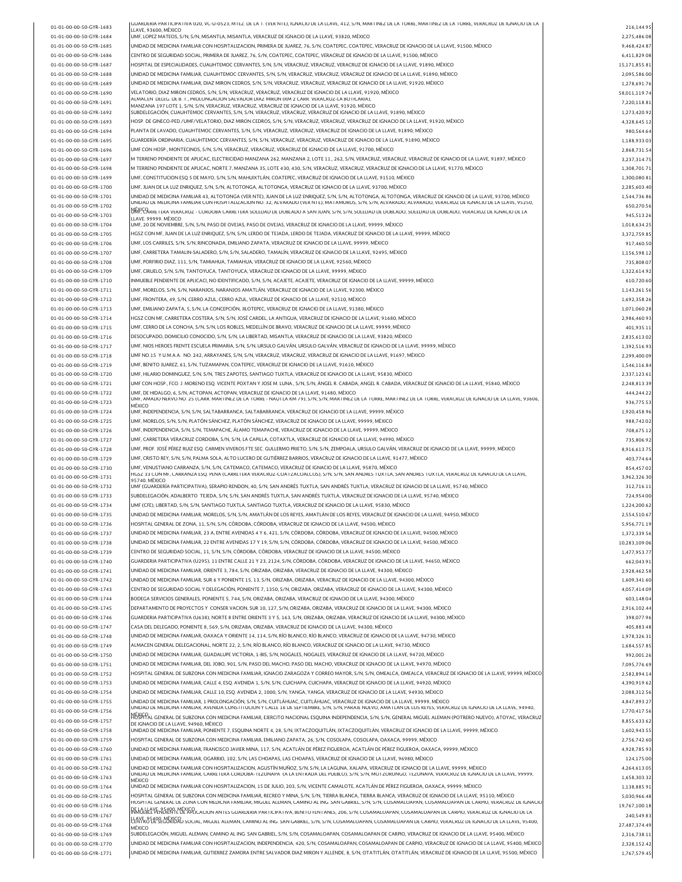| GUARDERIA PARTICIPATIVA 020, VC-U-0523; MTEZ. DE LA T. (VER NTE), IGNACIO DE LA LLAVE, 412, S/N, MARTINEZ DE LA TORRE, MARTINEZ DE LA TORRE, VERACRUZ DE IGNACIO DE LA                                                                                                                                                            | 216.144.95                                                                                                                                                                                                                                                                                                                                                                                                                                                                                                                                                                                                                                                                                                                                                                                                                                                                                                                                                                                                                                                                                                                                                                                                                                                                                                                                                                                                                                                                                                                                                                                                                                                                                                                                                                                                                                                                                                                                                                                                                                                                                                                                                                                                                                                                                                                                                                                                                                                                                                                                                                                                                                                                                                                                                                                                                                                                                                                                                                                                                                                                                                                                                                                                                                                                                                                                                                                                                                                                                                                                                                                                                                                                                                                                                                                                                                                                                                                                                                                                                                                                                                                                                                                                                                                                                                                                                                                                                                                                                                                                                                |
|-----------------------------------------------------------------------------------------------------------------------------------------------------------------------------------------------------------------------------------------------------------------------------------------------------------------------------------|---------------------------------------------------------------------------------------------------------------------------------------------------------------------------------------------------------------------------------------------------------------------------------------------------------------------------------------------------------------------------------------------------------------------------------------------------------------------------------------------------------------------------------------------------------------------------------------------------------------------------------------------------------------------------------------------------------------------------------------------------------------------------------------------------------------------------------------------------------------------------------------------------------------------------------------------------------------------------------------------------------------------------------------------------------------------------------------------------------------------------------------------------------------------------------------------------------------------------------------------------------------------------------------------------------------------------------------------------------------------------------------------------------------------------------------------------------------------------------------------------------------------------------------------------------------------------------------------------------------------------------------------------------------------------------------------------------------------------------------------------------------------------------------------------------------------------------------------------------------------------------------------------------------------------------------------------------------------------------------------------------------------------------------------------------------------------------------------------------------------------------------------------------------------------------------------------------------------------------------------------------------------------------------------------------------------------------------------------------------------------------------------------------------------------------------------------------------------------------------------------------------------------------------------------------------------------------------------------------------------------------------------------------------------------------------------------------------------------------------------------------------------------------------------------------------------------------------------------------------------------------------------------------------------------------------------------------------------------------------------------------------------------------------------------------------------------------------------------------------------------------------------------------------------------------------------------------------------------------------------------------------------------------------------------------------------------------------------------------------------------------------------------------------------------------------------------------------------------------------------------------------------------------------------------------------------------------------------------------------------------------------------------------------------------------------------------------------------------------------------------------------------------------------------------------------------------------------------------------------------------------------------------------------------------------------------------------------------------------------------------------------------------------------------------------------------------------------------------------------------------------------------------------------------------------------------------------------------------------------------------------------------------------------------------------------------------------------------------------------------------------------------------------------------------------------------------------------------------------------------------------------------------------------------------------------------------|
| LLAVE, 93600, MÉXICO                                                                                                                                                                                                                                                                                                              |                                                                                                                                                                                                                                                                                                                                                                                                                                                                                                                                                                                                                                                                                                                                                                                                                                                                                                                                                                                                                                                                                                                                                                                                                                                                                                                                                                                                                                                                                                                                                                                                                                                                                                                                                                                                                                                                                                                                                                                                                                                                                                                                                                                                                                                                                                                                                                                                                                                                                                                                                                                                                                                                                                                                                                                                                                                                                                                                                                                                                                                                                                                                                                                                                                                                                                                                                                                                                                                                                                                                                                                                                                                                                                                                                                                                                                                                                                                                                                                                                                                                                                                                                                                                                                                                                                                                                                                                                                                                                                                                                                           |
| UMF, LOPEZ MATEOS, S/N, S/N, MISANTLA, MISANTLA, VERACRUZ DE IGNACIO DE LA LLAVE, 93820, MÉXICO                                                                                                                                                                                                                                   | 2,275,486.08                                                                                                                                                                                                                                                                                                                                                                                                                                                                                                                                                                                                                                                                                                                                                                                                                                                                                                                                                                                                                                                                                                                                                                                                                                                                                                                                                                                                                                                                                                                                                                                                                                                                                                                                                                                                                                                                                                                                                                                                                                                                                                                                                                                                                                                                                                                                                                                                                                                                                                                                                                                                                                                                                                                                                                                                                                                                                                                                                                                                                                                                                                                                                                                                                                                                                                                                                                                                                                                                                                                                                                                                                                                                                                                                                                                                                                                                                                                                                                                                                                                                                                                                                                                                                                                                                                                                                                                                                                                                                                                                                              |
| UNIDAD DE MEDICINA FAMILIAR CON HOSPITALIZACION, PRIMERA DE JUAREZ, 76, S/N, COATEPEC, COATEPEC, VERACRUZ DE IGNACIO DE LA LLAVE, 91500, MÊXICO                                                                                                                                                                                   | 9,468,424.87                                                                                                                                                                                                                                                                                                                                                                                                                                                                                                                                                                                                                                                                                                                                                                                                                                                                                                                                                                                                                                                                                                                                                                                                                                                                                                                                                                                                                                                                                                                                                                                                                                                                                                                                                                                                                                                                                                                                                                                                                                                                                                                                                                                                                                                                                                                                                                                                                                                                                                                                                                                                                                                                                                                                                                                                                                                                                                                                                                                                                                                                                                                                                                                                                                                                                                                                                                                                                                                                                                                                                                                                                                                                                                                                                                                                                                                                                                                                                                                                                                                                                                                                                                                                                                                                                                                                                                                                                                                                                                                                                              |
|                                                                                                                                                                                                                                                                                                                                   | 6,411,829.08                                                                                                                                                                                                                                                                                                                                                                                                                                                                                                                                                                                                                                                                                                                                                                                                                                                                                                                                                                                                                                                                                                                                                                                                                                                                                                                                                                                                                                                                                                                                                                                                                                                                                                                                                                                                                                                                                                                                                                                                                                                                                                                                                                                                                                                                                                                                                                                                                                                                                                                                                                                                                                                                                                                                                                                                                                                                                                                                                                                                                                                                                                                                                                                                                                                                                                                                                                                                                                                                                                                                                                                                                                                                                                                                                                                                                                                                                                                                                                                                                                                                                                                                                                                                                                                                                                                                                                                                                                                                                                                                                              |
|                                                                                                                                                                                                                                                                                                                                   |                                                                                                                                                                                                                                                                                                                                                                                                                                                                                                                                                                                                                                                                                                                                                                                                                                                                                                                                                                                                                                                                                                                                                                                                                                                                                                                                                                                                                                                                                                                                                                                                                                                                                                                                                                                                                                                                                                                                                                                                                                                                                                                                                                                                                                                                                                                                                                                                                                                                                                                                                                                                                                                                                                                                                                                                                                                                                                                                                                                                                                                                                                                                                                                                                                                                                                                                                                                                                                                                                                                                                                                                                                                                                                                                                                                                                                                                                                                                                                                                                                                                                                                                                                                                                                                                                                                                                                                                                                                                                                                                                                           |
|                                                                                                                                                                                                                                                                                                                                   | 15,171,855.81                                                                                                                                                                                                                                                                                                                                                                                                                                                                                                                                                                                                                                                                                                                                                                                                                                                                                                                                                                                                                                                                                                                                                                                                                                                                                                                                                                                                                                                                                                                                                                                                                                                                                                                                                                                                                                                                                                                                                                                                                                                                                                                                                                                                                                                                                                                                                                                                                                                                                                                                                                                                                                                                                                                                                                                                                                                                                                                                                                                                                                                                                                                                                                                                                                                                                                                                                                                                                                                                                                                                                                                                                                                                                                                                                                                                                                                                                                                                                                                                                                                                                                                                                                                                                                                                                                                                                                                                                                                                                                                                                             |
|                                                                                                                                                                                                                                                                                                                                   | 2.095.586.00                                                                                                                                                                                                                                                                                                                                                                                                                                                                                                                                                                                                                                                                                                                                                                                                                                                                                                                                                                                                                                                                                                                                                                                                                                                                                                                                                                                                                                                                                                                                                                                                                                                                                                                                                                                                                                                                                                                                                                                                                                                                                                                                                                                                                                                                                                                                                                                                                                                                                                                                                                                                                                                                                                                                                                                                                                                                                                                                                                                                                                                                                                                                                                                                                                                                                                                                                                                                                                                                                                                                                                                                                                                                                                                                                                                                                                                                                                                                                                                                                                                                                                                                                                                                                                                                                                                                                                                                                                                                                                                                                              |
| UNIDAD DE MEDICINA FAMILIAR, DIAZ MIRON CEDROS, S/N, S/N, VERACRUZ, VERACRUZ, VERACRUZ DE IGNACIO DE LA LLAVE, 91920, MÉXICO                                                                                                                                                                                                      | 1,278,691.76                                                                                                                                                                                                                                                                                                                                                                                                                                                                                                                                                                                                                                                                                                                                                                                                                                                                                                                                                                                                                                                                                                                                                                                                                                                                                                                                                                                                                                                                                                                                                                                                                                                                                                                                                                                                                                                                                                                                                                                                                                                                                                                                                                                                                                                                                                                                                                                                                                                                                                                                                                                                                                                                                                                                                                                                                                                                                                                                                                                                                                                                                                                                                                                                                                                                                                                                                                                                                                                                                                                                                                                                                                                                                                                                                                                                                                                                                                                                                                                                                                                                                                                                                                                                                                                                                                                                                                                                                                                                                                                                                              |
|                                                                                                                                                                                                                                                                                                                                   | 58,011,119.74                                                                                                                                                                                                                                                                                                                                                                                                                                                                                                                                                                                                                                                                                                                                                                                                                                                                                                                                                                                                                                                                                                                                                                                                                                                                                                                                                                                                                                                                                                                                                                                                                                                                                                                                                                                                                                                                                                                                                                                                                                                                                                                                                                                                                                                                                                                                                                                                                                                                                                                                                                                                                                                                                                                                                                                                                                                                                                                                                                                                                                                                                                                                                                                                                                                                                                                                                                                                                                                                                                                                                                                                                                                                                                                                                                                                                                                                                                                                                                                                                                                                                                                                                                                                                                                                                                                                                                                                                                                                                                                                                             |
| ALMACEN DELEG. DE B. T., PROLONGACION SALVADOR DIAZ MIRON (KM 2 CARR. VERACRUZ-LA BOTICARIA),                                                                                                                                                                                                                                     |                                                                                                                                                                                                                                                                                                                                                                                                                                                                                                                                                                                                                                                                                                                                                                                                                                                                                                                                                                                                                                                                                                                                                                                                                                                                                                                                                                                                                                                                                                                                                                                                                                                                                                                                                                                                                                                                                                                                                                                                                                                                                                                                                                                                                                                                                                                                                                                                                                                                                                                                                                                                                                                                                                                                                                                                                                                                                                                                                                                                                                                                                                                                                                                                                                                                                                                                                                                                                                                                                                                                                                                                                                                                                                                                                                                                                                                                                                                                                                                                                                                                                                                                                                                                                                                                                                                                                                                                                                                                                                                                                                           |
| MANZANA 197 LOTE 1, S/N, S/N, VERACRUZ, VERACRUZ, VERACRUZ DE IGNACIO DE LA LLAVE, 91920, MÉXICO                                                                                                                                                                                                                                  | 7,220,118.81                                                                                                                                                                                                                                                                                                                                                                                                                                                                                                                                                                                                                                                                                                                                                                                                                                                                                                                                                                                                                                                                                                                                                                                                                                                                                                                                                                                                                                                                                                                                                                                                                                                                                                                                                                                                                                                                                                                                                                                                                                                                                                                                                                                                                                                                                                                                                                                                                                                                                                                                                                                                                                                                                                                                                                                                                                                                                                                                                                                                                                                                                                                                                                                                                                                                                                                                                                                                                                                                                                                                                                                                                                                                                                                                                                                                                                                                                                                                                                                                                                                                                                                                                                                                                                                                                                                                                                                                                                                                                                                                                              |
| SUBDELEGACIÓN, CUAUHTEMOC CERVANTES, S/N, S/N, VERACRUZ, VERACRUZ, VERACRUZ DE IGNACIO DE LA LLAVE, 91890, MÉXICO                                                                                                                                                                                                                 | 1,273,420.92                                                                                                                                                                                                                                                                                                                                                                                                                                                                                                                                                                                                                                                                                                                                                                                                                                                                                                                                                                                                                                                                                                                                                                                                                                                                                                                                                                                                                                                                                                                                                                                                                                                                                                                                                                                                                                                                                                                                                                                                                                                                                                                                                                                                                                                                                                                                                                                                                                                                                                                                                                                                                                                                                                                                                                                                                                                                                                                                                                                                                                                                                                                                                                                                                                                                                                                                                                                                                                                                                                                                                                                                                                                                                                                                                                                                                                                                                                                                                                                                                                                                                                                                                                                                                                                                                                                                                                                                                                                                                                                                                              |
| HOSP. DE GINECO-PED./UMF/VELATORIO, DIAZ MIRON CEDROS, S/N, S/N, VERACRUZ, VERACRUZ, VERACRUZ DE IGNACIO DE LA LLAVE, 91920, MÉXICO                                                                                                                                                                                               | 4,328,645.12                                                                                                                                                                                                                                                                                                                                                                                                                                                                                                                                                                                                                                                                                                                                                                                                                                                                                                                                                                                                                                                                                                                                                                                                                                                                                                                                                                                                                                                                                                                                                                                                                                                                                                                                                                                                                                                                                                                                                                                                                                                                                                                                                                                                                                                                                                                                                                                                                                                                                                                                                                                                                                                                                                                                                                                                                                                                                                                                                                                                                                                                                                                                                                                                                                                                                                                                                                                                                                                                                                                                                                                                                                                                                                                                                                                                                                                                                                                                                                                                                                                                                                                                                                                                                                                                                                                                                                                                                                                                                                                                                              |
|                                                                                                                                                                                                                                                                                                                                   |                                                                                                                                                                                                                                                                                                                                                                                                                                                                                                                                                                                                                                                                                                                                                                                                                                                                                                                                                                                                                                                                                                                                                                                                                                                                                                                                                                                                                                                                                                                                                                                                                                                                                                                                                                                                                                                                                                                                                                                                                                                                                                                                                                                                                                                                                                                                                                                                                                                                                                                                                                                                                                                                                                                                                                                                                                                                                                                                                                                                                                                                                                                                                                                                                                                                                                                                                                                                                                                                                                                                                                                                                                                                                                                                                                                                                                                                                                                                                                                                                                                                                                                                                                                                                                                                                                                                                                                                                                                                                                                                                                           |
|                                                                                                                                                                                                                                                                                                                                   | 980,564.64                                                                                                                                                                                                                                                                                                                                                                                                                                                                                                                                                                                                                                                                                                                                                                                                                                                                                                                                                                                                                                                                                                                                                                                                                                                                                                                                                                                                                                                                                                                                                                                                                                                                                                                                                                                                                                                                                                                                                                                                                                                                                                                                                                                                                                                                                                                                                                                                                                                                                                                                                                                                                                                                                                                                                                                                                                                                                                                                                                                                                                                                                                                                                                                                                                                                                                                                                                                                                                                                                                                                                                                                                                                                                                                                                                                                                                                                                                                                                                                                                                                                                                                                                                                                                                                                                                                                                                                                                                                                                                                                                                |
|                                                                                                                                                                                                                                                                                                                                   | 1,188,933.03                                                                                                                                                                                                                                                                                                                                                                                                                                                                                                                                                                                                                                                                                                                                                                                                                                                                                                                                                                                                                                                                                                                                                                                                                                                                                                                                                                                                                                                                                                                                                                                                                                                                                                                                                                                                                                                                                                                                                                                                                                                                                                                                                                                                                                                                                                                                                                                                                                                                                                                                                                                                                                                                                                                                                                                                                                                                                                                                                                                                                                                                                                                                                                                                                                                                                                                                                                                                                                                                                                                                                                                                                                                                                                                                                                                                                                                                                                                                                                                                                                                                                                                                                                                                                                                                                                                                                                                                                                                                                                                                                              |
| UMF CON HOSP., MONTECINOS, S/N, S/N, VERACRUZ, VERACRUZ, VERACRUZ DE IGNACIO DE LA LLAVE, 91700, MÉXICO                                                                                                                                                                                                                           | 2,868,731.54                                                                                                                                                                                                                                                                                                                                                                                                                                                                                                                                                                                                                                                                                                                                                                                                                                                                                                                                                                                                                                                                                                                                                                                                                                                                                                                                                                                                                                                                                                                                                                                                                                                                                                                                                                                                                                                                                                                                                                                                                                                                                                                                                                                                                                                                                                                                                                                                                                                                                                                                                                                                                                                                                                                                                                                                                                                                                                                                                                                                                                                                                                                                                                                                                                                                                                                                                                                                                                                                                                                                                                                                                                                                                                                                                                                                                                                                                                                                                                                                                                                                                                                                                                                                                                                                                                                                                                                                                                                                                                                                                              |
|                                                                                                                                                                                                                                                                                                                                   | 3,237,314.75                                                                                                                                                                                                                                                                                                                                                                                                                                                                                                                                                                                                                                                                                                                                                                                                                                                                                                                                                                                                                                                                                                                                                                                                                                                                                                                                                                                                                                                                                                                                                                                                                                                                                                                                                                                                                                                                                                                                                                                                                                                                                                                                                                                                                                                                                                                                                                                                                                                                                                                                                                                                                                                                                                                                                                                                                                                                                                                                                                                                                                                                                                                                                                                                                                                                                                                                                                                                                                                                                                                                                                                                                                                                                                                                                                                                                                                                                                                                                                                                                                                                                                                                                                                                                                                                                                                                                                                                                                                                                                                                                              |
|                                                                                                                                                                                                                                                                                                                                   |                                                                                                                                                                                                                                                                                                                                                                                                                                                                                                                                                                                                                                                                                                                                                                                                                                                                                                                                                                                                                                                                                                                                                                                                                                                                                                                                                                                                                                                                                                                                                                                                                                                                                                                                                                                                                                                                                                                                                                                                                                                                                                                                                                                                                                                                                                                                                                                                                                                                                                                                                                                                                                                                                                                                                                                                                                                                                                                                                                                                                                                                                                                                                                                                                                                                                                                                                                                                                                                                                                                                                                                                                                                                                                                                                                                                                                                                                                                                                                                                                                                                                                                                                                                                                                                                                                                                                                                                                                                                                                                                                                           |
|                                                                                                                                                                                                                                                                                                                                   | 1,308,701.71                                                                                                                                                                                                                                                                                                                                                                                                                                                                                                                                                                                                                                                                                                                                                                                                                                                                                                                                                                                                                                                                                                                                                                                                                                                                                                                                                                                                                                                                                                                                                                                                                                                                                                                                                                                                                                                                                                                                                                                                                                                                                                                                                                                                                                                                                                                                                                                                                                                                                                                                                                                                                                                                                                                                                                                                                                                                                                                                                                                                                                                                                                                                                                                                                                                                                                                                                                                                                                                                                                                                                                                                                                                                                                                                                                                                                                                                                                                                                                                                                                                                                                                                                                                                                                                                                                                                                                                                                                                                                                                                                              |
|                                                                                                                                                                                                                                                                                                                                   | 1,300,080.81                                                                                                                                                                                                                                                                                                                                                                                                                                                                                                                                                                                                                                                                                                                                                                                                                                                                                                                                                                                                                                                                                                                                                                                                                                                                                                                                                                                                                                                                                                                                                                                                                                                                                                                                                                                                                                                                                                                                                                                                                                                                                                                                                                                                                                                                                                                                                                                                                                                                                                                                                                                                                                                                                                                                                                                                                                                                                                                                                                                                                                                                                                                                                                                                                                                                                                                                                                                                                                                                                                                                                                                                                                                                                                                                                                                                                                                                                                                                                                                                                                                                                                                                                                                                                                                                                                                                                                                                                                                                                                                                                              |
| UMF, JUAN DE LA LUZ ENRIQUEZ, S/N, S/N, ALTOTONGA, ALTOTONGA, VERACRUZ DE IGNACIO DE LA LLAVE, 93700, MÉXICO                                                                                                                                                                                                                      | 2,285,603.40                                                                                                                                                                                                                                                                                                                                                                                                                                                                                                                                                                                                                                                                                                                                                                                                                                                                                                                                                                                                                                                                                                                                                                                                                                                                                                                                                                                                                                                                                                                                                                                                                                                                                                                                                                                                                                                                                                                                                                                                                                                                                                                                                                                                                                                                                                                                                                                                                                                                                                                                                                                                                                                                                                                                                                                                                                                                                                                                                                                                                                                                                                                                                                                                                                                                                                                                                                                                                                                                                                                                                                                                                                                                                                                                                                                                                                                                                                                                                                                                                                                                                                                                                                                                                                                                                                                                                                                                                                                                                                                                                              |
|                                                                                                                                                                                                                                                                                                                                   | 1,544,736.86                                                                                                                                                                                                                                                                                                                                                                                                                                                                                                                                                                                                                                                                                                                                                                                                                                                                                                                                                                                                                                                                                                                                                                                                                                                                                                                                                                                                                                                                                                                                                                                                                                                                                                                                                                                                                                                                                                                                                                                                                                                                                                                                                                                                                                                                                                                                                                                                                                                                                                                                                                                                                                                                                                                                                                                                                                                                                                                                                                                                                                                                                                                                                                                                                                                                                                                                                                                                                                                                                                                                                                                                                                                                                                                                                                                                                                                                                                                                                                                                                                                                                                                                                                                                                                                                                                                                                                                                                                                                                                                                                              |
| UNIDAD DE MEDICINA FAMILIAR CON HOSPITALIZACION NO. 32, ALVARADO (VER NTE), MATAMOROS, S/N, S/N, ALVARADO, ALVARADO, VERACRUZ DE IGNACIO DE LA LLAVE, 95250,                                                                                                                                                                      |                                                                                                                                                                                                                                                                                                                                                                                                                                                                                                                                                                                                                                                                                                                                                                                                                                                                                                                                                                                                                                                                                                                                                                                                                                                                                                                                                                                                                                                                                                                                                                                                                                                                                                                                                                                                                                                                                                                                                                                                                                                                                                                                                                                                                                                                                                                                                                                                                                                                                                                                                                                                                                                                                                                                                                                                                                                                                                                                                                                                                                                                                                                                                                                                                                                                                                                                                                                                                                                                                                                                                                                                                                                                                                                                                                                                                                                                                                                                                                                                                                                                                                                                                                                                                                                                                                                                                                                                                                                                                                                                                                           |
|                                                                                                                                                                                                                                                                                                                                   | 650,270.56                                                                                                                                                                                                                                                                                                                                                                                                                                                                                                                                                                                                                                                                                                                                                                                                                                                                                                                                                                                                                                                                                                                                                                                                                                                                                                                                                                                                                                                                                                                                                                                                                                                                                                                                                                                                                                                                                                                                                                                                                                                                                                                                                                                                                                                                                                                                                                                                                                                                                                                                                                                                                                                                                                                                                                                                                                                                                                                                                                                                                                                                                                                                                                                                                                                                                                                                                                                                                                                                                                                                                                                                                                                                                                                                                                                                                                                                                                                                                                                                                                                                                                                                                                                                                                                                                                                                                                                                                                                                                                                                                                |
|                                                                                                                                                                                                                                                                                                                                   | 945,513.26                                                                                                                                                                                                                                                                                                                                                                                                                                                                                                                                                                                                                                                                                                                                                                                                                                                                                                                                                                                                                                                                                                                                                                                                                                                                                                                                                                                                                                                                                                                                                                                                                                                                                                                                                                                                                                                                                                                                                                                                                                                                                                                                                                                                                                                                                                                                                                                                                                                                                                                                                                                                                                                                                                                                                                                                                                                                                                                                                                                                                                                                                                                                                                                                                                                                                                                                                                                                                                                                                                                                                                                                                                                                                                                                                                                                                                                                                                                                                                                                                                                                                                                                                                                                                                                                                                                                                                                                                                                                                                                                                                |
| UMF, 20 DE NOVIEMBRE, S/N, S/N, PASO DE OVEJAS, PASO DE OVEJAS, VERACRUZ DE IGNACIO DE LA LLAVE, 99999, MÉXICO                                                                                                                                                                                                                    | 1,018,634.25                                                                                                                                                                                                                                                                                                                                                                                                                                                                                                                                                                                                                                                                                                                                                                                                                                                                                                                                                                                                                                                                                                                                                                                                                                                                                                                                                                                                                                                                                                                                                                                                                                                                                                                                                                                                                                                                                                                                                                                                                                                                                                                                                                                                                                                                                                                                                                                                                                                                                                                                                                                                                                                                                                                                                                                                                                                                                                                                                                                                                                                                                                                                                                                                                                                                                                                                                                                                                                                                                                                                                                                                                                                                                                                                                                                                                                                                                                                                                                                                                                                                                                                                                                                                                                                                                                                                                                                                                                                                                                                                                              |
|                                                                                                                                                                                                                                                                                                                                   | 3,372,759.85                                                                                                                                                                                                                                                                                                                                                                                                                                                                                                                                                                                                                                                                                                                                                                                                                                                                                                                                                                                                                                                                                                                                                                                                                                                                                                                                                                                                                                                                                                                                                                                                                                                                                                                                                                                                                                                                                                                                                                                                                                                                                                                                                                                                                                                                                                                                                                                                                                                                                                                                                                                                                                                                                                                                                                                                                                                                                                                                                                                                                                                                                                                                                                                                                                                                                                                                                                                                                                                                                                                                                                                                                                                                                                                                                                                                                                                                                                                                                                                                                                                                                                                                                                                                                                                                                                                                                                                                                                                                                                                                                              |
|                                                                                                                                                                                                                                                                                                                                   |                                                                                                                                                                                                                                                                                                                                                                                                                                                                                                                                                                                                                                                                                                                                                                                                                                                                                                                                                                                                                                                                                                                                                                                                                                                                                                                                                                                                                                                                                                                                                                                                                                                                                                                                                                                                                                                                                                                                                                                                                                                                                                                                                                                                                                                                                                                                                                                                                                                                                                                                                                                                                                                                                                                                                                                                                                                                                                                                                                                                                                                                                                                                                                                                                                                                                                                                                                                                                                                                                                                                                                                                                                                                                                                                                                                                                                                                                                                                                                                                                                                                                                                                                                                                                                                                                                                                                                                                                                                                                                                                                                           |
|                                                                                                                                                                                                                                                                                                                                   | 917,460.50                                                                                                                                                                                                                                                                                                                                                                                                                                                                                                                                                                                                                                                                                                                                                                                                                                                                                                                                                                                                                                                                                                                                                                                                                                                                                                                                                                                                                                                                                                                                                                                                                                                                                                                                                                                                                                                                                                                                                                                                                                                                                                                                                                                                                                                                                                                                                                                                                                                                                                                                                                                                                                                                                                                                                                                                                                                                                                                                                                                                                                                                                                                                                                                                                                                                                                                                                                                                                                                                                                                                                                                                                                                                                                                                                                                                                                                                                                                                                                                                                                                                                                                                                                                                                                                                                                                                                                                                                                                                                                                                                                |
|                                                                                                                                                                                                                                                                                                                                   | 1,156,598.12                                                                                                                                                                                                                                                                                                                                                                                                                                                                                                                                                                                                                                                                                                                                                                                                                                                                                                                                                                                                                                                                                                                                                                                                                                                                                                                                                                                                                                                                                                                                                                                                                                                                                                                                                                                                                                                                                                                                                                                                                                                                                                                                                                                                                                                                                                                                                                                                                                                                                                                                                                                                                                                                                                                                                                                                                                                                                                                                                                                                                                                                                                                                                                                                                                                                                                                                                                                                                                                                                                                                                                                                                                                                                                                                                                                                                                                                                                                                                                                                                                                                                                                                                                                                                                                                                                                                                                                                                                                                                                                                                              |
| UMF, PORFIRIO DIAZ, 111, S/N, TAMIAHUA, TAMIAHUA, VERACRUZ DE IGNACIO DE LA LLAVE, 92560, MÉXICO                                                                                                                                                                                                                                  | 735,808.07                                                                                                                                                                                                                                                                                                                                                                                                                                                                                                                                                                                                                                                                                                                                                                                                                                                                                                                                                                                                                                                                                                                                                                                                                                                                                                                                                                                                                                                                                                                                                                                                                                                                                                                                                                                                                                                                                                                                                                                                                                                                                                                                                                                                                                                                                                                                                                                                                                                                                                                                                                                                                                                                                                                                                                                                                                                                                                                                                                                                                                                                                                                                                                                                                                                                                                                                                                                                                                                                                                                                                                                                                                                                                                                                                                                                                                                                                                                                                                                                                                                                                                                                                                                                                                                                                                                                                                                                                                                                                                                                                                |
|                                                                                                                                                                                                                                                                                                                                   | 1,322,614.92                                                                                                                                                                                                                                                                                                                                                                                                                                                                                                                                                                                                                                                                                                                                                                                                                                                                                                                                                                                                                                                                                                                                                                                                                                                                                                                                                                                                                                                                                                                                                                                                                                                                                                                                                                                                                                                                                                                                                                                                                                                                                                                                                                                                                                                                                                                                                                                                                                                                                                                                                                                                                                                                                                                                                                                                                                                                                                                                                                                                                                                                                                                                                                                                                                                                                                                                                                                                                                                                                                                                                                                                                                                                                                                                                                                                                                                                                                                                                                                                                                                                                                                                                                                                                                                                                                                                                                                                                                                                                                                                                              |
|                                                                                                                                                                                                                                                                                                                                   |                                                                                                                                                                                                                                                                                                                                                                                                                                                                                                                                                                                                                                                                                                                                                                                                                                                                                                                                                                                                                                                                                                                                                                                                                                                                                                                                                                                                                                                                                                                                                                                                                                                                                                                                                                                                                                                                                                                                                                                                                                                                                                                                                                                                                                                                                                                                                                                                                                                                                                                                                                                                                                                                                                                                                                                                                                                                                                                                                                                                                                                                                                                                                                                                                                                                                                                                                                                                                                                                                                                                                                                                                                                                                                                                                                                                                                                                                                                                                                                                                                                                                                                                                                                                                                                                                                                                                                                                                                                                                                                                                                           |
|                                                                                                                                                                                                                                                                                                                                   | 610,720.60                                                                                                                                                                                                                                                                                                                                                                                                                                                                                                                                                                                                                                                                                                                                                                                                                                                                                                                                                                                                                                                                                                                                                                                                                                                                                                                                                                                                                                                                                                                                                                                                                                                                                                                                                                                                                                                                                                                                                                                                                                                                                                                                                                                                                                                                                                                                                                                                                                                                                                                                                                                                                                                                                                                                                                                                                                                                                                                                                                                                                                                                                                                                                                                                                                                                                                                                                                                                                                                                                                                                                                                                                                                                                                                                                                                                                                                                                                                                                                                                                                                                                                                                                                                                                                                                                                                                                                                                                                                                                                                                                                |
| UMF, MORELOS, S/N, S/N, NARANJOS, NARANJOS AMATLÁN, VERACRUZ DE IGNACIO DE LA LLAVE, 92300, MÉXICO                                                                                                                                                                                                                                | 1,143,261.56                                                                                                                                                                                                                                                                                                                                                                                                                                                                                                                                                                                                                                                                                                                                                                                                                                                                                                                                                                                                                                                                                                                                                                                                                                                                                                                                                                                                                                                                                                                                                                                                                                                                                                                                                                                                                                                                                                                                                                                                                                                                                                                                                                                                                                                                                                                                                                                                                                                                                                                                                                                                                                                                                                                                                                                                                                                                                                                                                                                                                                                                                                                                                                                                                                                                                                                                                                                                                                                                                                                                                                                                                                                                                                                                                                                                                                                                                                                                                                                                                                                                                                                                                                                                                                                                                                                                                                                                                                                                                                                                                              |
| UMF, FRONTERA, 49, S/N, CERRO AZUL, CERRO AZUL, VERACRUZ DE IGNACIO DE LA LLAVE, 92510, MÉXICO                                                                                                                                                                                                                                    | 1,692,358.26                                                                                                                                                                                                                                                                                                                                                                                                                                                                                                                                                                                                                                                                                                                                                                                                                                                                                                                                                                                                                                                                                                                                                                                                                                                                                                                                                                                                                                                                                                                                                                                                                                                                                                                                                                                                                                                                                                                                                                                                                                                                                                                                                                                                                                                                                                                                                                                                                                                                                                                                                                                                                                                                                                                                                                                                                                                                                                                                                                                                                                                                                                                                                                                                                                                                                                                                                                                                                                                                                                                                                                                                                                                                                                                                                                                                                                                                                                                                                                                                                                                                                                                                                                                                                                                                                                                                                                                                                                                                                                                                                              |
|                                                                                                                                                                                                                                                                                                                                   | 1,071,060.28                                                                                                                                                                                                                                                                                                                                                                                                                                                                                                                                                                                                                                                                                                                                                                                                                                                                                                                                                                                                                                                                                                                                                                                                                                                                                                                                                                                                                                                                                                                                                                                                                                                                                                                                                                                                                                                                                                                                                                                                                                                                                                                                                                                                                                                                                                                                                                                                                                                                                                                                                                                                                                                                                                                                                                                                                                                                                                                                                                                                                                                                                                                                                                                                                                                                                                                                                                                                                                                                                                                                                                                                                                                                                                                                                                                                                                                                                                                                                                                                                                                                                                                                                                                                                                                                                                                                                                                                                                                                                                                                                              |
|                                                                                                                                                                                                                                                                                                                                   |                                                                                                                                                                                                                                                                                                                                                                                                                                                                                                                                                                                                                                                                                                                                                                                                                                                                                                                                                                                                                                                                                                                                                                                                                                                                                                                                                                                                                                                                                                                                                                                                                                                                                                                                                                                                                                                                                                                                                                                                                                                                                                                                                                                                                                                                                                                                                                                                                                                                                                                                                                                                                                                                                                                                                                                                                                                                                                                                                                                                                                                                                                                                                                                                                                                                                                                                                                                                                                                                                                                                                                                                                                                                                                                                                                                                                                                                                                                                                                                                                                                                                                                                                                                                                                                                                                                                                                                                                                                                                                                                                                           |
|                                                                                                                                                                                                                                                                                                                                   | 2,986,460.93                                                                                                                                                                                                                                                                                                                                                                                                                                                                                                                                                                                                                                                                                                                                                                                                                                                                                                                                                                                                                                                                                                                                                                                                                                                                                                                                                                                                                                                                                                                                                                                                                                                                                                                                                                                                                                                                                                                                                                                                                                                                                                                                                                                                                                                                                                                                                                                                                                                                                                                                                                                                                                                                                                                                                                                                                                                                                                                                                                                                                                                                                                                                                                                                                                                                                                                                                                                                                                                                                                                                                                                                                                                                                                                                                                                                                                                                                                                                                                                                                                                                                                                                                                                                                                                                                                                                                                                                                                                                                                                                                              |
| UMF, CERRO DE LA CONCHA, S/N, S/N, LOS ROBLES, MEDELLÍN DE BRAVO, VERACRUZ DE IGNACIO DE LA LLAVE, 99999, MÉXICO                                                                                                                                                                                                                  | 401.935.11                                                                                                                                                                                                                                                                                                                                                                                                                                                                                                                                                                                                                                                                                                                                                                                                                                                                                                                                                                                                                                                                                                                                                                                                                                                                                                                                                                                                                                                                                                                                                                                                                                                                                                                                                                                                                                                                                                                                                                                                                                                                                                                                                                                                                                                                                                                                                                                                                                                                                                                                                                                                                                                                                                                                                                                                                                                                                                                                                                                                                                                                                                                                                                                                                                                                                                                                                                                                                                                                                                                                                                                                                                                                                                                                                                                                                                                                                                                                                                                                                                                                                                                                                                                                                                                                                                                                                                                                                                                                                                                                                                |
| DESOCUPADO, DOMICILIO CONOCIDO, S/N, S/N, LA LIBERTAD, MISANTLA, VERACRUZ DE IGNACIO DE LA LLAVE, 93820, MÉXICO                                                                                                                                                                                                                   | 2,835,613.02                                                                                                                                                                                                                                                                                                                                                                                                                                                                                                                                                                                                                                                                                                                                                                                                                                                                                                                                                                                                                                                                                                                                                                                                                                                                                                                                                                                                                                                                                                                                                                                                                                                                                                                                                                                                                                                                                                                                                                                                                                                                                                                                                                                                                                                                                                                                                                                                                                                                                                                                                                                                                                                                                                                                                                                                                                                                                                                                                                                                                                                                                                                                                                                                                                                                                                                                                                                                                                                                                                                                                                                                                                                                                                                                                                                                                                                                                                                                                                                                                                                                                                                                                                                                                                                                                                                                                                                                                                                                                                                                                              |
|                                                                                                                                                                                                                                                                                                                                   |                                                                                                                                                                                                                                                                                                                                                                                                                                                                                                                                                                                                                                                                                                                                                                                                                                                                                                                                                                                                                                                                                                                                                                                                                                                                                                                                                                                                                                                                                                                                                                                                                                                                                                                                                                                                                                                                                                                                                                                                                                                                                                                                                                                                                                                                                                                                                                                                                                                                                                                                                                                                                                                                                                                                                                                                                                                                                                                                                                                                                                                                                                                                                                                                                                                                                                                                                                                                                                                                                                                                                                                                                                                                                                                                                                                                                                                                                                                                                                                                                                                                                                                                                                                                                                                                                                                                                                                                                                                                                                                                                                           |
|                                                                                                                                                                                                                                                                                                                                   | 1,392,516.93                                                                                                                                                                                                                                                                                                                                                                                                                                                                                                                                                                                                                                                                                                                                                                                                                                                                                                                                                                                                                                                                                                                                                                                                                                                                                                                                                                                                                                                                                                                                                                                                                                                                                                                                                                                                                                                                                                                                                                                                                                                                                                                                                                                                                                                                                                                                                                                                                                                                                                                                                                                                                                                                                                                                                                                                                                                                                                                                                                                                                                                                                                                                                                                                                                                                                                                                                                                                                                                                                                                                                                                                                                                                                                                                                                                                                                                                                                                                                                                                                                                                                                                                                                                                                                                                                                                                                                                                                                                                                                                                                              |
|                                                                                                                                                                                                                                                                                                                                   | 2,299,400.09                                                                                                                                                                                                                                                                                                                                                                                                                                                                                                                                                                                                                                                                                                                                                                                                                                                                                                                                                                                                                                                                                                                                                                                                                                                                                                                                                                                                                                                                                                                                                                                                                                                                                                                                                                                                                                                                                                                                                                                                                                                                                                                                                                                                                                                                                                                                                                                                                                                                                                                                                                                                                                                                                                                                                                                                                                                                                                                                                                                                                                                                                                                                                                                                                                                                                                                                                                                                                                                                                                                                                                                                                                                                                                                                                                                                                                                                                                                                                                                                                                                                                                                                                                                                                                                                                                                                                                                                                                                                                                                                                              |
| UMF, BENITO JUAREZ, 61, S/N, TUZAMAPAN, COATEPEC, VERACRUZ DE IGNACIO DE LA LLAVE, 91610, MÉXICO                                                                                                                                                                                                                                  | 1,546,116.84                                                                                                                                                                                                                                                                                                                                                                                                                                                                                                                                                                                                                                                                                                                                                                                                                                                                                                                                                                                                                                                                                                                                                                                                                                                                                                                                                                                                                                                                                                                                                                                                                                                                                                                                                                                                                                                                                                                                                                                                                                                                                                                                                                                                                                                                                                                                                                                                                                                                                                                                                                                                                                                                                                                                                                                                                                                                                                                                                                                                                                                                                                                                                                                                                                                                                                                                                                                                                                                                                                                                                                                                                                                                                                                                                                                                                                                                                                                                                                                                                                                                                                                                                                                                                                                                                                                                                                                                                                                                                                                                                              |
|                                                                                                                                                                                                                                                                                                                                   | 2,337,123.61                                                                                                                                                                                                                                                                                                                                                                                                                                                                                                                                                                                                                                                                                                                                                                                                                                                                                                                                                                                                                                                                                                                                                                                                                                                                                                                                                                                                                                                                                                                                                                                                                                                                                                                                                                                                                                                                                                                                                                                                                                                                                                                                                                                                                                                                                                                                                                                                                                                                                                                                                                                                                                                                                                                                                                                                                                                                                                                                                                                                                                                                                                                                                                                                                                                                                                                                                                                                                                                                                                                                                                                                                                                                                                                                                                                                                                                                                                                                                                                                                                                                                                                                                                                                                                                                                                                                                                                                                                                                                                                                                              |
|                                                                                                                                                                                                                                                                                                                                   |                                                                                                                                                                                                                                                                                                                                                                                                                                                                                                                                                                                                                                                                                                                                                                                                                                                                                                                                                                                                                                                                                                                                                                                                                                                                                                                                                                                                                                                                                                                                                                                                                                                                                                                                                                                                                                                                                                                                                                                                                                                                                                                                                                                                                                                                                                                                                                                                                                                                                                                                                                                                                                                                                                                                                                                                                                                                                                                                                                                                                                                                                                                                                                                                                                                                                                                                                                                                                                                                                                                                                                                                                                                                                                                                                                                                                                                                                                                                                                                                                                                                                                                                                                                                                                                                                                                                                                                                                                                                                                                                                                           |
|                                                                                                                                                                                                                                                                                                                                   | 2,248,813.39                                                                                                                                                                                                                                                                                                                                                                                                                                                                                                                                                                                                                                                                                                                                                                                                                                                                                                                                                                                                                                                                                                                                                                                                                                                                                                                                                                                                                                                                                                                                                                                                                                                                                                                                                                                                                                                                                                                                                                                                                                                                                                                                                                                                                                                                                                                                                                                                                                                                                                                                                                                                                                                                                                                                                                                                                                                                                                                                                                                                                                                                                                                                                                                                                                                                                                                                                                                                                                                                                                                                                                                                                                                                                                                                                                                                                                                                                                                                                                                                                                                                                                                                                                                                                                                                                                                                                                                                                                                                                                                                                              |
|                                                                                                                                                                                                                                                                                                                                   | 444,244.22                                                                                                                                                                                                                                                                                                                                                                                                                                                                                                                                                                                                                                                                                                                                                                                                                                                                                                                                                                                                                                                                                                                                                                                                                                                                                                                                                                                                                                                                                                                                                                                                                                                                                                                                                                                                                                                                                                                                                                                                                                                                                                                                                                                                                                                                                                                                                                                                                                                                                                                                                                                                                                                                                                                                                                                                                                                                                                                                                                                                                                                                                                                                                                                                                                                                                                                                                                                                                                                                                                                                                                                                                                                                                                                                                                                                                                                                                                                                                                                                                                                                                                                                                                                                                                                                                                                                                                                                                                                                                                                                                                |
|                                                                                                                                                                                                                                                                                                                                   | 936,775.53                                                                                                                                                                                                                                                                                                                                                                                                                                                                                                                                                                                                                                                                                                                                                                                                                                                                                                                                                                                                                                                                                                                                                                                                                                                                                                                                                                                                                                                                                                                                                                                                                                                                                                                                                                                                                                                                                                                                                                                                                                                                                                                                                                                                                                                                                                                                                                                                                                                                                                                                                                                                                                                                                                                                                                                                                                                                                                                                                                                                                                                                                                                                                                                                                                                                                                                                                                                                                                                                                                                                                                                                                                                                                                                                                                                                                                                                                                                                                                                                                                                                                                                                                                                                                                                                                                                                                                                                                                                                                                                                                                |
|                                                                                                                                                                                                                                                                                                                                   | 1,920,458.96                                                                                                                                                                                                                                                                                                                                                                                                                                                                                                                                                                                                                                                                                                                                                                                                                                                                                                                                                                                                                                                                                                                                                                                                                                                                                                                                                                                                                                                                                                                                                                                                                                                                                                                                                                                                                                                                                                                                                                                                                                                                                                                                                                                                                                                                                                                                                                                                                                                                                                                                                                                                                                                                                                                                                                                                                                                                                                                                                                                                                                                                                                                                                                                                                                                                                                                                                                                                                                                                                                                                                                                                                                                                                                                                                                                                                                                                                                                                                                                                                                                                                                                                                                                                                                                                                                                                                                                                                                                                                                                                                              |
|                                                                                                                                                                                                                                                                                                                                   |                                                                                                                                                                                                                                                                                                                                                                                                                                                                                                                                                                                                                                                                                                                                                                                                                                                                                                                                                                                                                                                                                                                                                                                                                                                                                                                                                                                                                                                                                                                                                                                                                                                                                                                                                                                                                                                                                                                                                                                                                                                                                                                                                                                                                                                                                                                                                                                                                                                                                                                                                                                                                                                                                                                                                                                                                                                                                                                                                                                                                                                                                                                                                                                                                                                                                                                                                                                                                                                                                                                                                                                                                                                                                                                                                                                                                                                                                                                                                                                                                                                                                                                                                                                                                                                                                                                                                                                                                                                                                                                                                                           |
|                                                                                                                                                                                                                                                                                                                                   | 988,742.02                                                                                                                                                                                                                                                                                                                                                                                                                                                                                                                                                                                                                                                                                                                                                                                                                                                                                                                                                                                                                                                                                                                                                                                                                                                                                                                                                                                                                                                                                                                                                                                                                                                                                                                                                                                                                                                                                                                                                                                                                                                                                                                                                                                                                                                                                                                                                                                                                                                                                                                                                                                                                                                                                                                                                                                                                                                                                                                                                                                                                                                                                                                                                                                                                                                                                                                                                                                                                                                                                                                                                                                                                                                                                                                                                                                                                                                                                                                                                                                                                                                                                                                                                                                                                                                                                                                                                                                                                                                                                                                                                                |
| UMF, INDEPENDENCIA, S/N, S/N, TEMAPACHE, ÁLAMO TEMAPACHE, VERACRUZ DE IGNACIO DE LA LLAVE, 99999, MÊXICO                                                                                                                                                                                                                          | 708,675.12                                                                                                                                                                                                                                                                                                                                                                                                                                                                                                                                                                                                                                                                                                                                                                                                                                                                                                                                                                                                                                                                                                                                                                                                                                                                                                                                                                                                                                                                                                                                                                                                                                                                                                                                                                                                                                                                                                                                                                                                                                                                                                                                                                                                                                                                                                                                                                                                                                                                                                                                                                                                                                                                                                                                                                                                                                                                                                                                                                                                                                                                                                                                                                                                                                                                                                                                                                                                                                                                                                                                                                                                                                                                                                                                                                                                                                                                                                                                                                                                                                                                                                                                                                                                                                                                                                                                                                                                                                                                                                                                                                |
|                                                                                                                                                                                                                                                                                                                                   | 735,806.92                                                                                                                                                                                                                                                                                                                                                                                                                                                                                                                                                                                                                                                                                                                                                                                                                                                                                                                                                                                                                                                                                                                                                                                                                                                                                                                                                                                                                                                                                                                                                                                                                                                                                                                                                                                                                                                                                                                                                                                                                                                                                                                                                                                                                                                                                                                                                                                                                                                                                                                                                                                                                                                                                                                                                                                                                                                                                                                                                                                                                                                                                                                                                                                                                                                                                                                                                                                                                                                                                                                                                                                                                                                                                                                                                                                                                                                                                                                                                                                                                                                                                                                                                                                                                                                                                                                                                                                                                                                                                                                                                                |
|                                                                                                                                                                                                                                                                                                                                   | 8,916,613.75                                                                                                                                                                                                                                                                                                                                                                                                                                                                                                                                                                                                                                                                                                                                                                                                                                                                                                                                                                                                                                                                                                                                                                                                                                                                                                                                                                                                                                                                                                                                                                                                                                                                                                                                                                                                                                                                                                                                                                                                                                                                                                                                                                                                                                                                                                                                                                                                                                                                                                                                                                                                                                                                                                                                                                                                                                                                                                                                                                                                                                                                                                                                                                                                                                                                                                                                                                                                                                                                                                                                                                                                                                                                                                                                                                                                                                                                                                                                                                                                                                                                                                                                                                                                                                                                                                                                                                                                                                                                                                                                                              |
|                                                                                                                                                                                                                                                                                                                                   |                                                                                                                                                                                                                                                                                                                                                                                                                                                                                                                                                                                                                                                                                                                                                                                                                                                                                                                                                                                                                                                                                                                                                                                                                                                                                                                                                                                                                                                                                                                                                                                                                                                                                                                                                                                                                                                                                                                                                                                                                                                                                                                                                                                                                                                                                                                                                                                                                                                                                                                                                                                                                                                                                                                                                                                                                                                                                                                                                                                                                                                                                                                                                                                                                                                                                                                                                                                                                                                                                                                                                                                                                                                                                                                                                                                                                                                                                                                                                                                                                                                                                                                                                                                                                                                                                                                                                                                                                                                                                                                                                                           |
|                                                                                                                                                                                                                                                                                                                                   | 403,774.64                                                                                                                                                                                                                                                                                                                                                                                                                                                                                                                                                                                                                                                                                                                                                                                                                                                                                                                                                                                                                                                                                                                                                                                                                                                                                                                                                                                                                                                                                                                                                                                                                                                                                                                                                                                                                                                                                                                                                                                                                                                                                                                                                                                                                                                                                                                                                                                                                                                                                                                                                                                                                                                                                                                                                                                                                                                                                                                                                                                                                                                                                                                                                                                                                                                                                                                                                                                                                                                                                                                                                                                                                                                                                                                                                                                                                                                                                                                                                                                                                                                                                                                                                                                                                                                                                                                                                                                                                                                                                                                                                                |
| UMF, VENUSTIANO CARRANZA, S/N, S/N, CATEMACO, CATEMACO, VERACRUZ DE IGNACIO DE LA LLAVE, 95870, MÉXICO                                                                                                                                                                                                                            | 854,457.02                                                                                                                                                                                                                                                                                                                                                                                                                                                                                                                                                                                                                                                                                                                                                                                                                                                                                                                                                                                                                                                                                                                                                                                                                                                                                                                                                                                                                                                                                                                                                                                                                                                                                                                                                                                                                                                                                                                                                                                                                                                                                                                                                                                                                                                                                                                                                                                                                                                                                                                                                                                                                                                                                                                                                                                                                                                                                                                                                                                                                                                                                                                                                                                                                                                                                                                                                                                                                                                                                                                                                                                                                                                                                                                                                                                                                                                                                                                                                                                                                                                                                                                                                                                                                                                                                                                                                                                                                                                                                                                                                                |
|                                                                                                                                                                                                                                                                                                                                   | 3,962,326.30                                                                                                                                                                                                                                                                                                                                                                                                                                                                                                                                                                                                                                                                                                                                                                                                                                                                                                                                                                                                                                                                                                                                                                                                                                                                                                                                                                                                                                                                                                                                                                                                                                                                                                                                                                                                                                                                                                                                                                                                                                                                                                                                                                                                                                                                                                                                                                                                                                                                                                                                                                                                                                                                                                                                                                                                                                                                                                                                                                                                                                                                                                                                                                                                                                                                                                                                                                                                                                                                                                                                                                                                                                                                                                                                                                                                                                                                                                                                                                                                                                                                                                                                                                                                                                                                                                                                                                                                                                                                                                                                                              |
|                                                                                                                                                                                                                                                                                                                                   |                                                                                                                                                                                                                                                                                                                                                                                                                                                                                                                                                                                                                                                                                                                                                                                                                                                                                                                                                                                                                                                                                                                                                                                                                                                                                                                                                                                                                                                                                                                                                                                                                                                                                                                                                                                                                                                                                                                                                                                                                                                                                                                                                                                                                                                                                                                                                                                                                                                                                                                                                                                                                                                                                                                                                                                                                                                                                                                                                                                                                                                                                                                                                                                                                                                                                                                                                                                                                                                                                                                                                                                                                                                                                                                                                                                                                                                                                                                                                                                                                                                                                                                                                                                                                                                                                                                                                                                                                                                                                                                                                                           |
|                                                                                                                                                                                                                                                                                                                                   | 312,716.11                                                                                                                                                                                                                                                                                                                                                                                                                                                                                                                                                                                                                                                                                                                                                                                                                                                                                                                                                                                                                                                                                                                                                                                                                                                                                                                                                                                                                                                                                                                                                                                                                                                                                                                                                                                                                                                                                                                                                                                                                                                                                                                                                                                                                                                                                                                                                                                                                                                                                                                                                                                                                                                                                                                                                                                                                                                                                                                                                                                                                                                                                                                                                                                                                                                                                                                                                                                                                                                                                                                                                                                                                                                                                                                                                                                                                                                                                                                                                                                                                                                                                                                                                                                                                                                                                                                                                                                                                                                                                                                                                                |
|                                                                                                                                                                                                                                                                                                                                   | 724,954.00                                                                                                                                                                                                                                                                                                                                                                                                                                                                                                                                                                                                                                                                                                                                                                                                                                                                                                                                                                                                                                                                                                                                                                                                                                                                                                                                                                                                                                                                                                                                                                                                                                                                                                                                                                                                                                                                                                                                                                                                                                                                                                                                                                                                                                                                                                                                                                                                                                                                                                                                                                                                                                                                                                                                                                                                                                                                                                                                                                                                                                                                                                                                                                                                                                                                                                                                                                                                                                                                                                                                                                                                                                                                                                                                                                                                                                                                                                                                                                                                                                                                                                                                                                                                                                                                                                                                                                                                                                                                                                                                                                |
| UMF (CFE), LIBERTAD, S/N, S/N, SANTIAGO TUXTLA, SANTIAGO TUXTLA, VERACRUZ DE IGNACIO DE LA LLAVE, 95830, MÉXICO                                                                                                                                                                                                                   | 1,224,200.62                                                                                                                                                                                                                                                                                                                                                                                                                                                                                                                                                                                                                                                                                                                                                                                                                                                                                                                                                                                                                                                                                                                                                                                                                                                                                                                                                                                                                                                                                                                                                                                                                                                                                                                                                                                                                                                                                                                                                                                                                                                                                                                                                                                                                                                                                                                                                                                                                                                                                                                                                                                                                                                                                                                                                                                                                                                                                                                                                                                                                                                                                                                                                                                                                                                                                                                                                                                                                                                                                                                                                                                                                                                                                                                                                                                                                                                                                                                                                                                                                                                                                                                                                                                                                                                                                                                                                                                                                                                                                                                                                              |
|                                                                                                                                                                                                                                                                                                                                   | 2,554,510.67                                                                                                                                                                                                                                                                                                                                                                                                                                                                                                                                                                                                                                                                                                                                                                                                                                                                                                                                                                                                                                                                                                                                                                                                                                                                                                                                                                                                                                                                                                                                                                                                                                                                                                                                                                                                                                                                                                                                                                                                                                                                                                                                                                                                                                                                                                                                                                                                                                                                                                                                                                                                                                                                                                                                                                                                                                                                                                                                                                                                                                                                                                                                                                                                                                                                                                                                                                                                                                                                                                                                                                                                                                                                                                                                                                                                                                                                                                                                                                                                                                                                                                                                                                                                                                                                                                                                                                                                                                                                                                                                                              |
|                                                                                                                                                                                                                                                                                                                                   |                                                                                                                                                                                                                                                                                                                                                                                                                                                                                                                                                                                                                                                                                                                                                                                                                                                                                                                                                                                                                                                                                                                                                                                                                                                                                                                                                                                                                                                                                                                                                                                                                                                                                                                                                                                                                                                                                                                                                                                                                                                                                                                                                                                                                                                                                                                                                                                                                                                                                                                                                                                                                                                                                                                                                                                                                                                                                                                                                                                                                                                                                                                                                                                                                                                                                                                                                                                                                                                                                                                                                                                                                                                                                                                                                                                                                                                                                                                                                                                                                                                                                                                                                                                                                                                                                                                                                                                                                                                                                                                                                                           |
|                                                                                                                                                                                                                                                                                                                                   | 5,956,771.19                                                                                                                                                                                                                                                                                                                                                                                                                                                                                                                                                                                                                                                                                                                                                                                                                                                                                                                                                                                                                                                                                                                                                                                                                                                                                                                                                                                                                                                                                                                                                                                                                                                                                                                                                                                                                                                                                                                                                                                                                                                                                                                                                                                                                                                                                                                                                                                                                                                                                                                                                                                                                                                                                                                                                                                                                                                                                                                                                                                                                                                                                                                                                                                                                                                                                                                                                                                                                                                                                                                                                                                                                                                                                                                                                                                                                                                                                                                                                                                                                                                                                                                                                                                                                                                                                                                                                                                                                                                                                                                                                              |
| UNIDAD DE MEDICINA FAMILIAR, 23 A, ENTRE AVENIDAS 4 Y 6, 421, S/N, CÓRDOBA, CÓRDOBA, VERACRUZ DE IGNACIO DE LA LLAVE, 94500, MÉXICO                                                                                                                                                                                               |                                                                                                                                                                                                                                                                                                                                                                                                                                                                                                                                                                                                                                                                                                                                                                                                                                                                                                                                                                                                                                                                                                                                                                                                                                                                                                                                                                                                                                                                                                                                                                                                                                                                                                                                                                                                                                                                                                                                                                                                                                                                                                                                                                                                                                                                                                                                                                                                                                                                                                                                                                                                                                                                                                                                                                                                                                                                                                                                                                                                                                                                                                                                                                                                                                                                                                                                                                                                                                                                                                                                                                                                                                                                                                                                                                                                                                                                                                                                                                                                                                                                                                                                                                                                                                                                                                                                                                                                                                                                                                                                                                           |
| UNIDAD DE MEDICINA FAMILIAR, 22 ENTRE AVENIDAS 17 Y 19, S/N, S/N, CÓRDOBA, CÓRDOBA, VERACRUZ DE IGNACIO DE LA LLAVE, 94500, MÉXICO                                                                                                                                                                                                | 1,372,339.56                                                                                                                                                                                                                                                                                                                                                                                                                                                                                                                                                                                                                                                                                                                                                                                                                                                                                                                                                                                                                                                                                                                                                                                                                                                                                                                                                                                                                                                                                                                                                                                                                                                                                                                                                                                                                                                                                                                                                                                                                                                                                                                                                                                                                                                                                                                                                                                                                                                                                                                                                                                                                                                                                                                                                                                                                                                                                                                                                                                                                                                                                                                                                                                                                                                                                                                                                                                                                                                                                                                                                                                                                                                                                                                                                                                                                                                                                                                                                                                                                                                                                                                                                                                                                                                                                                                                                                                                                                                                                                                                                              |
| CENTRO DE SEGURIDAD SOCIAL, 11, S/N, S/N, CÓRDOBA, CÓRDOBA, VERACRUZ DE IGNACIO DE LA LLAVE, 94500, MÉXICO                                                                                                                                                                                                                        |                                                                                                                                                                                                                                                                                                                                                                                                                                                                                                                                                                                                                                                                                                                                                                                                                                                                                                                                                                                                                                                                                                                                                                                                                                                                                                                                                                                                                                                                                                                                                                                                                                                                                                                                                                                                                                                                                                                                                                                                                                                                                                                                                                                                                                                                                                                                                                                                                                                                                                                                                                                                                                                                                                                                                                                                                                                                                                                                                                                                                                                                                                                                                                                                                                                                                                                                                                                                                                                                                                                                                                                                                                                                                                                                                                                                                                                                                                                                                                                                                                                                                                                                                                                                                                                                                                                                                                                                                                                                                                                                                                           |
|                                                                                                                                                                                                                                                                                                                                   | 10,283,109.06                                                                                                                                                                                                                                                                                                                                                                                                                                                                                                                                                                                                                                                                                                                                                                                                                                                                                                                                                                                                                                                                                                                                                                                                                                                                                                                                                                                                                                                                                                                                                                                                                                                                                                                                                                                                                                                                                                                                                                                                                                                                                                                                                                                                                                                                                                                                                                                                                                                                                                                                                                                                                                                                                                                                                                                                                                                                                                                                                                                                                                                                                                                                                                                                                                                                                                                                                                                                                                                                                                                                                                                                                                                                                                                                                                                                                                                                                                                                                                                                                                                                                                                                                                                                                                                                                                                                                                                                                                                                                                                                                             |
|                                                                                                                                                                                                                                                                                                                                   | 1,477,953.77                                                                                                                                                                                                                                                                                                                                                                                                                                                                                                                                                                                                                                                                                                                                                                                                                                                                                                                                                                                                                                                                                                                                                                                                                                                                                                                                                                                                                                                                                                                                                                                                                                                                                                                                                                                                                                                                                                                                                                                                                                                                                                                                                                                                                                                                                                                                                                                                                                                                                                                                                                                                                                                                                                                                                                                                                                                                                                                                                                                                                                                                                                                                                                                                                                                                                                                                                                                                                                                                                                                                                                                                                                                                                                                                                                                                                                                                                                                                                                                                                                                                                                                                                                                                                                                                                                                                                                                                                                                                                                                                                              |
| GUARDERIA PARTICIPATIVA (U295), 11 ENTRE CALLE 21 Y 23, 2124, S/N, CÓRDOBA, CÓRDOBA, VERACRUZ DE IGNACIO DE LA LLAVE, 94650, MÉXICO                                                                                                                                                                                               | 662,043.91                                                                                                                                                                                                                                                                                                                                                                                                                                                                                                                                                                                                                                                                                                                                                                                                                                                                                                                                                                                                                                                                                                                                                                                                                                                                                                                                                                                                                                                                                                                                                                                                                                                                                                                                                                                                                                                                                                                                                                                                                                                                                                                                                                                                                                                                                                                                                                                                                                                                                                                                                                                                                                                                                                                                                                                                                                                                                                                                                                                                                                                                                                                                                                                                                                                                                                                                                                                                                                                                                                                                                                                                                                                                                                                                                                                                                                                                                                                                                                                                                                                                                                                                                                                                                                                                                                                                                                                                                                                                                                                                                                |
| UNIDAD DE MEDICINA FAMILIAR, ORIENTE 3, 784, S/N, ORIZABA, ORIZABA, VERACRUZ DE IGNACIO DE LA LLAVE, 94300, MÉXICO                                                                                                                                                                                                                | 2,928,462.58                                                                                                                                                                                                                                                                                                                                                                                                                                                                                                                                                                                                                                                                                                                                                                                                                                                                                                                                                                                                                                                                                                                                                                                                                                                                                                                                                                                                                                                                                                                                                                                                                                                                                                                                                                                                                                                                                                                                                                                                                                                                                                                                                                                                                                                                                                                                                                                                                                                                                                                                                                                                                                                                                                                                                                                                                                                                                                                                                                                                                                                                                                                                                                                                                                                                                                                                                                                                                                                                                                                                                                                                                                                                                                                                                                                                                                                                                                                                                                                                                                                                                                                                                                                                                                                                                                                                                                                                                                                                                                                                                              |
| UNIDAD DE MEDICINA FAMILIAR, SUR 6 Y PONIENTE 15, 13, S/N, ORIZABA, ORIZABA, VERACRUZ DE IGNACIO DE LA LLAVE, 94300, MÉXICO                                                                                                                                                                                                       |                                                                                                                                                                                                                                                                                                                                                                                                                                                                                                                                                                                                                                                                                                                                                                                                                                                                                                                                                                                                                                                                                                                                                                                                                                                                                                                                                                                                                                                                                                                                                                                                                                                                                                                                                                                                                                                                                                                                                                                                                                                                                                                                                                                                                                                                                                                                                                                                                                                                                                                                                                                                                                                                                                                                                                                                                                                                                                                                                                                                                                                                                                                                                                                                                                                                                                                                                                                                                                                                                                                                                                                                                                                                                                                                                                                                                                                                                                                                                                                                                                                                                                                                                                                                                                                                                                                                                                                                                                                                                                                                                                           |
|                                                                                                                                                                                                                                                                                                                                   | 1,609,341.60                                                                                                                                                                                                                                                                                                                                                                                                                                                                                                                                                                                                                                                                                                                                                                                                                                                                                                                                                                                                                                                                                                                                                                                                                                                                                                                                                                                                                                                                                                                                                                                                                                                                                                                                                                                                                                                                                                                                                                                                                                                                                                                                                                                                                                                                                                                                                                                                                                                                                                                                                                                                                                                                                                                                                                                                                                                                                                                                                                                                                                                                                                                                                                                                                                                                                                                                                                                                                                                                                                                                                                                                                                                                                                                                                                                                                                                                                                                                                                                                                                                                                                                                                                                                                                                                                                                                                                                                                                                                                                                                                              |
| CENTRO DE SEGURIDAD SOCIAL Y DELEGACIÓN, PONIENTE 7, 1350, S/N, ORIZABA, ORIZABA, VERACRUZ DE IGNACIO DE LA LLAVE, 94300, MÉXICO                                                                                                                                                                                                  | 4,057,414.09                                                                                                                                                                                                                                                                                                                                                                                                                                                                                                                                                                                                                                                                                                                                                                                                                                                                                                                                                                                                                                                                                                                                                                                                                                                                                                                                                                                                                                                                                                                                                                                                                                                                                                                                                                                                                                                                                                                                                                                                                                                                                                                                                                                                                                                                                                                                                                                                                                                                                                                                                                                                                                                                                                                                                                                                                                                                                                                                                                                                                                                                                                                                                                                                                                                                                                                                                                                                                                                                                                                                                                                                                                                                                                                                                                                                                                                                                                                                                                                                                                                                                                                                                                                                                                                                                                                                                                                                                                                                                                                                                              |
| BODEGA SERVICIOS GENERALES, PONIENTE 5, 744, S/N, ORIZABA, ORIZABA, VERACRUZ DE IGNACIO DE LA LLAVE, 94300, MÉXICO                                                                                                                                                                                                                | 603,148.04                                                                                                                                                                                                                                                                                                                                                                                                                                                                                                                                                                                                                                                                                                                                                                                                                                                                                                                                                                                                                                                                                                                                                                                                                                                                                                                                                                                                                                                                                                                                                                                                                                                                                                                                                                                                                                                                                                                                                                                                                                                                                                                                                                                                                                                                                                                                                                                                                                                                                                                                                                                                                                                                                                                                                                                                                                                                                                                                                                                                                                                                                                                                                                                                                                                                                                                                                                                                                                                                                                                                                                                                                                                                                                                                                                                                                                                                                                                                                                                                                                                                                                                                                                                                                                                                                                                                                                                                                                                                                                                                                                |
| DEPARTAMENTO DE PROYECTOS Y CONSER VACION, SUR 10, 127, S/N, ORIZABA, ORIZABA, VERACRUZ DE IGNACIO DE LA LLAVE, 94300, MÉXICO                                                                                                                                                                                                     | 2,916,102.44                                                                                                                                                                                                                                                                                                                                                                                                                                                                                                                                                                                                                                                                                                                                                                                                                                                                                                                                                                                                                                                                                                                                                                                                                                                                                                                                                                                                                                                                                                                                                                                                                                                                                                                                                                                                                                                                                                                                                                                                                                                                                                                                                                                                                                                                                                                                                                                                                                                                                                                                                                                                                                                                                                                                                                                                                                                                                                                                                                                                                                                                                                                                                                                                                                                                                                                                                                                                                                                                                                                                                                                                                                                                                                                                                                                                                                                                                                                                                                                                                                                                                                                                                                                                                                                                                                                                                                                                                                                                                                                                                              |
| GUARDERIA PARTICIPATIVA (U638), NORTE 8 ENTRE ORIENTE 3 Y 5, 163, S/N, ORIZABA, ORIZABA, VERACRUZ DE IGNACIO DE LA LLAVE, 94300, MÉXICO                                                                                                                                                                                           | 398,077.96                                                                                                                                                                                                                                                                                                                                                                                                                                                                                                                                                                                                                                                                                                                                                                                                                                                                                                                                                                                                                                                                                                                                                                                                                                                                                                                                                                                                                                                                                                                                                                                                                                                                                                                                                                                                                                                                                                                                                                                                                                                                                                                                                                                                                                                                                                                                                                                                                                                                                                                                                                                                                                                                                                                                                                                                                                                                                                                                                                                                                                                                                                                                                                                                                                                                                                                                                                                                                                                                                                                                                                                                                                                                                                                                                                                                                                                                                                                                                                                                                                                                                                                                                                                                                                                                                                                                                                                                                                                                                                                                                                |
|                                                                                                                                                                                                                                                                                                                                   |                                                                                                                                                                                                                                                                                                                                                                                                                                                                                                                                                                                                                                                                                                                                                                                                                                                                                                                                                                                                                                                                                                                                                                                                                                                                                                                                                                                                                                                                                                                                                                                                                                                                                                                                                                                                                                                                                                                                                                                                                                                                                                                                                                                                                                                                                                                                                                                                                                                                                                                                                                                                                                                                                                                                                                                                                                                                                                                                                                                                                                                                                                                                                                                                                                                                                                                                                                                                                                                                                                                                                                                                                                                                                                                                                                                                                                                                                                                                                                                                                                                                                                                                                                                                                                                                                                                                                                                                                                                                                                                                                                           |
| CASA DEL DELEGADO, PONIENTE 8, 569, S/N, ORIZABA, ORIZABA, VERACRUZ DE IGNACIO DE LA LLAVE, 94300, MÉXICO                                                                                                                                                                                                                         | 405,883.48                                                                                                                                                                                                                                                                                                                                                                                                                                                                                                                                                                                                                                                                                                                                                                                                                                                                                                                                                                                                                                                                                                                                                                                                                                                                                                                                                                                                                                                                                                                                                                                                                                                                                                                                                                                                                                                                                                                                                                                                                                                                                                                                                                                                                                                                                                                                                                                                                                                                                                                                                                                                                                                                                                                                                                                                                                                                                                                                                                                                                                                                                                                                                                                                                                                                                                                                                                                                                                                                                                                                                                                                                                                                                                                                                                                                                                                                                                                                                                                                                                                                                                                                                                                                                                                                                                                                                                                                                                                                                                                                                                |
| UNIDAD DE MEDICINA FAMILIAR, OAXACA Y ORIENTE 14, 114, S/N, RÍO BLANCO, RÍO BLANCO, VERACRUZ DE IGNACIO DE LA LLAVE, 94730, MÉXICO                                                                                                                                                                                                | 1,978,326.31                                                                                                                                                                                                                                                                                                                                                                                                                                                                                                                                                                                                                                                                                                                                                                                                                                                                                                                                                                                                                                                                                                                                                                                                                                                                                                                                                                                                                                                                                                                                                                                                                                                                                                                                                                                                                                                                                                                                                                                                                                                                                                                                                                                                                                                                                                                                                                                                                                                                                                                                                                                                                                                                                                                                                                                                                                                                                                                                                                                                                                                                                                                                                                                                                                                                                                                                                                                                                                                                                                                                                                                                                                                                                                                                                                                                                                                                                                                                                                                                                                                                                                                                                                                                                                                                                                                                                                                                                                                                                                                                                              |
| ALMACEN GENERAL DELEGACIONAL, NORTE 22, 2, S/N, RÍO BLANCO, RÍO BLANCO, VERACRUZ DE IGNACIO DE LA LLAVE, 94730, MÉXICO                                                                                                                                                                                                            | 1,684,557.85                                                                                                                                                                                                                                                                                                                                                                                                                                                                                                                                                                                                                                                                                                                                                                                                                                                                                                                                                                                                                                                                                                                                                                                                                                                                                                                                                                                                                                                                                                                                                                                                                                                                                                                                                                                                                                                                                                                                                                                                                                                                                                                                                                                                                                                                                                                                                                                                                                                                                                                                                                                                                                                                                                                                                                                                                                                                                                                                                                                                                                                                                                                                                                                                                                                                                                                                                                                                                                                                                                                                                                                                                                                                                                                                                                                                                                                                                                                                                                                                                                                                                                                                                                                                                                                                                                                                                                                                                                                                                                                                                              |
| UNIDAD DE MEDICINA FAMILIAR, GUADALUPE VICTORIA, 1-BIS, S/N, NOGALES, NOGALES, VERACRUZ DE IGNACIO DE LA LLAVE, 94720, MÉXICO                                                                                                                                                                                                     | 992,001.26                                                                                                                                                                                                                                                                                                                                                                                                                                                                                                                                                                                                                                                                                                                                                                                                                                                                                                                                                                                                                                                                                                                                                                                                                                                                                                                                                                                                                                                                                                                                                                                                                                                                                                                                                                                                                                                                                                                                                                                                                                                                                                                                                                                                                                                                                                                                                                                                                                                                                                                                                                                                                                                                                                                                                                                                                                                                                                                                                                                                                                                                                                                                                                                                                                                                                                                                                                                                                                                                                                                                                                                                                                                                                                                                                                                                                                                                                                                                                                                                                                                                                                                                                                                                                                                                                                                                                                                                                                                                                                                                                                |
|                                                                                                                                                                                                                                                                                                                                   |                                                                                                                                                                                                                                                                                                                                                                                                                                                                                                                                                                                                                                                                                                                                                                                                                                                                                                                                                                                                                                                                                                                                                                                                                                                                                                                                                                                                                                                                                                                                                                                                                                                                                                                                                                                                                                                                                                                                                                                                                                                                                                                                                                                                                                                                                                                                                                                                                                                                                                                                                                                                                                                                                                                                                                                                                                                                                                                                                                                                                                                                                                                                                                                                                                                                                                                                                                                                                                                                                                                                                                                                                                                                                                                                                                                                                                                                                                                                                                                                                                                                                                                                                                                                                                                                                                                                                                                                                                                                                                                                                                           |
| UNIDAD DE MEDICINA FAMILIAR, DEL JOBO, 901, S/N, PASO DEL MACHO, PASO DEL MACHO, VERACRUZ DE IGNACIO DE LA LLAVE, 94970, MÊXICO                                                                                                                                                                                                   | 7,095,776.69                                                                                                                                                                                                                                                                                                                                                                                                                                                                                                                                                                                                                                                                                                                                                                                                                                                                                                                                                                                                                                                                                                                                                                                                                                                                                                                                                                                                                                                                                                                                                                                                                                                                                                                                                                                                                                                                                                                                                                                                                                                                                                                                                                                                                                                                                                                                                                                                                                                                                                                                                                                                                                                                                                                                                                                                                                                                                                                                                                                                                                                                                                                                                                                                                                                                                                                                                                                                                                                                                                                                                                                                                                                                                                                                                                                                                                                                                                                                                                                                                                                                                                                                                                                                                                                                                                                                                                                                                                                                                                                                                              |
| HOSPITAL GENERAL DE SUBZONA CON MEDICINA FAMILIAR, IGNACIO ZARAGOZA Y CORREO MAYOR, S/N, S/N, OMEALCA, OMEALCA, VERACRUZ DE IGNACIO DE LA LLAVE, 99999, MÉXICO                                                                                                                                                                    | 2,582,894.14                                                                                                                                                                                                                                                                                                                                                                                                                                                                                                                                                                                                                                                                                                                                                                                                                                                                                                                                                                                                                                                                                                                                                                                                                                                                                                                                                                                                                                                                                                                                                                                                                                                                                                                                                                                                                                                                                                                                                                                                                                                                                                                                                                                                                                                                                                                                                                                                                                                                                                                                                                                                                                                                                                                                                                                                                                                                                                                                                                                                                                                                                                                                                                                                                                                                                                                                                                                                                                                                                                                                                                                                                                                                                                                                                                                                                                                                                                                                                                                                                                                                                                                                                                                                                                                                                                                                                                                                                                                                                                                                                              |
| UNIDAD DE MEDICINA FAMILIAR, CALLE 4, ESQ. AVENIDA 1, S/N, S/N, CUICHAPA, CUICHAPA, VERACRUZ DE IGNACIO DE LA LLAVE, 94920, MÉXICO                                                                                                                                                                                                | 4,390,919.62                                                                                                                                                                                                                                                                                                                                                                                                                                                                                                                                                                                                                                                                                                                                                                                                                                                                                                                                                                                                                                                                                                                                                                                                                                                                                                                                                                                                                                                                                                                                                                                                                                                                                                                                                                                                                                                                                                                                                                                                                                                                                                                                                                                                                                                                                                                                                                                                                                                                                                                                                                                                                                                                                                                                                                                                                                                                                                                                                                                                                                                                                                                                                                                                                                                                                                                                                                                                                                                                                                                                                                                                                                                                                                                                                                                                                                                                                                                                                                                                                                                                                                                                                                                                                                                                                                                                                                                                                                                                                                                                                              |
| UNIDAD DE MEDICINA FAMILIAR, CALLE 10, ESQ. AVENIDA 2, 1000, S/N, YANGA, YANGA, VERACRUZ DE IGNACIO DE LA LLAVE, 94930, MÉXICO                                                                                                                                                                                                    | 2,088,312.56                                                                                                                                                                                                                                                                                                                                                                                                                                                                                                                                                                                                                                                                                                                                                                                                                                                                                                                                                                                                                                                                                                                                                                                                                                                                                                                                                                                                                                                                                                                                                                                                                                                                                                                                                                                                                                                                                                                                                                                                                                                                                                                                                                                                                                                                                                                                                                                                                                                                                                                                                                                                                                                                                                                                                                                                                                                                                                                                                                                                                                                                                                                                                                                                                                                                                                                                                                                                                                                                                                                                                                                                                                                                                                                                                                                                                                                                                                                                                                                                                                                                                                                                                                                                                                                                                                                                                                                                                                                                                                                                                              |
|                                                                                                                                                                                                                                                                                                                                   |                                                                                                                                                                                                                                                                                                                                                                                                                                                                                                                                                                                                                                                                                                                                                                                                                                                                                                                                                                                                                                                                                                                                                                                                                                                                                                                                                                                                                                                                                                                                                                                                                                                                                                                                                                                                                                                                                                                                                                                                                                                                                                                                                                                                                                                                                                                                                                                                                                                                                                                                                                                                                                                                                                                                                                                                                                                                                                                                                                                                                                                                                                                                                                                                                                                                                                                                                                                                                                                                                                                                                                                                                                                                                                                                                                                                                                                                                                                                                                                                                                                                                                                                                                                                                                                                                                                                                                                                                                                                                                                                                                           |
| UNIDAD DE MEDICINA FAMILIAR, 1 PROLONGACIÓN, S/N, S/N, CUITLÁHUAC, CUITLÁHUAC, VERACRUZ DE IGNACIO DE LA LLAVE, 99999, MÉXICO                                                                                                                                                                                                     | 4,847,893.27                                                                                                                                                                                                                                                                                                                                                                                                                                                                                                                                                                                                                                                                                                                                                                                                                                                                                                                                                                                                                                                                                                                                                                                                                                                                                                                                                                                                                                                                                                                                                                                                                                                                                                                                                                                                                                                                                                                                                                                                                                                                                                                                                                                                                                                                                                                                                                                                                                                                                                                                                                                                                                                                                                                                                                                                                                                                                                                                                                                                                                                                                                                                                                                                                                                                                                                                                                                                                                                                                                                                                                                                                                                                                                                                                                                                                                                                                                                                                                                                                                                                                                                                                                                                                                                                                                                                                                                                                                                                                                                                                              |
| UNIDAD DE MEDICINA FAMILIAR, AVENIDA CONSTITUCION Y CALLE 16 DE SEPTIEMBRE, S/N, S/N, PARAJE NUEVO, AMA I LAN DE LOS REYES, VERACRUZ DE IGNACIO DE LA LLAVE, 94940,                                                                                                                                                               | 1,770,417.56                                                                                                                                                                                                                                                                                                                                                                                                                                                                                                                                                                                                                                                                                                                                                                                                                                                                                                                                                                                                                                                                                                                                                                                                                                                                                                                                                                                                                                                                                                                                                                                                                                                                                                                                                                                                                                                                                                                                                                                                                                                                                                                                                                                                                                                                                                                                                                                                                                                                                                                                                                                                                                                                                                                                                                                                                                                                                                                                                                                                                                                                                                                                                                                                                                                                                                                                                                                                                                                                                                                                                                                                                                                                                                                                                                                                                                                                                                                                                                                                                                                                                                                                                                                                                                                                                                                                                                                                                                                                                                                                                              |
| MösifiPal general de subzona con medicina familiar, ejercito nacional esquina independencia, s/n, s/n, general miguel aleman (potrero nuevo), atoyac, veracruz                                                                                                                                                                    | 8,855,633.62                                                                                                                                                                                                                                                                                                                                                                                                                                                                                                                                                                                                                                                                                                                                                                                                                                                                                                                                                                                                                                                                                                                                                                                                                                                                                                                                                                                                                                                                                                                                                                                                                                                                                                                                                                                                                                                                                                                                                                                                                                                                                                                                                                                                                                                                                                                                                                                                                                                                                                                                                                                                                                                                                                                                                                                                                                                                                                                                                                                                                                                                                                                                                                                                                                                                                                                                                                                                                                                                                                                                                                                                                                                                                                                                                                                                                                                                                                                                                                                                                                                                                                                                                                                                                                                                                                                                                                                                                                                                                                                                                              |
| DE IGNACIO DE LA LLAVE, 94960, MÉXICO                                                                                                                                                                                                                                                                                             |                                                                                                                                                                                                                                                                                                                                                                                                                                                                                                                                                                                                                                                                                                                                                                                                                                                                                                                                                                                                                                                                                                                                                                                                                                                                                                                                                                                                                                                                                                                                                                                                                                                                                                                                                                                                                                                                                                                                                                                                                                                                                                                                                                                                                                                                                                                                                                                                                                                                                                                                                                                                                                                                                                                                                                                                                                                                                                                                                                                                                                                                                                                                                                                                                                                                                                                                                                                                                                                                                                                                                                                                                                                                                                                                                                                                                                                                                                                                                                                                                                                                                                                                                                                                                                                                                                                                                                                                                                                                                                                                                                           |
| UNIDAD DE MEDICINA FAMILIAR, PONIENTE 7, ESQUINA NORTE 4, 28, S/N, IXTACZOQUITLÁN, IXTACZOQUITLÁN, VERACRUZ DE IGNACIO DE LA LLAVE, 99999, MÉXICO                                                                                                                                                                                 | 1,602,943.55                                                                                                                                                                                                                                                                                                                                                                                                                                                                                                                                                                                                                                                                                                                                                                                                                                                                                                                                                                                                                                                                                                                                                                                                                                                                                                                                                                                                                                                                                                                                                                                                                                                                                                                                                                                                                                                                                                                                                                                                                                                                                                                                                                                                                                                                                                                                                                                                                                                                                                                                                                                                                                                                                                                                                                                                                                                                                                                                                                                                                                                                                                                                                                                                                                                                                                                                                                                                                                                                                                                                                                                                                                                                                                                                                                                                                                                                                                                                                                                                                                                                                                                                                                                                                                                                                                                                                                                                                                                                                                                                                              |
| HOSPITAL GENERAL DE SUBZONA CON MEDICINA FAMILIAR, EMILIANO ZAPATA, 26, S/N, COSOLAPA, COSOLAPA, OAXACA, 99999, MÉXICO                                                                                                                                                                                                            | 2,756,742.60                                                                                                                                                                                                                                                                                                                                                                                                                                                                                                                                                                                                                                                                                                                                                                                                                                                                                                                                                                                                                                                                                                                                                                                                                                                                                                                                                                                                                                                                                                                                                                                                                                                                                                                                                                                                                                                                                                                                                                                                                                                                                                                                                                                                                                                                                                                                                                                                                                                                                                                                                                                                                                                                                                                                                                                                                                                                                                                                                                                                                                                                                                                                                                                                                                                                                                                                                                                                                                                                                                                                                                                                                                                                                                                                                                                                                                                                                                                                                                                                                                                                                                                                                                                                                                                                                                                                                                                                                                                                                                                                                              |
| UNIDAD DE MEDICINA FAMILIAR, FRANCISCO JAVIER MINA, 117, S/N, ACATLÁN DE PÉREZ FIGUEROA, ACATLÁN DE PÉREZ FIGUEROA, OAXACA, 99999, MÉXICO                                                                                                                                                                                         | 4,928,785.93                                                                                                                                                                                                                                                                                                                                                                                                                                                                                                                                                                                                                                                                                                                                                                                                                                                                                                                                                                                                                                                                                                                                                                                                                                                                                                                                                                                                                                                                                                                                                                                                                                                                                                                                                                                                                                                                                                                                                                                                                                                                                                                                                                                                                                                                                                                                                                                                                                                                                                                                                                                                                                                                                                                                                                                                                                                                                                                                                                                                                                                                                                                                                                                                                                                                                                                                                                                                                                                                                                                                                                                                                                                                                                                                                                                                                                                                                                                                                                                                                                                                                                                                                                                                                                                                                                                                                                                                                                                                                                                                                              |
| UNIDAD DE MEDICINA FAMILIAR, OGARRIO, 102, S/N, LAS CHOAPAS, LAS CHOAPAS, VERACRUZ DE IGNACIO DE LA LLAVE, 96980, MÉXICO                                                                                                                                                                                                          | 124,175.00                                                                                                                                                                                                                                                                                                                                                                                                                                                                                                                                                                                                                                                                                                                                                                                                                                                                                                                                                                                                                                                                                                                                                                                                                                                                                                                                                                                                                                                                                                                                                                                                                                                                                                                                                                                                                                                                                                                                                                                                                                                                                                                                                                                                                                                                                                                                                                                                                                                                                                                                                                                                                                                                                                                                                                                                                                                                                                                                                                                                                                                                                                                                                                                                                                                                                                                                                                                                                                                                                                                                                                                                                                                                                                                                                                                                                                                                                                                                                                                                                                                                                                                                                                                                                                                                                                                                                                                                                                                                                                                                                                |
|                                                                                                                                                                                                                                                                                                                                   |                                                                                                                                                                                                                                                                                                                                                                                                                                                                                                                                                                                                                                                                                                                                                                                                                                                                                                                                                                                                                                                                                                                                                                                                                                                                                                                                                                                                                                                                                                                                                                                                                                                                                                                                                                                                                                                                                                                                                                                                                                                                                                                                                                                                                                                                                                                                                                                                                                                                                                                                                                                                                                                                                                                                                                                                                                                                                                                                                                                                                                                                                                                                                                                                                                                                                                                                                                                                                                                                                                                                                                                                                                                                                                                                                                                                                                                                                                                                                                                                                                                                                                                                                                                                                                                                                                                                                                                                                                                                                                                                                                           |
| UNIDAD DE MEDICINA FAMILIAR CON HOSPITALIZACION, AGUSTÍN MUÑOZ, S/N, S/N, LA LAGUNA, XALAPA, VERACRUZ DE IGNACIO DE LA LLAVE, 99999, MÉXICO                                                                                                                                                                                       | 4,264,613.05                                                                                                                                                                                                                                                                                                                                                                                                                                                                                                                                                                                                                                                                                                                                                                                                                                                                                                                                                                                                                                                                                                                                                                                                                                                                                                                                                                                                                                                                                                                                                                                                                                                                                                                                                                                                                                                                                                                                                                                                                                                                                                                                                                                                                                                                                                                                                                                                                                                                                                                                                                                                                                                                                                                                                                                                                                                                                                                                                                                                                                                                                                                                                                                                                                                                                                                                                                                                                                                                                                                                                                                                                                                                                                                                                                                                                                                                                                                                                                                                                                                                                                                                                                                                                                                                                                                                                                                                                                                                                                                                                              |
| UNIDAD DE MEDICINA FAMILIAR, CARRETERA CORDOBA-TEZONAPA (A LA ENTRADA DEL PUEBLO), S/N, S/N, MOTZORONGO, TEZONAPA, VERACRUZ DE IGNACIO DE LA LLAVE, 99999,<br>MÉXICO                                                                                                                                                              | 1,658,303.32                                                                                                                                                                                                                                                                                                                                                                                                                                                                                                                                                                                                                                                                                                                                                                                                                                                                                                                                                                                                                                                                                                                                                                                                                                                                                                                                                                                                                                                                                                                                                                                                                                                                                                                                                                                                                                                                                                                                                                                                                                                                                                                                                                                                                                                                                                                                                                                                                                                                                                                                                                                                                                                                                                                                                                                                                                                                                                                                                                                                                                                                                                                                                                                                                                                                                                                                                                                                                                                                                                                                                                                                                                                                                                                                                                                                                                                                                                                                                                                                                                                                                                                                                                                                                                                                                                                                                                                                                                                                                                                                                              |
| UNIDAD DE MEDICINA FAMILIAR CON HOSPITALIZACION, 15 DE JULIO, 203, S/N, VICENTE CAMALOTE, ACATLÁN DE PÉREZ FIGUEROA, OAXACA, 99999, MÉXICO                                                                                                                                                                                        | 1,138,885.91                                                                                                                                                                                                                                                                                                                                                                                                                                                                                                                                                                                                                                                                                                                                                                                                                                                                                                                                                                                                                                                                                                                                                                                                                                                                                                                                                                                                                                                                                                                                                                                                                                                                                                                                                                                                                                                                                                                                                                                                                                                                                                                                                                                                                                                                                                                                                                                                                                                                                                                                                                                                                                                                                                                                                                                                                                                                                                                                                                                                                                                                                                                                                                                                                                                                                                                                                                                                                                                                                                                                                                                                                                                                                                                                                                                                                                                                                                                                                                                                                                                                                                                                                                                                                                                                                                                                                                                                                                                                                                                                                              |
| HOSPITAL GENERAL DE SUBZONA CON MEDICINA FAMILIAR, RECREO Y MINA, S/N, S/N, TIERRA BLANCA, TIERRA BLANCA, VERACRUZ DE IGNACIO DE LA LLAVE, 95110, MÉXICO                                                                                                                                                                          |                                                                                                                                                                                                                                                                                                                                                                                                                                                                                                                                                                                                                                                                                                                                                                                                                                                                                                                                                                                                                                                                                                                                                                                                                                                                                                                                                                                                                                                                                                                                                                                                                                                                                                                                                                                                                                                                                                                                                                                                                                                                                                                                                                                                                                                                                                                                                                                                                                                                                                                                                                                                                                                                                                                                                                                                                                                                                                                                                                                                                                                                                                                                                                                                                                                                                                                                                                                                                                                                                                                                                                                                                                                                                                                                                                                                                                                                                                                                                                                                                                                                                                                                                                                                                                                                                                                                                                                                                                                                                                                                                                           |
| HOSPITAL GENERAL DE ZONA CON MEDICNA FAMILIAR, MIGUEL ALEMAN, CAMINO AL ING. SAN GABRIEL, S/N, S/N, COSAMALOAPAN, COSAMALOAPAN DE CARPIO, VERACRUZ DE IGNACIO                                                                                                                                                                     | 5,030,966.48                                                                                                                                                                                                                                                                                                                                                                                                                                                                                                                                                                                                                                                                                                                                                                                                                                                                                                                                                                                                                                                                                                                                                                                                                                                                                                                                                                                                                                                                                                                                                                                                                                                                                                                                                                                                                                                                                                                                                                                                                                                                                                                                                                                                                                                                                                                                                                                                                                                                                                                                                                                                                                                                                                                                                                                                                                                                                                                                                                                                                                                                                                                                                                                                                                                                                                                                                                                                                                                                                                                                                                                                                                                                                                                                                                                                                                                                                                                                                                                                                                                                                                                                                                                                                                                                                                                                                                                                                                                                                                                                                              |
|                                                                                                                                                                                                                                                                                                                                   | 19,767,100.18                                                                                                                                                                                                                                                                                                                                                                                                                                                                                                                                                                                                                                                                                                                                                                                                                                                                                                                                                                                                                                                                                                                                                                                                                                                                                                                                                                                                                                                                                                                                                                                                                                                                                                                                                                                                                                                                                                                                                                                                                                                                                                                                                                                                                                                                                                                                                                                                                                                                                                                                                                                                                                                                                                                                                                                                                                                                                                                                                                                                                                                                                                                                                                                                                                                                                                                                                                                                                                                                                                                                                                                                                                                                                                                                                                                                                                                                                                                                                                                                                                                                                                                                                                                                                                                                                                                                                                                                                                                                                                                                                             |
| RMALHAYFASARA MEXCRILLALION ANTES GUARDERIA PARTICIPATIVA, BENITO FENTANES, 206, S/N, COSAMALOAPAN, COSAMALOAPAN DE CARPIO, VERACRUZ DE IGNACIO DE LA                                                                                                                                                                             | 240,549.83                                                                                                                                                                                                                                                                                                                                                                                                                                                                                                                                                                                                                                                                                                                                                                                                                                                                                                                                                                                                                                                                                                                                                                                                                                                                                                                                                                                                                                                                                                                                                                                                                                                                                                                                                                                                                                                                                                                                                                                                                                                                                                                                                                                                                                                                                                                                                                                                                                                                                                                                                                                                                                                                                                                                                                                                                                                                                                                                                                                                                                                                                                                                                                                                                                                                                                                                                                                                                                                                                                                                                                                                                                                                                                                                                                                                                                                                                                                                                                                                                                                                                                                                                                                                                                                                                                                                                                                                                                                                                                                                                                |
| LLAYFr854PSLAUXIDSD social, miguel aleman, camino al ing. san gabriel, s/n, s/n, cosamaloapan, cosamaloapan de carpio, veracruz de ignacio de la llave, 95400,                                                                                                                                                                    | 27,487,374.49                                                                                                                                                                                                                                                                                                                                                                                                                                                                                                                                                                                                                                                                                                                                                                                                                                                                                                                                                                                                                                                                                                                                                                                                                                                                                                                                                                                                                                                                                                                                                                                                                                                                                                                                                                                                                                                                                                                                                                                                                                                                                                                                                                                                                                                                                                                                                                                                                                                                                                                                                                                                                                                                                                                                                                                                                                                                                                                                                                                                                                                                                                                                                                                                                                                                                                                                                                                                                                                                                                                                                                                                                                                                                                                                                                                                                                                                                                                                                                                                                                                                                                                                                                                                                                                                                                                                                                                                                                                                                                                                                             |
| MÉXICO                                                                                                                                                                                                                                                                                                                            |                                                                                                                                                                                                                                                                                                                                                                                                                                                                                                                                                                                                                                                                                                                                                                                                                                                                                                                                                                                                                                                                                                                                                                                                                                                                                                                                                                                                                                                                                                                                                                                                                                                                                                                                                                                                                                                                                                                                                                                                                                                                                                                                                                                                                                                                                                                                                                                                                                                                                                                                                                                                                                                                                                                                                                                                                                                                                                                                                                                                                                                                                                                                                                                                                                                                                                                                                                                                                                                                                                                                                                                                                                                                                                                                                                                                                                                                                                                                                                                                                                                                                                                                                                                                                                                                                                                                                                                                                                                                                                                                                                           |
| SUBDELEGACIÓN, MIGUEL ALEMAN, CAMINO AL ING. SAN GABRIEL, S/N, S/N, COSAMALOAPAN, COSAMALOAPAN DE CARPIO, VERACRUZ DE IGNACIO DE LA LLAVE, 95400, MÉXICO                                                                                                                                                                          | 2,316,738.11                                                                                                                                                                                                                                                                                                                                                                                                                                                                                                                                                                                                                                                                                                                                                                                                                                                                                                                                                                                                                                                                                                                                                                                                                                                                                                                                                                                                                                                                                                                                                                                                                                                                                                                                                                                                                                                                                                                                                                                                                                                                                                                                                                                                                                                                                                                                                                                                                                                                                                                                                                                                                                                                                                                                                                                                                                                                                                                                                                                                                                                                                                                                                                                                                                                                                                                                                                                                                                                                                                                                                                                                                                                                                                                                                                                                                                                                                                                                                                                                                                                                                                                                                                                                                                                                                                                                                                                                                                                                                                                                                              |
| UNIDAD DE MEDICINA FAMILIAR CON HOSPITALIZACION, INDEPENDENCIA, 420, S/N, COSAMALOAPAN, COSAMALOAPAN DE CARPIO, VERACRUZ DE IGNACIO DE LA LLAVE, 95400, MÉXICO<br>UNIDAD DE MEDICINA FAMILIAR, GUTIERREZ ZAMORA ENTRE SALVADOR DIAZ MIRON Y ALLENDE, 8, S/N, OTATITLÁN, OTATITLÁN, VERACRUZ DE IGNACIO DE LA LLAVE, 95500, MÉXICO | 2,328,152.42<br>1,767,579.45                                                                                                                                                                                                                                                                                                                                                                                                                                                                                                                                                                                                                                                                                                                                                                                                                                                                                                                                                                                                                                                                                                                                                                                                                                                                                                                                                                                                                                                                                                                                                                                                                                                                                                                                                                                                                                                                                                                                                                                                                                                                                                                                                                                                                                                                                                                                                                                                                                                                                                                                                                                                                                                                                                                                                                                                                                                                                                                                                                                                                                                                                                                                                                                                                                                                                                                                                                                                                                                                                                                                                                                                                                                                                                                                                                                                                                                                                                                                                                                                                                                                                                                                                                                                                                                                                                                                                                                                                                                                                                                                              |
|                                                                                                                                                                                                                                                                                                                                   | CENTRO DE SEGURIDAD SOCIAL, PRIMERA DE JUAREZ, 76, S/N, COATEPEC, COATEPEC, VERACRUZ DE IGNACIO DE LA LLAVE, 91500, MÉXICO<br>HOSPITAL DE ESPECIALIDADES, CUAUHTEMOC CERVANTES, S/N, S/N, VERACRUZ, VERACRUZ, VERACRUZ DE IGNACIO DE LA LLAVE, 91890, MÊXICO<br>UNIDAD DE MEDICINA FAMILIAR, CUAUHTEMOC CERVANTES, S/N, S/N, VERACRUZ, VERACRUZ, VERACRUZ DE IGNACIO DE LA LLAVE, 91890, MÉXICO<br>VELATORIO, DIAZ MIRON CEDROS, S/N, S/N, VERACRUZ, VERACRUZ, VERACRUZ DE IGNACIO DE LA LLAVE, 91920, MÉXICO<br>PLANTA DE LAVADO, CUAUHTEMOC CERVANTES, S/N, S/N, VERACRUZ, VERACRUZ, VERACRUZ DE IGNACIO DE LA LLAVE, 91890, MÉXICO<br>GUARDERÍA ORDINARIA, CUAUHTEMOC CERVANTES, S/N, S/N, VERACRUZ, VERACRUZ, VERACRUZ DE IGNACIO DE LA LLAVE, 91890, MÉXICO<br>M TERRENO PENDIENTE DE APLICAC, ELECTRICIDAD MANZANA 262, MANZANA 2, LOTE 11., 262, S/N, VERACRUZ, VERACRUZ, VERACRUZ DE IGNACIO DE LA LLAVE, 91897, MÉXICO<br>M TERRENO PENDIENTE DE APLICAC, NORTE 7, MANZANA 35, LOTE 430, 430, S/N, VERACRUZ, VERACRUZ, VERACRUZ DE IGNACIO DE LA LLAVE, 91770, MÉXICO<br>UMF, CONSTITUCION ESQ 5 DE MAYO, S/N, S/N, MAHUIXTLÁN, COATEPEC, VERACRUZ DE IGNACIO DE LA LLAVE, 91510, MÉXICO<br>UNIDAD DE MEDICINA FAMILIAR 43, ALTOTONGA (VER NTE), JUAN DE LA LUZ ENRIQUEZ, S/N, S/N, ALTOTONGA, ALTOTONGA, VERACRUZ DE IGNACIO DE LA LLAVE, 93700, MÈXICO<br>WW.CARRETERA VERACRUZ - CORDOBA CARRETERA SOLEDAD DE DOBLADO A SAN JUAN, S/N, S/N, SOLEDAD DE DOBLADO, SOLEDAD DE DOBLADO, VERACRUZ DE IGNACIO DE LA<br>LLAVE. 99999. MÉXICO<br>HGSZ CON MF, JUAN DE LA LUZ ENRIQUEZ, S/N, S/N, LERDO DE TEJADA, LERDO DE TEJADA, VERACRUZ DE IGNACIO DE LA LLAVE, 99999, MÉXICO<br>UMF, LOS CARRILES, S/N, S/N, RINCONADA, EMILIANO ZAPATA, VERACRUZ DE IGNACIO DE LA LLAVE, 99999, MEXICO<br>UMF, CARRETERA TAMALIN-SALADERO, S/N, S/N, SALADERO, TAMALÍN, VERACRUZ DE IGNACIO DE LA LLAVE, 92495, MÉXICO<br>UMF, CIRUELO, S/N, S/N, TANTOYUCA, TANTOYUCA, VERACRUZ DE IGNACIO DE LA LLAVE, 99999, MÉXICO<br>NMUEBLE PENDIENTE DE APLICACI, NO IDENTIFICADO, S/N, S/N, ACAJETE, ACAJETE, VERACRUZ DE IGNACIO DE LA LLAVE, 99999, MÉXICO<br>UMF, EMILIANO ZAPATA, 5, S/N, LA CONCEPCIÓN, JILOTEPEC, VERACRUZ DE IGNACIO DE LA LLAVE, 91380, MÉXICO<br>HGSZ CON MF, CARRETERA COSTERA, S/N, S/N, JOSÉ CARDEL, LA ANTIGUA, VERACRUZ DE IGNACIO DE LA LLAVE, 91680, MÉXICO<br>UMF, NIOS HEROES FRENTE ESCUELA PRIMARIA, S/N, S/N, URSULO GALVÁN, URSULO GALVÁN, VERACRUZ DE IGNACIO DE LA LLAVE, 99999, MÉXICO<br>UMF NO.15 Y U.M.A.A. NO. 242, ARRAYANES, S/N, S/N, VERACRUZ, VERACRUZ, VERACRUZ DE IGNACIO DE LA LLAVE, 91697, MÉXICO<br>UMF, HILARIO DOMINGUEZ, S/N, S/N, TRES ZAPOTES, SANTIAGO TUXTLA, VERACRUZ DE IGNACIO DE LA LLAVE, 95830, MÉXICO<br>UMF CON HOSP., FCO. J. MORENO ESQ. VICENTE POXTAN Y JOSE M. LUNA., S/N, S/N, ÁNGEL R. CABADA, ANGEL R. CABADA, VERACRUZ DE IGNACIO DE LA LLAVE, 95840, MÉXICO<br>UMF, DE HIDALGO, 6, S/N, ACTOPAN, ACTOPAN, VERACRUZ DE IGNACIO DE LA LLAVE, 91480, MÉXICO<br>UMF, AMADO NERVO NO. 25 (CARR. MARTINEZ DE LA TORRE - NAUTLA KM 79), S/N, S/N, MARTINEZ DE LA TORRE, MARTINEZ DE LA TORRE, VERACRUZ DE IGNACIO DE LA LLAVE, 93606,<br>MĚXICO<br>UMF, INDEPENDENCIA, S/N, S/N, SALTABARRANCA, SALTABARRANCA, VERACRUZ DE IGNACIO DE LA LLAVE, 99999, MÉXICO<br>UMF, MORELOS, S/N, S/N, PLATÓN SÁNCHEZ, PLATÓN SÁNCHEZ, VERACRUZ DE IGNACIO DE LA LLAVE, 99999, MÉXICO<br>UMF, CARRETERA VERACRUZ CORDOBA, S/N, S/N, LA CAPILLA, COTAXTLA, VERACRUZ DE IGNACIO DE LA LLAVE, 94990, MÉXICO<br>UMF, PROF. JOSÉ PÉREZ RUIZ ESQ. CARMEN VIVEROS FTE SEC. GULLERMO PRIETO, S/N, S/N, ZEMPOALA, URSULO GALVÁN, VERACRUZ DE IGNACIO DE LA LLAVE, 99999, MÉXICO<br>UMF, CRISTO REY, S/N, S/N, PALMA SOLA, ALTO LUCERO DE GUTIÉRREZ BARRIOS, VERACRUZ DE IGNACIO DE LA LLAVE, 91477, MÉXICO<br>HGSZ 33 CON MF, CARRANZA ESQ. PENA (CARRETERA VERACRUZ-COATZACOALCOS), S/N, S/N, SAN ANDRES TUXTLA, SAN ANDRES TUXTLA, VERACRUZ DE IGNACIO DE LA LLAVE,<br>95740. MÉXICO<br>UMF (GUARDERÍA PARTICIPATIVA), SERAPIO RENDON, 40, S/N, SAN ANDRÉS TUXTLA, SAN ANDRÉS TUXTLA, VERACRUZ DE IGNACIO DE LA LLAVE, 95740, MÉXICO<br>SUBDELEGACIÓN, ADALBERTO  TEJEDA, S/N, S/N, SAN ANDRÉS TUXTLA, SAN ANDRÉS TUXTLA, VERACRUZ DE IGNACIO DE LA LLAVE, 95740, MÉXICO<br>UNIDAD DE MEDICINA FAMILIAR, MORELOS, S/N, S/N, AMATLÁN DE LOS REYES, AMATLÁN DE LOS REYES, VERACRUZ DE IGNACIO DE LA LLAVE, 94950, MÉXICO<br>HOSPITAL GENERAL DE ZONA, 11, S/N, S/N, CÒRDOBA, CÒRDOBA, VERACRUZ DE IGNACIO DE LA LLAVE, 94500, MÈXICO |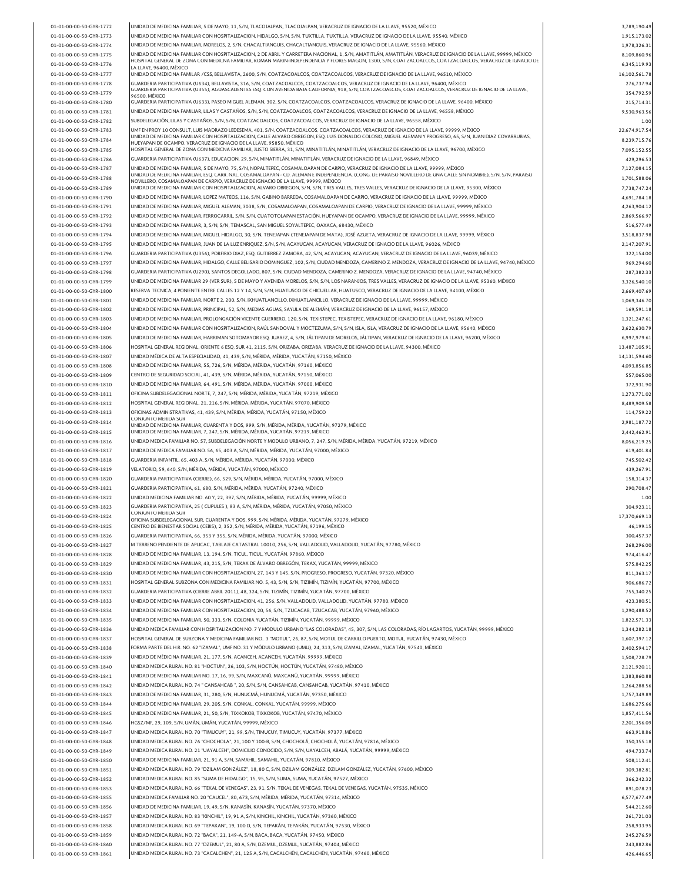| 01-01-00-00-50-GYR-1772 | UNIDAD DE MEDICINA FAMILIAR, 5 DE MAYO, 11, S/N, TLACOJALPAN, TLACOJALPAN, VERACRUZ DE IGNACIO DE LA LLAVE, 95520, MÉXICO                                                                                                                                                                            | 3,789,190.49  |
|-------------------------|------------------------------------------------------------------------------------------------------------------------------------------------------------------------------------------------------------------------------------------------------------------------------------------------------|---------------|
| 01-01-00-00-50-GYR-1773 | UNIDAD DE MEDICINA FAMILIAR CON HOSPITALIZACION, HIDALGO, S/N, S/N, TUXTILLA, TUXTILLA, VERACRUZ DE IGNACIO DE LA LLAVE, 95540, MÉXICO                                                                                                                                                               | 1,915,173.02  |
| 01-01-00-00-50-GYR-1774 | UNIDAD DE MEDICINA FAMILIAR, MORELOS, 2, S/N, CHACALTIANGUIS, CHACALTIANGUIS, VERACRUZ DE IGNACIO DE LA LLAVE, 95560, MÈXICO                                                                                                                                                                         | 1,978,326.31  |
| 01-01-00-00-50-GYR-1775 | JNIDAD DE MEDICINA FAMILIAR CON HOSPITALIZACION, 2 DE ABRIL Y CARRETERA NACIONAL, 1, S/N, AMATITLÁN, AMATITLÁN, VERACRUZ DE IGNACIO DE LA LLAVE, 99999, MÉXICO                                                                                                                                       | 8,109,860.96  |
|                         | HOSPITAL GENERAL DE ZONA CON MEDICNA FAMILIAR, ROMAN MARIN-INDEPENDENCIA Y FLORES MAGON, 1300, S/N, COATZACOALCOS, COATZACOALCOS, VERACRUZ DE IGNACIO DE                                                                                                                                             |               |
| 01-01-00-00-50-GYR-1776 | LA LLAVE. 96400. MĚXICO                                                                                                                                                                                                                                                                              | 6.345.119.93  |
| 01-01-00-00-50-GYR-1777 | JNIDAD DE MEDICINA FAMILAR /CSS, BELLAVISTA, 2600, S/N, COATZACOALCOS, COATZACOALCOS, VERACRUZ DE IGNACIO DE LA LLAVE, 96510, MÉXICO                                                                                                                                                                 | 16,102,561.78 |
| 01-01-00-00-50-GYR-1778 | GUARDERIA PARTICIPATIVA (U634), BELLAVISTA, 316, S/N, COATZACOALCOS, COATZACOALCOS, VERACRUZ DE IGNACIO DE LA LLAVE, 96400, MÊXICO                                                                                                                                                                   | 276,737.94    |
| 01-01-00-00-50-GYR-1779 | GUARDERIA PARTICIPATIVA (U355), AGUASCALIENTES ESO. CON AVENIDA BAJA CALIFORNIA, 918, S/N, COATZACOALCOS, COATZACOALCOS, VERACRUZ DE IGNACIO DE LA LLAVE,<br>96500 MÉXICO                                                                                                                            | 354,792.59    |
| 01-01-00-00-50-GYR-1780 | GUARDERIA PARTICIPATIVA (U633), PASEO MIGUEL ALEMAN, 302, S/N, COATZACOALCOS, COATZACOALCOS, VERACRUZ DE IGNACIO DE LA LLAVE, 96400, MÊXICO                                                                                                                                                          | 215,714.3     |
| 01-01-00-00-50-GYR-1781 | UNIDAD DE MEDICINA FAMILIAR, LILAS Y CASTAÑOS, S/N, S/N, COATZACOALCOS, COATZACOALCOS, VERACRUZ DE IGNACIO DE LA LLAVE, 96558, MÉXICO                                                                                                                                                                | 9,530,963.56  |
| 01-01-00-00-50-GYR-1782 | SUBDELEGACIÓN, LILAS Y CASTAÑOS, S/N, S/N, COATZACOALCOS, COATZACOALCOS, VERACRUZ DE IGNACIO DE LA LLAVE, 96558, MÉXICO                                                                                                                                                                              | 1.00          |
|                         |                                                                                                                                                                                                                                                                                                      |               |
| 01-01-00-00-50-GYR-1783 | UMF EN PROY 10 CONSULT, LUIS MADRAZO LEDESEMA, 401, S/N, COATZACOALCOS, COATZACOALCOS, VERACRUZ DE IGNACIO DE LA LLAVE, 99999, MÊXICO<br>UNIDAD DE MEDICINA FAMILIAR CON HOSPITALIZACION, CALLE ALVARO OBREGON, ESQ. LUIS DONALDO COLOSIO, MIGUEL ALEMAN Y PROGRESO, 65, S/N, JUAN DIAZ COVARRUBIAS, | 22,674,917.54 |
| 01-01-00-00-50-GYR-1784 | HUEYAPAN DE OCAMPO. VERACRUZ DE IGNACIO DE LA LLAVE. 95850. MÉXICO                                                                                                                                                                                                                                   | 8,239,715.76  |
| 01-01-00-00-50-GYR-1785 | HOSPITAL GENERAL DE ZONA CON MEDICNA FAMILIAR, JUSTO SIERRA, 31, S/N, MINATITLÁN, MINATITLÁN, VERACRUZ DE IGNACIO DE LA LLAVE, 96700, MÉXICO                                                                                                                                                         | 7,095,152.5   |
| 01-01-00-00-50-GYR-1786 | GUARDERIA PARTICIPATIVA (U637), EDUCACION, 29, S/N, MINATITLÁN, MINATITLÁN, VERACRUZ DE IGNACIO DE LA LLAVE, 96849, MÉXICO                                                                                                                                                                           | 429,296.53    |
| 01-01-00-00-50-GYR-1787 | UNIDAD DE MEDICINA FAMILIAR, 5 DE MAYO, 75, S/N, NOPALTEPEC, COSAMALOAPAN DE CARPIO, VERACRUZ DE IGNACIO DE LA LLAVE, 99999, MÊXICO                                                                                                                                                                  | 7,127,084.15  |
| 01-01-00-00-50-GYR-1788 | UNIDAD DE MEDICINA FAMILIAR, ESQ. CARR. NAL. COSAMALOAPAN - CD. ALEMAN E INDEPENDENCIA. (CONG. DE PARAISO NOVILLERO DE UNA CALLE SIN NOMBRE), S/N, S/N, PARAISO                                                                                                                                      | 1.701.588.06  |
| 01-01-00-00-50-GYR-1789 | NOVILLERO, COSAMALOAPAN DE CARPIO, VERACRUZ DE IGNACIO DE LA LLAVE, 99999, MÉXICO<br>JNIDAD DE MEDICINA FAMILIAR CON HOSPITALIZACION, ALVARO OBREGON, S/N, S/N, TRES VALLES, TRES VALLES, VERACRUZ DE IGNACIO DE LA LLAVE, 95300, MÉXICO                                                             | 7.738.747.24  |
| 01-01-00-00-50-GYR-1790 | UNIDAD DE MEDICINA FAMILIAR, LOPEZ MATEOS, 116, S/N, GABINO BARREDA, COSAMALOAPAN DE CARPIO, VERACRUZ DE IGNACIO DE LA LLAVE, 99999, MÈXICO                                                                                                                                                          | 4,691,784.18  |
|                         |                                                                                                                                                                                                                                                                                                      |               |
| 01-01-00-00-50-GYR-1791 | UNIDAD DE MEDICINA FAMILIAR, MIGUEL ALEMAN, 3038, S/N, COSAMALOAPAN, COSAMALOAPAN DE CARPIO, VERACRUZ DE IGNACIO DE LA LLAVE, 99999, MÉXICO                                                                                                                                                          | 4,263,904.12  |
| 01-01-00-00-50-GYR-1792 | UNIDAD DE MEDICINA FAMILIAR, FERROCARRIL, S/N, S/N, CUATOTOLAPAN ESTACIÓN, HUEYAPAN DE OCAMPO, VERACRUZ DE IGNACIO DE LA LLAVE, 99999, MÉXICO                                                                                                                                                        | 2,869,566.97  |
| 01-01-00-00-50-GYR-1793 | UNIDAD DE MEDICINA FAMILIAR, 3, S/N, S/N, TEMASCAL, SAN MIGUEL SOYALTEPEC, OAXACA, 68430, MÉXICO                                                                                                                                                                                                     | 516,577.49    |
| 01-01-00-00-50-GYR-1794 | JNIDAD DE MEDICINA FAMILIAR, MIGUEL HIDALGO, 30, S/N, TENEJAPAN (TENEJAPAN DE MATA), JOSÈ AZUETA, VERACRUZ DE IGNACIO DE LA LLAVE, 99999, MÈXICO                                                                                                                                                     | 3.518.837.98  |
| 01-01-00-00-50-GYR-1795 | UNIDAD DE MEDICINA FAMILIAR, JUAN DE LA LUZ ENRIQUEZ, S/N, S/N, ACAYUCAN, ACAYUCAN, VERACRUZ DE IGNACIO DE LA LLAVE, 96026, MÊXICO                                                                                                                                                                   | 2,147,207.9   |
| 01-01-00-00-50-GYR-1796 | GUARDERIA PARTICIPATIVA (U356), PORFIRIO DIAZ, ESQ. GUTIERREZ ZAMORA, 42, S/N, ACAYUCAN, ACAYUCAN, VERACRUZ DE IGNACIO DE LA LLAVE, 96039, MÉXICO                                                                                                                                                    | 322,154.00    |
| 01-01-00-00-50-GYR-1797 | UNIDAD DE MEDICINA FAMILIAR, HIDALGO, CALLE BELISARIO DOMINGUEZ, 102, S/N, CIUDAD MENDOZA, CAMERINO Z. MENDOZA, VERACRUZ DE IGNACIO DE LA LLAVE, 94740, MÉXICO                                                                                                                                       | 969,294.60    |
| 01-01-00-00-50-GYR-1798 | GUARDERIA PARTICIPATIVA (U290), SANTOS DEGOLLADO, 807, S/N, CIUDAD MENDOZA, CAMERINO Z. MENDOZA, VERACRUZ DE IGNACIO DE LA LLAVE, 94740, MÉXICO                                                                                                                                                      | 287,382.33    |
| 01-01-00-00-50-GYR-1799 | JNIDAD DE MEDICINA FAMILIAR 29 (VER SUR), 5 DE MAYO Y AVENIDA MORELOS, S/N, S/N, LOS NARANJOS, TRES VALLES, VERACRUZ DE IGNACIO DE LA LLAVE, 95360, MÉXICO                                                                                                                                           | 3.326.540.10  |
|                         |                                                                                                                                                                                                                                                                                                      |               |
| 01-01-00-00-50-GYR-1800 | RESERVA TECNICA, 4 PONIENTE ENTRE CALLES 12 Y 14, S/N, S/N, HUATUSCO DE CHICUELLAR, HUATUSCO, VERACRUZ DE IGNACIO DE LA LLAVE, 94100, MÈXICO                                                                                                                                                         | 2,669,407.69  |
| 01-01-00-00-50-GYR-1801 | UNIDAD DE MEDICINA FAMILIAR, NORTE 2, 200, S/N, IXHUATLANCILLO, IXHUATLANCILLO, VERACRUZ DE IGNACIO DE LA LLAVE, 99999, MÉXICO                                                                                                                                                                       | 1,069,346.70  |
| 01-01-00-00-50-GYR-1802 | UNIDAD DE MEDICINA FAMILIAR, PRINCIPAL, 52, S/N, MEDIAS AGUAS, SAYULA DE ALEMÂN, VERACRUZ DE IGNACIO DE LA LLAVE, 96157, MÊXICO                                                                                                                                                                      | 169,591.18    |
| 01-01-00-00-50-GYR-1803 | UNIDAD DE MEDICINA FAMILIAR, PROLONGACIÓN VICENTE GUERRERO, 120, S/N, TEXISTEPEC, TEXISTEPEC, VERACRUZ DE IGNACIO DE LA LLAVE, 96180, MÉXICO                                                                                                                                                         | 1,321,247.61  |
| 01-01-00-00-50-GYR-1804 | JNIDAD DE MEDICINA FAMILIAR CON HOSPITALIZACION, RAÚL SANDOVAL Y MOCTEZUMA, S/N, S/N, ISLA, ISLA, VERACRUZ DE IGNACIO DE LA LLAVE, 95640, MÉXICO                                                                                                                                                     | 2.622.630.79  |
| 01-01-00-00-50-GYR-1805 | UNIDAD DE MEDICINA FAMILIAR, HARRIMAN SOTOMAYOR ESQ. JUAREZ, 4, S/N, JÁLTIPAN DE MORELOS, JÁLTIPAN, VERACRUZ DE IGNACIO DE LA LLAVE, 96200, MÉXICO                                                                                                                                                   | 6,997,979.6   |
| 01-01-00-00-50-GYR-1806 | HOSPITAL GENERAL REGIONAL, ORIENTE 6 ESQ. SUR 41, 2115, S/N, ORIZABA, ORIZABA, VERACRUZ DE IGNACIO DE LA LLAVE, 94300, MÉXICO                                                                                                                                                                        | 13,487,105.91 |
|                         |                                                                                                                                                                                                                                                                                                      |               |
| 01-01-00-00-50-GYR-1807 | UNIDAD MÉDICA DE ALTA ESPECIALIDAD, 41, 439, S/N, MÉRIDA, MÉRIDA, YUCATÁN, 97150, MÉXICO                                                                                                                                                                                                             | 14,131,594.60 |
| 01-01-00-00-50-GYR-1808 | UNIDAD DE MEDICINA FAMILIAR, 55, 726, S/N, MÉRIDA, MÉRIDA, YUCATÁN, 97160, MÉXICO                                                                                                                                                                                                                    | 4,093,856.85  |
| 01-01-00-00-50-GYR-1809 | CENTRO DE SEGURIDAD SOCIAL, 41, 439, S/N, MÉRIDA, MÉRIDA, YUCATÁN, 97150, MÉXICO                                                                                                                                                                                                                     | 557,065.00    |
| 01-01-00-00-50-GYR-1810 | UNIDAD DE MEDICINA FAMILIAR, 64, 491, S/N, MÊRIDA, MÊRIDA, YUCATÂN, 97000, MÊXICO                                                                                                                                                                                                                    | 372,931.90    |
| 01-01-00-00-50-GYR-1811 | OFICINA SUBDELEGACIONAL NORTE, 7, 247, S/N, MÉRIDA, MÉRIDA, YUCATÁN, 97219, MÉXICO                                                                                                                                                                                                                   | 1.273.771.02  |
| 01-01-00-00-50-GYR-1812 | HOSPITAL GENERAL REGIONAL, 21, 216, S/N, MÉRIDA, MÉRIDA, YUCATÁN, 97070, MÉXICO                                                                                                                                                                                                                      | 8,489,909.58  |
| 01-01-00-00-50-GYR-1813 | OFICINAS ADMINISTRATIVAS, 41, 439, S/N, MÉRIDA, MÉRIDA, YUCATÁN, 97150, MÉXICO                                                                                                                                                                                                                       | 114,759.22    |
|                         | CONJUNTO MERIDA SUR                                                                                                                                                                                                                                                                                  |               |
| 01-01-00-00-50-GYR-1814 | UNIDAD DE MEDICINA FAMILIAR, CUARENTA Y DOS, 999, S/N, MÉRIDA, MÉRIDA, YUCATÁN, 97279, MÉXICO                                                                                                                                                                                                        | 2,981,187.72  |
| 01-01-00-00-50-GYR-1815 | UNIDAD DE MEDICINA FAMILIAR, 7, 247, S/N, MÉRIDA, MÉRIDA, YUCATÁN, 97219, MÉXICO                                                                                                                                                                                                                     | 2.442.462.9   |
| 01-01-00-00-50-GYR-1816 | UNIDAD MEDICA FAMILIAR NO. 57, SUBDELEGACIÓN NORTE Y MODULO URBANO, 7, 247, S/N, MÉRIDA, MÉRIDA, YUCATÁN, 97219, MÉXICO                                                                                                                                                                              | 8,056,219.25  |
| 01-01-00-00-50-GYR-1817 | UNIDAD DE MEDICA FAMILIAR NO. 56, 65, 403 A, S/N, MÉRIDA, MÉRIDA, YUCATÁN, 97000, MÉXICO                                                                                                                                                                                                             | 619,401.8     |
| 01-01-00-00-50-GYR-1818 | GUARDERIA INFANTIL, 65, 403 A, S/N, MÉRIDA, MÉRIDA, YUCATÁN, 97000, MÉXICO                                                                                                                                                                                                                           | 745,502.42    |
| 01-01-00-00-50-GYR-1819 | VELATORIO, 59, 640, S/N, MÉRIDA, MÉRIDA, YUCATÁN, 97000, MÉXICO                                                                                                                                                                                                                                      | 439,267.9     |
| 01-01-00-00-50-GYR-1820 | GUARDERIA PARTICIPATIVA (CIERRE), 66, 529, S/N, MÉRIDA, MÉRIDA, YUCATÁN, 97000, MÉXICO                                                                                                                                                                                                               | 158.314.3     |
|                         |                                                                                                                                                                                                                                                                                                      |               |
| 01-01-00-00-50-GYR-1821 | GUARDERIA PARTICIPATIVA, 61, 680, S/N, MĒRIDA, MĒRIDA, YUCATĀN, 97240, MĒXICO                                                                                                                                                                                                                        | 290,708.47    |
| 01-01-00-00-50-GYR-1822 | UNIDAD MEDICINA FAMILIAR NO. 60 Y, 22, 397, S/N, MÈRIDA, MÈRIDA, YUCATÀN, 99999, MÈXICO                                                                                                                                                                                                              | 1.00          |
| 01-01-00-00-50-GYR-1823 | GUARDERIA PARTICIPATIVA, 25 ( CUPULES ), 83 A, S/N, MÉRIDA, MÉRIDA, YUCATÁN, 97050, MÉXICO                                                                                                                                                                                                           | 304.923.11    |
| 01-01-00-00-50-GYR-1824 | CONJUNTO MERIDA SUR<br>OFICINA SUBDELEGACIONAL SUR, CUARENTA Y DOS, 999, S/N, MÉRIDA, MÉRIDA, YUCATÁN, 97279, MÉXICO                                                                                                                                                                                 | 17,370,669.13 |
| 01-01-00-00-50-GYR-1825 | CENTRO DE BIENESTAR SOCIAL (CEBIS), 2, 352, S/N, MÉRIDA, MÉRIDA, YUCATÁN, 97196, MÉXICO                                                                                                                                                                                                              | 46,199.15     |
| 01-01-00-00-50-GYR-1826 | GUARDERIA PARTICIPATIVA, 66, 353 Y 355, S/N, MÉRIDA, MÉRIDA, YUCATÁN, 97000, MÉXICO                                                                                                                                                                                                                  | 300,457.37    |
| 01-01-00-00-50-GYR-1827 | M TERRENO PENDIENTE DE APLICAC, TABLAJE CATASTRAL 10010, 256, S/N, VALLADOLID, VALLADOLID, YUCATÁN, 97780, MÉXICO                                                                                                                                                                                    | 268,296.00    |
|                         |                                                                                                                                                                                                                                                                                                      |               |
| 01-01-00-00-50-GYR-1828 | UNIDAD DE MEDICINA FAMILIAR, 13, 194, S/N, TICUL, TICUL, YUCATÁN, 97860, MÉXICO                                                                                                                                                                                                                      | 974,416.47    |
| 01-01-00-00-50-GYR-1829 | UNIDAD DE MEDICINA FAMILIAR, 43, 215, S/N, TEKAX DE ÁLVARO OBREGÓN, TEKAX, YUCATÁN, 99999, MÉXICO                                                                                                                                                                                                    | 575,842.25    |
| 01-01-00-00-50-GYR-1830 | UNIDAD DE MEDICINA FAMILIAR CON HOSPITALIZACION, 27, 143 Y 145, S/N, PROGRESO, PROGRESO, YUCATÁN, 97320, MÉXICO                                                                                                                                                                                      | 811,363.17    |
| 01-01-00-00-50-GYR-1831 | HOSPITAL GENERAL SUBZONA CON MEDICINA FAMILIAR NO. 5, 43, S/N, S/N, TIZIMÍN, TIZIMÍN, YUCATÁN, 97700, MÉXICO                                                                                                                                                                                         | 906,686.72    |
| 01-01-00-00-50-GYR-1832 | GUARDERIA PARTICIPATIVA (CIERRE ABRIL 2011), 48, 324, S/N, TIZIMÍN, TIZIMÍN, YUCATÁN, 97700, MÉXICO                                                                                                                                                                                                  | 755,340.25    |
| 01-01-00-00-50-GYR-1833 | UNIDAD DE MEDICINA FAMILIAR CON HOSPITALIZACION, 41, 256, S/N, VALLADOLID, VALLADOLID, YUCATÁN, 97780, MÉXICO                                                                                                                                                                                        | 423,380.51    |
| 01-01-00-00-50-GYR-1834 | UNIDAD DE MEDICINA FAMILIAR CON HOSPITALIZACION, 20, 56, S/N, TZUCACAB, TZUCACAB, YUCATÁN, 97960, MÉXICO                                                                                                                                                                                             | 1,290,488.52  |
| 01-01-00-00-50-GYR-1835 | UNIDAD DE MEDICINA FAMILIAR, 50, 333, S/N, COLONIA YUCATÁN, TIZIMÍN, YUCATÁN, 99999, MÉXICO                                                                                                                                                                                                          | 1,822,571.33  |
|                         |                                                                                                                                                                                                                                                                                                      |               |
| 01-01-00-00-50-GYR-1836 | UNIDAD MEDICA FAMILIAR CON HOSPITALIZACION NO. 7 Y MODULO URBANO "LAS COLORADAS", 45, 307, S/N, LAS COLORADAS, RÍO LAGARTOS, YUCATÁN, 99999, MÉXICO                                                                                                                                                  | 1,344,282.18  |
| 01-01-00-00-50-GYR-1837 | HOSPITAL GENERAL DE SUBZONA Y MEDICINA FAMILIAR NO 3 "MOTUL", 26, 87, S/N, MOTUL DE CARRILLO PUERTO, MOTUL, YUCATÁN, 97430, MÉXICO                                                                                                                                                                   | 1,607,397.12  |
| 01-01-00-00-50-GYR-1838 | FORMA PARTE DEL H.R. NO. 62 "IZAMAL", UMF NO. 31 Y MÓDULO URBANO (UMU), 24, 313, S/N, IZAMAL, IZAMAL, YUCATÁN, 97540, MÉXICO                                                                                                                                                                         | 2,402,594.17  |
| 01-01-00-00-50-GYR-1839 | UNIDAD DE MÉDICINA FAMILIAR, 21, 177, S/N, ACANCEH, ACANCEH, YUCATÁN, 99999, MÉXICO                                                                                                                                                                                                                  | 1,508,728.79  |
| 01-01-00-00-50-GYR-1840 | UNIDAD MEDICA RURAL NO. 81 "HOCTUN", 26, 103, S/N, HOCTÚN, HOCTÚN, YUCATÁN, 97480, MÉXICO                                                                                                                                                                                                            | 2,121,920.11  |
| 01-01-00-00-50-GYR-1841 | UNIDAD DE MEDICINA FAMILIAR NO. 17, 16, 99, S/N, MAXCANÚ, MAXCANÚ, YUCATÁN, 99999, MÉXICO                                                                                                                                                                                                            | 1,383,860.88  |
| 01-01-00-00-50-GYR-1842 | UNIDAD MEDICA RURAL NO. 74 " CANSAHCAB ", 20, S/N, S/N, CANSAHCAB, CANSAHCAB, YUCATAN, 97410, MEXICO                                                                                                                                                                                                 | 1,264,288.56  |
| 01-01-00-00-50-GYR-1843 | UNIDAD DE MEDICINA FAMILIAR, 31, 280, S/N, HUNUCMÁ, HUNUCMÁ, YUCATÁN, 97350, MÉXICO                                                                                                                                                                                                                  | 1,757,349.89  |
| 01-01-00-00-50-GYR-1844 | UNIDAD DE MEDICINA FAMILIAR, 29, 205, S/N, CONKAL, CONKAL, YUCATÁN, 99999, MÉXICO                                                                                                                                                                                                                    |               |
|                         |                                                                                                                                                                                                                                                                                                      | 1,686,275.66  |
| 01-01-00-00-50-GYR-1845 | UNIDAD DE MEDICINA FAMILIAR, 21, 50, S/N, TIXKOKOB, TIXKOKOB, YUCATÁN, 97470, MÉXICO                                                                                                                                                                                                                 | 1,857,411.56  |
| 01-01-00-00-50-GYR-1846 | HGSZ/MF, 29, 109, S/N, UMÁN, UMÁN, YUCATÁN, 99999, MÉXICO                                                                                                                                                                                                                                            | 2,201,356.09  |
| 01-01-00-00-50-GYR-1847 | UNIDAD MEDICA RURAL NO. 70 "TIMUCUY", 21, 99, S/N, TIMUCUY, TIMUCUY, YUCATÁN, 97377, MÉXICO                                                                                                                                                                                                          | 663,918.86    |
| 01-01-00-00-50-GYR-1848 | UNIDAD MEDICA RURAL NO. 76 "CHOCHOLA", 21, 100 Y 100-B, S/N, CHOCHOLÁ, CHOCHOLÁ, YUCATÁN, 97816, MÉXICO                                                                                                                                                                                              | 350,355.18    |
| 01-01-00-00-50-GYR-1849 | UNIDAD MEDICA RURAL NO. 21 "UAYALCEH", DOMICILIO CONOCIDO, S/N, S/N, UAYALCEH, ABALÁ, YUCATÁN, 99999, MÉXICO                                                                                                                                                                                         | 494,733.74    |
| 01-01-00-00-50-GYR-1850 | UNIDAD DE MEDICINA FAMILIAR, 21, 91 A, S/N, SAMAHIL, SAMAHIL, YUCATÁN, 97810, MÉXICO                                                                                                                                                                                                                 | 508,112.41    |
|                         | UNIDAD MEDICA RURAL NO. 79 "DZILAM GONZÁLEZ", 18, 80 C, S/N, DZILAM GONZÁLEZ, DZILAM GONZÁLEZ, YUCATÁN, 97600, MÉXICO                                                                                                                                                                                |               |
| 01-01-00-00-50-GYR-1851 |                                                                                                                                                                                                                                                                                                      | 309,382.81    |
| 01-01-00-00-50-GYR-1852 | UNIDAD MEDICA RURAL NO. 85 "SUMA DE HIDALGO", 15, 95, S/N, SUMA, SUMA, YUCATÂN, 97527, MÊXICO                                                                                                                                                                                                        | 366,242.32    |
| 01-01-00-00-50-GYR-1853 | UNIDAD MEDICA RURAL NO. 66 "TEKAL DE VENEGAS", 23, 91, S/N, TEKAL DE VENEGAS, TEKAL DE VENEGAS, YUCATÁN, 97535, MÉXICO                                                                                                                                                                               | 891,078.23    |
| 01-01-00-00-50-GYR-1855 | UNIDAD MEDICA FAMILIAR NO. 20 "CAUCEL", 80, 673, S/N, MÉRIDA, MÉRIDA, YUCATÁN, 97314, MÉXICO                                                                                                                                                                                                         | 6,577,677.49  |
| 01-01-00-00-50-GYR-1856 | UNIDAD DE MEDICINA FAMILIAR, 19, 49, S/N, KANASÍN, KANASÍN, YUCATÁN, 97370, MÉXICO                                                                                                                                                                                                                   | 544,212.60    |
| 01-01-00-00-50-GYR-1857 | UNIDAD MEDICA RURAL NO. 83 "KINCHIL", 19, 91 A, S/N, KINCHIL, KINCHIL, YUCATÁN, 97360, MÉXICO                                                                                                                                                                                                        | 261,721.03    |
| 01-01-00-00-50-GYR-1858 | UNIDAD MEDICA RURAL NO. 69 "TEPAKAN", 19, 100 D, S/N, TEPAKÁN, TEPAKÁN, YUCATÁN, 97530, MÉXICO                                                                                                                                                                                                       | 258,933.95    |
| 01-01-00-00-50-GYR-1859 | UNIDAD MEDICA RURAL NO. 72 "BACA", 21, 149-A, S/N, BACA, BACA, YUCATÁN, 97450, MÉXICO                                                                                                                                                                                                                | 245,276.59    |
|                         |                                                                                                                                                                                                                                                                                                      |               |
| 01-01-00-00-50-GYR-1860 | UNIDAD MEDICA RURAL NO. 77 "DZEMUL", 21, 80 A, S/N, DZEMUL, DZEMUL, YUCATÁN, 97404, MÉXICO                                                                                                                                                                                                           | 243,882.86    |
| 01-01-00-00-50-GYR-1861 | UNIDAD MEDICA RURAL NO. 73 "CACALCHEN", 21, 125 A, S/N, CACALCHÉN, CACALCHÉN, YUCATÁN, 97460, MÉXICO                                                                                                                                                                                                 | 426,446.65    |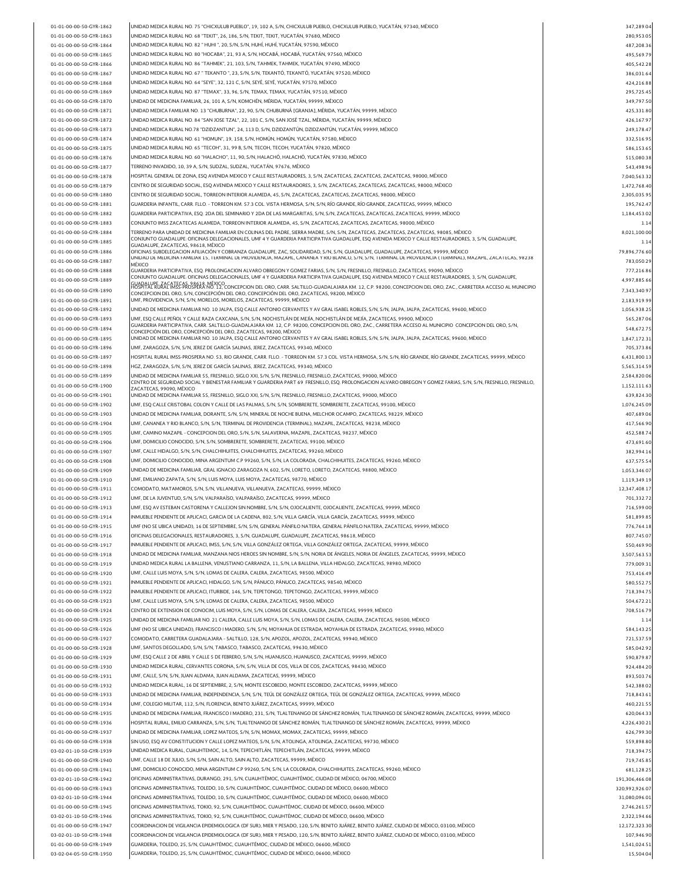| 01-01-00-00-50-GYR-1862                            | UNIDAD MEDICA RURAL NO. 75 "CHICXULUB PUEBLO", 19, 102 A, S/N, CHICXULUB PUEBLO, CHICXULUB PUEBLO, YUCATÁN, 97340, MÉXICO                                                                                                                                                         | 347,289.04               |
|----------------------------------------------------|-----------------------------------------------------------------------------------------------------------------------------------------------------------------------------------------------------------------------------------------------------------------------------------|--------------------------|
| 01-01-00-00-50-GYR-1863                            | UNIDAD MEDICA RURAL NO. 68 "TEKIT", 26, 186, S/N, TEKIT, TEKIT, YUCATÁN, 97680, MÉXICO                                                                                                                                                                                            | 280.953.05               |
| 01-01-00-00-50-GYR-1864                            | UNIDAD MEDICA RURAL NO. 82 "HUHI ", 20, S/N, S/N, HUHĪ, HUHĪ, YUCATĀN, 97590, MĒXICO                                                                                                                                                                                              | 487,208.36               |
| 01-01-00-00-50-GYR-1865                            | UNIDAD MEDICA RURAL NO. 80 "HOCABA", 21, 93 A, S/N, HOCABÁ, HOCABÁ, YUCATÁN, 97560, MÉXICO                                                                                                                                                                                        | 495,569.79               |
| 01-01-00-00-50-GYR-1866                            | UNIDAD MEDICA RURAL NO. 86 "TAHMEK", 21, 103, S/N, TAHMEK, TAHMEK, YUCATĂN, 97490, MÊXICO                                                                                                                                                                                         | 405,542.28               |
| 01-01-00-00-50-GYR-1867                            | UNIDAD MEDICA RURAL NO. 67 " TEKANTO ", 23, S/N, S/N, TEKANTÓ, TEKANTÓ, YUCATÁN, 97520, MÉXICO                                                                                                                                                                                    | 386,031.64               |
| 01-01-00-00-50-GYR-1868                            | UNIDAD MEDICA RURAL NO. 64 "SEYE", 32, 121 C, S/N, SEYÉ, SEYÉ, YUCATÁN, 97570, MÉXICO                                                                                                                                                                                             | 424,216.88               |
| 01-01-00-00-50-GYR-1869                            | UNIDAD MEDICA RURAL NO. 87 "TEMAX", 33, 96, S/N, TEMAX, TEMAX, YUCATÂN, 97510, MÊXICO                                                                                                                                                                                             | 295,725.45               |
| 01-01-00-00-50-GYR-1870                            | UNIDAD DE MEDICINA FAMILIAR, 26, 101 A, S/N, KOMCHÉN, MÉRIDA, YUCATÁN, 99999, MÉXICO                                                                                                                                                                                              | 349,797.50               |
| 01-01-00-00-50-GYR-1871                            | UNIDAD MEDICA FAMILIAR NO. 13 "CHUBURNA", 22, 90, S/N, CHUBURNÁ [GRANJA], MÉRIDA, YUCATÁN, 99999, MÉXICO                                                                                                                                                                          | 425,331.80               |
| 01-01-00-00-50-GYR-1872                            | UNIDAD MEDICA RURAL NO. 84 "SAN JOSE TZAL", 22, 101 C, S/N, SAN JOSÉ TZAL, MÉRIDA, YUCATÁN, 99999, MÉXICO                                                                                                                                                                         | 426,167.97               |
| 01-01-00-00-50-GYR-1873                            | UNIDAD MEDICA RURAL NO.78 "DZIDZANTUN", 24, 113 D, S/N, DZIDZANTÚN, DZIDZANTÚN, YUCATÁN, 99999, MÉXICO                                                                                                                                                                            | 249.178.47               |
| 01-01-00-00-50-GYR-1874                            | UNIDAD MEDICA RURAL NO. 61 "HOMUN", 19, 158, S/N, HOMÚN, HOMÚN, YUCATÁN, 97580, MÉXICO                                                                                                                                                                                            |                          |
|                                                    | UNIDAD MEDICA RURAL NO. 65 "TECOH", 31, 99 B, S/N, TECOH, TECOH, YUCATÁN, 97820, MÉXICO                                                                                                                                                                                           | 332,516.95               |
| 01-01-00-00-50-GYR-1875                            |                                                                                                                                                                                                                                                                                   | 586,153.65               |
| 01-01-00-00-50-GYR-1876                            | UNIDAD MEDICA RURAL NO. 60 "HALACHO", 11, 90, S/N, HALACHŎ, HALACHŎ, YUCATĀN, 97830, MĒXICO                                                                                                                                                                                       | 515,080.38               |
| 01-01-00-00-50-GYR-1877                            | TERRENO INVADIDO, 10, 39 A, S/N, SUDZAL, SUDZAL, YUCATĂN, 97676, MÊXICO                                                                                                                                                                                                           | 543,498.96               |
| 01-01-00-00-50-GYR-1878                            | HOSPITAL GENERAL DE ZONA, ESQ AVENIDA MEXICO Y CALLE RESTAURADORES, 3, S/N, ZACATECAS, ZACATECAS, ZACATECAS, 98000, MÉXICO                                                                                                                                                        | 7,040,563.32             |
| 01-01-00-00-50-GYR-1879                            | CENTRO DE SEGURIDAD SOCIAL, ESQ AVENIDA MEXICO Y CALLE RESTAURADORES, 3, S/N, ZACATECAS, ZACATECAS, ZACATECAS, 98000, MÊXICO                                                                                                                                                      | 1,472,768.40             |
| 01-01-00-00-50-GYR-1880                            | CENTRO DE SEGURIDAD SOCIAL, TORREON INTERIOR ALAMEDA, 45, S/N, ZACATECAS, ZACATECAS, ZACATECAS, 98000, MÉXICO                                                                                                                                                                     | 2,305,035.95             |
| 01-01-00-00-50-GYR-1881                            | GUARDERIA INFANTIL, CARR. FLLO. - TORREON KM. 57.3 COL. VISTA HERMOSA, S/N, S/N, RÌO GRANDE, RÌO GRANDE, ZACATECAS, 99999, MÈXICO                                                                                                                                                 | 195,762.47               |
| 01-01-00-00-50-GYR-1882                            | GUARDERIA PARTICIPATIVA, ESQ. 2DA DEL SEMINARIO Y 2DA DE LAS MARGARITAS, S/N, S/N, ZACATECAS, ZACATECAS, ZACATECAS, 99999, MÉXICO                                                                                                                                                 | 1,184,453.02             |
| 01-01-00-00-50-GYR-1883                            | CONJUNTO IMSS ZACATECAS ALAMEDA, TORREON INTERIOR ALAMEDA, 45, S/N, ZACATECAS, ZACATECAS, ZACATECAS, 98000, MÉXICO                                                                                                                                                                | 1.14                     |
| 01-01-00-00-50-GYR-1884                            | TERRENO PARA UNIDAD DE MEDICINA FAMILIAR EN COLINAS DEL PADRE, SIERRA MADRE, S/N, S/N, ZACATECAS, ZACATECAS, ZACATECAS, 98085, MÉXICO                                                                                                                                             | 8,021,100.00             |
| 01-01-00-00-50-GYR-1885                            | CONJUNTO GUADALUPE: OFICINAS DELEGACIONALES, UMF 4 Y GUARDERIA PARTICIPATIVA GUADALUPE, ESQ AVENIDA MEXICO Y CALLE RESTAURADORES, 3, S/N, GUADALUPE,<br>GUADALUPE. ZACATECAS. 98618. MĚXICO                                                                                       | 1.14                     |
| 01-01-00-00-50-GYR-1886                            | OFICINAS SUBDELEGACION AFILIACIÓN Y COBRANZA GUADALUPE, ZAC, SOLIDARIDAD, S/N, S/N, GUADALUPE, GUADALUPE, ZACATECAS, 99999, MÉXICO                                                                                                                                                | 79,896,776.60            |
| 01-01-00-00-50-GYR-1887                            | UNIDAD DE MEDICINA FAMILIAR 15, I ERMINAL DE PROVIDENCIA, MAZAPIL, CANANEA Y RIO BLANCO, S/N, S/N, TERMINAL DE PROVIDENCIA (TERMINAL), MAZAPIL, ZACATECAS, 98238<br>MÉXICO                                                                                                        | 783,050.29               |
| 01-01-00-00-50-GYR-1888                            | GUARDERIA PARTICIPATIVA, ESQ. PROLONGACION ALVARO OBREGON Y GOMEZ FARIAS, S/N, S/N, FRESNILLO, FRESNILLO, ZACATECAS, 99090, MÉXICO                                                                                                                                                | 777,216.86               |
| 01-01-00-00-50-GYR-1889                            | CONJUNTO GUADALUPE: OFICINAS DELEGACIONALES, UMF 4 Y GUARDERIA PARTICIPATIVA GUADALUPE, ESQ AVENIDA MEXICO Y CALLE RESTAURADORES, 3, S/N, GUADALUPE,                                                                                                                              | 4,997,885.66             |
| 01-01-00-00-50-GYR-1890                            | RBSBAXLYRJKACATSEARJSBEAR NÖNGO ongepcion del oro, carr. saltillo-guadalajara km. 12, c.p. 98200, concepcion del oro, zac., carretera acceso al municipio                                                                                                                         | 7,343,340.97             |
| 01-01-00-00-50-GYR-1891                            | CONCEPCION DEL ORO. S/N. CONCEPCIÓN DEL ORO. CONCEPCIÓN DEL ORO. ZACATECAS. 98200. MÉXICO<br>UMF, PROVIDENCIA, S/N, S/N, MORELOS, MORELOS, ZACATECAS, 99999, MÉXICO                                                                                                               | 2.183.919.99             |
| 01-01-00-00-50-GYR-1892                            | UNIDAD DE MEDICINA FAMILIAR NO. 10 JALPA, ESQ CALLE ANTONIO CERVANTES Y AV GRAL ISABEL ROBLES, S/N, S/N, JALPA, JALPA, ZACATECAS, 99600, MÉXICO                                                                                                                                   | 1,056,938.25             |
| 01-01-00-00-50-GYR-1893                            | UMF, ESQ CALLE PEÑOL Y CALLE RAZA CAXCANA, S/N, S/N, NOCHISTLÁN DE MEJÍA, NOCHISTLÁN DE MEJÍA, ZACATECAS, 99900, MÉXICO                                                                                                                                                           | 565,287.06               |
|                                                    | GUARDERIA PARTICIPATIVA, CARR. SALTILLO-GUADALAJARA KM. 12, C.P. 98200, CONCEPCION DEL ORO, ZAC., CARRETERA ACCESO AL MUNICIPIO CONCEPCION DEL ORO, S/N,                                                                                                                          |                          |
| 01-01-00-00-50-GYR-1894                            | CONCEPCIÓN DEL ORO, CONCEPCIÓN DEL ORO, ZACATECAS, 98200, MÉXICO                                                                                                                                                                                                                  | 548,672.75               |
| 01-01-00-00-50-GYR-1895                            | UNIDAD DE MEDICINA FAMILIAR NO. 10 JALPA, ESQ CALLE ANTONIO CERVANTES Y AV GRAL ISABEL ROBLES, S/N, S/N, JALPA, JALPA, ZACATECAS, 99600, MÉXICO                                                                                                                                   | 1,847,172.31             |
| 01-01-00-00-50-GYR-1896                            | UMF, ZARAGOZA, S/N, S/N, JEREZ DE GARCÍA SALINAS, JEREZ, ZACATECAS, 99340, MĚXICO                                                                                                                                                                                                 | 705,373.86               |
| 01-01-00-00-50-GYR-1897                            | HOSPITAL RURAL IMSS-PROSPERA NO. 53, RIO GRANDE, CARR. FLLO. - TORREON KM. 57.3 COL. VISTA HERMOSA, S/N, S/N, RÍO GRANDE, RÍO GRANDE, ZACATECAS, 99999, MĚXICO                                                                                                                    | 6,431,800.13             |
| 01-01-00-00-50-GYR-1898                            | HGZ, ZARAGOZA, S/N, S/N, JEREZ DE GARCÍA SALINAS, JEREZ, ZACATECAS, 99340, MÉXICO                                                                                                                                                                                                 | 5,565,314.59             |
| 01-01-00-00-50-GYR-1899                            | UNIDAD DE MEDICINA FAMILIAR 55, FRESNILLO, SIGLO XXI, S/N, S/N, FRESNILLO, FRESNILLO, ZACATECAS, 99000, MÉXICO<br>CENTRO DE SEGURIDAD SOCIAL Y BIENESTAR FAMILIAR Y GUARDERIA PART 69 FRESNILLO, ESQ. PROLONGACION ALVARO OBREGON Y GOMEZ FARIAS, S/N, S/N, FRESNILLO, FRESNILLO, | 2,584,820.06             |
| 01-01-00-00-50-GYR-1900                            | ZACATECAS, 99090, MĚXICO                                                                                                                                                                                                                                                          | 1,152,111.63             |
| 01-01-00-00-50-GYR-1901                            | UNIDAD DE MEDICINA FAMILIAR 55, FRESNILLO, SIGLO XXI, S/N, S/N, FRESNILLO, FRESNILLO, ZACATECAS, 99000, MÉXICO                                                                                                                                                                    | 639.824.30               |
| 01-01-00-00-50-GYR-1902                            | UMF, ESQ CALLE CRISTOBAL COLON Y CALLE DE LAS PALMAS, S/N, S/N, SOMBRERETE, SOMBRERETE, ZACATECAS, 99100, MÉXICO                                                                                                                                                                  | 1,076,245.09             |
| 01-01-00-00-50-GYR-1903                            | UNIDAD DE MEDICINA FAMILIAR, DORANTE, S/N, S/N, MINERAL DE NOCHE BUENA, MELCHOR OCAMPO, ZACATECAS, 98229, MÉXICO                                                                                                                                                                  | 407,689.06               |
| 01-01-00-00-50-GYR-1904                            | UMF, CANANEA Y RIO BLANCO, S/N, S/N, TERMINAL DE PROVIDENCIA (TERMINAL), MAZAPIL, ZACATECAS, 98238, MÉXICO                                                                                                                                                                        | 417,566.90               |
| 01-01-00-00-50-GYR-1905                            | UMF, CAMINO MAZAPIL - CONCEPCION DEL ORO, S/N, S/N, SALAVERNA, MAZAPIL, ZACATECAS, 98237, MÉXICO                                                                                                                                                                                  | 452,588.74               |
| 01-01-00-00-50-GYR-1906                            | UMF, DOMICILIO CONOCIDO, S/N, S/N, SOMBRERETE, SOMBRERETE, ZACATECAS, 99100, MÉXICO                                                                                                                                                                                               | 473,691.60               |
| 01-01-00-00-50-GYR-1907                            | UMF, CALLE HIDALGO, S/N, S/N, CHALCHIHUITES, CHALCHIHUITES, ZACATECAS, 99260, MÉXICO                                                                                                                                                                                              | 382,994.16               |
| 01-01-00-00-50-GYR-1908                            | UMF, DOMICILIO CONOCIDO, MINA ARGENTUM C.P 99260, S/N, S/N, LA COLORADA, CHALCHIHUITES, ZACATECAS, 99260, MÉXICO                                                                                                                                                                  | 637,575.54               |
| 01-01-00-00-50-GYR-1909                            | UNIDAD DE MEDICINA FAMILIAR, GRAL IGNACIO ZARAGOZA N, 602, S/N, LORETO, LORETO, ZACATECAS, 98800, MÉXICO                                                                                                                                                                          | 1,053,346.07             |
| 01-01-00-00-50-GYR-1910                            | UMF, EMILIANO ZAPATA, S/N, S/N, LUIS MOYA, LUIS MOYA, ZACATECAS, 98770, MÉXICO                                                                                                                                                                                                    | 1,119,349.19             |
| 01-01-00-00-50-GYR-1911                            | COMODATO, MATAMOROS, S/N, S/N, VILLANUEVA, VILLANUEVA, ZACATECAS, 99999, MÉXICO                                                                                                                                                                                                   | 12,347,408.17            |
| 01-01-00-00-50-GYR-1912                            | UMF, DE LA JUVENTUD, S/N, S/N, VALPARAÍSO, VALPARAÍSO, ZACATECAS, 99999, MÉXICO                                                                                                                                                                                                   | 701,332.72               |
| 01-01-00-00-50-GYR-1913                            | UMF, ESQ AV ESTEBAN CASTORENA Y CALLEJON SIN NOMBRE, S/N, S/N, OJOCALIENTE, OJOCALIENTE, ZACATECAS, 99999, MÉXICO                                                                                                                                                                 | 716,599.00               |
| 01-01-00-00-50-GYR-1914                            | INMUEBLE PENDIENTE DE APLICACI, GARCIA DE LA CADENA, 802, S/N, VILLA GARCÍA, VILLA GARCÍA, ZACATECAS, 99999, MÉXICO                                                                                                                                                               | 581,899.85               |
| 01-01-00-00-50-GYR-1915                            | UMF (NO SE UBICA UNIDAD), 16 DE SEPTIEMBRE, S/N, S/N, GENERAL PÁNFILO NATERA, GENERAL PÁNFILO NATERA, ZACATECAS, 99999, MÉXICO                                                                                                                                                    | 776,764.18               |
| 01-01-00-00-50-GYR-1916                            | OFICINAS DELEGACIONALES, RESTAURADORES, 3, S/N, GUADALUPE, GUADALUPE, ZACATECAS, 98618, MÉXICO                                                                                                                                                                                    | 807,745.07               |
| 01-01-00-00-50-GYR-1917                            | INMUEBLE PENDIENTE DE APLICACI, IMSS, S/N, S/N, VILLA GONZÁLEZ ORTEGA, VILLA GONZÁLEZ ORTEGA, ZACATECAS, 99999, MÊXICO                                                                                                                                                            | 550,469.90               |
| 01-01-00-00-50-GYR-1918                            | UNIDAD DE MEDICINA FAMILIAR, MANZANA NIOS HEROES SIN NOMBRE, S/N, S/N, NORIA DE ÁNGELES, NORIA DE ÁNGELES, ZACATECAS, 99999, MÉXICO                                                                                                                                               | 3,507,563.53             |
| 01-01-00-00-50-GYR-1919                            | UNIDAD MEDICA RURAL LA BALLENA, VENUSTIANO CARRANZA, 11, S/N, LA BALLENA, VILLA HIDALGO, ZACATECAS, 98980, MÉXICO                                                                                                                                                                 | 779.009.31               |
| 01-01-00-00-50-GYR-1920                            | UMF, CALLE LUIS MOYA, S/N, S/N, LOMAS DE CALERA, CALERA, ZACATECAS, 98500, MÉXICO                                                                                                                                                                                                 | 753,416.49               |
|                                                    |                                                                                                                                                                                                                                                                                   |                          |
| 01-01-00-00-50-GYR-1921                            | INMUEBLE PENDIENTE DE APLICACI, HIDALGO, S/N, S/N, PÁNUCO, PÁNUCO, ZACATECAS, 98540, MÉXICO<br>INMUEBLE PENDIENTE DE APLICACI, ITURBIDE, 146, S/N, TEPETONGO, TEPETONGO, ZACATECAS, 99999, MÉXICO                                                                                 | 580,552.75               |
| 01-01-00-00-50-GYR-1922                            |                                                                                                                                                                                                                                                                                   | 718,394.75               |
| 01-01-00-00-50-GYR-1923<br>01-01-00-00-50-GYR-1924 | UMF, CALLE LUIS MOYA, S/N, S/N, LOMAS DE CALERA, CALERA, ZACATECAS, 98500, MÉXICO<br>CENTRO DE EXTENSION DE CONOCIM, LUIS MOYA, S/N, S/N, LOMAS DE CALERA, CALERA, ZACATECAS, 99999, MÉXICO                                                                                       | 504,672.21<br>708.516.79 |
|                                                    |                                                                                                                                                                                                                                                                                   |                          |
| 01-01-00-00-50-GYR-1925                            | UNIDAD DE MEDICINA FAMILIAR NO. 21 CALERA, CALLE LUIS MOYA, S/N, S/N, LOMAS DE CALERA, CALERA, ZACATECAS, 98500, MÉXICO                                                                                                                                                           | 1.14                     |
| 01-01-00-00-50-GYR-1926                            | UMF (NO SE UBICA UNIDAD), FRANCISCO I MADERO, S/N, S/N, MOYAHUA DE ESTRADA, MOYAHUA DE ESTRADA, ZACATECAS, 99980, MÉXICO                                                                                                                                                          | 584,143.25               |
| 01-01-00-00-50-GYR-1927                            | COMODATO, CARRETERA GUADALAJARA - SALTILLO, 128, S/N, APOZOL, APOZOL, ZACATECAS, 99940, MÉXICO                                                                                                                                                                                    | 721,537.59               |
| 01-01-00-00-50-GYR-1928                            | UMF, SANTOS DEGOLLADO, S/N, S/N, TABASCO, TABASCO, ZACATECAS, 99630, MÉXICO                                                                                                                                                                                                       | 585,042.92               |
| 01-01-00-00-50-GYR-1929                            | UMF, ESQ CALLE 2 DE ABRIL Y CALLE 5 DE FEBRERO, S/N, S/N, HUANUSCO, HUANUSCO, ZACATECAS, 99999, MÉXICO                                                                                                                                                                            | 590,879.87               |
| 01-01-00-00-50-GYR-1930                            | UNIDAD MEDICA RURAL, CERVANTES CORONA, S/N, S/N, VILLA DE COS, VILLA DE COS, ZACATECAS, 98430, MÉXICO                                                                                                                                                                             | 924,484.20               |
| 01-01-00-00-50-GYR-1931                            | UMF, CALLE, S/N, S/N, JUAN ALDAMA, JUAN ALDAMA, ZACATECAS, 99999, MÉXICO                                                                                                                                                                                                          | 893,503.76               |
| 01-01-00-00-50-GYR-1932                            | UNIDAD MEDICA RURAL, 16 DE SEPTIEMBRE, 2, S/N, MONTE ESCOBEDO, MONTE ESCOBEDO, ZACATECAS, 99999, MÉXICO                                                                                                                                                                           | 542,388.02               |
| 01-01-00-00-50-GYR-1933                            | UNIDAD DE MEDICINA FAMILIAR, INDEPENDENCIA, S/N, S/N, TEÚL DE GONZÁLEZ ORTEGA, TEÚL DE GONZÁLEZ ORTEGA, ZACATECAS, 99999, MÉXICO                                                                                                                                                  | 718,843.61               |
| 01-01-00-00-50-GYR-1934                            | UMF, COLEGIO MILITAR, 112, S/N, FLORENCIA, BENITO JUÁREZ, ZACATECAS, 99999, MÉXICO                                                                                                                                                                                                | 460,221.55               |
| 01-01-00-00-50-GYR-1935                            | UNIDAD DE MEDICINA FAMILIAR, FRANCISCO I MADERO, 231, S/N, TLALTENANGO DE SÁNCHEZ ROMÁN, TLALTENANGO DE SÁNCHEZ ROMÁN, ZACATECAS, 99999, MÉXICO                                                                                                                                   | 620,064.33               |
| 01-01-00-00-50-GYR-1936                            | HOSPITAL RURAL, EMILIO CARRANZA, S/N, S/N, TLALTENANGO DE SÁNCHEZ ROMÁN, TLALTENANGO DE SÁNCHEZ ROMÁN, ZACATECAS, 99999, MÉXICO                                                                                                                                                   | 4,226,430.21             |
| 01-01-00-00-50-GYR-1937                            | UNIDAD DE MEDICINA FAMILIAR, LOPEZ MATEOS, S/N, S/N, MOMAX, MOMAX, ZACATECAS, 99999, MÊXICO                                                                                                                                                                                       | 626,799.30               |
| 01-01-00-00-50-GYR-1938                            | SIN USO, ESQ AV CONSTITUCION Y CALLE LOPEZ MATEOS, S/N, S/N, ATOLINGA, ATOLINGA, ZACATECAS, 99730, MÉXICO                                                                                                                                                                         | 559,898.80               |
| 03-02-01-10-50-GYR-1939                            | UNIDAD MEDICA RURAL, CUAUHTEMOC, 14, S/N, TEPECHITLÁN, TEPECHITLÁN, ZACATECAS, 99999, MÉXICO                                                                                                                                                                                      | 718,394.75               |
| 01-01-00-00-50-GYR-1940                            | UMF, CALLE 18 DE JULIO, S/N, S/N, SAIN ALTO, SAIN ALTO, ZACATECAS, 99999, MÉXICO                                                                                                                                                                                                  | 719,745.85               |
| 01-01-00-00-50-GYR-1941                            | UMF, DOMICILIO CONOCIDO, MINA ARGENTUM C.P 99260, S/N, S/N, LA COLORADA, CHALCHIHUITES, ZACATECAS, 99260, MÉXICO                                                                                                                                                                  | 681,128.25               |
| 03-02-01-10-50-GYR-1942                            | OFICINAS ADMINISTRATIVAS, DURANGO, 291, S/N, CUAUHTÉMOC, CUAUHTÉMOC, CIUDAD DE MÉXICO, 06700, MÉXICO                                                                                                                                                                              | 191,306,466.08           |
| 01-01-00-00-50-GYR-1943                            | OFICINAS ADMINISTRATIVAS, TOLEDO, 10, S/N, CUAUHTÉMOC, CUAUHTÉMOC, CIUDAD DE MÉXICO, 06600, MÉXICO                                                                                                                                                                                | 320,992,926.07           |
| 03-02-01-10-50-GYR-1944                            | OFICINAS ADMINISTRATIVAS, TOLEDO, 10, S/N, CUAUHTÉMOC, CUAUHTÉMOC, CIUDAD DE MÉXICO, 06600, MÉXICO                                                                                                                                                                                | 31,080,096.01            |
| 01-01-00-00-50-GYR-1945                            | OFICINAS ADMINISTRATIVAS, TOKIO, 92, S/N, CUAUHTÉMOC, CUAUHTÉMOC, CIUDAD DE MÉXICO, 06600, MÉXICO                                                                                                                                                                                 | 2,746,261.57             |
| 03-02-01-10-50-GYR-1946                            | OFICINAS ADMINISTRATIVAS, TOKIO, 92, S/N, CUAUHTÉMOC, CUAUHTÉMOC, CIUDAD DE MÉXICO, 06600, MÉXICO                                                                                                                                                                                 | 2,322,194.66             |
| 01-01-00-00-50-GYR-1947                            | COORDINACION DE VIGILANCIA EPIDEMIOLOGICA (DF SUR), MIER Y PESADO, 120, S/N, BENITO JUÁREZ, BENITO JUÁREZ, CIUDAD DE MÉXICO, 03100, MÉXICO                                                                                                                                        | 12,172,323.30            |
| 03-02-01-10-50-GYR-1948                            | COORDINACION DE VIGILANCIA EPIDEMIOLOGICA (DF SUR), MIER Y PESADO, 120, S/N, BENITO JUÁREZ, BENITO JUÁREZ, CIUDAD DE MÉXICO, 03100, MÉXICO                                                                                                                                        | 107,946.90               |
| 01-01-00-00-50-GYR-1949                            | GUARDERIA, TOLEDO, 25, S/N, CUAUHTÉMOC, CUAUHTÉMOC, CIUDAD DE MÉXICO, 06600, MÉXICO                                                                                                                                                                                               | 1,541,024.51             |
| 03-02-04-05-50-GYR-1950                            | GUARDERIA, TOLEDO, 25, S/N, CUAUHTÉMOC, CUAUHTÉMOC, CIUDAD DE MÉXICO, 06600, MÉXICO                                                                                                                                                                                               | 15,504.04                |
|                                                    |                                                                                                                                                                                                                                                                                   |                          |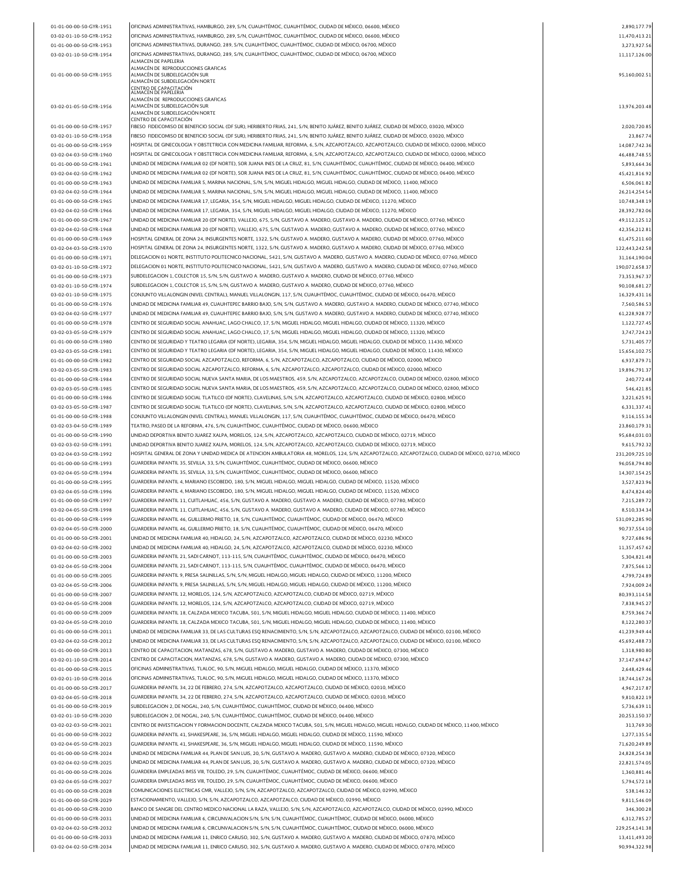| 01-01-00-00-50-GYR-1951 | OFICINAS ADMINISTRATIVAS, HAMBURGO, 289, S/N, CUAUHTÉMOC, CUAUHTÉMOC, CIUDAD DE MÉXICO, 06600, MÉXICO                                               | 2,890,177.79   |
|-------------------------|-----------------------------------------------------------------------------------------------------------------------------------------------------|----------------|
| 03-02-01-10-50-GYR-1952 | OFICINAS ADMINISTRATIVAS, HAMBURGO, 289, S/N, CUAUHTÉMOC, CUAUHTÉMOC, CIUDAD DE MÉXICO, 06600, MÉXICO                                               | 11,470,413.21  |
| 01-01-00-00-50-GYR-1953 | OFICINAS ADMINISTRATIVAS, DURANGO, 289, S/N, CUAUHTĒMOC, CUAUHTĒMOC, CIUDAD DE MĒXICO, 06700, MĒXICO                                                | 3,273,927.56   |
| 03-02-01-10-50-GYR-1954 | OFICINAS ADMINISTRATIVAS, DURANGO, 289, S/N, CUAUHTÉMOC, CUAUHTÉMOC, CIUDAD DE MÉXICO, 06700, MÉXICO                                                | 11,117,126.00  |
|                         | ALMACÊN DE PAPELERIA<br>ALMACÉN DE REPRODUCCIONES GRAFICAS                                                                                          |                |
| 01-01-00-00-50-GYR-1955 | ALMACÉN DE SUBDELEGACIÓN SUR                                                                                                                        | 95,160,002.51  |
|                         | ALMACÉN DE SUBDELEGACIÓN NORTE                                                                                                                      |                |
|                         | CENTRO DE CAPACITACIÓN<br>ALMACÊN DE PAPELERIA                                                                                                      |                |
|                         | ALMACÉN DE REPRODUCCIONES GRAFICAS                                                                                                                  |                |
| 03-02-01-05-50-GYR-1956 | ALMACÉN DE SUBDELEGACIÓN SUR<br>ALMACÉN DE SUBDELEGACIÓN NORTE                                                                                      | 13,976,203.48  |
|                         | CENTRO DE CAPACITACIÓN                                                                                                                              |                |
| 01-01-00-00-50-GYR-1957 | FIBESO FIDEICOMISO DE BENEFICIO SOCIAL (DF SUR), HERIBERTO FRIAS, 241, S/N, BENITO JUÁREZ, BENITO JUÁREZ, CIUDAD DE MÉXICO, 03020, MÉXICO           | 2,020,720.85   |
| 03-02-01-10-50-GYR-1958 | FIBESO FIDEICOMISO DE BENEFICIO SOCIAL (DF SUR), HERIBERTO FRIAS, 241, S/N, BENITO JUÁREZ, BENITO JUÁREZ, CIUDAD DE MÉXICO, 03020, MÉXICO           | 23,867.74      |
| 01-01-00-00-50-GYR-1959 | HOSPITAL DE GINECOLOGIA Y OBSTETRICIA CON MEDICINA FAMILIAR, REFORMA, 6, S/N, AZCAPOTZALCO, AZCAPOTZALCO, CIUDAD DE MÉXICO, 02000, MÉXICO           | 14,087,742.36  |
| 03-02-04-03-50-GYR-1960 | HOSPITAL DE GINECOLOGIA Y OBSTETRICIA CON MEDICINA FAMILIAR, REFORMA, 6, S/N, AZCAPOTZALCO, AZCAPOTZALCO, CIUDAD DE MÉXICO, 02000, MÉXICO           | 46,488,748.55  |
| 01-01-00-00-50-GYR-1961 | UNIDAD DE MEDICINA FAMILIAR 02 (DF NORTE), SOR JUANA INES DE LA CRUZ, 81, S/N, CUAUHTÉMOC, CUAUHTÉMOC, CIUDAD DE MÉXICO, 06400, MÉXICO              | 5,893,664.36   |
| 03-02-04-02-50-GYR-1962 | UNIDAD DE MEDICINA FAMILIAR 02 (DF NORTE), SOR JUANA INES DE LA CRUZ, 81, S/N, CUAUHTÉMOC, CUAUHTÉMOC, CIUDAD DE MÉXICO, 06400, MÉXICO              | 45,421,816.92  |
|                         | UNIDAD DE MEDICINA FAMILIAR 5, MARINA NACIONAL, S/N, S/N, MIGUEL HIDALGO, MIGUEL HIDALGO, CIUDAD DE MÉXICO, 11400, MÉXICO                           |                |
| 01-01-00-00-50-GYR-1963 |                                                                                                                                                     | 6,506,061.82   |
| 03-02-04-02-50-GYR-1964 | UNIDAD DE MEDICINA FAMILIAR 5, MARINA NACIONAL, S/N, S/N, MIGUEL HIDALGO, MIGUEL HIDALGO, CIUDAD DE MÉXICO, 11400, MÉXICO                           | 26,214,254.54  |
| 01-01-00-00-50-GYR-1965 | UNIDAD DE MEDICINA FAMILIAR 17, LEGARIA, 354, S/N, MIGUEL HIDALGO, MIGUEL HIDALGO, CIUDAD DE MÉXICO, 11270, MÉXICO                                  | 10,748,348.19  |
| 03-02-04-02-50-GYR-1966 | UNIDAD DE MEDICINA FAMILIAR 17, LEGARIA, 354, S/N, MIGUEL HIDALGO, MIGUEL HIDALGO, CIUDAD DE MÉXICO, 11270, MÉXICO                                  | 28,392,782.06  |
| 01-01-00-00-50-GYR-1967 | UNIDAD DE MEDICINA FAMILIAR 20 (DF NORTE), VALLEJO, 675, S/N, GUSTAVO A. MADERO, GUSTAVO A. MADERO, CIUDAD DE MÉXICO, 07760, MÉXICO                 | 49,112,125.12  |
| 03-02-04-02-50-GYR-1968 | UNIDAD DE MEDICINA FAMILIAR 20 (DF NORTE), VALLEJO, 675, S/N, GUSTAVO A. MADERO, GUSTAVO A. MADERO, CIUDAD DE MÉXICO, 07760, MÉXICO                 | 42,356,212.81  |
| 01-01-00-00-50-GYR-1969 | HOSPITAL GENERAL DE ZONA 24, INSURGENTES NORTE, 1322, S/N, GUSTAVO A. MADERO, GUSTAVO A. MADERO, CIUDAD DE MÉXICO, 07760, MÉXICO                    | 61,475,211.60  |
| 03-02-04-03-50-GYR-1970 | HOSPITAL GENERAL DE ZONA 24, INSURGENTES NORTE, 1322, S/N, GUSTAVO A. MADERO, GUSTAVO A. MADERO, CIUDAD DE MÉXICO, 07760, MÉXICO                    | 122,443,242.58 |
| 01-01-00-00-50-GYR-1971 | DELEGACION 01 NORTE, INSTITUTO POLITECNICO NACIONAL, 5421, S/N, GUSTAVO A. MADERO, GUSTAVO A. MADERO, CIUDAD DE MÉXICO, 07760, MÉXICO               | 31,164,190.04  |
| 03-02-01-10-50-GYR-1972 | DELEGACION 01 NORTE, INSTITUTO POLITECNICO NACIONAL, 5421, S/N, GUSTAVO A, MADERO, GUSTAVO A, MADERO, CIUDAD DE MÉXICO, 07760, MÉXICO               | 190,072,658.37 |
| 01-01-00-00-50-GYR-1973 | SUBDELEGACION 1, COLECTOR 15, S/N, S/N, GUSTAVO A. MADERO, GUSTAVO A. MADERO, CIUDAD DE MÉXICO, 07760, MÉXICO                                       | 73,353,967.37  |
| 03-02-01-10-50-GYR-1974 | SUBDELEGACION 1, COLECTOR 15, S/N, S/N, GUSTAVO A. MADERO, GUSTAVO A. MADERO, CIUDAD DE MÉXICO, 07760, MÉXICO                                       | 90,108,681.27  |
| 03-02-01-10-50-GYR-1975 | CONJUNTO VILLALONGIN (NIVEL CENTRAL), MANUEL VILLALONGIN, 117, S/N, CUAUHTÉMOC, CUAUHTÉMOC, CIUDAD DE MÉXICO, 06470, MÉXICO                         | 16.329.431.16  |
| 01-01-00-00-50-GYR-1976 | UNIDAD DE MEDICINA FAMILIAR 49, CUAUHTEPEC BARRIO BAJO, S/N, S/N, GUSTAVO A. MADERO, GUSTAVO A. MADERO, CIUDAD DE MÊXICO, 07740, MÊXICO             | 7,560,586.53   |
| 03-02-04-02-50-GYR-1977 | UNIDAD DE MEDICINA FAMILIAR 49, CUAUHTEPEC BARRIO BAJO, S/N, S/N, GUSTAVO A. MADERO, GUSTAVO A. MADERO, CIUDAD DE MÉXICO, 07740, MÉXICO             |                |
|                         |                                                                                                                                                     | 61,228,928.77  |
| 01-01-00-00-50-GYR-1978 | CENTRO DE SEGURIDAD SOCIAL ANAHUAC, LAGO CHALCO, 17, S/N, MIGUEL HIDALGO, MIGUEL HIDALGO, CIUDAD DE MÉXICO, 11320, MÉXICO                           | 1,122,727.45   |
| 03-02-03-05-50-GYR-1979 | CENTRO DE SEGURIDAD SOCIAL ANAHUAC, LAGO CHALCO, 17, S/N, MIGUEL HIDALGO, MIGUEL HIDALGO, CIUDAD DE MÊXICO, 11320, MÊXICO                           | 3,747,724.23   |
| 01-01-00-00-50-GYR-1980 | CENTRO DE SEGURIDAD Y TEATRO LEGARIA (DF NORTE), LEGARIA, 354, S/N, MIGUEL HIDALGO, MIGUEL HIDALGO, CIUDAD DE MÉXICO, 11430, MÉXICO                 | 5,731,405.77   |
| 03-02-03-05-50-GYR-1981 | CENTRO DE SEGURIDAD Y TEATRO LEGARIA (DF NORTE), LEGARIA, 354, S/N, MIGUEL HIDALGO, MIGUEL HIDALGO, CIUDAD DE MÉXICO, 11430, MÉXICO                 | 15,656,102.75  |
| 01-01-00-00-50-GYR-1982 | CENTRO DE SEGURIDAD SOCIAL AZCAPOTZALCO, REFORMA, 6, S/N, AZCAPOTZALCO, AZCAPOTZALCO, CIUDAD DE MÉXICO, 02000, MÉXICO                               | 6,937,879.71   |
| 03-02-03-05-50-GYR-1983 | CENTRO DE SEGURIDAD SOCIAL AZCAPOTZALCO, REFORMA, 6, S/N, AZCAPOTZALCO, AZCAPOTZALCO, CIUDAD DE MÉXICO, 02000, MÉXICO                               | 19,896,791.37  |
| 01-01-00-00-50-GYR-1984 | CENTRO DE SEGURIDAD SOCIAL NUEVA SANTA MARIA, DE LOS MAESTROS, 459, S/N, AZCAPOTZALCO, AZCAPOTZALCO, CIUDAD DE MÉXICO, 02800, MÉXICO                | 240,772.48     |
| 03-02-03-05-50-GYR-1985 | CENTRO DE SEGURIDAD SOCIAL NUEVA SANTA MARIA, DE LOS MAESTROS, 459, S/N, AZCAPOTZALCO, AZCAPOTZALCO, CIUDAD DE MÉXICO, 02800, MÉXICO                | 546,421.85     |
| 01-01-00-00-50-GYR-1986 | CENTRO DE SEGURIDAD SOCIAL TLATILCO (DF NORTE), CLAVELINAS, S/N, S/N, AZCAPOTZALCO, AZCAPOTZALCO, CIUDAD DE MÊXICO, 02800, MÊXICO                   | 3,221,625.91   |
| 03-02-03-05-50-GYR-1987 | CENTRO DE SEGURIDAD SOCIAL TLATILCO (DF NORTE), CLAVELINAS, S/N, S/N, AZCAPOTZALCO, AZCAPOTZALCO, CIUDAD DE MÉXICO, 02800, MÉXICO                   | 6,331,337.41   |
| 01-01-00-00-50-GYR-1988 | CONJUNTO VILLALONGIN (NIVEL CENTRAL), MANUEL VILLALONGIN, 117, S/N, CUAUHTÉMOC, CUAUHTÉMOC, CIUDAD DE MÉXICO, 06470, MÉXICO                         | 9,116,155.34   |
|                         | TEATRO, PASEO DE LA REFORMA, 476, S/N, CUAUHTÉMOC, CUAUHTÉMOC, CIUDAD DE MÉXICO, 06600, MÉXICO                                                      |                |
| 03-02-03-04-50-GYR-1989 | UNIDAD DEPORTIVA BENITO JUAREZ XALPA, MORELOS, 124, S/N, AZCAPOTZALCO, AZCAPOTZALCO, CIUDAD DE MÉXICO, 02719, MÉXICO                                | 23,860,179.31  |
| 01-01-00-00-50-GYR-1990 |                                                                                                                                                     | 95,684,031.03  |
| 03-02-03-02-50-GYR-1991 | UNIDAD DEPORTIVA BENITO JUAREZ XALPA, MORELOS, 124, S/N, AZCAPOTZALCO, AZCAPOTZALCO, CIUDAD DE MÊXICO, 02719, MÊXICO                                | 9,615,792.32   |
| 03-02-04-03-50-GYR-1992 | HOSPITAL GENERAL DE ZONA Y UNIDAD MEDICA DE ATENCION AMBULATORIA 48, MORELOS, 124, S/N, AZCAPOTZALCO, AZCAPOTZALCO, CIUDAD DE MÉXICO, 02710, MÉXICO | 231,209,725.10 |
| 01-01-00-00-50-GYR-1993 | GUARDERIA INFANTIL 35, SEVILLA, 33, S/N, CUAUHTÉMOC, CUAUHTÉMOC, CIUDAD DE MÉXICO, 06600, MÉXICO                                                    | 96,058,794.80  |
| 03-02-04-05-50-GYR-1994 | GUARDERIA INFANTIL 35, SEVILLA, 33, S/N, CUAUHTÉMOC, CUAUHTÉMOC, CIUDAD DE MÉXICO, 06600, MÉXICO                                                    | 14,307,154.25  |
| 01-01-00-00-50-GYR-1995 | GUARDERIA INFANTIL 4, MARIANO ESCOBEDO, 180, S/N, MIGUEL HIDALGO, MIGUEL HIDALGO, CIUDAD DE MÉXICO, 11520, MÉXICO                                   | 3,527,823.96   |
| 03-02-04-05-50-GYR-1996 | GUARDERIA INFANTIL 4, MARIANO ESCOBEDO, 180, S/N, MIGUEL HIDALGO, MIGUEL HIDALGO, CIUDAD DE MÊXICO, 11520, MÊXICO                                   | 8,474,824.40   |
| 01-01-00-00-50-GYR-1997 | GUARDERIA INFANTIL 11. CUITLAHUAC. 456. S/N. GUSTAVO A. MADERO, GUSTAVO A. MADERO, CIUDAD DE MÉXICO, 07780. MÉXICO                                  | 7,215,289.72   |
| 03-02-04-05-50-GYR-1998 | GUARDERIA INFANTIL 11, CUITLAHUAC, 456, S/N, GUSTAVO A. MADERO, GUSTAVO A. MADERO, CIUDAD DE MÉXICO, 07780, MÉXICO                                  | 8,510,334.34   |
| 01-01-00-00-50-GYR-1999 | GUARDERIA INFANTIL 46, GUILLERMO PRIETO, 18, S/N, CUAUHTÉMOC, CUAUHTÉMOC, CIUDAD DE MÉXICO, 06470, MÉXICO                                           | 531,092,285.90 |
| 03-02-04-05-50-GYR-2000 | GUARDERIA INFANTIL 46, GUILLERMO PRIETO, 18, S/N, CUAUHTÉMOC, CUAUHTÉMOC, CIUDAD DE MÉXICO, 06470, MÉXICO                                           | 90.737.554.10  |
| 01-01-00-00-50-GYR-2001 | UNIDAD DE MEDICINA FAMILIAR 40, HIDALGO, 24, S/N, AZCAPOTZALCO, AZCAPOTZALCO, CIUDAD DE MÉXICO, 02230, MÉXICO                                       | 9,727,686.96   |
| 03-02-04-02-50-GYR-2002 | UNIDAD DE MEDICINA FAMILIAR 40, HIDALGO, 24, S/N, AZCAPOTZALCO, AZCAPOTZALCO, CIUDAD DE MÉXICO, 02230, MÉXICO                                       | 11,357,457.62  |
| 01-01-00-00-50-GYR-2003 | GUARDERIA INFANTIL 21, SADI CARNOT, 113-115, S/N, CUAUHTÉMOC, CUAUHTÉMOC, CIUDAD DE MÉXICO, 06470, MÉXICO                                           | 5,304,821.48   |
|                         |                                                                                                                                                     |                |
| 03-02-04-05-50-GYR-2004 | GUARDERIA INFANTIL 21, SADI CARNOT, 113-115, S/N, CUAUHTÉMOC, CUAUHTÉMOC, CIUDAD DE MÉXICO, 06470, MÉXICO                                           | 7,875,566.12   |
| 01-01-00-00-50-GYR-2005 | GUARDERIA INFANTIL 9, PRESA SALINILLAS, S/N, S/N, MIGUEL HIDALGO, MIGUEL HIDALGO, CIUDAD DE MÉXICO, 11200, MÉXICO                                   | 4,799,724.89   |
| 03-02-04-05-50-GYR-2006 | GUARDERIA INFANTIL 9, PRESA SALINILLAS, S/N, S/N, MIGUEL HIDALGO, MIGUEL HIDALGO, CIUDAD DE MÉXICO, 11200, MÉXICO                                   | 7,924,009.24   |
| 01-01-00-00-50-GYR-2007 | GUARDERIA INFANTIL 12, MORELOS, 124, S/N, AZCAPOTZALCO, AZCAPOTZALCO, CIUDAD DE MÉXICO, 02719, MÉXICO                                               | 80,393,114.58  |
| 03-02-04-05-50-GYR-2008 | GUARDERIA INFANTIL 12, MORELOS, 124, S/N, AZCAPOTZALCO, AZCAPOTZALCO, CIUDAD DE MÉXICO, 02719, MÉXICO                                               | 7,838,945.27   |
| 01-01-00-00-50-GYR-2009 | GUARDERIA INFANTIL 18, CALZADA MEXICO TACUBA, 501, S/N, MIGUEL HIDALGO, MIGUEL HIDALGO, CIUDAD DE MÉXICO, 11400, MÉXICO                             | 8,759,366.74   |
| 03-02-04-05-50-GYR-2010 | GUARDERIA INFANTIL 18, CALZADA MEXICO TACUBA, 501, S/N, MIGUEL HIDALGO, MIGUEL HIDALGO, CIUDAD DE MÉXICO, 11400, MÉXICO                             | 8,122,280.37   |
| 01-01-00-00-50-GYR-2011 | UNIDAD DE MEDICINA FAMILIAR 33, DE LAS CULTURAS ESQ RENACIMIENTO, S/N, S/N, AZCAPOTZALCO, AZCAPOTZALCO, CIUDAD DE MÉXICO, 02100, MÉXICO             | 41,239,949.44  |
| 03-02-04-02-50-GYR-2012 | UNIDAD DE MEDICINA FAMILIAR 33, DE LAS CULTURAS ESQ RENACIMIENTO, S/N, S/N, AZCAPOTZALCO, AZCAPOTZALCO, CIUDAD DE MÉXICO, 02100, MÉXICO             | 45,692,488.73  |
| 01-01-00-00-50-GYR-2013 | CENTRO DE CAPACITACION, MATANZAS, 678, S/N, GUSTAVO A. MADERO, GUSTAVO A. MADERO, CIUDAD DE MÉXICO, 07300, MÉXICO                                   | 1,318,980.80   |
| 03-02-01-10-50-GYR-2014 | CENTRO DE CAPACITACION, MATANZAS, 678, S/N, GUSTAVO A. MADERO, GUSTAVO A. MADERO, CIUDAD DE MÉXICO, 07300, MÉXICO                                   | 37,147,694.67  |
| 01-01-00-00-50-GYR-2015 | OFICINAS ADMINISTRATIVAS, TLALOC, 90, S/N, MIGUEL HIDALGO, MIGUEL HIDALGO, CIUDAD DE MÉXICO, 11370, MÉXICO                                          | 2,648,429.46   |
| 03-02-01-10-50-GYR-2016 | OFICINAS ADMINISTRATIVAS, TLALOC, 90, S/N, MIGUEL HIDALGO, MIGUEL HIDALGO, CIUDAD DE MÉXICO, 11370, MÉXICO                                          | 18,744,167.26  |
| 01-01-00-00-50-GYR-2017 | GUARDERIA INFANTIL 34, 22 DE FEBRERO, 274, S/N, AZCAPOTZALCO, AZCAPOTZALCO, CIUDAD DE MÉXICO, 02010, MÉXICO                                         | 4,967,217.87   |
| 03-02-04-05-50-GYR-2018 | GUARDERIA INFANTIL 34, 22 DE FEBRERO, 274, S/N, AZCAPOTZALCO, AZCAPOTZALCO, CIUDAD DE MÉXICO, 02010, MÉXICO                                         | 9,810,822.19   |
| 01-01-00-00-50-GYR-2019 | SUBDELEGACION 2, DE NOGAL, 240, S/N, CUAUHTÉMOC, CUAUHTÉMOC, CIUDAD DE MÉXICO, 06400, MÉXICO                                                        | 5,736,639.11   |
| 03-02-01-10-50-GYR-2020 | SUBDELEGACION 2, DE NOGAL, 240, S/N, CUAUHTÉMOC, CUAUHTÉMOC, CIUDAD DE MÉXICO, 06400, MÉXICO                                                        | 20,253,150.37  |
|                         |                                                                                                                                                     |                |
| 03-02-02-03-50-GYR-2021 | CENTRO DE INVESTIGACION Y FORMACION DOCENTE, CALZADA MEXICO TACUBA, 501, S/N, MIGUEL HIDALGO, MIGUEL HIDALGO, CIUDAD DE MÊXICO, 11400, MÉXICO       | 313,769.30     |
| 01-01-00-00-50-GYR-2022 | GUARDERIA INFANTIL 41, SHAKESPEARE, 36, S/N, MIGUEL HIDALGO, MIGUEL HIDALGO, CIUDAD DE MÉXICO, 11590, MÉXICO                                        | 1,277,135.54   |
| 03-02-04-05-50-GYR-2023 | GUARDERIA INFANTIL 41, SHAKESPEARE, 36, S/N, MIGUEL HIDALGO, MIGUEL HIDALGO, CIUDAD DE MÉXICO, 11590, MÉXICO                                        | 71,620,249.89  |
| 01-01-00-00-50-GYR-2024 | UNIDAD DE MEDICINA FAMILIAR 44, PLAN DE SAN LUIS, 20, S/N, GUSTAVO A. MADERO, GUSTAVO A. MADERO, CIUDAD DE MÉXICO, 07320, MÉXICO                    | 24,828,254.38  |
| 03-02-04-02-50-GYR-2025 | UNIDAD DE MEDICINA FAMILIAR 44, PLAN DE SAN LUIS, 20, S/N, GUSTAVO A. MADERO, GUSTAVO A. MADERO, CIUDAD DE MÉXICO, 07320, MÉXICO                    | 22,821,574.05  |
| 01-01-00-00-50-GYR-2026 | GUARDERIA EMPLEADAS IMSS VIII, TOLEDO, 29, S/N, CUAUHTÉMOC, CUAUHTÉMOC, CIUDAD DE MÉXICO, 06600, MÉXICO                                             | 1,360,881.46   |
| 03-02-04-05-50-GYR-2027 | GUARDERIA EMPLEADAS IMSS VIII, TOLEDO, 29, S/N, CUAUHTÉMOC, CUAUHTÉMOC, CIUDAD DE MÉXICO, 06600, MÉXICO                                             | 5,794,572.18   |
| 01-01-00-00-50-GYR-2028 | COMUNICACIONES ELECTRICAS CMR, VALLEJO, S/N, S/N, AZCAPOTZALCO, AZCAPOTZALCO, CIUDAD DE MÉXICO, 02990, MÉXICO                                       | 538,146.32     |
| 01-01-00-00-50-GYR-2029 | ESTACIONAMIENTO, VALLEJO, S/N, S/N, AZCAPOTZALCO, AZCAPOTZALCO, CIUDAD DE MÉXICO, 02990, MÉXICO                                                     | 9,811,546.09   |
| 01-01-00-00-50-GYR-2030 | BANCO DE SANGRE DEL CENTRO MEDICO NACIONAL LA RAZA, VALLEJO, S/N, S/N, AZCAPOTZALCO, AZCAPOTZALCO, CIUDAD DE MÉXICO, 02990, MÉXICO                  | 346,300.28     |
| 01-01-00-00-50-GYR-2031 | UNIDAD DE MEDICINA FAMILIAR 6, CIRCUNVALACION S/N, S/N, S/N, CUAUHTÉMOC, CUAUHTÉMOC, CIUDAD DE MÉXICO, 06000, MÉXICO                                | 6,312,785.27   |
| 03-02-04-02-50-GYR-2032 | UNIDAD DE MEDICINA FAMILIAR 6, CIRCUNVALACION S/N, S/N, S/N, CUAUHTÉMOC, CUAUHTÉMOC, CIUDAD DE MÉXICO, 06000, MÉXICO                                | 229,254,141.38 |
| 01-01-00-00-50-GYR-2033 | UNIDAD DE MEDICINA FAMILIAR 11, ENRICO CARUSO, 302, S/N, GUSTAVO A. MADERO, GUSTAVO A. MADERO, CIUDAD DE MÉXICO, 07870, MÉXICO                      | 13,411,493.20  |
| 03-02-04-02-50-GYR-2034 | UNIDAD DE MEDICINA FAMILIAR 11, ENRICO CARUSO, 302, S/N, GUSTAVO A. MADERO, GUSTAVO A. MADERO, CIUDAD DE MÉXICO, 07870, MÉXICO                      | 90,994,322.98  |
|                         |                                                                                                                                                     |                |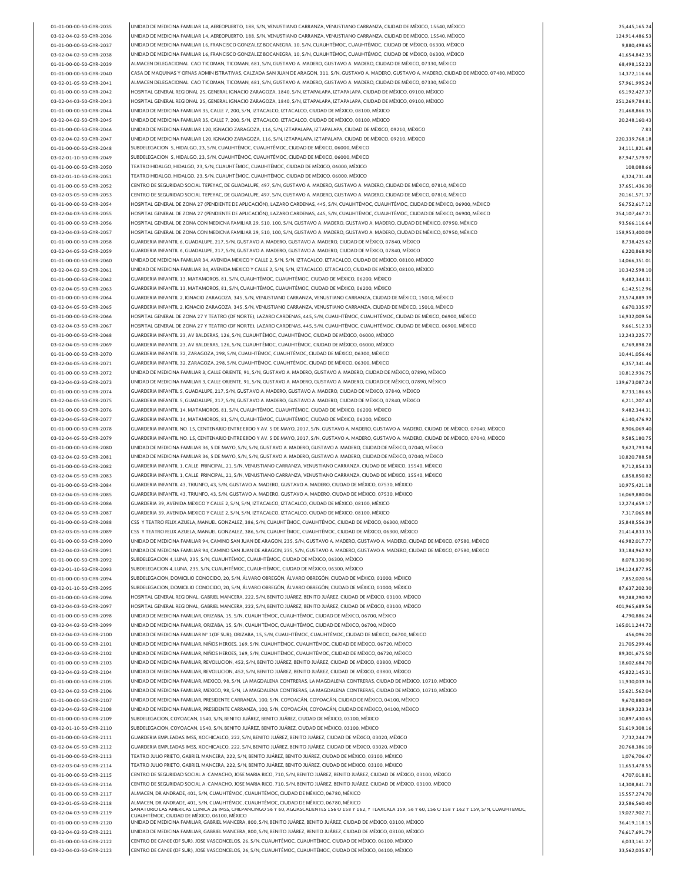01-01-00-00-50-GYR-2035 25,445,165.24 UNIDAD DE MEDICINA FAMILIAR 14, AEREOPUERTO, 188, S/N, VENUSTIANO CARRANZA, VENUSTIANO CARRANZA, CIUDAD DE MÉXICO, 15540, MÉXICO 03-02-04-02-50-GYR-2036 124,914,486.53 UNIDAD DE MEDICINA FAMILIAR 14, AEREOPUERTO, 188, S/N, VENUSTIANO CARRANZA, VENUSTIANO CARRANZA, CIUDAD DE MÉXICO, 15540, MÉXICO 01-01-00-00-50-GYR-2037 9,880,498.65 UNIDAD DE MEDICINA FAMILIAR 16, FRANCISCO GONZALEZ BOCANEGRA, 10, S/N, CUAUHTÉMOC, CUAUHTÉMOC, CIUDAD DE MÉXICO, 06300, MÉXICO 03-02-04-02-50-GYR-2038 41,654,842.35 UNIDAD DE MEDICINA FAMILIAR 16, FRANCISCO GONZALEZ BOCANEGRA, 10, S/N, CUAUHTÉMOC, CUAUHTÉMOC, CIUDAD DE MÉXICO, 06300, MÉXICO 01-01-00-00-50-GYR-2039 68,498,152.23 ALMACEN DELEGACIONAL CAO TICOMAN, TICOMAN, 681, S/N, GUSTAVO A. MADERO, GUSTAVO A. MADERO, CIUDAD DE MÉXICO, 07330, MÉXICO 01-01-00-00-50-GYR-2040 CASA DE MAQUINAS Y OFNAS ADMIN ISTRATIVAS, CALZADA SAN JUAN DE ARAGON, 311, S/N, GUSTAVO A. MADERO, GUSTAVO A. MADERO, CIUDAD DE MEXICO, 07480, MEXICO | 14,372,116.66 03-02-01-05-50-GYR-2041 | ALMACEN DELEGACIONAL CAO TICOMAN, TICOMAN, 681, S/N, GUSTAVO A. MADERO, GUSTAVO A. MADERO, CIUDAD DE MEXICO, 07330, MEXICO | 1999. 1999 | 1999. 24 | 57,961,995.24 01-01-00-00-50-GYR-2042 65,192,427.37 HOSPITAL GENERAL REGIONAL 25, GENERAL IGNACIO ZARAGOZA, 1840, S/N, IZTAPALAPA, IZTAPALAPA, CIUDAD DE MÉXICO, 09100, MÉXICO 03-02-04-03-50-GYR-2043 251,269,784.81 HOSPITAL GENERAL REGIONAL 25, GENERAL IGNACIO ZARAGOZA, 1840, S/N, IZTAPALAPA, IZTAPALAPA, CIUDAD DE MÉXICO, 09100, MÉXICO 01-01-00-00-50-GYR-2044 21,468,866.35 UNIDAD DE MEDICINA FAMILIAR 35, CALLE 7, 200, S/N, IZTACALCO, IZTACALCO, CIUDAD DE MÉXICO, 08100, MÉXICO 03-02-04-02-50-GYR-2045 20,248,160.43 UNIDAD DE MEDICINA FAMILIAR 35, CALLE 7, 200, S/N, IZTACALCO, IZTACALCO, CIUDAD DE MÉXICO, 08100, MÉXICO 01-01-00-00-50-GYR-2046 7.83 UNIDAD DE MEDICINA FAMILIAR 120, IGNACIO ZARAGOZA, 116, S/N, IZTAPALAPA, IZTAPALAPA, CIUDAD DE MÉXICO, 09210, MÉXICO 03-02-04-02-50-GYR-2047 220,339,768.18 UNIDAD DE MEDICINA FAMILIAR 120, IGNACIO ZARAGOZA, 116, S/N, IZTAPALAPA, IZTAPALAPA, CIUDAD DE MÉXICO, 09210, MÉXICO 01-01-00-00-50-GYR-2048 24,111,821.68 SUBDELEGACION 5, HIDALGO, 23, S/N, CUAUHTÉMOC, CUAUHTÉMOC, CIUDAD DE MÉXICO, 06000, MÉXICO 03-02-01-10-50-GYR-2049 87,947,579.97 SUBDELEGACION 5, HIDALGO, 23, S/N, CUAUHTÉMOC, CUAUHTÉMOC, CIUDAD DE MÉXICO, 06000, MÉXICO 01-01-00-00-50-GYR-2050 TEATRO HIDALGO, HIDALGO, 23, S/N, CUAUHTÉMOC, CUAUHTÉMOC, CIUDAD DE MÉXICO, 06000, MÉXICO 03-02-01-10-50-GYR-2051 TEATRO HIDALGO, HIDALGO, 23, S/N, CUAUHTÉMOC, CUAUHTÉMOC, CIUDAD DE MÉXICO, 06000, MÉXICO ANNO 1999 AN ANGLES ANG ANGLES ANGLES ANGLES ANGLES ANGLES ANGLES ANGLES ANGLES ANGLES ANGLES ANGLES ANGLES 01-01-00-00-50-GYR-2052 CENTRO DE SEGURIDAD SOCIAL TEPEYAC, DE GUADALUPE, 497, S/N, GUSTAVO A. MADERO, GUSTAVO A. MADERO, CIUDAD DE MEXICO, 07810, MEXICO 37,651,436.30 03-02-03-05-50-GYR-2053 20,161,571.37 CENTRO DE SEGURIDAD SOCIAL TEPEYAC, DE GUADALUPE, 497, S/N, GUSTAVO A. MADERO, GUSTAVO A. MADERO, CIUDAD DE MÉXICO, 07810, MÉXICO 01-01-00-00-50-GYR-2054 56,752,617.12 HOSPITAL GENERAL DE ZONA 27 (PENDIENTE DE APLICACIÓN), LAZARO CARDENAS, 445, S/N, CUAUHTÉMOC, CUAUHTÉMOC, CIUDAD DE MÉXICO, 06900, MÉXICO 03-02-04-03-50-GYR-2055 254,107,467.21 HOSPITAL GENERAL DE ZONA 27 (PENDIENTE DE APLICACIÓN), LAZARO CARDENAS, 445, S/N, CUAUHTÉMOC, CUAUHTÉMOC, CIUDAD DE MÉXICO, 06900, MÉXICO 01-01-00-00-50-GYR-2056 93,566,116.64 HOSPITAL GENERAL DE ZONA CON MEDICNA FAMILIAR 29, 510, 100, S/N, GUSTAVO A. MADERO, GUSTAVO A. MADERO, CIUDAD DE MÉXICO, 07950, MÉXICO 03-02-04-03-50-GYR-2057 HOSPITAL GENERAL DE ZONA CON MEDICNA FAMILIAR 29, 510, 100, S/N, GUSTAVO A. MADERO, GUSTAVO A. MADERO, CIUDAD DE MEXICO, 07950, MEXICO 1999 [1] 158,953,400.09 158,953,400.09 01-01-00-00-50-GYR-2058 GUARDERIA INFANTIL 6, GUADALUPE, 217, S/N, GUSTAVO A. MADERO, GUSTAVO A. MADERO, CIUDAD DE MEXICO, 07840, MEXICO ANTERO ANTERO AND ANNORE AND A SUSTAVO A. MADERO, CIUDAD DE MEXICO, 07840, MEXICO ANT 03-02-04-05-50-GYR-2059 6,220,868.90 GUARDERIA INFANTIL 6, GUADALUPE, 217, S/N, GUSTAVO A. MADERO, GUSTAVO A. MADERO, CIUDAD DE MÉXICO, 07840, MÉXICO 01-01-00-00-50-GYR-2060 UNIDAD DE MEDICINA FAMILIAR 34, AVENIDA MEXICO Y CALLE 2, S/N, S/N, IZTACALCO, IZTACALCO, IUDAD DE MEXICO, 08100, MEXICO 14,066,351.01 03-02-04-02-50-GYR-2061 10,342,598.10 UNIDAD DE MEDICINA FAMILIAR 34, AVENIDA MEXICO Y CALLE 2, S/N, S/N, IZTACALCO, IZTACALCO, CIUDAD DE MÉXICO, 08100, MÉXICO 01-01-00-00-50-GYR-2062 9,482,344.31 GUARDERIA INFANTIL 13, MATAMOROS, 81, S/N, CUAUHTÉMOC, CUAUHTÉMOC, CIUDAD DE MÉXICO, 06200, MÉXICO 03-02-04-05-50-GYR-2063 6,142,512.96 GUARDERIA INFANTIL 13, MATAMOROS, 81, S/N, CUAUHTÉMOC, CUAUHTÉMOC, CIUDAD DE MÉXICO, 06200, MÉXICO 01-01-00-00-50-GYR-2064 23,574,889.39 GUARDERIA INFANTIL 2, IGNACIO ZARAGOZA, 345, S/N, VENUSTIANO CARRANZA, VENUSTIANO CARRANZA, CIUDAD DE MÉXICO, 15010, MÉXICO 03-02-04-05-50-GYR-2065 6,670,335.97 GUARDERIA INFANTIL 2, IGNACIO ZARAGOZA, 345, S/N, VENUSTIANO CARRANZA, VENUSTIANO CARRANZA, CIUDAD DE MÉXICO, 15010, MÉXICO 01-01-00-00-50-GYR-2066 16,932,009.56 HOSPITAL GENERAL DE ZONA 27 Y TEATRO (DF NORTE), LAZARO CARDENAS, 445, S/N, CUAUHTÉMOC, CUAUHTÉMOC, CIUDAD DE MÉXICO, 06900, MÉXICO 03-02-04-03-50-GYR-2067 HOSPITAL GENERAL DE ZONA 27 Y TEATRO (DF NORTE), LAZARO CARDENAS, 445, S/N, CUAUHTEMOC, CIULNTEMOC, CIUDAD DE MEXICO, 06900, MEXICO 9,661,512.33 01-01-00-00-50-GYR-2068 12,243,225.77 GUARDERIA INFANTIL 23, AV BALDERAS, 126, S/N, CUAUHTÉMOC, CUAUHTÉMOC, CIUDAD DE MÉXICO, 06000, MÉXICO 03-02-04-05-50-GYR-2069 6,769,898.28 GUARDERIA INFANTIL 23, AV BALDERAS, 126, S/N, CUAUHTÉMOC, CUAUHTÉMOC, CIUDAD DE MÉXICO, 06000, MÉXICO 01-01-00-00-50-GYR-2070 10,441,056.46 GUARDERIA INFANTIL 32, ZARAGOZA, 298, S/N, CUAUHTÉMOC, CUAUHTÉMOC, CIUDAD DE MÉXICO, 06300, MÉXICO 03-02-04-05-50-GYR-2071 6,357,341.46 GUARDERIA INFANTIL 32, ZARAGOZA, 298, S/N, CUAUHTÉMOC, CUAUHTÉMOC, CIUDAD DE MÉXICO, 06300, MÉXICO 01-01-00-00-50-GYR-2072 10,812,936.75 UNIDAD DE MEDICINA FAMILIAR 3, CALLE ORIENTE, 91, S/N, GUSTAVO A. MADERO, GUSTAVO A. MADERO, CIUDAD DE MÉXICO, 07890, MÉXICO 03-02-04-02-50-GYR-2073 UNIDAD DE MEDICINA FAMILIAR 3, CALLE ORIENTE, 91, S/N, GUSTAVO A. MADERO, GUSTAVO A. MADERO, CIUDAD DE MEXICO, 07890, MEXICO 139,673,087.24 01-01-00-00-50-GYR-2074 8,733,186.65 GUARDERIA INFANTIL 5, GUADALUPE, 217, S/N, GUSTAVO A. MADERO, GUSTAVO A. MADERO, CIUDAD DE MÉXICO, 07840, MÉXICO 03-02-04-05-50-GYR-2075 6,211,207.43 GUARDERIA INFANTIL 5, GUADALUPE, 217, S/N, GUSTAVO A. MADERO, GUSTAVO A. MADERO, CIUDAD DE MÉXICO, 07840, MÉXICO 01-01-00-00-50-GYR-2076 9,482,344.31 GUARDERIA INFANTIL 14, MATAMOROS, 81, S/N, CUAUHTÉMOC, CUAUHTÉMOC, CIUDAD DE MÉXICO, 06200, MÉXICO 03-02-04-05-50-GYR-2077 6,140,476.92 GUARDERIA INFANTIL 14, MATAMOROS, 81, S/N, CUAUHTÉMOC, CUAUHTÉMOC, CIUDAD DE MÉXICO, 06200, MÉXICO 01-01-00-00-50-GYR-2078 8,906,069.40 GUARDERIA INFANTIL NO. 15, CENTENARIO ENTRE EJIDO Y AV. 5 DE MAYO, 2017, S/N, GUSTAVO A. MADERO, GUSTAVO A. MADERO, CIUDAD DE MÉXICO, 07040, MÉXICO 03-02-04-05-50-GYR-2079 9,585,180.75 GUARDERIA INFANTIL NO. 15, CENTENARIO ENTRE EJIDO Y AV. 5 DE MAYO, 2017, S/N, GUSTAVO A. MADERO, GUSTAVO A. MADERO, CIUDAD DE MÉXICO, 07040, MÉXICO 01-01-00-00-50-GYR-2080 9,623,793.94 UNIDAD DE MEDICINA FAMILIAR 36, 5 DE MAYO, S/N, S/N, GUSTAVO A. MADERO, GUSTAVO A. MADERO, CIUDAD DE MÉXICO, 07040, MÉXICO 03-02-04-02-50-GYR-2081 UNIDAD DE MEDICINA FAMILIAR 36, 5 DE MAYO, S/N, S/N, GUSTAVO A. MADERO, GUSTAVO A. MADERO, CIUDAD DE MEXICO, 07040, MEXICO UNIDAD DE MEXICO UNIDAD DE MEXICO UNIDAD DE MEXICO, 07040, MÉXICO UNIDAD DE 01-01-00-00-50-GYR-2082 9,712,854.33 GUARDERIA INFANTIL 1, CALLE PRINCIPAL, 21, S/N, VENUSTIANO CARRANZA, VENUSTIANO CARRANZA, CIUDAD DE MÉXICO, 15540, MÉXICO 03-02-04-05-50-GYR-2083 GUARDERIA INFANTIL 1, CALLE PRINCIPAL, 21, S/N, VENUSTIANO CARRANZA, VENUSTIANO CARRANZA, CIUDAD DE MEXICO, 15540, MEXICO 6,858,950 6,958,850.82 (6,858,850.82) 01-01-00-00-50-GYR-2084 10,975,421.18 GUARDERIA INFANTIL 43, TRIUNFO, 43, S/N, GUSTAVO A. MADERO, GUSTAVO A. MADERO, CIUDAD DE MÉXICO, 07530, MÉXICO 03-02-04-05-50-GYR-2085 16,069,880.06 GUARDERIA INFANTIL 43, TRIUNFO, 43, S/N, GUSTAVO A. MADERO, GUSTAVO A. MADERO, CIUDAD DE MÉXICO, 07530, MÉXICO 01-01-00-00-50-GYR-2086 12,274,659.17 GUARDERIA 39, AVENIDA MEXICO Y CALLE 2, S/N, S/N, IZTACALCO, IZTACALCO, CIUDAD DE MÉXICO, 08100, MÉXICO 03-02-04-05-50-GYR-2087 7,317,065.88 GUARDERIA 39, AVENIDA MEXICO Y CALLE 2, S/N, S/N, IZTACALCO, IZTACALCO, CIUDAD DE MÉXICO, 08100, MÉXICO 01-01-00-00-50-GYR-2088 25,848,556.39 CSS Y TEATRO FELIX AZUELA, MANUEL GONZALEZ, 386, S/N, CUAUHTÉMOC, CUAUHTÉMOC, CIUDAD DE MÉXICO, 06300, MÉXICO 03-02-03-05-50-GYR-2089 CSS Y TEATRO FELIX AZUELA, MANUEL GONZALEZ, 386, S/N, CUAUHTÉMOC, CUAUHTÉMOC, CIUDAD DE MÉXICO, 06300, MÉXICO CONTRA 1999 CONTRA 21,414,833.35 (2014) 21,414,833.35 01-01-00-00-50-GYR-2090 46,982,017.77 UNIDAD DE MEDICINA FAMILIAR 94, CAMINO SAN JUAN DE ARAGON, 235, S/N, GUSTAVO A. MADERO, GUSTAVO A. MADERO, CIUDAD DE MÉXICO, 07580, MÉXICO 03-02-04-02-50-GYR-2091 UNIDAD DE MEDICINA FAMILIAR 94, CAMINO SAN JUAN DE ARAGON, 235, S/N, GUSTAVO A. MADERO, GUSTAVO A. MADERO, CIUDAD DE MEXICO, 07580, MEXICO \$50, MEXICO \$50, MEXICO \$50, MEXICO \$50, MEXICO \$50, MEXICO 01-01-00-00-50-GYR-2092 8,078,330.90 SUBDELEGACION 4, LUNA, 235, S/N, CUAUHTÉMOC, CUAUHTÉMOC, CIUDAD DE MÉXICO, 06300, MÉXICO 03-02-01-10-50-GYR-2093 194,124,877.95 SUBDELEGACION 4, LUNA, 235, S/N, CUAUHTÉMOC, CUAUHTÉMOC, CIUDAD DE MÉXICO, 06300, MÉXICO 01-01-00-00-50-GYR-2094 7,852,020.56 SUBDELEGACION, DOMICILIO CONOCIDO, 20, S/N, ÁLVARO OBREGÓN, ÁLVARO OBREGÓN, CIUDAD DE MÉXICO, 01000, MÉXICO 03-02-01-10-50-GYR-2095 SUBDELEGACION, DOMICILIO CONOCIDO, 20, S/N, ALVARO OBREGÓN, ALVARO OBREGÓN, CIUDAD DE MEXICO, 01000, MÉXICO 87,637,202.30 01-01-00-00-50-GYR-2096 99,288,290.92 HOSPITAL GENERAL REGIONAL, GABRIEL MANCERA, 222, S/N, BENITO JUÁREZ, BENITO JUÁREZ, CIUDAD DE MÉXICO, 03100, MÉXICO 03-02-04-03-50-GYR-2097 HOSPITAL GENERAL REGIONAL, GABRIEL MANCERA, 222, S/N, BENITO JUÁREZ, BENITO JUÁREZ, CIUDAD DE MEXICO, 03100, MEXICO NATURAL ANGLES AND ANGLES ANGLES ANGLES ANGLES ANGLES ANGLES ANGLES ANGLES ANGLES 01-01-00-00-50-GYR-2098 4,790,886.24 UNIDAD DE MEDICINA FAMILIAR, ORIZABA, 15, S/N, CUAUHTÉMOC, CUAUHTÉMOC, CIUDAD DE MÉXICO, 06700, MÉXICO 03-02-04-02-50-GYR-2099 165,011,244.72 UNIDAD DE MEDICINA FAMILIAR, ORIZABA, 15, S/N, CUAUHTÉMOC, CUAUHTÉMOC, CIUDAD DE MÉXICO, 06700, MÉXICO 03-02-04-02-50-GYR-2100 UNIDAD DE MEDICINA FAMILIAR N° 1(DF SUR), ORIZABA, 15, S/N, CUAUHTEMOC, CUAUHTEMOC, CIUDAD DE MEXICO, 06700, MEXICO OS 200 1000 AND SOLO AND SOLO AND SOLO AND SOLO AND SOLO AND SOLO AND SOLO AND SOL 01-01-00-00-50-GYR-2101 21,705,299.46 UNIDAD DE MEDICINA FAMILIAR, NIÑOS HEROES, 169, S/N, CUAUHTÉMOC, CUAUHTÉMOC, CIUDAD DE MÉXICO, 06720, MÉXICO 03-02-04-02-50-GYR-2102 89,301,675.50 UNIDAD DE MEDICINA FAMILIAR, NIÑOS HEROES, 169, S/N, CUAUHTÉMOC, CUAUHTÉMOC, CIUDAD DE MÉXICO, 06720, MÉXICO 01-01-00-00-50-GYR-2103 18,602,684.70 UNIDAD DE MEDICINA FAMILIAR, REVOLUCION, 452, S/N, BENITO JUÁREZ, BENITO JUÁREZ, CIUDAD DE MÉXICO, 03800, MÉXICO 03-02-04-02-50-GYR-2104 45,822,145.31 UNIDAD DE MEDICINA FAMILIAR, REVOLUCION, 452, S/N, BENITO JUÁREZ, BENITO JUÁREZ, CIUDAD DE MÉXICO, 03800, MÉXICO 01-01-00-00-50-GYR-2105 11,930,039.36 UNIDAD DE MEDICINA FAMILIAR, MEXICO, 98, S/N, LA MAGDALENA CONTRERAS, LA MAGDALENA CONTRERAS, CIUDAD DE MÉXICO, 10710, MÉXICO 03-02-04-02-50-GYR-2106 15,621,562.04 UNIDAD DE MEDICINA FAMILIAR, MEXICO, 98, S/N, LA MAGDALENA CONTRERAS, LA MAGDALENA CONTRERAS, CIUDAD DE MÉXICO, 10710, MÉXICO 01-01-00-00-50-GYR-2107 9,670,880.09 UNIDAD DE MEDICINA FAMILIAR, PRESIDENTE CARRANZA, 100, S/N, COYOACÁN, COYOACÁN, CIUDAD DE MÉXICO, 04100, MÉXICO 03-02-04-02-50-GYR-2108 UNIDAD DE MEDICINA FAMILIAR, PRESIDENTE CARRANZA, 100, S/N, COYOACAN, COYOACAN, CIUDAD DE MEXICO, 04100, MEXICO 18,969,323.34 01-01-00-00-50-GYR-2109 10,897,430.65 SUBDELEGACION, COYOACAN, 1540, S/N, BENITO JUÁREZ, BENITO JUÁREZ, CIUDAD DE MÉXICO, 03100, MÉXICO 03-02-01-10-50-GYR-2110 51,619,308.16 SUBDELEGACION, COYOACAN, 1540, S/N, BENITO JUÁREZ, BENITO JUÁREZ, CIUDAD DE MÉXICO, 03100, MÉXICO 01-01-00-00-50-GYR-2111 7,732,244.79 GUARDERIA EMPLEADAS IMSS, XOCHICALCO, 222, S/N, BENITO JUÁREZ, BENITO JUÁREZ, CIUDAD DE MÉXICO, 03020, MÉXICO 03-02-04-05-50-GYR-2112 **C**UARDERIA EMPLEADAS IMSS, XOCHICALCO, 222, S/N, BENITO JUAREZ, BENITO JUAREZ, CIUDAD DE MEXICO, 03020, MEXICO **Americano and the controllator and the control**lator and the controller property of t 01-01-00-00-50-GYR-2113 1,076,706.47 TEATRO JULIO PRIETO, GABRIEL MANCERA, 222, S/N, BENITO JUÁREZ, BENITO JUÁREZ, CIUDAD DE MÉXICO, 03100, MÉXICO 03-02-03-04-50-GYR-2114 11,653,478.55 TEATRO JULIO PRIETO, GABRIEL MANCERA, 222, S/N, BENITO JUÁREZ, BENITO JUÁREZ, CIUDAD DE MÉXICO, 03100, MÉXICO 01-01-00-00-50-GYR-2115 CENTRO DE SEGURIDAD SOCIAL A. CAMACHO, JOSE MARIA RICO, 710, S/N, BENITO JUAREZ, BENITO JUAREZ, CIUDAD DE MEXICO, 03100, MEXICO AND ANNELLO AND A 2,707,018.81 4,707,018.81 03-02-03-05-50-GYR-2116 【CENTRO DE SEGURIDAD SOCIAL A. CAMACHO, JOSE MARIA RICO, 710, S/N, BENITO JUAREZ, BENITO JUAREZ, CIUDAD DE MEXICO, 03100, MEXICO 14,308,841.73 01-01-00-00-50-GYR-2117 15,557,274.70 ALMACEN, DR ANDRADE, 401, S/N, CUAUHTÉMOC, CUAUHTÉMOC, CIUDAD DE MÉXICO, 06780, MÉXICO 03-02-01-05-50-GYR-2118 |ALMACEN, DR ANDRADE, 401, S/N, CUAUHTÉMOC, CUAUHTÉMOC, CIUDAD DE MÉXICO, 06780, MÉXICO 03-02-04-03-50-GYR-2119 CUAUHTÉMOC, CIUDAD DE MÉXICO, 06100, MÉXICO 01-01-00-00-50-GYR-2120 UNIDAD DE MEDICINA FAMILIAR, GABRIEL MANCERA, 800, S/N, BENITO JUAREZ, BENITO JUAREZ, CIUDAD DE MEXICO, 03100, MEXICO CHAREL CONTENTENT DE MEXICO ANNO 1918.15 (1918.15) 36,419,118.15 03-02-04-02-50-GYR-2121 76,617,691.79 UNIDAD DE MEDICINA FAMILIAR, GABRIEL MANCERA, 800, S/N, BENITO JUÁREZ, BENITO JUÁREZ, CIUDAD DE MÉXICO, 03100, MÉXICO 01-01-00-00-50-GYR-2122 6,033,161.27 CENTRO DE CANJE (DF SUR), JOSE VASCONCELOS, 26, S/N, CUAUHTÉMOC, CUAUHTÉMOC, CIUDAD DE MÉXICO, 06100, MÉXICO 03-02-04-02-50-GYR-2123 33,562,035.87 CENTRO DE CANJE (DF SUR), JOSE VASCONCELOS, 26, S/N, CUAUHTÉMOC, CUAUHTÉMOC, CIUDAD DE MÉXICO, 06100, MÉXICOSANATORIO LAS AMERICAS CLINICA 26 IMSS, CHILPANCINGO 56 Y 60, AGUASCALIENTES 156 O 158 Y 162, Y TLAXCALA 159, 56 Y 60, 156 O 158 Y 162 Y 159, S/N, CUAUHTÉMOC,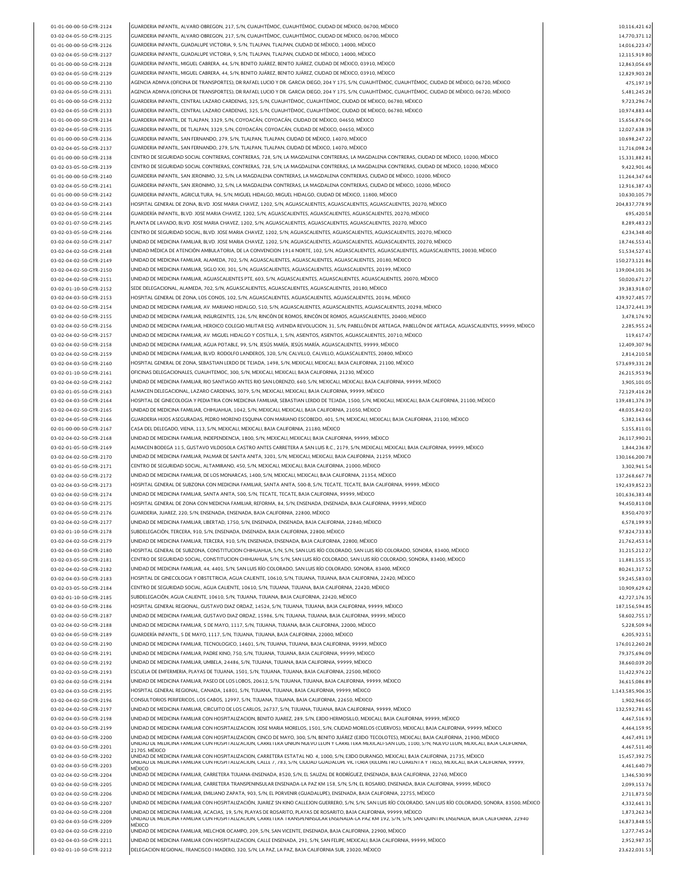| 01-01-00-00-50-GYR-2124 | GUARDERIA INFANTIL, ALVARO OBREGON, 217, S/N, CUAUHTÉMOC, CUAUHTÉMOC, CIUDAD DE MÉXICO, 06700, MÉXICO                                                                                                                                                                                                        | 10,116,421.62    |
|-------------------------|--------------------------------------------------------------------------------------------------------------------------------------------------------------------------------------------------------------------------------------------------------------------------------------------------------------|------------------|
| 03-02-04-05-50-GYR-2125 | GUARDERIA INFANTIL, ALVARO OBREGON, 217, S/N, CUAUHTÉMOC, CUAUHTÉMOC, CIUDAD DE MÉXICO, 06700, MÉXICO                                                                                                                                                                                                        | 14,770,371.12    |
| 01-01-00-00-50-GYR-2126 | GUARDERIA INFANTIL, GUADALUPE VICTORIA, 9, S/N, TLALPAN, TLALPAN, CIUDAD DE MÉXICO, 14000, MÉXICO                                                                                                                                                                                                            | 14,016,223.47    |
| 03-02-04-05-50-GYR-2127 | GUARDERIA INFANTIL, GUADALUPE VICTORIA, 9, S/N, TLALPAN, TLALPAN, CIUDAD DE MÉXICO, 14000, MÉXICO                                                                                                                                                                                                            | 12,115,919.80    |
| 01-01-00-00-50-GYR-2128 | GUARDERIA INFANTIL, MIGUEL CABRERA, 44, S/N, BENITO JUÁREZ, BENITO JUÁREZ, CIUDAD DE MÉXICO, 03910, MÉXICO                                                                                                                                                                                                   | 12,863,056.69    |
| 03-02-04-05-50-GYR-2129 | GUARDERIA INFANTIL, MIGUEL CABRERA, 44, S/N, BENITO JUÁREZ, BENITO JUÁREZ, CIUDAD DE MÉXICO, 03910, MÉXICO                                                                                                                                                                                                   | 12,829,903.28    |
| 01-01-00-00-50-GYR-2130 | AGENCIA ADMVA.(OFICINA DE TRANSPORTES), DR RAFAEL LUCIO Y DR. GARCIA DIEGO, 204 Y 175, S/N, CUAUHTÉMOC, CUAUHTÉMOC, CIUDAD DE MÉXICO, 06720, MÉXICO                                                                                                                                                          | 475,197.19       |
| 03-02-04-05-50-GYR-2131 | AGENCIA ADMVA.(OFICINA DE TRANSPORTES), DR RAFAEL LUCIO Y DR. GARCIA DIEGO, 204 Y 175, S/N, CUAUHTÉMOC, CUAUHTÉMOC, CIUDAD DE MÉXICO, 06720, MÉXICO                                                                                                                                                          | 5,481,245.28     |
|                         | GUARDERIA INFANTIL, CENTRAL LAZARO CARDENAS, 325, S/N, CUAUHTÉMOC, CUAUHTÉMOC, CIUDAD DE MÉXICO, 06780, MÉXICO                                                                                                                                                                                               |                  |
| 01-01-00-00-50-GYR-2132 |                                                                                                                                                                                                                                                                                                              | 9,723,296.74     |
| 03-02-04-05-50-GYR-2133 | GUARDERIA INFANTIL, CENTRAL LAZARO CARDENAS, 325, S/N, CUAUHTÉMOC, CUAUHTÉMOC, CIUDAD DE MÉXICO, 06780, MÉXICO                                                                                                                                                                                               | 10,974,883.44    |
| 01-01-00-00-50-GYR-2134 | GUARDERIA INFANTIL, DE TLALPAN, 3329, S/N, COYOACÁN, COYOACÁN, CIUDAD DE MÉXICO, 04650, MÉXICO                                                                                                                                                                                                               | 15,656,876.06    |
| 03-02-04-05-50-GYR-2135 | GUARDERIA INFANTIL, DE TLALPAN, 3329, S/N, COYOACÁN, COYOACÁN, CIUDAD DE MÉXICO, 04650, MÉXICO                                                                                                                                                                                                               | 12,027,638.39    |
| 01-01-00-00-50-GYR-2136 | GUARDERIA INFANTIL. SAN FERNANDO, 279, S/N, TLALPAN, TLALPAN, CIUDAD DE MÉXICO, 14070, MÉXICO                                                                                                                                                                                                                | 10,698,247.22    |
| 03-02-04-05-50-GYR-2137 | GUARDERIA INFANTIL, SAN FERNANDO, 279, S/N, TLALPAN, TLALPAN, CIUDAD DE MÉXICO, 14070, MÉXICO                                                                                                                                                                                                                | 11,716,098.24    |
| 01-01-00-00-50-GYR-2138 | CENTRO DE SEGURIDAD SOCIAL CONTRERAS, CONTRERAS, 728, S/N, LA MAGDALENA CONTRERAS, LA MAGDALENA CONTRERAS, CIUDAD DE MÉXICO, 10200, MÉXICO                                                                                                                                                                   | 15,331,882.81    |
|                         | CENTRO DE SEGURIDAD SOCIAL CONTRERAS, CONTRERAS, 728, S/N, LA MAGDALENA CONTRERAS, LA MAGDALENA CONTRERAS, CIUDAD DE MÉXICO, 10200, MÉXICO                                                                                                                                                                   |                  |
| 03-02-03-05-50-GYR-2139 |                                                                                                                                                                                                                                                                                                              | 9,422,901.46     |
| 01-01-00-00-50-GYR-2140 | GUARDERIA INFANTIL, SAN JERONIMO, 32, S/N, LA MAGDALENA CONTRERAS, LA MAGDALENA CONTRERAS, CIUDAD DE MÉXICO, 10200, MÉXICO                                                                                                                                                                                   | 11,264,347.64    |
| 03-02-04-05-50-GYR-2141 | GUARDERIA INFANTIL, SAN JERONIMO, 32, S/N, LA MAGDALENA CONTRERAS, LA MAGDALENA CONTRERAS, CIUDAD DE MÉXICO, 10200, MÉXICO                                                                                                                                                                                   | 12,916,387.43    |
| 01-01-00-00-50-GYR-2142 | GUARDERIA INFANTIL, AGRICULTURA, 96, S/N, MIGUEL HIDALGO, MIGUEL HIDALGO, CIUDAD DE MÉXICO, 11800, MÉXICO                                                                                                                                                                                                    | 10,630,105.79    |
| 03-02-04-03-50-GYR-2143 | HOSPITAL GENERAL DE ZONA, BLVD. JOSE MARIA CHAVEZ, 1202, S/N, AGUASCALIENTES, AGUASCALIENTES, AGUASCALIENTES, 20270, MÉXICO                                                                                                                                                                                  | 204,837,778.99   |
| 03-02-04-05-50-GYR-2144 | GUARDERÍA INFANTIL, BLVD. JOSE MARIA CHAVEZ, 1202, S/N, AGUASCALIENTES, AGUASCALIENTES, AGUASCALIENTES, 20270, MÉXICO                                                                                                                                                                                        | 695,420.58       |
| 03-02-01-07-50-GYR-2145 | PLANTA DE LAVADO, BLVD. JOSE MARIA CHAVEZ, 1202, S/N, AGUASCALIENTES, AGUASCALIENTES, AGUASCALIENTES, 20270, MÉXICO                                                                                                                                                                                          | 8,289,483.23     |
|                         |                                                                                                                                                                                                                                                                                                              |                  |
| 03-02-03-05-50-GYR-2146 | CENTRO DE SEGURIDAD SOCIAL, BLVD. JOSE MARIA CHAVEZ, 1202, S/N, AGUASCALIENTES, AGUASCALIENTES, AGUASCALIENTES, 20270, MÉXICO                                                                                                                                                                                | 6,234,348.40     |
| 03-02-04-02-50-GYR-2147 | UNIDAD DE MEDICINA FAMILIAR, BLVD. JOSE MARIA CHAVEZ, 1202, S/N, AGUASCALIENTES, AGUASCALIENTES, AGUASCALIENTES, 20270, MÊXICO                                                                                                                                                                               | 18,746,553.41    |
| 03-02-04-02-50-GYR-2148 | UNIDAD MÉDICA DE ATENCIÓN AMBULATORIA, DE LA CONVENCION 1914 NORTE, 102, S/N, AGUASCALIENTES, AGUASCALIENTES, AGUASCALIENTES, 20030, MÉXICO                                                                                                                                                                  | 51,534,527.61    |
| 03-02-04-02-50-GYR-2149 | UNIDAD DE MEDICINA FAMILIAR, ALAMEDA, 702, S/N, AGUASCALIENTES, AGUASCALIENTES, AGUASCALIENTES, 20180, MÉXICO                                                                                                                                                                                                | 150,273,121.86   |
| 03-02-04-02-50-GYR-2150 | UNIDAD DE MEDICINA FAMILIAR, SIGLO XXI, 301, S/N, AGUASCALIENTES, AGUASCALIENTES, AGUASCALIENTES, 20199, MÉXICO                                                                                                                                                                                              | 139,004,101.36   |
| 03-02-04-02-50-GYR-2151 | UNIDAD DE MEDICINA FAMILIAR, AGUASCALIENTES PTE, 603, S/N, AGUASCALIENTES, AGUASCALIENTES, AGUASCALIENTES, 20070, MÉXICO                                                                                                                                                                                     | 50.020.671.27    |
|                         |                                                                                                                                                                                                                                                                                                              |                  |
| 03-02-01-10-50-GYR-2152 | SEDE DELEGACIONAL, ALAMEDA, 702, S/N, AGUASCALIENTES, AGUASCALIENTES, AGUASCALIENTES, 20180, MÉXICO                                                                                                                                                                                                          | 39,383,918.07    |
| 03-02-04-03-50-GYR-2153 | HOSPITAL GENERAL DE ZONA, LOS CONOS, 102, S/N, AGUASCALIENTES, AGUASCALIENTES, AGUASCALIENTES, 20196, MÉXICO                                                                                                                                                                                                 | 439,927,485.77   |
| 03-02-04-02-50-GYR-2154 | UNIDAD DE MEDICINA FAMILIAR, AV. MARIANO HIDALGO, 510, S/N, AGUASCALIENTES, AGUASCALIENTES, AGUASCALIENTES, 20298, MÉXICO                                                                                                                                                                                    | 124,372,441.39   |
| 03-02-04-02-50-GYR-2155 | UNIDAD DE MEDICINA FAMILIAR, INSURGENTES, 126, S/N, RINCÓN DE ROMOS, RINCÓN DE ROMOS, AGUASCALIENTES, 20400, MÉXICO                                                                                                                                                                                          | 3,478,176.92     |
| 03-02-04-02-50-GYR-2156 | UNIDAD DE MEDICINA FAMILIAR, HEROICO COLEGIO MILITAR ESQ. AVENIDA REVOLUCION, 31, S/N, PABELLÓN DE ARTEAGA, PABELLÓN DE ARTEAGA, AGUASCALIENTES, 99999, MÉXICO                                                                                                                                               | 2,285,955.24     |
| 03-02-04-02-50-GYR-2157 | UNIDAD DE MEDICINA FAMILIAR, AV. MIGUEL HIDALGO Y COSTILLA, 1, S/N, ASIENTOS, ASIENTOS, AGUASCALIENTES, 20710, MÉXICO                                                                                                                                                                                        | 119,617.47       |
| 03-02-04-02-50-GYR-2158 | UNIDAD DE MEDICINA FAMILIAR, AGUA POTABLE, 99, S/N, JESÚS MARÍA, JESÚS MARÍA, AGUASCALIENTES, 99999, MÉXICO                                                                                                                                                                                                  | 12,409,307.96    |
| 03-02-04-02-50-GYR-2159 | UNIDAD DE MEDICINA FAMILIAR, BLVD. RODOLFO LANDEROS, 320, S/N, CALVILLO, CALVILLO, AGUASCALIENTES, 20800, MÉXICO                                                                                                                                                                                             | 2,814,210.58     |
|                         |                                                                                                                                                                                                                                                                                                              |                  |
| 03-02-04-03-50-GYR-2160 | HOSPITAL GENERAL DE ZONA, SEBASTIAN LERDO DE TEJADA, 1498, S/N, MEXICALI, MEXICALI, BAJA CALIFORNIA, 21100, MÉXICO                                                                                                                                                                                           | 573,699,331.28   |
| 03-02-01-10-50-GYR-2161 | OFICINAS DELEGACIONALES, CUAUHTEMOC, 300, S/N, MEXICALI, MEXICALI, BAJA CALIFORNIA, 21230, MÉXICO                                                                                                                                                                                                            | 26,215,953.96    |
| 03-02-04-02-50-GYR-2162 | UNIDAD DE MEDICINA FAMILIAR, RIO SANTIAGO ANTES RIO SAN LORENZO, 660, S/N, MEXICALI, MEXICALI, BAJA CALIFORNIA, 99999, MÊXICO                                                                                                                                                                                | 3,905,101.05     |
| 03-02-01-05-50-GYR-2163 | ALMACEN DELEGACIONAL, LAZARO CARDENAS, 3079, S/N, MEXICALI, MEXICALI, BAJA CALIFORNIA, 99999, MÉXICO                                                                                                                                                                                                         | 72,129,416.28    |
| 03-02-04-03-50-GYR-2164 | HOSPITAL DE GINECOLOGIA Y PEDIATRIA CON MEDICINA FAMILIAR, SEBASTIAN LERDO DE TEJADA, 1500, S/N, MEXICALI, MEXICALI, BAJA CALIFORNIA, 21100, MÉXICO                                                                                                                                                          | 139,481,376.39   |
| 03-02-04-02-50-GYR-2165 | UNIDAD DE MEDICINA FAMILIAR, CHIHUAHUA, 1042, S/N, MEXICALI, MEXICALI, BAJA CALIFORNIA, 21050, MÉXICO                                                                                                                                                                                                        | 48,035,842.03    |
| 03-02-04-05-50-GYR-2166 | GUARDERIA HIJOS ASEGURADAS, PEDRO MORENO ESQUINA CON MARIANO ESCOBEDO, 401, S/N, MEXICALI, MEXICALI, BAJA CALIFORNIA, 21100, MÉXICO                                                                                                                                                                          | 5,382,163.66     |
|                         |                                                                                                                                                                                                                                                                                                              |                  |
| 02-01-00-00-50-GYR-2167 | CASA DEL DELEGADO, VIENA, 113, S/N, MEXICALI, MEXICALI, BAJA CALIFORNIA, 21180, MÈXICO                                                                                                                                                                                                                       | 5,155,811.01     |
| 03-02-04-02-50-GYR-2168 | UNIDAD DE MEDICINA FAMILIAR, INDEPENDENCIA, 1800, S/N, MEXICALI, MEXICALI, BAJA CALIFORNIA, 99999, MÉXICO                                                                                                                                                                                                    | 26,117,990.21    |
| 03-02-01-05-50-GYR-2169 | ALMACEN BODEGA 11.5, GUSTAVO VILDOSOLA CASTRO ANTES CARRETERA A SAN LUIS R.C., 2179, S/N, MEXICALI, MEXICALI, BAJA CALIFORNIA, 99999, MÉXICO                                                                                                                                                                 | 1,844,236.87     |
| 03-02-04-02-50-GYR-2170 | UNIDAD DE MEDICINA FAMILIAR, PALMAR DE SANTA ANITA, 3201, S/N, MEXICALI, MEXICALI, BAJA CALIFORNIA, 21259, MÉXICO                                                                                                                                                                                            | 130,166,200.78   |
| 03-02-01-05-50-GYR-2171 | CENTRO DE SEGURIDAD SOCIAL. ALTAMIRANO. 450. S/N. MEXICALI. MEXICALI. BAJA CALIFORNIA. 21000. MÉXICO                                                                                                                                                                                                         | 3,302,961.54     |
| 03-02-04-02-50-GYR-2172 | UNIDAD DE MEDICINA FAMILIAR, DE LOS MONARCAS, 1400, S/N, MEXICALI, MEXICALI, BAJA CALIFORNIA, 21354, MÈXICO                                                                                                                                                                                                  | 137,268,667.78   |
| 03-02-04-03-50-GYR-2173 | HOSPITAL GENERAL DE SUBZONA CON MEDICINA FAMILIAR, SANTA ANITA, 500-B, S/N, TECATE, TECATE, BAJA CALIFORNIA, 99999, MÉXICO                                                                                                                                                                                   |                  |
|                         |                                                                                                                                                                                                                                                                                                              | 192,439,852.23   |
| 03-02-04-02-50-GYR-2174 | UNIDAD DE MEDICINA FAMILIAR, SANTA ANITA, 500, S/N, TECATE, TECATE, BAJA CALIFORNIA, 99999, MÉXICO                                                                                                                                                                                                           | 101,636,383.48   |
| 03-02-04-03-50-GYR-2175 | HOSPITAL GENERAL DE ZONA CON MEDICNA FAMILIAR, REFORMA, 84, S/N, ENSENADA, ENSENADA, BAJA CALIFORNIA, 99999, MÉXICO                                                                                                                                                                                          | 94,450,813.08    |
| 03-02-04-05-50-GYR-2176 | GUARDERIA, JUAREZ, 220, S/N, ENSENADA, ENSENADA, BAJA CALIFORNIA, 22800, MÉXICO                                                                                                                                                                                                                              | 8,950,470.97     |
| 03-02-04-02-50-GYR-2177 | JNIDAD DE MEDICINA FAMILIAR. LIBERTAD. 1750. S/N. ENSENADA. ENSENADA. BAJA CALIFORNIA. 22840. MÉXICO                                                                                                                                                                                                         | 6,578,199.93     |
| 03-02-01-10-50-GYR-2178 | SUBDELEGACIÓN, TERCERA, 910, S/N, ENSENADA, ENSENADA, BAJA CALIFORNIA, 22800, MÉXICO                                                                                                                                                                                                                         | 97,824,733.83    |
| 03-02-04-02-50-GYR-2179 | UNIDAD DE MEDICINA FAMILIAR, TERCERA, 910, S/N, ENSENADA, ENSENADA, BAJA CALIFORNIA, 22800, MÉXICO                                                                                                                                                                                                           | 21,762,453.14    |
| 03-02-04-03-50-GYR-2180 | HOSPITAL GENERAL DE SUBZONA, CONSTITUCION CHIHUAHUA, S/N, S/N, SAN LUIS RÍO COLORADO, SAN LUIS RÍO COLORADO, SONORA, 83400, MÉXICO                                                                                                                                                                           | 31,215,212.27    |
|                         |                                                                                                                                                                                                                                                                                                              |                  |
| 03-02-03-05-50-GYR-2181 | CENTRO DE SEGURIDAD SOCIAL, CONSTITUCION CHIHUAHUA, S/N, S/N, SAN LUIS RÍO COLORADO, SAN LUIS RÍO COLORADO, SONORA, 83400, MÉXICO                                                                                                                                                                            | 11,881,155.35    |
| 03-02-04-02-50-GYR-2182 | UNIDAD DE MEDICINA FAMILIAR, 44, 4401, S/N, SAN LUIS RÍO COLORADO, SAN LUIS RÍO COLORADO, SONORA, 83400, MÉXICO                                                                                                                                                                                              | 80,261,317.52    |
| 03-02-04-03-50-GYR-2183 | HOSPITAL DE GINECOLOGIA Y OBSTETRICIA, AGUA CALIENTE, 10610, S/N, TIJUANA, TIJUANA, BAJA CALIFORNIA, 22420, MÉXICO                                                                                                                                                                                           | 59,245,583.03    |
| 03-02-03-05-50-GYR-2184 | CENTRO DE SEGURIDAD SOCIAL, AGUA CALIENTE, 10610, S/N, TIJUANA, TIJUANA, BAJA CALIFORNIA, 22420, MÉXICO                                                                                                                                                                                                      | 10,909,629.62    |
| 03-02-01-10-50-GYR-2185 | SUBDELEGACIÓN, AGUA CALIENTE, 10610, S/N, TIJUANA, TIJUANA, BAJA CALIFORNIA, 22420, MÉXICO                                                                                                                                                                                                                   | 42,727,176.35    |
| 03-02-04-03-50-GYR-2186 | HOSPITAL GENERAL REGIONAL, GUSTAVO DIAZ ORDAZ, 14524, S/N, TIJUANA, TIJUANA, BAJA CALIFORNIA, 99999, MÉXICO                                                                                                                                                                                                  | 187,156,594.85   |
|                         |                                                                                                                                                                                                                                                                                                              |                  |
| 03-02-04-02-50-GYR-2187 | UNIDAD DE MEDICINA FAMILIAR, GUSTAVO DIAZ ORDAZ, 15986, S/N, TIJUANA, TIJUANA, BAJA CALIFORNIA, 99999, MĒXICO<br>UNIDAD DE MEDICINA FAMILIAR, 5 DE MAYO, 1117, S/N, TIJUANA, TIJUANA, BAJA CALIFORNIA, 22000, MÉXICO                                                                                         | 58,602,755.17    |
| 03-02-04-02-50-GYR-2188 |                                                                                                                                                                                                                                                                                                              | 5,228,509.94     |
| 03-02-04-05-50-GYR-2189 | GUARDERÍA INFANTIL, 5 DE MAYO, 1117, S/N, TIJUANA, TIJUANA, BAJA CALIFORNIA, 22000, MÉXICO                                                                                                                                                                                                                   | 6,205,923.51     |
| 03-02-04-02-50-GYR-2190 | UNIDAD DE MEDICINA FAMILIAR, TECNOLOGICO, 14601, S/N, TIJUANA, TIJUANA, BAJA CALIFORNIA, 99999, MÉXICO                                                                                                                                                                                                       | 176,012,260.28   |
| 03-02-04-02-50-GYR-2191 | UNIDAD DE MEDICINA FAMILIAR, PADRE KINO, 750, S/N, TIJUANA, TIJUANA, BAJA CALIFORNIA, 99999, MÉXICO                                                                                                                                                                                                          | 79,375,696.09    |
| 03-02-04-02-50-GYR-2192 | UNIDAD DE MEDICINA FAMILIAR, UMBELA, 24486, S/N, TIJUANA, TIJUANA, BAJA CALIFORNIA, 99999, MÉXICO                                                                                                                                                                                                            | 38,660,039.20    |
| 03-02-02-03-50-GYR-2193 | ESCUELA DE EMFERMERIA, PLAYAS DE TIJUANA, 1501, S/N, TIJUANA, TIJUANA, BAJA CALIFORNIA, 22500, MÉXICO                                                                                                                                                                                                        | 11,422,976.22    |
| 03-02-04-02-50-GYR-2194 | UNIDAD DE MEDICINA FAMILIAR, PASEO DE LOS LOBOS, 20612, S/N, TIJUANA, TIJUANA, BAJA CALIFORNIA, 99999, MÉXICO                                                                                                                                                                                                | 36,615,086.89    |
|                         |                                                                                                                                                                                                                                                                                                              |                  |
| 03-02-04-03-50-GYR-2195 | HOSPITAL GENERAL REGIONAL, CANADA, 16801, S/N, TIJUANA, TIJUANA, BAJA CALIFORNIA, 99999, MÉXICO                                                                                                                                                                                                              | 1,143,585,906.35 |
| 03-02-04-02-50-GYR-2196 | CONSULTORIOS PERIFERICOS, LOS CABOS, 12997, S/N, TIJUANA, TIJUANA, BAJA CALIFORNIA, 22650, MÉXICO                                                                                                                                                                                                            | 1,902,966.05     |
| 03-02-04-02-50-GYR-2197 | UNIDAD DE MEDICINA FAMILIAR, CIRCUITO DE LOS CARLOS, 26737, S/N, TIJUANA, TIJUANA, BAJA CALIFORNIA, 99999, MÊXICO                                                                                                                                                                                            | 132,592,781.65   |
| 03-02-04-03-50-GYR-2198 | UNIDAD DE MEDICINA FAMILIAR CON HOSPITALIZACION, BENITO JUAREZ, 289, S/N, EJIDO HERMOSILLO, MEXICALI, BAJA CALIFORNIA, 99999, MÉXICO                                                                                                                                                                         | 4,467,516.93     |
| 03-02-04-03-50-GYR-2199 | UNIDAD DE MEDICINA FAMILIAR CON HOSPITALIZACION, JOSE MARIA MORELOS, 1501, S/N, CIUDAD MORELOS (CUERVOS), MEXICALI, BAJA CALIFORNIA, 99999, MÉXICO                                                                                                                                                           | 4,464,159.95     |
| 03-02-04-03-50-GYR-2200 | UNIDAD DE MEDICINA FAMILIAR CON HOSPITALIZACION, CINCO DE MAYO, 300, S/N, BENITO JUÁREZ (EJIDO TECOLOTES), MEXICALI, BAJA CALIFORNIA, 21900, MÉXICO                                                                                                                                                          | 4,467,491.19     |
| 03-02-04-03-50-GYR-2201 | UNIDAD DE MEDICINA FAMILIAR CON HOSPITALIZACION, CARRETERA UNION NUEVO LEON Y CARRETERA MEXICALI-SAN LUIS, 1100, S/N, NUEVO LEON, MEXICALI, BAJA CALIFORNIA,                                                                                                                                                 | 4,467,511.40     |
|                         | 21705. MÉXICO                                                                                                                                                                                                                                                                                                |                  |
| 03-02-04-03-50-GYR-2202 | UNIDAD DE MEDICINA FAMILIAR CON HOSPITALIZACION, CARRETERA ESTATAL NO. 4, 1000, S/N, EJIDO DURANGO, MEXICALI, BAJA CALIFORNIA, 21735, MÉXICO<br>UNIDAD DE MEDICINA FAMILIAR CON HOSPITALIZACION, CALLE 7, 783, S/N, CIUDAD GUADALUPE VICTORIA (KILOMETRO CUARENTA Y TRES), MEXICALI, BAJA CALIFORNIA, 99999, | 15,457,392.75    |
| 03-02-04-03-50-GYR-2203 | MÉXICO                                                                                                                                                                                                                                                                                                       | 4,461,640.79     |
| 03-02-04-02-50-GYR-2204 | UNIDAD DE MEDICINA FAMILIAR, CARRETERA TIJUANA-ENSENADA, 8520, S/N, EL SAUZAL DE RODRÍGUEZ, ENSENADA, BAJA CALIFORNIA, 22760, MÉXICO                                                                                                                                                                         | 1,346,530.99     |
| 03-02-04-02-50-GYR-2205 | UNIDAD DE MEDICINA FAMILIAR, CARRETERA TRANSPENINSULAR ENSENADA-LA PAZ KM 158, S/N, S/N, EL ROSARIO, ENSENADA, BAJA CALIFORNIA, 99999, MÉXICO                                                                                                                                                                | 2,099,153.76     |
| 03-02-04-02-50-GYR-2206 | UNIDAD DE MEDICINA FAMILIAR, EMILIANO ZAPATA, 903, S/N, EL PORVENIR (GUADALUPE), ENSENADA, BAJA CALIFORNIA, 22755, MÉXICO                                                                                                                                                                                    | 2,711,873.50     |
| 03-02-04-03-50-GYR-2207 | UNIDAD DE MEDICINA FAMILIAR CON HOSPITALIZACIÓN, JUAREZ SN KINO CALLEJON GUERRERO, S/N, S/N, SAN LUIS RÍO COLORADO, SAN LUIS RÍO COLORADO, SONORA, 83500, MÉXICO                                                                                                                                             | 4,332,661.31     |
| 03-02-04-02-50-GYR-2208 |                                                                                                                                                                                                                                                                                                              |                  |
|                         |                                                                                                                                                                                                                                                                                                              |                  |
|                         | UNIDAD DE MEDICINA FAMILIAR, ACACIAS, 19, S/N, PLAYAS DE ROSARITO, PLAYAS DE ROSARITO, BAJA CALIFORNIA, 99999, MÉXICO<br>UNIDAD DE MEDICINA FAMILIAR CON HOSPITALIZACION, CARRETERA TRANSPENINSULAR ENSENADA-LA PAZ KM 192, S/N, S/N, SAN QUINTIN, ENSENADA, BAJA CALIFORNIA, 22940                          | 1,873,262.34     |
| 03-02-04-03-50-GYR-2209 | MÉXICO                                                                                                                                                                                                                                                                                                       | 16,873,848.55    |
| 03-02-04-02-50-GYR-2210 | UNIDAD DE MEDICINA FAMILIAR, MELCHOR OCAMPO, 209, S/N, SAN VICENTE, ENSENADA, BAJA CALIFORNIA, 22900, MÉXICO                                                                                                                                                                                                 | 1,277,745.24     |
| 03-02-04-03-50-GYR-2211 | UNIDAD DE MEDICINA FAMILIAR CON HOSPITALIZACION, CALLE ENSENADA, 291, S/N, SAN FELIPE, MEXICALI, BAJA CALIFORNIA, 99999, MÉXICO                                                                                                                                                                              | 2,952,987.35     |
| 03-02-01-10-50-GYR-2212 | DELEGACION REGIONAL, FRANCISCO I MADERO, 320, S/N, LA PAZ, LA PAZ, BAJA CALIFORNIA SUR, 23020, MÉXICO                                                                                                                                                                                                        | 23,622,031.53    |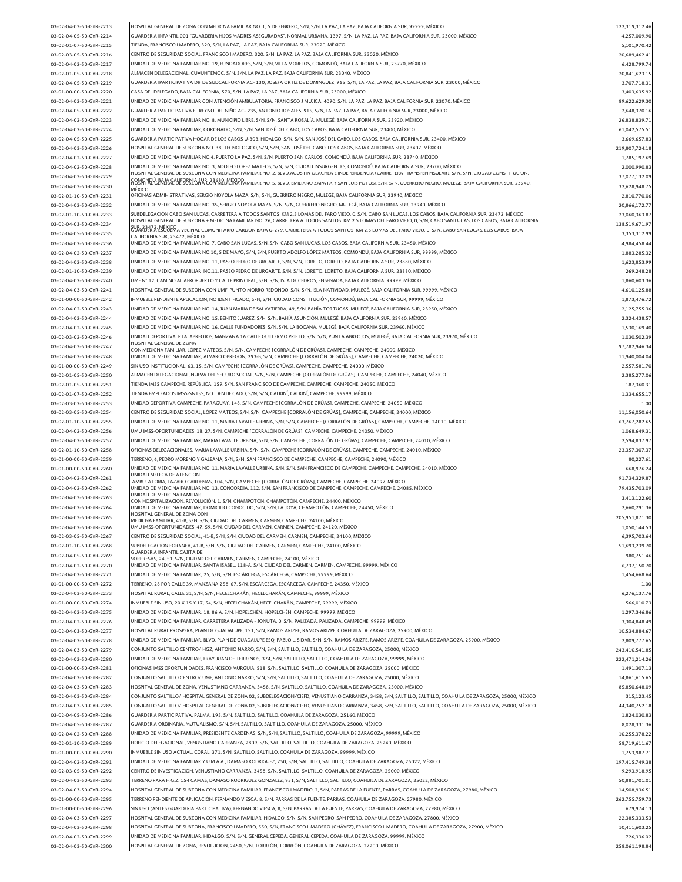| 03-02-04-05-50-GYR-2214                            | HOSPITAL GENERAL DE ZONA CON MEDICNA FAMILIAR NO. 1, 5 DE FEBRERO, S/N, S/N, LA PAZ, LA PAZ, BAJA CALIFORNIA SUR, 99999, MÉXICO                                                                                               | 122,319,312.46               |
|----------------------------------------------------|-------------------------------------------------------------------------------------------------------------------------------------------------------------------------------------------------------------------------------|------------------------------|
|                                                    | GUARDERIA INFANTIL 001 "GUARDERIA HIJOS MADRES ASEGURADAS", NORMAL URBANA, 1397, S/N, LA PAZ, LA PAZ, BAJA CALIFORNIA SUR, 23000, MÈXICO                                                                                      | 4,257,009.90                 |
| 03-02-01-07-50-GYR-2215                            | TIENDA, FRANCISCO I MADERO, 320, S/N, LA PAZ, LA PAZ, BAJA CALIFORNIA SUR, 23020, MÉXICO                                                                                                                                      | 5,101,970.42                 |
| 03-02-03-05-50-GYR-2216                            | CENTRO DE SEGURIDAD SOCIAL, FRANCISCO I MADERO, 320, S/N, LA PAZ, LA PAZ, BAJA CALIFORNIA SUR, 23020, MÉXICO                                                                                                                  | 20,689,462.41                |
|                                                    | UNIDAD DE MEDICINA FAMILIAR NO. 19, FUNDADORES, S/N, S/N, VILLA MORELOS, COMONDÚ, BAJA CALIFORNIA SUR, 23770, MÉXICO                                                                                                          |                              |
| 03-02-04-02-50-GYR-2217                            |                                                                                                                                                                                                                               | 6,428,799.74                 |
| 03-02-01-05-50-GYR-2218                            | ALMACEN DELEGACIONAL, CUAUHTEMOC, S/N, S/N, LA PAZ, LA PAZ, BAJA CALIFORNIA SUR, 23040, MÉXICO                                                                                                                                | 20,841,623.15                |
| 03-02-04-05-50-GYR-2219                            | GUARDERIA IPARTICIPATIVA DIF DE SUDCALIFORNIA AC- 130, JOSEFA ORTIZ DE DOMINGUEZ, 965, S/N, LA PAZ, LA PAZ, BAJA CALIFORNIA SUR, 23000, MÉXICO                                                                                | 3,707,718.3                  |
| 02-01-00-00-50-GYR-2220                            | CASA DEL DELEGADO, BAJA CALIFORNIA, 570, S/N, LA PAZ, LA PAZ, BAJA CALIFORNIA SUR, 23000, MÉXICO                                                                                                                              | 3,403,635.92                 |
| 03-02-04-02-50-GYR-2221                            | UNIDAD DE MEDICINA FAMILIAR CON ATENCIÓN AMBULATORIA, FRANCISCO J MUJICA, 4090, S/N, LA PAZ, LA PAZ, BAJA CALIFORNIA SUR, 23070, MÉXICO                                                                                       | 89,622,629.30                |
| 03-02-04-05-50-GYR-2222                            | GUARDERIA PARTICIPATIVA EL REYNO DEL NIÑO AC-235, ANTONIO ROSALES, 915, S/N, LA PAZ, LA PAZ, BAJA CALIFORNIA SUR, 23000, MÉXICO                                                                                               | 2,648,370.16                 |
| 03-02-04-02-50-GYR-2223                            | UNIDAD DE MEDICINA FAMILIAR NO. 8, MUNICIPIO LIBRE, S/N, S/N, SANTA ROSALÍA, MULEGÉ, BAJA CALIFORNIA SUR, 23920, MÉXICO                                                                                                       | 26,838,839.71                |
|                                                    | UNIDAD DE MEDICINA FAMILIAR, CORONADO, S/N, S/N, SAN JOSÉ DEL CABO, LOS CABOS, BAJA CALIFORNIA SUR, 23400, MÉXICO                                                                                                             |                              |
| 03-02-04-02-50-GYR-2224                            |                                                                                                                                                                                                                               | 61,042,575.51                |
| 03-02-04-05-50-GYR-2225                            | GUARDERIA PARTICIPATIVA HOGAR DE LOS CABOS U-303. HIDALGO. S/N. S/N. SAN JOSÉ DEL CABO. LOS CABOS. BAJA CALIFORNIA SUR. 23400. MÉXICO                                                                                         | 3,669,657.83                 |
| 03-02-04-03-50-GYR-2226                            | HOSPITAL GENERAL DE SUBZONA NO. 38, TECNOLOGICO, S/N, S/N, SAN JOSÉ DEL CABO, LOS CABOS, BAJA CALIFORNIA SUR, 23407, MÊXICO                                                                                                   | 219,807,724.18               |
| 03-02-04-02-50-GYR-2227                            | UNIDAD DE MEDICINA FAMILIAR NO.4. PUERTO LA PAZ. S/N. S/N. PUERTO SAN CARLOS. COMONDÚ. BAJA CALIFORNIA SUR. 23740. MÉXICO                                                                                                     | 1,785,197.69                 |
| 03-02-04-02-50-GYR-2228                            | UNIDAD DE MEDICINA FAMILIAR NO. 3, ADOLFO LOPEZ MATEOS, S/N, S/N, CIUDAD INSURGENTES, COMONDÚ, BAJA CALIFORNIA SUR, 23700, MÉXICO                                                                                             | 2,000,990.83                 |
| 03-02-04-03-50-GYR-2229                            | HOSPITAL GENERAL DE SUBZONA CON MEDICINA FAMILIAR NO. 2, BLVD.AGUSTIN OLACHEA E INDEPENDENCIA (CARRETERA TRANSPENINSULAR), S/N, S/N, CIUDAD CONSTITUCION,                                                                     | 37,077,132.09                |
|                                                    | GØSPIYRLERNESTYFSDYS SKREMENT FANGER OG 1, blvd. emiliang zapata y san luis potosi, s/n, s/n, gjerrero negro, mulege, baja california sur, 23940,                                                                             |                              |
| 03-02-04-03-50-GYR-2230                            | MÉXICO                                                                                                                                                                                                                        | 32,628,948.75                |
| 03-02-01-10-50-GYR-2231                            | OFICINAS ADMINISTRATIVAS, SERGIO NOYOLA MAZA, S/N, S/N, GUERRERO NEGRO, MULEGÉ, BAJA CALIFORNIA SUR, 23940, MÉXICO                                                                                                            | 2,810,770.06                 |
| 03-02-04-02-50-GYR-2232                            | UNIDAD DE MEDICINA FAMILIAR NO. 35, SERGIO NOYOLA MAZA, S/N, S/N, GUERRERO NEGRO, MULEGÉ, BAJA CALIFORNIA SUR, 23940, MÉXICO                                                                                                  | 20,866,172.77                |
| 03-02-01-10-50-GYR-2233                            | SUBDELEGACIÓN CABO SAN LUCAS, CARRETERA A TODOS SANTOS KM 2.5 LOMAS DEL FARO VIEJO, 0, S/N, CABO SAN LUCAS, LOS CABOS, BAJA CALIFORNIA SUR, 23472, MÉXICO                                                                     | 23,060,363.87                |
| 03-02-04-03-50-GYR-2234                            | HOSPITAL GENERAL DE SUBZONA + MEDICINA FAMILIAR NO. 26, CARRETERA A TODOS SANTOS KM 2.5 LOMAS DEL FARO VIEJO, 0, S/N, CABO SAN LUCAS, LOS CABOS, BAJA CALIFORNIA                                                              | 138,519,671.97               |
| 03-02-04-05-50-GYR-2235                            | SUA702RTX NEXIEM vecinal comunitario cardon baja u-279, carretera a todos santos km 2.5 lomas del faro viejo, 0, s/n, cabo san lucas, los cabos, baja                                                                         | 3,353,312.99                 |
| 03-02-04-02-50-GYR-2236                            | CALIFORNIA SUR, 23472, MÉXICO<br>UNIDAD DE MEDICINA FAMILIAR NO. 7, CABO SAN LUCAS, S/N, S/N, CABO SAN LUCAS, LOS CABOS, BAJA CALIFORNIA SUR, 23450, MÊXICO                                                                   | 4,984,458.44                 |
|                                                    | UNIDAD DE MEDICINA FAMILIAR NO.10. 5 DE MAYO. S/N. S/N. PUERTO ADOLFO LÓPEZ MATEOS. COMONDÚ. BAJA CALIFORNIA SUR. 99999. MÉXICO                                                                                               |                              |
| 03-02-04-02-50-GYR-2237                            |                                                                                                                                                                                                                               | 1,883,285.32                 |
| 03-02-04-02-50-GYR-2238                            | UNIDAD DE MEDICINA FAMILIAR NO. 11, PASEO PEDRO DE URGARTE, S/N, S/N, LORETO, LORETO, BAJA CALIFORNIA SUR, 23880, MÊXICO                                                                                                      | 1,623,853.99                 |
| 03-02-01-10-50-GYR-2239                            | UNIDAD DE MEDICINA FAMILIAR NO.11, PASEO PEDRO DE URGARTE, S/N, S/N, LORETO, LORETO, BAJA CALIFORNIA SUR, 23880, MÊXICO                                                                                                       | 269,248.28                   |
| 03-02-04-02-50-GYR-2240                            | UMF N° 12, CAMINO AL AEROPUERTO Y CALLE PRINCIPAL, S/N, S/N, ISLA DE CEDROS, ENSENADA, BAJA CALIFORNIA, 99999, MÊXICO                                                                                                         | 1,860,603.36                 |
| 03-02-04-03-50-GYR-2241                            | HOSPITAL GENERAL DE SUBZONA CON UMF, PUNTO MORRO REDONDO, S/N, S/N, ISLA NATIVIDAD, MULEGË, BAJA CALIFORNIA SUR, 99999, MËXICO                                                                                                | 4,610,125.88                 |
| 01-01-00-00-50-GYR-2242                            | INMUEBLE PENDIENTE APLICACION, NO IDENTIFICADO, S/N, S/N, CIUDAD CONSTITUCIÓN, COMONDÚ, BAJA CALIFORNIA SUR, 99999, MÉXICO                                                                                                    | 1,873,476.72                 |
| 03-02-04-02-50-GYR-2243                            | UNIDAD DE MEDICINA FAMILIAR NO. 14, JUAN MARIA DE SALVATIERRA, 49, S/N, BAHÍA TORTUGAS, MULEGÊ, BAJA CALIFORNIA SUR, 23950, MÊXICO                                                                                            | 2,125,755.36                 |
|                                                    |                                                                                                                                                                                                                               |                              |
| 03-02-04-02-50-GYR-2244                            | UNIDAD DE MEDICINA FAMILIAR NO. 15, BENITO JUAREZ, S/N, S/N, BAHÍA ASUNCIÓN, MULEGÊ, BAJA CALIFORNIA SUR, 23960, MÊXICO                                                                                                       | 2,324,438.57                 |
| 03-02-04-02-50-GYR-2245                            | UNIDAD DE MEDICINA FAMILIAR NO. 16, CALLE FUNDADORES, S/N, S/N, LA BOCANA, MULEGÉ, BAJA CALIFORNIA SUR, 23960, MÉXICO                                                                                                         | 1.530.169.40                 |
| 03-02-03-02-50-GYR-2246                            | UNIDAD DEPORTIVA PTA. ABREOJOS, MANZANA 16 CALLE GUILLERMO PRIETO, S/N, S/N, PUNTA ABREOJOS, MULEGÉ, BAJA CALIFORNIA SUR, 23970, MÉXICO                                                                                       | 1,030,502.39                 |
| 03-02-04-03-50-GYR-2247                            | HOSPITAL GENERAL DE ZONA<br>CON MEDICNA FAMILIAR, LÓPEZ MATEOS, S/N, S/N, CAMPECHE [CORRALÓN DE GRÚAS], CAMPECHE, CAMPECHE, 24000, MÊXICO                                                                                     | 97,782,946.34                |
| 03-02-04-02-50-GYR-2248                            | UNIDAD DE MEDICINA FAMILIAR, ALVARO OBREGON, 293-B, S/N, CAMPECHE [CORRALÓN DE GRÚAS], CAMPECHE, CAMPECHE, 24020, MÉXICO                                                                                                      | 11,940,004.04                |
| 01-01-00-00-50-GYR-2249                            | SIN USO INSTITUCIONAL, 63, 15, S/N, CAMPECHE [CORRALÓN DE GRÚAS], CAMPECHE, CAMPECHE, 24000, MÉXICO                                                                                                                           | 2,557,581.70                 |
|                                                    |                                                                                                                                                                                                                               |                              |
| 03-02-01-05-50-GYR-2250                            | ALMACEN DELEGACIONAL, NUEVA DEL SEGURO SOCIAL, S/N, S/N, CAMPECHE [CORRALÓN DE GRÚAS], CAMPECHE, CAMPECHE, 24040, MÉXICO                                                                                                      | 2,385,277.06                 |
| 03-02-01-05-50-GYR-2251                            | TIENDA IMSS CAMPECHE, REPÚBLICA, 159, S/N, SAN FRANCISCO DE CAMPECHE, CAMPECHE, CAMPECHE, 24050, MÉXICO                                                                                                                       | 187,360.33                   |
| 03-02-01-07-50-GYR-2252                            | TIENDA EMPLEADOS IMSS-SNTSS, NO IDENTIFICADO, S/N, S/N, CALKINĪ, CALKINĪ, CAMPECHE, 99999, MĚXICO                                                                                                                             | 1,334,655.17                 |
| 03-02-03-02-50-GYR-2253                            | UNIDAD DEPORTIVA CAMPECHE, PARAGUAY, 148, S/N, CAMPECHE [CORRALÓN DE GRÚAS], CAMPECHE, CAMPECHE, 24050, MÉXICO                                                                                                                | 1.00                         |
| 03-02-03-05-50-GYR-2254                            | CENTRO DE SEGURIDAD SOCIAL, LÓPEZ MATEOS, S/N, S/N, CAMPECHE [CORRALÓN DE GRÚAS], CAMPECHE, CAMPECHE, 24000, MÉXICO                                                                                                           | 11,156,050.64                |
| 03-02-01-10-50-GYR-2255                            | UNIDAD DE MEDICINA FAMILIAR NO. 11, MARIA LAVALLE URBINA, S/N, S/N, CAMPECHE [CORRALÓN DE GRÚAS], CAMPECHE, CAMPECHE, 24010, MÉXICO                                                                                           | 63,767,282.65                |
| 03-02-04-02-50-GYR-2256                            | UMU IMSS-OPORTUNIDADES, 18, 27, S/N, CAMPECHE [CORRALÓN DE GRÚAS], CAMPECHE, CAMPECHE, 24050, MÉXICO                                                                                                                          |                              |
|                                                    |                                                                                                                                                                                                                               | 1,068,649.31                 |
| 03-02-04-02-50-GYR-2257                            | UNIDAD DE MEDICINA FAMILIAR, MARIA LAVALLE URBINA, S/N, S/N, CAMPECHE [CORRALÓN DE GRÚAS], CAMPECHE, CAMPECHE, 24010, MÊXICO                                                                                                  | 2,594,837.97                 |
| 03-02-01-10-50-GYR-2258                            | OFICINAS DELEGACIONALES, MARIA LAVALLE URBINA, S/N, S/N, CAMPECHE [CORRALÒN DE GRÚAS], CAMPECHE, CAMPECHE, 24010, MÈXICO                                                                                                      | 23,357,307.37                |
| 01-01-00-00-50-GYR-2259                            | TERRENO, 6, PEDRO MORENO Y GALEANA, S/N, S/N, SAN FRANCISCO DE CAMPECHE, CAMPECHE, CAMPECHE, 24090, MÊXICO                                                                                                                    | 80,227.61                    |
| 01-01-00-00-50-GYR-2260                            | UNIDAD DE MEDICINA FAMILIAR NO. 11, MARIA LAVALLE URBINA, S/N, S/N, SAN FRANCISCO DE CAMPECHE, CAMPECHE, CAMPECHE, 24010, MÊXICO                                                                                              | 668,976.24                   |
| 03-02-04-02-50-GYR-2261                            | <b>JNIDAD MEDICA DE ATENCION</b>                                                                                                                                                                                              | 91,734,329.87                |
|                                                    | AMBULATORIA, LAZARO CARDENAS, 104, S/N, CAMPECHE [CORRALÓN DE GRÚAS], CAMPECHE, CAMPECHE, 24097, MÉXICO                                                                                                                       |                              |
| 03-02-04-02-50-GYR-2262                            | UNIDAD DE MEDICINA FAMILIAR NO. 13, CONCORDIA, 112, S/N, SAN FRANCISCO DE CAMPECHE, CAMPECHE, CAMPECHE, 24085, MÉXICO<br>UNIDAD DE MEDICINA FAMILIAR                                                                          | 79,435,703.09                |
| 03-02-04-03-50-GYR-2263                            | CON HOSPITALIZACION, REVOLUCIÓN, 1, S/N, CHAMPOTÓN, CHAMPOTÓN, CAMPECHE, 24400, MÉXICO                                                                                                                                        | 3.413.122.60                 |
| 03-02-04-02-50-GYR-2264                            | UNIDAD DE MEDICINA FAMILIAR, DOMICILIO CONOCIDO, S/N, S/N, LA JOYA, CHAMPOTÓN, CAMPECHE, 24450, MÉXICO                                                                                                                        | 2,660,291.36                 |
| 03-02-04-03-50-GYR-2265                            | HOSPITAL GENERAL DE ZONA CON                                                                                                                                                                                                  | 205,951,871.30               |
| 03-02-04-02-50-GYR-2266                            | MEDICNA FAMILIAR, 41-B, S/N, S/N, CIUDAD DEL CARMEN, CARMEN, CAMPECHE, 24100, MÉXICO<br>UMU IMSS-OPORTUNIDADES, 47, 59, S/N, CIUDAD DEL CARMEN, CARMEN, CAMPECHE, 24120, MÉXICO                                               | 1,050,144.53                 |
|                                                    | CENTRO DE SEGURIDAD SOCIAL, 41-B, S/N, S/N, CIUDAD DEL CARMEN, CARMEN, CAMPECHE, 24100, MÉXICO                                                                                                                                |                              |
| 03-02-03-05-50-GYR-2267                            |                                                                                                                                                                                                                               | 6,395,703.64                 |
| 03-02-01-10-50-GYR-2268                            | SUBDELEGACION FORANEA, 41-B, S/N, S/N, CIUDAD DEL CARMEN, CARMEN, CAMPECHE, 24100, MÉXICO<br><b>GUARDERIA INFANTIL CAJITA DE</b>                                                                                              |                              |
| 03-02-04-05-50-GYR-2269                            |                                                                                                                                                                                                                               | 51,693,239.70                |
|                                                    |                                                                                                                                                                                                                               | 980,751.46                   |
| 03-02-04-02-50-GYR-2270                            | SORPRESAS, 24, 51, S/N, CIUDAD DEL CARMEN, CARMEN, CAMPECHE, 24100, MEXICO<br>UNIDAD DE MEDICINA FAMILIAR, SANTA ISABEL, 118-A, S/N, CIUDAD DEL CARMEN, CARMEN, CAMPECHE, 99999, MÉXICO                                       | 6,737,150.70                 |
| 03-02-04-02-50-GYR-2271                            | UNIDAD DE MEDICINA FAMILIAR, 25, S/N, S/N, ESCÁRCEGA, ESCÁRCEGA, CAMPECHE, 99999, MÉXICO                                                                                                                                      |                              |
|                                                    |                                                                                                                                                                                                                               | 1,454,668.64                 |
| 01-01-00-00-50-GYR-2272                            | TERRENO, 28 POR CALLE 39, MANZANA 258, 67, S/N, ESCÁRCEGA, ESCÁRCEGA, CAMPECHE, 24350, MÉXICO                                                                                                                                 | 1.00                         |
| 03-02-04-03-50-GYR-2273                            | HOSPITAL RURAL. CALLE 31. S/N. S/N. HECELCHAKÁN. HECELCHAKÁN. CAMPECHE. 99999. MÉXICO                                                                                                                                         | 6,276,137.76                 |
| 01-01-00-00-50-GYR-2274                            | INMUEBLE SIN USO, 20 X 15 Y 17, 54, S/N, HECELCHAKÁN, HECELCHAKÁN, CAMPECHE, 99999, MÉXICO                                                                                                                                    | 566,010.73                   |
| 03-02-04-02-50-GYR-2275                            | UNIDAD DE MEDICINA FAMILIAR, 18, 86 A, S/N, HOPELCHÉN, HOPELCHÉN, CAMPECHE, 99999, MÉXICO                                                                                                                                     | 1,297,346.86                 |
| 03-02-04-02-50-GYR-2276                            | UNIDAD DE MEDICINA FAMILIAR, CARRETERA PALIZADA - JONUTA, 0, S/N, PALIZADA, PALIZADA, CAMPECHE, 99999, MÊXICO                                                                                                                 | 3,304,848.49                 |
| 03-02-04-03-50-GYR-2277                            | HOSPITAL RURAL PROSPERA, PLAN DE GUADALUPE, 151, S/N, RAMOS ARIZPE, RAMOS ARIZPE, COAHUILA DE ZARAGOZA, 25900, MÉXICO                                                                                                         | 10,534,884.67                |
|                                                    |                                                                                                                                                                                                                               |                              |
| 03-02-04-02-50-GYR-2278                            | UNIDAD DE MEDICINA FAMILIAR, BLVD. PLAN DE GUADALUPE ESQ. PABLO L. SIDAR, S/N, S/N, RAMOS ARIZPE, RAMOS ARIZPE, COAHUILA DE ZARAGOZA, 25900, MÉXICO                                                                           | 2,809,777.65                 |
| 03-02-04-03-50-GYR-2279                            | CONJUNTO SALTILLO CENTRO/ HGZ, ANTONIO NARRO, S/N, S/N, SALTILLO, SALTILLO, COAHUILA DE ZARAGOZA, 25000, MÉXICO                                                                                                               | 243,410,541.85               |
| 03-02-04-02-50-GYR-2280                            | UNIDAD DE MEDICINA FAMILIAR, FRAY JUAN DE TERRENOS, 374, S/N, SALTILLO, SALTILLO, COAHUILA DE ZARAGOZA, 99999, MÊXICO                                                                                                         | 222,471,214.26               |
| 02-01-00-00-50-GYR-2281                            | OFICINAS IMSS OPORTUNIDADES, FRANCISCO MURGUIA, 518, S/N, SALTILLO, SALTILLO, COAHUILA DE ZARAGOZA, 25000, MÉXICO                                                                                                             | 1,491,307.13                 |
| 03-02-04-02-50-GYR-2282                            | CONJUNTO SALTILLO CENTRO/ UMF, ANTONIO NARRO, S/N, S/N, SALTILLO, SALTILLO, COAHUILA DE ZARAGOZA, 25000, MÊXICO                                                                                                               | 14,861,615.65                |
| 03-02-04-03-50-GYR-2283                            | HOSPITAL GENERAL DE ZONA, VENUSTIANO CARRANZA, 3458, S/N, SALTILLO, SALTILLO, COAHUILA DE ZARAGOZA, 25000, MÉXICO                                                                                                             | 85,850,648.09                |
| 03-02-04-03-50-GYR-2284                            | CONJUNTO SALTILLO/ HOSPITAL GENERAL DE ZONA 02, SUBDELEGACION/CIEFD, VENUSTIANO CARRANZA, 3458, S/N, SALTILLO, SALTILLO, COAHUILA DE ZARAGOZA, 25000, MÉXICO                                                                  | 315,123.45                   |
|                                                    |                                                                                                                                                                                                                               |                              |
| 03-02-04-03-50-GYR-2285                            | CONJUNTO SALTILLO/ HOSPITAL GENERAL DE ZONA 02, SUBDELEGACION/CIEFD, VENUSTIANO CARRANZA, 3458, S/N, SALTILLO, SALTILLO, COAHUILA DE ZARAGOZA, 25000, MÉXICO                                                                  | 44,340,752.18                |
| 03-02-04-05-50-GYR-2286                            | GUARDERIA PARTICIPATIVA, PALMA, 195, S/N, SALTILLO, SALTILLO, COAHUILA DE ZARAGOZA, 25160, MÉXICO                                                                                                                             | 1.824.030.83                 |
| 03-02-04-05-50-GYR-2287                            | GUARDERIA ORDINARIA, MUTUALISMO, S/N, S/N, SALTILLO, SALTILLO, COAHUILA DE ZARAGOZA, 25000, MÉXICO                                                                                                                            | 8,028,331.36                 |
| 03-02-04-02-50-GYR-2288                            | UNIDAD DE MEDICINA FAMILIAR, PRESIDENTE CARDENAS, S/N, S/N, SALTILLO, SALTILLO, COAHUILA DE ZARAGOZA, 99999, MÉXICO                                                                                                           | 10,255,378.22                |
| 03-02-01-10-50-GYR-2289                            | EDIFICIO DELEGACIONAL, VENUSTIANO CARRANZA, 2809, S/N, SALTILLO, SALTILLO, COAHUILA DE ZARAGOZA, 25240, MÉXICO                                                                                                                | 58,719,611.67                |
| 01-01-00-00-50-GYR-2290                            | INMUEBLE SIN USO ACTUAL, CORAL, 371, S/N, SALTILLO, SALTILLO, COAHUILA DE ZARAGOZA, 99999, MÉXICO                                                                                                                             | 1,753,987.71                 |
|                                                    |                                                                                                                                                                                                                               |                              |
| 03-02-04-02-50-GYR-2291                            | UNIDAD DE MEDICINA FAMILIAR Y U.M.A.A., DAMASO RODRIGUEZ, 750, S/N, SALTILLO, SALTILLO, COAHUILA DE ZARAGOZA, 25022, MÉXICO                                                                                                   | 197,415,749.38               |
| 03-02-03-05-50-GYR-2292                            | CENTRO DE INVESTIGACIÓN, VENUSTIANO CARRANZA, 3458, S/N, SALTILLO, SALTILLO, COAHUILA DE ZARAGOZA, 25000, MÉXICO                                                                                                              | 9,293,918.95                 |
| 03-02-04-03-50-GYR-2293                            | TERRENO PARA H.G.Z. 154 CAMAS, DAMASO RODRIGUEZ GONZALEZ, 951, S/N, SALTILLO, SALTILLO, COAHUILA DE ZARAGOZA, 25022, MÉXICO                                                                                                   | 50,881,701.01                |
| 03-02-04-03-50-GYR-2294                            | HOSPITAL GENERAL DE SUBZONA CON MEDICINA FAMILIAR, FRANCISCO I MADERO, 2, S/N, PARRAS DE LA FUENTE, PARRAS, COAHUILA DE ZARAGOZA, 27980, MÉXICO                                                                               | 14,508,936.51                |
| 01-01-00-00-50-GYR-2295                            | TERRENO PENDIENTE DE APLICACIÓN, FERNANDO VIESCA, 8, S/N, PARRAS DE LA FUENTE, PARRAS, COAHUILA DE ZARAGOZA, 27980, MÉXICO                                                                                                    | 262,755,759.73               |
| 01-01-00-00-50-GYR-2296                            | SIN USO (ANTES GUARDERIA PARTICIPATIVA), FERNANDO VIESCA, 8, S/N, PARRAS DE LA FUENTE, PARRAS, COAHUILA DE ZARAGOZA, 27980, MÉXICO                                                                                            | 679,974.13                   |
| 03-02-04-03-50-GYR-2297                            | HOSPITAL GENERAL DE SUBZONA CON MEDICINA FAMILIAR, HIDALGO, S/N, S/N, SAN PEDRO, SAN PEDRO, COAHUILA DE ZARAGOZA, 27800, MÊXICO                                                                                               |                              |
|                                                    |                                                                                                                                                                                                                               | 22,385,333.53                |
| 03-02-04-03-50-GYR-2298                            | HOSPITAL GENERAL DE SUBZONA, FRANCISCO I MADERO, 550, S/N, FRANCISCO I. MADERO (CHÁVEZ), FRANCISCO I. MADERO, COAHUILA DE ZARAGOZA, 27900, MÉXICO                                                                             | 10,411,603.25                |
| 03-02-04-02-50-GYR-2299<br>03-02-04-03-50-GYR-2300 | UNIDAD DE MEDICINA FAMILIAR, HIDALGO, S/N, S/N, GENERAL CEPEDA, GENERAL CEPEDA, COAHUILA DE ZARAGOZA, 99999, MÉXICO<br>HOSPITAL GENERAL DE ZONA, REVOLUCION, 2450, S/N, TORREÓN, TORREÓN, COAHUILA DE ZARAGOZA, 27200, MÉXICO | 726,336.02<br>258,061,198.84 |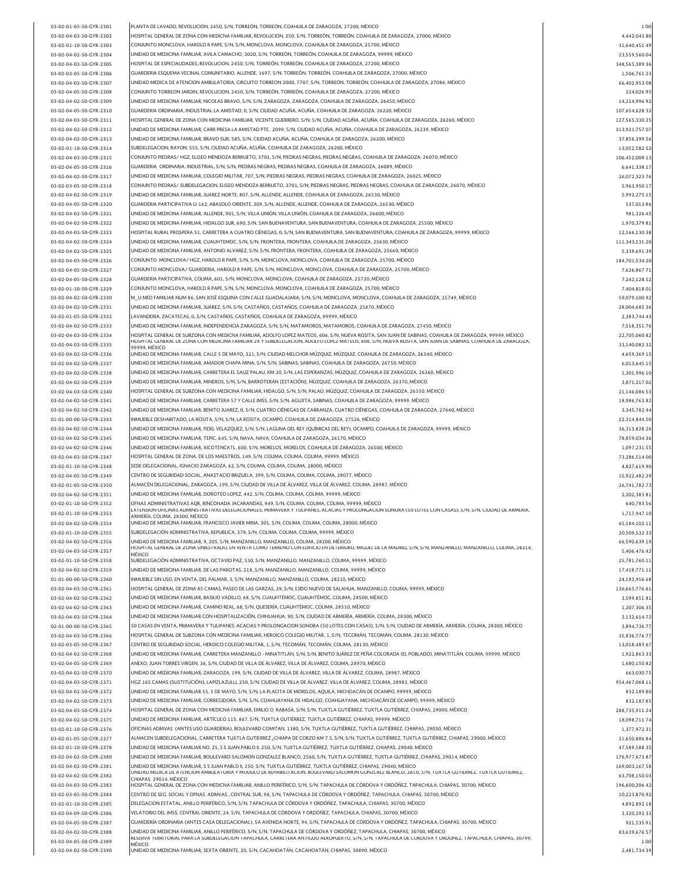03-02-01-05-50-GYR-2301 PLANTA DE LAVADO, REVOLUCION, 2450, S/N, TORREÓN, TORREÓN, COAHUILA DE ZARAGOZA, 27200, MÉXICO ANTENIDA EN ELA ENTREJOURILA DE CARAGOZA, 27200, MÉXICO ANTENIDA DE SARAGOZA, 27200, MÉXICO ANTENIDA DE 03-02-04-03-50-GYR-2302 HOSPITAL GENERAL DE ZONA CON MEDICNA FAMILIAR, REVOLUCION, 250, S/N, TORREÓN, TORREÓN, COAHUILA DE ZARAGOZA, 27000, MEXICO 4.042.04 - 03-442,043.80 4,442,043.80 03-02-01-10-50-GYR-2303 31,640,451.49 CONJUNTO MONCLOVA, HAROLD R PAPE, S/N, S/N, MONCLOVA, MONCLOVA, COAHUILA DE ZARAGOZA, 25700, MÉXICO 03-02-04-02-50-GYR-2304 23,559,560.04 UNIDAD DE MEDICINA FAMILIAR, AVILA CAMACHO, 3020, S/N, TORREÓN, TORREÓN, COAHUILA DE ZARAGOZA, 99999, MÉXICO 03-02-04-03-50-GYR-2305 348,565,389.36 HOSPITAL DE ESPECIALIDADES, REVOLUCION, 2450, S/N, TORREÓN, TORREÓN, COAHUILA DE ZARAGOZA, 27200, MÉXICO 03-02-03-05-50-GYR-2306 1,506,761.23 GUARDERIA ESQUEMA VECINAL COMUNITARIO, ALLENDE, 1697, S/N, TORREÓN, TORREÓN, COAHUILA DE ZARAGOZA, 27000, MÉXICO 03-02-04-02-50-GYR-2307 UNIDAD MEDICA DE ATENCION AMBULATORIA, CIRCUITO TORREÓN 2000, 7707, S/N, TORREÓN, TORREÓN, COAHUILA DE ZARAGOZA, 27086, MEXICO 66,402,953.08 03-02-04-05-50-GYR-2308 224,026.95 CONJUNTO TORREON JARDIN, REVOLUCION, 2450, S/N, TORREÓN, TORREÓN, COAHUILA DE ZARAGOZA, 27200, MÉXICO 03-02-04-02-50-GYR-2309 UNIDAD DE MEDICINA FAMILIAR, NICOLAS BRAVO, S/N, S/N, ZARAGOZA, ZARAGOZA, COAHUILA DE ZARAGOZA, 26450, MEXICO ANNO 14,214,996.92 14,214,996.92 03-02-04-05-50-GYR-2310 107,654,628.32 GUARDERIA ORDINARIA, INDUSTRIAL LA AMISTAD, 0, S/N, CIUDAD ACUÑA, ACUÑA, COAHUILA DE ZARAGOZA, 26220, MÉXICO 03-02-04-03-50-GYR-2311 HOSPITAL GENERAL DE ZONA CON MEDICINA FAMILIAR, VICENTE GUERRERO, S/N, S/N, CIUDAD ACUNA, ACUNA, COAHUILA DE ZARAGOZA, 26260, MEXICO 1999 1127,565,330.25 127,565,330.25 03-02-04-02-50-GYR-2312 313,921,757.07 UNIDAD DE MEDICINA FAMILIAR, CARR PRESA LA AMISTAD PTE., 2099, S/N, CIUDAD ACUÑA, ACUÑA, COAHUILA DE ZARAGOZA, 26239, MÉXICO 03-02-04-02-50-GYR-2313 37,856,399.56 UNIDAD DE MEDICINA FAMILIAR, BRAVO SUR, 585, S/N, CIUDAD ACUÑA, ACUÑA, COAHUILA DE ZARAGOZA, 26200, MÉXICO 03-02-01-10-50-GYR-2314 13,052,582.52 SUBDELEGACION, RAYON, 555, S/N, CIUDAD ACUÑA, ACUÑA, COAHUILA DE ZARAGOZA, 26200, MÉXICO 03-02-04-03-50-GYR-2315 106,452,009.13 CONJUNTO PIEDRAS/ HGZ, ELISEO MENDOZA BERRUETO, 3701, S/N, PIEDRAS NEGRAS, PIEDRAS NEGRAS, COAHUILA DE ZARAGOZA, 26070, MÉXICO 03-02-04-05-50-GYR-2316 6,641,338.17 GUARDERIA ORDINARIA, INDUSTRIAL, S/N, S/N, PIEDRAS NEGRAS, PIEDRAS NEGRAS, COAHUILA DE ZARAGOZA, 26089, MÉXICO 03-02-04-02-50-GYR-2317 UNIDAD DE MEDICINA FAMILIAR, COLEGIO MILITAR, 707, S/N, PIEDRAS NEGRAS, PIEDRAS NEGRAS, COAHUILA DE ZARAGOZA, 26025, MEXICO 26,072,323.76 03-02-03-05-50-GYR-2318 5,963,950.17 CONJUNTO PIEDRAS/ SUBDELEGACION, ELISEO MENDOZA BERRUETO, 3701, S/N, PIEDRAS NEGRAS, PIEDRAS NEGRAS, COAHUILA DE ZARAGOZA, 26070, MÉXICO 03-02-04-02-50-GYR-2319 5,992,275.15 UNIDAD DE MEDICINA FAMILIAR, JUAREZ NORTE, 807, S/N, ALLENDE, ALLENDE, COAHUILA DE ZARAGOZA, 26530, MÉXICO 03-02-04-05-50-GYR-2320 GUARDERIA PARTICIPATIVA U-162, ABASOLO ORIENTE, 209, S/N, ALLENDE, ALLENDE, COAHUILA DE ZARAGOZA, 26530, MEXICO ANTENDE, AND ANNO 1999 SAN ANNO 1999 STATES AND A STATES AND A STATES AND STATES AND S 03-02-04-02-50-GYR-2321 UNIDAD DE MEDICINA FAMILIAR, ALLENDE, 901, S/N, VILLA UNIÓN, VILLA UNIÓN, COAHUILA DE ZARAGOZA, 26600, MÉXICO CORPORTEDO DE SAN ESSENTEDO DE SAN ESSENTEDO DE SAN ESSENTEDO DE SAN ESSENTEDO DE SAN ES 03-02-04-02-50-GYR-2322 UNIDAD DE MEDICINA FAMILIAR, HIDALGO SUR, 690, S/N, SAN BUENAVENTURA, SAN BUENAVENTURA, COAHUILA DE ZARAGOZA, 25500, MEXICO \$1,970, MEXICO \$1,970,379.81 \$1,970,379.81 03-02-04-03-50-GYR-2323 12,166,130.38 HOSPITAL RURAL PROSPERA 51, CARRETERA A CUATRO CIÉNEGAS, 0, S/N, SAN BUENAVENTURA, SAN BUENAVENTURA, COAHUILA DE ZARAGOZA, 99999, MÉXICO 03-02-04-02-50-GYR-2324 UNIDAD DE MEDICINA FAMILIAR, CUAUHTEMOC, S/N, S/N, FRONTERA, FRONTERA, COAHUILA DE ZARAGOZA, 25630, MEXICO ANNO 1999 111,343,131.20 11,343,131.20 03-02-04-02-50-GYR-2325 5,339,691.39 UNIDAD DE MEDICINA FAMILIAR, ANTONIO ALVAREZ, S/N, S/N, FRONTERA, FRONTERA, COAHUILA DE ZARAGOZA, 25660, MÉXICO 03-02-04-03-50-GYR-2326 184,701,534.20 CONJUNTO MONCLOVA/ HGZ, HAROLD R PAPE, S/N, S/N, MONCLOVA, MONCLOVA, COAHUILA DE ZARAGOZA, 25700, MÉXICO 03-02-04-05-50-GYR-2327 CONJUNTO MONCLOVA/ GUARDERIA, HAROLD R PAPE, S/N, S/N, MONCLOVA, MONCLOVA, COAHUILA DE ZARAGOZA, 25700, MEXICO CHINA AND ANNO 1999 1,626,867.71 2636,867.71 2636,867.71 03-02-04-05-50-GYR-2328 7,242,128.52 GUARDERIA PARTICIPATIVA, COLIMA, 601, S/N, MONCLOVA, MONCLOVA, COAHUILA DE ZARAGOZA, 25720, MÉXICO 03-02-01-10-50-GYR-2329 CONJUNTO MONCLOVA, HAROLD R PAPE, S/N, S/N, MONCLOVA, MONCLOVA, COAHUILA DE ZARAGOZA, 25700, MEXICO CHAROLD AND RELARAGOZA, 25700, MEXICO CHAROLD AND RELARAGOZA, 25700, MEXICO CHAROLD AND RELARAGOZA 03-02-04-02-50-GYR-2330 M\_U MED FAMILIAR NUM 86, SAN JOSÉ ESQUINA CON CALLE GUADALAJARA, S/N, S/N, MONCLOVA, MONCLOVA, COAHUILA DE ZARAGOZA, 25749, MEXICO \_\_\_\_\_\_\_\_\_\_\_\_\_\_\_\_\_\_\_\_\_\_\_\_\_\_\_\_\_\_\_ 03-02-04-02-50-GYR-2331 28,004,685.36 UNIDAD DE MEDICINA FAMILIAR, JUAREZ, S/N, S/N, CASTAÑOS, CASTAÑOS, COAHUILA DE ZARAGOZA, 25870, MÉXICO 03-02-01-05-50-GYR-2332 LAVANDERIA, ZACATECAS, 0, S/N, CASTANOS, CASTANOS, COAHUILA DE ZARAGOZA, 99999, MEXICO 03-02-04-02-50-GYR-2333 UNIDAD DE MEDICINA FAMILIAR, INDEPENDENCIA ZARAGOZA, S/N, S/N, MATAMOROS, MATAMOROS, COAHUILA DE ZARAGOZA, 27450, MEXICO 7,518,351.76 03-02-04-03-50-GYR-2334 HOSPITAL GENERAL DE SUBZONA CON MEDICNA FAMILIAR, ADOLFO LOPEZ MATEOS, 606, S/N, NUEVA ROSITA, SAN JUAN DE SABINAS, COAHUILA DE ZARAGOZA, 99999, MEXICO | 22,705,060.82 03-02-04-03-50-GYR-2335 20000 MHz 20000 MHz 20000 MHz 20000 MHz 20000 MHz 20000 MHz 20000 MHz 20000 MHz 20000 MHz 33,140,082.32 03-02-04-02-50-GYR-2336 UNIDAD DE MEDICINA FAMILIAR, CALLE 5 DE MAYO, 321, S/N, CIUDAD MELCHOR MUZQUIZ, MUZQUIZ, COAHUILA DE ZARAGOZA, 26340, MEXICO 4,659,369.15 03-02-04-02-50-GYR-2337 UNIDAD DE MEDICINA FAMILIAR, AMADOR CHAPA MINA, S/N, S/N, SABINAS, SABINAS, COAHUILA DE ZARAGOZA, 26750, MEXICO 03-02-04-02-50-GYR-2338 1,301,996.10 UNIDAD DE MEDICINA FAMILIAR, CARRETERA EL SAUZ PALAU, KM 20, S/N, LAS ESPERANZAS, MÚZQUIZ, COAHUILA DE ZARAGOZA, 26360, MÉXICO 03-02-04-02-50-GYR-2339 3,871,217.02 UNIDAD DE MEDICINA FAMILIAR, MINEROS, S/N, S/N, BARROTERÁN [ESTACIÓN], MÚZQUIZ, COAHUILA DE ZARAGOZA, 26370, MÉXICO 03-02-04-03-50-GYR-2340 21,146,086.53 HOSPITAL GENERAL DE SUBZONA CON MEDICINA FAMILIAR, HIDALGO, S/N, S/N, PALAÚ, MÚZQUIZ, COAHUILA DE ZARAGOZA, 26350, MÉXICO 03-02-04-02-50-GYR-2341 18,986,763.82 UNIDAD DE MEDICINA FAMILIAR, CARRETERA 57 Y CALLE IMSS, S/N, S/N, AGUJITA, SABINAS, COAHUILA DE ZARAGOZA, 99999, MÉXICO 03-02-04-02-50-GYR-2342 UNIDAD DE MEDICINA FAMILIAR, BENITO JUAREZ, 0, S/N, CUATRO CIENEGAS DE CARRANZA, CUATRO CIENEGAS, COAHUILA DE ZARAGOZA, 27640, MEXICO \$ 01-01-00-00-50-GYR-2343 22,314,844.50 INMUEBLE DESHABITADO, LA ROSITA, S/N, S/N, LA ROSITA, OCAMPO, COAHUILA DE ZARAGOZA, 27526, MÉXICO 03-02-04-02-50-GYR-2344 | UNIDAD DE MEDICINA FAMILIAR, FIDEL VELAZQUEZ, S/N, S/N, LAGUNA DEL REY (QUIMICAS DEL REY), OCAMPO, COAHUILA DE ZARAGOZA, 99999, MEXICO | 36,313,428.26 | 313,828.26 03-02-04-02-50-GYR-2345 78,859,034.36 UNIDAD DE MEDICINA FAMILIAR, TEPIC, 645, S/N, NAVA, NAVA, COAHUILA DE ZARAGOZA, 26170, MÉXICO 03-02-04-02-50-GYR-2346 1,097,231.55 UNIDAD DE MEDICINA FAMILIAR, XICOTENCATL, 600, S/N, MORELOS, MORELOS, COAHUILA DE ZARAGOZA, 26500, MÉXICO 03-02-04-03-50-GYR-2347 HOSPITAL GENERAL DE ZONA, DE LOS MAESTROS, 149, S/N, COLIMA, COLIMA, COLIMA, 99999, MEXICO http://www.com/education.com/education/education/education/education/education/education/education/educatio 03-02-01-10-50-GYR-2348 4,827,619.90 SEDE DELEGACIONAL, IGNACIO ZARAGOZA, 62, S/N, COLIMA, COLIMA, COLIMA, 28000, MÉXICO 03-02-04-05-50-GYR-2349 CENTRO DE SEGURIDAD SOCIAL, ANASTACIO BRIZUELA, 399, S/N, COLIMA, COLIMA, COLIMA, 28077, MEXICO NASTACIO ANASTACIO BRIZUELA, 399, S/N, COLIMA, COLIMA, 28077, MEXICO NASTACIO ANASTACIO BRIZUELA, 399, 03-02-01-05-50-GYR-2350 26,741,782.73 ALMACÉN DELEGACIONAL, ZARAGOZA, 199, S/N, CIUDAD DE VILLA DE ÁLVAREZ, VILLA DE ÁLVAREZ, COLIMA, 28987, MÉXICO 03-02-04-02-50-GYR-2351 2,202,383.81 UNIDAD DE MEDICINA FAMILIAR, DOROTEO LOPEZ, 442, S/N, COLIMA, COLIMA, COLIMA, 99999, MÉXICO 03-02-01-10-50-GYR-2352 640,783.56 OFNAS ADMINISTRATIVAS AQR, RINCONADA JACARANDAS, 949, S/N, COLIMA, COLIMA, COLIMA, 99999, MÉXICO 03-02-01-10-50-GYR-2353 ARMERÍA, COLIMA, 28300, MÉXICO NA COLIMANA DE LA CALIFACA DE LA COLIMANA DEL COLIMANA DE LA COLIMANA DEL COLIMANA DE LA COLIMANA DEL COLIMANA DEL COLIMANA DEL COLIMANA DEL COLIMANA DEL COLIMANA DEL 03-02-04-02-50-GYR-2354 65,184,102.11 UNIDAD DE MEDICINA FAMILIAR, FRANCISCO JAVIER MINA, 301, S/N, COLIMA, COLIMA, COLIMA, 28000, MÉXICO 03-02-01-10-50-GYR-2355 20,509,532.33 SUBDELEGACIÓN ADMINISTRATIVA, REPUBLICA, 379, S/N, COLIMA, COLIMA, COLIMA, 99999, MÉXICO 03-02-04-02-50-GYR-2356 66,590,639.19 UNIDAD DE MEDICINA FAMILIAR, 9, 205, S/N, MANZANILLO, MANZANILLO, COLIMA, 28200, MÉXICO 03-02-04-03-50-GYR-2357 **States of the contract of the contract of the contract of the contract of the contract of the contract of the contract of the contract of the contract of the contract of the contract of the contrac** 03-02-01-10-50-GYR-2358 25,781,760.11 SUBDELEGACIÓN ADMINISTRATIVA, OCTAVIO PAZ, 530, S/N, MANZANILLO, MANZANILLO, COLIMA, 99999, MÉXICO 03-02-04-02-50-GYR-2359 UNIDAD DE MEDICINA FAMILIAR, DE LAS PAROTAS, 218, S/N, MANZANILLO, MANZANILLO, COLIMA, 99999, MEXICO UNITARIO ANNOVERSIDADE ANNOVERSIDADE ANNO 17,418,771.11 ANNOVERSIDADE ARRIVALLO, COLIMA, 99999, M 01-01-00-00-50-GYR-2360 24,183,956.68 INMUEBLE SIN USO, EN VENTA, DEL PALMAR, 3, S/N, MANZANILLO, MANZANILLO, COLIMA, 28210, MÉXICO 03-02-04-03-50-GYR-2361 136,665,776.61 HOSPITAL GENERAL DE ZONA 85 CAMAS, PASEO DE LAS GARZAS, 29, S/N, EJIDO NUEVO DE SALAHUA, MANZANILLO, COLIMA, 99999, MÉXICO 03-02-04-02-50-GYR-2362 3,599,851.81 UNIDAD DE MEDICINA FAMILIAR, BASILIO VADILLO, 68, S/N, CUAUHTÉMOC, CUAUHTÉMOC, COLIMA, 28500, MÉXICO 03-02-04-02-50-GYR-2363 1,207,306.35 UNIDAD DE MEDICINA FAMILIAR, CAMINO REAL, 68, S/N, QUESERÍA, CUAUHTÉMOC, COLIMA, 28510, MÉXICO 03-02-04-03-50-GYR-2364 3,132,614.72 UNIDAD DE MEDICINA FAMILIAR CON HOSPITALIZACIÓN, CHIHUAHUA, 90, S/N, CIUDAD DE ARMERÍA, ARMERÍA, COLIMA, 28300, MÉXICO 02-01-00-00-50-GYR-2365 3,894,736.77 50 CASAS EN VENTA, PRIMAVERA Y TULIPANES, ACACIAS Y PROLONGACION SONORA (50 LOTES CON CASAS), S/N, S/N, CIUDAD DE ARMERÍA, ARMERÍA, COLIMA, 28300, MÉXICO 03-02-04-03-50-GYR-2366 HOSPITAL GENERAL DE SUBZONA CON MEDICINA FAMILIAR, HEROICO COLEGIO MILITAR, 1, S/N, TECOMAN, TECOMAN, COLIMA, 28130, MEXICO 35,836,776.77 03-02-03-05-50-GYR-2367 13,018,483.67 CENTRO DE SEGURIDAD SOCIAL, HEROICO COLEGIO MILITAR, 1, S/N, TECOMÁN, TECOMÁN, COLIMA, 28130, MÉXICO 03-02-04-02-50-GYR-2368 UNIDAD DE MEDICINA FAMILIAR, CARRETERA MANZANILLO - MINATITLÁN, S/N, S/N, BENITO JUAREZ DE PENA COLORADA (EL POBLADO), MINATITLÁN, COLIMA, 99999, MEXICO 1,922,863.33 03-02-04-05-50-GYR-2369 1,680,150.82 ANEXO, JUAN TORRES VIRGEN, 36, S/N, CIUDAD DE VILLA DE ÁLVAREZ, VILLA DE ÁLVAREZ, COLIMA, 28970, MÉXICO 03-02-04-02-50-GYR-2370 UNIDAD DE MEDICINA FAMILIAR, ZARAGOZA, 199, S/N, CIUDAD DE VILLA DE ALVAREZ, VILLA DE ALVAREZ, COLIMA, 28987, MEXICO CHE ANNO 1999 AND SOLO 2000 2000 10000 10000 10000 10000 10000 10000 10000 10000 03-02-04-03-50-GYR-2371 954,467,068.11 HGZ 165 CAMAS (SUSTITUCIÓN), LAPIZLAZULLI, 250, S/N, CIUDAD DE VILLA DE ÁLVAREZ, VILLA DE ÁLVAREZ, COLIMA, 28983, MÉXICO 03-02-04-02-50-GYR-2372 UNIDAD DE MEDICINA FAMILIAR 55, 5 DE MAYO, S/N, S/N, LA PLACITA DE MORELOS, AQUILA, MICHOACAN DE OCAMPO, 99999, MEXICO 832,189.80 03-02-04-02-50-GYR-2373 UNIDAD DE MEDICINA FAMILIAR, CORREGIDORA, S/N, S/N, COAHUAYANA DE HIDALGO, COAHUAYANA, MICHOACAN DE OCAMPO, 99999, MEXICO 832,187.85 03-02-04-03-50-GYR-2374 288,735,911.24 HOSPITAL GENERAL DE ZONA CON MEDICNA FAMILIAR, EMILIO O. RABASA, S/N, S/N, TUXTLA GUTIÉRREZ, TUXTLA GUTIÉRREZ, CHIAPAS, 29000, MÉXICO 03-02-04-02-50-GYR-2375 UNIDAD DE MEDICINA FAMILIAR, ARTÍCULO 115, 867, S/N, TUXTLA GUTIÉRREZ, TUXTLA GUTIÉRREZ, CHIAPAS, 99999, MÉXICO 03-02-01-10-50-GYR-2376 1,377,972.31 OFICINAS ADMVAS (ANTES USO GUARDERIA), BOULEVARD COMITAN, 1380, S/N, TUXTLA GUTIÉRREZ, TUXTLA GUTIÉRREZ, CHIAPAS, 29030, MÉXICO 03-02-01-05-50-GYR-2377 | ALMACEN SUBDELEGACIONAL, CARRETERA TUXTLA GUTIERREZ ¿CHIAPA DE CORZO KM 7.5, S/N, S/N, TUXTLA GUTIERREZ, TUXTLA GUTIERREZ, CHIAPAS, 29000, MEXICO | 21,650,886.84 03-02-01-10-50-GYR-2378 UNIDAD DE MEDICINA FAMILIAR NO. 25, S S JUAN PABLO II, 250, S/N, TUXTLA GUTIERREZ, TUXTLA GUTIÉRREZ, CHIAPAS, 29040, MEXICO ANNEXADO ANNO 25, S S JUAN PABLO II, 250, S/N, TUXTLA GUTIÉRREZ, TUXTLA GU 03-02-04-02-50-GYR-2380 176,977,673.87 UNIDAD DE MEDICINA FAMILIAR, BOULEVARD SALOMON GONZALEZ BLANCO, 2560, S/N, TUXTLA GUTIÉRREZ, TUXTLA GUTIÉRREZ, CHIAPAS, 29014, MÉXICO 03-02-04-02-50-GYR-2381 UNIDAD DE MEDICINA FAMILIAR, S S JUAN PABLO II, 250, S/N, TUXTLA GUTIÉRREZ, TUXTLA GUTIÉRREZ, CHIAPAS, 29040, MÉXICO UNIDAD DE MENICINA FAMILIAR, S S JUAN PABLO II, 250, S/N, TUXTLA GUTIÉRREZ, TUXTL 03-02-04-02-50-GYR-2382 and the second of the control of the control of the control of the control of the control of the control of the control of the control of the control of the control of the control of the control of 03-02-04-03-50-GYR-2383 196,600,206.42 CHIAPAS, 29014, MÉXICO HOSPITAL GENERAL DE ZONA CON MEDICNA FAMILIAR, ANILLO PERIFÉRICO, S/N, S/N, TAPACHULA DE CÓRDOVA Y ORDÓÑEZ, TAPACHULA, CHIAPAS, 30700, MÉXICO 03-02-03-05-50-GYR-2384 10,223,870.92 CENTRO DE SEG. SOCIAL Y OFNAS. ADMVAS., CENTRAL SUR, 98, S/N, TAPACHULA DE CÓRDOVA Y ORDÓÑEZ, TAPACHULA, CHIAPAS, 30700, MÉXICO 03-02-01-10-50-GYR-2385 4,892,892.18 DELEGACION ESTATAL, ANILLO PERIFÉRICO, S/N, S/N, TAPACHULA DE CÓRDOVA Y ORDÓÑEZ, TAPACHULA, CHIAPAS, 30700, MÉXICO 03-02-04-09-50-GYR-2386 3,320,292.33 VELATORIO DEL IMSS, CENTRAL ORIENTE, 24, S/N, TAPACHULA DE CÓRDOVA Y ORDÓÑEZ, TAPACHULA, CHIAPAS, 30700, MÉXICO 03-02-04-05-50-GYR-2387 921,535.91 GUARDERÍA ORDINARIA (ANTES CASA DELEGACIONAL), 5A AVENIDA NORTE, 94, S/N, TAPACHULA DE CÓRDOVA Y ORDÓÑEZ, TAPACHULA, CHIAPAS, 30700, MÉXICO 03-02-04-02-50-GYR-2388 UNIDAD DE MEDICINA FAMILIAR, ANILLO PERIFERICO, S/N, S/N, TAPACHULA DE CORDOVA Y ORDONEZ, TAPACHULA, CHIAPAS, 30700, MEXICO NEXICO NELLO AND RELO ANIMATOR DESCRIPTION AND RELO AND RELO AND RELO AND 03-02-04-05-50-GYR-2389 1.00 03-02-04-02-50-GYR-2390 2,481,734.39 MÉXICO UNIDAD DE MEDICINA FAMILIAR, SEXTA ORIENTE, 20, S/N, CACAHOATÁN, CACAHOATÁN, CHIAPAS, 30890, MÉXICOHOSPITAL GENERAL DE SUBZONA CON MEDICNA FAMILIAR, ADOLFO LOGOSZON, OGOS, SYN, NUEVA ROSANA, SAN JUAN DE ANDULI<br>HOSPITAL GENERAL DE ZONA CON MEDICINA FAMILIAR 24 Y SUBDELEGACION, ADOLFO LOPEZ MATEOS, 606, S/N, NUEVA ROSITA, 99999, MÉXICO EXTENSIÓN OFICINAS ADMINISTRATIVAS DELEGACIONALES, PRIMAVERA Y TULIPANES, ACACIAS Y PROLONGACION SONORA (50 LOTES CON CASAS), S/N, S/N, CIUDAD DE ARMERÍA, HOSPITAL GENERAL DE ZONA SINIESTRADO, EN VENTA COMO TERRENO CON EDIFICIO EN DETERIORO, MIGUEL DE LA MADRID, S/N, S/N, MANZANILLO, MANZANILLO, COLIMA, 28218, MÉXICO UNIDAD MEDICA DE ATENCION AMBULATORIA Y MÓDULO DE REHABILITACIÓN, BOULEVARD SALOMÓN GONZLAEZ BLANCO, 2610, S/N, TUXTLA GUTIÉRREZ, TUXTLA GUTIÉRREZ, UNIDAD DE MEDICINA FAMILIAR, ANILLO PERIFERICO, S/N, S/N, TAPACHULA DE CORDOVA Y ORDONEZ, TAPACHULA, CHIAPAS, 30700, MEXICO NO NORO NO NORO NO NORO NO NORO NO NORO NO NORO NO NORO NO NO<br>RESERVA TERRITORIAL PARA LA SUBDELEG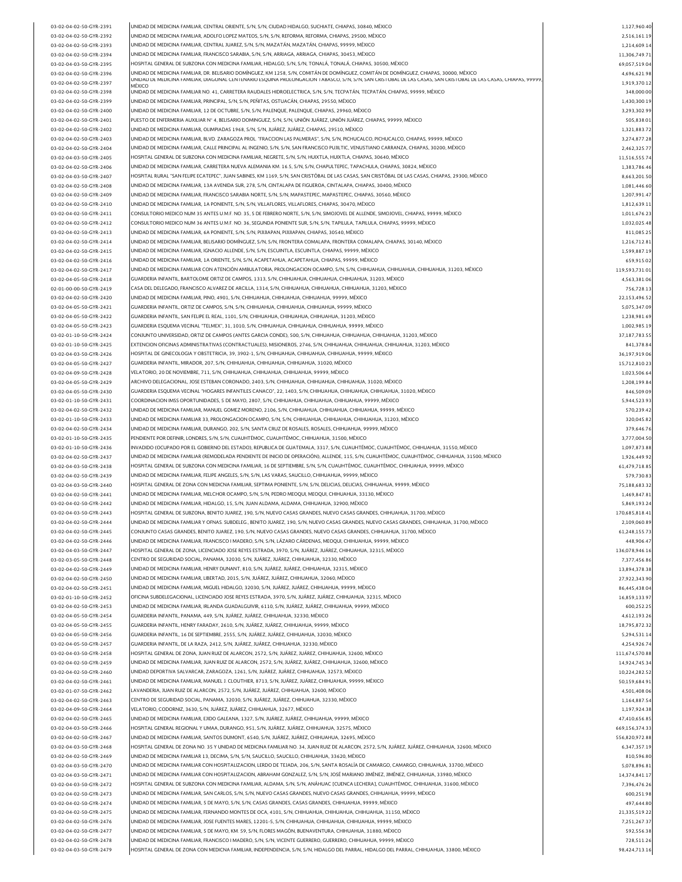| 03-02-04-02-50-GYR-2391                            | UNIDAD DE MEDICINA FAMILIAR, CENTRAL ORIENTE, S/N, S/N, CIUDAD HIDALGO, SUCHIATE, CHIAPAS, 30840, MÉXICO                                                                                                                                          | 1,127,960.40                   |
|----------------------------------------------------|---------------------------------------------------------------------------------------------------------------------------------------------------------------------------------------------------------------------------------------------------|--------------------------------|
| 03-02-04-02-50-GYR-2392                            | UNIDAD DE MEDICINA FAMILIAR, ADOLFO LOPEZ MATEOS, S/N, S/N, REFORMA, REFORMA, CHIAPAS, 29500, MÊXICO                                                                                                                                              | 2,516,161.19                   |
| 03-02-04-02-50-GYR-2393                            | UNIDAD DE MEDICINA FAMILIAR, CENTRAL JUAREZ, S/N, S/N, MAZATÂN, MAZATÂN, CHIAPAS, 99999, MÊXICO                                                                                                                                                   | 1,214,609.14                   |
| 03-02-04-02-50-GYR-2394                            | UNIDAD DE MEDICINA FAMILIAR, FRANCISCO SARABIA, S/N, S/N, ARRIAGA, ARRIAGA, CHIAPAS, 30453, MÉXICO                                                                                                                                                | 11.306.749.71                  |
| 03-02-04-03-50-GYR-2395                            | HOSPITAL GENERAL DE SUBZONA CON MEDICINA FAMILIAR, HIDALGO, S/N, S/N, TONALĂ, TONALĂ, CHIAPAS, 30500, MÊXICO                                                                                                                                      | 69,057,519.04                  |
| 03-02-04-02-50-GYR-2396                            | UNIDAD DE MEDICINA FAMILIAR, DR. BELISARIO DOMÍNGUEZ, KM 1258, S/N, COMITÁN DE DOMÍNGUEZ, COMITÁN DE DOMÍNGUEZ, CHIAPAS, 30000, MÉXICO                                                                                                            | 4,696,621.98                   |
| 03-02-04-02-50-GYR-2397                            | UNIDAD DE MEDICINA FAMILIAR, DIAGONAL CENTENARIO ESQUINA PROLONGACION TABASCO, S/N, S/N, SAN CRISTOBAL DE LAS CASAS, SAN CRISTOBAL DE LAS CASAS, CHIAPAS, 99999<br>MÉXICO                                                                         | 1,919,370.12                   |
| 03-02-04-02-50-GYR-2398                            | UNIDAD DE MEDICINA FAMILIAR NO. 41, CARRETERA RAUDALES HIDROELECTRICA, S/N, S/N, TECPATÁN, TECPATÁN, CHIAPAS, 99999, MÉXICO                                                                                                                       | 348,000.00                     |
| 03-02-04-02-50-GYR-2399                            | UNIDAD DE MEDICINA FAMILIAR. PRINCIPAL. S/N. S/N. PEÑITAS. OSTUACÁN. CHIAPAS. 29550. MÉXICO                                                                                                                                                       | 1,430,300.19                   |
| 03-02-04-02-50-GYR-2400                            | UNIDAD DE MEDICINA FAMILIAR, 12 DE OCTUBRE, S/N, S/N, PALENQUE, PALENQUE, CHIAPAS, 29960, MÉXICO                                                                                                                                                  | 3,293,302.99                   |
| 03-02-04-02-50-GYR-2401                            | PUESTO DE ENFERMERIA AUXILIAR Nº 4, BELISARIO DOMINGUEZ, S/N, S/N, UNIÓN JUÁREZ, UNIÓN JUÁREZ, CHIAPAS, 99999, MÉXICO                                                                                                                             | 505,838.01                     |
| 03-02-04-02-50-GYR-2402                            | UNIDAD DE MEDICINA FAMILIAR, OLIMPIADAS 1968, S/N, S/N, JUĀREZ, JUĀREZ, CHIAPAS, 29510, MĒXICO                                                                                                                                                    | 1,321,883.72                   |
| 03-02-04-02-50-GYR-2403                            | UNIDAD DE MEDICINA FAMILIAR, BLVD. ZARAGOZA PROL. "FRACCION LAS PALMERAS", S/N, S/N, PICHUCALCO, PICHUCALCO, CHIAPAS, 99999, MÊXICO                                                                                                               | 3,274,877.28                   |
| 03-02-04-02-50-GYR-2404                            | UNIDAD DE MEDICINA FAMILIAR, CALLE PRINCIPAL AL INGENIO, S/N, S/N, SAN FRANCISCO PUJILTIC, VENUSTIANO CARRANZA, CHIAPAS, 30200, MÉXICO                                                                                                            | 2,462,325.77                   |
| 03-02-04-03-50-GYR-2405                            | HOSPITAL GENERAL DE SUBZONA CON MEDICINA FAMILIAR, NEGRETE, S/N, S/N, HUIXTLA, HUIXTLA, CHIAPAS, 30640, MÊXICO                                                                                                                                    | 11,516,555.74                  |
| 03-02-04-02-50-GYR-2406                            | UNIDAD DE MEDICINA FAMILIAR, CARRETERA NUEVA ALEMANIA KM. 16.5, S/N, S/N, CHAPULTEPEC, TAPACHULA, CHIAPAS, 30824, MÉXICO                                                                                                                          | 1.383.786.46                   |
| 03-02-04-03-50-GYR-2407                            | HOSPITAL RURAL "SAN FELIPE ECATEPEC", JUAN SABINES, KM 1169, S/N, SAN CRISTÒBAL DE LAS CASAS, SAN CRISTÒBAL DE LAS CASAS, CHIAPAS, 29300, MÈXICO                                                                                                  | 8,663,201.50                   |
| 03-02-04-02-50-GYR-2408<br>03-02-04-02-50-GYR-2409 | UNIDAD DE MEDICINA FAMILIAR, 13A AVENIDA SUR, 278, S/N, CINTALAPA DE FIGUEROA, CINTALAPA, CHIAPAS, 30400, MÊXICO<br>UNIDAD DE MEDICINA FAMILIAR, FRANCISCO SARABIA NORTE, S/N, S/N, MAPASTEPEC, MAPASTEPEC, CHIAPAS, 30560, MÉXICO                | 1,081,446.60<br>1,207,991.47   |
| 03-02-04-02-50-GYR-2410                            | UNIDAD DE MEDICINA FAMILIAR, 1A PONIENTE, S/N, S/N, VILLAFLORES, VILLAFLORES, CHIAPAS, 30470, MÉXICO                                                                                                                                              | 1,812,639.11                   |
| 03-02-04-02-50-GYR-2411                            | CONSULTORIO MEDICO NUM 35 ANTES U.M.F. NO. 35, 5 DE FEBRERO NORTE, S/N, S/N, SIMOJOVEL DE ALLENDE, SIMOJOVEL, CHIAPAS, 99999, MÉXICO                                                                                                              | 1,011,676.23                   |
| 03-02-04-02-50-GYR-2412                            | CONSULTORIO MEDICO NUM 36 ANTES U.M.F. NO. 36, SEGUNDA PONIENTE SUR, S/N, S/N, TAPILULA, TAPILULA, CHIAPAS, 99999, MÈXICO                                                                                                                         | 1,032,025.48                   |
| 03-02-04-02-50-GYR-2413                            | UNIDAD DE MEDICINA FAMILIAR, 6A PONIENTE, S/N, S/N, PIJIJIAPAN, PIJIJIAPAN, CHIAPAS, 30540, MÉXICO                                                                                                                                                | 811,085.25                     |
| 03-02-04-02-50-GYR-2414                            | UNIDAD DE MEDICINA FAMILIAR, BELISARIO DOMÍNGUEZ, S/N, S/N, FRONTERA COMALAPA, FRONTERA COMALAPA, CHIAPAS, 30140, MÉXICO                                                                                                                          | 1,216,712.81                   |
| 03-02-04-02-50-GYR-2415                            | UNIDAD DE MEDICINA FAMILIAR, IGNACIO ALLENDE, S/N, S/N, ESCUINTLA, ESCUINTLA, CHIAPAS, 99999, MEXICO                                                                                                                                              | 1,599,887.19                   |
| 03-02-04-02-50-GYR-2416                            | UNIDAD DE MEDICINA FAMILIAR, 1A ORIENTE, S/N, S/N, ACAPETAHUA, ACAPETAHUA, CHIAPAS, 99999, MÉXICO                                                                                                                                                 | 659,915.02                     |
| 03-02-04-02-50-GYR-2417                            | UNIDAD DE MEDICINA FAMILIAR CON ATENCIÓN AMBULATORIA, PROLONGACION OCAMPO, S/N, S/N, CHIHUAHUA, CHIHUAHUA, CHIHUAHUA, 31203, MÉXICO                                                                                                               | 119,593,731.01                 |
| 03-02-04-05-50-GYR-2418                            | GUARDERIA INFANTIL, BARTOLOME ORTIZ DE CAMPOS, 1313, S/N, CHIHUAHUA, CHIHUAHUA, CHIHUAHUA, 31203, MÊXICO                                                                                                                                          | 4,563,381.06                   |
| 02-01-00-00-50-GYR-2419                            | CASA DEL DELEGADO, FRANCISCO ALVAREZ DE ARCILLA, 1314, S/N, CHIHUAHUA, CHIHUAHUA, CHIHUAHUA, 31203, MÊXICO                                                                                                                                        | 756.728.13                     |
| 03-02-04-02-50-GYR-2420                            | UNIDAD DE MEDICINA FAMILIAR, PINO, 4901, S/N, CHIHUAHUA, CHIHUAHUA, CHIHUAHUA, 99999, MĚXICO                                                                                                                                                      | 22,153,496.52                  |
| 03-02-04-05-50-GYR-2421                            | GUARDERIA INFANTIL, ORTIZ DE CAMPOS, S/N, S/N, CHIHUAHUA, CHIHUAHUA, CHIHUAHUA, 99999, MÉXICO                                                                                                                                                     | 5,075,347.09                   |
| 03-02-04-05-50-GYR-2422                            | GUARDERIA INFANTIL, SAN FELIPE EL REAL, 1101, S/N, CHIHUAHUA, CHIHUAHUA, CHIHUAHUA, 31203, MÉXICO                                                                                                                                                 | 1,238,981.69                   |
| 03-02-04-05-50-GYR-2423                            | GUARDERIA ESQUEMA VECINAL "TELMEX", 31, 1010, S/N, CHIHUAHUA, CHIHUAHUA, CHIHUAHUA, 99999, MÉXICO                                                                                                                                                 | 1.002.985.19                   |
| 03-02-01-10-50-GYR-2424                            | CONJUNTO UNIVERSIDAD, ORTIZ DE CAMPOS (ANTES GARCIA CONDE), 500, S/N, CHIHUAHUA, CHIHUAHUA, CHIHUAHUA, 31203, MÉXICO                                                                                                                              | 37,187,783.55                  |
| 03-02-01-10-50-GYR-2425                            | EXTENCION OFICINAS ADMINISTRATIVAS (CONTRACTUALES), MISIONEROS, 2746, S/N, CHIHUAHUA, CHIHUAHUA, CHIHUAHUA, 31203, MÊXICO                                                                                                                         | 841,378.84                     |
| 03-02-04-03-50-GYR-2426                            | HOSPITAL DE GINECOLOGIA Y OBSTETRICIA, 39, 3902-1, S/N, CHIHUAHUA, CHIHUAHUA, CHIHUAHUA, 99999, MÉXICO                                                                                                                                            | 36,197,919.06                  |
| 03-02-04-05-50-GYR-2427                            | GUARDERIA INFANTIL, MIRADOR, 207, S/N, CHIHUAHUA, CHIHUAHUA, CHIHUAHUA, 31020, MÉXICO                                                                                                                                                             | 15,712,810.23                  |
| 03-02-04-09-50-GYR-2428                            | VELATORIO, 20 DE NOVIEMBRE, 711, S/N, CHIHUAHUA, CHIHUAHUA, CHIHUAHUA, 99999, MÉXICO                                                                                                                                                              | 1,023,506.64                   |
| 03-02-04-05-50-GYR-2429<br>03-02-04-05-50-GYR-2430 | ARCHIVO DELEGACIONAL, JOSE ESTEBAN CORONADO, 2403, S/N, CHIHUAHUA, CHIHUAHUA, CHIHUAHUA, 31020, MĒXICO<br>GUARDERIA ESQUEMA VECINAL "HOGARES INFANTILES CANACO", 22, 1403, S/N, CHIHUAHUA, CHIHUAHUA, CHIHUAHUA, 31020, MÈXICO                    | 1.208.199.84<br>846,509.09     |
| 03-02-01-10-50-GYR-2431                            | COORDINACION IMSS OPORTUNIDADES, 5 DE MAYO, 2807, S/N, CHIHUAHUA, CHIHUAHUA, CHIHUAHUA, 99999, MÉXICO                                                                                                                                             | 5.944.523.93                   |
| 03-02-04-02-50-GYR-2432                            | UNIDAD DE MEDICINA FAMILIAR, MANUEL GOMEZ MORENO, 2106, S/N, CHIHUAHUA, CHIHUAHUA, CHIHUAHUA, 99999, MÉXICO                                                                                                                                       | 570,239.42                     |
| 03-02-01-10-50-GYR-2433                            | UNIDAD DE MEDICINA FAMILIAR 33, PROLONGACION OCAMPO, S/N, S/N, CHIHUAHUA, CHIHUAHUA, CHIHUAHUA, 31203, MÈXICO                                                                                                                                     | 320,045.82                     |
| 03-02-04-02-50-GYR-2434                            | UNIDAD DE MEDICINA FAMILIAR, DURANGO, 202, S/N, SANTA CRUZ DE ROSALES, ROSALES, CHIHUAHUA, 99999, MÉXICO                                                                                                                                          | 379.646.76                     |
| 03-02-01-10-50-GYR-2435                            | PENDIENTE POR DEFINIR, LONDRES, S/N, S/N, CUAUHTÉMOC, CUAUHTÉMOC, CHIHUAHUA, 31500, MÉXICO                                                                                                                                                        | 3,777,004.50                   |
| 03-02-01-10-50-GYR-2436                            | INVADIDO (OCUPADO POR EL GOBIERNO DEL ESTADO), REPUBLICA DE GUATEMALA, 3317, S/N, CUAUHTÉMOC, CUAUHTÉMOC, CHIHUAHUA, 31550, MÉXICO                                                                                                                | 1,097,873.88                   |
| 03-02-04-02-50-GYR-2437                            | UNIDAD DE MEDICINA FAMILIAR (REMODELADA PENDIENTE DE INICIO DE OPERACIÓN), ALLENDE, 115, S/N, CUAUHTÉMOC, CUAUHTÉMOC, CHIHUAHUA, 31500, MÉXICO                                                                                                    | 1,926,449.92                   |
| 03-02-04-03-50-GYR-2438                            | HOSPITAL GENERAL DE SUBZONA CON MEDICINA FAMILIAR, 16 DE SEPTIEMBRE, S/N, S/N, CUAUHTÉMOC, CUAUHTÉMOC, CHIHUAHUA, 99999, MÉXICO                                                                                                                   | 61.479.718.85                  |
| 03-02-04-02-50-GYR-2439                            | UNIDAD DE MEDICINA FAMILIAR, FELIPE ANGELES, S/N, S/N, LAS VARAS, SAUCILLO, CHIHUAHUA, 99999, MÉXICO                                                                                                                                              | 579,730.83                     |
| 03-02-04-03-50-GYR-2440                            | HOSPITAL GENERAL DE ZONA CON MEDICNA FAMILIAR, SEPTIMA PONIENTE, S/N, S/N, DELICIAS, DELICIAS, CHIHUAHUA, 99999, MÊXICO                                                                                                                           | 75,188,683.32                  |
| 03-02-04-02-50-GYR-2441                            | UNIDAD DE MEDICINA FAMILIAR, MELCHOR OCAMPO, S/N, S/N, PEDRO MEOQUI, MEOQUI, CHIHUAHUA, 33130, MÉXICO                                                                                                                                             | 1.469.847.81                   |
| 03-02-04-02-50-GYR-2442                            | UNIDAD DE MEDICINA FAMILIAR, HIDALGO, 15, S/N, JUAN ALDAMA, ALDAMA, CHIHUAHUA, 32900, MÉXICO                                                                                                                                                      | 5,869,193.24                   |
| 03-02-04-03-50-GYR-2443                            | HOSPITAL GENERAL DE SUBZONA, BENITO JUAREZ, 190, S/N, NUEVO CASAS GRANDES, NUEVO CASAS GRANDES, CHIHUAHUA, 31700, MÉXICO                                                                                                                          | 170,685,818.41                 |
| 03-02-04-02-50-GYR-2444                            | UNIDAD DE MEDICINA FAMILIAR Y OFNAS. SUBDELEG., BENITO JUAREZ, 190, S/N, NUEVO CASAS GRANDES, NUEVO CASAS GRANDES, CHIHUAHUA, 31700, MÉXICO                                                                                                       | 2,109,060.89                   |
| 03-02-04-02-50-GYR-2445                            | CONJUNTO CASAS GRANDES, BENITO JUAREZ, 190, S/N, NUEVO CASAS GRANDES, NUEVO CASAS GRANDES, CHIHUAHUA, 31700, MÉXICO                                                                                                                               | 61,248,155.73                  |
| 03-02-04-02-50-GYR-2446                            | UNIDAD DE MEDICINA FAMILIAR, FRANCISCO I MADERO, S/N, S/N, LÁZARO CÁRDENAS, MEOQUI, CHIHUAHUA, 99999, MÉXICO                                                                                                                                      | 448,906.47                     |
| 03-02-04-03-50-GYR-2447                            | HOSPITAL GENERAL DE ZONA, LICENCIADO JOSE REYES ESTRADA, 3970, S/N, JUÁREZ, JUÁREZ, CHIHUAHUA, 32315, MÉXICO                                                                                                                                      | 136,078,946.16                 |
| 03-02-03-05-50-GYR-2448<br>03-02-04-02-50-GYR-2449 | CENTRO DE SEGURIDAD SOCIAL, PANAMA, 32030, S/N, JUÁREZ, JUÁREZ, CHIHUAHUA, 32330, MÉXICO<br>UNIDAD DE MEDICINA FAMILIAR, HENRY DUNANT, 810, S/N, JUÁREZ, JUÁREZ, CHIHUAHUA, 32315, MÉXICO                                                         | 7,377,456.86                   |
| 03-02-04-02-50-GYR-2450                            | UNIDAD DE MEDICINA FAMILIAR, LIBERTAD, 2015, S/N, JUÁREZ, JUÁREZ, CHIHUAHUA, 32060, MÉXICO                                                                                                                                                        | 13,894,378.38<br>27,922,343.90 |
| 03-02-04-02-50-GYR-2451                            | UNIDAD DE MEDICINA FAMILIAR, MIGUEL HIDALGO, 32030, S/N, JUÁREZ, JUÁREZ, CHIHUAHUA, 99999, MÉXICO                                                                                                                                                 | 86.445.438.04                  |
| 03-02-01-10-50-GYR-2452                            | OFICINA SUBDELEGACIONAL, LICENCIADO JOSE REYES ESTRADA, 3970, S/N, JUÁREZ, JUÁREZ, CHIHUAHUA, 32315, MÉXICO                                                                                                                                       | 16,859,133.97                  |
| 03-02-04-02-50-GYR-2453                            | UNIDAD DE MEDICINA FAMILIAR, IRLANDA GUADALGUIVIR, 6110, S/N, JUÁREZ, JUÁREZ, CHIHUAHUA, 99999, MÉXICO                                                                                                                                            | 600,252.25                     |
| 03-02-04-05-50-GYR-2454                            | GUARDERIA INFANTIL, PANAMA, 449, S/N, JUÁREZ, JUÁREZ, CHIHUAHUA, 32330, MÉXICO                                                                                                                                                                    | 4,612,193.26                   |
| 03-02-04-05-50-GYR-2455                            | GUARDERIA INFANTIL, HENRY FARADAY, 2610, S/N, JUÁREZ, JUÁREZ, CHIHUAHUA, 99999, MÉXICO                                                                                                                                                            | 18,795,872.32                  |
| 03-02-04-05-50-GYR-2456                            | GUARDERIA INFANTIL, 16 DE SEPTIEMBRE, 2555, S/N, JUÁREZ, JUÁREZ, CHIHUAHUA, 32030, MÉXICO                                                                                                                                                         | 5,294,531.14                   |
| 03-02-04-05-50-GYR-2457                            | GUARDERIA INFANTIL, DE LA RAZA, 2412, S/N, JUÁREZ, JUÁREZ, CHIHUAHUA, 32330, MÉXICO                                                                                                                                                               | 4,254,926.74                   |
| 03-02-04-03-50-GYR-2458                            | HOSPITAL GENERAL DE ZONA, JUAN RUIZ DE ALARCON, 2572, S/N, JUÁREZ, JUÁREZ, CHIHUAHUA, 32600, MÉXICO                                                                                                                                               | 111,674,570.88                 |
| 03-02-04-02-50-GYR-2459                            | UNIDAD DE MEDICINA FAMILIAR, JUAN RUIZ DE ALARCON, 2572, S/N, JUÁREZ, JUÁREZ, CHIHUAHUA, 32600, MÉXICO                                                                                                                                            | 14,924,745.34                  |
| 03-02-04-02-50-GYR-2460                            | UNIDAD DEPORTIVA SALVARCAR, ZARAGOZA, 1261, S/N, JUÁREZ, JUÁREZ, CHIHUAHUA, 32573, MÉXICO                                                                                                                                                         | 10,224,282.52                  |
| 03-02-04-02-50-GYR-2461                            | UNIDAD DE MEDICINA FAMILIAR, MANUEL J. CLOUTHIER, 8713, S/N, JUÁREZ, JUÁREZ, CHIHUAHUA, 99999, MÉXICO                                                                                                                                             | 50,159,684.91                  |
| 03-02-01-07-50-GYR-2462                            | LAVANDERIA, JUAN RUIZ DE ALARCON, 2572, S/N, JUÁREZ, JUÁREZ, CHIHUAHUA, 32600, MÉXICO                                                                                                                                                             | 4,501,408.06                   |
| 03-02-04-02-50-GYR-2463                            | CENTRO DE SEGURIDAD SOCIAL, PANAMA, 32030, S/N, JUÁREZ, JUÁREZ, CHIHUAHUA, 32330, MÉXICO                                                                                                                                                          | 1,164,887.54                   |
| 03-02-04-09-50-GYR-2464                            | VELATORIO, CODORNIZ, 3630, S/N, JUÁREZ, JUÁREZ, CHIHUAHUA, 32677, MÉXICO                                                                                                                                                                          | 1,197,924.38                   |
| 03-02-04-02-50-GYR-2465                            | UNIDAD DE MEDICINA FAMILIAR, EJIDO GALEANA, 1327, S/N, JUÁREZ, JUÁREZ, CHIHUAHUA, 99999, MÉXICO                                                                                                                                                   | 47,410,656.85                  |
| 03-02-04-03-50-GYR-2466                            | HOSPITAL GENERAL REGIONAL Y UMAA, DURANGO, 951, S/N, JUÁREZ, JUÁREZ, CHIHUAHUA, 32575, MÉXICO<br>UNIDAD DE MEDICINA FAMILIAR, SANTOS DUMONT, 6540, S/N, JUĀREZ, JUĀREZ, CHIHUAHUA, 32695, MĒXICO                                                  | 669,156,374.33                 |
| 03-02-04-02-50-GYR-2467                            |                                                                                                                                                                                                                                                   | 556,820,972.88                 |
| 03-02-04-03-50-GYR-2468<br>03-02-04-02-50-GYR-2469 | HOSPITAL GENERAL DE ZONA NO. 35 Y UNIDAD DE MEDICINA FAMILIAR NO. 34, JUAN RUIZ DE ALARCON, 2572, S/N, JUÁREZ, JUÁREZ, CHIHUAHUA, 32600, MÉXICO<br>UNIDAD DE MEDICINA FAMILIAR 13, DECIMA, S/N, S/N, SAUCILLO, SAUCILLO, CHIHUAHUA, 33620, MÉXICO | 6,347,357.19<br>810,596.80     |
| 03-02-04-03-50-GYR-2470                            | UNIDAD DE MEDICINA FAMILIAR CON HOSPITALIZACION, LERDO DE TEJADA, 206, S/N, SANTA ROSALÍA DE CAMARGO, CAMARGO, CHIHUAHUA, 33700, MÉXICO                                                                                                           | 5,078,896.81                   |
| 03-02-04-03-50-GYR-2471                            | UNIDAD DE MEDICINA FAMILIAR CON HOSPITALIZACION, ABRAHAM GONZALEZ, S/N, S/N, JOSÉ MARIANO JIMÉNEZ, JIMÉNEZ, CHIHUAHUA, 33980, MÉXICO                                                                                                              | 14,374,841.17                  |
| 03-02-04-03-50-GYR-2472                            | HOSPITAL GENERAL DE SUBZONA CON MEDICINA FAMILIAR, ALDAMA, S/N, S/N, ANÁHUAC [CUENCA LECHERA], CUAUHTÉMOC, CHIHUAHUA, 31600, MÉXICO                                                                                                               | 7,396,476.26                   |
| 03-02-04-02-50-GYR-2473                            | UNIDAD DE MEDICINA FAMILIAR, SAN CARLOS, S/N, S/N, NUEVO CASAS GRANDES, NUEVO CASAS GRANDES, CHIHUAHUA, 99999, MÉXICO                                                                                                                             | 600,251.98                     |
| 03-02-04-02-50-GYR-2474                            | UNIDAD DE MEDICINA FAMILIAR, 5 DE MAYO, S/N, S/N, CASAS GRANDES, CASAS GRANDES, CHIHUAHUA, 99999, MÉXICO                                                                                                                                          | 497,644.80                     |
| 03-02-04-02-50-GYR-2475                            | UNIDAD DE MEDICINA FAMILIAR, FERNANDO MONTES DE OCA, 4101, S/N, CHIHUAHUA, CHIHUAHUA, CHIHUAHUA, 31150, MÉXICO                                                                                                                                    | 21,335,519.22                  |
| 03-02-04-02-50-GYR-2476                            | UNIDAD DE MEDICINA FAMILIAR, JOSE FUENTES MARES, 12201-5, S/N, CHIHUAHUA, CHIHUAHUA, CHIHUAHUA, 99999, MÉXICO                                                                                                                                     | 7,251,267.37                   |
| 03-02-04-02-50-GYR-2477                            | UNIDAD DE MEDICINA FAMILIAR, 5 DE MAYO, KM. 59, S/N, FLORES MAGÓN, BUENAVENTURA, CHIHUAHUA, 31880, MÉXICO                                                                                                                                         | 592,556.38                     |
| 03-02-04-02-50-GYR-2478                            | UNIDAD DE MEDICINA FAMILIAR, FRANCISCO I MADERO, S/N, S/N, VICENTE GUERRERO, GUERRERO, CHIHUAHUA, 99999, MÉXICO                                                                                                                                   | 728,511.26                     |
| 03-02-04-03-50-GYR-2479                            | HOSPITAL GENERAL DE ZONA CON MEDICNA FAMILIAR, INDEPENDENCIA, S/N, S/N, HIDALGO DEL PARRAL, HIDALGO DEL PARRAL, CHIHUAHUA, 33800, MÉXICO                                                                                                          | 98,424,713.16                  |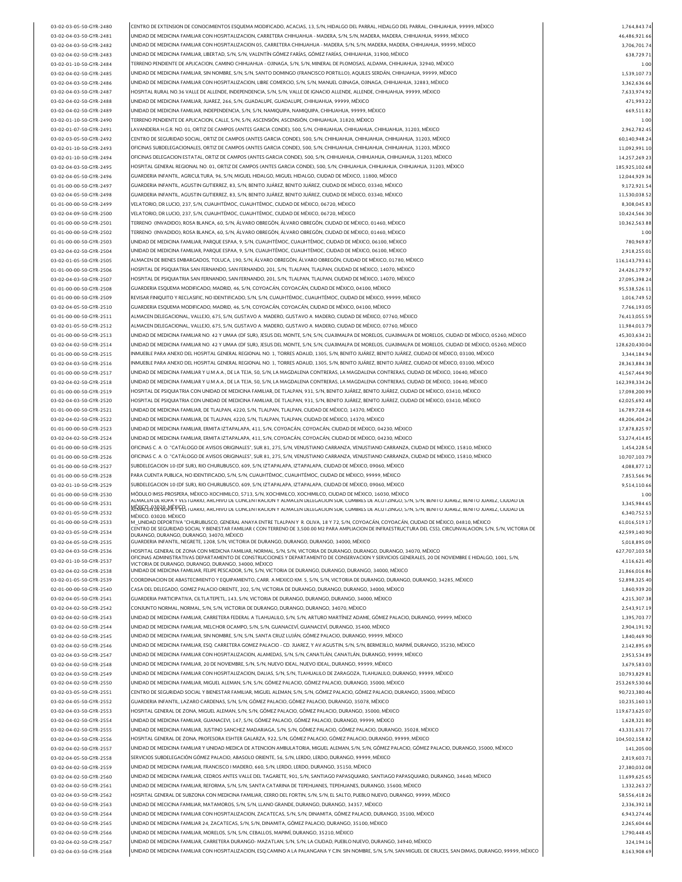| 03-02-03-05-50-GYR-2480 | CENTRO DE EXTENSION DE CONOCIMIENTOS ESQUEMA MODIFICADO, ACACIAS, 13, S/N, HIDALGO DEL PARRAL, HIDALGO DEL PARRAL, CHIHUAHUA, 99999, MÉXICO                                                                                                                                  | 1,764,843.74   |
|-------------------------|------------------------------------------------------------------------------------------------------------------------------------------------------------------------------------------------------------------------------------------------------------------------------|----------------|
| 03-02-04-03-50-GYR-2481 | UNIDAD DE MEDICINA FAMILIAR CON HOSPITALIZACION, CARRETERA CHIHUAHUA - MADERA, S/N, S/N, MADERA, MADERA, CHIHUAHUA, 99999, MÉXICO                                                                                                                                            | 46.486.921.66  |
| 03-02-04-03-50-GYR-2482 | UNIDAD DE MEDICINA FAMILIAR CON HOSPITALIZACION 05, CARRETERA CHIHUAHUA - MADERA, S/N, S/N, MADERA, MADERA, CHIHUAHUA, 99999, MÊXICO                                                                                                                                         | 3,706,701.74   |
| 03-02-04-02-50-GYR-2483 | UNIDAD DE MEDICINA FAMILIAR, LIBERTAD, S/N, S/N, VALENTÍN GÓMEZ FARÍAS, GÓMEZ FARÍAS, CHIHUAHUA, 31900, MÉXICO                                                                                                                                                               | 638,729.71     |
| 03-02-01-10-50-GYR-2484 | TERRENO PENDIENTE DE APLICACION, CAMINO CHIHUAHUA - OJINAGA, S/N, S/N, MINERAL DE PLOMOSAS, ALDAMA, CHIHUAHUA, 32940, MÊXICO                                                                                                                                                 | 1.00           |
| 03-02-04-02-50-GYR-2485 | UNIDAD DE MEDICINA FAMILIAR, SIN NOMBRE, S/N, S/N, SANTO DOMINGO (FRANCISCO PORTILLO), AQUILES SERDÂN, CHIHUAHUA, 99999, MÊXICO                                                                                                                                              | 1,539,107.73   |
| 03-02-04-03-50-GYR-2486 | UNIDAD DE MEDICINA FAMILIAR CON HOSPITALIZACION, LIBRE COMERCIO, S/N, S/N, MANUEL OJINAGA, OJINAGA, CHIHUAHUA, 32883, MÉXICO                                                                                                                                                 | 3.362.636.66   |
| 03-02-04-03-50-GYR-2487 | HOSPITAL RURAL NO.36 VALLE DE ALLENDE, INDEPENDENCIA, S/N, S/N, VALLE DE IGNACIO ALLENDE, ALLENDE, CHIHUAHUA, 99999, MÊXICO                                                                                                                                                  | 7,633,974.92   |
| 03-02-04-02-50-GYR-2488 | UNIDAD DE MEDICINA FAMILIAR, JUAREZ, 266, S/N, GUADALUPE, GUADALUPE, CHIHUAHUA, 99999, MÉXICO                                                                                                                                                                                | 471,993.22     |
| 03-02-04-02-50-GYR-2489 | UNIDAD DE MEDICINA FAMILIAR, INDEPENDENCIA, S/N, S/N, NAMIQUIPA, NAMIQUIPA, CHIHUAHUA, 99999, MÉXICO                                                                                                                                                                         | 669,511.82     |
| 03-02-01-10-50-GYR-2490 | TERRENO PENDIENTE DE APLICACION, CALLE, S/N, S/N, ASCENSIÓN, ASCENSIÓN, CHIHUAHUA, 31820, MÉXICO                                                                                                                                                                             | 1.00           |
| 03-02-01-07-50-GYR-2491 | LAVANDERIA H.G.R. NO. 01, ORTIZ DE CAMPOS (ANTES GARCIA CONDE), 500, S/N, CHIHUAHUA, CHIHUAHUA, CHIHUAHUA, 31203, MÉXICO                                                                                                                                                     | 2,962,782.45   |
| 03-02-03-05-50-GYR-2492 | CENTRO DE SEGURIDAD SOCIAL, ORTIZ DE CAMPOS (ANTES GARCIA CONDE), 500, S/N, CHIHUAHUA, CHIHUAHUA, CHIHUAHUA, 31203, MÉXICO                                                                                                                                                   | 60.140.948.24  |
|                         | OFICINAS SUBDELEGACIONALES, ORTIZ DE CAMPOS (ANTES GARCIA CONDE), 500, S/N, CHIHUAHUA, CHIHUAHUA, CHIHUAHUA, 31203, MÉXICO                                                                                                                                                   |                |
| 03-02-01-10-50-GYR-2493 |                                                                                                                                                                                                                                                                              | 11,092,991.10  |
| 03-02-01-10-50-GYR-2494 | OFICINAS DELEGACION ESTATAL, ORTIZ DE CAMPOS (ANTES GARCIA CONDE), 500, S/N, CHIHUAHUA, CHIHUAHUA, CHIHUAHUA, 31203, MÊXICO                                                                                                                                                  | 14,257,269.23  |
| 03-02-04-03-50-GYR-2495 | HOSPITAL GENERAL REGIONAL NO. 01, ORTIZ DE CAMPOS (ANTES GARCIA CONDE), 500, S/N, CHIHUAHUA, CHIHUAHUA, CHIHUAHUA, 31203, MÊXICO                                                                                                                                             | 185,925,102.68 |
| 03-02-04-05-50-GYR-2496 | GUARDERIA INFANTIL, AGRICULTURA, 96, S/N, MIGUEL HIDALGO, MIGUEL HIDALGO, CIUDAD DE MÉXICO, 11800, MÉXICO                                                                                                                                                                    | 12,044,929.36  |
| 01-01-00-00-50-GYR-2497 | GUARDERIA INFANTIL, AGUSTIN GUTIERREZ, 83, S/N, BENITO JUĂREZ, BENITO JUĂREZ, CIUDAD DE MÊXICO, 03340, MÊXICO                                                                                                                                                                | 9,172,921.54   |
| 03-02-04-05-50-GYR-2498 | GUARDERIA INFANTIL, AGUSTIN GUTIERREZ, 83, S/N, BENITO JUÁREZ, BENITO JUÁREZ, CIUDAD DE MÉXICO, 03340, MÉXICO                                                                                                                                                                | 11,530,038.52  |
| 01-01-00-00-50-GYR-2499 | VELATORIO, DR LUCIO, 237, S/N, CUAUHTÉMOC, CUAUHTÉMOC, CIUDAD DE MÉXICO, 06720, MÉXICO                                                                                                                                                                                       | 8,308,045.83   |
| 03-02-04-09-50-GYR-2500 | VELATORIO, DR LUCIO, 237, S/N, CUAUHTÉMOC, CUAUHTÉMOC, CIUDAD DE MÉXICO, 06720, MÉXICO                                                                                                                                                                                       | 10,424,566.30  |
| 01-01-00-00-50-GYR-2501 | TERRENO (INVADIDO), ROSA BLANCA, 60, S/N, ÁLVARO OBREGÓN, ÁLVARO OBREGÓN, CIUDAD DE MÉXICO, 01460, MÉXICO                                                                                                                                                                    | 10,362,563.88  |
| 01-01-00-00-50-GYR-2502 | TERRENO (INVADIDO), ROSA BLANCA, 60, S/N, ÁLVARO OBREGÓN, ÁLVARO OBREGÓN, CIUDAD DE MÉXICO, 01460, MÉXICO                                                                                                                                                                    | 1.00           |
| 01-01-00-00-50-GYR-2503 | UNIDAD DE MEDICINA FAMILIAR, PARQUE ESPAA, 9, S/N, CUAUHTÉMOC, CUAUHTÉMOC, CIUDAD DE MÉXICO, 06100, MÉXICO                                                                                                                                                                   | 780.969.87     |
| 03-02-04-02-50-GYR-2504 | UNIDAD DE MEDICINA FAMILIAR, PARQUE ESPAA, 9, S/N, CUAUHTÉMOC, CUAUHTÉMOC, CIUDAD DE MÉXICO, 06100, MÉXICO                                                                                                                                                                   | 2,918,255.01   |
| 03-02-01-05-50-GYR-2505 | ALMACEN DE BIENES EMBARGADOS, TOLUCA, 190, S/N, ÁLVARO OBREGÓN, ÁLVARO OBREGÓN, CIUDAD DE MÉXICO, 01780, MÉXICO                                                                                                                                                              | 116.143.793.61 |
| 01-01-00-00-50-GYR-2506 | HOSPITAL DE PSIQUIATRIA SAN FERNANDO, SAN FERNANDO, 201, S/N, TLALPAN, TLALPAN, CIUDAD DE MÉXICO, 14070, MÉXICO                                                                                                                                                              | 24,426,179.97  |
|                         |                                                                                                                                                                                                                                                                              | 27.095.398.24  |
| 03-02-04-03-50-GYR-2507 | HOSPITAL DE PSIQUIATRIA SAN FERNANDO, SAN FERNANDO, 201, S/N, TLALPAN, TLALPAN, CIUDAD DE MÉXICO, 14070, MÉXICO                                                                                                                                                              |                |
| 01-01-00-00-50-GYR-2508 | GUARDERIA ESQUEMA MODIFICADO, MADRID, 46, S/N, COYOACÁN, COYOACÁN, CIUDAD DE MÉXICO, 04100, MÉXICO                                                                                                                                                                           | 95,538,526.11  |
| 01-01-00-00-50-GYR-2509 | REVISAR FINIQUITO Y RECLASIFIC, NO IDENTIFICADO, S/N, S/N, CUAUHTÉMOC, CUAUHTÉMOC, CIUDAD DE MÉXICO, 99999, MÉXICO                                                                                                                                                           | 1,016,749.52   |
| 03-02-04-05-50-GYR-2510 | GUARDERIA ESQUEMA MODIFICADO, MADRID, 46, S/N, COYOACÁN, COYOACÁN, CIUDAD DE MÉXICO, 04100, MÉXICO                                                                                                                                                                           | 7,766,193.05   |
| 01-01-00-00-50-GYR-2511 | ALMACEN DELEGACIONAL, VALLEJO, 675, S/N, GUSTAVO A. MADERO, GUSTAVO A. MADERO, CIUDAD DE MÉXICO, 07760, MÉXICO                                                                                                                                                               | 76,413,055.59  |
| 03-02-01-05-50-GYR-2512 | ALMACEN DELEGACIONAL, VALLEJO, 675, S/N, GUSTAVO A. MADERO, GUSTAVO A. MADERO, CIUDAD DE MÊXICO, 07760, MÊXICO                                                                                                                                                               | 11,984,013.79  |
| 01-01-00-00-50-GYR-2513 | UNIDAD DE MEDICINA FAMILIAR NO. 42 Y UMAA (DF SUR), JESUS DEL MONTE, S/N, S/N, CUAJIMALPA DE MORELOS, CUAJIMALPA DE MORELOS, CIUDAD DE MÉXICO, 05260, MÉXICO                                                                                                                 | 45,303,634.21  |
| 03-02-04-02-50-GYR-2514 | UNIDAD DE MEDICINA FAMILIAR NO. 42 Y UMAA (DF SUR), JESUS DEL MONTE, S/N, S/N, CUAJIMALPA DE MORELOS, CUAJIMALPA DE MORELOS, CIUDAD DE MÈXICO, 05260, MÈXICO                                                                                                                 | 128,620,430.04 |
| 01-01-00-00-50-GYR-2515 | INMUEBLE PARA ANEXO DEL HOSPITAL GENERAL REGIONAL NO. 1, TORRES ADALID, 1305, S/N, BENITO JUÁREZ, BENITO JUÁREZ, CIUDAD DE MÉXICO, 03100, MÉXICO                                                                                                                             | 3,344,184.94   |
| 03-02-04-03-50-GYR-2516 | INMUEBLE PARA ANEXO DEL HOSPITAL GENERAL REGIONAL NO. 1, TORRES ADALID, 1305, S/N, BENITO JUÁREZ, BENITO JUÁREZ, CIUDAD DE MÉXICO, 03100, MÉXICO                                                                                                                             | 28.363.884.38  |
| 01-01-00-00-50-GYR-2517 | UNIDAD DE MEDICINA FAMILIAR Y U.M.A.A., DE LA TEJA, 50, S/N, LA MAGDALENA CONTRERAS, LA MAGDALENA CONTRERAS, CIUDAD DE MÉXICO, 10640, MÉXICO                                                                                                                                 | 41,567,464.90  |
| 03-02-04-02-50-GYR-2518 | UNIDAD DE MEDICINA FAMILIAR Y U.M.A.A., DE LA TEJA, 50, S/N, LA MAGDALENA CONTRERAS, LA MAGDALENA CONTRERAS, CIUDAD DE MÉXICO, 10640, MÉXICO                                                                                                                                 | 162,398,334.26 |
| 01-01-00-00-50-GYR-2519 | HOSPITAL DE PSIQUIATRIA CON UNIDAD DE MEDICINA FAMILIAR, DE TLALPAN, 931, S/N, BENITO JUÁREZ, BENITO JUÁREZ, CIUDAD DE MÉXICO, 03410, MÉXICO                                                                                                                                 | 17,098,200.99  |
| 03-02-04-03-50-GYR-2520 | HOSPITAL DE PSIQUIATRIA CON UNIDAD DE MEDICINA FAMILIAR, DE TLALPAN, 931, S/N, BENITO JUÁREZ, BENITO JUÁREZ, CIUDAD DE MÉXICO, 03410, MÉXICO                                                                                                                                 | 62.025.692.48  |
|                         |                                                                                                                                                                                                                                                                              |                |
| 01-01-00-00-50-GYR-2521 | UNIDAD DE MEDICINA FAMILIAR, DE TLALPAN, 4220, S/N, TLALPAN, TLALPAN, CIUDAD DE MÉXICO, 14370, MÉXICO                                                                                                                                                                        | 16,789,728.46  |
| 03-02-04-02-50-GYR-2522 | UNIDAD DE MEDICINA FAMILIAR, DE TLALPAN, 4220, S/N, TLALPAN, TLALPAN, CIUDAD DE MÉXICO, 14370, MÉXICO                                                                                                                                                                        | 48,206,404.24  |
| 01-01-00-00-50-GYR-2523 | UNIDAD DE MEDICINA FAMILIAR, ERMITA IZTAPALAPA, 411, S/N, COYOACÁN, COYOACÁN, CIUDAD DE MÉXICO, 04230, MÉXICO                                                                                                                                                                | 17,878,825.97  |
| 03-02-04-02-50-GYR-2524 | UNIDAD DE MEDICINA FAMILIAR, ERMITA IZTAPALAPA, 411, S/N, COYOACÁN, COYOACÁN, CIUDAD DE MÉXICO, 04230, MÉXICO                                                                                                                                                                | 53,274,414.85  |
| 01-01-00-00-50-GYR-2525 | OFICINAS C. A. O. "CATÁLOGO DE AVISOS ORIGINALES", SUR 81, 275, S/N, VENUSTIANO CARRANZA, VENUSTIANO CARRANZA, CIUDAD DE MÉXICO, 15810, MÉXICO                                                                                                                               | 1.454.228.54   |
| 01-01-00-00-50-GYR-2526 | OFICINAS C. A. O. "CATÁLOGO DE AVISOS ORIGINALES", SUR 81, 275, S/N, VENUSTIANO CARRANZA, VENUSTIANO CARRANZA, CIUDAD DE MÉXICO, 15810, MÉXICO                                                                                                                               | 10,707,103.79  |
| 01-01-00-00-50-GYR-2527 | SUBDELEGACION 10 (DF SUR), RIO CHURUBUSCO, 609, S/N, IZTAPALAPA, IZTAPALAPA, CIUDAD DE MÉXICO, 09060, MÉXICO                                                                                                                                                                 | 4,088,877.12   |
| 01-01-00-00-50-GYR-2528 | PARA CUENTA PUBLICA. NO IDENTIFICADO, S/N, S/N, CUAUHTÉMOC, CUAUHTÉMOC, CIUDAD DE MÉXICO, 99999, MÉXICO                                                                                                                                                                      | 7.853.566.96   |
| 03-02-01-10-50-GYR-2529 | SUBDELEGACION 10 (DF SUR), RIO CHURUBUSCO, 609, S/N, IZTAPALAPA, IZTAPALAPA, CIUDAD DE MÉXICO, 09060, MÉXICO                                                                                                                                                                 | 9,514,110.66   |
| 01-01-00-00-50-GYR-2530 | MÓDULO IMSS-PROSPERA, MÉXICO-XOCHIMILCO, 5713, S/N, XOCHIMILCO, XOCHIMILCO, CIUDAD DE MÉXICO, 16030, MÉXICO                                                                                                                                                                  | 1.00           |
| 01-01-00-00-50-GYR-2531 | ALMACEN DE ROPA Y VESTUARIO, ARCHIVO DE CONCENTRACION Y ALMACEN DELEGACION SUR, CUMBRES DE ACUTZINGO, S/N, S/N, BENITO JUAREZ, BENITO JUAREZ, CIUDAD DE                                                                                                                      | 3,345,984.65   |
| 03-02-01-05-50-GYR-2532 | MENKEEN BE ROME FVESTUARIO, ARCHIVO DE CONCENTRACION Y ALMACEN DELEGACION SUR, CUMBRES DE ACUTZINGO, S/N, S/N, BENITO JUAREZ, BENITO JUAREZ, CIUDAD DE                                                                                                                       | 6,340,752.53   |
| 01-01-00-00-50-GYR-2533 | MÉXICO. 03020. MÉXICO<br>M UNIDAD DEPORTIVA "CHURUBUSCO, GENERAL ANAYA ENTRE TLALPAN Y R. OLIVA, 18 Y 72, S/N, COYOACÁN, COYOACÁN, CIUDAD DE MÉXICO, 04810, MÉXICO                                                                                                           |                |
|                         | CENTRO DE SEGURIDAD SOCIAL Y BIENESTAR FAMILIAR (CON TERRENO DE 3,500.00 M2 PARA AMPLIACION DE INFRAESTRUCTURA DEL CSS), CIRCUNVALACION, S/N, S/N, VICTORIA DE                                                                                                               | 61,016,519.17  |
| 03-02-03-05-50-GYR-2534 | DURANGO, DURANGO, DURANGO, 34070, MÉXICO                                                                                                                                                                                                                                     | 42,599,140.90  |
| 03-02-04-05-50-GYR-2535 | GUARDERIA INFANTIL, NEGRETE, 1208, S/N, VICTORIA DE DURANGO, DURANGO, DURANGO, 34000, MÉXICO                                                                                                                                                                                 | 5,018,895.09   |
| 03-02-04-03-50-GYR-2536 | HOSPITAL GENERAL DE ZONA CON MEDICNA FAMILIAR, NORMAL, S/N, S/N, VICTORIA DE DURANGO, DURANGO, DURANGO, 34070, MÉXICO<br>OFICINAS ADMINISTRATIVAS DEPARTAMENTO DE CONSTRUCCIONES Y DEPARTAMENTO DE CONSERVACION Y SERVICIOS GENERALES, 20 DE NOVIEMBRE E HIDALGO, 1001, S/N, | 627,707,103.58 |
| 03-02-01-10-50-GYR-2537 | VICTORIA DE DURANGO, DURANGO, DURANGO, 34000, MÊXICO                                                                                                                                                                                                                         | 4,116,621.40   |
| 03-02-04-02-50-GYR-2538 | UNIDAD DE MEDICINA FAMILIAR, FELIPE PESCADOR, S/N, S/N, VICTORIA DE DURANGO, DURANGO, DURANGO, 34000, MÉXICO                                                                                                                                                                 | 21,866,016.86  |
| 03-02-01-05-50-GYR-2539 | COORDINACION DE ABASTECIMIENTO Y EQUIPAMIENTO, CARR. A MEXICO KM. 5, S/N, S/N, VICTORIA DE DURANGO, DURANGO, DURANGO, 34285, MÉXICO                                                                                                                                          | 52,898,325.40  |
| 02-01-00-00-50-GYR-2540 | CASA DEL DELEGADO, GOMEZ PALACIO ORIENTE, 202, S/N, VICTORIA DE DURANGO, DURANGO, DURANGO, 34000, MÉXICO                                                                                                                                                                     | 1,860,939.20   |
| 03-02-04-05-50-GYR-2541 | GUARDERIA PARTICIPATIVA, CILTLATEPETL, 143, S/N, VICTORIA DE DURANGO, DURANGO, DURANGO, 34000, MÉXICO                                                                                                                                                                        | 4,215,307.38   |
| 03-02-04-02-50-GYR-2542 | CONJUNTO NORMAL, NORMAL, S/N, S/N, VICTORIA DE DURANGO, DURANGO, DURANGO, 34070, MÉXICO                                                                                                                                                                                      | 2,543,917.19   |
| 03-02-04-02-50-GYR-2543 | UNIDAD DE MEDICINA FAMILIAR, CARRETERA FEDERAL A TLAHUALILO, S/N, S/N, ARTURO MARTÍNEZ ADAME, GÓMEZ PALACIO, DURANGO, 99999, MÉXICO                                                                                                                                          | 1,395,703.77   |
| 03-02-04-02-50-GYR-2544 | UNIDAD DE MEDICINA FAMILIAR, MELCHOR OCAMPO, S/N, S/N, GUANACEVÍ, GUANACEVÍ, DURANGO, 35400, MÉXICO                                                                                                                                                                          | 2,904,191.92   |
| 03-02-04-02-50-GYR-2545 | UNIDAD DE MEDICINA FAMILIAR, SIN NOMBRE, S/N, S/N, SANTA CRUZ LUJÁN, GÓMEZ PALACIO, DURANGO, 99999, MÉXICO                                                                                                                                                                   | 1,840,469.90   |
| 03-02-04-02-50-GYR-2546 | UNIDAD DE MEDICINA FAMILIAR, ESQ. CARRETERA GOMEZ PALACIO - CD. JUAREZ, Y AV.AGUSTIN, S/N, S/N, BERMEJILLO, MAPIMÍ, DURANGO, 35230, MÉXICO                                                                                                                                   | 2,142,895.69   |
| 03-02-04-03-50-GYR-2547 | UNIDAD DE MEDICINA FAMILIAR CON HOSPITALIZACION, ALAMEDAS, S/N, S/N, CANATLÁN, CANATLÁN, DURANGO, 99999, MÉXICO                                                                                                                                                              | 2,953,534.89   |
|                         |                                                                                                                                                                                                                                                                              |                |
| 03-02-04-02-50-GYR-2548 | UNIDAD DE MEDICINA FAMILIAR, 20 DE NOVIEMBRE, S/N, S/N, NUEVO IDEAL, NUEVO IDEAL, DURANGO, 99999, MÉXICO                                                                                                                                                                     | 3,679,583.03   |
| 03-02-04-03-50-GYR-2549 |                                                                                                                                                                                                                                                                              | 10,793,829.81  |
|                         | UNIDAD DE MEDICINA FAMILIAR CON HOSPITALIZACION, DALIAS, S/N, S/N, TLAHUALILO DE ZARAGOZA, TLAHUALILO, DURANGO, 99999, MÉXICO                                                                                                                                                |                |
| 03-02-04-02-50-GYR-2550 | UNIDAD DE MEDICINA FAMILIAR, MIGUEL ALEMAN, S/N, S/N, GÓMEZ PALACIO, GÓMEZ PALACIO, DURANGO, 35000, MÉXICO                                                                                                                                                                   | 253,269,530.66 |
| 03-02-03-05-50-GYR-2551 | CENTRO DE SEGURIDAD SOCIAL Y BIENESTAR FAMILIAR, MIGUEL ALEMAN, S/N, S/N, GÓMEZ PALACIO, GÓMEZ PALACIO, DURANGO, 35000, MÉXICO                                                                                                                                               | 90,723,380.46  |
| 03-02-04-05-50-GYR-2552 | GUARDERIA INFANTIL, LAZARO CARDENAS, S/N, S/N, GÓMEZ PALACIO, GÓMEZ PALACIO, DURANGO, 35078, MÉXICO                                                                                                                                                                          | 10,235,160.13  |
| 03-02-04-03-50-GYR-2553 | HOSPITAL GENERAL DE ZONA, MIGUEL ALEMAN, S/N, S/N, GÓMEZ PALACIO, GÓMEZ PALACIO, DURANGO, 35000, MÉXICO                                                                                                                                                                      | 119,673,625.07 |
| 03-02-04-02-50-GYR-2554 | UNIDAD DE MEDICINA FAMILIAR, GUANACEVI, 147, S/N, GÓMEZ PALACIO, GÓMEZ PALACIO, DURANGO, 99999, MÉXICO                                                                                                                                                                       | 1,628,321.80   |
| 03-02-04-02-50-GYR-2555 | UNIDAD DE MEDICINA FAMILIAR, JUSTINO SANCHEZ MADARIAGA, S/N, S/N, GÓMEZ PALACIO, GÓMEZ PALACIO, DURANGO, 35028, MÉXICO                                                                                                                                                       | 43,331,631.77  |
| 03-02-04-03-50-GYR-2556 | HOSPITAL GENERAL DE ZONA, PROFESORA ESHTER GALARZA, 922, S/N, GÓMEZ PALACIO, GÓMEZ PALACIO, DURANGO, 99999, MÉXICO                                                                                                                                                           | 104,502,158.82 |
| 03-02-04-02-50-GYR-2557 | UNIDAD DE MEDICINA FAMILIAR Y UNIDAD MEDICA DE ATENCION AMBULATORIA, MIGUEL ALEMAN, S/N, S/N, GÓMEZ PALACIO, GÓMEZ PALACIO, DURANGO, 35000, MÉXICO                                                                                                                           | 141,205.00     |
| 03-02-04-05-50-GYR-2558 | SERVICIOS SUBDELEGACIÓN GÓMEZ PALACIO, ABASOLO ORIENTE, 56, S/N, LERDO, LERDO, DURANGO, 99999, MÉXICO                                                                                                                                                                        | 2,819,603.71   |
|                         | UNIDAD DE MEDICINA FAMILIAR, FRANCISCO I MADERO, 660, S/N, LERDO, LERDO, DURANGO, 35150, MÉXICO                                                                                                                                                                              |                |
| 03-02-04-02-50-GYR-2559 |                                                                                                                                                                                                                                                                              | 27,380,032.08  |
| 03-02-04-02-50-GYR-2560 | UNIDAD DE MEDICINA FAMILIAR, CEDROS ANTES VALLE DEL TAGARETE, 901, S/N, SANTIAGO PAPASQUIARO, SANTIAGO PAPASQUIARO, DURANGO, 34640, MÈXICO                                                                                                                                   | 11,699,625.65  |
| 03-02-04-02-50-GYR-2561 | UNIDAD DE MEDICINA FAMILIAR, REFORMA, S/N, S/N, SANTA CATARINA DE TEPEHUANES, TEPEHUANES, DURANGO, 35600, MÉXICO                                                                                                                                                             | 1,332,263.27   |
| 03-02-04-03-50-GYR-2562 | HOSPITAL GENERAL DE SUBZONA CON MEDICINA FAMILIAR, CERRO DEL FORTIN, S/N, S/N, EL SALTO, PUEBLO NUEVO, DURANGO, 99999, MÉXICO                                                                                                                                                | 58,556,418.26  |
| 03-02-04-02-50-GYR-2563 | UNIDAD DE MECICINA FAMILIAR, MATAMOROS, S/N, S/N, LLANO GRANDE, DURANGO, DURANGO, 34357, MÉXICO                                                                                                                                                                              | 2,336,392.18   |
| 03-02-04-03-50-GYR-2564 | UNIDAD DE MEDICINA FAMILIAR CON HOSPITALIZACION, ZACATECAS, S/N, S/N, DINAMITA, GÓMEZ PALACIO, DURANGO, 35100, MÉXICO                                                                                                                                                        | 6,943,274.46   |
| 03-02-04-02-50-GYR-2565 | UNIDAD DE MEDICINA FAMILIAR 24, ZACATECAS, S/N, S/N, DINAMITA, GÓMEZ PALACIO, DURANGO, 35100, MÉXICO                                                                                                                                                                         | 2,265,604.66   |
| 03-02-04-02-50-GYR-2566 | UNIDAD DE MEDICINA FAMILIAR, MORELOS, S/N, S/N, CEBALLOS, MAPIMÍ, DURANGO, 35210, MÉXICO                                                                                                                                                                                     | 1,790,448.45   |
| 03-02-04-02-50-GYR-2567 | UNIDAD DE MEDICINA FAMILIAR, CARRETERA DURANGO- MAZATLAN, S/N, S/N, LA CIUDAD, PUEBLO NUEVO, DURANGO, 34940, MÉXICO                                                                                                                                                          | 324,194.16     |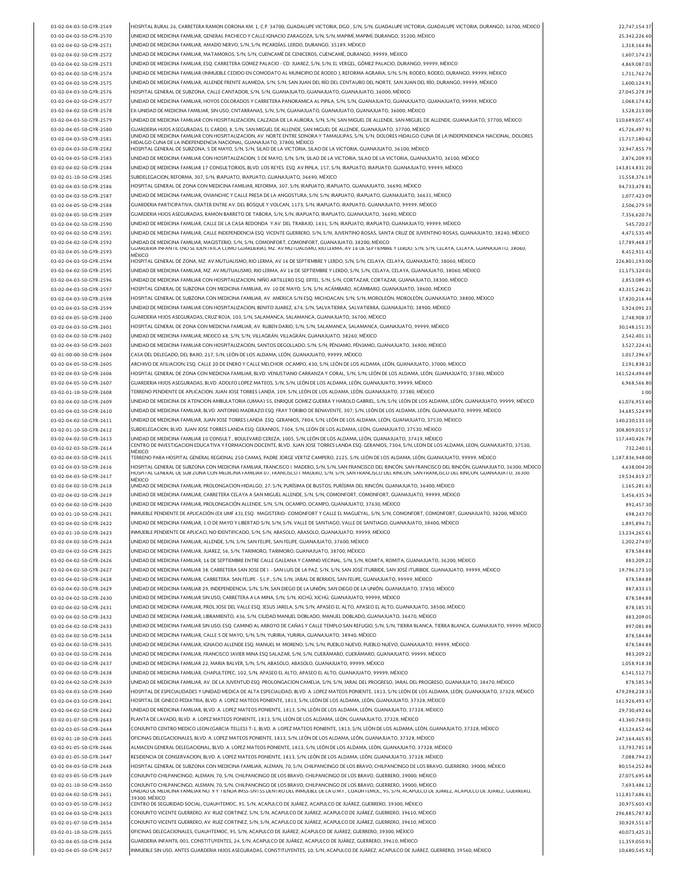|                         | HOSPITAL RURAL 26, CARRETERA RAMON CORONA KM. 1, C.P. 34700, GUADALUPE VICTORIA, DGO., S/N, S/N, GUADALUPE VICTORIA, GUADALUPE VICTORIA, DURANGO, 34700, MÉXICO                                                                                                                                                               | 22,747,154.37    |
|-------------------------|-------------------------------------------------------------------------------------------------------------------------------------------------------------------------------------------------------------------------------------------------------------------------------------------------------------------------------|------------------|
| 03-02-04-02-50-GYR-2570 | UNIDAD DE MEDICINA FAMILIAR, GENERAL PACHECO Y CALLE IGNACIO ZARAGOZA, S/N, S/N, MAPIMÍ, MAPIMÍ, DURANGO, 35200, MÉXICO                                                                                                                                                                                                       | 25,342,226.60    |
| 03-02-04-02-50-GYR-2571 | UNIDAD DE MEDICINA FAMILIAR, AMADO NERVO, S/N, S/N, PICARDÍAS, LERDO, DURANGO, 35189, MÉXICO                                                                                                                                                                                                                                  | 1,318,164.86     |
| 03-02-04-02-50-GYR-2572 | UNIDAD DE MEDICINA FAMILIAR, MATAMOROS, S/N, S/N, CUENCAMÉ DE CENICEROS, CUENCAMÉ, DURANGO, 99999, MÉXICO                                                                                                                                                                                                                     | 1,607,174.23     |
| 03-02-04-02-50-GYR-2573 | UNIDAD DE MEDICINA FAMILIAR, ESQ. CARRETERA GOMEZ PALACIO - CD. JUAREZ, S/N, S/N, EL VERGEL, GÒMEZ PALACIO, DURANGO, 99999, MÈXICO                                                                                                                                                                                            | 4,869,087.03     |
| 03-02-04-02-50-GYR-2574 | UNIDAD DE MEDICINA FAMILIAR (INMUEBLE CEDIDO EN COMODATO AL MUNICIPIO DE RODEO), REFORMA AGRARIA, S/N, S/N, RODEO, RODEO, DURANGO, 99999, MÉXICO                                                                                                                                                                              | 1,711,762.76     |
| 03-02-04-02-50-GYR-2575 | UNIDAD DE MEDICINA FAMILIAR, ALLENDE FRENTE ALAMEDA, S/N, S/N, SAN JUAN DEL RÍO DEL CENTAURO DEL NORTE, SAN JUAN DEL RÍO, DURANGO, 99999, MÉXICO                                                                                                                                                                              | 1,600,124.91     |
| 03-02-04-03-50-GYR-2576 | HOSPITAL GENERAL DE SUBZONA, CALLE CANTADOR, S/N, S/N, GUANAJUATO, GUANAJUATO, GUANAJUATO, 36000, MÉXICO                                                                                                                                                                                                                      | 27,045,278.39    |
| 03-02-04-02-50-GYR-2577 | UNIDAD DE MEDICINA FAMILIAR, HOYOS COLORADOS Y CARRETERA PANORAMICA AL PIPILA, S/N, S/N, GUANAJUATO, GUANAJUATO, GUANAJUATO, 99999, MÉXICO                                                                                                                                                                                    | 1,068,174.82     |
| 03-02-04-02-50-GYR-2578 | EX-UNIDAD DE MEDICINA FAMILIAR, SIN USO, CNTARRANAS, S/N, S/N, GUANAJUATO, GUANAJUATO, GUANAJUATO, 36000, MÊXICO                                                                                                                                                                                                              | 3,528,213.00     |
| 03-02-04-03-50-GYR-2579 | UNIDAD DE MEDICINA FAMILIAR CON HOSPITALIZACION, CALZADA DE LA AURORA, S/N, S/N, SAN MIGUEL DE ALLENDE, SAN MIGUEL DE ALLENDE, GUANAJUATO, 37700, MÉXICO                                                                                                                                                                      | 110,689,057.43   |
| 03-02-04-05-50-GYR-2580 | GUARDERIA HIJOS ASEGURADAS, EL CARDO, 8, S/N, SAN MIGUEL DE ALLENDE, SAN MIGUEL DE ALLENDE, GUANAJUATO, 37700, MÉXICO                                                                                                                                                                                                         | 45.726.497.9     |
| 03-02-04-03-50-GYR-2581 | UNIDAD DE MEDICINA FAMILIAR CON HOSPITALIZACION, AV. NORTE ENTRE SONORA Y TAMAULIPAS, S/N, S/N, DOLORES HIDALGO CUNA DE LA INDEPENDENCIA NACIONAL, DOLORES                                                                                                                                                                    | 15,717,180.62    |
| 03-02-04-03-50-GYR-2582 | HIDALGO CUNA DE LA INDEPENDENCIA NACIONAL, GUANAJUATO, 37800, MÉXICO<br>HOSPITAL GENERAL DE SUBZONA, 5 DE MAYO, S/N, S/N, SILAO DE LA VICTORIA, SILAO DE LA VICTORIA, GUANAJUATO, 36100, MÊXICO                                                                                                                               | 32,947,855.79    |
| 03-02-04-03-50-GYR-2583 | UNIDAD DE MEDICINA FAMILIAR CON HOSPITALIZACION, 5 DE MAYO, S/N, S/N, SILAO DE LA VICTORIA, SILAO DE LA VICTORIA, GUANAJUATO, 36100, MÉXICO                                                                                                                                                                                   | 2,876,209.93     |
| 03-02-04-02-50-GYR-2584 | UNIDAD DE MEDICINA FAMILIAR 17 CONSULTORIOS, BLVD. LOS REYES ESQ. AV PIPILA, 157, S/N, IRAPUATO, IRAPUATO, GUANAJUATO, 99999, MÉXICO                                                                                                                                                                                          | 143,814,831.20   |
| 03-02-01-10-50-GYR-2585 | SUBDELEGACION, REFORMA, 307, S/N, IRAPUATO, IRAPUATO, GUANAJUATO, 36690, MÉXICO                                                                                                                                                                                                                                               | 15,558,376.19    |
| 03-02-04-03-50-GYR-2586 | HOSPITAL GENERAL DE ZONA CON MEDICINA FAMILIAR, REFORMA, 307, S/N, IRAPUATO, IRAPUATO, GUANAJUATO, 36690, MÉXICO                                                                                                                                                                                                              | 94.733.478.83    |
|                         | UNIDAD DE MEDICINA FAMILIAR, OVIANCHIC Y CALLE PRESA DE LA ANGOSTURA, S/N, S/N, IRAPUATO, IRAPUATO, GUANAJUATO, 36631, MÊXICO                                                                                                                                                                                                 |                  |
| 03-02-04-02-50-GYR-2587 | GUARDERIA PARTICIPATIVA, CRATER ENTRE AV. DEL BOSQUE Y VOLCAN, 1173, S/N, IRAPUATO, IRAPUATO, GUANAJUATO, 99999, MÉXICO                                                                                                                                                                                                       | 1,077,423.09     |
| 03-02-04-05-50-GYR-2588 |                                                                                                                                                                                                                                                                                                                               | 2,506,279.59     |
| 03-02-04-05-50-GYR-2589 | GUARDERIA HIJOS ASEGURADAS, RAMON BARRETO DE TABORA, S/N, S/N, IRAPUATO, IRAPUATO, GUANAJUATO, 36690, MÉXICO                                                                                                                                                                                                                  | 7,356,620.76     |
| 03-02-04-02-50-GYR-2590 | UNIDAD DE MEDICINA FAMILIAR, CALLE DE LA CASA REDONDA Y AV. DEL TRABAJO, 1431, S/N, IRAPUATO, IRAPUATO, GUANAJUATO, 99999, MÉXICO                                                                                                                                                                                             | 545,720.27       |
| 03-02-04-02-50-GYR-2591 | UNIDAD DE MEDICINA FAMILIAR, CALLE INDEPENDENCIA ESQ. VICENTE GUERRERO, S/N, S/N, JUVENTINO ROSAS, SANTA CRUZ DE JUVENTINO ROSAS, GUANAJUATO, 38240, MÉXICO                                                                                                                                                                   | 4,471,535.49     |
| 03-02-04-02-50-GYR-2592 | UNIDAD DE MEDICINA FAMILIAR, MAGISTERIO, S/N, S/N, COMONFORT, COMONFORT, GUANAJUATO, 38200, MÉXICO<br>GUARDERIA INFANTIL (NO SE IDENTIFICA COMO GUARDERIA), MZ. AV.MUTUALISMO, RIO LERMA, AV 16 DE SEPTIEMBRE Y LERDO, S/N, S/N, CELAYA, CELAYA, GUANAJUATO, 38060,                                                           | 17,789,468.27    |
| 03-02-04-05-50-GYR-2593 | <b>MÉXICO</b>                                                                                                                                                                                                                                                                                                                 | 8,452,911.43     |
| 03-02-04-03-50-GYR-2594 | HOSPITAL GENERAL DE ZONA, MZ. AV.MUTUALISMO, RIO LERMA, AV 16 DE SEPTIEMBRE Y LERDO, S/N, S/N, CELAYA, CELAYA, GUANAJUATO, 38060, MÉXICO                                                                                                                                                                                      | 226,801,193.00   |
| 03-02-04-02-50-GYR-2595 | UNIDAD DE MEDICINA FAMILIAR, MZ. AV.MUTUALISMO, RIO LERMA, AV 16 DE SEPTIEMBRE Y LERDO, S/N, S/N, CELAYA, CELAYA, GUANAJUATO, 38060, MÉXICO                                                                                                                                                                                   | 11,175,324.01    |
| 03-02-04-03-50-GYR-2596 | UNIDAD DE MEDICINA FAMILIAR CON HOSPITALIZACION. NIÑO ARTILLERO ESO, EIFFEL, S/N, S/N, CORTAZAR, CORTAZAR, GUANAJUATO, 38300, MÉXICO                                                                                                                                                                                          | 2.853.089.45     |
| 03-02-04-03-50-GYR-2597 | HOSPITAL GENERAL DE SUBZONA CON MEDICINA FAMILIAR, AV. 10 DE MAYO, S/N, S/N, ACÂMBARO, ACÂMBARO, GUANAJUATO, 38600, MÊXICO                                                                                                                                                                                                    | 43,315,246.21    |
| 03-02-04-03-50-GYR-2598 | HOSPITAL GENERAL DE SUBZONA CON MEDICINA FAMILIAR, AV. AMERICA S/N ESQ. MICHOACAN, S/N, S/N, MOROLEÓN, MOROLEÓN, GUANAJUATO, 38800, MÉXICO                                                                                                                                                                                    | 17,820,216.4     |
| 03-02-04-03-50-GYR-2599 | UNIDAD DE MEDICINA FAMILIAR CON HOSPITALIZACION, BENITO JUAREZ, 674, S/N, SALVATIERRA, SALVATIERRA, GUANAJUATO, 38900, MÉXICO                                                                                                                                                                                                 | 5,924,091.23     |
| 03-02-04-05-50-GYR-2600 | GUARDERIA HIJOS ASEGURADAS, CRUZ ROJA, 103, S/N, SALAMANCA, SALAMANCA, GUANAJUATO, 36700, MĒXICO                                                                                                                                                                                                                              | 1,748,908.37     |
| 03-02-04-03-50-GYR-2601 | HOSPITAL GENERAL DE ZONA CON MEDICNA FAMILIAR, AV. RUBEN DARIO, S/N, S/N, SALAMANCA, SALAMANCA, GUANAJUATO, 99999, MÉXICO                                                                                                                                                                                                     | 30.148.151.3     |
| 03-02-04-02-50-GYR-2602 | UNIDAD DE MEDICINA FAMILIAR, MEXICO 68, S/N, S/N, VILLAGRÁN, VILLAGRÁN, GUANAJUATO, 38260, MÉXICO                                                                                                                                                                                                                             | 2,542,401.11     |
| 03-02-04-03-50-GYR-2603 | UNIDAD DE MEDICINA FAMILIAR CON HOSPITALIZACION, SANTOS DEGOLLADO, S/N, S/N, PÉNJAMO, PÉNJAMO, GUANAJUATO, 36900, MÉXICO                                                                                                                                                                                                      | 3,527,224.4      |
| 02-01-00-00-50-GYR-2604 | CASA DEL DELEGADO, DEL BAJIO, 217, S/N, LEÓN DE LOS ALDAMA, LEÓN, GUANAJUATO, 99999, MÉXICO                                                                                                                                                                                                                                   | 1,017,296.67     |
| 03-02-04-05-50-GYR-2605 | ARCHIVO DE AFILIACION, ESQ. CALLE 20 DE ENERO Y CALLE MELCHOR OCAMPO, 430, S/N, LEÓN DE LOS ALDAMA, LEÓN, GUANAJUATO, 37000, MÉXICO                                                                                                                                                                                           | 2,191,838.22     |
| 03-02-04-03-50-GYR-2606 | HOSPITAL GENERAL DE ZONA CON MEDICNA FAMILIAR, BLVD. VENUSTIANO CARRANZA Y CORAL, S/N, S/N, LEÓN DE LOS ALDAMA, LEÓN, GUANAJUATO, 37380, MÉXICO                                                                                                                                                                               | 161.524.494.69   |
| 03-02-04-05-50-GYR-2607 | GUARDERIA HIJOS ASEGURADAS, BLVD. ADOLFO LOPEZ MATEOS, S/N, S/N, LEÓN DE LOS ALDAMA, LEÓN, GUANAJUATO, 99999, MÉXICO                                                                                                                                                                                                          | 6,968,566.80     |
| 03-02-01-10-50-GYR-2608 | TERRENO PENDIENTE DE APLICACION, JUAN JOSE TORRES LANDA, 109, S/N, LEÓN DE LOS ALDAMA, LEÓN, GUANAJUATO, 37380, MÉXICO                                                                                                                                                                                                        | 1.00             |
| 03-02-04-02-50-GYR-2609 | UNIDAD DE MEDICINA DE ATENCION AMBULATORIA (UMAA) 55, ENRIQUE GOMEZ GUERRA Y HAROLD GABRIEL, S/N, S/N, LEÓN DE LOS ALDAMA, LEÓN, GUANAJUATO, 99999, MÉXICO                                                                                                                                                                    | 61,076,953.60    |
| 03-02-04-02-50-GYR-2610 | UNIDAD DE MEDICINA FAMILIAR, BLVD. ANTONIO MADRAZO ESQ. FRAY TORIBIO DE BENAVENTE, 307, S/N, LEÓN DE LOS ALDAMA, LEÓN, GUANAJUATO, 99999, MÉXICO                                                                                                                                                                              | 34,685,524.99    |
| 03-02-04-02-50-GYR-2611 | UNIDAD DE MEDICINA FAMILIAR, JUAN JOSE TORRES LANDA ESQ. GERANIOS, 7804, S/N, LEÓN DE LOS ALDAMA, LEÓN, GUANAJUATO, 37530, MÉXICO                                                                                                                                                                                             | 140,230,133.10   |
| 03-02-01-10-50-GYR-2612 | SUBDELEGACION, BLVD. JUAN JOSE TORRES LANDA ESQ. GERANIOS, 7304, S/N, LEÓN DE LOS ALDAMA, LEÓN, GUANAJUATO, 37530, MÉXICO                                                                                                                                                                                                     |                  |
|                         | UNIDAD DE MEDICINA FAMILIAR 10 CONSULT., BOULEVARD CEREZA, 1005, S/N, LEÓN DE LOS ALDAMA, LEÓN, GUANAJUATO, 37419, MÉXICO                                                                                                                                                                                                     | 308,809,015.17   |
| 03-02-04-02-50-GYR-2613 | CENTRO DE INVESTIGACION EDUCATIVA Y FORMACION DOCENTE, BEVD. JUAN JOSE TORRES LANDA ESQ. GERANIOS, 7304, S/N, LEON DE LOS ALDAMA, LEON, GUANAJUATO, 37530,                                                                                                                                                                    | 117,440,426.78   |
| 03-02-02-03-50-GYR-2614 | MÉXICO                                                                                                                                                                                                                                                                                                                        | 732,240.11       |
| 03-02-04-03-50-GYR-2615 | TERRENO PARA HOSPITAL GENERAL REGIONAL 250 CAMAS, PADRE JORGE VERTIZ CAMPERO, 2125, S/N, LEÓN DE LOS ALDAMA, LEÓN, GUANAJUATO, 99999, MÉXICO                                                                                                                                                                                  | 1,187,836,948.00 |
| 03-02-04-03-50-GYR-2616 | HOSPITAL GENERAL DE SUBZONA CON MEDICINA FAMILIAR, FRANCISCO I. MADERO, S/N, S/N, SAN FRANCISCO DEL RINCÓN, SAN FRANCISCO DEL RINCÓN, GUANAJUATO, 36300, MÉXICO<br>HOSPITAL GENERAL DE SUB ZONA CON MEDICINA FAMILIAR 07, FRANCISCOT. MADERO, S/N, S/N, SAN FRANCISCO DEL RINCON, SAN FRANCISCO DEL RINCON, GUANAJUATO, 36300 | 4,638,004.20     |
| 03-02-04-03-50-GYR-2617 | MÉXICO                                                                                                                                                                                                                                                                                                                        | 19,534,819.27    |
| 03-02-04-02-50-GYR-2618 | UNIDAD DE MEDICINA FAMILIAR. PROLONGACION HIDALGO. 27. S/N. PURÍSIMA DE BUSTOS. PURÍSIMA DEL RINCÓN. GUANAJUATO. 36400. MÉXICO                                                                                                                                                                                                | 1,165,281.63     |
| 03-02-04-02-50-GYR-2619 | UNIDAD DE MEDICINA FAMILIAR, CARRETERA CELAYA A SAN MIGUEL ALLENDE, S/N, S/N, COMONFORT, COMONFORT, GUANAJUATO, 99999, MÉXICO                                                                                                                                                                                                 | 5,456,435.34     |
| 03-02-04-02-50-GYR-2620 | UNIDAD DE MEDICINA FAMILIAR, PROLONGACIÓN ALLENDE, S/N, S/N, OCAMPO, OCAMPO, GUANAJUATO, 37630, MÉXICO                                                                                                                                                                                                                        | 892,457.30       |
| 03-02-01-10-50-GYR-2621 | INMUEBLE PENDIENTE DE APLICACIÓN (EX UMF 43), ESO, MAGISTERIO- COMONFORT Y CALLE EL MAGUEYAL, S/N, S/N, COMONFORT, COMONFORT, GUANAJUATO, 38200, MÉXICO                                                                                                                                                                       |                  |
| 03-02-04-02-50-GYR-2622 | JNIDAD DE MEDICINA FAMILIAR, 1.0 DE MAYO Y LIBERTAD S/N, S/N, S/N, VALLE DE SANTIAGO, VALLE DE SANTIAGO, GUANAJUATO, 38400, MÉXICO                                                                                                                                                                                            | 698.243.70       |
| 03-02-01-10-50-GYR-2623 |                                                                                                                                                                                                                                                                                                                               | 1,895,894.7      |
| 03-02-04-02-50-GYR-2624 | INMUEBLE PENDIENTE DE APLICACI, NO IDENTIFICADO, S/N, S/N, ABASOLO, ABASOLO, GUANAJUATO, 99999, MÉXICO                                                                                                                                                                                                                        | 13,234,265.61    |
|                         | UNIDAD DE MEDICINA FAMILIAR, ALLENDE, S/N, S/N, SAN FELIPE, SAN FELIPE, GUANAJUATO, 37600, MÉXICO                                                                                                                                                                                                                             | 1,202,274.07     |
| 03-02-04-02-50-GYR-2625 | UNIDAD DE MEDICINA FAMILIAR, JUAREZ, 56, S/N, TARIMORO, TARIMORO, GUANAJUATO, 38700, MÉXICO                                                                                                                                                                                                                                   | 878,584.88       |
| 03-02-04-02-50-GYR-2626 | UNIDAD DE MEDICINA FAMILIAR, 16 DE SEPTIEMBRE ENTRE CALLE GALEANA Y CAMINO VECINAL, S/N, S/N, ROMITA, ROMITA, GUANAJUATO, 36200, MÉXICO                                                                                                                                                                                       | 883.209.22       |
| 03-02-04-02-50-GYR-2627 | UNIDAD DE MEDICINA FAMILIAR 38, CARRETERA SAN JOSE DE I. - SAN LUIS DE LA PAZ, S/N, S/N, SAN JOSÉ ITURBIDE, SAN JOSÉ ITURBIDE, GUANAJUATO, 99999, MÉXICO                                                                                                                                                                      | 19,796,173.10    |
| 03-02-04-02-50-GYR-2628 | UNIDAD DE MEDICINA FAMILIAR, CARRETERA. SAN FELIPE - S.L.P., S/N, S/N, JARAL DE BERRIOS, SAN FELIPE, GUANAJUATO, 99999, MÉXICO                                                                                                                                                                                                | 878,584.88       |
| 03-02-04-02-50-GYR-2629 | UNIDAD DE MEDICINA FAMILIAR 29, INDEPENDENCIA, S/N, S/N, SAN DIEGO DE LA UNIÓN, SAN DIEGO DE LA UNIÓN, GUANAJUATO, 37850, MÉXICO                                                                                                                                                                                              | 887,833.15       |
| 03-02-04-02-50-GYR-2630 | UNIDAD DE MEDICINA FAMILIAR SIN USO, CARRETERA A LA MINA, S/N, S/N, XICHÚ, XICHÚ, GUANAJUATO, 99999, MÉXICO                                                                                                                                                                                                                   | 878,584.88       |
| 03-02-04-02-50-GYR-2631 | UNIDAD DE MEDICINA FAMILIAR, PROL.JOSE DEL VALLE ESQ. JESUS JARELA, S/N, S/N, APASEO EL ALTO, APASEO EL ALTO, GUANAJUATO, 38500, MÉXICO                                                                                                                                                                                       | 878,585.35       |
| 03-02-04-02-50-GYR-2632 | UNIDAD DE MEDICINA FAMILIAR, LIBRAMIENTO, 436, S/N, CIUDAD MANUEL DOBLADO, MANUEL DOBLADO, GUANAJUATO, 36470, MÊXICO                                                                                                                                                                                                          | 883,209.05       |
| 03-02-04-02-50-GYR-2633 | UNIDAD DE MEDICINA FAMILIAR SIN USO, ESQ. CAMINO AL ARROYO DE CAÑAS Y CALLE TEMPLO SAN REFUGIO, S/N, S/N, TIERRA BLANCA, TIERRA BLANCA, GUANAJUATO, 99999, MÉXICO                                                                                                                                                             | 897,081.88       |
| 03-02-04-02-50-GYR-2634 | UNIDAD DE MEDICINA FAMILIAR, CALLE 5 DE MAYO, S/N, S/N, YURIRIA, YURIRIA, GUANAJUATO, 38940, MÉXICO                                                                                                                                                                                                                           | 878,584.88       |
|                         | UNIDAD DE MEDICINA FAMILIAR, IGNACIO ALLENDE ESQ. MANUEL M. MORENO, S/N, S/N, PUEBLO NUEVO, PUEBLO NUEVO, GUANAJUATO, 99999, MÉXICO                                                                                                                                                                                           | 878,584.88       |
| 03-02-04-02-50-GYR-2635 |                                                                                                                                                                                                                                                                                                                               |                  |
| 03-02-04-02-50-GYR-2636 | UNIDAD DE MEDICINA FAMILIAR, FRANCISCO JAVIER MINA ESQ SALAZAR, S/N, S/N, CUERÁMARO, CUERÁMARO, GUANAJUATO, 99999, MÉXICO                                                                                                                                                                                                     | 883.209.22       |
| 03-02-04-02-50-GYR-2637 | UNIDAD DE MEDICINA FAMILIAR 22, MARIA BALVER, S/N, S/N, ABASOLO, ABASOLO, GUANAJUATO, 99999, MÉXICO                                                                                                                                                                                                                           | 1,058,918.38     |
| 03-02-04-02-50-GYR-2638 | UNIDAD DE MEDICINA FAMILIAR, CHAPULTEPEC, 102, S/N, APASEO EL ALTO, APASEO EL ALTO, GUANAJUATO, 99999, MÉXICO                                                                                                                                                                                                                 | 6,541,512.75     |
| 03-02-04-02-50-GYR-2639 | UNIDAD DE MEDICINA FAMILIAR, AV. DE LA JUVENTUD ESQ. PROLONGACION CAMELIA, S/N, S/N, JARAL DEL PROGRESO, JARAL DEL PROGRESO, GUANAJUATO, 38470, MÉXICO                                                                                                                                                                        | 878,585.34       |
| 03-02-04-03-50-GYR-2640 | HOSPITAL DE ESPECIALIDADES Y UNIDAD MEDICA DE ALTA ESPECIALIDAD, BLVD. A. LOPEZ MATEOS PONIENTE, 1813, S/N, LEÓN DE LOS ALDAMA, LEÓN, GUANAJUATO, 37328, MÉXICO                                                                                                                                                               | 479,298,238.33   |
| 03-02-04-03-50-GYR-2641 | HOSPITAL DE GINECO PEDIATRIA, BLVD. A. LOPEZ MATEOS PONIENTE, 1813, S/N, LEÓN DE LOS ALDAMA, LEÓN, GUANAJUATO, 37328, MÉXICO                                                                                                                                                                                                  | 161,926,493.47   |
| 03-02-04-02-50-GYR-2642 | UNIDAD DE MEDICINA FAMILIAR, BLVD. A. LOPEZ MATEOS PONIENTE, 1813, S/N, LEÓN DE LOS ALDAMA, LEÓN, GUANAJUATO, 37328, MÉXICO                                                                                                                                                                                                   | 29,730,492.66    |
| 03-02-01-07-50-GYR-2643 | PLANTA DE LAVADO, BLVD. A. LOPEZ MATEOS PONIENTE, 1813, S/N, LEÓN DE LOS ALDAMA, LEÓN, GUANAJUATO, 37328, MÉXICO                                                                                                                                                                                                              | 43,360,768.01    |
| 03-02-03-05-50-GYR-2644 | CONJUNTO CENTRO MEDICO LEON (GARCIA TELLES) T-1, BLVD. A. LOPEZ MATEOS PONIENTE, 1813, S/N, LEÓN DE LOS ALDAMA, LEÓN, GUANAJUATO, 37328, MÉXICO                                                                                                                                                                               | 43,124,652.46    |
| 03-02-01-10-50-GYR-2645 | OFICINAS DELEGACIONALES, BLVD. A. LOPEZ MATEOS PONIENTE, 1813, S/N, LEÓN DE LOS ALDAMA, LEÓN, GUANAJUATO, 37328, MÉXICO                                                                                                                                                                                                       | 247,164,465.85   |
| 03-02-01-05-50-GYR-2646 | ALMACEN GENERAL DELEGACIONAL, BLVD. A. LOPEZ MATEOS PONIENTE, 1813, S/N, LEÓN DE LOS ALDAMA, LEÓN, GUANAJUATO, 37328, MÉXICO                                                                                                                                                                                                  | 13,793,785.18    |
| 03-02-01-05-50-GYR-2647 | RESIDENCIA DE CONSERVACION, BLVD. A. LOPEZ MATEOS PONIENTE, 1813, S/N, LEÓN DE LOS ALDAMA, LEÓN, GUANAJUATO, 37328, MÊXICO                                                                                                                                                                                                    | 7,088,794.23     |
| 03-02-04-03-50-GYR-2648 | HOSPITAL GENERAL DE SUBZONA CON MEDICINA FAMILIAR, ALEMAN, 70, S/N, CHILPANCINGO DE LOS BRAVO, CHILPANCINGO DE LOS BRAVO, GUERRERO, 39000, MÉXICO                                                                                                                                                                             | 80,154,252.84    |
| 03-02-03-05-50-GYR-2649 | CONJUNTO CHILPANCINGO, ALEMAN, 70, S/N, CHILPANCINGO DE LOS BRAVO, CHILPANCINGO DE LOS BRAVO, GUERRERO, 39000, MÉXICO                                                                                                                                                                                                         | 27,075,695.68    |
| 03-02-01-10-50-GYR-2650 | CONJUNTO CHILPANCINGO, ALEMAN, 70, S/N, CHILPANCINGO DE LOS BRAVO, CHILPANCINGO DE LOS BRAVO, GUERRERO, 39000, MÉXICO                                                                                                                                                                                                         | 7,693,486.12     |
| 03-02-04-02-50-GYR-2651 | UNIDAD DE MEDICINA FAMILIAR NO. 9 Y TIENDA IMSS-SNTSS DENTRO DEL INMUEBLE DE LA U.M.F., CUAUHTEMOC, 95, S/N, ACAPULCO DE JUAREZ, ACAPULCO DE JUAREZ, GUERRERO,<br>39300 MÉXICO                                                                                                                                                | 112,817,686.61   |
| 03-02-03-05-50-GYR-2652 | CENTRO DE SEGURIDAD SOCIAL, CUAUHTEMOC, 95, S/N, ACAPULCO DE JUÁREZ, ACAPULCO DE JUÁREZ, GUERRERO, 39300, MÉXICO                                                                                                                                                                                                              | 20,975,603.43    |
| 03-02-04-03-50-GYR-2653 | CONJUNTO VICENTE GUERRERO, AV. RUIZ CORTINEZ, S/N, S/N, ACAPULCO DE JUÁREZ, ACAPULCO DE JUÁREZ, GUERRERO, 39610, MÉXICO                                                                                                                                                                                                       | 296,885,787.82   |
| 03-02-01-07-50-GYR-2654 | CONJUNTO VICENTE GUERRERO, AV. RUIZ CORTINEZ, S/N, S/N, ACAPULCO DE JUÁREZ, ACAPULCO DE JUÁREZ, GUERRERO, 39610, MÉXICO                                                                                                                                                                                                       | 30,929,551.67    |
| 03-02-01-10-50-GYR-2655 | OFICINAS DELEGACIONALES, CUAUHTEMOC, 95, S/N, ACAPULCO DE JUÁREZ, ACAPULCO DE JUÁREZ, GUERRERO, 39300, MÉXICO                                                                                                                                                                                                                 | 40,073,425.21    |
| 03-02-04-05-50-GYR-2656 | GUARDERIA INFANTIL 001, CONSTITUYENTES, 24, S/N, ACAPULCO DE JUÁREZ, ACAPULCO DE JUÁREZ, GUERRERO, 39610, MÉXICO                                                                                                                                                                                                              | 11,359,050.91    |
| 03-02-04-05-50-GYR-2657 | INMUEBLE SIN USO, ANTES GUARDERIA HIJOS ASEGURADAS, CONSTITUYENTES, 10, S/N, ACAPULCO DE JUÁREZ, ACAPULCO DE JUÁREZ, GUERRERO, 39560, MÉXICO                                                                                                                                                                                  | 10,680,545.92    |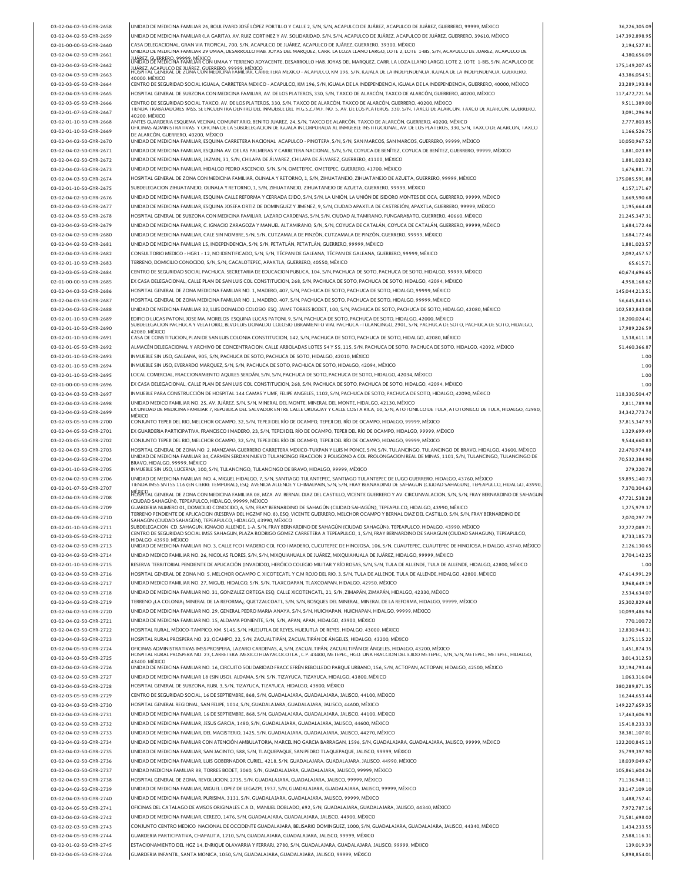| 03-02-04-02-50-GYR-2658<br>03-02-04-02-50-GYR-2659 |                                                                                                                                                                                                                                                                                                                                              |                 |
|----------------------------------------------------|----------------------------------------------------------------------------------------------------------------------------------------------------------------------------------------------------------------------------------------------------------------------------------------------------------------------------------------------|-----------------|
|                                                    | UNIDAD DE MEDICINA FAMILIAR 26, BOULEVARD JOSÉ LÓPEZ PORTILLO Y CALLE 2, S/N, S/N, ACAPULCO DE JUÁREZ, ACAPULCO DE JUÁREZ, GUERRERO, 99999, MÉXICO                                                                                                                                                                                           | 36,226,305.09   |
|                                                    | UNIDAD DE MEDICINA FAMILIAR (LA GARITA), AV. RUIZ CORTINEZ Y AV. SOLIDARIDAD, S/N, S/N, ACAPULCO DE JUÁREZ, ACAPULCO DE JUÁREZ, GUERRERO, 39610, MÉXICO                                                                                                                                                                                      | 147,392,898.95  |
|                                                    |                                                                                                                                                                                                                                                                                                                                              |                 |
| 02-01-00-00-50-GYR-2660                            | CASA DELEGACIONAL, GRAN VIA TROPICAL, 700, S/N, ACAPULCO DE JUÁREZ, ACAPULCO DE JUÁREZ, GUERRERO, 39300, MÉXICO                                                                                                                                                                                                                              | 2,194,527.8     |
| 03-02-04-02-50-GYR-2661                            | UNIDAD DE MEDICINA FAMILIAR 29 UMAA, DESARROLLO HAB. JOYAS DEL MARQUEZ, CARR. LA LOZA LLANO LARGO, LOTE 2, LOTE 1-BIS, S/N, ACAPULCO DE JUAREZ, ACAPULCO DE                                                                                                                                                                                  | 4,380,656.0     |
|                                                    | umbez buerbern, 1999?<br>Kribek buerbern, 19amiliar ESN umaa y terreno adyacente, desarrollo hab. joyas del marquez, carr. la loza llano largo, lote 2, lote 1-bis, s/n, acapulco de                                                                                                                                                         |                 |
| 03-02-04-02-50-GYR-2662                            | umast.<br>Hösttal Cervers2 BE VorfE-StVFREBER\1?}10mlMR'Carretera mexico - acapulco, km 196, s/n, iguala de la independencia, iguala de la independencia, guerrero,                                                                                                                                                                          | 175,149,207.4   |
| 03-02-04-03-50-GYR-2663                            | 40000. MÉXICO                                                                                                                                                                                                                                                                                                                                | 43,386,054.5    |
| 03-02-03-05-50-GYR-2664                            | CENTRO DE SEGURIDAD SOCIAL IGUALA, CARRETERA MEXICO - ACAPULCO, KM 196, S/N, IGUALA DE LA INDEPENDENCIA, IGUALA DE LA INDEPENDENCIA, GUERRERO, 40000, MÉXICO                                                                                                                                                                                 | 23,289,193.8    |
|                                                    |                                                                                                                                                                                                                                                                                                                                              |                 |
| 03-02-04-03-50-GYR-2665                            | HOSPITAL GENERAL DE SUBZONA CON MEDICINA FAMILIAR. AV DE LOS PLATEROS. 330. S/N. TAXCO DE ALARCÓN. TAXCO DE ALARCÓN, GUERRERO, 40200. MÉXICO                                                                                                                                                                                                 | 117,472,721.5   |
| 03-02-03-05-50-GYR-2666                            | CENTRO DE SEGURIDAD SOCIAL TAXCO, AV. DE LOS PLATEROS, 330, S/N, TAXCO DE ALARCÓN, TAXCO DE ALARCÓN, GUERRERO, 40200, MÉXICO                                                                                                                                                                                                                 | 9,511,389.00    |
|                                                    | TIENDA TRABAJADORES IMSS, SE ENCUENTRA DENTRO DEL INMUEBLE DEL H.G.S.Z./M.F. NO. 5, AV. DE LOS PLATEROS, 330, S/N, TAXCO DE ALARCON, TAXCO DE ALARCON, GUERRERO,                                                                                                                                                                             |                 |
| 03-02-01-07-50-GYR-2667                            | 40200. MÉXICO                                                                                                                                                                                                                                                                                                                                | 3,091,296.9     |
| 03-02-01-10-50-GYR-2668                            | ANTES GUARDERIA ESQUEMA VECINAL COMUNITARIO, BENITO JUAREZ, 24, S/N, TAXCO DE ALARCÓN, TAXCO DE ALARCÓN, GUERRERO, 40200, MÉXICO                                                                                                                                                                                                             | 2,777,803.8     |
|                                                    | OFICINAS ADMINISTRATIVAS Y OFICINA DE LA SUBDELEGACION DE IGUALA INCORPORADA AL INMUEBLE INSTITUCIONAL, AV. DE LOS PLATEROS, 330, S/N, TAXCO DE ALARCON, TAXCO                                                                                                                                                                               |                 |
| 03-02-01-10-50-GYR-2669                            | DE ALARCÓN, GUERRERO, 40200, MÉXICO                                                                                                                                                                                                                                                                                                          | 1,166,526.7     |
| 03-02-04-02-50-GYR-2670                            | UNIDAD DE MEDICINA FAMILIAR, ESQUINA CARRETERA NACIONAL ACAPULCO - PINOTEPA, S/N, S/N, SAN MARCOS, SAN MARCOS, GUERRERO, 99999, MÉXICO                                                                                                                                                                                                       | 10.050.967.5    |
|                                                    |                                                                                                                                                                                                                                                                                                                                              |                 |
| 03-02-04-02-50-GYR-2671                            | UNIDAD DE MEDICINA FAMILIAR, ESQUINA AV. DE LAS PALMERAS Y CARRETERA NACIONAL, S/N, S/N, COYUCA DE BENÍTEZ, COYUCA DE BENÍTEZ, GUERRERO, 99999, MÊXICO                                                                                                                                                                                       | 1,881,023.8     |
| 03-02-04-02-50-GYR-2672                            | UNIDAD DE MEDICINA FAMILIAR, JAZMIN, 31, S/N, CHILAPA DE ÁLVAREZ, CHILAPA DE ÁLVAREZ, GUERRERO, 41100, MÉXICO                                                                                                                                                                                                                                | 1,881,023.8     |
| 03-02-04-02-50-GYR-2673                            | UNIDAD DE MEDICINA FAMILIAR, HIDALGO PEDRO ASCENCIO, S/N, S/N, OMETEPEC, OMETEPEC, GUERRERO, 41700, MÉXICO                                                                                                                                                                                                                                   | 1,676,881.7     |
|                                                    |                                                                                                                                                                                                                                                                                                                                              |                 |
| 03-02-04-03-50-GYR-2674                            | HOSPITAL GENERAL DE ZONA CON MEDICINA FAMILIAR, OLINALA Y RETORNO, 1, S/N, ZIHUATANEJO, ZIHUATANEJO DE AZUETA, GUERRERO, 99999, MÊXICO                                                                                                                                                                                                       | 175,085,591.8   |
| 03-02-01-10-50-GYR-2675                            | SUBDELEGACION ZIHUATANEJO, OLINALA Y RETORNO, 1, S/N, ZIHUATANEJO, ZIHUATANEJO DE AZUETA, GUERRERO, 99999, MÊXICO                                                                                                                                                                                                                            | 4,157,171.6     |
|                                                    |                                                                                                                                                                                                                                                                                                                                              |                 |
| 03-02-04-02-50-GYR-2676                            | UNIDAD DE MEDICINA FAMILIAR, ESQUINA CALLE REFORMA Y CERRADA EJIDO, S/N, S/N, LA UNIÓN, LA UNIÓN DE ISIDORO MONTES DE OCA, GUERRERO, 99999, MÉXICO                                                                                                                                                                                           | 1,669,590.6     |
| 03-02-04-02-50-GYR-2677                            | UNIDAD DE MEDICINA FAMILIAR, ESQUINA JOSEFA ORTIZ DE DOMINGUEZ Y JIMENEZ, 9, S/N, CIUDAD APAXTLA DE CASTREJÓN, APAXTLA, GUERRERO, 99999, MÉXICO                                                                                                                                                                                              | 1,195,664.4     |
| 03-02-04-03-50-GYR-2678                            | HOSPITAL GENERAL DE SUBZONA CON MEDICINA FAMILIAR, LAZARO CARDENAS, S/N, S/N, CIUDAD ALTAMIRANO, PUNGARABATO, GUERRERO, 40660, MÉXICO                                                                                                                                                                                                        | 21,245,347.3    |
|                                                    |                                                                                                                                                                                                                                                                                                                                              |                 |
| 03-02-04-02-50-GYR-2679                            | UNIDAD DE MEDICINA FAMILIAR, C. IGNACIO ZARAGOZA Y MANUEL ALTAMIRANO, S/N, S/N, COYUCA DE CATALÁN, COYUCA DE CATALÁN, GUERRERO, 99999, MÉXICO                                                                                                                                                                                                | 1,684,172.4     |
| 03-02-04-02-50-GYR-2680                            | UNIDAD DE MEDICINA FAMILIAR, CALE SIN NOMBRE, S/N, S/N, CUTZAMALA DE PINZÓN, CUTZAMALA DE PINZÓN, GUERRERO, 99999, MÉXICO                                                                                                                                                                                                                    | 1,684,172.4     |
|                                                    |                                                                                                                                                                                                                                                                                                                                              |                 |
| 03-02-04-02-50-GYR-2681                            | UNIDAD DE MEDICINA FAMILIAR 15, INDEPENDENCIA, S/N, S/N, PETATLÁN, PETATLÁN, GUERRERO, 99999, MÉXICO                                                                                                                                                                                                                                         | 1,881,023.5     |
| 03-02-04-02-50-GYR-2682                            | CONSULTORIO MEDICO - HGR1 - 12, NO IDENTIFICADO, S/N, S/N, TÉCPAN DE GALEANA, TÉCPAN DE GALEANA, GUERRERO, 99999, MÉXICO                                                                                                                                                                                                                     | 2,092,457.5     |
|                                                    |                                                                                                                                                                                                                                                                                                                                              |                 |
| 03-02-01-10-50-GYR-2683                            | TERRENO, DOMICILIO CONOCIDO, S/N, S/N, CACALOTEPEC, APAXTLA, GUERRERO, 40550, MÉXICO                                                                                                                                                                                                                                                         | 65,615.7        |
| 03-02-03-05-50-GYR-2684                            | CENTRO DE SEGURIDAD SOCIAL PACHUCA, SECRETARIA DE EDUCACION PUBLICA, 104, S/N, PACHUCA DE SOTO, PACHUCA DE SOTO, HIDALGO, 99999, MÉXICO                                                                                                                                                                                                      | 60,674,696.6    |
| 02-01-00-00-50-GYR-2685                            | EX CASA DELEGACIONAL, CALLE PLAN DE SAN LUIS COL CONSTITUCION, 268, S/N, PACHUCA DE SOTO, PACHUCA DE SOTO, HIDALGO, 42094, MÉXICO                                                                                                                                                                                                            | 4.958.168.6     |
|                                                    |                                                                                                                                                                                                                                                                                                                                              |                 |
| 03-02-04-03-50-GYR-2686                            | HOSPITAL GENERAL DE ZONA MEDICINA FAMILIAR NO. 1, MADERO, 407, S/N, PACHUCA DE SOTO, PACHUCA DE SOTO, HIDALGO, 99999, MÊXICO                                                                                                                                                                                                                 | 145,044,213.5   |
| 03-02-04-03-50-GYR-2687                            | HOSPITAL GENERAL DE ZONA MEDICINA FAMILIAR NO. 1. MADERO, 407, S/N. PACHUCA DE SOTO, PACHUCA DE SOTO, HIDALGO, 99999, MÉXICO                                                                                                                                                                                                                 | 56,645,843.6    |
|                                                    |                                                                                                                                                                                                                                                                                                                                              |                 |
| 03-02-04-02-50-GYR-2688                            | UNIDAD DE MEDICINA FAMILIAR 32, LUIS DONALDO COLOSIO ESQ. JAIME TORRES BODET, 100, S/N, PACHUCA DE SOTO, PACHUCA DE SOTO, HIDALGO, 42080, MÉXICO                                                                                                                                                                                             | 102,582,843.08  |
| 03-02-01-10-50-GYR-2689                            | EDIFICIO LUCAS PATONI, JOSE MA. MORELOS ESQUINA LUCAS PATONI, 9, S/N, PACHUCA DE SOTO, PACHUCA DE SOTO, HIDALGO, 42000, MÉXICO                                                                                                                                                                                                               | 18,200,024.4    |
| 03-02-01-10-50-GYR-2690                            | SUBDELEGACION PACHUCA Y VELATORIO, BLVD LUIS DONALDO COLOSIO LIBRAMIENTO VIAL PACHUCA -TULANCINGO, 2901, S/N, PACHUCA DE SOTO, PACHUCA DE SOTO, HIDALGO,                                                                                                                                                                                     | 17.989.226.5    |
|                                                    | 42080. MÉXICO                                                                                                                                                                                                                                                                                                                                |                 |
| 03-02-01-10-50-GYR-2691                            | CASA DE CONSTITUCION, PLAN DE SAN LUIS COLONIA CONSTITUCION, 142, S/N, PACHUCA DE SOTO, PACHUCA DE SOTO, HIDALGO, 42080, MÊXICO                                                                                                                                                                                                              | 1,538,611.1     |
| 03-02-01-05-50-GYR-2692                            | ALMACÉN DELEGACIONAL Y ARCHIVO DE CONCENTRACION, CALLE ARBOLADAS LOTES 54 Y 55, 115, S/N, PACHUCA DE SOTO, PACHUCA DE SOTO, HIDALGO, 42092, MÉXICO                                                                                                                                                                                           | 51,460,366.8    |
|                                                    |                                                                                                                                                                                                                                                                                                                                              |                 |
| 03-02-01-10-50-GYR-2693                            | INMUEBLE SIN USO, GALEANA, 905, S/N, PACHUCA DE SOTO, PACHUCA DE SOTO, HIDALGO, 42010, MÉXICO                                                                                                                                                                                                                                                | 1.00            |
| 03-02-01-10-50-GYR-2694                            | INMUEBLE SIN USO, EVERARDO MARQUEZ, S/N, S/N, PACHUCA DE SOTO, PACHUCA DE SOTO, HIDALGO, 42094, MÈXICO                                                                                                                                                                                                                                       | 1.00            |
|                                                    |                                                                                                                                                                                                                                                                                                                                              |                 |
| 03-02-01-10-50-GYR-2695                            | LOCAL COMERCIAL, FRACCIONAMIENTO AQUILES SERDÁN, S/N, S/N, PACHUCA DE SOTO, PACHUCA DE SOTO, HIDALGO, 42034, MÉXICO                                                                                                                                                                                                                          | 1.0             |
| 02-01-00-00-50-GYR-2696                            | EX CASA DELEGACIONAL, CALLE PLAN DE SAN LUIS COL CONSTITUCION, 268, S/N, PACHUCA DE SOTO, PACHUCA DE SOTO, HIDALGO, 42094, MÊXICO                                                                                                                                                                                                            | 1.00            |
|                                                    | INMUEBLE PARA CONSTRUCCIÓN DE HOSPITAL 144 CAMAS Y UMF, FELIPE ANGELES, 1102, S/N, PACHUCA DE SOTO, PACHUCA DE SOTO, HIDALGO, 42090, MÉXICO                                                                                                                                                                                                  |                 |
| 03-02-04-03-50-GYR-2697                            |                                                                                                                                                                                                                                                                                                                                              | 118.330.504.4   |
| 03-02-04-02-50-GYR-2698                            | UNIDAD MEDICO FAMILIAR NO. 25, AV. JUÁREZ, S/N, S/N, MINERAL DEL MONTE, MINERAL DEL MONTE, HIDALGO, 42130, MÉXICO                                                                                                                                                                                                                            | 2,811,789.98    |
| 03-02-04-02-50-GYR-2699                            | EX UNIDAD DE MEDICINA FAMILIAR 7, REPUBLICA DEL SALVADOR ENTRE CALLE URUGUAY Y CALLE COSTA RICA, 10, S/N, ATOTONILCO DE TULA, ATOTONILCO DE TULA, HIDALGO, 42980,                                                                                                                                                                            | 34, 342, 773. 7 |
|                                                    | MÉXICO                                                                                                                                                                                                                                                                                                                                       |                 |
| 03-02-03-05-50-GYR-2700                            | CONJUNTO TEPEJI DEL RIO, MELCHOR OCAMPO, 32, S/N, TEPEJI DEL RÍO DE OCAMPO, TEPEJI DEL RÍO DE OCAMPO, HIDALGO, 99999, MÉXICO                                                                                                                                                                                                                 | 37,815,347.9    |
| 03-02-04-05-50-GYR-2701                            | EX GUARDERIA PARTICIPATIVA, FRANCISCO I MADERO, 23, S/N, TEPEJI DEL RÍO DE OCAMPO, TEPEJI DEL RÍO DE OCAMPO, HIDALGO, 99999, MÉXICO                                                                                                                                                                                                          | 1,329,699.4     |
|                                                    |                                                                                                                                                                                                                                                                                                                                              |                 |
| 03-02-03-05-50-GYR-2702                            | CONJUNTO TEPEJI DEL RIO, MELCHOR OCAMPO, 32, S/N, TEPEJI DEL RÍO DE OCAMPO, TEPEJI DEL RÍO DE OCAMPO, HIDALGO, 99999, MÉXICO                                                                                                                                                                                                                 | 9,544,660.8     |
| 03-02-04-03-50-GYR-2703                            | HOSPITAL GENERAL DE ZONA NO. 2, MANZANA GUERRERO CARRETERA MEXICO-TUXPAN Y LUIS M PONCE, S/N, S/N, TULANCINGO, TULANCINGO DE BRAVO, HIDALGO, 43600, MÉXICO                                                                                                                                                                                   | 22,470,974.8    |
|                                                    | UNIDAD DE MEDICINA FAMILIAR 34, CARMEN SERDAN NUEVO TULANCINGO FRACCION 2 POLIGONO A COL PROLONGACION REAL DE MINAS, 1101, S/N, TULANCINGO, TULANCINGO DE                                                                                                                                                                                    |                 |
| 03-02-04-02-50-GYR-2704                            | BRAVO, HIDALGO, 99999, MĚXICO                                                                                                                                                                                                                                                                                                                | 70,532,384.9    |
| 03-02-01-10-50-GYR-2705                            | INMUEBLE SIN USO, LUCERNA, 100, S/N, TULANCINGO, TULANCINGO DE BRAVO, HIDALGO, 99999, MÉXICO                                                                                                                                                                                                                                                 | 279,220.7       |
| 03-02-04-02-50-GYR-2706                            | UNIDAD DE MEDICINA FAMILIAR NO. 4. MIGUEL HIDALGO, 7. S/N. SANTIAGO TULANTEPEC, SANTIAGO TULANTEPEC DE LUGO GUERRERO, HIDALGO, 43760, MÉXICO                                                                                                                                                                                                 | 59,895,140.7    |
|                                                    | TIENDA IMSS SNTSS 116 (EN CIERRE TEMPORAL), ESQ. AVENIDA ALLENDE Y CHIMALPAIN, S/N, S/N, FRAY BERNARDINO DE SAHAGUN (CIUDAD SAHAGUN), TEPEAPULCO, HIDALGO, 43990                                                                                                                                                                             |                 |
| 03-02-01-07-50-GYR-2707                            |                                                                                                                                                                                                                                                                                                                                              | 7,370,304.6     |
| 03-02-04-03-50-GYR-2708                            | MGSIFIAL GENERAL DE ZONA CON MEDICINA FAMILIAR 08, MZA. AV. BERNAL DIAZ DEL CASTILLO, VICENTE GUERRERO Y AV. CIRCUNVALACION, S/N, S/N, FRAY BERNARDINO DE SAHAGUN                                                                                                                                                                            | 47,721,538.2    |
|                                                    | (CIUDAD SAHAGÚN), TEPEAPULCO, HIDALGO, 99999, MÉXICO                                                                                                                                                                                                                                                                                         |                 |
| 03-02-04-05-50-GYR-2709                            | GUARDERIA NUMERO 01, DOMICILIO CONOCIDO, 6, S/N, FRAY BERNARDINO DE SAHAGÚN (CIUDAD SAHAGÚN), TEPEAPULCO, HIDALGO, 43990, MÉXICO                                                                                                                                                                                                             | 1,275,979.3     |
| 03-02-04-09-50-GYR-2710                            | TERRENO PENDIENTE DE APLICACION (RESERVA DEL HGZMF NO. 8), ESQ. VICENTE GUERRERO, MELCHOR OCAMPO Y BERNAL DIAZ DEL CASTILLO, S/N, S/N, FRAY BERNARDINO DE                                                                                                                                                                                    | 2,070,297.7     |
|                                                    | SAHAGÚN (CIUDAD SAHAGÚN), TEPEAPULCO, HIDALGO, 43990, MÉXICO                                                                                                                                                                                                                                                                                 |                 |
| 03-02-01-10-50-GYR-2711                            | SUBDELEGACION CD. SAHAGUN, IGNACIO ALLENDE, 1-A, S/N, FRAY BERNARDINO DE SAHAGÚN (CIUDAD SAHAGÚN), TEPEAPULCO, HIDALGO, 43990, MÉXICO                                                                                                                                                                                                        | 22,272,089.71   |
| 03-02-03-05-50-GYR-2712                            | CENTRO DE SEGURIDAD SOCIAL IMSS SAHAGUN, PLAZA RODRIGO GOMEZ CARRETERA A TEPEAPULCO, 1, S/N, FRAY BERNARDINO DE SAHAGUN (CIUDAD SAHAGUN), TEPEAPULCO,                                                                                                                                                                                        | 8,733,185.73    |
|                                                    | HIDALGO. 43990. MĚXICO                                                                                                                                                                                                                                                                                                                       |                 |
| 03-02-04-02-50-GYR-2713                            | UNIDAD DE MEDICINA FAMILIAR NO. 3, CALLE FCO I MADERO COL FCO I MADERO, CUCUTEPEC DE HINOJOSA, 106, S/N, CUAUTEPEC, CUAUTEPEC DE HINOJOSA, HIDALGO, 43740, MÉXICO                                                                                                                                                                            | 2,126,130.6     |
| 03-02-04-02-50-GYR-2714                            | UNIDAD MEDICO FAMILIAR NO. 26, NICOLAS FLORES, S/N, S/N, MIXQUIAHUALA DE JUÁREZ, MIXQUIAHUALA DE JUÁREZ, HIDALGO, 99999, MÉXICO                                                                                                                                                                                                              | 2,704,142.2     |
|                                                    | RESERVA TERRITORIAL PENDIENTE DE APLICACIÓN (INVADIDO), HERÓICO COLEGIO MILITAR Y RÍO ROSAS, S/N, S/N, TULA DE ALLENDE, TULA DE ALLENDE, HIDALGO, 42800, MÉXICO                                                                                                                                                                              |                 |
| 03-02-01-10-50-GYR-2715                            |                                                                                                                                                                                                                                                                                                                                              | 1.00            |
| 03-02-04-03-50-GYR-2716                            | HOSPITAL GENERAL DE ZONA NO. 5, MELCHOR OCAMPO C. XICOTECATL Y C.M ROJO DEL RIO, 3, S/N, TULA DE ALLENDE, TULA DE ALLENDE, HIDALGO, 42800, MÉXICO                                                                                                                                                                                            | 47,614,991.29   |
| 03-02-04-02-50-GYR-2717                            | UNIDAD MEDICO FAMILIAR NO. 27, MIGUEL HIDALGO, S/N, S/N, TLAXCOAPAN, TLAXCOAPAN, HIDALGO, 42950, MÉXICO                                                                                                                                                                                                                                      | 3,968,649.19    |
|                                                    |                                                                                                                                                                                                                                                                                                                                              |                 |
| 03-02-04-02-50-GYR-2718                            | UNIDAD DE MEDICINA FAMILIAR NO. 31, GONZALEZ ORTEGA ESQ. CALLE XICOTENCATL, 21, S/N, ZIMAPÁN, ZIMAPÁN, HIDALGO, 42330, MÉXICO                                                                                                                                                                                                                | 2,534,634.0     |
| 03-02-04-02-50-GYR-2719                            | TERRENO ¿LA COLONIA¿ MINERAL DE LA REFORMA¿, QUETZALCOATL, S/N, S/N, BOSQUES DEL MINERAL, MINERAL DE LA REFORMA, HIDALGO, 99999, MÉXICO                                                                                                                                                                                                      | 25,302,829.6    |
|                                                    |                                                                                                                                                                                                                                                                                                                                              |                 |
|                                                    |                                                                                                                                                                                                                                                                                                                                              | 10,099,486.9    |
| 03-02-04-02-50-GYR-2720                            | UNIDAD DE MEDICINA FAMILIAR NO. 29, GENERAL PEDRO MARIA ANAYA, S/N, S/N, HUICHAPAN, HUICHAPAN, HIDALGO, 99999, MÉXICO                                                                                                                                                                                                                        |                 |
| 03-02-04-02-50-GYR-2721                            | UNIDAD DE MEDICINA FAMILIAR NO. 15. ALDAMA PONIENTE. S/N. S/N. APAN, APAN, HIDALGO, 43900, MÉXICO                                                                                                                                                                                                                                            | 770,100.7       |
|                                                    |                                                                                                                                                                                                                                                                                                                                              |                 |
| 03-02-04-03-50-GYR-2722                            | HOSPITAL RURAL, MÉXICO-TAMPICO, KM. 5145, S/N, HUEJUTLA DE REYES, HUEJUTLA DE REYES, HIDALGO, 43000, MÉXICO                                                                                                                                                                                                                                  | 12,830,944.3    |
| 03-02-04-03-50-GYR-2723                            | HOSPITAL RURAL PROSPERA NO. 22. OCAMPO. 22. S/N. ZACUALTIPÁN. ZACUALTIPÁN DE ÁNGELES. HIDALGO. 43200. MÉXICO                                                                                                                                                                                                                                 | 3,175,115.2     |
|                                                    |                                                                                                                                                                                                                                                                                                                                              |                 |
| 03-02-04-05-50-GYR-2724                            | OFICINAS ADMINISTRATIVAS IMSS PROSPERA, LAZARO CARDENAS, 4, S/N, ZACUALTIPÁN, ZACUALTIPÁN DE ÁNGELES, HIDALGO, 43200, MÉXICO<br>HOSPITAL RURAL PROSPERA NO. 23, CARRETERA IMEXICO HUAYACOCOTLA , C.P. 43400, METEPEC, HGO. UNA FRACCION DEL EJIDO METEPEC, S/N, S/N, METEPEC, METEPEC, METEPEC, METEPEC, METEPEC, METEPEC, METEPEC, HIDALGO, | 1,451,874.3     |
| 03-02-04-03-50-GYR-2725                            | 43400. MĚXICO                                                                                                                                                                                                                                                                                                                                | 3,014,312.53    |
| 03-02-04-02-50-GYR-2726                            | UNIDAD DE MEDICINA FAMILIAR NO. 16, CIRCUITO SOLIDARIDAD FRACC EFRÉN REBOLLEDO PARQUE URBANO, 156, S/N, ACTOPAN, ACTOPAN, HIDALGO, 42500, MÉXICO                                                                                                                                                                                             | 32,194,793.4    |
|                                                    |                                                                                                                                                                                                                                                                                                                                              |                 |
| 03-02-04-02-50-GYR-2727                            | UNIDAD DE MEDICINA FAMILIAR 18 (SIN USO), ALDAMA, S/N, S/N, TIZAYUCA, TIZAYUCA, HIDALGO, 43800, MĚXICO                                                                                                                                                                                                                                       | 1,063,316.04    |
| 03-02-04-03-50-GYR-2728                            | HOSPITAL GENERAL DE SUBZONA, RUBI, 3, S/N, TIZAYUCA, TIZAYUCA, HIDALGO, 43800, MÉXICO                                                                                                                                                                                                                                                        | 380,289,871.3   |
|                                                    |                                                                                                                                                                                                                                                                                                                                              |                 |
| 03-02-03-05-50-GYR-2729                            | CENTRO DE SEGURIDAD SOCIAL, 16 DE SEPTIEMBRE, 868, S/N, GUADALAJARA, GUADALAJARA, JALISCO, 44100, MÊXICO                                                                                                                                                                                                                                     | 16,244,653.4    |
| 03-02-04-03-50-GYR-2730                            | HOSPITAL GENERAL REGIONAL, SAN FELIPE, 1014, S/N, GUADALAJARA, GUADALAJARA, JALISCO, 44600, MÉXICO                                                                                                                                                                                                                                           | 149,227,659.35  |
| 03-02-04-02-50-GYR-2731                            | UNIDAD DE MEDICINA FAMILIAR, 16 DE SEPTIEMBRE, 868, S/N, GUADALAJARA, GUADALAJARA, JALISCO, 44100, MÉXICO                                                                                                                                                                                                                                    | 17,463,606.9    |
|                                                    |                                                                                                                                                                                                                                                                                                                                              |                 |
| 03-02-04-02-50-GYR-2732                            | UNIDAD DE MEDICINA FAMILIAR, JESUS GARCIA, 1480, S/N, GUADALAJARA, GUADALAJARA, JALISCO, 44600, MÉXICO                                                                                                                                                                                                                                       | 15,418,233.33   |
| 03-02-04-02-50-GYR-2733                            | UNIDAD DE MEDICINA FAMILIAR, DEL MAGISTERIO, 1425, S/N, GUADALAJARA, GUADALAJARA, JALISCO, 44270, MÉXICO                                                                                                                                                                                                                                     | 38,381,107.0    |
|                                                    |                                                                                                                                                                                                                                                                                                                                              |                 |
| 03-02-04-02-50-GYR-2734                            | UNIDAD DE MEDICINA FAMILIAR CON ATENCIÓN AMBULATORIA, MARCELINO GARCIA BARRAGAN, 1596, S/N, GUADALAJARA, GUADALAJARA, JALISCO, 99999, MÉXICO                                                                                                                                                                                                 | 122,200,845.1   |
| 03-02-04-02-50-GYR-2735                            | UNIDAD DE MEDICINA FAMILIAR, SAN JACINTO, 588, S/N, TLAQUEPAQUE, SAN PEDRO TLAQUEPAQUE, JALISCO, 99999, MÉXICO                                                                                                                                                                                                                               | 25,799,397.90   |
|                                                    |                                                                                                                                                                                                                                                                                                                                              |                 |
| 03-02-04-02-50-GYR-2736                            | UNIDAD DE MEDICINA FAMILIAR, LUIS GOBERNADOR CURIEL, 4218, S/N, GUADALAJARA, GUADALAJARA, JALISCO, 44990, MÉXICO                                                                                                                                                                                                                             | 18,039,049.6    |
| 03-02-04-02-50-GYR-2737                            | UNIDAD MEDICINA FAMILIAR 88, TORRES BODET, 3060, S/N, GUADALAJARA, GUADALAJARA, JALISCO, 99999, MÉXICO                                                                                                                                                                                                                                       | 105,861,604.26  |
| 03-02-04-03-50-GYR-2738                            | HOSPITAL GENERAL DE ZONA, REVOLUCION, 2735, S/N, GUADALAJARA, GUADALAJARA, JALISCO, 99999, MÉXICO                                                                                                                                                                                                                                            | 71,136,948.1    |
|                                                    |                                                                                                                                                                                                                                                                                                                                              |                 |
| 03-02-04-02-50-GYR-2739                            | UNIDAD DE MEDICINA FAMILIAR, MIGUEL LOPEZ DE LEGAZPI, 1937, S/N, GUADALAJARA, GUADALAJARA, JALISCO, 99999, MÉXICO                                                                                                                                                                                                                            | 33,147,109.10   |
| 03-02-04-03-50-GYR-2740                            | UNIDAD DE MEDICINA FAMILIAR, PURISIMA, 3131, S/N, GUADALAJARA, GUADALAJARA, JALISCO, 99999, MÉXICO                                                                                                                                                                                                                                           | 1,488,752.41    |
|                                                    |                                                                                                                                                                                                                                                                                                                                              |                 |
| 03-02-04-05-50-GYR-2741                            | OFICINAS DEL CATALAGO DE AVISOS ORIGINALES C.A.O., MANUEL DOBLADO, 692, S/N, GUADALAJARA, GUADALAJARA, JALISCO, 44340, MÉXICO                                                                                                                                                                                                                | 7,972,787.1     |
| 03-02-04-02-50-GYR-2742                            | UNIDAD DE MEDICINA FAMILIAR, CEREZO, 1476, S/N, GUADALAJARA, GUADALAJARA, JALISCO, 44900, MÉXICO                                                                                                                                                                                                                                             | 71,581,698.02   |
| 03-02-02-03-50-GYR-2743                            | CONJUNTO CENTRO MEDICO NACIONAL DE OCCIDENTE GUADALAJARA, BELISARIO DOMINGUEZ, 1000, S/N, GUADALAJARA, GUADALAJARA, JALISCO, 44340, MÉXICO                                                                                                                                                                                                   |                 |
|                                                    |                                                                                                                                                                                                                                                                                                                                              | 1,434,233.5     |
| 03-02-04-05-50-GYR-2744                            | GUARDERIA PARTICIPATIVA, CHAPALITA, 1210, S/N, GUADALAJARA, GUADALAJARA, JALISCO, 99999, MÉXICO                                                                                                                                                                                                                                              | 2,588,116.3     |
| 03-02-01-02-50-GYR-2745                            | ESTACIONAMIENTO DEL HGZ 14, ENRIQUE OLAVARRIA Y FERRARI, 2780, S/N, GUADALAJARA, GUADALAJARA, JALISCO, 99999, MÉXICO                                                                                                                                                                                                                         | 139,019.39      |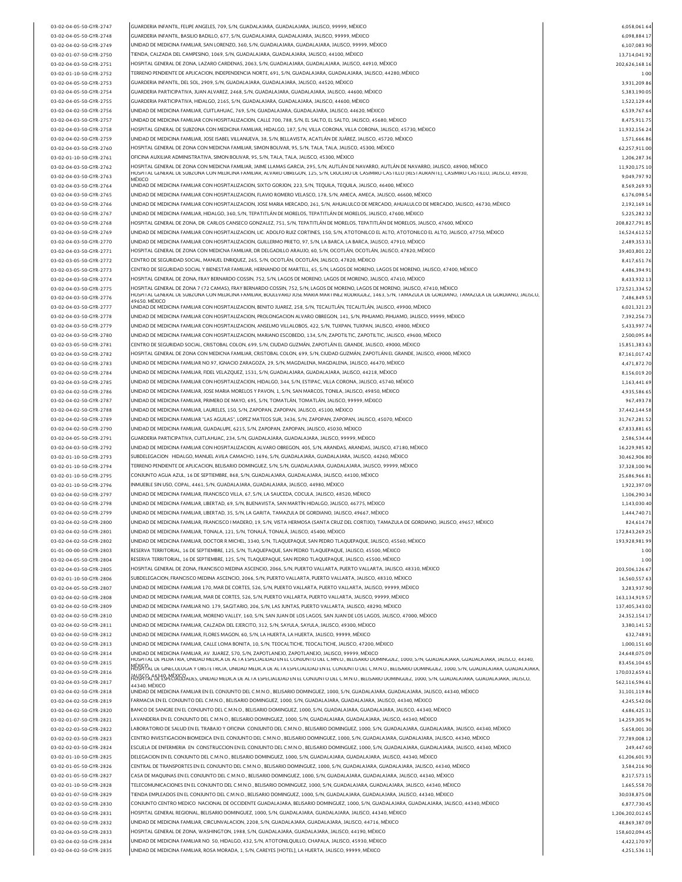| 03-02-04-05-50-GYR-2747 | GUARDERIA INFANTIL, FELIPE ANGELES, 709, S/N, GUADALAJARA, GUADALAJARA, JALISCO, 99999, MÉXICO                                                                                                                                                                                                            | 6,058,061.64                 |
|-------------------------|-----------------------------------------------------------------------------------------------------------------------------------------------------------------------------------------------------------------------------------------------------------------------------------------------------------|------------------------------|
| 03-02-04-05-50-GYR-2748 | GUARDERIA INFANTIL, BASILIO BADILLO, 677, S/N, GUADALAJARA, GUADALAJARA, JALISCO, 99999, MÉXICO                                                                                                                                                                                                           | 6,098,884.17                 |
| 03-02-04-02-50-GYR-2749 | UNIDAD DE MEDICINA FAMILIAR, SAN LORENZO, 360, S/N, GUADALAJARA, GUADALAJARA, JALISCO, 99999, MÉXICO                                                                                                                                                                                                      | 6,107,083.90                 |
| 03-02-01-07-50-GYR-2750 | TIENDA, CALZADA DEL CAMPESINO, 1069, S/N, GUADALAJARA, GUADALAJARA, JALISCO, 44100, MÉXICO                                                                                                                                                                                                                | 13,714,041.92                |
| 03-02-04-03-50-GYR-2751 | HOSPITAL GENERAL DE ZONA, LAZARO CARDENAS, 2063, S/N, GUADALAJARA, GUADALAJARA, JALISCO, 44910, MÈXICO                                                                                                                                                                                                    | 202.626.168.16               |
| 03-02-01-10-50-GYR-2752 | TERRENO PENDIENTE DE APLICACION, INDEPENDENCIA NORTE, 691, S/N, GUADALAJARA, GUADALAJARA, JALISCO, 44280, MÊXICO                                                                                                                                                                                          | 1.00                         |
| 03-02-04-05-50-GYR-2753 | GUARDERIA INFANTIL, DEL SOL, 2909, S/N, GUADALAJARA, GUADALAJARA, JALISCO, 44520, MÉXICO                                                                                                                                                                                                                  |                              |
|                         |                                                                                                                                                                                                                                                                                                           | 3,931,209.86                 |
| 03-02-04-05-50-GYR-2754 | GUARDERIA PARTICIPATIVA, JUAN ALVAREZ, 2468, S/N, GUADALAJARA, GUADALAJARA, JALISCO, 44600, MĚXICO                                                                                                                                                                                                        | 5,383,190.05                 |
| 03-02-04-05-50-GYR-2755 | GUARDERIA PARTICIPATIVA, HIDALGO, 2165, S/N, GUADALAJARA, GUADALAJARA, JALISCO, 44600, MÉXICO                                                                                                                                                                                                             | 1,522,129.44                 |
| 03-02-04-02-50-GYR-2756 | UNIDAD DE MEDICINA FAMILIAR, CUITLAHUAC, 769, S/N, GUADALAJARA, GUADALAJARA, JALISCO, 44620, MÉXICO                                                                                                                                                                                                       | 6,539,767.64                 |
| 03-02-04-03-50-GYR-2757 | UNIDAD DE MEDICINA FAMILIAR CON HOSPITALIZACION, CALLE 700, 788, S/N, EL SALTO, EL SALTO, JALISCO, 45680, MÉXICO                                                                                                                                                                                          | 8,475,911.75                 |
| 03-02-04-03-50-GYR-2758 | HOSPITAL GENERAL DE SUBZONA CON MEDICINA FAMILIAR, HIDALGO, 187, S/N, VILLA CORONA, VILLA CORONA, JALISCO, 45730, MÉXICO                                                                                                                                                                                  | 11,932,156.24                |
| 03-02-04-02-50-GYR-2759 | UNIDAD DE MEDICINA FAMILIAR, JOSE ISABEL VILLANUEVA, 38, S/N, BELLAVISTA, ACATLÁN DE JUÁREZ, JALISCO, 45720, MÉXICO                                                                                                                                                                                       | 1,571,666.86                 |
| 03-02-04-03-50-GYR-2760 | HOSPITAL GENERAL DE ZONA CON MEDICNA FAMILIAR, SIMON BOLIVAR, 95, S/N, TALA, TALA, JALISCO, 45300, MÉXICO                                                                                                                                                                                                 | 62,257,911.00                |
|                         | OFICINA AUXILIAR ADMINISTRATIVA, SIMON BOLIVAR, 95, S/N, TALA, TALA, JALISCO, 45300, MÉXICO                                                                                                                                                                                                               | 1.206.287.36                 |
| 03-02-01-10-50-GYR-2761 |                                                                                                                                                                                                                                                                                                           |                              |
| 03-02-04-03-50-GYR-2762 | HOSPITAL GENERAL DE ZONA CON MEDICNA FAMILIAR, JAIME LLAMAS GARCIA, 295, S/N, AUTLÁN DE NAVARRO, AUTLÁN DE NAVARRO, JALISCO, 48900, MÉXICO<br>HOSPITAL GENERAL DE SUBZONA CON MEDICINA FAMILIAR, ALVARO OBREGON, 125, S/N, CRUCERO DE CASIMIRO CASTILLO [RESTAURANTE], CASIMIRO CASTILLO, JALISCO, 48930, | 11,920,175.10                |
| 03-02-04-03-50-GYR-2763 | MÉXICO                                                                                                                                                                                                                                                                                                    | 9,049,797.92                 |
| 03-02-04-03-50-GYR-2764 | UNIDAD DE MEDICINA FAMILIAR CON HOSPITALIZACION, SIXTO GORJON, 223, S/N, TEQUILA, TEQUILA, JALISCO, 46400, MÉXICO                                                                                                                                                                                         | 8,569,269.93                 |
| 03-02-04-03-50-GYR-2765 | UNIDAD DE MEDICINA FAMILIAR CON HOSPITALIZACION, FLAVIO ROMERO VELASCO, 178, S/N, AMECA, AMECA, JALISCO, 46600, MÉXICO                                                                                                                                                                                    | 6,176,098.54                 |
| 03-02-04-03-50-GYR-2766 | UNIDAD DE MEDICINA FAMILIAR CON HOSPITALIZACION, JOSE MARIA MERCADO, 261, S/N, AHUALULCO DE MERCADO, AHUALULCO DE MERCADO, JALISCO, 46730, MÉXICO                                                                                                                                                         | 2,192,169.16                 |
| 03-02-04-02-50-GYR-2767 | UNIDAD DE MEDICINA FAMILIAR, HIDALGO, 360, S/N, TEPATITLÂN DE MORELOS, TEPATITLÂN DE MORELOS, JALISCO, 47600, MÊXICO                                                                                                                                                                                      | 5,225,282.32                 |
| 03-02-04-03-50-GYR-2768 | HOSPITAL GENERAL DE ZONA, DR. CARLOS CANSECO GONZALEZ, 751, S/N, TEPATITLÁN DE MORELOS, TEPATITLÁN DE MORELOS, JALISCO, 47600, MÉXICO                                                                                                                                                                     | 208.827.791.85               |
|                         |                                                                                                                                                                                                                                                                                                           |                              |
| 03-02-04-03-50-GYR-2769 | UNIDAD DE MEDICINA FAMILIAR CON HOSPITALIZACION, LIC. ADOLFO RUIZ CORTINES, 150, S/N, ATOTONILCO EL ALTO, ATOTONILCO EL ALTO, JALISCO, 47750, MÉXICO                                                                                                                                                      | 16,524,612.52                |
| 03-02-04-03-50-GYR-2770 | UNIDAD DE MEDICINA FAMILIAR CON HOSPITALIZACION, GUILLERMO PRIETO, 97, S/N, LA BARCA, LA BARCA, JALISCO, 47910, MÊXICO                                                                                                                                                                                    | 2,489,353.31                 |
| 03-02-04-03-50-GYR-2771 | HOSPITAL GENERAL DE ZONA CON MEDICNA FAMILIAR, DR DELGADILLO ARAUJO, 60, S/N, OCOTLÁN, OCOTLÁN, JALISCO, 47820, MÉXICO                                                                                                                                                                                    | 39 403 801 22                |
| 03-02-03-05-50-GYR-2772 | CENTRO DE SEGURIDAD SOCIAL, MANUEL ENRIQUEZ, 265, S/N, OCOTLÁN, OCOTLÁN, JALISCO, 47820, MÉXICO                                                                                                                                                                                                           | 8,417,651.76                 |
| 03-02-03-05-50-GYR-2773 | CENTRO DE SEGURIDAD SOCIAL Y BIENESTAR FAMILIAR, HERNANDO DE MARTELL, 65, S/N, LAGOS DE MORENO, LAGOS DE MORENO, JALISCO, 47400, MÉXICO                                                                                                                                                                   | 4,486,394.91                 |
| 03-02-04-03-50-GYR-2774 | HOSPITAL GENERAL DE ZONA, FRAY BERNARDO COSSIN, 752, S/N, LAGOS DE MORENO, LAGOS DE MORENO, JALISCO, 47410, MÉXICO                                                                                                                                                                                        | 8,433,932.13                 |
| 03-02-04-03-50-GYR-2775 | HOSPITAL GENERAL DE ZONA 7 (72 CAMAS), FRAY BERNARDO COSSIN, 752, S/N, LAGOS DE MORENO, LAGOS DE MORENO, JALISCO, 47410, MÉXICO                                                                                                                                                                           | 172,521,334.52               |
| 03-02-04-03-50-GYR-2776 | HOSPITAL GENERAL DE SUBZONA CON MEDICINA FAMILIAR, BOULEVARD JOSE MARIA MARTINEZ RODRIGUEZ, 1463, S/N, TAMAZULA DE GORDIANO, TAMAZULA DE GORDIANO, JALISCO,                                                                                                                                               | 7,486,849.53                 |
|                         | 49650. MÉXICO                                                                                                                                                                                                                                                                                             |                              |
| 03-02-04-03-50-GYR-2777 | UNIDAD DE MEDICINA FAMILIAR CON HOSPITALIZACION, BENITO JUAREZ, 258, S/N, TECALITLÂN, TECALITLÂN, JALISCO, 49900, MÊXICO                                                                                                                                                                                  | 6,021,321.23                 |
| 03-02-04-03-50-GYR-2778 | UNIDAD DE MEDICINA FAMILIAR CON HOSPITALIZACION. PROLONGACION ALVARO OBREGON. 141. S/N. PIHUAMO, PIHUAMO, JALISCO, 99999, MÉXICO                                                                                                                                                                          | 7.392.256.73                 |
| 03-02-04-03-50-GYR-2779 | UNIDAD DE MEDICINA FAMILIAR CON HOSPITALIZACION, ANSELMO VILLALOBOS, 422, S/N, TUXPAN, TUXPAN, JALISCO, 49800, MÉXICO                                                                                                                                                                                     | 5,433,997.74                 |
| 03-02-04-03-50-GYR-2780 | UNIDAD DE MEDICINA FAMILIAR CON HOSPITALIZACION, MARIANO ESCOBEDO, 134, S/N, ZAPOTILTIC, ZAPOTILTIC, JALISCO, 49600, MÉXICO                                                                                                                                                                               | 2,500,095.84                 |
| 03-02-03-05-50-GYR-2781 | CENTRO DE SEGURIDAD SOCIAL, CRISTOBAL COLON, 699, S/N, CIUDAD GUZMÁN, ZAPOTLÁN EL GRANDE, JALISCO, 49000, MÉXICO                                                                                                                                                                                          | 15,851,383.63                |
| 03-02-04-03-50-GYR-2782 | HOSPITAL GENERAL DE ZONA CON MEDICNA FAMILIAR, CRISTOBAL COLON, 699, S/N, CIUDAD GUZMÁN, ZAPOTLÁN EL GRANDE, JALISCO, 49000, MÊXICO                                                                                                                                                                       | 87,161,017.42                |
| 03-02-04-02-50-GYR-2783 | UNIDAD DE MEDICINA FAMILIAR NO.97, IGNACIO ZARAGOZA, 29, S/N, MAGDALENA, MAGDALENA, JALISCO, 46470, MÉXICO                                                                                                                                                                                                | 4,471,872.70                 |
|                         |                                                                                                                                                                                                                                                                                                           |                              |
| 03-02-04-02-50-GYR-2784 | UNIDAD DE MEDICINA FAMILIAR, FIDEL VELAZQUEZ, 1531, S/N, GUADALAJARA, GUADALAJARA, JALISCO, 44218, MÉXICO                                                                                                                                                                                                 | 8,156,019.20                 |
| 03-02-04-03-50-GYR-2785 | UNIDAD DE MEDICINA FAMILIAR CON HOSPITALIZACION, HIDALGO, 344, S/N, ESTIPAC, VILLA CORONA, JALISCO, 45740, MÉXICO                                                                                                                                                                                         | 1,163,441.69                 |
| 03-02-04-02-50-GYR-2786 | UNIDAD DE MEDICINA FAMILIAR, JOSE MARIA MORELOS Y PAVON, 1, S/N, SAN MARCOS, TONILA, JALISCO, 49850, MÉXICO                                                                                                                                                                                               | 4,935,586.65                 |
| 03-02-04-02-50-GYR-2787 | UNIDAD DE MEDICINA FAMILIAR, PRIMERO DE MAYO, 695, S/N, TOMATLÂN, TOMATLÂN, JALISCO, 99999, MĚXICO                                                                                                                                                                                                        | 967,493.78                   |
| 03-02-04-02-50-GYR-2788 | UNIDAD DE MEDICINA FAMILIAR, LAURELES, 150, S/N, ZAPOPAN, ZAPOPAN, JALISCO, 45100, MÉXICO                                                                                                                                                                                                                 | 37,442,144.58                |
| 03-02-04-02-50-GYR-2789 | UNIDAD DE MEDICINA FAMILIAR "LAS AGUILAS", LOPEZ MATEOS SUR, 3436, S/N, ZAPOPAN, ZAPOPAN, JALISCO, 45070, MÉXICO                                                                                                                                                                                          | 31,767,281.52                |
| 03-02-04-02-50-GYR-2790 | UNIDAD DE MEDICINA FAMILIAR, GUADALUPE, 6215, S/N, ZAPOPAN, ZAPOPAN, JALISCO, 45030, MÉXICO                                                                                                                                                                                                               | 67,833,881.65                |
|                         |                                                                                                                                                                                                                                                                                                           |                              |
| 03-02-04-05-50-GYR-2791 | GUARDERIA PARTICIPATIVA, CUITLAHUAC, 234, S/N, GUADALAJARA, GUADALAJARA, JALISCO, 99999, MÉXICO                                                                                                                                                                                                           | 2.586.534.44                 |
| 03-02-04-03-50-GYR-2792 | UNIDAD DE MEDICINA FAMILIAR CON HOSPITALIZACION, ALVARO OBREGON, 405, S/N, ARANDAS, ARANDAS, JALISCO, 47180, MÊXICO                                                                                                                                                                                       | 16,229,985.82                |
| 03-02-01-10-50-GYR-2793 | SUBDELEGACION HIDALGO, MANUEL AVILA CAMACHO, 1696, S/N, GUADALAJARA, GUADALAJARA, JALISCO, 44260, MÉXICO                                                                                                                                                                                                  | 30,462,906.80                |
| 03-02-01-10-50-GYR-2794 | TERRENO PENDIENTE DE APLICACION, BELISARIO DOMINGUEZ, S/N, S/N, GUADALAJARA, GUADALAJARA, JALISCO, 99999, MÉXICO                                                                                                                                                                                          | 37,328,100.96                |
| 03-02-01-10-50-GYR-2795 | CONJUNTO AGUA AZUL, 16 DE SEPTIEMBRE, 868, S/N, GUADALAJARA, GUADALAJARA, JALISCO, 44100, MÉXICO                                                                                                                                                                                                          | 25,686,966.81                |
| 03-02-01-10-50-GYR-2796 | INMUEBLE SIN USO, COPAL, 4461, S/N, GUADALAJARA, GUADALAJARA, JALISCO, 44980, MÉXICO                                                                                                                                                                                                                      | 1,922,397.09                 |
| 03-02-04-02-50-GYR-2797 | UNIDAD DE MEDICINA FAMILIAR, FRANCISCO VILLA, 67, S/N, LA SAUCEDA, COCULA, JALISCO, 48520, MÉXICO                                                                                                                                                                                                         | 1,106,290.34                 |
| 03-02-04-02-50-GYR-2798 | UNIDAD DE MEDICINA FAMILIAR, LIBERTAD, 69, S/N, BUENAVISTA, SAN MARTÍN HIDALGO, JALISCO, 46775, MÉXICO                                                                                                                                                                                                    | 1.143.030.40                 |
|                         |                                                                                                                                                                                                                                                                                                           |                              |
| 03-02-04-02-50-GYR-2799 | UNIDAD DE MEDICINA FAMILIAR, LIBERTAD, 35, S/N, LA GARITA, TAMAZULA DE GORDIANO, JALISCO, 49667, MÉXICO                                                                                                                                                                                                   | 1,444,740.71                 |
| 03-02-04-02-50-GYR-2800 | UNIDAD DE MEDICINA FAMILIAR, FRANCISCO I MADERO, 19, S/N, VISTA HERMOSA (SANTA CRUZ DEL CORTIJO), TAMAZULA DE GORDIANO, JALISCO, 49657, MÈXICO                                                                                                                                                            | 824,614.78                   |
| 03-02-04-02-50-GYR-2801 | UNIDAD DE MEDICINA FAMILIAR, TONALA, 121, S/N, TONALÁ, TONALÁ, JALISCO, 45400, MÉXICO                                                                                                                                                                                                                     | 172,843,269.25               |
| 03-02-04-02-50-GYR-2802 | UNIDAD DE MEDICINA FAMILIAR, DOCTOR R MICHEL, 3340, S/N, TLAQUEPAQUE, SAN PEDRO TLAQUEPAQUE, JALISCO, 45560, MÉXICO                                                                                                                                                                                       | 193,928,981.99               |
| 01-01-00-00-50-GYR-2803 | RESERVA TERRITORIAL, 16 DE SEPTIEMBRE, 125, S/N, TLAQUEPAQUE, SAN PEDRO TLAQUEPAQUE, JALISCO, 45500, MÉXICO                                                                                                                                                                                               | 1.00                         |
| 03-02-04-05-50-GYR-2804 | RESERVA TERRITORIAL, 16 DE SEPTIEMBRE, 125, S/N, TLAQUEPAQUE, SAN PEDRO TLAQUEPAQUE, JALISCO, 45500, MÉXICO                                                                                                                                                                                               | 1.00                         |
|                         | HOSPITAL GENERAL DE ZONA, FRANCISCO MEDINA ASCENCIO, 2066, S/N, PUERTO VALLARTA, PUERTO VALLARTA, JALISCO, 48310, MÉXICO                                                                                                                                                                                  |                              |
| 03-02-04-03-50-GYR-2805 |                                                                                                                                                                                                                                                                                                           | 203,506,126.67               |
| 03-02-01-10-50-GYR-2806 | SUBDELEGACION, FRANCISCO MEDINA ASCENCIO, 2066, S/N, PUERTO VALLARTA, PUERTO VALLARTA, JALISCO, 48310, MÉXICO                                                                                                                                                                                             | 16,560,557.63                |
| 03-02-04-05-50-GYR-2807 | UNIDAD DE MEDICINA FAMILIAR 170, MAR DE CORTES, 526, S/N, PUERTO VALLARTA, PUERTO VALLARTA, JALISCO, 99999, MÉXICO                                                                                                                                                                                        | 3,283,937.90                 |
| 03-02-04-02-50-GYR-2808 | UNIDAD DE MEDICINA FAMILIAR, MAR DE CORTES, 526, S/N, PUERTO VALLARTA, PUERTO VALLARTA, JALISCO, 99999, MÉXICO                                                                                                                                                                                            | 163,134,919.57               |
| 03-02-04-02-50-GYR-2809 | UNIDAD DE MEDICINA FAMILIAR NO. 179, SAGITARIO, 206, S/N, LAS JUNTAS, PUERTO VALLARTA, JALISCO, 48290, MÉXICO                                                                                                                                                                                             | 137,405,343.02               |
| 03-02-04-02-50-GYR-2810 | UNIDAD DE MEDICINA FAMILIAR, MORENO VALLEY, 160, S/N, SAN JUAN DE LOS LAGOS, SAN JUAN DE LOS LAGOS, JALISCO, 47000, MÉXICO                                                                                                                                                                                | 24,352,154.17                |
| 03-02-04-02-50-GYR-2811 | UNIDAD DE MEDICINA FAMILIAR, CALZADA DEL EJERCITO, 312, S/N, SAYULA, SAYULA, JALISCO, 49300, MÉXICO                                                                                                                                                                                                       | 3,380,141.52                 |
| 03-02-04-02-50-GYR-2812 | UNIDAD DE MEDICINA FAMILIAR, FLORES MAGON, 60, S/N, LA HUERTA, LA HUERTA, JALISCO, 99999, MÉXICO                                                                                                                                                                                                          | 632,748.91                   |
| 03-02-04-02-50-GYR-2813 | UNIDAD DE MEDICINA FAMILIAR, CALLE LOMA BONITA, 10, S/N, TEOCALTICHE, TEOCALTICHE, JALISCO, 47200, MÉXICO                                                                                                                                                                                                 | 1,000,151.60                 |
|                         |                                                                                                                                                                                                                                                                                                           |                              |
| 03-02-04-02-50-GYR-2814 | UNIDAD DE MEDICINA FAMILIAR, AV. JUAREZ, 570, S/N, ZAPOTLANEJO, ZAPOTLANEJO, JALISCO, 99999, MÉXICO<br>HOSPITAL DE PEDIATRIA, UNIDAD MEDICA DE ALTA ESPECIALIDAD EN EL CONJUNTO DEL C.MN.O., BELISARIO DOMINGUEZ, 1000, S/N, GUADALAJARA, GUADALAJARA, JALISCO, 44340,                                    | 24,648,075.09                |
| 03-02-04-03-50-GYR-2815 | MOSFFAL DE GINECOLOGIA Y OBSTETRICIA, UNIDAD MEDICA DE ALTA ESPECIALIDAD EN EL CONJUNTO DEL C.M.N.O., BELISARIO DOMINGUEZ, 1000, S/N, GUADALAJARA, GUADALAJARA,                                                                                                                                           | 83,456,104.65                |
| 03-02-04-03-50-GYR-2816 | JALISCO, 44340 MÉXICO<br>HOSPITÁL DE ESPECIALIDADES, UNIDAD MEDICA DE ALTA ESPECIALIDAD EN EL CONJUNTO DEL C.M.N.O., BELISARIO DOMINGUEZ, 1000, S/N, GUADALAJARA, GUADALAJARA, JALISCO,                                                                                                                   | 170,032,659.61               |
| 03-02-04-03-50-GYR-2817 | 44340. MÉXICO                                                                                                                                                                                                                                                                                             | 562,116,596.61               |
| 03-02-04-02-50-GYR-2818 | UNIDAD DE MEDICINA FAMILIAR EN EL CONJUNTO DEL C.M.N.O., BELISARIO DOMINGUEZ, 1000, S/N, GUADALAJARA, GUADALAJARA, JALISCO, 44340, MÉXICO                                                                                                                                                                 | 31,101,119.86                |
| 03-02-04-02-50-GYR-2819 | FARMACIA EN EL CONJUNTO DEL C.M.N.O., BELISARIO DOMINGUEZ, 1000, S/N, GUADALAJARA, GUADALAJARA, JALISCO, 44340, MÉXICO                                                                                                                                                                                    | 4,245,542.06                 |
| 03-02-04-02-50-GYR-2820 | BANCO DE SANGRE EN EL CONJUNTO DEL C.M.N.O., BELISARIO DOMINGUEZ, 1000, S/N, GUADALAJARA, GUADALAJARA, JALISCO, 44340, MÉXICO                                                                                                                                                                             | 4,686,425.31                 |
|                         |                                                                                                                                                                                                                                                                                                           |                              |
| 03-02-01-07-50-GYR-2821 | LAVANDERIA EN EL CONJUNTO DEL C.M.N.O., BELISARIO DOMINGUEZ, 1000, S/N, GUADALAJARA, GUADALAJARA, JALISCO, 44340, MÉXICO                                                                                                                                                                                  | 14,259,305.96                |
| 03-02-02-03-50-GYR-2822 | LABORATORIO DE SALUD EN EL TRABAJO Y OFICINA CONJUNTO DEL C.M.N.O., BELISARIO DOMINGUEZ, 1000, S/N, GUADALAJARA, GUADALAJARA, JALISCO, 44340, MÉXICO                                                                                                                                                      | 5,658,001.30                 |
| 03-02-02-03-50-GYR-2823 | CENTRO INVESTIGACION BIOMEDICA EN EL CONJUNTO DEL C.M.N.O., BELISARIO DOMINGUEZ, 1000, S/N, GUADALAJARA, GUADALAJARA, JALISCO, 44340, MÈXICO                                                                                                                                                              | 77,789,008.12                |
| 03-02-02-03-50-GYR-2824 | ESCUELA DE ENFERMERIA EN CONSTRUCCION EN EL CONJUNTO DEL C.M.N.O., BELISARIO DOMINGUEZ, 1000, S/N, GUADALAJARA, GUADALAJARA, JALISCO, 44340, MÉXICO                                                                                                                                                       | 249,447.60                   |
| 03-02-01-10-50-GYR-2825 | DELEGACION EN EL CONJUNTO DEL C.M.N.O., BELISARIO DOMINGUEZ, 1000, S/N, GUADALAJARA, GUADALAJARA, JALISCO, 44340, MÉXICO                                                                                                                                                                                  | 61,206,601.93                |
| 03-02-01-05-50-GYR-2826 | CENTRAL DE TRANSPORTES EN EL CONJUNTO DEL C.M.N.O., BELISARIO DOMINGUEZ, 1000, S/N, GUADALAJARA, GUADALAJARA, JALISCO, 44340, MÉXICO                                                                                                                                                                      | 3,584,216.90                 |
| 03-02-01-05-50-GYR-2827 | CASA DE MAQUINAS EN EL CONJUNTO DEL C.M.N.O., BELISARIO DOMINGUEZ, 1000, S/N, GUADALAJARA, GUADALAJARA, JALISCO, 44340, MÉXICO                                                                                                                                                                            | 8,217,573.15                 |
|                         | TELECOMUNICACIONES EN EL CONJUNTO DEL C.M.N.O., BELISARIO DOMINGUEZ, 1000, S/N, GUADALAJARA, GUADALAJARA, JALISCO, 44340, MÊXICO                                                                                                                                                                          | 1,665,558.70                 |
| 03-02-01-10-50-GYR-2828 |                                                                                                                                                                                                                                                                                                           |                              |
| 03-02-01-07-50-GYR-2829 | TIENDA EMPLEADOS EN EL CONJUNTO DEL C.M.N.O., BELISARIO DOMINGUEZ, 1000, S/N, GUADALAJARA, GUADALAJARA, JALISCO, 44340, MÉXICO                                                                                                                                                                            | 30,038,875.08                |
| 03-02-02-03-50-GYR-2830 | CONJUNTO CENTRO MEDICO NACIONAL DE OCCIDENTE GUADALAJARA, BELISARIO DOMINGUEZ, 1000, S/N, GUADALAJARA, GUADALAJARA, JALISCO, 44340, MÉXICO                                                                                                                                                                | 6,877,730.45                 |
| 03-02-04-03-50-GYR-2831 | HOSPITAL GENERAL REGIONAL, BELISARIO DOMINGUEZ, 1000, S/N, GUADALAJARA, GUADALAJARA, JALISCO, 44340, MÉXICO                                                                                                                                                                                               | 1,206,202,012.65             |
| 03-02-04-02-50-GYR-2832 |                                                                                                                                                                                                                                                                                                           |                              |
|                         | UNIDAD DE MEDICINA FAMILIAR, CIRCUNVALACION, 2208, S/N, GUADALAJARA, GUADALAJARA, JALISCO, 44716, MÉXICO                                                                                                                                                                                                  | 48,869,387.09                |
| 03-02-04-03-50-GYR-2833 | HOSPITAL GENERAL DE ZONA, WASHINGTON, 1988, S/N, GUADALAJARA, GUADALAJARA, JALISCO, 44190, MÊXICO                                                                                                                                                                                                         | 158,602,094.45               |
| 03-02-04-02-50-GYR-2834 |                                                                                                                                                                                                                                                                                                           |                              |
| 03-02-04-02-50-GYR-2835 | UNIDAD DE MEDICINA FAMILIAR NO. 50, HIDALGO, 432, S/N, ATOTONILQUILLO, CHAPALA, JALISCO, 45930, MÉXICO<br>UNIDAD DE MEDICINA FAMILIAR, ROSA MORADA, 1, S/N, CAREYES [HOTEL], LA HUERTA, JALISCO, 99999, MÉXICO                                                                                            | 4,422,170.97<br>4,251,536.11 |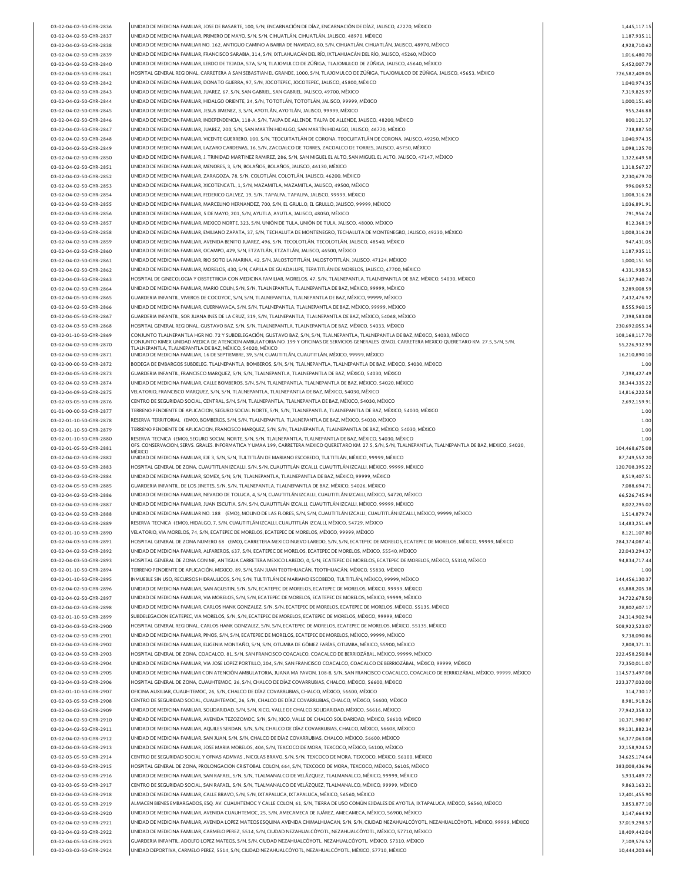| 03-02-04-02-50-GYR-2836                            | UNIDAD DE MEDICINA FAMILIAR, JOSE DE BASARTE, 100, S/N, ENCARNACIÓN DE DÍAZ, ENCARNACIÓN DE DÍAZ, JALISCO, 47270, MÉXICO                                                                                                    | 1,445,117.15                   |
|----------------------------------------------------|-----------------------------------------------------------------------------------------------------------------------------------------------------------------------------------------------------------------------------|--------------------------------|
| 03-02-04-02-50-GYR-2837                            | UNIDAD DE MEDICINA FAMILIAR, PRIMERO DE MAYO, S/N, S/N, CIHUATLÁN, CIHUATLÁN, JALISCO, 48970, MÉXICO                                                                                                                        | 1,187,935.11                   |
|                                                    |                                                                                                                                                                                                                             |                                |
| 03-02-04-02-50-GYR-2838                            | UNIDAD DE MEDICINA FAMILIAR NO. 162, ANTIGUO CAMINO A BARRA DE NAVIDAD, 80, S/N, CIHUATLÁN, CIHUATLÁN, JALISCO, 48970, MÉXICO                                                                                               | 4,928,710.62                   |
| 03-02-04-02-50-GYR-2839                            | UNIDAD DE MEDICINA FAMILIAR, FRANCISCO SARABIA, 314, S/N, IXTLAHUACÁN DEL RÍO, IXTLAHUACÁN DEL RÍO, JALISCO, 45260, MÉXICO                                                                                                  | 1,016,480.70                   |
| 03-02-04-02-50-GYR-2840                            | UNIDAD DE MEDICINA FAMILIAR, LERDO DE TEJADA, 57A, S/N, TLAJOMULCO DE ZÚÑIGA, TLAJOMULCO DE ZÚÑIGA, JALISCO, 45640, MÉXICO                                                                                                  | 5,452,007.79                   |
| 03-02-04-03-50-GYR-2841                            | HOSPITAL GENERAL REGIONAL, CARRETERA A SAN SEBASTIAN EL GRANDE, 1000, S/N, TLAJOMULCO DE ZÚÑIGA, TLAJOMULCO DE ZÚÑIGA, JALISCO, 45653, MÉXICO                                                                               | 726,582,409.05                 |
| 03-02-04-02-50-GYR-2842                            | UNIDAD DE MEDICINA FAMILIAR, DONATO GUERRA, 97, S/N, JOCOTEPEC, JOCOTEPEC, JALISCO, 45800, MÉXICO                                                                                                                           | 1,040,974.35                   |
| 03-02-04-02-50-GYR-2843                            | UNIDAD DE MEDICINA FAMILIAR, JUAREZ, 67, S/N, SAN GABRIEL, SAN GABRIEL, JALISCO, 49700, MÉXICO                                                                                                                              | 7,319,825.97                   |
| 03-02-04-02-50-GYR-2844                            | UNIDAD DE MEDICINA FAMILIAR, HIDALGO ORIENTE, 24, S/N, TOTOTLÂN, TOTOTLÂN, JALISCO, 99999, MĚXICO                                                                                                                           | 1,000,151.60                   |
|                                                    | UNIDAD DE MEDICINA FAMILIAR, JESUS JIMENEZ, 3, S/N, AYOTLÁN, AYOTLÁN, JALISCO, 99999, MÉXICO                                                                                                                                |                                |
| 03-02-04-02-50-GYR-2845                            |                                                                                                                                                                                                                             | 955,246.88                     |
| 03-02-04-02-50-GYR-2846                            | UNIDAD DE MEDICINA FAMILIAR, INDEPENDENCIA, 118-A, S/N, TALPA DE ALLENDE, TALPA DE ALLENDE, JALISCO, 48200, MÉXICO                                                                                                          | 800,121.37                     |
| 03-02-04-02-50-GYR-2847                            | UNIDAD DE MEDICINA FAMILIAR, JUAREZ, 200, S/N, SAN MARTÍN HIDALGO, SAN MARTÍN HIDALGO, JALISCO, 46770, MÉXICO                                                                                                               | 738,887.50                     |
| 03-02-04-02-50-GYR-2848                            | UNIDAD DE MEDICINA FAMILIAR, VICENTE GUERRERO, 100, S/N, TEOCUITATLÁN DE CORONA, TEOCUITATLÁN DE CORONA, JALISCO, 49250, MÉXICO                                                                                             | 1,040,974.35                   |
| 03-02-04-02-50-GYR-2849                            | UNIDAD DE MEDICINA FAMILIAR, LAZARO CARDENAS, 16, S/N, ZACOALCO DE TORRES, ZACOALCO DE TORRES, JALISCO, 45750, MÊXICO                                                                                                       | 1.098.125.70                   |
| 03-02-04-02-50-GYR-2850                            | UNIDAD DE MEDICINA FAMILIAR, J. TRINIDAD MARTINEZ RAMIREZ, 286, S/N, SAN MIGUEL EL ALTO, SAN MIGUEL EL ALTO, JALISCO, 47147, MÉXICO                                                                                         | 1.322.649.58                   |
|                                                    |                                                                                                                                                                                                                             |                                |
| 03-02-04-02-50-GYR-2851                            | UNIDAD DE MEDICINA FAMILIAR, MENORES, 3, S/N, BOLAÑOS, BOLAÑOS, JALISCO, 46130, MÉXICO                                                                                                                                      | 1,318,567.27                   |
| 03-02-04-02-50-GYR-2852                            | UNIDAD DE MEDICINA FAMILIAR, ZARAGOZA, 78, S/N, COLOTLÁN, COLOTLÁN, JALISCO, 46200, MÉXICO                                                                                                                                  | 2,230,679.70                   |
| 03-02-04-02-50-GYR-2853                            | UNIDAD DE MEDICINA FAMILIAR, XICOTENCATL, 1, S/N, MAZAMITLA, MAZAMITLA, JALISCO, 49500, MÉXICO                                                                                                                              | 996,069.52                     |
| 03-02-04-02-50-GYR-2854                            | UNIDAD DE MEDICINA FAMILIAR, FEDERICO GALVEZ, 19, S/N, TAPALPA, TAPALPA, JALISCO, 99999, MÉXICO                                                                                                                             | 1.008.316.28                   |
| 03-02-04-02-50-GYR-2855                            | UNIDAD DE MEDICINA FAMILIAR, MARCELINO HERNANDEZ, 700, S/N, EL GRULLO, EL GRULLO, JALISCO, 99999, MÉXICO                                                                                                                    | 1.036.891.91                   |
|                                                    |                                                                                                                                                                                                                             |                                |
| 03-02-04-02-50-GYR-2856                            | UNIDAD DE MEDICINA FAMILIAR, 5 DE MAYO, 201, S/N, AYUTLA, AYUTLA, JALISCO, 48050, MÉXICO                                                                                                                                    | 791,956.74                     |
| 03-02-04-02-50-GYR-2857                            | UNIDAD DE MEDICINA FAMILIAR, MEXICO NORTE, 323, S/N, UNIÓN DE TULA, UNIÓN DE TULA, JALISCO, 48000, MÉXICO                                                                                                                   | 812,368.19                     |
| 03-02-04-02-50-GYR-2858                            | UNIDAD DE MEDICINA FAMILIAR, EMILIANO ZAPATA, 37, S/N, TECHALUTA DE MONTENEGRO, TECHALUTA DE MONTENEGRO, JALISCO, 49230, MÉXICO                                                                                             | 1,008,316.28                   |
| 03-02-04-02-50-GYR-2859                            | UNIDAD DE MEDICINA FAMILIAR, AVENIDA BENITO JUAREZ, 496, S/N, TECOLOTLÂN, TECOLOTLÂN, JALISCO, 48540, MÊXICO                                                                                                                | 947,431.05                     |
| 03-02-04-02-50-GYR-2860                            | UNIDAD DE MEDICINA FAMILIAR, OCAMPO, 429, S/N, ETZATLÁN, ETZATLÁN, JALISCO, 46500, MÉXICO                                                                                                                                   | 1,187,935.11                   |
|                                                    |                                                                                                                                                                                                                             |                                |
| 03-02-04-02-50-GYR-2861                            | UNIDAD DE MEDICINA FAMILIAR, RIO SOTO LA MARINA, 42, S/N, JALOSTOTITLÁN, JALOSTOTITLÁN, JALISCO, 47124, MÉXICO                                                                                                              | 1,000,151.50                   |
| 03-02-04-02-50-GYR-2862                            | UNIDAD DE MEDICINA FAMILIAR, MORELOS, 430, S/N, CAPILLA DE GUADALUPE, TEPATITLÂN DE MORELOS, JALISCO, 47700, MÊXICO                                                                                                         | 4,331,938.53                   |
| 03-02-04-03-50-GYR-2863                            | HOSPITAL DE GINECOLOGIA Y OBSTETRICIA CON MEDICINA FAMILIAR, MORELOS, 47, S/N, TLALNEPANTLA, TLALNEPANTLA DE BAZ, MÉXICO, 54030, MÉXICO                                                                                     | 56.137.940.74                  |
| 03-02-04-02-50-GYR-2864                            | UNIDAD DE MEDICINA FAMILIAR, MARIO COLIN, S/N, S/N, TLALNEPANTLA, TLALNEPANTLA DE BAZ, MÉXICO, 99999, MÉXICO                                                                                                                | 3,289,008.59                   |
| 03-02-04-05-50-GYR-2865                            | GUARDERIA INFANTIL, VIVEROS DE COCOYOC, S/N, S/N, TLALNEPANTLA, TLALNEPANTLA DE BAZ, MÉXICO, 99999, MÉXICO                                                                                                                  | 7,432,476.92                   |
|                                                    |                                                                                                                                                                                                                             |                                |
| 03-02-04-02-50-GYR-2866                            | UNIDAD DE MEDICINA FAMILIAR, CUERNAVACA, S/N, S/N, TLALNEPANTLA, TLALNEPANTLA DE BAZ, MÉXICO, 99999, MÉXICO                                                                                                                 | 8,555,960.15                   |
| 03-02-04-05-50-GYR-2867                            | GUARDERIA INFANTIL, SOR JUANA INES DE LA CRUZ, 319, S/N, TLALNEPANTLA, TLALNEPANTLA DE BAZ, MÉXICO, 54068, MÉXICO                                                                                                           | 7,398,583.08                   |
| 03-02-04-03-50-GYR-2868                            | HOSPITAL GENERAL REGIONAL, GUSTAVO BAZ, S/N, S/N, TLALNEPANTLA, TLALNEPANTLA DE BAZ, MÉXICO, 54033, MÉXICO                                                                                                                  | 230.692.055.34                 |
| 03-02-01-10-50-GYR-2869                            | CONJUNTO TLALNEPANTLA HGR NO. 72 Y SUBDELEGACIÓN, GUSTAVO BAZ, S/N, S/N, TLALNEPANTLA, TLALNEPANTLA DE BAZ, MÈXICO, 54033, MÈXICO                                                                                           | 108,168,117.70                 |
|                                                    | CONJUNTO KIMEX UNIDAD MEDICA DE ATENCION AMBULATORIA NO. 199 Y OFICINAS DE SERVICIOS GENERALES (EMO), CARRETERA MEXICO QUERETARO KM. 27.5, S/N, S/N,                                                                        |                                |
| 03-02-04-02-50-GYR-2870                            | TLALNEPANTLA, TLALNEPANTLA DE BAZ, MÉXICO, 54020, MÉXICO                                                                                                                                                                    | 55,226,932.99                  |
| 03-02-04-02-50-GYR-2871                            | UNIDAD DE MEDICINA FAMILIAR, 16 DE SEPTIEMBRE, 39, S/N, CUAUTITLÁN, CUAUTITLÁN, MÉXICO, 99999, MÉXICO                                                                                                                       | 16.210.890.10                  |
| 02-02-00-00-50-GYR-2872                            | BODEGA DE EMBARGOS SUBDELEG. TLALNEPANTLA, BOMBEROS, S/N, S/N, TLALNEPANTLA, TLALNEPANTLA DE BAZ, MÉXICO, 54030, MÉXICO                                                                                                     | 1.00                           |
| 03-02-04-05-50-GYR-2873                            | GUARDERIA INFANTIL, FRANCISCO MARQUEZ, S/N, S/N, TLALNEPANTLA, TLALNEPANTLA DE BAZ, MEXICO, 54030, MEXICO                                                                                                                   | 7,398,427.49                   |
| 03-02-04-02-50-GYR-2874                            | UNIDAD DE MEDICINA FAMILIAR, CALLE BOMBEROS, S/N, S/N, TLALNEPANTLA, TLALNEPANTLA DE BAZ, MÉXICO, 54020, MÉXICO                                                                                                             | 38, 344, 335. 22               |
|                                                    | VELATORIO, FRANCISCO MARQUEZ, S/N, S/N, TLALNEPANTLA, TLALNEPANTLA DE BAZ, MÉXICO, 54030, MÉXICO                                                                                                                            |                                |
| 03-02-04-09-50-GYR-2875                            |                                                                                                                                                                                                                             | 14,816,222.58                  |
| 03-02-03-05-50-GYR-2876                            | CENTRO DE SEGURIDAD SOCIAL, CENTRAL, S/N, S/N, TLALNEPANTLA, TLALNEPANTLA DE BAZ, MÉXICO, 54030, MÉXICO                                                                                                                     | 2.692.159.91                   |
| 01-01-00-00-50-GYR-2877                            | TERRENO PENDIENTE DE APLICACION, SEGURO SOCIAL NORTE, S/N, S/N, TLALNEPANTLA, TLALNEPANTLA DE BAZ, MÉXICO, 54030, MÉXICO                                                                                                    | 1.00                           |
| 03-02-01-10-50-GYR-2878                            | RESERVA TERRITORIAL (EMO), BOMBEROS, S/N, S/N, TLALNEPANTLA, TLALNEPANTLA DE BAZ, MÉXICO, 54030, MÉXICO                                                                                                                     | 1.00                           |
| 03-02-01-10-50-GYR-2879                            | TERRENO PENDIENTE DE APLICACION, FRANCISCO MARQUEZ, S/N, S/N, TLALNEPANTLA, TLALNEPANTLA DE BAZ, MÉXICO, 54030, MÉXICO                                                                                                      | 1.00                           |
| 03-02-01-10-50-GYR-2880                            | RESERVA TECNICA (EMO), SEGURO SOCIAL NORTE, S/N, S/N, TLALNEPANTLA, TLALNEPANTLA DE BAZ, MÉXICO, 54030, MÉXICO                                                                                                              | 1.00                           |
|                                                    | OFS. CONSERVACION, SERVS. GRALES. INFORMATICA Y UMAA 199, CARRETERA MEXICO QUERETARO KM. 27.5, S/N, S/N, TLALNEPANTLA, TLALNEPANTLA DE BAZ, MEXICO, 54020,                                                                  |                                |
| 03-02-01-05-50-GYR-2881                            | <b>MÉXICO</b>                                                                                                                                                                                                               | 104.468.675.08                 |
| 03-02-04-02-50-GYR-2882                            | UNIDAD DE MEDICINA FAMILIAR, EJE 3, S/N, S/N, TULTITLÁN DE MARIANO ESCOBEDO, TULTITLÁN, MÉXICO, 99999, MÉXICO                                                                                                               | 87,749,552.20                  |
|                                                    |                                                                                                                                                                                                                             |                                |
| 03-02-04-03-50-GYR-2883                            | HOSPITAL GENERAL DE ZONA, CUAUTITLAN IZCALLI, S/N, S/N, CUAUTITLÁN IZCALLI, CUAUTITLÁN IZCALLI, MÉXICO, 99999, MÉXICO                                                                                                       | 120,708,395.22                 |
| 03-02-04-02-50-GYR-2884                            | UNIDAD DE MEDICINA FAMILIAR, SOMEX, S/N, S/N, TLALNEPANTLA, TLALNEPANTLA DE BAZ, MÉXICO, 99999, MÉXICO                                                                                                                      | 8.519.407.51                   |
|                                                    |                                                                                                                                                                                                                             |                                |
| 03-02-04-05-50-GYR-2885                            | GUARDERIA INFANTIL, DE LOS JINETES, S/N, S/N, TLALNEPANTLA, TLALNEPANTLA DE BAZ, MÉXICO, 54026, MÉXICO                                                                                                                      | 7.088.694.71                   |
| 03-02-04-02-50-GYR-2886                            | UNIDAD DE MEDICINA FAMILIAR, NEVADO DE TOLUCA, 4, S/N, CUAUTITLÁN IZCALLI, CUAUTITLÁN IZCALLI, MÉXICO, 54720, MÉXICO                                                                                                        | 66.526.745.94                  |
| 03-02-04-02-50-GYR-2887                            | UNIDAD DE MEDICINA FAMILIAR, JUAN ESCUTIA, S/N, S/N, CUAUTITLÁN IZCALLI, CUAUTITLÁN IZCALLI, MÉXICO, 99999, MÉXICO                                                                                                          | 8,022,295.02                   |
| 03-02-04-02-50-GYR-2888                            | UNIDAD DE MEDICINA FAMILIAR NO. 188 (EMO), MOLINO DE LAS FLORES, S/N, S/N, CUAUTITLÁN IZCALLI, CUAUTITLÁN IZCALLI, MÉXICO, 99999, MÉXICO                                                                                    |                                |
| 03-02-04-02-50-GYR-2889                            | RESERVA TECNICA (EMO), HIDALGO, 7, S/N, CUAUTITLÁN IZCALLI, CUAUTITLÁN IZCALLI, MÉXICO, 54729, MÉXICO                                                                                                                       | 14.483.251.69                  |
|                                                    |                                                                                                                                                                                                                             |                                |
| 03-02-01-10-50-GYR-2890                            | VELATORIO, VIA MORELOS, 74, S/N, ECATEPEC DE MORELOS, ECATEPEC DE MORELOS, MÉXICO, 99999, MÉXICO                                                                                                                            | 8,121,107.80                   |
| 03-02-04-03-50-GYR-2891                            | HOSPITAL GENERAL DE ZONA NUMERO 68 (EMO), CARRETERA MEXICO NUEVO LAREDO, S/N, S/N, ECATEPEC DE MORELOS, ECATEPEC DE MORELOS, MÉXICO, 99999, MÉXICO                                                                          | 284,374,087.41                 |
| 03-02-04-02-50-GYR-2892                            | UNIDAD DE MEDICINA FAMILIAR, ALFAREROS, 637, S/N, ECATEPEC DE MORELOS, ECATEPEC DE MORELOS, MÉXICO, 55540, MÉXICO                                                                                                           | 22,043,294.37                  |
| 03-02-04-03-50-GYR-2893                            | HOSPITAL GENERAL DE ZONA CON MF, ANTIGUA CARRETERA MEXICO LAREDO, 0, S/N, ECATEPEC DE MORELOS, ECATEPEC DE MORELOS, MÉXICO, 55310, MÉXICO                                                                                   | 94,834,717.44                  |
| 03-02-01-10-50-GYR-2894                            | TERRENO PENDIENTE DE APLICACIÓN, MEXICO, 89, S/N, SAN JUAN TEOTIHUACÁN, TEOTIHUACÁN, MÉXICO, 55830, MÉXICO                                                                                                                  | 1.00                           |
|                                                    |                                                                                                                                                                                                                             |                                |
| 03-02-01-10-50-GYR-2895                            | INMUEBLE SIN USO, RECURSOS HIDRAULICOS, S/N, S/N, TULTITLÂN DE MARIANO ESCOBEDO, TULTITLÂN, MÊXICO, 99999, MÊXICO                                                                                                           | 1,514,879.74<br>144,456,130.37 |
| 03-02-04-02-50-GYR-2896                            | UNIDAD DE MEDICINA FAMILIAR, SAN AGUSTIN, S/N, S/N, ECATEPEC DE MORELOS, ECATEPEC DE MORELOS, MÉXICO, 99999, MÉXICO                                                                                                         | 65,888,205.38                  |
| 03-02-04-02-50-GYR-2897                            | UNIDAD DE MEDICINA FAMILIAR, VIA MORELOS, S/N, S/N, ECATEPEC DE MORELOS, ECATEPEC DE MORELOS, MÉXICO, 99999, MÉXICO                                                                                                         | 34,722,678.50                  |
| 03-02-04-02-50-GYR-2898                            | UNIDAD DE MEDICINA FAMILIAR, CARLOS HANK GONZALEZ, S/N, S/N, ECATEPEC DE MORELOS, ECATEPEC DE MORELOS, MÉXICO, 55135, MÉXICO                                                                                                | 28,802,607.17                  |
| 03-02-01-10-50-GYR-2899                            | SUBDELEGACION ECATEPEC, VIA MORELOS, S/N, S/N, ECATEPEC DE MORELOS, ECATEPEC DE MORELOS, MÉXICO, 99999, MÉXICO                                                                                                              | 24,314,902.94                  |
| 03-02-04-03-50-GYR-2900                            | HOSPITAL GENERAL REGIONAL, CARLOS HANK GONZALEZ, S/N, S/N, ECATEPEC DE MORELOS, ECATEPEC DE MORELOS, MÉXICO, 55135, MÉXICO                                                                                                  | 508,922,523.07                 |
| 03-02-04-02-50-GYR-2901                            | UNIDAD DE MEDICINA FAMILIAR, PINOS, S/N, S/N, ECATEPEC DE MORELOS, ECATEPEC DE MORELOS, MÉXICO, 99999, MÉXICO                                                                                                               | 9,738,090.86                   |
|                                                    |                                                                                                                                                                                                                             |                                |
| 03-02-04-02-50-GYR-2902                            | UNIDAD DE MEDICINA FAMILIAR, EUGENIA MONTAÑO, S/N, S/N, OTUMBA DE GÓMEZ FARÍAS, OTUMBA, MÉXICO, 55900, MÉXICO                                                                                                               | 2.808.371.31                   |
| 03-02-04-03-50-GYR-2903                            | HOSPITAL GENERAL DE ZONA, COACALCO, 81, S/N, SAN FRANCISCO COACALCO, COACALCO DE BERRIOZÁBAL, MÉXICO, 99999, MÉXICO                                                                                                         | 222,458,250.84                 |
| 03-02-04-02-50-GYR-2904                            | UNIDAD DE MEDICINA FAMILIAR, VIA JOSE LOPEZ PORTILLO, 204, S/N, SAN FRANCISCO COACALCO, COACALCO DE BERRIOZÁBAL, MÉXICO, 99999, MÉXICO                                                                                      | 72,350,011.07                  |
| 03-02-04-02-50-GYR-2905                            | UNIDAD DE MEDICINA FAMILIAR CON ATENCIÓN AMBULATORIA, JUANA MA PAVON, 108-B, S/N, SAN FRANCISCO COACALCO, COACALCO DE BERRIOZÁBAL, MÉXICO, 99999, MÉXICO                                                                    | 114,573,497.08                 |
| 03-02-04-03-50-GYR-2906                            |                                                                                                                                                                                                                             |                                |
|                                                    | HOSPITAL GENERAL DE ZONA, CUAUHTEMOC, 26, S/N, CHALCO DE DÍAZ COVARRUBIAS, CHALCO, MÉXICO, 56600, MÉXICO                                                                                                                    | 223,377,032.00                 |
| 03-02-01-10-50-GYR-2907                            | OFICINA AUXILIAR, CUAUHTEMOC, 26, S/N, CHALCO DE DÍAZ COVARRUBIAS, CHALCO, MÉXICO, 56600, MÉXICO                                                                                                                            | 314,730.17                     |
| 03-02-03-05-50-GYR-2908                            | CENTRO DE SEGURIDAD SOCIAL, CUAUHTEMOC, 26, S/N, CHALCO DE DÍAZ COVARRUBIAS, CHALCO, MÉXICO, 56600, MÉXICO                                                                                                                  | 8,981,918.26                   |
| 03-02-04-02-50-GYR-2909                            | UNIDAD DE MEDICINA FAMILIAR, SOLIDARIDAD, S/N, S/N, XICO, VALLE DE CHALCO SOLIDARIDAD, MÉXICO, 56616, MÉXICO                                                                                                                | 77,942,358.32                  |
| 03-02-04-02-50-GYR-2910                            | UNIDAD DE MEDICINA FAMILIAR, AVENIDA TEZOZOMOC, S/N, S/N, XICO, VALLE DE CHALCO SOLIDARIDAD, MÊXICO, 56610, MÊXICO                                                                                                          | 10,371,980.87                  |
| 03-02-04-02-50-GYR-2911                            | UNIDAD DE MEDICINA FAMILIAR, AQUILES SERDAN, S/N, S/N, CHALCO DE DÍAZ COVARRUBIAS, CHALCO, MÉXICO, 56608, MÉXICO                                                                                                            | 99,131,882.34                  |
| 03-02-04-02-50-GYR-2912                            | UNIDAD DE MEDICINA FAMILIAR, SAN JUAN, S/N, S/N, CHALCO DE DÍAZ COVARRUBIAS, CHALCO, MÉXICO, 56600, MÉXICO                                                                                                                  | 56,377,063.08                  |
|                                                    |                                                                                                                                                                                                                             |                                |
| 03-02-04-03-50-GYR-2913                            | UNIDAD DE MEDICINA FAMILIAR, JOSE MARIA MORELOS, 406, S/N, TEXCOCO DE MORA, TEXCOCO, MÊXICO, 56100, MÊXICO                                                                                                                  | 22,158,924.52                  |
| 03-02-03-05-50-GYR-2914                            | CENTRO DE SEGURIDAD SOCIAL Y OFNAS ADMVAS., NICOLAS BRAVO, S/N, S/N, TEXCOCO DE MORA, TEXCOCO, MÉXICO, S6100, MÉXICO                                                                                                        | 34,625,174.64                  |
| 03-02-04-03-50-GYR-2915                            | HOSPITAL GENERAL DE ZONA, PROLONGACION CRISTOBAL COLON, 664, S/N, TEXCOCO DE MORA, TEXCOCO, MÉXICO, 56105, MÉXICO                                                                                                           | 383,008,436.96                 |
| 03-02-04-02-50-GYR-2916                            | UNIDAD DE MEDICINA FAMILIAR, SAN RAFAEL, S/N, S/N, TLALMANALCO DE VELÁZQUEZ, TLALMANALCO, MÉXICO, 99999, MÉXICO                                                                                                             | 5,933,489.72                   |
| 03-02-03-05-50-GYR-2917                            | CENTRO DE SEGURIDAD SOCIAL, SAN RAFAEL, S/N, S/N, TLALMANALCO DE VELÁZQUEZ, TLALMANALCO, MÉXICO, 99999, MÉXICO                                                                                                              |                                |
|                                                    |                                                                                                                                                                                                                             | 9,863,163.21                   |
| 03-02-04-02-50-GYR-2918                            | UNIDAD DE MEDICINA FAMILIAR, CALLE BRAVO, S/N, S/N, IXTAPALUCA, IXTAPALUCA, MÉXICO, 56560, MÉXICO                                                                                                                           | 12,401,455.90                  |
| 03-02-01-05-50-GYR-2919                            | ALMACEN BIENES EMBARGADOS, ESQ. AV. CUAUHTEMOC Y CALLE COLON, 61, S/N, TIERRA DE USO COMÚN EJIDALES DE AYOTLA, IXTAPALUCA, MÉXICO, 56560, MÉXICO                                                                            | 3,853,877.10                   |
| 03-02-04-02-50-GYR-2920                            | UNIDAD DE MEDICINA FAMILIAR, AVENIDA CUAUHTEMOC, 25, S/N, AMECAMECA DE JUÂREZ, AMECAMECA, MÊXICO, 56900, MÊXICO                                                                                                             | 3,147,664.92                   |
| 03-02-04-02-50-GYR-2921                            | UNIDAD DE MEDICINA FAMILIAR, AVENIDA LOPEZ MATEOS ESQUINA AVENIDA CHIMALHUACAN, S/N, S/N, CIUDAD NEZAHUALCÓYOTL, NEZAHUALCÓYOTL, MÉXICO, 99999, MÉXICO                                                                      | 37,019,298.57                  |
| 03-02-04-02-50-GYR-2922                            | UNIDAD DE MEDICINA FAMILIAR, CARMELO PEREZ, 5514, S/N, CIUDAD NEZAHUALCÓYOTL, NEZAHUALCÓYOTL, MÉXICO, 57710, MÉXICO                                                                                                         | 18,409,442.04                  |
|                                                    |                                                                                                                                                                                                                             |                                |
| 03-02-04-05-50-GYR-2923<br>03-02-03-02-50-GYR-2924 | GUARDERIA INFANTIL, ADOLFO LOPEZ MATEOS, S/N, S/N, CIUDAD NEZAHUALCÓYOTL, NEZAHUALCÓYOTL, MÉXICO, 57310, MÉXICO<br>UNIDAD DEPORTIVA, CARMELO PEREZ, 5514, S/N, CIUDAD NEZAHUALCÓYOTL, NEZAHUALCÓYOTL, MÉXICO, 57710, MÉXICO | 7,109,576.52<br>10,444,203.66  |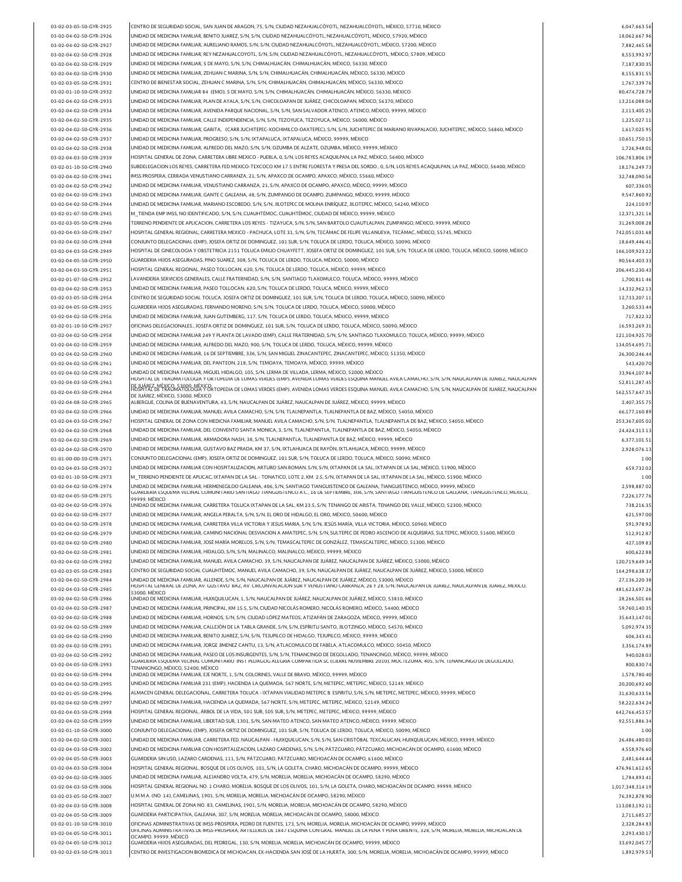| 03-02-03-05-50-GYR-2925 | CENTRO DE SEGURIDAD SOCIAL, SAN JUAN DE ARAGON, 75, S/N, CIUDAD NEZAHUALCÓYOTL, NEZAHUALCÓYOTL, MÉXICO, 57710, MÉXICO                                                                                                                                                                            | 6,047,663.56     |
|-------------------------|--------------------------------------------------------------------------------------------------------------------------------------------------------------------------------------------------------------------------------------------------------------------------------------------------|------------------|
| 03-02-04-02-50-GYR-2926 | UNIDAD DE MEDICINA FAMILIAR, BENITO JUAREZ, S/N, S/N, CIUDAD NEZAHUALCÓYOTL, NEZAHUALCÓYOTL, MÉXICO, 57920, MÉXICO                                                                                                                                                                               | 18,062,667.96    |
|                         |                                                                                                                                                                                                                                                                                                  |                  |
| 03-02-04-02-50-GYR-2927 | UNIDAD DE MEDICINA FAMILIAR, AURELIANO RAMOS, S/N, S/N, CIUDAD NEZAHUALCÓYOTL, NEZAHUALCÓYOTL, MÉXICO, 57200, MÉXICO                                                                                                                                                                             | 7,882,465.58     |
| 03-02-04-02-50-GYR-2928 | UNIDAD DE MEDICINA FAMILIAR, REY NEZAHUALCOYOTL, S/N, S/N, CIUDAD NEZAHUALCÓYOTL, NEZAHUALCÓYOTL, MÉXICO, 57809, MÉXICO                                                                                                                                                                          | 8,553,992.97     |
| 03-02-04-02-50-GYR-2929 | UNIDAD DE MEDICINA FAMILIAR. 5 DE MAYO. S/N. S/N. CHIMALHUACÁN. CHIMALHUACÁN. MÉXICO. 56330. MÉXICO                                                                                                                                                                                              | 7.187.830.35     |
| 03-02-04-02-50-GYR-2930 | UNIDAD DE MEDICINA FAMILIAR, ZEHUAN C MARINA, S/N, S/N, CHIMALHUACÁN, CHIMALHUACÁN, MÉXICO, 56330, MÉXICO                                                                                                                                                                                        | 8,155,831.55     |
| 03-02-03-05-50-GYR-2931 | CENTRO DE BIENESTAR SOCIAL, ZEHUAN C MARINA, S/N, S/N, CHIMALHUACÁN, CHIMALHUACÁN, MÉXICO, 56330, MÉXICO                                                                                                                                                                                         | 1.767.339.76     |
| 03-02-01-10-50-GYR-2932 | UNIDAD DE MEDICINA FAMILIAR 84 (EMO), 5 DE MAYO, S/N, S/N, CHIMALHUACÁN, CHIMALHUACÁN, MÉXICO, 56330, MÉXICO                                                                                                                                                                                     | 80,474,728.79    |
| 03-02-04-02-50-GYR-2933 | UNIDAD DE MEDICINA FAMILIAR, PLAN DE AYALA, S/N, S/N, CHICOLOAPAN DE JUÁREZ, CHICOLOAPAN, MÉXICO, 56370, MÉXICO                                                                                                                                                                                  | 13,216,088.04    |
| 03-02-04-02-50-GYR-2934 | UNIDAD DE MEDICINA FAMILIAR, AVENIDA PARQUE NACIONAL, S/N, S/N, SAN SALVADOR ATENCO, ATENCO, MÉXICO, 99999, MÉXICO                                                                                                                                                                               | 2.113.405.25     |
|                         |                                                                                                                                                                                                                                                                                                  |                  |
| 03-02-04-02-50-GYR-2935 | UNIDAD DE MEDICINA FAMILIAR, CALLE INDEPENDENCIA, S/N, S/N, TEZOYUCA, TEZOYUCA, MÉXICO, 56000, MÉXICO                                                                                                                                                                                            | 1,225,027.11     |
| 03-02-04-02-50-GYR-2936 | UNIDAD DE MEDICINA FAMILIAR, GARITA, (CARR.JUCHITEPEC-XOCHIMILCO-OAXTEPEC), S/N, S/N, JUCHITEPEC DE MARIANO RIVAPALACIO, JUCHITEPEC, MÉXICO, 56860, MÉXICO                                                                                                                                       | 1.617.025.95     |
| 03-02-04-02-50-GYR-2937 | UNIDAD DE MEDICINA FAMILIAR, PROGRESO, S/N, S/N, IXTAPALUCA, IXTAPALUCA, MÉXICO, 99999, MÉXICO                                                                                                                                                                                                   | 10,651,750.15    |
| 03-02-04-02-50-GYR-2938 | UNIDAD DE MEDICINA FAMILIAR, ALFREDO DEL MAZO, S/N, S/N, OZUMBA DE ALZATE, OZUMBA, MÊXICO, 99999, MÊXICO                                                                                                                                                                                         | 1,726,948.01     |
| 03-02-04-03-50-GYR-2939 | HOSPITAL GENERAL DE ZONA, CARRETERA LIBRE MEXICO - PUEBLA, 0, S/N, LOS REYES ACAQUILPAN, LA PAZ, MÉXICO, 56400, MÉXICO                                                                                                                                                                           | 106.783.806.19   |
| 03-02-01-10-50-GYR-2940 | SUBDELEGACION LOS REYES, CARRETERA FED MEXICO-TEXCOCO KM 17.5 ENTRE FLORESTA Y PRESA DEL SORDO., 0, S/N, LOS REYES ACAQUILPAN, LA PAZ, MÉXICO, 56400, MÉXICO                                                                                                                                     | 18.176.249.73    |
| 03-02-04-02-50-GYR-2941 | IMSS PROSPERA, CERRADA VENUSTIANO CARRANZA, 21, S/N, APAXCO DE OCAMPO, APAXCO, MÉXICO, 55660, MÉXICO                                                                                                                                                                                             | 32,748,090.56    |
|                         |                                                                                                                                                                                                                                                                                                  |                  |
| 03-02-04-02-50-GYR-2942 | UNIDAD DE MEDICINA FAMILIAR, VENUSTIANO CARRANZA, 21, S/N, APAXCO DE OCAMPO, APAXCO, MÉXICO, 99999, MÉXICO                                                                                                                                                                                       | 607,336.05       |
| 03-02-04-02-50-GYR-2943 | UNIDAD DE MEDICINA FAMILIAR, GANTE C GALEANA, 48, S/N, ZUMPANGO DE OCAMPO, ZUMPANGO, MÊXICO, 99999, MÊXICO                                                                                                                                                                                       | 9,547,860.92     |
| 03-02-04-02-50-GYR-2944 | UNIDAD DE MEDICINA FAMILIAR, MARIANO ESCOBEDO, S/N, S/N, JILOTEPEC DE MOLINA ENRÍQUEZ, JILOTEPEC, MÉXICO, 54240, MÉXICO                                                                                                                                                                          | 224.110.97       |
| 03-02-01-07-50-GYR-2945 | M_TIENDA EMP IMSS, NO IDENTIFICADO, S/N, S/N, CUAUHTÉMOC, CUAUHTÉMOC, CIUDAD DE MÉXICO, 99999, MÉXICO                                                                                                                                                                                            | 12,371,321.16    |
| 03-02-03-05-50-GYR-2946 | TERRENO PENDIENTE DE APLICACION, CARRETERA LOS REYES - TIZAYUCA, S/N, S/N, SAN BARTOLO CUAUTLALPAN, ZUMPANGO, MĚXICO, 99999, MĚXICO                                                                                                                                                              | 31,269,008.28    |
| 03-02-04-03-50-GYR-2947 | HOSPITAL GENERAL REGIONAL, CARRETERA MEXICO - PACHUCA, LOTE 31, S/N, S/N, TECÁMAC DE FELIPE VILLANUEVA, TECÁMAC, MÉXICO, 55745, MÉXICO                                                                                                                                                           | 742,051,031.68   |
| 03-02-04-02-50-GYR-2948 | CONJUNTO DELEGACIONAL (EMP), JOSEFA ORTIZ DE DOMINGUEZ, 101 SUR, S/N, TOLUCA DE LERDO, TOLUCA, MÉXICO, 50090, MÉXICO                                                                                                                                                                             | 18.649.446.41    |
| 03-02-04-03-50-GYR-2949 | HOSPITAL DE GINECOLOGIA Y OBSTETRICIA 2151 TOLUCA EMILIO CHUAYFETT, JOSEFA ORTIZ DE DOMINGUEZ, 101 SUR, S/N, TOLUCA DE LERDO, TOLUCA, MÉXICO, 50090, MÉXICO                                                                                                                                      | 166.109.923.22   |
|                         |                                                                                                                                                                                                                                                                                                  |                  |
| 03-02-04-05-50-GYR-2950 | GUARDERIA HIJOS ASEGURADAS, PINO SUAREZ, 308, S/N, TOLUCA DE LERDO, TOLUCA, MÉXICO, 50000, MÉXICO                                                                                                                                                                                                | 90.564.403.33    |
| 03-02-04-03-50-GYR-2951 | HOSPITAL GENERAL REGIONAL, PASEO TOLLOCAN, 620, S/N, TOLUCA DE LERDO, TOLUCA, MÉXICO, 99999, MÉXICO                                                                                                                                                                                              | 206,445,230.43   |
| 03-02-01-07-50-GYR-2952 | LAVANDERIA SERVICIOS GENERALES. CALLE FRATERNIDAD. S/N. S/N. SANTIAGO TLAXOMULCO. TOLUCA. MÉXICO. 99999. MÉXICO                                                                                                                                                                                  | 1.700.811.46     |
| 03-02-04-02-50-GYR-2953 | UNIDAD DE MEDICINA FAMILIAR, PASEO TOLLOCAN, 620, S/N, TOLUCA DE LERDO, TOLUCA, MÉXICO, 99999, MÉXICO                                                                                                                                                                                            | 14,332,962.13    |
| 03-02-03-05-50-GYR-2954 | CENTRO DE SEGURIDAD SOCIAL TOLUCA, JOSEFA ORTIZ DE DOMINGUEZ, 101 SUR, S/N, TOLUCA DE LERDO, TOLUCA, MÉXICO, 50090, MÉXICO                                                                                                                                                                       | 12,733,207.11    |
| 03-02-04-05-50-GYR-2955 | GUARDERIA HIJOS ASEGURADAS, FERNANDO MORENO, S/N, S/N, TOLUCA DE LERDO, TOLUCA, MÉXICO, 50000, MÉXICO                                                                                                                                                                                            | 3,260,533.44     |
| 03-02-04-02-50-GYR-2956 | UNIDAD DE MEDICINA FAMILIAR, JUAN GUTEMBERG, 117, S/N, TOLUCA DE LERDO, TOLUCA, MÉXICO, 99999, MÉXICO                                                                                                                                                                                            | 717,822.32       |
|                         |                                                                                                                                                                                                                                                                                                  |                  |
| 03-02-01-10-50-GYR-2957 | OFICINAS DELEGACIONALES., JOSEFA ORTIZ DE DOMINGUEZ, 101 SUR, S/N, TOLUCA DE LERDO, TOLUCA, MÉXICO, 50090, MÉXICO                                                                                                                                                                                | 16.593.269.31    |
| 03-02-04-02-50-GYR-2958 | UNIDAD DE MEDICINA FAMILIAR 249 Y PLANTA DE LAVADO (EMP), CALLE FRATERNIDAD, S/N, S/N, SANTIAGO TLAXOMULCO, TOLUCA, MÉXICO, 99999, MÉXICO                                                                                                                                                        | 121,104,925.70   |
| 03-02-04-02-50-GYR-2959 | UNIDAD DE MEDICINA FAMILIAR. ALFREDO DEL MAZO. 900, S/N. TOLUCA DE LERDO. TOLUCA. MÉXICO. 99999. MÉXICO                                                                                                                                                                                          | 134,054,695.71   |
| 03-02-04-02-50-GYR-2960 | UNIDAD DE MEDICINA FAMILIAR, 16 DE SEPTIEMBRE, 336, S/N, SAN MIGUEL ZINACANTEPEC, ZINACANTEPEC, MÉXICO, 51350, MÉXICO                                                                                                                                                                            | 26,300,246.44    |
| 03-02-04-02-50-GYR-2961 | UNIDAD DE MEDICINA FAMILIAR, DEL PANTEON, 218, S/N, TEMOAYA, TEMOAYA, MÊXICO, 99999, MÊXICO                                                                                                                                                                                                      | 543,420.70       |
| 03-02-04-02-50-GYR-2962 | UNIDAD DE MEDICINA FAMILIAR, MIGUEL HIDALGO, 105, S/N, LERMA DE VILLADA, LERMA, MÉXICO, 52000, MÉXICO                                                                                                                                                                                            | 33,964,107.84    |
| 03-02-04-03-50-GYR-2963 | HOSPITAL DE TRAUMATOLOGIA Y ORTOPEDIA DE LOMAS VERDES (EMP), AVENIDA LOMAS VERDES ESQUINA MANUEL AVILA CAMACHO, S/N, S/N, NAUCALPAN DE JUAREZ, NAUCALPAN                                                                                                                                         | 52,811,287.45    |
|                         | RBSPåre, de txicm,530008KVDRTopedia de lomas verdes (emp.) avenida lomas verdes esquina manuel avila camacho, s/n, s/n, naucalpan de juarez, naucalpan                                                                                                                                           |                  |
| 03-02-04-03-50-GYR-2964 | DE JUÁREZ, MÉXICO, 53000, MÉXICO                                                                                                                                                                                                                                                                 | 562,557,647.35   |
| 03-02-04-08-50-GYR-2965 | ALBERGUE, COLINA DE BUENAVENTURA, 43, S/N, NAUCALPAN DE JUÁREZ, NAUCALPAN DE JUÁREZ, MÉXICO, 99999, MÉXICO                                                                                                                                                                                       | 2,407,355.75     |
| 03-02-04-02-50-GYR-2966 | UNIDAD DE MEDICINA FAMILIAR, MANUEL AVILA CAMACHO, S/N, S/N, TLALNEPANTLA, TLALNEPANTLA DE BAZ, MÈXICO, 54050, MÈXICO                                                                                                                                                                            | 66,177,160.89    |
| 03-02-04-03-50-GYR-2967 | HOSPITAL GENERAL DE ZONA CON MEDICNA FAMILIAR, MANUEL AVILA CAMACHO, S/N, S/N, TLALNEPANTLA, TLALNEPANTLA DE BAZ, MÉXICO, 54050, MÉXICO                                                                                                                                                          | 253.367.605.02   |
| 03-02-04-02-50-GYR-2968 | UNIDAD DE MEDICINA FAMILIAR, DEL CONVENTO SANTA MONICA, 3, S/N, TLALNEPANTLA, TLALNEPANTLA DE BAZ, MÉXICO, 54050, MÉXICO                                                                                                                                                                         | 24,424,313.13    |
| 03-02-04-02-50-GYR-2969 | UNIDAD DE MEDICINA FAMILIAR, ARMADORA NASH, 38, S/N, TLALNEPANTLA, TLALNEPANTLA DE BAZ, MÉXICO, 99999, MÉXICO                                                                                                                                                                                    | 6,377,101.51     |
|                         |                                                                                                                                                                                                                                                                                                  |                  |
| 03-02-04-02-50-GYR-2970 | UNIDAD DE MEDICINA FAMILIAR, GUSTAVO BAZ PRADA, KM 37, S/N, IXTLAHUACA DE RAYÓN, IXTLAHUACA, MÉXICO, 99999, MÉXICO                                                                                                                                                                               | 2,928,076.13     |
|                         |                                                                                                                                                                                                                                                                                                  |                  |
| 01-01-00-00-50-GYR-2971 | CONJUNTO DELEGACIONAL (EMP), JOSEFA ORTIZ DE DOMINGUEZ, 101 SUR, S/N, TOLUCA DE LERDO, TOLUCA, MÉXICO, 50090, MÉXICO                                                                                                                                                                             | 1.00             |
| 03-02-04-03-50-GYR-2972 | UNIDAD DE MEDICINA FAMILIAR CON HOSPITALIZACION, ARTURO SAN ROMAN, S/N, S/N, IXTAPAN DE LA SAL, IXTAPAN DE LA SAL, MÉXICO, 51900, MÉXICO                                                                                                                                                         | 659,732.02       |
| 03-02-01-10-50-GYR-2973 | M_TERRENO PENDIENTE DE APLICAC, IXTAPAN DE LA SAL - TONATICO, LOTE 2, KM. 2.5, S/N, IXTAPAN DE LA SAL, IXTAPAN DE LA SAL, MÈXICO, 51900, MÈXICO                                                                                                                                                  | 1.00             |
|                         |                                                                                                                                                                                                                                                                                                  |                  |
| 03-02-04-02-50-GYR-2974 | UNIDAD DE MEDICINA FAMILIAR, HERMENEGILDO GALEANA, 406, S/N, SANTIAGO TIANGUISTENCO DE GALEANA, TIANGUISTENCO, MÉXICO, 99999, MÉXICO<br>GUARDERIA ESQUEMA VECINAL COMUNITARIO SANTIAGO TIANGUISTENCO A.C., 16 DE SEPTIEMBRE, 306, S/N, SANTIAGO TIANGUISTENCO DE GALEANA, TIANGUISTENCO, MEXICO, | 2,598,887.02     |
| 03-02-04-05-50-GYR-2975 | 99999. MĚXICO                                                                                                                                                                                                                                                                                    | 7,226,177.76     |
| 03-02-04-02-50-GYR-2976 | UNIDAD DE MEDICINA FAMILIAR, CARRETERA TOLUCA IXTAPAN DE LA SAL, KM 23.5, S/N, TENANGO DE ARISTA, TENANGO DEL VALLE, MÉXICO, 52300, MÉXICO                                                                                                                                                       | 738,216.35       |
| 03-02-04-02-50-GYR-2977 | UNIDAD DE MEDICINA FAMILIAR, ANGELA PERALTA, S/N, S/N, EL ORO DE HIDALGO, EL ORO, MÉXICO, 50600, MÉXICO                                                                                                                                                                                          | 621,597.00       |
| 03-02-04-02-50-GYR-2978 | JNIDAD DE MEDICINA FAMILIAR, CARRETERA VILLA VICTORIA Y JESUS MARIA, S/N, S/N, JESUS MARIA, VILLA VICTORIA, MEXICO, 50960, MEXICO                                                                                                                                                                | 591,978.92       |
| 03-02-04-02-50-GYR-2979 | UNIDAD DE MEDICINA FAMILIAR, CAMINO NACIONAL DESVIACION A AMATEPEC, S/N, S/N, SULTEPEC DE PEDRO ASCENCIO DE ALQUISIRAS, SULTEPEC, MÉXICO, 51600, MÉXICO                                                                                                                                          | 512,912.87       |
| 03-02-04-02-50-GYR-2980 | UNIDAD DE MEDICINA FAMILIAR, JOSÉ MARÍA MORELOS, S/N, S/N, TEMASCALTEPEC DE GONZÁLEZ, TEMASCALTEPEC, MÉXICO, 51300, MÉXICO                                                                                                                                                                       | 427,109.83       |
|                         |                                                                                                                                                                                                                                                                                                  |                  |
| 03-02-04-02-50-GYR-2981 | UNIDAD DE MEDICINA FAMILIAR, HIDALGO, S/N, S/N, MALINALCO, MALINALCO, MÉXICO, 99999, MÉXICO                                                                                                                                                                                                      | 600,622.88       |
| 03-02-04-02-50-GYR-2982 | UNIDAD DE MEDICINA FAMILIAR, MANUEL AVILA CAMACHO, 39, S/N, NAUCALPAN DE JUÁREZ, NAUCALPAN DE JUÁREZ, MÉXICO, 53000, MÉXICO                                                                                                                                                                      | 120,719,649.34   |
| 03-02-03-05-50-GYR-2983 | CENTRO DE SEGURIDAD SOCIAL CUAUHTÉMOC, MANUEL AVILA CAMACHO, 39, S/N, NAUCALPAN DE JUÁREZ, NAUCALPAN DE JUÁREZ, MÉXICO, 53000, MÉXICO                                                                                                                                                            | 164,298,638.37   |
| 03-02-04-02-50-GYR-2984 | UNIDAD DE MEDICINA FAMILIAR, ALLENDE, S/N, S/N, NAUCALPAN DE JUÁREZ, NAUCALPAN DE JUÁREZ, MÉXICO, 53000, MÉXICO                                                                                                                                                                                  | 27,136,220.38    |
| 03-02-04-03-50-GYR-2985 | HOSPITAL GENERAL DE ZONA, AV. GUSTAVO BAZ, AV. CIRCUNVALACION SUR Y VENUSTIANO CARRANZA, 26 Y 28, S/N, NAUCALPAN DE JUAREZ, NAUCALPAN DE JUAREZ, MEXICO,<br>53000. MÉXICO                                                                                                                        | 481,623,697.26   |
| 03-02-04-02-50-GYR-2986 | UNIDAD DE MEDICINA FAMILIAR, HUIXQUILUCAN, 1, S/N, NAUCALPAN DE JUÁREZ, NAUCALPAN DE JUÁREZ, MÉXICO, 53810, MÉXICO                                                                                                                                                                               | 28,266,501.66    |
| 03-02-04-02-50-GYR-2987 | UNIDAD DE MEDICINA FAMILIAR, PRINCIPAL, KM 15.5, S/N, CIUDAD NICOLÁS ROMERO, NICOLÁS ROMERO, MÉXICO, 54400, MÉXICO                                                                                                                                                                               | 59,760,140.35    |
| 03-02-04-02-50-GYR-2988 | UNIDAD DE MEDICINA FAMILIAR, HORNOS, S/N, S/N, CIUDAD LÓPEZ MATEOS, ATIZAPÁN DE ZARAGOZA, MÉXICO, 99999, MÉXICO                                                                                                                                                                                  | 35,643,147.01    |
|                         |                                                                                                                                                                                                                                                                                                  |                  |
| 03-02-04-02-50-GYR-2989 | UNIDAD DE MEDICINA FAMILIAR, CALLEJÓN DE LA TABLA GRANDE, S/N, S/N, ESPÍRITU SANTO, JILOTZINGO, MÉXICO, 54570, MÉXICO                                                                                                                                                                            | 5,092,974.35     |
| 03-02-04-02-50-GYR-2990 | UNIDAD DE MEDICINA FAMILIAR, BENITO JUAREZ, S/N, S/N, TEJUPILCO DE HIDALGO, TEJUPILCO, MÉXICO, 99999, MÉXICO                                                                                                                                                                                     | 606,343.41       |
| 03-02-04-02-50-GYR-2991 | UNIDAD DE MEDICINA FAMILIAR, JORGE JIMENEZ CANTU, 13, S/N, ATLACOMULCO DE FABELA, ATLACOMULCO, MÉXICO, 50450, MÉXICO                                                                                                                                                                             | 3,356,174.89     |
| 03-02-04-02-50-GYR-2992 | UNIDAD DE MEDICINA FAMILIAR, PASEO DE LOS INSURGENTES, S/N, S/N, TENANCINGO DE DEGOLLADO, TENANCINGO, MÉXICO, 99999, MÉXICO                                                                                                                                                                      | 940,028.03       |
| 03-02-04-05-50-GYR-2993 | GUARDERIA ESQUEMA VECINAL COMUNITARIO INST PEDAGOG ALEGRIA COMPARTIDA SC (CIERRE NOVIEMBRE 2010), MOCTEZUMA, 405, S/N, TENANCINGO DE DEGOLLADO,                                                                                                                                                  | 800,830.74       |
|                         | TENANCINGO, MÉXICO, 52400, MÉXICO                                                                                                                                                                                                                                                                |                  |
| 03-02-04-02-50-GYR-2994 | UNIDAD DE MEDICINA FAMILIAR, EJE NORTE, 1, S/N, COLORINES, VALLE DE BRAVO, MÉXICO, 99999, MÉXICO                                                                                                                                                                                                 | 1,578,780.40     |
| 03-02-04-02-50-GYR-2995 | UNIDAD DE MEDICINA FAMILIAR 231 (EMP), HACIENDA LA QUEMADA, 567 NORTE, S/N, METEPEC, METEPEC, MÉXICO, 52149, MÉXICO                                                                                                                                                                              | 20,200,692.60    |
| 03-02-01-05-50-GYR-2996 | ALMACEN GENERAL DELEGACIONAL, CARRETERA TOLUCA - IXTAPAN VIALIDAD METEPEC B. ESPIRITU, S/N, S/N, METEPEC, METEPEC, MÉXICO, 99999, MÉXICO                                                                                                                                                         | 31,630,633.56    |
| 03-02-04-02-50-GYR-2997 | UNIDAD DE MEDICINA FAMILIAR, HACIENDA LA QUEMADA, 567 NORTE, S/N, METEPEC, METEPEC, MÉXICO, 52149, MÉXICO                                                                                                                                                                                        | 58,222,634.24    |
| 03-02-04-03-50-GYR-2998 | HOSPITAL GENERAL REGIONAL, ÁRBOL DE LA VIDA, 501 SUR, 505 SUR, S/N, METEPEC, METEPEC, MÉXICO, 99999, MÉXICO                                                                                                                                                                                      | 642.766.453.57   |
| 03-02-04-02-50-GYR-2999 | UNIDAD DE MEDICINA FAMILIAR, LIBERTAD SUR, 1301, S/N, SAN MATEO ATENCO, SAN MATEO ATENCO, MÊXICO, 99999, MÊXICO                                                                                                                                                                                  | 92,551,886.34    |
| 03-02-01-10-50-GYR-3000 | CONJUNTO DELEGACIONAL (EMP), JOSEFA ORTIZ DE DOMINGUEZ, 101 SUR, S/N, TOLUCA DE LERDO, TOLUCA, MÉXICO, 50090, MÉXICO                                                                                                                                                                             | 1.00             |
|                         |                                                                                                                                                                                                                                                                                                  |                  |
| 03-02-04-02-50-GYR-3001 | UNIDAD DE MEDICINA FAMILIAR, CARRETERA FED. NAUCALPAN - HUIXQUILUCAN, S/N, S/N, SAN CRISTÓBAL TEXCALUCAN, HUIXQUILUCAN, MÉXICO, 99999, MÉXICO                                                                                                                                                    | 26,486,480.03    |
| 03-02-04-03-50-GYR-3002 | UNIDAD DE MEDICINA FAMILIAR CON HOSPITALIZACION, LAZARO CARDENAS, S/N, S/N, PÁTZCUARO, PÁTZCUARO, MICHOACÁN DE OCAMPO, 61600, MÉXICO                                                                                                                                                             | 4,558,976.60     |
| 03-02-04-05-50-GYR-3003 | GUARDERIA SIN USO, LAZARO CARDENAS, 111, S/N, PÁTZCUARO, PÁTZCUARO, MICHOACÁN DE OCAMPO, 61600, MÉXICO                                                                                                                                                                                           | 2.481.644.44     |
| 03-02-04-03-50-GYR-3004 | HOSPITAL GENERAL REGIONAL, BOSQUE DE LOS OLIVOS, 101, S/N, LA GOLETA, CHARO, MICHOACÁN DE OCAMPO, 99999, MÉXICO                                                                                                                                                                                  | 476,961,612.65   |
| 03-02-04-02-50-GYR-3005 | UNIDAD DE MEDICINA FAMILIAR, ALEJANDRO VOLTA, 479, S/N, MORELIA, MORELIA, MICHOACÁN DE OCAMPO, 58290, MÉXICO                                                                                                                                                                                     | 1,784,893.41     |
| 03-02-04-03-50-GYR-3006 | HOSPITAL GENERAL REGIONAL NO. 1 CHARO, MORELIA, BOSQUE DE LOS OLIVOS, 101, S/N, LA GOLETA, CHARO, MICHOACÁN DE OCAMPO, 99999, MÉXICO                                                                                                                                                             | 1,017,348,314.19 |
| 03-02-03-05-50-GYR-3007 | U.M.M.A. (NO. 14), CAMELINAS, 1901, S/N, MORELIA, MORELIA, MICHOACÁN DE OCAMPO, 58290, MÉXICO                                                                                                                                                                                                    | 76,392,878.90    |
| 03-02-04-03-50-GYR-3008 |                                                                                                                                                                                                                                                                                                  |                  |
|                         | HOSPITAL GENERAL DE ZONA NO. 83, CAMELINAS, 1901, S/N, MORELIA, MORELIA, MICHOACÁN DE OCAMPO, 58290, MÉXICO                                                                                                                                                                                      | 113,083,192.11   |
| 03-02-04-05-50-GYR-3009 | GUARDERIA PARTICIPATIVA, GALEANA, 307, S/N, MORELIA, MORELIA, MICHOACÁN DE OCAMPO, 58000, MÉXICO                                                                                                                                                                                                 | 2,711,685.27     |
| 03-02-01-10-50-GYR-3010 | OFICINAS ADMINISTRATIVAS DE IMSS-PROSPERA, PEDRO DE FUENTES, 173, S/N, MORELIA, MORELIA, MICHOACÁN DE OCAMPO, 99999, MÉXICO                                                                                                                                                                      | 2,328,284.83     |
| 03-02-04-05-50-GYR-3011 | OFICINAS ADMINISTRATIVAS DE IMSS-PROSPERA, ARTILLEROS DE 1847 ESQUINA CON GRAL. MANUEL DE LA PENA Y PENA ORIENTE, 328, S/N, MORELIA, MORELIA, MICHOACAN DE<br>OCAMPO. 99999. MÉXICO                                                                                                              | 2,293,430.17     |
| 03-02-04-05-50-GYR-3012 | GUARDERIA HIJOS ASEGURADAS, DEL PEDREGAL, 130, S/N, MORELIA, MORELIA, MICHOACÁN DE OCAMPO, 99999, MÉXICO                                                                                                                                                                                         | 33,692,045.77    |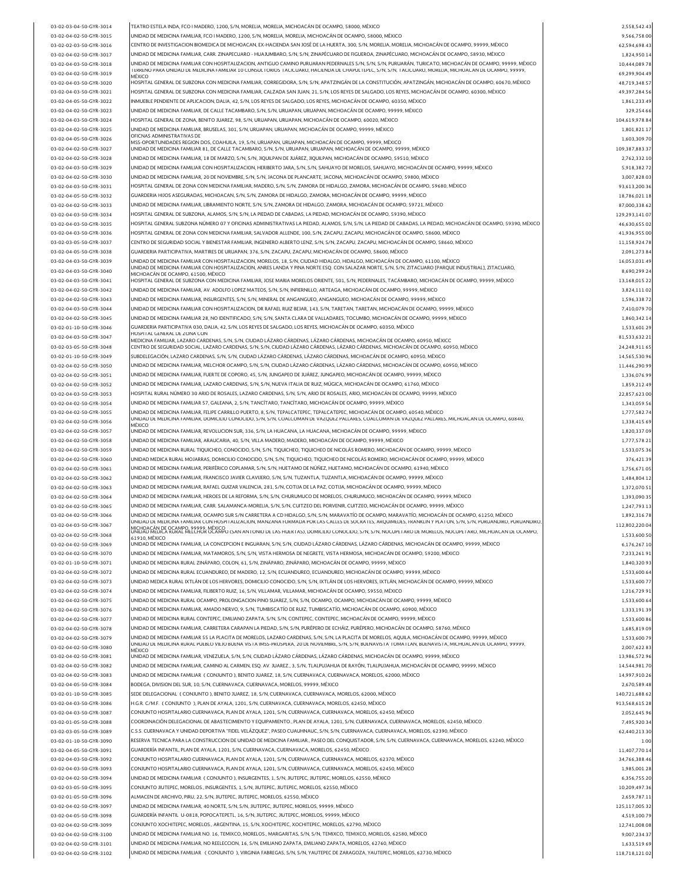| 03-02-03-04-50-GYR-3014 | TEATRO ESTELA INDA, FCO I MADERO, 1200, S/N, MORELIA, MORELIA, MICHOACÁN DE OCAMPO, 58000, MÉXICO                                                                                                                                                                                   | 2,558,542.43   |
|-------------------------|-------------------------------------------------------------------------------------------------------------------------------------------------------------------------------------------------------------------------------------------------------------------------------------|----------------|
| 03-02-04-02-50-GYR-3015 | UNIDAD DE MEDICINA FAMILIAR, FCO I MADERO, 1200, S/N, MORELIA, MORELIA, MICHOACÁN DE OCAMPO, 58000, MÉXICO                                                                                                                                                                          | 9.566.758.00   |
| 03-02-02-03-50-GYR-3016 | CENTRO DE INVESTIGACION BIOMEDICA DE MICHOACAN, EX-HACIENDA SAN JOSÉ DE LA HUERTA, 300, S/N, MORELIA, MORELIA, MICHOACÁN DE OCAMPO, 99999, MÉXICO                                                                                                                                   | 62,594,698.43  |
| 03-02-04-02-50-GYR-3017 | UNIDAD DE MEDICINA FAMILIAR, CARR. ZINAPECUARO - HUAJUMBARO, S/N, S/N, ZINAPÉCUARO DE FIGUEROA, ZINAPÉCUARO, MICHOACÁN DE OCAMPO, 58930, MÉXICO                                                                                                                                     | 1,824,950.14   |
| 03-02-04-03-50-GYR-3018 | UNIDAD DE MEDICINA FAMILIAR CON HOSPITALIZACION, ANTIGUO CAMINO PURUARAN PEDERNALES S/N, S/N, S/N, PURUARÁN, TURICATO, MICHOACÁN DE OCAMPO, 99999, MÉXICO                                                                                                                           | 10.444.089.78  |
| 03-02-04-02-50-GYR-3019 | TERRENO PARA UNIDAD DE MEDICINA FAMILIAR 10 CONSULTORIOS TACICUARO, HACIENDA DE CHAPULTEPEC, S/N, S/N, TACICUARO, MORELIA, MICHOACAN DE OCAMPO, 99999,                                                                                                                              | 69,299,904.49  |
| 03-02-04-03-50-GYR-3020 | MÉXICO<br>HOSPITAL GENERAL DE SUBZONA CON MEDICINA FAMILIAR, CORREGIDORA, S/N, S/N, APATZINGÁN DE LA CONSTITUCIÓN, APATZINGÁN, MICHOACÁN DE OCAMPO, 60670, MÉXICO                                                                                                                   | 48,719,348.57  |
| 03-02-04-03-50-GYR-3021 | HOSPITAL GENERAL DE SUBZONA CON MEDICINA FAMILIAR, CALZADA SAN JUAN, 21, S/N, LOS REYES DE SALGADO, LOS REYES, MICHOACÁN DE OCAMPO, 60300, MÉXICO                                                                                                                                   | 49,397,284.56  |
| 03-02-04-05-50-GYR-3022 | INMUEBLE PENDIENTE DE APLICACION. DALIA. 42. S/N. LOS REYES DE SALGADO. LOS REYES. MICHOACÁN DE OCAMPO. 60350. MÉXICO                                                                                                                                                               | 1,861,233.49   |
| 03-02-04-02-50-GYR-3023 | UNIDAD DE MEDICINA FAMILIAR, DE CALLE TACAMBARO, S/N, S/N, URUAPAN, URUAPAN, MICHOACÁN DE OCAMPO, 99999, MÉXICO                                                                                                                                                                     | 329,254.66     |
| 03-02-04-03-50-GYR-3024 | HOSPITAL GENERAL DE ZONA, BENITO JUAREZ, 98, S/N, URUAPAN, URUAPAN, MICHOACÂN DE OCAMPO, 60020, MÊXICO                                                                                                                                                                              | 104,619,978.84 |
| 03-02-04-02-50-GYR-3025 | UNIDAD DE MEDICINA FAMILIAR, BRUSELAS, 301, S/N, URUAPAN, URUAPAN, MICHOACÁN DE OCAMPO, 99999, MÉXICO                                                                                                                                                                               | 1,801,821.17   |
| 03-02-04-05-50-GYR-3026 | OFICNAS ADMINISTRATIVAS DE                                                                                                                                                                                                                                                          | 1,603,309.70   |
|                         | MSS-OPORTUNIDADES REGION DOS, COAHUILA, 19, S/N, URUAPAN, URUAPAN, MICHOACÁN DE OCAMPO, 99999, MÉXICO                                                                                                                                                                               |                |
| 03-02-04-02-50-GYR-3027 | UNIDAD DE MEDICINA FAMILIAR 81, DE CALLE TACAMBARO, S/N, S/N, URUAPAN, URUAPAN, MICHOACÁN DE OCAMPO, 99999, MÉXICO                                                                                                                                                                  | 109.387.883.37 |
| 03-02-04-02-50-GYR-3028 | UNIDAD DE MEDICINA FAMILIAR, 18 DE MARZO, S/N, S/N, JIQUILPAN DE JUÁREZ, JIQUILPAN, MICHOACÁN DE OCAMPO, 59510, MÉXICO                                                                                                                                                              | 2,762,332.10   |
| 03-02-04-03-50-GYR-3029 | UNIDAD DE MEDICINA FAMILIAR CON HOSPITALIZACION, HERIBERTO JARA, S/N, S/N, SAHUAYO DE MORELOS, SAHUAYO, MICHOACÁN DE OCAMPO, 99999, MÉXICO                                                                                                                                          | 5,918,382.72   |
| 03-02-04-02-50-GYR-3030 | UNIDAD DE MEDICINA FAMILIAR, 20 DE NOVIEMBRE, S/N, S/N, JACONA DE PLANCARTE, JACONA, MICHOACÂN DE OCAMPO, 59800, MÊXICO                                                                                                                                                             | 3,007,828.03   |
| 03-02-04-03-50-GYR-3031 | HOSPITAL GENERAL DE ZONA CON MEDICNA FAMILIAR, MADERO, S/N, S/N, ZAMORA DE HIDALGO, ZAMORA, MICHOACÁN DE OCAMPO, 59680, MÊXICO                                                                                                                                                      | 93,613,200.36  |
| 03-02-04-05-50-GYR-3032 | GUARDERIA HIJOS ASEGURADAS, MICHOACAN, S/N, S/N, ZAMORA DE HIDALGO, ZAMORA, MICHOACÁN DE OCAMPO, 99999, MÉXICO                                                                                                                                                                      | 18,786,021.18  |
| 03-02-04-02-50-GYR-3033 | UNIDAD DE MEDICINA FAMILIAR, LIBRAMIENTO NORTE, S/N, S/N, ZAMORA DE HIDALGO, ZAMORA, MICHOACÂN DE OCAMPO, 59721, MÊXICO                                                                                                                                                             | 87,000,338.62  |
| 03-02-04-03-50-GYR-3034 | HOSPITAL GENERAL DE SUBZONA, ALAMOS, S/N, S/N, LA PIEDAD DE CABADAS, LA PIEDAD, MICHOACÁN DE OCAMPO, 59390, MÉXICO                                                                                                                                                                  | 129,293,141.07 |
| 03-02-04-03-50-GYR-3035 | HOSPITAL GENERAL SUBZONA NÚMERO 07 Y OFICINAS ADMINISTRATIVAS LA PIEDAD, ALAMOS, S/N, S/N, LA PIEDAD DE CABADAS, LA PIEDAD, MICHOACÂN DE OCAMPO, 59390, MÊXICO                                                                                                                      | 46,630,655.02  |
| 03-02-04-03-50-GYR-3036 | HOSPITAL GENERAL DE ZONA CON MEDICNA FAMILIAR, SALVADOR ALLENDE, 100, S/N, ZACAPU, ZACAPU, MICHOACÁN DE OCAMPO, 58600, MÉXICO                                                                                                                                                       | 41,936,955.00  |
| 03-02-03-05-50-GYR-3037 | CENTRO DE SEGURIDAD SOCIAL Y BIENESTAR FAMILIAR, INGENIERO ALBERTO LENZ, S/N, S/N, ZACAPU, ZACAPU, MICHOACÁN DE OCAMPO, 58660, MÉXICO                                                                                                                                               | 11,158,924.78  |
| 03-02-04-05-50-GYR-3038 | GUARDERIA PARTICIPATIVA, MARTIRES DE URUAPAN, 376, S/N, ZACAPU, ZACAPU, MICHOACAN DE OCAMPO, 58600, MÉXICO                                                                                                                                                                          | 2,091,273.84   |
| 03-02-04-03-50-GYR-3039 | UNIDAD DE MEDICINA FAMILIAR CON HOSPITALIZACION, MORELOS, 18, S/N, CIUDAD HIDALGO, HIDALGO, MICHOACÁN DE OCAMPO, 61100, MÉXICO                                                                                                                                                      | 16,053,031.49  |
| 03-02-04-03-50-GYR-3040 | UNIDAD DE MEDICINA FAMILIAR CON HOSPITALIZACION, ANRES LANDA Y PINA NORTE ESQ. CON SALAZAR NORTE, S/N, S/N, ZITACUARO [PARQUE INDUSTRIAL], ZITACUARO,<br>MICHOACÁN DE OCAMPO, 61500, MÉXICO                                                                                         | 8,690,299.24   |
| 03-02-04-03-50-GYR-3041 | HOSPITAL GENERAL DE SUBZONA CON MEDICINA FAMILIAR, JOSE MARIA MORELOS ORIENTE, 501, S/N, PEDERNALES, TACÁMBARO, MICHOACÁN DE OCAMPO, 99999, MÉXICO                                                                                                                                  | 13,168,015.22  |
| 03-02-04-02-50-GYR-3042 | UNIDAD DE MEDICINA FAMILIAR, AV. ADOLFO LOPEZ MATEOS, S/N, S/N, INFIERNILLO, ARTEAGA, MICHOACÂN DE OCAMPO, 99999, MÊXICO                                                                                                                                                            | 3,824,111.02   |
| 03-02-04-02-50-GYR-3043 | UNIDAD DE MEDICINA FAMILIAR, INSURGENTES, S/N, S/N, MINERAL DE ANGANGUEO, ANGANGUEO, MICHOACÁN DE OCAMPO, 99999, MÉXICO                                                                                                                                                             | 1.596.338.72   |
| 03-02-04-03-50-GYR-3044 | UNIDAD DE MEDICINA FAMILIAR CON HOSPITALIZACION, DR RAFAEL RUIZ BEJAR, 143, S/N, TARETAN, TARETAN, MICHOACÁN DE OCAMPO, 99999, MĚXICO                                                                                                                                               | 7,410,079.70   |
| 03-02-04-02-50-GYR-3045 | UNIDAD DE MEDICINA FAMILIAR 28, NO IDENTIFICADO, S/N, S/N, SANTA CLARA DE VALLADARES, TOCUMBO, MICHOACÁN DE OCAMPO, 99999, MÉXICO                                                                                                                                                   | 1,860,342.14   |
| 03-02-01-10-50-GYR-3046 | GUARDERIA PARTICIPATIVA 030, DALIA, 42, S/N, LOS REYES DE SALGADO, LOS REYES, MICHOACÁN DE OCAMPO, 60350, MÉXICO                                                                                                                                                                    | 1,533,601.29   |
|                         | HOSPITAL GENERAL DE ZONA CON                                                                                                                                                                                                                                                        |                |
| 03-02-04-03-50-GYR-3047 | MEDICINA FAMILIAR, LAZARO CARDENAS, S/N, S/N, CIUDAD LÂZARO CÂRDENAS, LÂZARO CÂRDENAS, MICHOACÂN DE OCAMPO, 60950, MÊXICC                                                                                                                                                           | 81,533,632.21  |
| 03-02-03-05-50-GYR-3048 | CENTRO DE SEGURIDAD SOCIAL, LAZARO CARDENAS, S/N, S/N, CIUDAD LÁZARO CÁRDENAS, LÁZARO CÁRDENAS, MICHOACÁN DE OCAMPO, 60950, MÉXICO                                                                                                                                                  | 24,248,911.65  |
| 03-02-01-10-50-GYR-3049 | SUBDELEGACIÓN, LAZARO CARDENAS, S/N, S/N, CIUDAD LÁZARO CÁRDENAS, LÁZARO CÁRDENAS, MICHOACÁN DE OCAMPO, 60950, MÉXICO                                                                                                                                                               | 14,565,530.96  |
| 03-02-04-02-50-GYR-3050 | UNIDAD DE MEDICINA FAMILIAR, MELCHOR OCAMPO, S/N, S/N, CIUDAD LĂZARO CĂRDENAS, LĂZARO CĂRDENAS, MICHOACĂN DE OCAMPO, 60950, MĚXICO                                                                                                                                                  | 11,446,290.99  |
| 03-02-04-02-50-GYR-3051 | UNIDAD DE MEDICINA FAMILIAR, FUERTE DE COPORO, 45, S/N, JUNGAPEO DE JUÁREZ, JUNGAPEO, MICHOACÁN DE OCAMPO, 99999, MÉXICO                                                                                                                                                            | 1,336,076.99   |
| 03-02-04-02-50-GYR-3052 | UNIDAD DE MEDICINA FAMILIAR, LAZARO CARDENAS, S/N, S/N, NUEVA ITALIA DE RUIZ, MÚGICA, MICHOACÁN DE OCAMPO, 61760, MÉXICO                                                                                                                                                            | 1,859,212.49   |
| 03-02-04-03-50-GYR-3053 | HOSPITAL RURAL NÚMERO 30 ARIO DE ROSALES, LAZARO CARDENAS, S/N, S/N, ARIO DE ROSALES, ARIO, MICHOACÁN DE OCAMPO, 99999, MÉXICO                                                                                                                                                      | 22,857,623.00  |
| 03-02-04-02-50-GYR-3054 | UNIDAD DE MEDICINA FAMILIAR 57, GALEANA, 2, S/N, TANCÍTARO, TANCÍTARO, MICHOACÁN DE OCAMPO, 99999, MÉXICO                                                                                                                                                                           | 1,343,059.56   |
| 03-02-04-02-50-GYR-3055 | UNIDAD DE MEDICINA FAMILIAR, FELIPE CARRILLO PUERTO, 8, S/N, TEPALCATEPEC, TEPALCATEPEC, MICHOACÁN DE OCAMPO, 60540, MÊXICO<br>UNIDAD DE MEDICINA FAMILIAR, DOMICILIO CONOCIDO, S/N, S/N, COALCOMAN DE VAZQUEZ PALLARES, COALCOMAN DE VAZQUEZ PALLARES, MICHOACAN DE OCAMPO, 60840, | 1,777,582.74   |
| 03-02-04-02-50-GYR-3056 | MÉXICO                                                                                                                                                                                                                                                                              | 1,338,415.69   |
| 03-02-04-02-50-GYR-3057 | UNIDAD DE MEDICINA FAMILIAR, REVOLUCION SUR, 336, S/N, LA HUACANA, LA HUACANA, MICHOACÂN DE OCAMPO, 99999, MÊXICO                                                                                                                                                                   | 1,820,337.09   |
| 03-02-04-02-50-GYR-3058 | UNIDAD DE MEDICINA FAMILIAR, ARAUCARIA, 40, S/N, VILLA MADERO, MADERO, MICHOACÁN DE OCAMPO, 99999, MÉXICO                                                                                                                                                                           | 1,777,578.21   |
| 03-02-04-02-50-GYR-3059 | UNIDAD DE MEDICINA RURAL TIQUICHEO, CONOCIDO, S/N, S/N, TIQUICHEO, TIQUICHEO DE NICOLÁS ROMERO, MICHOACÁN DE OCAMPO, 99999, MÉXICO                                                                                                                                                  | 1,533,075.36   |
| 03-02-04-02-50-GYR-3060 | UNIDAD MEDICA RURAL MOJARRAS, DOMICILIO CONOCIDO, S/N, S/N, TIQUICHEO, TIQUICHEO DE NICOLÁS ROMERO, MICHOACÁN DE OCAMPO, 99999, MÉXICO                                                                                                                                              | 376,421.39     |
| 03-02-04-02-50-GYR-3061 | UNIDAD DE MEDICINA FAMILIAR, PERIFÉRICO COPLAMAR, S/N, S/N, HUETAMO DE NÚÑEZ, HUETAMO, MICHOACÁN DE OCAMPO, 61940, MÉXICO                                                                                                                                                           | 1,756,671.05   |
| 03-02-04-02-50-GYR-3062 | UNIDAD DE MEDICINA FAMILIAR, FRANCISCO JAVIER CLAVIJERO, S/N, S/N, TUZANTLA, TUZANTLA, MICHOACĂN DE OCAMPO, 99999, MÊXICO                                                                                                                                                           | 1,484,804.12   |
| 03-02-04-02-50-GYR-3063 | UNIDAD DE MEDICINA FAMILIAR, RAFAEL GUIZAR VALENCIA, 281, S/N, COTIJA DE LA PAZ, COTIJA, MICHOACÁN DE OCAMPO, 99999, MÉXICO                                                                                                                                                         | 1,372,070.51   |
| 03-02-04-02-50-GYR-3064 | UNIDAD DE MEDICINA FAMILIAR. HEROES DE LA REFORMA, S/N, S/N, CHURUMUCO DE MORELOS, CHURUMUCO, MICHOACÁN DE OCAMPO, 99999, MÉXICO                                                                                                                                                    | 1,393,090.35   |
| 03-02-04-02-50-GYR-3065 | UNIDAD DE MEDICINA FAMILIAR, CARR. SALAMANCA-MORELIA, S/N, S/N, CUITZEO DEL PORVENIR, CUITZEO, MICHOACÂN DE OCAMPO, 99999, MÊXICO                                                                                                                                                   | 1,247,793.13   |
| 03-02-04-02-50-GYR-3066 | UNIDAD DE MEDICINA FAMILIAR. OCAMPO SUR S/N CARRETERA A CD HIDALGO, S/N, S/N, MARAVATÍO DE OCAMPO, MARAVATÍO, MICHOACÁN DE OCAMPO, 61250, MÉXICO                                                                                                                                    | 1,892,316.78   |
| 03-02-04-03-50-GYR-3067 | INIDAD DE MEDICINA FAMILIAR CON HOSPITALIZACION, MANZANA FORMADA POR LAS CALLES DE SOCRATES, ARQUIMEDES, FRANKLIN Y PLATON, S/N, S/N, PURUANDIRO, PURUANDIRO                                                                                                                        | 112.802.220.04 |
| 03-02-04-02-50-GYR-3068 | MRIJAYRANER REAMPRALLPAR MEXIRPO (SAN AN I ONIO DE LAS HUERTAS), DOMICILIO CONOCIDO, S7N, S7N, NOCOPETARO DE MORELOS, NOCOPETARO, MICHOACAN DE OCAMPO,                                                                                                                              | 1,533,600.50   |
|                         | 61910. MÉXICO<br>UNIDAD DE MEDICINA FAMILIAR, LA CONCEPCION E INGUARAN, S/N, S/N, CIUDAD LÁZARO CÁRDENAS, LÁZARO CÁRDENAS, MICHOACÁN DE OCAMPO, 99999, MÉXICO                                                                                                                       |                |
| 03-02-04-02-50-GYR-3069 | UNIDAD DE MEDICINA FAMILIAR, MATAMOROS, S/N, S/N, VISTA HERMOSA DE NEGRETE, VISTA HERMOSA, MICHOACÁN DE OCAMPO, 59200, MÉXICO                                                                                                                                                       | 6,176,267.10   |
| 03-02-04-02-50-GYR-3070 |                                                                                                                                                                                                                                                                                     | 7,233,261.91   |
| 03-02-01-10-50-GYR-3071 | UNIDAD DE MEDICINA RURAL ZINÁPARO, COLON, 61, S/N, ZINÁPARO, ZINÁPARO, MICHOACÁN DE OCAMPO, 99999, MÉXICO                                                                                                                                                                           | 1,840,320.93   |
| 03-02-04-02-50-GYR-3072 | UNIDAD DE MEDICINA RURAL ECUANDUREO, DE MADERO, 12, S/N, ECUANDUREO, ECUANDUREO, MICHOACÁN DE OCAMPO, 99999, MÉXICO                                                                                                                                                                 | 1,533,600.64   |
| 03-02-04-02-50-GYR-3073 | UNIDAD MEDICA RURAL IXTLÁN DE LOS HERVORES, DOMICILIO CONOCIDO, S/N, S/N, IXTLÁN DE LOS HERVORES, IXTLÁN, MICHOACÁN DE OCAMPO, 99999, MÉXICO                                                                                                                                        | 1,533,600.77   |
| 03-02-04-02-50-GYR-3074 | UNIDAD DE MEDICINA FAMILIAR, FILIBERTO RUIZ, 16, S/N, VILLAMAR, VILLAMAR, MICHOACÁN DE OCAMPO, 59550, MÉXICO                                                                                                                                                                        | 1,216,729.91   |
| 03-02-04-02-50-GYR-3075 | UNIDAD DE MEDICINA RURAL OCAMPO, PROLONGACION PINO SUAREZ, S/N, S/N, OCAMPO, OCAMPO, MICHOACÁN DE OCAMPO, 99999, MÉXICO                                                                                                                                                             | 1,533,600.64   |
| 03-02-04-02-50-GYR-3076 | UNIDAD DE MEDICINA FAMILIAR, AMADO NERVO, 9, S/N, TUMBISCATÍO DE RUIZ, TUMBISCATÍO, MICHOACÁN DE OCAMPO, 60900, MÊXICO                                                                                                                                                              | 1,333,191.39   |
| 03-02-04-02-50-GYR-3077 | UNIDAD DE MEDICINA RURAL CONTEPEC, EMILIANO ZAPATA, S/N, S/N, CONTEPEC, CONTEPEC, MICHOACÁN DE OCAMPO, 99999, MÉXICO                                                                                                                                                                | 1,533,600.86   |
| 03-02-04-02-50-GYR-3078 | UNIDAD DE MEDICINA FAMILIAR, CARRETERA CARAPAN LA PIEDAD, S/N, S/N, PURÉPERO DE ECHÁIZ, PURÉPERO, MICHOACÁN DE OCAMPO, 58760, MÉXICO                                                                                                                                                | 1.685.819.09   |
| 03-02-04-02-50-GYR-3079 | UNIDAD DE MEDICINA FAMILIAR 55 LA PLACITA DE MORELOS, LAZARO CARDENAS, S/N, S/N, LA PLACITA DE MORELOS, AQUILA, MICHOACÁN DE OCAMPO, 99999, MÉXICO                                                                                                                                  | 1,533,600.79   |
| 03-02-04-02-50-GYR-3080 | UNIDAD DE MEDICINA RURAL PUEBLO VIEJO BUENA VISTA IMSS-PROSPERA, 20 DE NOVIEMBRE, S/N, S/N, BUENAVISTA TOMATLAN, BUENAVISTA, MICHOACAN DE OCAMPO, 99999,<br>MÉXICO                                                                                                                  | 2,007,622.83   |
| 03-02-04-02-50-GYR-3081 | UNIDAD DE MEDICINA FAMILIAR, VENEZUELA, S/N, S/N, CIUDAD LÁZARO CÁRDENAS, LÁZARO CÁRDENAS, MICHOACÁN DE OCAMPO, 99999, MÉXICO                                                                                                                                                       | 13,986,572.96  |
| 03-02-04-02-50-GYR-3082 | UNIDAD DE MEDICINA FAMILIAR, CAMINO AL CARMEN, ESQ. AV. JUAREZ., 3, S/N, TLALPUJAHUA DE RAYÓN, TLALPUJAHUA, MICHOACÁN DE OCAMPO, 99999, MÉXICO                                                                                                                                      | 14,544,981.70  |
| 03-02-04-02-50-GYR-3083 | UNIDAD DE MEDICINA FAMILIAR (CONJUNTO), BENITO JUAREZ, 18, S/N, CUERNAVACA, CUERNAVACA, MORELOS, 62000, MÉXICO                                                                                                                                                                      | 14,997,910.26  |
| 03-02-04-05-50-GYR-3084 | BODEGA, DIVISION DEL SUR, 10, S/N, CUERNAVACA, CUERNAVACA, MORELOS, 99999, MÉXICO                                                                                                                                                                                                   | 2,670,589.48   |
| 03-02-01-10-50-GYR-3085 | SEDE DELEGACIONAL (CONJUNTO), BENITO JUAREZ, 18, S/N, CUERNAVACA, CUERNAVACA, MORELOS, 62000, MÉXICO                                                                                                                                                                                | 140,721,688.62 |
| 03-02-04-03-50-GYR-3086 | H.G.R. C/M.F. (CONJUNTO ), PLAN DE AYALA, 1201, S/N, CUERNAVACA, CUERNAVACA, MORELOS, 62450, MÉXICO                                                                                                                                                                                 | 913,568,615.28 |
| 03-02-04-03-50-GYR-3087 | CONJUNTO HOSPITALARIO CUERNAVACA, PLAN DE AYALA, 1201, S/N, CUERNAVACA, CUERNAVACA, MORELOS, 62450, MÉXICO                                                                                                                                                                          | 2,052,645.96   |
| 03-02-01-05-50-GYR-3088 | COORDINACIÓN DELEGACIONAL DE ABASTECIMIENTO Y EQUIPAMIENTO., PLAN DE AYALA, 1201, S/N, CUERNAVACA, CUERNAVACA, MORELOS, 62450, MÉXICO                                                                                                                                               | 7,495,920.34   |
| 03-02-03-05-50-GYR-3089 | C.S.S. CUERNAVACA Y UNIDAD DEPORTIVA "FIDEL VELÁZQUEZ", PASEO CUAUHNAUC, S/N, S/N, CUERNAVACA, CUERNAVACA, MORELOS, 62390, MÉXICO                                                                                                                                                   | 62,440,213.30  |
| 03-02-01-10-50-GYR-3090 | RESERVA TECNICA PARA LA CONSTRUCCION DE UNIDAD DE MEDICINA FAMILIAR., PASEO DEL CONQUISTADOR, S/N, S/N, CUERNAVACA, CUERNAVACA, MORELOS, 62240, MÉXICO                                                                                                                              | 1.00           |
| 03-02-04-05-50-GYR-3091 | GUARDERÍA INFANTIL, PLAN DE AYALA, 1201, S/N, CUERNAVACA, CUERNAVACA, MORELOS, 62450, MÉXICO                                                                                                                                                                                        | 11,407,770.14  |
| 03-02-04-03-50-GYR-3092 | CONJUNTO HOSPITALARIO CUERNAVACA, PLAN DE AYALA, 1201, S/N, CUERNAVACA, CUERNAVACA, MORELOS, 62370, MÊXICO                                                                                                                                                                          | 34,766,388.46  |
| 03-02-04-03-50-GYR-3093 | CONJUNTO HOSPITALARIO CUERNAVACA, PLAN DE AYALA, 1201, S/N, CUERNAVACA, CUERNAVACA, MORELOS, 62450, MÉXICO                                                                                                                                                                          | 1,985,001.28   |
| 03-02-04-02-50-GYR-3094 | UNIDAD DE MEDICINA FAMILIAR (CONJUNTO), INSURGENTES, 1, S/N, JIUTEPEC, JIUTEPEC, MORELOS, 62550, MÊXICO                                                                                                                                                                             | 6,356,755.20   |
| 03-02-03-05-50-GYR-3095 | CONJUNTO JIUTEPEC, MORELOS., INSURGENTES, 1, S/N, JIUTEPEC, JIUTEPEC, MORELOS, 62550, MÉXICO                                                                                                                                                                                        |                |
|                         |                                                                                                                                                                                                                                                                                     | 10,209,497.36  |
| 03-02-01-05-50-GYR-3096 | ALMACEN DE ARCHIVO, PIRU, 22, S/N, JIUTEPEC, JIUTEPEC, MORELOS, 62550, MÊXICO                                                                                                                                                                                                       | 2,659,787.11   |
| 03-02-04-02-50-GYR-3097 | UNIDAD DE MEDICINA FAMILIAR, 40 NORTE, S/N, S/N, JIUTEPEC, JIUTEPEC, MORELOS, 99999, MÉXICO                                                                                                                                                                                         | 125,117,005.32 |
| 03-02-04-05-50-GYR-3098 | GUARDERÍA INFANTIL U-0818, POPOCATEPETL, 16, S/N, JIUTEPEC, JIUTEPEC, MORELOS, 99999, MÉXICO                                                                                                                                                                                        | 4,519,100.79   |
| 03-02-04-02-50-GYR-3099 | CONJUNTO XOCHITEPEC, MORELOS., ARGENTINA, 15, S/N, XOCHITEPEC, XOCHITEPEC, MORELOS, 62790, MÉXICO                                                                                                                                                                                   | 12,741,008.08  |
| 03-02-04-02-50-GYR-3100 | UNIDAD DE MEDICINA FAMILIAR NO. 16, TEMIXCO, MORELOS., MARGARITAS, S/N, S/N, TEMIXCO, TEMIXCO, MORELOS, 62580, MÉXICO                                                                                                                                                               | 9,007,234.37   |
| 03-02-04-02-50-GYR-3101 | UNIDAD DE MEDICINA FAMILIAR, NO REELECCION, 16, S/N, EMILIANO ZAPATA, EMILIANO ZAPATA, MORELOS, 62760, MÉXICO                                                                                                                                                                       | 1,633,519.69   |
| 03-02-04-02-50-GYR-3102 | UNIDAD DE MEDICINA FAMILIAR (CONJUNTO), VIRGINIA FABREGAS, S/N, S/N, YAUTEPEC DE ZARAGOZA, YAUTEPEC, MORELOS, 62730, MÉXICO                                                                                                                                                         | 118,718,121.02 |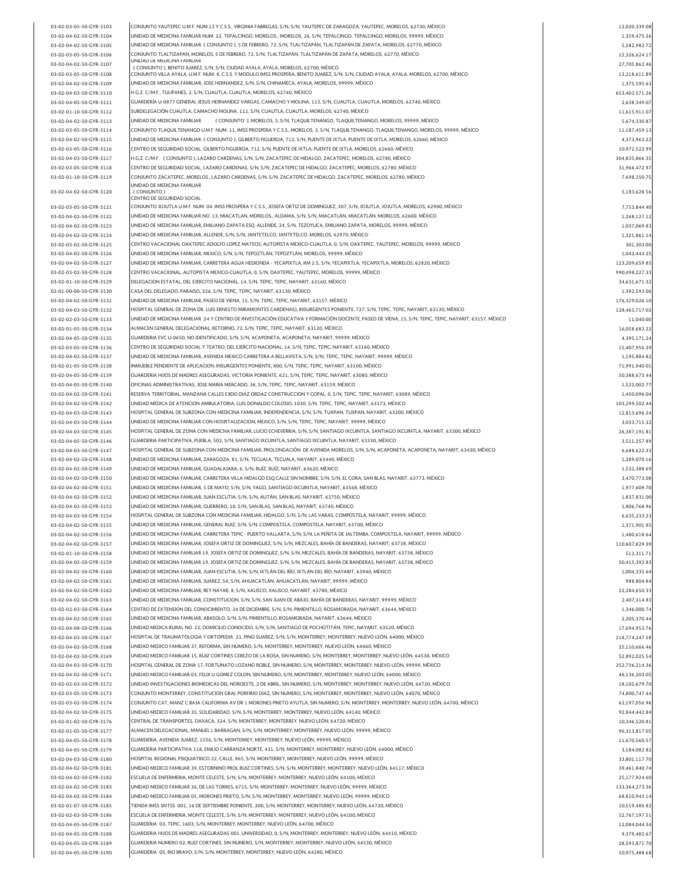| 03-02-03-05-50-GYR-3103                            | CONJUNTO YAUTEPEC U.M.F. NUM.12 Y C.S.S., VIRGINIA FABREGAS, S/N, S/N, YAUTEPEC DE ZARAGOZA, YAUTEPEC, MORELOS, 62730, MÉXICO                                                              | 12,020,339.08                  |
|----------------------------------------------------|--------------------------------------------------------------------------------------------------------------------------------------------------------------------------------------------|--------------------------------|
| 03-02-04-02-50-GYR-3104                            | UNIDAD DE MEDICINA FAMILIAR NUM. 22, TEPALCINGO, MORELOS, MORELOS, 26, S/N, TEPALCINGO, TEPALCINGO, MORELOS, 99999, MÊXICO                                                                 | 1,359,475.26                   |
| 03-02-04-02-50-GYR-3105                            | UNIDAD DE MEDICINA FAMILIAR(CONJUNTO ), 5 DE FEBRERO, 72, S/N, TLALTIZAPÁN, TLALTIZAPÁN DE ZAPATA, MORELOS, 62770, MÉXICO                                                                  | 5,582,982.72                   |
| 03-02-03-05-50-GYR-3106                            | CONJUNTO TLALTIZAPAN, MORELOS, 5 DE FEBRERO, 72, S/N, TLALTIZAPÁN, TLALTIZAPÁN DE ZAPATA, MORELOS, 62770, MÉXICO                                                                           | 12,326,624.17                  |
| 03-02-04-02-50-GYR-3107                            | UNIDAD DE MEDICINA FAMILIAR<br>(CONJUNTO), BENITO JUAREZ, S/N, S/N, CIUDAD AYALA, AYALA, MORELOS, 62700, MÉXICO                                                                            | 27,705,862.46                  |
| 03-02-03-05-50-GYR-3108                            | CONJUNTO VILLA AYALA, U.M.F. NUM. 8, C.S.S. Y MODULO IMSS PROSPERA, BENITO JUAREZ, S/N, S/N, CIUDAD AYALA, AYALA, MORELOS, 62700, MÉXICO                                                   | 13,218,611.89                  |
| 03-02-04-02-50-GYR-3109                            | UNIDAD DE MEDICINA FAMILIAR, JOSE HERNANDEZ, S/N, S/N, CHINAMECA, AYALA, MORELOS, 99999, MÉXICO                                                                                            | 1,375,595.63                   |
| 03-02-04-03-50-GYR-3110                            | H.G.Z. C/M.F., TULIPANES, 2, S/N, CUAUTLA, CUAUTLA, MORELOS, 62740, MÈXICO                                                                                                                 | 653,402,571.26                 |
| 03-02-04-05-50-GYR-3111                            | GUARDERÍA U-0877 GENERAL JESUS HERNANDEZ VARGAS, CAMACHO Y MOLINA, 113, S/N, CUAUTLA, CUAUTLA, MORELOS, 62740, MÉXICO                                                                      | 2,638,349.07                   |
| 03-02-01-10-50-GYR-3112                            | SUBDELEGACIÓN CUAUTLA, CAMACHO MOLINA, 111, S/N, CUAUTLA, CUAUTLA, MORELOS, 62740, MÉXICO                                                                                                  | 11,615,911.07                  |
| 03-02-04-02-50-GYR-3113                            | UNIDAD DE MEDICINA FAMILIAR<br>(CONJUNTO), MORELOS, 3, S/N, TLAQUILTENANGO, TLAQUILTENANGO, MORELOS, 99999, MÉXICO                                                                         | 5,674,330.87                   |
|                                                    | CONJUNTO TLAQUILTENANGO U.M.F. NUM. 11, IMSS PROSPERA Y C.S.S., MORELOS, 3, S/N, TLAQUILTENANGO, TLAQUILTENANGO, MORELOS, 99999, MÉXICO                                                    |                                |
| 03-02-03-05-50-GYR-3114                            |                                                                                                                                                                                            | 11,187,459.13                  |
| 03-02-04-02-50-GYR-3115                            | UNIDAD DE MEDICINA FAMILIAR(CONJUNTO), GILBERTO FIGUEROA, 712, S/N, PUENTE DE IXTLA, PUENTE DE IXTLA, MORELOS, 62660, MÊXICO                                                               | 4,373,963.22                   |
| 03-02-03-05-50-GYR-3116                            | CENTRO DE SEGURIDAD SOCIAL, GILBERTO FIGUEROA, 712, S/N, PUENTE DE IXTLA, PUENTE DE IXTLA, MORELOS, 62660, MÉXICO                                                                          | 10,972,522.99                  |
| 03-02-04-03-50-GYR-3117                            | H.G.Z. C/M.F. (CONJUNTO), LAZARO CARDENAS, S/N, S/N, ZACATEPEC DE HIDALGO, ZACATEPEC, MORELOS, 62780, MÉXICO                                                                               | 304,835,866.35                 |
| 03-02-03-05-50-GYR-3118                            | CENTRO DE SEGURIDAD SOCIAL, LAZARO CARDENAS, S/N, S/N, ZACATEPEC DE HIDALGO, ZACATEPEC, MORELOS, 62780, MÉXICO                                                                             | 31,966,472.97                  |
| 03-02-01-10-50-GYR-3119                            | CONJUNTO ZACATEPEC, MORELOS., LAZARO CARDENAS, S/N, S/N, ZACATEPEC DE HIDALGO, ZACATEPEC, MORELOS, 62780, MÉXICO                                                                           | 7.698.250.75                   |
| 03-02-04-02-50-GYR-3120                            | UNIDAD DE MEDICINA FAMILIAR<br>(CONJUNTO)<br>CENTRO DE SEGURIDAD SOCIAL                                                                                                                    | 5,183,628.56                   |
| 03-02-03-05-50-GYR-3121                            | CONJUNTO JOJUTLA U.M.F. NUM. 04. IMSS PROSPERA Y C.S.S., JOSEFA ORTIZ DE DOMINGUEZ, 307, S/N, JOJUTLA, JOJUTLA, MORELOS, 62900, MÉXICO                                                     | 7,753,844.40                   |
| 03-02-04-02-50-GYR-3122                            | UNIDAD DE MEDICINA FAMILIAR NO. 13, MIACATLAN, MORELOS., ALDAMA, S/N, S/N, MIACATLÂN, MIACATLÂN, MORELOS, 62600, MÊXICO                                                                    | 1,268,127.12                   |
| 03-02-04-02-50-GYR-3123                            | UNIDAD DE MEDICINA FAMILIAR, EMILIANO ZAPATA ESQ. ALLENDE, 24, S/N, TEZOYUCA, EMILIANO ZAPATA, MORELOS, 99999, MÉXICO                                                                      | 1.037.069.83                   |
|                                                    | UNIDAD DE MEDICINA FAMILIAR, ALLENDE, S/N, S/N, JANTETELCO, JANTETELCO, MORELOS, 62970, MÉXICO                                                                                             | 1,321,861.14                   |
| 03-02-04-02-50-GYR-3124                            | CENTRO VACACIONAL OAXTEPEC ADOLFO LOPEZ MATEOS, AUTOPISTA MEXICO-CUAUTLA, 0, S/N, OAXTEPEC, YAUTEPEC, MORELOS, 99999, MÉXICO                                                               |                                |
| 03-02-03-02-50-GYR-3125                            |                                                                                                                                                                                            | 301,303.00                     |
| 03-02-04-02-50-GYR-3126                            | UNIDAD DE MEDICINA FAMILIAR, MEXICO, S/N, S/N, TEPOZTLÁN, TEPOZTLÁN, MORELOS, 99999, MÉXICO                                                                                                | 1,042,443.25                   |
| 03-02-04-02-50-GYR-3127                            | UNIDAD DE MEDICINA FAMILIAR, CARRETERA AGUA HEDIONDA - YECAPIXTLA, KM 2.5, S/N, YECAPIXTLA, YECAPIXTLA, MORELOS, 62820, MÉXICO                                                             | 123,209,659.85                 |
| 03-02-03-02-50-GYR-3128                            | CENTRO VACACIONAL, AUTOPISTA MEXICO-CUAUTLA, 0, S/N, OAXTEPEC, YAUTEPEC, MORELOS, 99999, MÉXICO                                                                                            | 990,498,227.33                 |
| 03-02-01-10-50-GYR-3129                            | DELEGACION ESTATAL, DEL EJERCITO NACIONAL, 14, S/N, TEPIC, TEPIC, NAYARIT, 63160, MÉXICO                                                                                                   | 34,631,671.32                  |
| 02-01-00-00-50-GYR-3130                            | CASA DEL DELEGADO, PARAISO, 326, S/N, TEPIC, TEPIC, NAYARIT, 63130, MÉXICO                                                                                                                 | 1,392,593.06                   |
| 03-02-04-02-50-GYR-3131                            | UNIDAD DE MEDICINA FAMILIAR, PASEO DE VIENA, 15, S/N, TEPIC, TEPIC, NAYARIT, 63157, MÉXICO                                                                                                 | 176,329,026.10                 |
| 03-02-04-03-50-GYR-3132                            | HOSPITAL GENERAL DE ZONA DR. LUIS ERNESTO MIRAMONTES CARDENAS), INSURGENTES PONIENTE, 727, S/N, TEPIC, TEPIC, NAYARIT, 63120, MÉXICO                                                       | 128,465,717.02                 |
| 03-02-02-03-50-GYR-3133                            | UNIDAD DE MEDICINA FAMILIAR 24 Y CENTRO DE INVESTIGACIÓN EDUCATIVA Y FORMACIÓN DOCENTE. PASEO DE VIENA. 15. S/N. TEPIC. TEPIC. NAYARIT. 63157. MÉXICO                                      | 11,040.00                      |
| 03-02-01-05-50-GYR-3134                            | ALMACEN GENERAL DELEGACIONAL, RETORNO, 72, S/N, TEPIC, TEPIC, NAYARIT, 63120, MÉXICO                                                                                                       | 16,058,682.22                  |
| 03-02-04-05-50-GYR-3135                            | GUARDERIA EVC U-0650, NO IDENTIFICADO, S/N, S/N, ACAPONETA, ACAPONETA, NAYARIT, 99999, MÉXICO                                                                                              | 4,395,171.24                   |
| 03-02-03-05-50-GYR-3136                            | CENTRO DE SEGURIDAD SOCIAL Y TEATRO, DEL EJERCITO NACIONAL, 14, S/N, TEPIC, TEPIC, NAYARIT, 63160, MÉXICO                                                                                  | 15,407,956.29                  |
|                                                    | UNIDAD DE MEDICINA FAMILIAR, AVENIDA MEXICO CARRETERA A BELLAVISTA, S/N, S/N, TEPIC, TEPIC, NAYARIT, 99999, MÉXICO                                                                         |                                |
| 03-02-04-02-50-GYR-3137                            |                                                                                                                                                                                            | 1,195,884.82                   |
| 03-02-01-05-50-GYR-3138                            | INMUEBLE PENDIENTE DE APLICACION, INSURGENTES PONIENTE, 800, S/N, TEPIC, TEPIC, NAYARIT, 63100, MÉXICO                                                                                     | 71,991,940.01                  |
| 03-02-04-05-50-GYR-3139                            | GUARDERIA HIJOS DE MADRES ASEGURADAS, VICTORIA PONIENTE, 621, S/N, TEPIC, TEPIC, NAYARIT, 63080, MÈXICO                                                                                    | 50,388,673.44                  |
| 03-02-04-05-50-GYR-3140                            | OFICINAS ADMINISTRATIVAS, JOSE MARIA MERCADO, 36, S/N, TEPIC, TEPIC, NAYARIT, 63159, MÉXICO                                                                                                | 1,522,002.77                   |
| 03-02-04-02-50-GYR-3141                            | RESERVA TERRITORIAL, MANZANA CALLES EJIDO DIAZ ORDAZ CONSTRUCCION Y COPAL, 0, S/N, TEPIC, TEPIC, NAYARIT, 63089, MÉXICO                                                                    | 1,450,096.04                   |
| 03-02-04-02-50-GYR-3142                            | UNIDAD MEDICA DE ATENCION AMBULATORIA, LUIS DONALDO COLOSIO, 1030, S/N, TEPIC, TEPIC, NAYARIT, 63173, MÈXICO                                                                               | 103,299,502.44                 |
| 03-02-04-03-50-GYR-3143                            | HOSPITAL GENERAL DE SUBZONA CON MEDICINA FAMILIAR, INDEPENDENCIA, S/N, S/N, TUXPAN, TUXPAN, NAYARIT, 63200, MÉXICO                                                                         | 12,813,696.24                  |
| 03-02-04-03-50-GYR-3144                            | UNIDAD DE MEDICINA FAMILIAR CON HOSPITALIZACION, MEXICO, S/N, S/N, TEPIC, TEPIC, NAYARIT, 99999, MÈXICO                                                                                    | 3,033,715.32                   |
| 03-02-04-03-50-GYR-3145                            | HOSPITAL GENERAL DE ZONA CON MEDICNA FAMILIAR, LUCIO ECHEVERRIA, S/N, S/N, SANTIAGO IXCUINTLA, SANTIAGO IXCUINTLA, NAYARIT, 63300, MÉXICO                                                  | 26,387,191.83                  |
| 03-02-04-05-50-GYR-3146                            | GUARDERIA PARTICIPATIVA, PUEBLA, 502, S/N, SANTIAGO IXCUINTLA, SANTIAGO IXCUINTLA, NAYARIT, 63330, MÉXICO                                                                                  | 3,511,257.89                   |
| 03-02-04-03-50-GYR-3147                            | HOSPITAL GENERAL DE SUBZONA CON MEDICINA FAMILIAR, PROLONGACIÓN DE AVENIDA MORELOS, S/N, S/N, ACAPONETA, ACAPONETA, NAYARIT, 63430, MÉXICO                                                 | 6,688,622.33                   |
| 03-02-04-02-50-GYR-3148                            | UNIDAD DE MEDICINA FAMILIAR, ZARAGOZA, 81, S/N, TECUALA, TECUALA, NAYARIT, 63440, MÉXICO                                                                                                   | 1.289.070.16                   |
|                                                    | UNIDAD DE MEDICINA FAMILIAR, GUADALAJARA, 6, S/N, RUÍZ, RUÍZ, NAYARIT, 63620, MÉXICO                                                                                                       |                                |
| 03-02-04-02-50-GYR-3149                            |                                                                                                                                                                                            | 1,532,388.69                   |
| 03-02-04-02-50-GYR-3150                            | UNIDAD DE MEDICINA FAMILIAR, CARRETERA VILLA HIDALGO ESQ.CALLE SIN NOMBRE, S/N, S/N, EL CORA, SAN BLAS, NAYARIT, 63773, MÉXICO                                                             | 3,470,773.08                   |
| 03-02-04-02-50-GYR-3151                            | UNIDAD DE MEDICINA FAMILIAR, 5 DE MAYO, S/N, S/N, YAGO, SANTIAGO IXCUINTLA, NAYARIT, 63568, MÉXICO                                                                                         | 1,977,609.70                   |
| 03-02-04-02-50-GYR-3152                            | UNIDAD DE MEDICINA FAMILIAR, JUAN ESCUTIA, S/N, S/N, AUTÁN, SAN BLAS, NAYARIT, 63750, MÉXICO                                                                                               | 1,837,831.00                   |
| 03-02-04-02-50-GYR-3153                            | UNIDAD DE MEDICINA FAMILIAR, GUERRERO, 10, S/N, SAN BLAS, SAN BLAS, NAYARIT, 63740, MÉXICO                                                                                                 | 1,806,768.96                   |
| 03-02-04-03-50-GYR-3154                            | HOSPITAL GENERAL DE SUBZONA CON MEDICINA FAMILIAR, HIDALGO, S/N, S/N, LAS VARAS, COMPOSTELA, NAYARIT, 99999, MÉXICO                                                                        | 6,635,233.23                   |
| 03-02-04-02-50-GYR-3155                            | UNIDAD DE MEDICINA FAMILIAR, GENERAL RUIZ, S/N, S/N, COMPOSTELA, COMPOSTELA, NAYARIT, 63700, MÉXICO                                                                                        | 1,371,901.95                   |
| 03-02-04-02-50-GYR-3156                            | UNIDAD DE MEDICINA FAMILIAR, CARRETERA TEPIC - PUERTO VALLARTA, S/N, S/N, LA PEÑITA DE JALTEMBA, COMPOSTELA, NAYARIT, 99999, MÉXICO                                                        | 1,480,618.64                   |
| 03-02-04-02-50-GYR-3157                            | UNIDAD DE MEDICINA FAMILIAR, JOSEFA ORTIZ DE DOMINGUEZ, S/N, S/N, MEZCALES, BAHÍA DE BANDERAS, NAYARIT, 63738, MÉXICO                                                                      | 110,607,829.39                 |
| 03-02-01-10-50-GYR-3158                            | UNIDAD DE MEDICINA FAMILIAR 19, JOSEFA ORTIZ DE DOMINGUEZ, S/N, S/N, MEZCALES, BAHÍA DE BANDERAS, NAYARIT, 63738, MÉXICO                                                                   | 512,311.71                     |
| 03-02-04-02-50-GYR-3159                            | UNIDAD DE MEDICINA FAMILIAR 19, JOSEFA ORTIZ DE DOMINGUEZ, S/N, S/N, MEZCALES, BAHÍA DE BANDERAS, NAYARIT, 63738, MÉXICO                                                                   | 50,415,392.83                  |
| 03-02-04-02-50-GYR-3160                            | UNIDAD DE MEDICINA FAMILIAR, JUAN ESCUTIA, S/N, S/N, IXTLÁN DEL RÍO, IXTLÁN DEL RÍO, NAYARIT, 63940, MÉXICO                                                                                | 1,004,335.64                   |
| 03-02-04-02-50-GYR-3161                            | UNIDAD DE MEDICINA FAMILIAR, JUAREZ, 54, S/N, AHUACATLÁN, AHUACATLÁN, NAYARIT, 99999, MÉXICO                                                                                               | 988,804.84                     |
|                                                    |                                                                                                                                                                                            |                                |
| 03-02-04-02-50-GYR-3162                            | UNIDAD DE MEDICINA FAMILIAR, REY NAYAR, 8, S/N, XALISCO, XALISCO, NAYARIT, 63780, MÉXICO                                                                                                   | 22,284,650.33                  |
| 03-02-04-02-50-GYR-3163                            | UNIDAD DE MEDICINA FAMILIAR, CONSTITUCION, S/N, S/N, SAN JUAN DE ABAJO, BAHÍA DE BANDERAS, NAYARIT, 99999, MÉXICO                                                                          | 2,407,314.83                   |
| 03-02-02-03-50-GYR-3164                            |                                                                                                                                                                                            |                                |
|                                                    | CENTRO DE EXTENSION DEL CONOCIMIENTO, 24 DE DICIEMBRE, S/N, S/N, PIMIENTILLO, ROSAMORADA, NAYARIT, 63644, MÉXICO                                                                           | 1,346,000.74                   |
| 03-02-04-02-50-GYR-3165                            | UNIDAD DE MEDICINA FAMILIAR, ABASOLO, S/N, S/N, PIMIENTILLO, ROSAMORADA, NAYARIT, 63644, MÉXICO                                                                                            | 2,205,370.44                   |
| 03-02-04-08-50-GYR-3166                            | UNIDAD MEDICA RURAL NO. 22, DOMICILIO CONOCIDO, S/N, S/N, SANTIAGO DE POCHOTITÁN, TEPIC, NAYARIT, 63520, MÉXICO                                                                            | 17,694,953.76                  |
| 03-02-04-03-50-GYR-3167                            | HOSPITAL DE TRAUMATOLOGIA Y ORTOPEDIA 21, PINO SUAREZ, S/N, S/N, MONTERREY, MONTERREY, NUEVO LEÓN, 64000, MÉXICO                                                                           | 218,774,247.58                 |
| 03-02-04-02-50-GYR-3168                            | UNIDAD MEDICO FAMILIAR 37, REFORMA, SIN NUMERO, S/N, MONTERREY, MONTERREY, NUEVO LEÓN, 64460, MÉXICO                                                                                       | 25,110,666.46                  |
| 03-02-04-02-50-GYR-3169                            | UNIDAD MEDICO FAMILIAR 15, RUIZ CORTINES CEREZO DE LA ROSA, SIN NUMERO, S/N, MONTERREY, MONTERREY, NUEVO LEÓN, 64530, MÉXICO                                                               | 52,892,025.54                  |
| 03-02-04-03-50-GYR-3170                            | HOSPITAL GENERAL DE ZONA 17, FORTUNATO LOZANO ROBLE, SIN NUMERO, S/N, MONTERREY, MONTERREY, NUEVO LEÓN, 99999, MÉXICO                                                                      | 252,736,214.36                 |
| 03-02-04-02-50-GYR-3171                            | UNIDAD MEDICO FAMILIAR 03, FELIX U GOMEZ COLON, SIN NUMERO, S/N, MONTERREY, MONTERREY, NUEVO LEÓN, 64000, MÉXICO                                                                           | 46,136,203.05                  |
|                                                    | UNIDAD INVESTIGACIONES BIOMEDICAS DEL NOROESTE, 2 DE ABRIL, SIN NUMERO, S/N, MONTERREY, MONTERREY, NUEVO LEÓN, 64720, MÉXICO                                                               |                                |
| 03-02-02-03-50-GYR-3172                            |                                                                                                                                                                                            | 18,102,679.70                  |
| 03-02-03-05-50-GYR-3173                            | CONJUNTO MONTERREY, CONSTITUCION GRAL PORFIRIO DIAZ, SIN NUMERO, S/N, MONTERREY, MONTERREY, NUEVO LEÓN, 64070, MÉXICO                                                                      | 74,800,747.44                  |
| 03-02-03-02-50-GYR-3174                            | CONJUNTO CAT, MANZ C BAJA CALIFORNIA AV DR 1 MORONES PRIETO AYUTLA, SIN NUMERO, S/N, MONTERREY, MONTERREY, NUEVO LEÓN, 64700, MÉXICO                                                       | 62,197,056.96                  |
| 03-02-04-02-50-GYR-3175                            | UNIDAD MEDICO FAMILIAR 35, SOLIDARIDAD, S/N, S/N, MONTERREY, MONTERREY, NUEVO LEÓN, 64140, MÉXICO                                                                                          | 92,844,442.84                  |
| 03-02-01-02-50-GYR-3176                            | CENTRAL DE TRANSPORTES, OAXACA, 324, S/N, MONTERREY, MONTERREY, NUEVO LEÓN, 64720, MÉXICO                                                                                                  | 10,346,520.81                  |
| 03-02-01-05-50-GYR-3177                            | ALMACEN DELEGACIONAL, MANUEL L BARRAGAN, S/N, S/N, MONTERREY, MONTERREY, NUEVO LEÓN, 99999, MÉXICO                                                                                         | 96,313,817.05                  |
| 03-02-04-05-50-GYR-3178                            | GUARDERIA, AVENIDA JUAREZ, 1556, S/N, MONTERREY, MONTERREY, NUEVO LEÓN, 99999, MÉXICO                                                                                                      | 11,670,560.57                  |
| 03-02-04-05-50-GYR-3179                            | GUARDERIA PARTICIPATIVA 118, EMILIO CARRANZA NORTE, 431, S/N, MONTERREY, MONTERREY, NUEVO LEÓN, 64000, MÉXICO                                                                              | 3,184,082.82                   |
| 03-02-04-03-50-GYR-3180                            | HOSPITAL REGIONAL PSIQUIATRICO 22, CALLE, 965, S/N, MONTERREY, MONTERREY, NUEVO LEÓN, 99999, MÉXICO                                                                                        | 33,801,117.70                  |
| 03-02-04-02-50-GYR-3181                            | UNIDAD MEDICO FAMILIAR 39, ESTORNINO PROL RUIZ CORTINES, S/N, S/N, MONTERREY, MONTERREY, NUEVO LEÓN, 64117, MÉXICO                                                                         | 39,461,840.74                  |
| 03-02-04-02-50-GYR-3182                            | ESCUELA DE ENFERMERIA, MONTE CELESTE, S/N, S/N, MONTERREY, MONTERREY, NUEVO LEÓN, 64100, MÉXICO                                                                                            | 25,177,924.60                  |
| 03-02-04-02-50-GYR-3183                            | UNIDAD MEDICO FAMILIAR 36, DE LAS TORRES, 6715, S/N, MONTERREY, MONTERREY, NUEVO LEÓN, 99999, MÉXICO                                                                                       | 133,364,273.36                 |
|                                                    |                                                                                                                                                                                            |                                |
| 03-02-04-02-50-GYR-3184                            | UNIDAD MEDICO FAMILIAR 05, MORONES PRIETO, S/N, S/N, MONTERREY, MONTERREY, NUEVO LEÓN, 99999, MÉXICO                                                                                       | 68,810,943.14                  |
| 03-02-01-07-50-GYR-3185                            | TIENDA IMSS SNTSS 001, 16 DE SEPTIEMBRE PONIENTE, 200, S/N, MONTERREY, MONTERREY, NUEVO LEÓN, 64720, MÉXICO                                                                                | 10,519,486.82                  |
| 03-02-02-03-50-GYR-3186                            | ESCUELA DE ENFERMERIA, MONTE CELESTE, S/N, S/N, MONTERREY, MONTERREY, NUEVO LEÓN, 64100, MÉXICO                                                                                            | 52,767,197.51                  |
| 03-02-04-05-50-GYR-3187                            | GUARDERIA 03, TEPIC, 1603, S/N, MONTERREY, MONTERREY, NUEVO LEÓN, 64700, MÉXICO                                                                                                            | 12,084,044.34                  |
| 03-02-04-05-50-GYR-3188                            | GUARDERIA HIJOS DE MADRES ASEGURADAS 001, UNIVERSIDAD, 0, S/N, MONTERREY, MONTERREY, NUEVO LEÓN, 64410, MÉXICO                                                                             | 9,379,482.67                   |
| 03-02-04-05-50-GYR-3189<br>03-02-04-05-50-GYR-3190 | GUARDERIA NUMERO 02, RUIZ CORTINES, SIN NUMERO, S/N, MONTERREY, MONTERREY, NUEVO LEÓN, 64530, MÉXICO<br>GUARDERIA 05, RIO BRAVO, S/N, S/N, MONTERREY, MONTERREY, NUEVO LEÓN, 64280, MÉXICO | 28,593,871.70<br>10,975,488.68 |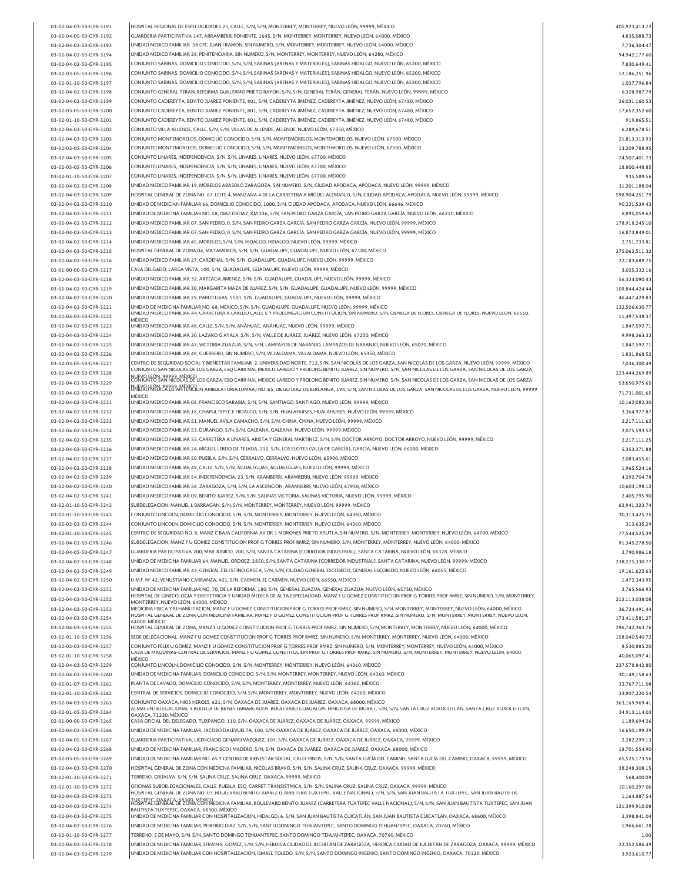| 03-02-04-03-50-GYR-3191                            | HOSPITAL REGIONAL DE ESPECIALIDADES 25, CALLE, S/N, S/N, MONTERREY, MONTERREY, NUEVO LEÓN, 99999, MÉXICO                                                                                                                                                                                                          | 405,923,413.72                |
|----------------------------------------------------|-------------------------------------------------------------------------------------------------------------------------------------------------------------------------------------------------------------------------------------------------------------------------------------------------------------------|-------------------------------|
| 03-02-04-05-50-GYR-3192                            | GUARDERIA PARTICIPATIVA 147, ARRAMBERRI PONIENTE, 1645, S/N, MONTERREY, MONTERREY, NUEVO LEÓN, 64000, MÉXICO                                                                                                                                                                                                      | 4,835,088.73                  |
| 03-02-04-02-50-GYR-3193                            | UNIDAD MEDICO FAMILIAR  38 CFE, JUAN I RAMON, SIN NUMERO, S/N, MONTERREY, MONTERREY, NUEVO LEÓN, 64000, MÉXICO                                                                                                                                                                                                    | 7,736,304.47                  |
| 03-02-04-02-50-GYR-3194                            | UNIDAD MEDICO FAMILIAR 28, PENITENCIARIA, SIN NUMERO, S/N, MONTERREY, MONTERREY, NUEVO LEÓN, 64280, MÉXICO                                                                                                                                                                                                        | 94,942,177.60                 |
| 03-02-04-02-50-GYR-3195                            | CONJUNTO SABINAS, DOMICILIO CONOCIDO, S/N, S/N, SABINAS [ARENAS Y MATERIALES], SABINAS HIDALGO, NUEVO LEÓN, 65200, MÉXICO                                                                                                                                                                                         | 7,830,649.41                  |
| 03-02-03-05-50-GYR-3196                            | CONJUNTO SABINAS, DOMICILIO CONOCIDO, S/N, S/N, SABINAS [ARENAS Y MATERIALES], SABINAS HIDALGO, NUEVO LEÓN, 65200, MÉXICO                                                                                                                                                                                         | 12,186,251.96                 |
| 03-02-01-10-50-GYR-3197                            | CONJUNTO SABINAS, DOMICILIO CONOCIDO, S/N, S/N, SABINAS [ARENAS Y MATERIALES], SABINAS HIDALGO, NUEVO LEÓN, 65200, MÉXICO                                                                                                                                                                                         | 1,037,796.84                  |
| 03-02-04-02-50-GYR-3198                            | CONJUNTO GENERAL TERAN, REFORMA GUILLERMO PRIETO RAYON, S/N, S/N, GENERAL TERÁN, GENERAL TERÁN, NUEVO LEÓN, 99999, MÉXICO                                                                                                                                                                                         | 6,328,987.79                  |
| 03-02-04-02-50-GYR-3199                            | CONJUNTO CADEREYTA, BENITO JUAREZ PONIENTE, 801, S/N, CADEREYTA JIMÉNEZ, CADEREYTA JIMÉNEZ, NUEVO LEÓN, 67480, MÉXICO                                                                                                                                                                                             | 26,031,160.53                 |
| 03-02-03-05-50-GYR-3200                            | CONJUNTO CADEREYTA, BENITO JUAREZ PONIENTE, 801, S/N, CADEREYTA JIMÉNEZ, CADEREYTA JIMÉNEZ, NUEVO LEÓN, 67480, MÉXICO                                                                                                                                                                                             | 17,652,352.60                 |
| 03-02-01-10-50-GYR-3201                            | CONJUNTO CADEREYTA, BENITO JUAREZ PONIENTE, 801, S/N, CADEREYTA JIMÊNEZ, CADEREYTA JIMÊNEZ, NUEVO LEÔN, 67480, MÊXICO                                                                                                                                                                                             | 919,865.51                    |
| 03-02-04-02-50-GYR-3202                            | CONJUNTO VILLA ALLENDE, CALLE, S/N, S/N, VILLAS DE ALLENDE, ALLENDE, NUEVO LEÓN, 67350, MÉXICO                                                                                                                                                                                                                    | 6,289,678.51                  |
| 03-02-04-03-50-GYR-3203                            | CONJUNTO MONTEMORELOS, DOMICILIO CONOCIDO, S/N, S/N, MONTEMORELOS, MONTEMORELOS, NUEVO LEÓN, 67500, MÉXICO                                                                                                                                                                                                        | 21,813,313.93                 |
| 03-02-03-05-50-GYR-3204                            | CONJUNTO MONTEMORELOS, DOMICILIO CONOCIDO, S/N, S/N, MONTEMORELOS, MONTEMORELOS, NUEVO LEÓN, 67500, MÉXICO                                                                                                                                                                                                        | 13,209,788.95                 |
| 03-02-04-03-50-GYR-3205                            | CONJUNTO LINARES, INDEPENDENCIA, S/N, S/N, LINARES, LINARES, NUEVO LEÓN, 67700, MÉXICO                                                                                                                                                                                                                            | 24.507.401.73                 |
| 03-02-03-05-50-GYR-3206                            | CONJUNTO LINARES, INDEPENDENCIA, S/N, S/N, LINARES, LINARES, NUEVO LEÓN, 67700, MÉXICO                                                                                                                                                                                                                            | 18,800,448.85                 |
| 03-02-01-10-50-GYR-3207                            | CONJUNTO LINARES, INDEPENDENCIA, S/N, S/N, LINARES, LINARES, NUEVO LEÓN, 67700, MÉXICO                                                                                                                                                                                                                            | 935,589.56                    |
| 03-02-04-02-50-GYR-3208                            | UNIDAD MEDICO FAMILIAR 19, MORELOS ABASOLO ZARAGOZA, SIN NUMERO, S/N, CIUDAD APODACA, APODACA, NUEVO LEÓN, 99999, MÉXICO                                                                                                                                                                                          | 31,201,188.04                 |
| 03-02-04-03-50-GYR-3209                            | HOSPITAL GENERAL DE ZONA NO. 67, LOTE 4, MANZANA 4 DE LA CARRETERA A MIGUEL ALEMAN, 0, S/N, CIUDAD APODACA, APODACA, NUEVO LEÒN, 99999, MÈXICO                                                                                                                                                                    | 598,904,251.79                |
| 03-02-04-02-50-GYR-3210                            | UNIDAD DE MEDICIAN FAMILIAR 66, DOMICILIO CONOCIDO, 1000, S/N, CIUDAD APODACA, APODACA, NUEVO LEÓN, 66646, MÉXICO                                                                                                                                                                                                 | 90,331,539.43                 |
| 03-02-04-02-50-GYR-3211                            | UNIDAD DE MEDICINA FAMILIAR NO. 58, DIAZ ORDAZ, KM 336, S/N, SAN PEDRO GARZA GARCÍA, SAN PEDRO GARZA GARCÍA, NUEVO LEÓN, 66210, MÊXICO                                                                                                                                                                            | 6,895,059.62                  |
| 03-02-04-02-50-GYR-3212                            | UNIDAD MEDICO FAMILIAR 07, SAN PEDRO, 0, S/N, SAN PEDRO GARZA GARCÍA, SAN PEDRO GARZA GARCÍA, NUEVO LEÓN, 99999, MÉXICO                                                                                                                                                                                           | 178,918,245.10                |
| 03-02-04-02-50-GYR-3213                            | UNIDAD MEDICO FAMILIAR 07, SAN PEDRO, 0, S/N, SAN PEDRO GARZA GARCÍA, SAN PEDRO GARZA GARCÍA, NUEVO LEÓN, 99999, MÉXICO                                                                                                                                                                                           | 16,873,849.01                 |
|                                                    | UNIDAD MEDICO FAMILIAR 45, MORELOS, S/N, S/N, HIDALGO, HIDALGO, NUEVO LEÓN, 99999, MÉXICO                                                                                                                                                                                                                         |                               |
| 03-02-04-02-50-GYR-3214                            | HOSPITAL GENERAL DE ZONA 04, MATAMOROS, S/N, S/N, GUADALUPE, GUADALUPE, NUEVO LEÓN, 67100, MÉXICO                                                                                                                                                                                                                 | 2,751,733.81                  |
| 03-02-04-03-50-GYR-3215                            |                                                                                                                                                                                                                                                                                                                   | 275,062,511.32                |
| 03-02-04-02-50-GYR-3216                            | UNIDAD MEDICO FAMILIAR 27, CARDENAL, S/N, S/N, GUADALUPE, GUADALUPE, NUEVO LEÓN, 99999, MÉXICO                                                                                                                                                                                                                    | 22,183,689.75                 |
| 02-01-00-00-50-GYR-3217                            | CASA DELGADO, LARGA VISTA, 100, S/N, GUADALUPE, GUADALUPE, NUEVO LEÓN, 99999, MÉXICO                                                                                                                                                                                                                              | 3,025,332.16                  |
| 03-02-04-02-50-GYR-3218                            | UNIDAD MEDICO FAMILIAR 32, ARTEAGA JIMENEZ, S/N, S/N, GUADALUPE, GUADALUPE, NUEVO LEÓN, 99999, MÉXICO                                                                                                                                                                                                             | 56,324,090.43                 |
| 03-02-04-02-50-GYR-3219                            | UNIDAD MEDICO FAMILIAR 30, MARGARITA MAZA DE JUAREZ, S/N, S/N, GUADALUPE, GUADALUPE, NUEVO LEÓN, 99999, MÉXICO                                                                                                                                                                                                    | 109,844,424.44                |
| 03-02-04-02-50-GYR-3220                            | UNIDAD MEDICO FAMILIAR 29, PABLO LIVAS, 5501, S/N, GUADALUPE, GUADALUPE, NUEVO LEÓN, 99999, MÉXICO                                                                                                                                                                                                                | 46.447.429.83                 |
| 03-02-04-02-50-GYR-3221                            | UNIDAD DE MEDICINA FAMILIAR NO. 68, MEXICO, S/N, S/N, GUADALUPE, GUADALUPE, NUEVO LEÓN, 99999, MÉXICO<br>UNIDAD MEDICO FAMILIAR 44, CARRETERA A LAREDO CALLE 5 Y PROLONGACION CONSTITUCION, SIN NUMERO, S/N, CIENEGA DE FLORES, CIENEGA DE FLORES, NUEVO LEON, 65550,                                             | 132,506,630.77                |
| 03-02-04-02-50-GYR-3222                            | MÉXICO                                                                                                                                                                                                                                                                                                            | 11,497,538.37                 |
| 03-02-04-02-50-GYR-3223                            | UNIDAD MEDICO FAMILIAR 48, CALLE, S/N, S/N, ANÁHUAC, ANÁHUAC, NUEVO LEÓN, 99999, MÉXICO                                                                                                                                                                                                                           | 1,847,592.71                  |
| 03-02-04-02-50-GYR-3224                            | UNIDAD MEDICO FAMILIAR 20, LAZARO G AYALA, S/N, S/N, VALLE DE JUÁREZ, JUÁREZ, NUEVO LEÓN, 67250, MÉXICO                                                                                                                                                                                                           | 9,998,363.33                  |
| 03-02-04-02-50-GYR-3225                            | UNIDAD MEDICO FAMILIAR 47, VICTORIA ZUAZUA, S/N, S/N, LAMPAZOS DE NARANJO, LAMPAZOS DE NARANJO, NUEVO LEÓN, 65070, MÉXICO                                                                                                                                                                                         | 1,847,592.71                  |
| 03-02-04-02-50-GYR-3226                            | UNIDAD MEDICO FAMILIAR 46, GUERRERO, SIN NUMERO, S/N, VILLALDAMA, VILLALDAMA, NUEVO LEŌN, 65350, MĒXICO                                                                                                                                                                                                           | 1,831,868.52                  |
| 03-02-03-05-50-GYR-3227                            | CENTRO DE SEGURIDAD SOCIAL Y BIENESTAR FAMILIAR 2, UNIVERSIDAD NORTE, 712, S/N, SAN NICOLÁS DE LOS GARZA, SAN NICOLÁS DE LOS GARZA, NUEVO LEÓN, 99999, MÉXICO                                                                                                                                                     | 7,036,300.49                  |
| 03-02-04-03-50-GYR-3228                            | CONJUNTO SAN NICOLAS DE LOS GARZA, ESQ CARR NAL MEXICO LAREDO Y PROLONG BENITO JUAREZ, SIN NUMERO, S/N, SAN NICOLAS DE LOS GARZA, SAN NICOLAS DE LOS GARZA,                                                                                                                                                       | 223,444,269.89                |
| 03-02-04-02-50-GYR-3229                            | NUEVO LEÓN, 99999 MÉXICO<br>CONJUNTO SAN NICOLAS DE LOS GARZA, ESQ CARR NAL MEXICO LAREDO Y PROLONG BENITO JUAREZ, SIN NUMERO, S/N, SAN NICOLAS DA LOS GARZA, SAN NICOLAS DE LOS GARZA,                                                                                                                           | 53,650,975.65                 |
| 03-02-04-02-50-GYR-3230                            | UNIYAHARIYA 282°AN RENGON AMBULATORIA (UMAA) NO. 65, DIEGO DIAZ DE BERLANGA, 194, S/N, SAN NICOLAS DE LOS GARZA, SAN NICOLAS DE LOS GARZA, NUEVO LEON, 99999<br>MÉXICO                                                                                                                                            | 71,731,001.65                 |
| 03-02-04-02-50-GYR-3231                            | UNIDAD MEDICO FAMILIAR 08, FRANCISCO SARABIA, S/N, S/N, SANTIAGO, SANTIAGO, NUEVO LEÓN, 99999, MÉXICO                                                                                                                                                                                                             | 10,162,082.30                 |
| 03-02-04-02-50-GYR-3232                            | UNIDAD MEDICO FAMILIAR 18, CHAPULTEPEC E HIDALGO, S/N, S/N, HUALAHUISES, HUALAHUISES, NUEVO LEÓN, 99999, MÉXICO                                                                                                                                                                                                   | 3,364,977.87                  |
| 03-02-04-02-50-GYR-3233                            | UNIDAD MEDICO FAMILIAR 51, MANUEL AVILA CAMACHO, S/N, S/N, CHINA, CHINA, NUEVO LEÓN, 99999, MÉXICO                                                                                                                                                                                                                | 2,217,111.62                  |
| 03-02-04-02-50-GYR-3234                            | UNIDAD MEDICO FAMILIAR 53, DURANGO, S/N, S/N, GALEANA, GALEANA, NUEVO LEÓN, 99999, MÉXICO                                                                                                                                                                                                                         | 2,075,593.52                  |
| 03-02-04-02-50-GYR-3235                            | UNIDAD MEDICO FAMILIAR 55, CARRETERA A LINARES, ARISTA Y GENERAL MARTINEZ, S/N, S/N, DOCTOR ARROYO, DOCTOR ARROYO, NUEVO LEÓN, 99999, MÉXICO                                                                                                                                                                      | 2,217,111.25                  |
| 03-02-04-02-50-GYR-3236                            | UNIDAD MEDICO FAMILIAR 24, MIGUEL LERDO DE TEJADA, 112, S/N, LOS ELOTES (VILLA DE GARCÍA), GARCÍA, NUEVO LEÓN, 66000, MÉXICO                                                                                                                                                                                      | 5,353,271.88                  |
| 03-02-04-02-50-GYR-3237                            | UNIDAD MEDICO FAMILIAR 50, PUEBLA, S/N, S/N, CERRALVO, CERRALVO, NUEVO LEÓN, 65900, MÉXICO                                                                                                                                                                                                                        | 2,083,455.61                  |
| 03-02-04-02-50-GYR-3238                            | UNIDAD MEDICO FAMILIAR 49, CALLE, S/N, S/N, AGUALEGUAS, AGUALEGUAS, NUEVO LEÓN, 99999, MÉXICO                                                                                                                                                                                                                     | 1,965,524.16                  |
| 03-02-04-02-50-GYR-3239                            | UNIDAD MEDICO FAMILIAR 54, INDEPENDENCIA, 23, S/N, ARAMBERRI, ARAMBERRI, NUEVO LEÓN, 99999, MÉXICO                                                                                                                                                                                                                | 4,292,704.78                  |
| 03-02-04-02-50-GYR-3240                            | UNIDAD MEDICO FAMILIAR 56, ZARAGOZA, S/N, S/N, LA ASCENCIÓN, ARAMBERRI, NUEVO LEÓN, 67950, MÉXICO                                                                                                                                                                                                                 | 10,603,198.12                 |
| 03-02-04-02-50-GYR-3241                            | UNIDAD MEDICO FAMILIAR 09, BENITO JUAREZ, S/N, S/N, SALINAS VICTORIA, SALINAS VICTORIA, NUEVO LEÓN, 99999, MÉXICO                                                                                                                                                                                                 | 2,405,795.90                  |
| 03-02-01-10-50-GYR-3242                            | SUBDELEGACION, MANUEL L BARRAGAN, S/N, S/N, MONTERREY, MONTERREY, NUEVO LEÓN, 99999, MÉXICO                                                                                                                                                                                                                       | 62,941,323.74                 |
| 03-02-01-10-50-GYR-3243                            | CONJUNTO LINCOLN, DOMICILIO CONOCIDO, S/N, S/N, MONTERREY, MONTERREY, NUEVO LEÓN, 64360, MÉXICO                                                                                                                                                                                                                   | 30, 313, 425. 25              |
| 03-02-02-03-50-GYR-3244                            | CONJUNTO LINCOLN, DOMICILIO CONOCIDO, S/N, S/N, MONTERREY, MONTERREY, NUEVO LEÓN, 64360, MÉXICO                                                                                                                                                                                                                   | 313,635.29                    |
| 03-02-01-10-50-GYR-3245                            | CENTRO DE SEGURIDAD NO. 8, MANZ C BAJA CALIFORNIA AV DR 1 MORONES PRIETO AYUTLA, SIN NUMERO, S/N, MONTERREY, MONTERREY, NUEVO LEÓN, 64700, MÉXICO                                                                                                                                                                 | 77,544,525.39                 |
| 03-02-04-02-50-GYR-3246                            | SUBDELEGACION, MANZ F U GOMEZ CONSTITUCION PROF G TORRES PROF RMRZ, SIN NUMERO, S/N, MONTERREY, MONTERREY, NUEVO LEÓN, 64000, MÉXICO                                                                                                                                                                              | 91,345,278.50                 |
| 03-02-04-05-50-GYR-3247                            | GUARDERIA PARTICIPATIVA 200, MAR JONICO, 200, S/N, SANTA CATARINA [CORREDOR INDUSTRIAL], SANTA CATARINA, NUEVO LEÓN, 66378, MÉXICO                                                                                                                                                                                | 2,790,986.18                  |
| 03-02-04-02-50-GYR-3248                            | UNIDAD DE MEDICINA FAMILIAR 64, MANUEL ORDOEZ, 2850, S/N, SANTA CATARINA [CORREDOR INDUSTRIAL], SANTA CATARINA, NUEVO LEÓN, 99999, MÈXICO                                                                                                                                                                         | 238,275,330.77                |
|                                                    | UNIDAD MEDICO FAMILIAR 43, GENERAL CELESTINO GASCA, S/N, S/N, CIUDAD GENERAL ESCOBEDO, GENERAL ESCOBEDO, NUEVO LEÓN, 66055, MÉXICO                                                                                                                                                                                |                               |
| 03-02-04-02-50-GYR-3249                            |                                                                                                                                                                                                                                                                                                                   | 19,161,622.63                 |
| 03-02-04-02-50-GYR-3250                            | U.M.F. N° 42, VENUSTIANO CARRANZA, 401, S/N, CARMEN, EL CARMEN, NUEVO LEÓN, 66550, MÉXICO                                                                                                                                                                                                                         | 1,472,343.95                  |
| 03-02-04-02-50-GYR-3251                            | UNIDAD DE MEDICINA FAMILIAR NO. 70, DE LA REFORMA, 180, S/N, GENERAL ZUAZUA, GENERAL ZUAZUA, NUEVO LEÓN, 65750, MÉXICO<br>HOSPITAL DE GINECOLOGIA Y OBSTETRICIA Y UNIDAD MEDICA DE ALTA ESPECIALIDAD, MANZ FU GOMEZ CONSTITUCION PROF G TORRES PROF RMRZ, SIN NUMERO, S/N, MONTERREY,                             | 2,765,566.93                  |
| 03-02-04-03-50-GYR-3252                            | MONTERREY. NUEVO LEÓN. 64000. MĚXICO                                                                                                                                                                                                                                                                              | 212,113,038.08                |
| 03-02-04-02-50-GYR-3253                            | MEDICINA FISICA Y REHABILITACION, MANZ F U GOMEZ CONSTITUCION PROF G TORRES PROF RMRZ, SIN NUMERO, S/N, MONTERREY, MONTERREY, NUEVO LEÓN, 64000, MÉXICO<br>HOSPITAL GENERAL DE ZONA CON MEDICINA FAMILIAR, MANZ FU GOMEZ CONSTITUCION PROF G TORRES PROF RMRZ, SIN NUMERO, S/N, MONTERREY, MONTERREY, NUEVO LEON, | 36,724,491.44                 |
| 03-02-04-03-50-GYR-3254                            | 64000. MĚXICO                                                                                                                                                                                                                                                                                                     | 173,411,581.27                |
| 03-02-04-03-50-GYR-3255                            | HOSPITAL GENERAL DE ZONA, MANZ F U GOMEZ CONSTITUCION PROF G TORRES PROF RMRZ, SIN NUMERO, S/N, MONTERREY, MONTERREY, NUEVO LEÓN, 64000, MÉXICO                                                                                                                                                                   | 296,742,363.76                |
| 03-02-01-10-50-GYR-3256                            | SEDE DELEGACIONAL, MANZ F U GOMEZ CONSTITUCION PROF G TORRES PROF RMRZ, SIN NUMERO, S/N, MONTERREY, MONTERREY, NUEVO LEÓN, 64000, MÉXICO                                                                                                                                                                          | 158,040,540.72                |
| 03-02-02-03-50-GYR-3257                            | CONJUNTO FELIX U GOMEZ, MANZ F U GOMEZ CONSTITUCION PROF G TORRES PROF RMRZ, SIN NUMERO, S/N, MONTERREY, MONTERREY, NUEVO LEÔN, 64000, MÊXICO<br>CASA DE MAQUINAS-CENTRAL DE SERVICIOS, MANZ FU GOMEZ CONSTITUCION PROF G TORRES PROF RMRZ, SIN NUMERO, S/N, MONTERREY, MONTERREY, NUEVO LEON, 64000,             | 8,530,885.20                  |
| 03-02-01-10-50-GYR-3258                            | MÉXICO                                                                                                                                                                                                                                                                                                            | 40,065,097.41                 |
| 03-02-04-03-50-GYR-3259                            | CONJUNTO LINCOLN, DOMICILIO CONOCIDO, S/N, S/N, MONTERREY, MONTERREY, NUEVO LEÓN, 64360, MÉXICO                                                                                                                                                                                                                   | 237,578,842.80                |
| 03-02-04-02-50-GYR-3260                            | UNIDAD DE MEDICINA FAMILIAR, DOMICILIO CONOCIDO, S/N, S/N, MONTERREY, MONTERREY, NUEVO LEÓN, 64360, MÉXICO                                                                                                                                                                                                        | 30,149,158.63                 |
| 03-02-01-07-50-GYR-3261                            | PLANTA DE LAVADO, DOMICILIO CONOCIDO, S/N, S/N, MONTERREY, MONTERREY, NUEVO LEÓN, 64360, MÉXICO                                                                                                                                                                                                                   | 33.767.711.08                 |
| 03-02-01-10-50-GYR-3262                            | CENTRAL DE SERVICIOS, DOMICILIO CONOCIDO, S/N, S/N, MONTERREY, MONTERREY, NUEVO LEÓN, 64360, MÉXICO                                                                                                                                                                                                               | 33,907,220.54                 |
| 03-02-04-03-50-GYR-3263                            | CONJUNTO OAXACA, NIOS HEROES, 621, S/N, OAXACA DE JUÁREZ, OAXACA DE JUÁREZ, OAXACA, 68000, MÉXICO<br>ALMACEN DELEGACIONAL Y BODEGA DE BIENES EMBARGADOS, BOULEVARD GUADALUPE HINOJOSA DE MURAT, S/N, S/N, SANTA CRUZ XOXOCOTEAN, SANTA CRUZ XOXOCOTEAN,                                                           | 363,169,969.41                |
| 03-02-01-05-50-GYR-3264                            | OAXACA, 71230, MĚXICO                                                                                                                                                                                                                                                                                             | 34,913,114.03                 |
| 02-01-00-00-50-GYR-3265                            | CASA OFICIAL DEL DELEGADO, TUXPANGO, 110, S/N, OAXACA DE JUÁREZ, OAXACA DE JUÁREZ, OAXACA, 99999, MÉXICO                                                                                                                                                                                                          | 1,189,694.26                  |
| 03-02-04-02-50-GYR-3266                            | UNIDAD DE MEDICINA FAMILIAR, JACOBO DALEVUELTA, 100, S/N, OAXACA DE JUÁREZ, OAXACA DE JUÁREZ, OAXACA, 68000, MÉXICO                                                                                                                                                                                               | 16,650,199.29                 |
| 03-02-04-05-50-GYR-3267                            | GUARDERIA PARTICIPATIVA, LICENCIADO GENARO VAZQUEZ, 107, S/N, OAXACA DE JUÁREZ, OAXACA DE JUÁREZ, OAXACA, 99999, MÊXICO                                                                                                                                                                                           | 2,282,299.13                  |
| 03-02-04-02-50-GYR-3268                            | UNIDAD DE MEDICINA FAMILIAR, FRANCISCO I MADERO, S/N, S/N, OAXACA DE JUÁREZ, OAXACA DE JUÁREZ, OAXACA, 68000, MÉXICO                                                                                                                                                                                              | 18.701.554.90                 |
| 03-02-03-05-50-GYR-3269                            | UNIDAD DE MEDICINA FAMILIAR NO. 65 Y CENTRO DE BIENESTAR SOCIAL, CALLE PINOS, S/N, S/N, SANTA LUCÍA DEL CAMINO, SANTA LUCÍA DEL CAMINO, OAXACA, 99999, MÉXICO                                                                                                                                                     | 65,525,173.56                 |
| 03-02-04-03-50-GYR-3270                            | HOSPITAL GENERAL DE ZONA CON MEDICNA FAMILIAR, NICOLAS BRAVO, S/N, S/N, SALINA CRUZ, SALINA CRUZ, OAXACA, 99999, MÉXICO                                                                                                                                                                                           | 38,248,308.15                 |
| 03-02-01-10-50-GYR-3271                            | TERRENO, GRIJALVA, S/N, S/N, SALINA CRUZ, SALINA CRUZ, OAXACA, 99999, MÉXICO                                                                                                                                                                                                                                      | 568,400.09                    |
| 03-02-01-10-50-GYR-3272                            | OFICINAS SUBDELEGACIONALES, CALLE PUEBLA, ESQ. CARRET.TRANSISTMICA, S/N, S/N, SALINA CRUZ, SALINA CRUZ, OAXACA, 99999, MÊXICO                                                                                                                                                                                     | 10,160,297.06                 |
| 03-02-04-03-50-GYR-3273                            | HOSPITAL GENERAL DE ZONA NO. 03, BOULEVARD BENITO JUAREZ (CARRETERA TUXTEPEC VALLE NACIONAL), S/N, S/N, SAN JUAN BAUTISTA TUXTEPEC, SAN JUAN BAUTISTA                                                                                                                                                             | 1,164,887.54                  |
| 03-02-04-03-50-GYR-3274                            | TUXTEPEC, OAXACA, 68300, MEXICO<br>HOSPITAL GENERAL DE ZONA CON MEDICNA FAMILIAR, BOULEVARD BENITO JUAREZ (CARRETERA TUXTEPEC VALLE NACIONAL), S/N, S/N, S/N, SAN JUAN BAUTISTA TUXTEPEC, SAN JUAN                                                                                                                | 121,399,910.08                |
|                                                    |                                                                                                                                                                                                                                                                                                                   |                               |
| 03-02-04-03-50-GYR-3275                            | BAUTISTA TUXTEPEC, OAXACA, 68300, MÊXICO<br>UNIDAD DE MEDICINA FAMILIAR CON HOSPITALIZACION, HIDALGO, 6, S/N, SAN JUAN BAUTISTA CUICATLÁN, SAN JUAN BAUTISTA CUICATLÁN, OAXACA, 68600, MÉXICO                                                                                                                     | 2,398,841.04                  |
| 03-02-04-02-50-GYR-3276                            | UNIDAD DE MEDICINA FAMILIAR, PORFIRIO DIAZ, S/N, S/N, SANTO DOMINGO TEHUANTEPEC, SANTO DOMINGO TEHUANTEPEC, OAXACA, 70760, MÉXICO                                                                                                                                                                                 | 1,966,661.28                  |
| 03-02-01-10-50-GYR-3277                            | TERRENO, 5 DE MAYO, S/N, S/N, SANTO DOMINGO TEHUANTEPEC, SANTO DOMINGO TEHUANTEPEC, OAXACA, 70760, MÊXICO                                                                                                                                                                                                         | 1.00                          |
|                                                    | UNIDAD DE MEDICINA FAMILIAR, EFRAIN R. GOMEZ, S/N, S/N, HEROICA CIUDAD DE JUCHITÁN DE ZARAGOZA, HEROICA CIUDAD DE JUCHITÁN DE ZARAGOZA, OAXACA, 99999, MÉXICO                                                                                                                                                     |                               |
| 03-02-04-02-50-GYR-3278<br>03-02-04-03-50-GYR-3279 | UNIDAD DE MEDICINA FAMILIAR CON HOSPITALIZACION, ISMAEL TOLEDO, S/N, S/N, SANTO DOMINGO INGENIO, SANTO DOMINGO INGENIO, OAXACA, 70120, MÉXICO                                                                                                                                                                     | 22,352,586.49<br>3,923,610.77 |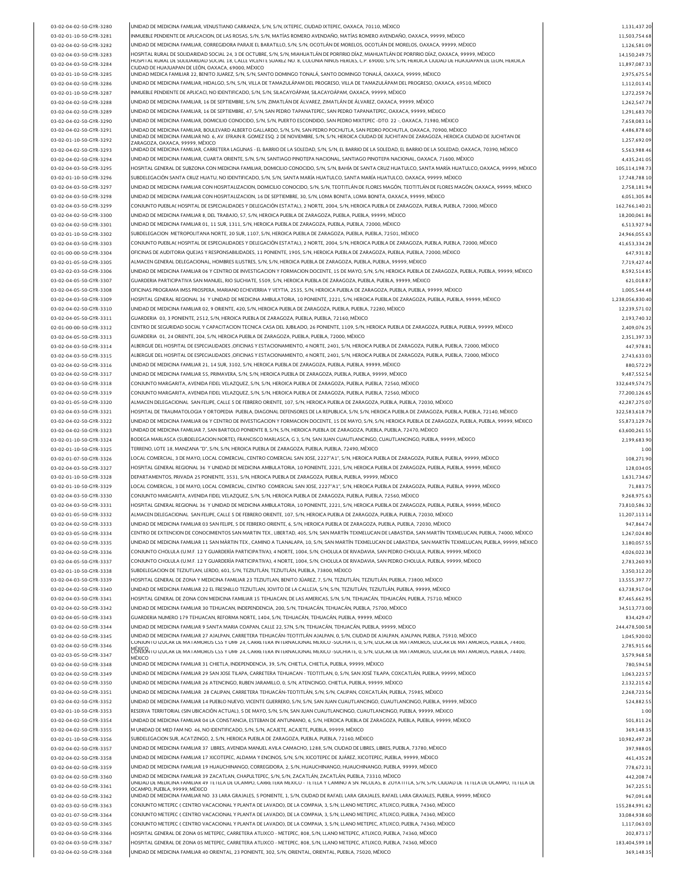03-02-04-02-50-GYR-3280 1,131,437.20 UNIDAD DE MEDICINA FAMILIAR, VENUSTIANO CARRANZA, S/N, S/N, IXTEPEC, CIUDAD IXTEPEC, OAXACA, 70110, MÉXICO 03-02-01-10-50-GYR-3281 |INMUEBLE PENDIENTE DE APLICACION, DE LAS ROSAS, S/N, S/N, MATÍAS ROMERO AVENDAÑO, MATÍAS ROMERO AVENDAÑO, OAXACA, 99999, MEXICO | 1,503,0754.68 | 1,503,754.68 03-02-04-02-50-GYR-3282 UNIDAD DE MEDICINA FAMILIAR, CORREGIDORA PARAJE EL BARATILLO, S/N, S/N, OCOTLAN DE MORELOS, OCOTLAN DE MORELOS, OAXACA, 99999, MEXICO 1,126,581.09 03-02-04-03-50-GYR-3283 HOSPITAL RURAL DE SOLIDARIDAD SOCIAL 24, 3 DE OCTUBRE, S/N, S/N, MIAHUATLAN DE PORFIRIO DIAZ, MIAHUATLAN DE PORFIRIO DIAZ, OAXACA, 99999, MEXICO 1999, AN ENCOLO 14,150,249.75 03-02-04-03-50-GYR-3284 CIUDAD DE HUAJUAPAN DE LEÓN, OAXACA, 69000, MÉXICO CHARLEA DE LA CONSTRUIT DE LA CONSTRUIT DE LA CONSTRUIT DE LA CONSTRUIT DE LA CONSTRUIT DE LA CONSTRUIT DE LA CONSTRUIT DE LA CONSTRUIT DE LA CONST 03-02-01-10-50-GYR-3285 2,975,675.54 UNIDAD MEDICA FAMILIAR 22, BENITO JUAREZ, S/N, S/N, SANTO DOMINGO TONALÁ, SANTO DOMINGO TONALÁ, OAXACA, 99999, MÉXICO 03-02-04-02-50-GYR-3286 UNIDAD DE MEDICINA FAMILIAR, HIDALGO, S/N, S/N, VILLA DE TAMAZULAPAM DEL PROGRESO, VILLA DE TAMAZULAPAM DEL PROGRESO, OAXACA, 69510, MEXICO 1,112,013.41 03-02-01-10-50-GYR-3287 1,272,259.76 INMUEBLE PENDIENTE DE APLICACI, NO IDENTIFICADO, S/N, S/N, SILACAYOÁPAM, SILACAYOÁPAM, OAXACA, 99999, MÉXICO 03-02-04-02-50-GYR-3288 |UNIDAD DE MEDICINA FAMILIAR, 16 DE SEPTIEMBRE, S/N, S/N, ZIMATLAN DE ALVAREZ, ZIMATLAN DE ALVAREZ, OAXACA, 99999, MEXICO | 1,262,547.78 03-02-04-02-50-GYR-3289 1,291,683.70 UNIDAD DE MEDICINA FAMILIAR, 16 DE SEPTIEMBRE, 47, S/N, SAN PEDRO TAPANATEPEC, SAN PEDRO TAPANATEPEC, OAXACA, 99999, MÉXICO 03-02-04-02-50-GYR-3290 7,658,083.16 UNIDAD DE MEDICINA FAMILIAR, DOMICILIO CONOCIDO, S/N, S/N, PUERTO ESCONDIDO, SAN PEDRO MIXTEPEC -DTO. 22 -, OAXACA, 71980, MÉXICO 03-02-04-02-50-GYR-3291 4,486,878.60 UNIDAD DE MEDICINA FAMILIAR, BOULEVARD ALBERTO GALLARDO, S/N, S/N, SAN PEDRO POCHUTLA, SAN PEDRO POCHUTLA, OAXACA, 70900, MÉXICO 03-02-01-10-50-GYR-3292 **1,257,692.09**<br>1,257,692.09 2,287,692.09 2,287,692.09 2,257,692.09 2,257,693.09 2,257,693.09 2,257,692.09 2,257,692.09 2,257,692.09 03-02-04-02-50-GYR-3293 5,563,988.46 UNIDAD DE MEDICINA FAMILIAR, CARRETERA LAGUNAS - EL BARRIO DE LA SOLEDAD, S/N, S/N, EL BARRIO DE LA SOLEDAD, EL BARRIO DE LA SOLEDAD, OAXACA, 70390, MÉXICO 03-02-04-02-50-GYR-3294 4,435,241.05 UNIDAD DE MEDICINA FAMILIAR, CUARTA ORIENTE, S/N, S/N, SANTIAGO PINOTEPA NACIONAL, SANTIAGO PINOTEPA NACIONAL, OAXACA, 71600, MÉXICO 03-02-04-03-50-GYR-3295 HOSPITAL GENERAL DE SUBZONA CON MEDICINA FAMILIAR, DOMICILIO CONOCIDO, S/N, S/N, BAHIA DE SANTA CRUZ HUATULCO, SANTA MARIA HUATULCO, OAXACA, 99999, MEXICO | 105,114,198.73 03-02-01-10-50-GYR-3296 17,748,788.10 SUBDELEGACIÓN SANTA CRUZ HUATU, NO IDENTIFICADO, S/N, S/N, SANTA MARÍA HUATULCO, SANTA MARÍA HUATULCO, OAXACA, 99999, MÉXICO 03-02-04-03-50-GYR-3297 UNIDAD DE MEDICINA FAMILIAR CON HOSPITALIZACION, DOMICILIO CONOCIDO, S/N, S/N, TEOTITLAN DE FLORES MAGON, TEOTITLAN DE FLORES MAGON, OAXACA, 99999, MEXICO 2,758,181.94 03-02-04-03-50-GYR-3298 6,051,305.84 UNIDAD DE MEDICINA FAMILIAR CON HOSPITALIZACION, 16 DE SEPTIEMBRE, 30, S/N, LOMA BONITA, LOMA BONITA, OAXACA, 99999, MÉXICO 03-02-04-03-50-GYR-3299 162,766,140.21 CONJUNTO PUEBLA( HOSPITAL DE ESPECIALIDADES Y DELEGACIÓN ESTATAL), 2 NORTE, 2004, S/N, HEROICA PUEBLA DE ZARAGOZA, PUEBLA, PUEBLA, 72000, MÉXICO 03-02-04-02-50-GYR-3300 18,200,061.86 UNIDAD DE MEDICINA FAMILIAR 8, DEL TRABAJO, 57, S/N, HEROICA PUEBLA DE ZARAGOZA, PUEBLA, PUEBLA, 99999, MÉXICO 03-02-04-02-50-GYR-3301 6,513,927.94 UNIDAD DE MEDICINA FAMILIAR 01, 11 SUR, 1311, S/N, HEROICA PUEBLA DE ZARAGOZA, PUEBLA, PUEBLA, 72000, MÉXICO 03-02-01-10-50-GYR-3302 24,966,055.63 SUBDELEGACION METROPOLITANA NORTE, 20 SUR, 1107, S/N, HEROICA PUEBLA DE ZARAGOZA, PUEBLA, PUEBLA, 72501, MÉXICO 03-02-04-03-50-GYR-3303 41,653,334.28 CONJUNTO PUEBLA( HOSPITAL DE ESPECIALIDADES Y DELEGACIÓN ESTATAL), 2 NORTE, 2004, S/N, HEROICA PUEBLA DE ZARAGOZA, PUEBLA, PUEBLA, 72000, MÉXICO 02-01-00-00-50-GYR-3304 647,931.82 OFICINAS DE AUDITORIA QUEJAS Y RESPONSABILIDADES, 11 PONIENTE, 1905, S/N, HEROICA PUEBLA DE ZARAGOZA, PUEBLA, PUEBLA, 72000, MÉXICO 03-02-01-05-50-GYR-3305 7,719,427.44 ALMACEN GENERAL DELEGACIONAL, HOMBRES ILUSTRES, S/N, S/N, HEROICA PUEBLA DE ZARAGOZA, PUEBLA, PUEBLA, 99999, MÉXICO 03-02-02-03-50-GYR-3306 UNIDAD DE MEDICINA FAMILIAR 06 Y CENTRO DE INVESTIGACION Y FORMACION DOCENTE, 15 DE MAYO, S/N, S/N, HEROICA PUEBLA DE ZARAGOZA, PUEBLA, PUEBLA, 99999, MEXICO | 8,592,514.85 03-02-04-05-50-GYR-3307 621,018.87 GUARDERIA PARTICIPATIVA SAN MANUEL, RIO SUCHIATE, 5509, S/N, HEROICA PUEBLA DE ZARAGOZA, PUEBLA, PUEBLA, 99999, MÉXICO 03-02-04-05-50-GYR-3308 1,005,544.48 OFICINAS PROGRAMA IMSS PROSPERA, MARIANO ECHEVERRIA Y VEYTIA, 2535, S/N, HEROICA PUEBLA DE ZARAGOZA, PUEBLA, PUEBLA, 99999, MÉXICO 03-02-04-03-50-GYR-3309 1,238,056,830.40 HOSPITAL GENERAL REGIONAL 36 Y UNIDAD DE MEDICINA AMBULATORIA, 10 PONIENTE, 2221, S/N, HEROICA PUEBLA DE ZARAGOZA, PUEBLA, PUEBLA, 99999, MÉXICO 03-02-04-02-50-GYR-3310 12,239,571.02 UNIDAD DE MEDICINA FAMILIAR 02, 9 ORIENTE, 420, S/N, HEROICA PUEBLA DE ZARAGOZA, PUEBLA, PUEBLA, 72280, MÉXICO 03-02-04-05-50-GYR-3311 | GUARDERIA 03, 3 PONIENTE, 2512, S/N, HEROICA PUEBLA DE ZARAGOZA, PUEBLA, PUEBLA, 72160, MEXICO | 2,193,740.32 | 2,193,740.32 | 2,193,740.32 02-01-00-00-50-GYR-3312 2,409,076.25 CENTRO DE SEGURIDAD SOCIAL Y CAPACITACION TECNICA CASA DEL JUBILADO, 26 PONIENTE, 1109, S/N, HEROICA PUEBLA DE ZARAGOZA, PUEBLA, PUEBLA, 99999, MÉXICO 03-02-04-05-50-GYR-3313 2,351,397.33 GUARDERIA 01, 24 ORIENTE, 204, S/N, HEROICA PUEBLA DE ZARAGOZA, PUEBLA, PUEBLA, 72000, MÉXICO 03-02-04-03-50-GYR-3314 ALBERGUE DEL HOSPITAL DE ESPECIALIDADES ,OFICINAS Y ESTACIONAMIENTO, 4 NORTE, 2401, S/N, HEROICA PUEBLA DE ZARAGOZA, PUEBLA, 72000, MEXICO AND ALTERO AND A 447,978.81 03-02-04-03-50-GYR-3315 2,743,633.03 ALBERGUE DEL HOSPITAL DE ESPECIALIDADES ,OFICINAS Y ESTACIONAMIENTO, 4 NORTE, 2401, S/N, HEROICA PUEBLA DE ZARAGOZA, PUEBLA, PUEBLA, 72000, MÉXICO 03-02-04-02-50-GYR-3316 |UNIDAD DE MEDICINA FAMILIAR 21, 14 SUR, 3102, S/N, HEROICA PUEBLA DE ZARAGOZA, PUEBLA, PUEBLA, 99999, MEXICO | 19999, MEXICO | 19999, MEXICO | 19999, MEXICO | 19999, MEXICO | 19999, MEXICO | 19999, 03-02-04-02-50-GYR-3317 9,487,552.54 UNIDAD DE MEDICINA FAMILIAR 55, PRIMAVERA, S/N, S/N, HEROICA PUEBLA DE ZARAGOZA, PUEBLA, PUEBLA, 99999, MÉXICO 03-02-04-03-50-GYR-3318 332,649,574.75 CONJUNTO MARGARITA, AVENIDA FIDEL VELAZQUEZ, S/N, S/N, HEROICA PUEBLA DE ZARAGOZA, PUEBLA, PUEBLA, 72560, MÉXICO 03-02-04-02-50-GYR-3319 77,200,126.65 CONJUNTO MARGARITA, AVENIDA FIDEL VELAZQUEZ, S/N, S/N, HEROICA PUEBLA DE ZARAGOZA, PUEBLA, PUEBLA, 72560, MÉXICO 03-02-01-05-50-GYR-3320 ALMACEN DELEGACIONAL SAN FELIPE, CALLE 5 DE FEBRERO ORIENTE, 107, S/N, HEROICA PUEBLA DE ZARAGOZA, PUEBLA, 72030, MEXICO ANNO 2010 100 100 100 100 100 42,287,275.07 03-02-04-03-50-GYR-3321 322,583,618.79 HOSPITAL DE TRAUMATOLOGIA Y ORTOPEDIA PUEBLA, DIAGONAL DEFENSORES DE LA REPUBLICA, S/N, S/N, HEROICA PUEBLA DE ZARAGOZA, PUEBLA, PUEBLA, 72140, MÉXICO 03-02-04-02-50-GYR-3322 UNIDAD DE MEDICINA FAMILIAR 06 Y CENTRO DE INVESTIGACION Y FORMACION DOCENTE, 15 DE MAYO, S/N, S/N, HEROICA PUEBLA DE ZARAGOZA, PUEBLA, 99999, MEXICO | S5,873,129.76 03-02-04-02-50-GYR-3323 UNIDAD DE MEDICINA FAMILIAR 7, SAN BARTOLO PONIENTE B, S/N, S/N, HEROICA PUEBLA DE ZARAGOZA, PUEBLA, PUEBLA, 72470, MEXICO 63,600,261.55 03-02-01-10-50-GYR-3324 2,199,683.90 BODEGA MARLASCA (SUBDELEGACION NORTE), FRANCISCO MARLASCA, G 3, S/N, SAN JUAN CUAUTLANCINGO, CUAUTLANCINGO, PUEBLA, 99999, MÉXICO 03-02-01-10-50-GYR-3325 1.00 TERRENO, LOTE 18, MANZANA "D", S/N, S/N, HEROICA PUEBLA DE ZARAGOZA, PUEBLA, PUEBLA, 72490, MÉXICO 03-02-01-07-50-GYR-3326 108,271.90 LOCAL COMERCIAL, 3 DE MAYO, LOCAL COMERCIAL, CENTRO COMERCIAL SAN JOSE, 2227"A1", S/N, HEROICA PUEBLA DE ZARAGOZA, PUEBLA, PUEBLA, 99999, MÉXICO 03-02-04-03-50-GYR-3327 128,034.05 HOSPITAL GENERAL REGIONAL 36 Y UNIDAD DE MEDICINA AMBULATORIA, 10 PONIENTE, 2221, S/N, HEROICA PUEBLA DE ZARAGOZA, PUEBLA, PUEBLA, 99999, MÉXICO 03-02-01-10-50-GYR-3328 DEPARTAMENTOS, PRIVADA 25 PONIENTE, 3531, S/N, HEROICA PUEBLA DE ZARAGOZA, PUEBLA, PUEBLA, 99999, MEXICO ANNEXICO ANNEXICO ANNEXICO ANNEXICO ANNEXICO ANNEXICO ANNEXICO ANNEXICO ANNEXICO ANNEXICO ANN 03-02-01-10-50-GYR-3329 71,883.75 LOCAL COMERCIAL, 3 DE MAYO, LOCAL COMERCIAL, CENTRO COMERCIAL SAN JOSE, 2227"A1", S/N, HEROICA PUEBLA DE ZARAGOZA, PUEBLA, PUEBLA, 99999, MÉXICO 03-02-04-03-50-GYR-3330 9,268,975.63 CONJUNTO MARGARITA, AVENIDA FIDEL VELAZQUEZ, S/N, S/N, HEROICA PUEBLA DE ZARAGOZA, PUEBLA, PUEBLA, 72560, MÉXICO 03-02-04-03-50-GYR-3331 73,810,586.32 HOSPITAL GENERAL REGIONAL 36 Y UNIDAD DE MEDICINA AMBULATORIA, 10 PONIENTE, 2221, S/N, HEROICA PUEBLA DE ZARAGOZA, PUEBLA, PUEBLA, 99999, MÉXICO 03-02-01-05-50-GYR-3332 11,207,113.14 ALMACEN DELEGACIONAL SAN FELIPE, CALLE 5 DE FEBRERO ORIENTE, 107, S/N, HEROICA PUEBLA DE ZARAGOZA, PUEBLA, PUEBLA, 72030, MÉXICO 03-02-04-02-50-GYR-3333 UNIDAD DE MEDICINA FAMILIAR 03 SAN FELIPE, 5 DE FEBRERO ORIENTE, 6, S/N, HEROICA PUEBLA DE ZARAGOZA, PUEBLA, PUEBLA, 72030, MEXICO \$ 047,864.74 0 03-07,864.74 03-02-03-05-50-GYR-3334 【CENTRO DE EXTENCION DE CONOCIMIENTOS SAN MARTIN TEX., LIBERTAD, 405, S/N, SAN MARTIN TEXMELUCAN DE LABASTIDA, SAN MARTIN TEXMELUCAN, PUEBLA, 74000, MEXICO 【 1,267,024.80 03-02-04-02-50-GYR-3335 3,180,057.55 UNIDAD DE MEDICINA FAMILIAR 11 SAN MÀRTIN TEX., CAMINO A TLANALAPA, 10, S/N, SAN MARTÍN TEXMELUCAN DE LABASTIDA, SAN MARTÍN TEXMELUCAN, PUEBLA, 99999, MÉXICO 03-02-04-02-50-GYR-3336 4,026,022.38 CONJUNTO CHOLULA (U.M.F. 12 Y GUARDERÌA PARTICIPATIVA), 4 NORTE, 1004, S/N, CHOLULA DE RIVADAVIA, SAN PEDRO CHOLULA, PUEBLA, 99999, MÉXICO 03-02-04-05-50-GYR-3337 2,783,260.93 CONJUNTO CHOLULA (U.M.F. 12 Y GUARDERÌA PARTICIPATIVA), 4 NORTE, 1004, S/N, CHOLULA DE RIVADAVIA, SAN PEDRO CHOLULA, PUEBLA, 99999, MÉXICO 03-02-01-10-50-GYR-3338 3,350,312.20 SUBDELEGACION DE TEZIUTLAN, LERDO, 601, S/N, TEZIUTLÁN, TEZIUTLÁN, PUEBLA, 73800, MÉXICO 03-02-04-03-50-GYR-3339 13,555,397.77 HOSPITAL GENERAL DE ZONA Y MEDICINA FAMILIAR 23 TEZIUTLAN, BENITO JÚAREZ, 7, S/N, TEZIUTLÁN, TEZIUTLÁN, PUEBLA, 73800, MÉXICO 03-02-04-02-50-GYR-3340 UNIDAD DE MEDICINA FAMILIAR 22 EL FRESNILLO TEZIUTLAN, JOVITO DE LA CALLEJA, S/N, S/N, TEZIUTLAN, TEZIUTLAN, PUEBLA, 99999, MEXICO 63,738,917.04 03-02-04-03-50-GYR-3341 HOSPITAL GENERAL DE ZONA CON MEDICINA FAMILIAR 15 TEHUACAN, DE LAS AMERICAS, S/N, S/N, TEHUACAN, TEHUACAN, PUEBLA, 75710, MEXICO \$ \$7,465,662.95 \$7,465,662.95 03-02-04-02-50-GYR-3342 UNIDAD DE MEDICINA FAMILIAR 30 TEHUACAN, INDEPENDENCIA, 200, S/N, TEHUACAN, TEHUACAN, PUEBLA, 75700, MEXICO AND TRISTERO AND TRISTERO AND TRISTERO AND TRISTERO AND TRISTERO AND TRISTERO AND TRISTERO 03-02-04-05-50-GYR-3343 | GUARDERIA NUMERO 179 TEHUACAN, REFORMA NORTE, 1404, S/N, TEHUACAN, TEHUACAN, PUEBLA, 99999, MEXICO | 1999, MEXICO | 1999, MEXICO | 1999, MEXICO | 1999, MEXICO | 1999, MEXICO | 19999, MEXICO | 1999 03-02-04-02-50-GYR-3344 |UNIDAD DE MEDICINA FAMILIAR 9 SANTA MARIA COAPAN, CALLE 22, S7N, S/N, TEHUACAN, TEHUACAN, PUEBLA, 99999, MEXICO | 204,478,500.58 | 244,478,500.58 03-02-04-02-50-GYR-3345 UNIDAD DE MEDICINA FAMILIAR 27 AJALPAN, CARRETERA TEHUACAN-TEOTITLAN AJALPAN, 0, S/N, CIUDAD DE AJALPAN, AJALPAN, PUEBLA, 75910, MEXICO 1,045,920.02 03-02-04-02-50-GYR-3346 **2,785,915.66** 2,785,915.66 2,785,915.66 2,785,915.66 2,785,915.66 2,85,915.66 2,85,915.66 03-02-03-05-50-GYR-3347 3,579,968.58 MÉXICO CONJUNTO IZUCAR DE MATAMOROS CSS <sup>Y</sup> UMF 24, CARRETERA INTERNACIONAL MEXICO -SUCHIATE, 0, S/N, IZÚCAR DE MATAMOROS, IZÚCAR DE MATAMOROS, PUEBLA, 74400, 03-02-04-02-50-GYR-3348 780,594.58 MÉXICO UNIDAD DE MEDICINA FAMILIAR 31 CHIETLA, INDEPENDENCIA, 39, S/N, CHIETLA, CHIETLA, PUEBLA, 99999, MÉXICO 03-02-04-02-50-GYR-3349 1,063,223.57 UNIDAD DE MEDICINA FAMILIAR 29 SAN JOSE TILAPA, CARRETERA TEHUACAN - TEOTITLAN, 0, S/N, SAN JOSÉ TILAPA, COXCATLÁN, PUEBLA, 99999, MÉXICO 03-02-04-02-50-GYR-3350 2,132,215.62 UNIDAD DE MEDICINA FAMILIAR 26 ATENCINGO, RUBEN JARAMILLO, 0, S/N, ATENCINGO, CHIETLA, PUEBLA, 99999, MÉXICO 03-02-04-02-50-GYR-3351 2,268,723.56 UNIDAD DE MEDICINA FAMILIAR 28 CALIPAN, CARRETERA TEHUACÁN-TEOTITLÁN, S/N, S/N, CALIPAN, COXCATLÁN, PUEBLA, 75985, MÉXICO 03-02-04-02-50-GYR-3352 UNIDAD DE MEDICINA FAMILIAR 14 PUEBLO NUEVO, VICENTE GUERRERO, S/N, S/N, S/N, SAN JUAN CUAUTLANCINGO, CUAUTLANCINGO, PUEBLA, 99999, MEXICO \$ [10] [10] [10] [12] [324,882.55 03-02-01-10-50-GYR-3353 RESERVA TERRITORIAL (SIN UBICACION ACTUAL), 5 DE MAYO, S/N, S/N, SAN JUAN CUAUTLANCINGO, CUAUTLANCINGO, PUEBLA, 99999, MEXICO 1 03-02-04-02-50-GYR-3354 501,811.26 UNIDAD DE MEDICINA FAMILIAR 04 LA CONSTANCIA, ESTEBAN DE ANTUNIANO, 6, S/N, HEROICA PUEBLA DE ZARAGOZA, PUEBLA, PUEBLA, 99999, MÉXICO 03-02-04-02-50-GYR-3355 M UNIDAD DE MED FAM NO. 46, NO IDENTIFICADO, S/N, S/N, ACAJETE, ACAJETE, ACAJETE, ACAJETE, ACAJETE, ACAJETE, ACAJETE, ACAJETE, ACAJETE, ACAJETE, ACAJETE, ACAJETE, ACAJETE, ACAJETE, ACAJETE, ACAJE 03-02-01-10-50-GYR-3356 10,982,497.28 SUBDELEGACION SUR, ACATZINGO, 2, S/N, HEROICA PUEBLA DE ZARAGOZA, PUEBLA, PUEBLA, 72160, MÉXICO 03-02-04-02-50-GYR-3357 397,988.05 UNIDAD DE MEDICINA FAMILIAR 37 LIBRES, AVENIDA MANUEL AVILA CAMACHO, 1288, S/N, CIUDAD DE LIBRES, LIBRES, PUEBLA, 73780, MÉXICO 03-02-04-02-50-GYR-3358 UNIDAD DE MEDICINA FAMILIAR 17 XICOTEPEC, ALDAMA Y ENCINOS, S/N, S/N, XICOTEPEC DE JUAREZ, XICOTEPEC, PUEBLA, 99999, MEXICO AND ANIXICO AND A SALASS. 28 A 61,435.28 03-02-04-02-50-GYR-3359 778,672.31 UNIDAD DE MEDICINA FAMILIAR 19 HUAUCHINANGO, CORREGIDORA, 2, S/N, HUAUCHINANGO, HUAUCHINANGO, PUEBLA, 99999, MÉXICO 03-02-04-02-50-GYR-3360 442,208.74 UNIDAD DE MEDICINA FAMILIAR 39 ZACATLAN, CHAPULTEPEC, S/N, S/N, ZACATLÁN, ZACATLÁN, PUEBLA, 73310, MÉXICO 03-02-04-02-50-GYR-3361 accuracy area of the construction of the construction of the construction of the construction of the construction of the construction of the construction of the construction of the construction of t 03-02-04-02-50-GYR-3362 UNIDAD DE MEDICINA FAMILIAR NO. 33 LARA GRAJALES, 5 PONIENTE, 1, S/N, CIUDAD DE RAFAEL LARA GRAJALES, RAFAEL LARA GRAJALES, PUEBLA, 99999, MEXICO 967,091.68 03-02-03-02-50-GYR-3363 155,284,991.62 CONJUNTO METEPEC ( CENTRO VACACIONAL Y PLANTA DE LAVADO), DE LA COMPAIA, 3, S/N, LLANO METEPEC, ATLIXCO, PUEBLA, 74360, MÉXICO 03-02-01-07-50-GYR-3364 33,084,938.60 CONJUNTO METEPEC ( CENTRO VACACIONAL Y PLANTA DE LAVADO), DE LA COMPAIA, 3, S/N, LLANO METEPEC, ATLIXCO, PUEBLA, 74360, MÉXICO 03-02-03-02-50-GYR-3365 1,117,063.03 CONJUNTO METEPEC ( CENTRO VACACIONAL Y PLANTA DE LAVADO), DE LA COMPAIA, 3, S/N, LLANO METEPEC, ATLIXCO, PUEBLA, 74360, MÉXICO 03-02-04-03-50-GYR-3366 202,873.17 HOSPITAL GENERAL DE ZONA 05 METEPEC, CARRETERA ATLIXCO - METEPEC, 808, S/N, LLANO METEPEC, ATLIXCO, PUEBLA, 74360, MÉXICO 03-02-04-03-50-GYR-3367 183,404,599.18 HOSPITAL GENERAL DE ZONA 05 METEPEC, CARRETERA ATLIXCO - METEPEC, 808, S/N, LLANO METEPEC, ATLIXCO, PUEBLA, 74360, MÉXICO 03-02-04-02-50-GYR-3368 369,148.35 UNIDAD DE MEDICINA FAMILIAR 40 ORIENTAL, 23 PONIENTE, 302, S/N, ORIENTAL, ORIENTAL, PUEBLA, 75020, MÉXICOHOSPITAL RURAL DE SOLIDARIDAD SOCIAL 18, CALLE VICENTE SUÁREZ NO. 8, COLONIA NIÑOS HÉROES, C.P. 69000, S/N, S/N, HEROICA CIUDAD DE HUAJUAPAN DE LEÓN, HEROICA UNIDAD DE MEDICINA FAMILIAR NO. 6, AV. EFRAIN R. GOMEZ ESQ. 2 DE NOVIEMBRE, S/N, S/N, HEROICA CIUDAD DE JUCHITÁN DE ZARAGOZA, HEROICA CIUDAD DE JUCHITÁN DE CONJUNTO IZUCAR DE MATAMOROS CSS Y UMF 24, CARRETERA INTERNACIONAL MEXICO -SUCHIATE, 0, S/N, IZÚCAR DE MATAMOROS, IZÚCAR DE MATAMOROS, PUEBLA, 74400, UNIDAD DE MEDICINA FAMILIAR 49 TETELA DE OCAMPO, CARRETERA MEXICO - TETELA Y CAMINO A SN. NICOLAS, B. ZOYATITLA, S/N, S/N, CIUDAD DE TETELA DE OCAMPO, TETELA DE OCAMPO, PUEBLA, 99999, MÉXICO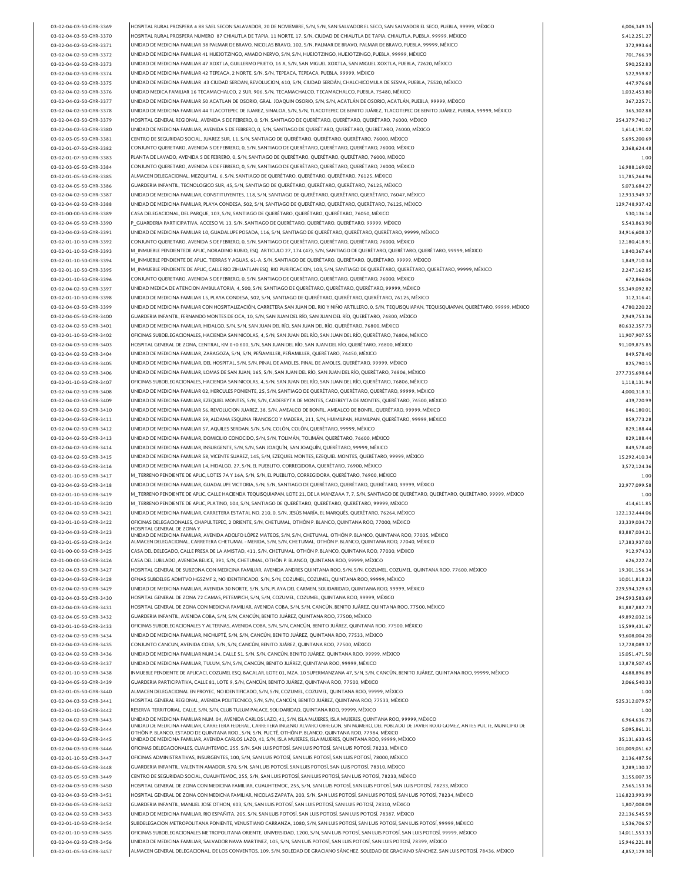| 03-02-04-03-50-GYR-3369 | HOSPITAL RURAL PROSPERA # 88 SAEL SECON SALAVADOR, 20 DE NOVIEMBRE, S/N, S/N, SAN SALVADOR EL SECO, SAN SALVADOR EL SECO, PUEBLA, 99999, MÈXICO              | 6,006,349.35     |
|-------------------------|--------------------------------------------------------------------------------------------------------------------------------------------------------------|------------------|
|                         | HOSPITAL RURAL PROSPERA NUMERO 87 CHIAUTLA DE TAPIA, 11 NORTE, 17, S/N, CIUDAD DE CHIAUTLA DE TAPIA, CHIAUTLA, PUEBLA, 99999, MÉXICO                         |                  |
| 03-02-04-03-50-GYR-3370 |                                                                                                                                                              | 5,412,251.27     |
| 03-02-04-02-50-GYR-3371 | UNIDAD DE MEDICINA FAMILIAR 38 PALMAR DE BRAVO, NICOLAS BRAVO, 102, S/N, PALMAR DE BRAVO, PALMAR DE BRAVO, PUEBLA, 99999, MÉXICO                             | 372,993.64       |
| 03-02-04-02-50-GYR-3372 | UNIDAD DE MEDICINA FAMILIAR 41 HUEJOTZINGO, AMADO NERVO, S/N, S/N, HUEJOTZINGO, HUEJOTZINGO, PUEBLA, 99999, MÉXICO                                           | 701,766.39       |
| 03-02-04-02-50-GYR-3373 | UNIDAD DE MEDICINA FAMILIAR 47 XOXTLA, GUILLERMO PRIETO, 16 A, S/N, SAN MIGUEL XOXTLA, SAN MIGUEL XOXTLA, PUEBLA, 72620, MÉXICO                              | 590.252.83       |
|                         |                                                                                                                                                              |                  |
| 03-02-04-02-50-GYR-3374 | UNIDAD DE MEDICINA FAMILIAR 42 TEPEACA, 2 NORTE, S/N, S/N, TEPEACA, TEPEACA, PUEBLA, 99999, MÉXICO                                                           | 522,959.87       |
| 03-02-04-02-50-GYR-3375 | UNIDAD DE MEDICINA FAMILIAR 43 CIUDAD SERDAN, REVOLUCION, 610, S/N, CIUDAD SERDÁN, CHALCHICOMULA DE SESMA, PUEBLA, 75520, MÉXICO                             | 447.976.68       |
| 03-02-04-02-50-GYR-3376 | UNIDAD MEDICA FAMILIAR 16 TECAMACHALCO, 2 SUR, 906, S/N, TECAMACHALCO, TECAMACHALCO, PUEBLA, 75480, MÉXICO                                                   | 1,032,453.80     |
| 03-02-04-02-50-GYR-3377 | UNIDAD DE MEDICINA FAMILIAR 50 ACATLAN DE OSORIO, GRAL. JOAQUIN OSORIO, S/N, S/N, ACATLÁN DE OSORIO, ACATLÁN, PUEBLA, 99999, MÉXICO                          | 367,225.71       |
|                         |                                                                                                                                                              |                  |
| 03-02-04-02-50-GYR-3378 | UNIDAD DE MEDICINA FAMILIAR 44 TLACOTEPEC DE JUAREZ, SINALOA, S/N, S/N, TLACOTEPEC DE BENITO JUÁREZ, TLACOTEPEC DE BENITO JUÁREZ, PUEBLA, 99999, MÉXICO      | 365,302.88       |
| 03-02-04-03-50-GYR-3379 | HOSPITAL GENERAL REGIONAL, AVENIDA 5 DE FEBRERO, 0, S/N, SANTIAGO DE QUERÉTARO, QUERÉTARO, QUERÉTARO, 76000, MÉXICO                                          | 254,379,740.17   |
| 03-02-04-02-50-GYR-3380 | UNIDAD DE MEDICINA FAMILIAR, AVENIDA 5 DE FEBRERO, 0, S/N, SANTIAGO DE QUERÉTARO, QUERÉTARO, QUERÉTARO, 76000, MÉXICO                                        | 1,614,191.02     |
|                         | CENTRO DE SEGURIDAD SOCIAL, JUAREZ SUR, 11, S/N, SANTIAGO DE QUERÉTARO, QUERÉTARO, QUERÉTARO, 76000, MÉXICO                                                  |                  |
| 03-02-03-05-50-GYR-3381 |                                                                                                                                                              | 5,695,200.69     |
| 03-02-01-07-50-GYR-3382 | CONJUNTO QUERETARO, AVENIDA 5 DE FEBRERO, 0, S/N, SANTIAGO DE QUERÉTARO, QUERÉTARO, QUERÉTARO, 76000, MÉXICO                                                 | 2,368,624.48     |
| 03-02-01-07-50-GYR-3383 | PLANTA DE LAVADO, AVENIDA 5 DE FEBRERO, 0, S/N, SANTIAGO DE QUERÉTARO, QUERÉTARO, QUERÉTARO, 76000, MÉXICO                                                   | 1.00             |
| 03-02-03-05-50-GYR-3384 | CONJUNTO QUERETARO, AVENIDA 5 DE FEBRERO, 0, S/N, SANTIAGO DE QUERÉTARO, QUERÉTARO, QUERÉTARO, 76000, MÉXICO                                                 | 16,988,169.02    |
|                         | ALMACEN DELEGACIONAL. MEZOUITAL. 6. S/N. SANTIAGO DE OUERÉTARO. OUERÉTARO. OUERÉTARO. 76125. MÉXICO                                                          |                  |
| 03-02-01-05-50-GYR-3385 |                                                                                                                                                              | 11,785,264.96    |
| 03-02-04-05-50-GYR-3386 | GUARDERIA INFANTIL, TECNOLOGICO SUR, 45, S/N, SANTIAGO DE QUERÉTARO, QUERÉTARO, QUERÉTARO, 76125, MÉXICO                                                     | 5,073,684.27     |
| 03-02-04-02-50-GYR-3387 | UNIDAD DE MEDICINA FAMILIAR, CONSTITUYENTES, 118, S/N, SANTIAGO DE QUERÉTARO, QUERÉTARO, QUERÉTARO, 76047, MÉXICO                                            | 12,933,949.37    |
| 03-02-04-02-50-GYR-3388 | UNIDAD DE MEDICINA FAMILIAR, PLAYA CONDESA, 502, S/N, SANTIAGO DE QUERÉTARO, QUERÉTARO, QUERÉTARO, 76125, MÉXICO                                             | 129,748,937.42   |
|                         |                                                                                                                                                              |                  |
| 02-01-00-00-50-GYR-3389 | CASA DELEGACIONAL, DEL PARQUE, 103, S/N, SANTIAGO DE QUERÉTARO, QUERÉTARO, QUERÉTARO, 76050, MÉXICO                                                          | 530,136.14       |
| 03-02-04-05-50-GYR-3390 | P GUARDERIA PARTICIPATIVA, ACCESO VI, 13, S/N, SANTIAGO DE QUERÉTARO, QUERÉTARO, QUERÉTARO, 99999, MÉXICO                                                    | 5,543,863.90     |
| 03-02-04-02-50-GYR-3391 | UNIDAD DE MEDICINA FAMILIAR 10, GUADALUPE POSADA, 116, S/N, SANTIAGO DE QUERÉTARO, QUERÉTARO, QUERÉTARO, 99999, MÉXICO                                       | 34,916,608.37    |
| 03-02-01-10-50-GYR-3392 | CONJUNTO QUERETARO, AVENIDA 5 DE FEBRERO, 0, S/N, SANTIAGO DE QUERÉTARO, QUERÉTARO, QUERÉTARO, 76000, MÉXICO                                                 | 12,180,418.91    |
|                         |                                                                                                                                                              |                  |
| 03-02-01-10-50-GYR-3393 | M_INMUEBLE PENDIENTEDE APLIC, NORADINO RUBIO, ESQ. ARTICULO 27, 174 (47), S/N, SANTIAGO DE QUERÉTARO, QUERÉTARO, QUERÉTARO, 99999, MÉXICO                    | 1,840,367.64     |
| 03-02-01-10-50-GYR-3394 | M_INMUEBLE PENDIENTE DE APLIC, TIERRAS Y AGUAS, 61-A, S/N, SANTIAGO DE QUERÉTARO, QUERÉTARO, QUERÉTARO, 99999, MÉXICO                                        | 1,849,710.34     |
| 03-02-01-10-50-GYR-3395 | M INMUEBLE PENDIENTE DE APLIC, CALLE RIO ZIHUATLAN ESO. RIO PURIFICACION, 103, S/N, SANTIAGO DE QUERÉTARO, QUERÉTARO, QUERÉTARO, 99999, MÉXICO               | 2.247.162.85     |
| 03-02-01-10-50-GYR-3396 | CONJUNTO QUERETARO, AVENIDA 5 DE FEBRERO, 0, S/N, SANTIAGO DE QUERÉTARO, QUERÉTARO, QUERÉTARO, 76000, MÉXICO                                                 | 672,866.06       |
|                         |                                                                                                                                                              |                  |
| 03-02-04-02-50-GYR-3397 | UNIDAD MEDICA DE ATENCION AMBULATORIA, 4, 500, S/N, SANTIAGO DE QUERÉTARO, QUERÉTARO, QUERÉTARO, 99999, MÉXICO                                               | 55,349,092.82    |
| 03-02-01-10-50-GYR-3398 | UNIDAD DE MEDICINA FAMILIAR 15, PLAYA CONDESA, 502, S/N, SANTIAGO DE QUERÉTARO, QUERÉTARO, QUERÉTARO, 76125, MÉXICO                                          | 312.316.41       |
| 03-02-04-03-50-GYR-3399 | UNIDAD DE MEDICINA FAMILIAR CON HOSPITALIZACIÓN, CARRETERA SAN JUAN DEL RIO Y NIÑO ARTILLERO, 0, S/N, TEQUISQUIAPAN, TEQUISQUIAPAN, QUERÉTARO, 99999, MÉXICO | 4,780,220.22     |
| 03-02-04-05-50-GYR-3400 | GUARDERIA INFANTIL, FERNANDO MONTES DE OCA, 10, S/N, SAN JUAN DEL RÍO, SAN JUAN DEL RÍO, QUERÉTARO, 76800, MÉXICO                                            | 2.949.753.36     |
|                         |                                                                                                                                                              |                  |
| 03-02-04-02-50-GYR-3401 | UNIDAD DE MEDICINA FAMILIAR, HIDALGO, S/N, S/N, SAN JUAN DEL RÍO, SAN JUAN DEL RÍO, QUERÉTARO, 76800, MÉXICO                                                 | 80,632,357.73    |
| 03-02-01-10-50-GYR-3402 | OFICINAS SUBDELEGACIONALES, HACIENDA SAN NICOLAS, 4, S/N, SAN JUAN DEL RÍO, SAN JUAN DEL RÍO, QUERÉTARO, 76806, MÉXICO                                       | 11,907,907.55    |
| 03-02-04-03-50-GYR-3403 | HOSPITAL GENERAL DE ZONA, CENTRAL, KM 0+0.600, S/N, SAN JUAN DEL RÍO, SAN JUAN DEL RÍO, QUERÉTARO, 76800, MÉXICO                                             | 91.109.875.85    |
|                         |                                                                                                                                                              |                  |
| 03-02-04-02-50-GYR-3404 | UNIDAD DE MEDICINA FAMILIAR, ZARAGOZA, S/N, S/N, PEÑAMILLER, PEÑAMILLER, QUERÉTARO, 76450, MÉXICO                                                            | 849,578.40       |
| 03-02-04-02-50-GYR-3405 | UNIDAD DE MEDICINA FAMILIAR, DEL HOSPITAL, S/N, S/N, PINAL DE AMOLES, PINAL DE AMOLES, QUERÉTARO, 99999, MÉXICO                                              | 825,790.15       |
| 03-02-04-02-50-GYR-3406 | UNIDAD DE MEDICINA FAMILIAR, LOMAS DE SAN JUAN, 165, S/N, SAN JUAN DEL RÍO, SAN JUAN DEL RÍO, QUERÉTARO, 76806, MÉXICO                                       | 277,735,698.64   |
| 03-02-01-10-50-GYR-3407 | OFICINAS SUBDELEGACIONALES, HACIENDA SAN NICOLAS, 4, S/N, SAN JUAN DEL RÍO, SAN JUAN DEL RÍO, QUERÉTARO, 76806, MÉXICO                                       | 1,118,131.94     |
|                         |                                                                                                                                                              |                  |
| 03-02-04-02-50-GYR-3408 | UNIDAD DE MEDICINA FAMILIAR 02, HERCULES PONIENTE, 25, S/N, SANTIAGO DE QUERÉTARO, QUERÉTARO, QUERÉTARO, 99999, MÉXICO                                       | 4,000,318.31     |
| 03-02-04-02-50-GYR-3409 | UNIDAD DE MEDICINA FAMILIAR, EZEQUIEL MONTES, S/N, S/N, CADEREYTA DE MONTES, CADEREYTA DE MONTES, QUERÉTARO, 76500, MÉXICO                                   | 439,720.99       |
| 03-02-04-02-50-GYR-3410 | UNIDAD DE MEDICINA FAMILIAR 56, REVOLUCION JUAREZ, 38, S/N, AMEALCO DE BONFIL, AMEALCO DE BONFIL, QUERÉTARO, 99999, MÉXICO                                   | 846,180.01       |
|                         |                                                                                                                                                              |                  |
| 03-02-04-02-50-GYR-3411 | UNIDAD DE MEDICINA FAMILIAR 59, ALDAMA ESQUINA FRANCISCO Y MADERA, 211, S/N, HUIMILPAN, HUIMILPAN, QUERÉTARO, 99999, MÉXICO                                  | 859,773.28       |
| 03-02-04-02-50-GYR-3412 | UNIDAD DE MEDICINA FAMILIAR 57, AQUILES SERDAN, S/N, S/N, COLÓN, COLÓN, QUERÉTARO, 99999, MÉXICO                                                             | 829,188.44       |
|                         |                                                                                                                                                              |                  |
| 03-02-04-02-50-GYR-3413 | UNIDAD DE MEDICINA FAMILIAR, DOMICILIO CONOCIDO, S/N, S/N, TOLIMÁN, TOLIMÁN, QUERÉTARO, 76600, MÉXICO                                                        | 829,188.44       |
|                         |                                                                                                                                                              |                  |
| 03-02-04-02-50-GYR-3414 | UNIDAD DE MEDICINA FAMILIAR, INSURGENTE, S/N, S/N, SAN JOAQUÍN, SAN JOAQUÍN, QUERÉTARO, 99999, MÉXICO                                                        | 849,578.40       |
| 03-02-04-02-50-GYR-3415 | UNIDAD DE MEDICINA FAMILIAR 58. VICENTE SUAREZ. 145. S/N. EZEOUIEL MONTES. EZEOUIEL MONTES, OUERÉTARO, 99999, MÉXICO                                         | 15,292,410.34    |
| 03-02-04-02-50-GYR-3416 | UNIDAD DE MEDICINA FAMILIAR 14, HIDALGO, 27, S/N, EL PUEBLITO, CORREGIDORA, QUERÉTARO, 76900, MÉXICO                                                         | 3,572,124.36     |
|                         |                                                                                                                                                              |                  |
| 03-02-01-10-50-GYR-3417 | M_TERRENO PENDIENTE DE APLIC, LOTES 7A Y 16A, S/N, S/N, EL PUEBLITO, CORREGIDORA, QUERÉTARO, 76900, MÉXICO                                                   | 1.00             |
| 03-02-04-02-50-GYR-3418 | UNIDAD DE MEDICINA FAMILIAR, GUADALUPE VICTORIA, S/N, S/N, SANTIAGO DE QUERÉTARO, QUERÉTARO, QUERÉTARO, 99999, MÉXICO                                        | 22,977,099.58    |
| 03-02-01-10-50-GYR-3419 | M_TERRENO PENDIENTE DE APLIC, CALLE HACIENDA TEQUISQUIAPAN, LOTE 21, DE LA MANZAAA 7, 7, S/N, SANTIAGO DE QUERÉTARO, QUERÉTARO, QUERÉTARO, 99999, MÉXICO     | 1.00             |
| 03-02-01-10-50-GYR-3420 | M TERRENO PENDIENTE DE APLIC. PLATINO. 104. S/N. SANTIAGO DE OUERÉTARO. OUERÉTARO. OUERÉTARO. 99999. MÉXICO                                                  | 414,611.85       |
|                         |                                                                                                                                                              |                  |
| 03-02-04-02-50-GYR-3421 | UNIDAD DE MEDICINA FAMILIAR, CARRETERA ESTATAL NO. 210, 0, S/N, JESÚS MARÍA, EL MARQUÉS, QUERÉTARO, 76264, MÉXICO                                            | 122,132,444.06   |
| 03-02-01-10-50-GYR-3422 | OFICINAS DELEGACIONALES, CHAPULTEPEC, 2 ORIENTE, S/N, CHETUMAL, OTHÓN P. BLANCO, QUINTANA ROO, 77000, MÉXICO                                                 | 23,339,034.72    |
| 03-02-04-03-50-GYR-3423 | HOSPITAL GENERAL DE ZONA Y                                                                                                                                   | 83,887,034.21    |
|                         | UNIDAD DE MEDICINA FAMILIAR, AVENIDA ADOLFO LÓPEZ MATEOS, S/N, S/N, CHETUMAL, OTHÓN P. BLANCO, QUINTANA ROO, 77035, MÉXICO                                   |                  |
| 03-02-01-05-50-GYR-3424 | ALMACEN DELEGACIONAL, CARRETERA CHETUMAL - MERIDA, S/N, S/N, CHETUMAL, OTHÓN P. BLANCO, QUINTANA ROO, 77040, MÉXICO                                          | 17,383,937.03    |
| 02-01-00-00-50-GYR-3425 | CASA DEL DELEGADO, CALLE PRESA DE LA AMISTAD, 411, S/N, CHETUMAL, OTHÓN P. BLANCO, QUINTANA ROO, 77030, MÉXICO                                               | 912,974.33       |
| 02-01-00-00-50-GYR-3426 | CASA DEL JUBILADO, AVENIDA BELICE, 391, S/N, CHETUMAL, OTHÓN P. BLANCO, QUINTANA ROO, 99999, MÉXICO                                                          | 626.222.74       |
| 03-02-04-03-50-GYR-3427 | HOSPITAL GENERAL DE SUBZONA CON MEDICINA FAMILIAR, AVENIDA ANDRES QUINTANA ROO, S/N, S/N, COZUMEL, COZUMEL, QUINTANA ROO, 77600, MÉXICO                      | 19,301,156.34    |
|                         |                                                                                                                                                              |                  |
| 03-02-04-03-50-GYR-3428 | OFNAS SUBDELEG ADMTVO HGSZMF 2, NO IDENTIFICADO, S/N, S/N, COZUMEL, COZUMEL, QUINTANA ROO, 99999, MÉXICO                                                     | 10,011,818.23    |
| 03-02-04-02-50-GYR-3429 | UNIDAD DE MEDICINA FAMILIAR, AVENIDA 30 NORTE, S/N, S/N, PLAYA DEL CARMEN, SOLIDARIDAD, QUINTANA ROO, 99999, MÉXICO                                          | 229,594,329.63   |
| 03-02-04-03-50-GYR-3430 | HOSPITAL GENERAL DE ZONA 72 CAMAS, PETEMPICH, S/N, S/N, COZUMEL, COZUMEL, QUINTANA ROO, 99999, MÊXICO                                                        | 294,593,583.69   |
| 03-02-04-03-50-GYR-3431 | HOSPITAL GENERAL DE ZONA CON MEDICNA FAMILIAR, AVENIDA COBA, S/N, S/N, CANCÚN, BENITO JUÁREZ, QUINTANA ROO, 77500, MÉXICO                                    | 81,887,882.73    |
| 03-02-04-05-50-GYR-3432 | GUARDERIA INFANTIL, AVENIDA COBA, S/N, S/N, CANCÚN, BENITO JUÁREZ, QUINTANA ROO, 77500, MÉXICO                                                               | 49,892,032.16    |
|                         |                                                                                                                                                              |                  |
| 03-02-01-10-50-GYR-3433 | OFICINAS SUBDELEGACIONALES Y ALTERNAS, AVENIDA COBA, S/N, S/N, CANCÚN, BENITO JUÁREZ, QUINTANA ROO, 77500, MÉXICO                                            | 15,599,431.67    |
| 03-02-04-02-50-GYR-3434 | UNIDAD DE MEDICINA FAMILIAR, NICHUPTÉ, S/N, S/N, CANCÚN, BENITO JUÁREZ, QUINTANA ROO, 77533, MÉXICO                                                          | 93,608,004.20    |
| 03-02-04-02-50-GYR-3435 | CONJUNTO CANCUN, AVENIDA COBA, S/N, S/N, CANCUN, BENITO JUÁREZ, QUINTANA ROO, 77500, MÉXICO                                                                  | 12,728,089.37    |
|                         |                                                                                                                                                              |                  |
| 03-02-04-02-50-GYR-3436 | UNIDAD DE MEDICINA FAMILIAR NUM.14, CALLE 51, S/N, S/N, CANCÚN, BENITO JUÁREZ, QUINTANA ROO, 99999, MÉXICO                                                   | 15,051,471.50    |
| 03-02-04-02-50-GYR-3437 | UNIDAD DE MEDICINA FAMILIAR, TULUM, S/N, S/N, CANCÚN, BENITO JUÁREZ, QUINTANA ROO, 99999, MÉXICO                                                             | 13,878,507.45    |
| 03-02-01-10-50-GYR-3438 | INMUEBLE PENDIENTE DE APLICACI, COZUMEL ESQ. BACALAR, LOTE 01, MZA. 10 SUPERMANZANA 47, S/N, S/N, CANCÚN, BENITO JUÁREZ, QUINTANA ROO, 99999, MÉXICO         | 4,688,896.89     |
| 03-02-04-05-50-GYR-3439 | GUARDERIA PARTICIPATIVA, CALLE 81, LOTE 9, S/N, CANCÚN, BENITO JUÁREZ, QUINTANA ROO, 77500, MÉXICO                                                           | 2,066,540.33     |
|                         |                                                                                                                                                              |                  |
| 03-02-01-05-50-GYR-3440 | ALMACEN DELEGACIONAL EN PROYEC, NO IDENTIFICADO, S/N, S/N, COZUMEL, COZUMEL, QUINTANA ROO, 99999, MÉXICO                                                     | 1.00             |
| 03-02-04-03-50-GYR-3441 | HOSPITAL GENERAL REGIONAL, AVENIDA POLITECNICO, S/N, S/N, CANCÚN, BENITO JUÁREZ, QUINTANA ROO, 77533, MÉXICO                                                 | 525, 312, 079.57 |
| 03-02-01-10-50-GYR-3442 | RESERVA TERRITORIAL, CALLE, S/N, S/N, CLUB TULUM PALACE, SOLIDARIDAD, QUINTANA ROO, 99999, MÉXICO                                                            | 1.00             |
| 03-02-04-02-50-GYR-3443 | UNIDAD DE MEDICINA FAMILIAR NUM. 04, AVENIDA CARLOS LAZO, 41, S/N, ISLA MUJERES, ISLA MUJERES, QUINTANA ROO, 99999, MÊXICO                                   | 6,964,636.73     |
|                         | UNIDAD DE MEDICINA FAMILIAR, CARRETERA FEDERAL, CARRETERA INGENIO ALVARO OBREGON, SIN NUMERO, DEL POBLADO DE JAVIER ROJO GOMEZ, ANTES PUCTE, MUNICIPIO DE    |                  |
| 03-02-04-02-50-GYR-3444 | OTHÓN P. BLANCO, ESTADO DE QUINTANA ROO., S/N, S/N, PUCTÉ, OTHÓN P. BLANCO, QUINTANA ROO, 77984, MÉXICO                                                      | 5,095,861.31     |
| 03-02-04-03-50-GYR-3445 | UNIDAD DE MEDICINA FAMILIAR, AVENIDA CARLOS LAZO, 41, S/N, ISLA MUJERES, ISLA MUJERES, QUINTANA ROO, 99999, MÉXICO                                           | 35,131,633.45    |
| 03-02-04-03-50-GYR-3446 | OFICINAS DELEGACIONALES, CUAUHTEMOC, 255, S/N, SAN LUIS POTOSÍ, SAN LUIS POTOSÍ, SAN LUIS POTOSÍ, 78233, MÉXICO                                              | 101,009,051.62   |
|                         |                                                                                                                                                              |                  |
| 03-02-01-10-50-GYR-3447 | OFICINAS ADMINISTRATIVAS, INSURGENTES, 100, S/N, SAN LUIS POTOSÍ, SAN LUIS POTOSÍ, SAN LUIS POTOSÍ, 78000, MÉXICO                                            | 2,136,487.56     |
| 03-02-04-05-50-GYR-3448 | GUARDERIA INFANTIL, VALENTIN AMADOR, 570, S/N, SAN LUIS POTOSÍ, SAN LUIS POTOSÍ, SAN LUIS POTOSÍ, 78310, MÉXICO                                              | 3,289,130.37     |
| 03-02-03-05-50-GYR-3449 | CENTRO DE SEGURIDAD SOCIAL, CUAUHTEMOC, 255, S/N, SAN LUIS POTOSÍ, SAN LUIS POTOSÍ, SAN LUIS POTOSÍ, 78233, MÉXICO                                           | 3,155,007.35     |
|                         |                                                                                                                                                              |                  |
| 03-02-04-03-50-GYR-3450 | HOSPITAL GENERAL DE ZONA CON MEDICINA FAMILIAR, CUAUHTEMOC, 255, S/N, SAN LUIS POTOSÍ, SAN LUIS POTOSÍ, SAN LUIS POTOSÍ, 78233, MÉXICO                       | 2,565,153.36     |
| 03-02-04-03-50-GYR-3451 | HOSPITAL GENERAL DE ZONA CON MEDICNA FAMILIAR, NICOLAS ZAPATA, 203, S/N, SAN LUIS POTOSÍ, SAN LUIS POTOSÍ, SAN LUIS POTOSÍ, 78234, MÉXICO                    | 116,823,993.99   |
| 03-02-04-05-50-GYR-3452 | GUARDERIA INFANTIL, MANUEL JOSE OTHON, 603, S/N, SAN LUIS POTOSÍ, SAN LUIS POTOSÍ, SAN LUIS POTOSÍ, 78310, MÉXICO                                            | 1,807,008.09     |
| 03-02-04-02-50-GYR-3453 | UNIDAD DE MEDICINA FAMILIAR, RIO ESPAÑITA, 205, S/N, SAN LUIS POTOSÍ, SAN LUIS POTOSÍ, SAN LUIS POTOSÍ, 78387, MÉXICO                                        | 22,136,545.59    |
|                         |                                                                                                                                                              |                  |
| 03-02-01-10-50-GYR-3454 | SUBDELEGACION METROPOLITANA PONIENTE, VENUSTIANO CARRANZA, 1080, S/N, SAN LUIS POTOSÍ, SAN LUIS POTOSÍ, SAN LUIS POTOSÍ, 99999, MÉXICO                       | 1,536,706.57     |
| 03-02-01-10-50-GYR-3455 | OFICINAS SUBDELEGACIONALES METROPOLITANA ORIENTE, UNIVERSIDAD, 1200, S/N, SAN LUIS POTOSÍ, SAN LUIS POTOSÍ, SAN LUIS POTOSÍ, 99999, MÉXICO                   | 14,011,553.33    |
| 03-02-04-02-50-GYR-3456 | UNIDAD DE MEDICINA FAMILIAR, SALVADOR NAVA MARTINEZ, 105, S/N, SAN LUIS POTOSÍ, SAN LUIS POTOSÍ, SAN LUIS POTOSÍ, 78399, MÉXICO                              | 15,946,221.88    |
| 03-02-01-05-50-GYR-3457 | ALMACEN GENERAL DELEGACIONAL, DE LOS CONVENTOS, 109, S/N, SOLEDAD DE GRACIANO SÁNCHEZ, SOLEDAD DE GRACIANO SÁNCHEZ, SAN LUIS POTOSÍ, 78436, MÉXICO           | 4,852,129.30     |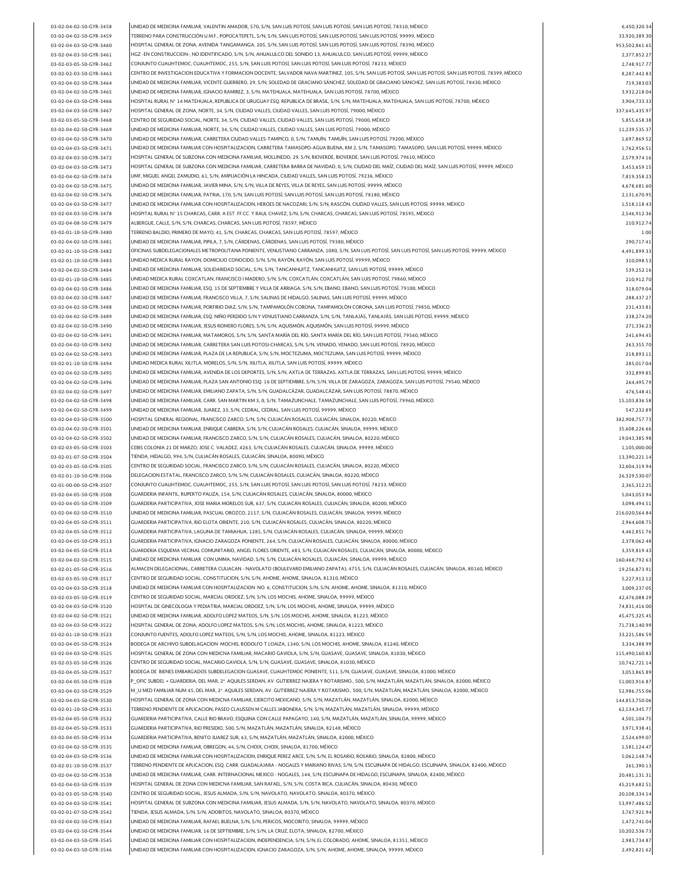03-02-04-02-50-GYR-3458 6,450,320.34 UNIDAD DE MEDICINA FAMILIAR, VALENTIN AMADOR, 570, S/N, SAN LUIS POTOSÍ, SAN LUIS POTOSÍ, SAN LUIS POTOSÍ, 78310, MÉXICO 03-02-04-02-50-GYR-3459 TERRENO PARA CONSTRUCCIÓN U.M.F., POPOCATEPETL, S/N, S/N, SAN LUIS POTOSÍ, SAN LUIS POTOSÍ, SAN LUIS POTOSÍ, 99999, MÉXICO NARA CONSTRUCCIÓN U.M.F., POPOCATEPETL, S/N, S/N, SAN LUIS POTOSÍ, SAN LUIS 03-02-04-03-50-GYR-3460 HOSPITAL GENERAL DE ZONA, AVENIDA TANGAMANGA, 205, S/N, SAN LUIS POTOSÍ, SAN LUIS POTOSÍ, SAN LUIS POTOSÍ, 78390, MÉXICO 953,502,661.65 (1953,502,861.65 %), 953,502,861.65 (1958), 978 (1958), 978 (1 03-02-04-03-50-GYR-3461 2,377,852.27 HGZ -EN CONSTRUCCION-, NO IDENTIFICADO, S/N, S/N, AHUALULCO DEL SONIDO 13, AHUALULCO, SAN LUIS POTOSÍ, 99999, MÉXICO 03-02-03-05-50-GYR-3462 2,748,917.77 CONJUNTO CUAUHTEMOC, CUAUHTEMOC, 255, S/N, SAN LUIS POTOSÍ, SAN LUIS POTOSÍ, SAN LUIS POTOSÍ, 78233, MÉXICO 03-02-02-03-50-GYR-3463 CENTRO DE INVESTIGACION EDUCATIVA Y FORMACION DOCENTE, SALVADOR NAVA MARTINEZ, 105, S/N, SAN LUIS POTOSÍ, SAN LUIS POTOSÍ, SAN LUIS POTOSÍ, 78399, MEXICO | 8,287,442.83 03-02-04-02-50-GYR-3464 UNIDAD DE MEDICINA FAMILIAR, VICENTE GUERRERO, 29, S/N, SOLEDAD DE GRACIANO SANCHEZ, SOLEDAD DE GRACIANO SANCHEZ, SAN LUIS POTOSI, 78430, MEXICO NAMILIAR, NO ANIS POTOSI, 78430, MÉXICO NAMILIAR, 201 03-02-04-02-50-GYR-3465 3,932,218.04 UNIDAD DE MEDICINA FAMILIAR, IGNACIO RAMIREZ, 3, S/N, MATEHUALA, MATEHUALA, SAN LUIS POTOSÍ, 78700, MÉXICO 03-02-04-03-50-GYR-3466 HOSPITAL RURAL N° 14 MATEHUALA, REPUBLICA DE URUGUAY ESQ. REPUBLICA DE BRASIL, S/N, S/N, MATEHUALA, MATEHUALA, SAN LUIS POTOSI, 78700, MEXICO \$ [10] 1,904,733.33 03-02-04-03-50-GYR-3467 337,645,435.97 HOSPITAL GENERAL DE ZONA, NORTE, 34, S/N, CIUDAD VALLES, CIUDAD VALLES, SAN LUIS POTOSÍ, 79000, MÉXICO 03-02-03-05-50-GYR-3468 CENTRO DE SEGURIDAD SOCIAL, NORTE, 34, S/N, CIUDAD VALLES, CIUDAD VALLES, SAN LUIS POTOSI, 79000, MEXICO 66-8.38 COM SAN LUIS POTOSI, 2000, MEXICO 5,855,658.38 CENTRO DE SEGURIDAD SOCIAL, NORTE, 34, 03-02-04-02-50-GYR-3469 | UNIDAD DE MEDICINA FAMILIAR, NORTE, 34, S/N, CIUDAD VALLES, CIUDAD VALLES, SAN LUIS POTOSÍ, 79000, MEXICO | 11,239,000 | 11,239,535.37 | 11,239,535.37 | 11,239,535.37 03-02-04-02-50-GYR-3470 UNIDAD DE MEDICINA FAMILIAR, CARRETERA CIUDAD VALLES-TAMPICO, 0, S/N, TAMUIN, TAMUIN, SAN LUIS POTOSI, 79200, MEXICO UNIDAD SAN ELIS POTOSI, 79200, MEXICO UNIDAD SAN ELIS POTOSI, 79200, MEXICO UNIDA 03-02-04-03-50-GYR-3471 | UNIDAD DE MEDICINA FAMILIAR CON HOSPITALIZACION, CARRETERA TAMASOPO-AGUA BUENA, KM 2, S/N, TAMASOPO, TAMASOPO, SAN LUIS POTOSI, 99999, MEXICO | UNIDAD DE MEDICINA FAMILIAR CON HOSPITALIZACION, CAR 03-02-04-03-50-GYR-3472 2,579,974.16 HOSPITAL GENERAL DE SUBZONA CON MEDICINA FAMILIAR, MOLLINEDO, 29, S/N, RIOVERDE, RIOVERDE, SAN LUIS POTOSÍ, 79610, MÉXICO 03-02-04-03-50-GYR-3473 HOSPITAL GENERAL DE SUBZONA CON MEDICINA FAMILIAR, CARRETERA BARRA DE NAVIDAD, 0, S/N, CIUDAD DEL MAÍZ, CIUDAD DEL MAÍZ, SAN LUIS POTOSÍ, 99999, MEXICO 3,453,659.15 03-02-04-02-50-GYR-3474 LUMF, MIGUEL ANGEL ZAMUDIO, 61, S/N, AMPLIACIÓN LA HINCADA, CIUDAD VALLES, SAN LUIS POTOSI, 79236, MEXICO AND A SAN ANGEL ANGEL ANGEL ZAMUDIO, 61, S/N, AMPLIACIÓN LA HINCADA, CIUDAD VALLES, SAN LUIS 03-02-04-02-50-GYR-3475 4,678,681.60 UNIDAD DE MEDICINA FAMILIAR, JAVIER MINA, S/N, S/N, VILLA DE REYES, VILLA DE REYES, SAN LUIS POTOSÍ, 99999, MÉXICO 03-02-04-02-50-GYR-3476 UNIDAD DE MEDICINA FAMILIAR, PATRIA, 170, S/N, SAN LUIS POTOSÍ, SAN LUIS POTOSÍ, SAN LUIS POTOSÍ, 78180, MÉXICO ANDEXICO AND ANN 2,131,670.95 2,131,670.95 2,131,670.95 03-02-04-03-50-GYR-3477 UNIDAD DE MEDICINA FAMILIAR CON HOSPITALIZACION, HEROES DE NACOZARI, S/N, S/N, RASCON, CIUDAD VALLES, SAN LUIS POTOSI, 99999, MEXICO 1,518,118.43 03-02-04-03-50-GYR-3478 HOSPITAL RURAL N° 15 CHARCAS, CARR. A EST. FF.CC. Y RAUL CHAVEZ, S/N, S/N, CHARCAS, CARRCAS, SAN LUIS POTOSI, 78595, MEXICO 2,546,912.36 (2,546,912.36 PERCOL) 2,546,912.36 03-02-04-08-50-GYR-3479 210,912.74 ALBERGUE, CALLE, S/N, S/N, CHARCAS, CHARCAS, SAN LUIS POTOSÍ, 78597, MÉXICO 03-02-01-10-50-GYR-3480 1.00 TERRENO BALDIO, PRIMERO DE MAYO, 41, S/N, CHARCAS, CHARCAS, SAN LUIS POTOSÍ, 78597, MÉXICO 03-02-04-02-50-GYR-3481 UNIDAD DE MEDICINA FAMILIAR, PIPILA, 7, S/N, CARDENAS, CARDENAS, SAN LUIS POTOSI, 79380, MÉXICO NARREAS AN EUROPEAN SAN LUIS POTOSI, 79380, MÉXICO NARREAS AN EUROPEAN SAN LUIS POTOSI, 79380, MÉXICO 03-02-01-10-50-GYR-3482 4,491,899.33 OFICINAS SUBDELEGACIONALES METROPOLITANA PONIENTE, VENUSTIANO CARRANZA, 1080, S/N, SAN LUIS POTOSÍ, SAN LUIS POTOSÍ, SAN LUIS POTOSÍ, 99999, MÉXICO 03-02-01-10-50-GYR-3483 310,098.53 UNIDAD MEDICA RURAL RAYON, DOMICILIO CONOCIDO, S/N, S/N, RAYÓN, RAYÓN, SAN LUIS POTOSÍ, 99999, MÉXICO 03-02-04-02-50-GYR-3484 539,252.16 UNIDAD DE MEDICINA FAMILIAR, SOLIDARIDAD SOCIAL, S/N, S/N, TANCANHUITZ, TANCANHUITZ, SAN LUIS POTOSÍ, 99999, MÉXICO 03-02-01-10-50-GYR-3485 210,912.70 UNIDAD MEDICA RURAL COXCATLAN, FRANCISCO I MADERO, S/N, S/N, COXCATLÁN, COXCATLÁN, SAN LUIS POTOSÍ, 79860, MÉXICO 03-02-04-02-50-GYR-3486 318,079.04 UNIDAD DE MEDICINA FAMILIAR, ESQ. 15 DE SEPTIEMBRE Y VILLA DE ARRIAGA, S/N, S/N, EBANO, EBANO, SAN LUIS POTOSÍ, 79100, MÉXICO 03-02-04-02-50-GYR-3487 288,437.27 UNIDAD DE MEDICINA FAMILIAR, FRANCISCO VILLA, 7, S/N, SALINAS DE HIDALGO, SALINAS, SAN LUIS POTOSÍ, 99999, MÉXICO 03-02-04-02-50-GYR-3488 231,433.81 UNIDAD DE MEDICINA FAMILIAR, PORFIRIO DIAZ, S/N, S/N, TAMPAMOLÓN CORONA, TAMPAMOLÓN CORONA, SAN LUIS POTOSÍ, 79850, MÉXICO 03-02-04-02-50-GYR-3489 238,274.20 UNIDAD DE MEDICINA FAMILIAR, ESQ. NIÑO PERDIDO S/N Y VENUSTIANO CARRANZA, S/N, S/N, TANLAJÁS, TANLAJÁS, SAN LUIS POTOSÍ, 99999, MÉXICO 03-02-04-02-50-GYR-3490 UNIDAD DE MEDICINA FAMILIAR, JESUS ROMERO FLORES, S/N, S/N, AQUISMON, AQUISMON, SAN LUIS POTOSÍ, 99999, MEXICO ANDEREDO DE ANO 1999 (1,336.23 AND 1999), MEXICO ANDEREDO DE ANO 19999, MEXICO AND 1999 03-02-04-02-50-GYR-3491 UNIDAD DE MEDICINA FAMILIAR, MATAMOROS, S/N, S/N, SANTA MARÍA DEL RÍO, SANTA MARÍA DEL RÍO, SAN LUIS POTOSÍ, 79560, MÉXICO CHARGA EL SOLOGO COMA A 1996 (1996). 241,694.45 03-02-04-02-50-GYR-3492 [UNIDAD DE MEDICINA FAMILIAR, CARRETERA SAN LUIS POTOSI-CHARCAS, S/N, S/N, VENADO, VENADO, SAN LUIS POTOSI, 78920, MEXICO [10] 263,355.70 [10] 263,355.70 ] [10] 263,355.70 ] [10] 263,355.70 ] [10] 2 03-02-04-02-50-GYR-3493 218,893.11 UNIDAD DE MEDICINA FAMILIAR, PLAZA DE LA REPUBLICA, S/N, S/N, MOCTEZUMA, MOCTEZUMA, SAN LUIS POTOSÍ, 99999, MÉXICO 03-02-01-10-50-GYR-3494 285,017.04 UNIDAD MEDICA RURAL XILITLA, MORELOS, S/N, S/N, XILITLA, XILITLA, SAN LUIS POTOSÍ, 99999, MÉXICO 03-02-04-02-50-GYR-3495 UNIDAD DE MEDICINA FAMILIAR, AVENIDA DE LOS DEPORTES, S/N, S/N, AXTLA DE TERRAZAS, AXTLA DE TERRAZAS, SAN LUIS POTOSI, 99999, MEXICO 332,899.85 03-02-04-02-50-GYR-3496 264,495.79 UNIDAD DE MEDICINA FAMILIAR, PLAZA SAN ANTONIO ESQ. 16 DE SEPTIEMBRE, S/N, S/N, VILLA DE ZARAGOZA, ZARAGOZA, SAN LUIS POTOSÍ, 79540, MÉXICO 03-02-04-02-50-GYR-3497 476,548.41 UNIDAD DE MEDICINA FAMILIAR, EMILIANO ZAPATA, S/N, S/N, GUADALCÁZAR, GUADALCÁZAR, SAN LUIS POTOSÍ, 78870, MÉXICO 03-02-04-02-50-GYR-3498 15,103,836.58 UNIDAD DE MEDICINA FAMILIAR, CARR. SAN MARTIN KM 3, 0, S/N, TAMAZUNCHALE, TAMAZUNCHALE, SAN LUIS POTOSÍ, 79960, MÉXICO 03-02-04-02-50-GYR-3499 [UNIDAD DE MEDICINA FAMILIAR, JUAREZ, 33, S/N, CEDRAL, CEDRAL, SAN LUIS POTOSI, 99999, MEXICO **chan anno 1999 anno 1999 anno 1999 anno 1999** anno 1999 anno 1999 anno 1999 anno 1999 anno 1999 anno 19 03-02-04-03-50-GYR-3500 382,908,757.73 HOSPITAL GENERAL REGIONAL, FRANCISCO ZARCO, S/N, S/N, CULIACÁN ROSALES, CULIACÁN, SINALOA, 80220, MÉXICO 03-02-04-02-50-GYR-3501 35,608,226.66 UNIDAD DE MEDICINA FAMILIAR, ENRIQUE CABRERA, S/N, S/N, CULIACÁN ROSALES, CULIACÁN, SINALOA, 99999, MÉXICO 03-02-04-02-50-GYR-3502 19,043,385.98 UNIDAD DE MEDICINA FAMILIAR, FRANCISCO ZARCO, S/N, S/N, CULIACÁN ROSALES, CULIACÁN, SINALOA, 80220, MÉXICO 03-02-03-05-50-GYR-3503 1,105,000.00 CEBIS COLONIA 21 DE MARZO, JOSE C. VALADEZ, 4263, S/N, CULIACÁN ROSALES, CULIACÁN, SINALOA, 99999, MÉXICO 03-02-01-07-50-GYR-3504 13,390,221.14 TIENDA, HIDALGO, 994, S/N, CULIACÁN ROSALES, CULIACÁN, SINALOA, 80090, MÉXICO 03-02-03-05-50-GYR-3505 32,604,319.94 CENTRO DE SEGURIDAD SOCIAL, FRANCISCO ZARCO, S/N, S/N, CULIACÁN ROSALES, CULIACÁN, SINALOA, 80220, MÉXICO 03-02-01-10-50-GYR-3506 26,329,530.07 DELEGACION ESTATAL, FRANCISCO ZARCO, S/N, S/N, CULIACÁN ROSALES, CULIACÁN, SINALOA, 80220, MÉXICO 02-01-00-00-50-GYR-3507 2,365,312.25 CONJUNTO CUAUHTEMOC, CUAUHTEMOC, 255, S/N, SAN LUIS POTOSÍ, SAN LUIS POTOSÍ, SAN LUIS POTOSÍ, 78233, MÉXICO 03-02-04-05-50-GYR-3508 5,043,053.94 GUARDERIA INFANTIL, RUPERTO PALIZA, 154, S/N, CULIACÁN ROSALES, CULIACÁN, SINALOA, 80000, MÉXICO 03-02-04-05-50-GYR-3509 GUARDERIA PARTICIPATIVA, JOSE MARIA MORELOS SUR, 637, S/N, CULIACAN ROSALES, CULIACAN, SINALOA, 80200, MEXICO ANNICO ANNO 1999 (1998,494.51 S.,098,494.51 S.,098,494.51 S.,098,494.51 S.,098,494.51 S. 03-02-04-02-50-GYR-3510 216,020,564.84 UNIDAD DE MEDICINA FAMILIAR, PASCUAL OROZCO, 2117, S/N, CULIACÁN ROSALES, CULIACÁN, SINALOA, 99999, MÉXICO 03-02-04-05-50-GYR-3511 | GUARDERIA PARTICIPATIVA, RIO ELOTA ORIENTE, 210, S/N, CULIACAN ROSALES, CULIACAN, SINALOA, 80220, MEXICO | 2,964-008.75 | 2,964,608.75 | 2,964,608.75 | 2,964,608.75 03-02-04-05-50-GYR-3512 | GUARDERIA PARTICIPATIVA, LAGUNA DE TAMIAHUA, 1285, S/N, CULIACAN ROSALES, CULIACAN, SINALOA, 99999, MEXICO | 1285, S/N, 2006, 2010 | 4,462,851.76 | 4,462,851.76 03-02-04-05-50-GYR-3513 2,378,062.48 GUARDERIA PARTICIPATIVA, IGNACIO ZARAGOZA PONIENTE, 264, S/N, CULIACÁN ROSALES, CULIACÁN, SINALOA, 80000, MÉXICO 03-02-04-05-50-GYR-3514 GUARDERIA ESQUEMA VECINAL COMUNITARIO, ANGEL FLORES ORIENTE, 483, S/N, CULIACAN ROSALES, CULIACAN, SINALOA, 80000, MEXICO 3,359,819.43 03-02-04-02-50-GYR-3515 160,468,792.63 UNIDAD DE MEDICINA FAMILIAR CON UMMA, NAVIDAD, S/N, S/N, CULIACÁN ROSALES, CULIACÁN, SINALOA, 99999, MÉXICO 03-02-01-05-50-GYR-3516 19,256,873.91 ALMACEN DELEGACIONAL, CARRETERA CULIACAN - NAVOLATO (BOULEVARD EMILIANO ZAPATA), 4755, S/N, CULIACÁN ROSALES, CULIACÁN, SINALOA, 80160, MÉXICO 03-02-03-05-50-GYR-3517 CENTRO DE SEGURIDAD SOCIAL, CONSTITUCION, S/N, S/N, AHOME, AHOME, SINALOA, 81310, MEXICO CHANNE SAN ARREST AND A SERVER AND SAN ARREST AND SAN A SAN A SAN ANOTHER SAN A SAN A SAN A SAN A SAN A SAN A 03-02-04-03-50-GYR-3518 3,009,237.05 UNIDAD DE MEDICINA FAMILIAR CON HOSPITALIZACION NO. 6, CONSTITUCION, S/N, S/N, AHOME, AHOME, SINALOA, 81310, MÉXICO 03-02-03-05-50-GYR-3519 42,476,088.29 CENTRO DE SEGURIDAD SOCIAL, MARCIAL ORDOEZ, S/N, S/N, LOS MOCHIS, AHOME, SINALOA, 99999, MÉXICO 03-02-04-03-50-GYR-3520 74,831,416.00 HOSPITAL DE GINECOLOGIA Y PEDIATRIA, MARCIAL ORDOEZ, S/N, S/N, LOS MOCHIS, AHOME, SINALOA, 99999, MÉXICO 03-02-04-02-50-GYR-3521 UNIDAD DE MEDICINA FAMILIAR, ADOLFO LOPEZ MATEOS, S/N, S/N, LOS MOCHIS, AHOME, SINALOA, 81223, MEXICO ANDEREDUCINAL ALGUNIA ALGUNIA ALGUNIA AND A SATS,325.45 AND A SATS,325.45 AND A SATS,325.45 AND 03-02-04-03-50-GYR-3522 71,738,140.99 HOSPITAL GENERAL DE ZONA, ADOLFO LOPEZ MATEOS, S/N, S/N, LOS MOCHIS, AHOME, SINALOA, 81223, MÉXICO 03-02-01-10-50-GYR-3523 33,221,586.59 CONJUNTO FUENTES, ADOLFO LOPEZ MATEOS, S/N, S/N, LOS MOCHIS, AHOME, SINALOA, 81223, MÉXICO 03-02-04-05-50-GYR-3524 BODEGA DE ARCHIVO SUBDELAGACION MOCHIS, RODOLFO T LOAIZA, 1340, S/N, LOS MOCHIS, AHOME, SINALOA, 81240, MEXICO \$ \$ \$ \$ \$ \$ \$ \$ \$ \$ \$ \$ \$ \$ \$ \$ \$ \$ 3,334,388.99 \$ \$ \$ 3,334,388.99 03-02-04-03-50-GYR-3525 HOSPITAL GENERAL DE ZONA CON MEDICNA FAMILIAR, MACARIO GAVIOLA, S/N, S/N, GUASAVE, GUASAVE, SINALOA, 81030, MEXICO ANNO 1999 HOSPITAL O SASAVE, SINALOA, 81030, MEXICO ANNO 1999 HOSPITAL O SASAVE ANN 03-02-03-05-50-GYR-3526 CENTRO DE SEGURIDAD SOCIAL, MACARIO GAVIOLA, S/N, GUASAVE, GUASAVE, SINALOA, 81030, MEXICO ANNOLOGO ANNOLOGO ANNOLOGO ANNOLOGO ANNOLOGO ANNOLOGO ANNOLOGO ANNO 10,742,721.14 03-02-04-05-50-GYR-3527 3,053,865.89 BODEGA DE BIENES EMBARGADOS SUBDELEGACION GUASAVE, CUAUHTEMOC PONIENTE, 511, S/N, GUASAVE, GUASAVE, SINALOA, 81000, MÉXICO 03-02-04-05-50-GYR-3528 P\_OFIC SUBDEL + GUARDERIA, DEL MAR, 2º. AQUILES SERDAN, AV. GUTIERREZ NAJERA Y ROTARISMO., 500, S/N, MAZATLAN, MAZATLAN, SINALOA, 82000, MEXICO \$ \$1,003,916.87 51,003,916.87 03-02-04-02-50-GYR-3529 M\_U MED FAMILIAR NUM 45, DEL MAR, 2º. AQUILES SERDAN, AV. GUTIERREZ NAJERA Y ROTARISMO., 500, S/N, MAZATLAN, MAZATLAN, SINALOA, 82000, MEXICO 52,986,755.06 52,986,755.06 03-02-04-03-50-GYR-3530 144,853,750.06 HOSPITAL GENERAL DE ZONA CON MEDICNA FAMILIAR, EJERCITO MEXICANO, S/N, S/N, MAZATLÁN, MAZATLÁN, SINALOA, 82000, MÉXICO 03-02-01-10-50-GYR-3531 TERRENO PENDIENTE DE APLICACION, PASEO CLAUSSEN M CALLES JABONERA, S/N, S/N, MAZATLAN, MAZATLAN, SINALOA, 99999, MEXICO 62,134,345.77 03-02-04-05-50-GYR-3532 4,501,104.75 GUARDERIA PARTICIPATIVA, CALLE RIO BRAVO, ESQUINA CON CALLE PAPAGAYO, 140, S/N, MAZATLÁN, MAZATLÁN, SINALOA, 99999, MÉXICO 03-02-04-05-50-GYR-3533 3,971,938.41 GUARDERIA PARTICIPATIVA, RIO PRESIDIO, 500, S/N, MAZATLÁN, MAZATLÁN, SINALOA, 82148, MÉXICO 03-02-04-05-50-GYR-3534 | GUARDERIA PARTICIPATIVA, BENITO JUAREZ SUR, 63, S/N, MAZATLAN, MAZATLAN, SINALOA, 82000, MEXICO | 2,524,699.07 | 2,524,699.07 | 2,524,699.07 | 2,524,699.07 | 2,524,699.07 | 2,524,699.07 | 2,524,69 03-02-04-02-50-GYR-3535 1,581,124.47 UNIDAD DE MEDICINA FAMILIAR, OBREGON, 44, S/N, CHOIX, CHOIX, SINALOA, 81700, MÉXICO 03-02-04-03-50-GYR-3536 5,062,148.74 UNIDAD DE MEDICINA FAMILIAR CON HOSPITALIZACION, ENRIQUE PEREZ ARCE, S/N, S/N, EL ROSARIO, ROSARIO, SINALOA, 82800, MÉXICO 03-02-01-10-50-GYR-3537 261,390.13 TERRENO PENDIENTE DE APLICACION, ESQ. CARR. GUADALAJARA - NOGALES Y MARIANO RIVAS, S/N, S/N, ESCUINAPA DE HIDALGO, ESCUINAPA, SINALOA, 82400, MÉXICO 03-02-04-02-50-GYR-3538 20,481,131.31 UNIDAD DE MEDICINA FAMILIAR, CARR. INTERNACIONAL MEXICO - NOGALES, 144, S/N, ESCUINAPA DE HIDALGO, ESCUINAPA, SINALOA, 82400, MÉXICO 03-02-04-03-50-GYR-3539 HOSPITAL GENERAL DE ZONA CON MEDICNA FAMILIAR, SAN RAFAEL, S/N, S/N, COSTA RICA, CULIACAN, SINALOA, 80430, MEXICO AND ASSALLO AND A SAN RASSALLO AND A SAN RAFAEL, S/N, S/N, COSTA RICA, CULIACAN, SIN 03-02-03-05-50-GYR-3540 20,108,334.14 CENTRO DE SEGURIDAD SOCIAL, JESUS ALMADA, S/N, S/N, NAVOLATO, NAVOLATO, SINALOA, 80370, MÉXICO 03-02-04-03-50-GYR-3541 53,997,486.52 HOSPITAL GENERAL DE SUBZONA CON MEDICINA FAMILIAR, JESUS ALMADA, S/N, S/N, NAVOLATO, NAVOLATO, SINALOA, 80370, MÉXICO 03-02-01-07-50-GYR-3542 3,767,921.94 TIENDA, JESUS ALMADA, S/N, S/N, ADOBITOS, NAVOLATO, SINALOA, 80370, MÉXICO 03-02-04-02-50-GYR-3543 1,472,741.04 UNIDAD DE MEDICINA FAMILIAR, RAFAEL BUELNA, S/N, S/N, PERICOS, MOCORITO, SINALOA, 99999, MÉXICO 03-02-04-02-50-GYR-3544 10,202,536.73 UNIDAD DE MEDICINA FAMILIAR, 16 DE SEPTIEMBRE, S/N, S/N, LA CRUZ, ELOTA, SINALOA, 82700, MÉXICO 03-02-04-03-50-GYR-3545 2,983,734.87 UNIDAD DE MEDICINA FAMILIAR CON HOSPITALIZACION, INDEPENDENCIA, S/N, S/N, EL COLORADO, AHOME, SINALOA, 81351, MÉXICO 03-02-04-03-50-GYR-3546 2,492,821.62 UNIDAD DE MEDICINA FAMILIAR CON HOSPITALIZACION, IGNACIO ZARAGOZA, S/N, S/N, AHOME, AHOME, SINALOA, 99999, MÉXICO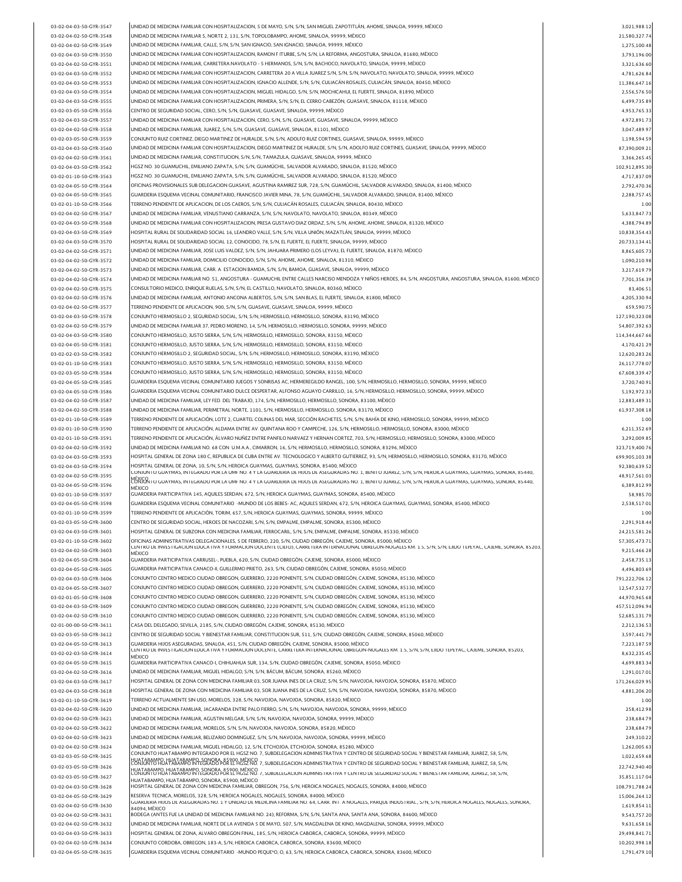|                                                    | UNIDAD DE MEDICINA FAMILIAR CON HOSPITALIZACION, 5 DE MAYO, S/N, S/N, SAN MIGUEL ZAPOTITLÁN, AHOME, SINALOA, 99999, MÉXICO                                                                                                                                  | 3,021,988.12                  |
|----------------------------------------------------|-------------------------------------------------------------------------------------------------------------------------------------------------------------------------------------------------------------------------------------------------------------|-------------------------------|
| 03-02-04-02-50-GYR-3548                            | UNIDAD DE MEDICINA FAMILIAR 5, NORTE 2, 131, S/N, TOPOLOBAMPO, AHOME, SINALOA, 99999, MÉXICO                                                                                                                                                                | 21,580,327.74                 |
| 03-02-04-02-50-GYR-3549                            | UNIDAD DE MEDICINA FAMILIAR, CALLE, S/N, S/N, SAN IGNACIO, SAN IGNACIO, SINALOA, 99999, MÉXICO                                                                                                                                                              | 1,275,100.48                  |
| 03-02-04-03-50-GYR-3550                            | UNIDAD DE MEDICINA FAMILIAR CON HOSPITALIZACION, RAMON F ITURBE, S/N, S/N, LA REFORMA, ANGOSTURA, SINALOA, 81680, MÉXICO                                                                                                                                    | 3,793,196.00                  |
| 03-02-04-02-50-GYR-3551                            | UNIDAD DE MEDICINA FAMILIAR, CARRETERA.NAVOLATO - 5 HERMANOS, S/N, S/N, BACHOCO, NAVOLATO, SINALOA, 99999, MÊXICO                                                                                                                                           | 3,321,636.60                  |
| 03-02-04-03-50-GYR-3552                            | UNIDAD DE MEDICINA FAMILIAR CON HOSPITALIZACION, CARRETERA 20 A VILLA JUAREZ S/N, S/N, S/N, NAVOLATO, NAVOLATO, SINALOA, 99999, MÈXICO                                                                                                                      | 4,781,626.84                  |
| 03-02-04-03-50-GYR-3553                            | UNIDAD DE MEDICINA FAMILIAR CON HOSPITALIZACION, IGNACIO ALLENDE, S/N, S/N, CULIACÂN ROSALES, CULIACÂN, SINALOA, 80450, MÊXICO                                                                                                                              | 11.386.647.16                 |
| 03-02-04-03-50-GYR-3554                            | UNIDAD DE MEDICINA FAMILIAR CON HOSPITALIZACION, MIGUEL HIDALGO, S/N, S/N, MOCHICAHUI, EL FUERTE, SINALOA, 81890, MÈXICO                                                                                                                                    | 2,556,576.50                  |
| 03-02-04-03-50-GYR-3555                            | UNIDAD DE MEDICINA FAMILIAR CON HOSPITALIZACION, PRIMERA, S/N, S/N, EL CERRO CABEZÓN, GUASAVE, SINALOA, 81118, MÉXICO                                                                                                                                       | 6,499,735.89                  |
| 03-02-03-05-50-GYR-3556                            | CENTRO DE SEGURIDAD SOCIAL, CERO, S/N, S/N, GUASAVE, GUASAVE, SINALOA, 99999, MÉXICO                                                                                                                                                                        | 4,953,765.33                  |
| 03-02-04-03-50-GYR-3557                            | UNIDAD DE MEDICINA FAMILIAR CON HOSPITALIZACION, CERO, S/N, S/N, GUASAVE, GUASAVE, SINALOA, 99999, MÊXICO                                                                                                                                                   | 4,972,891.73                  |
| 03-02-04-02-50-GYR-3558                            |                                                                                                                                                                                                                                                             |                               |
|                                                    | UNIDAD DE MEDICINA FAMILIAR, JUAREZ, S/N, S/N, GUASAVE, GUASAVE, SINALOA, 81101, MÊXICO                                                                                                                                                                     | 3,047,489.97                  |
| 03-02-03-05-50-GYR-3559                            | CONJUNTO RUIZ CORTINEZ, DIEGO MARTINEZ DE HURALDE, S/N, S/N, ADOLFO RUIZ CORTINES, GUASAVE, SINALOA, 99999, MÉXICO                                                                                                                                          | 1,198,594.59                  |
| 03-02-04-03-50-GYR-3560                            | UNIDAD DE MEDICINA FAMILIAR CON HOSPITALIZACION, DIEGO MARTINEZ DE HURALDE, S/N, S/N, ADOLFO RUIZ CORTINES, GUASAVE, SINALOA, 99999, MÉXICO                                                                                                                 | 87,390,009.21                 |
| 03-02-04-02-50-GYR-3561                            | UNIDAD DE MEDICINA FAMILIAR, CONSTITUCION, S/N, S/N, TAMAZULA, GUASAVE, SINALOA, 99999, MÉXICO                                                                                                                                                              | 3,366,265.45                  |
| 03-02-04-03-50-GYR-3562                            | HGSZ NO. 30 GUAMUCHIL, EMILIANO ZAPATA, S/N, S/N, GUAMÚCHIL, SALVADOR ALVARADO, SINALOA, 81520, MÉXICO                                                                                                                                                      | 102,912,895.30                |
| 03-02-01-10-50-GYR-3563                            | HGSZ NO. 30 GUAMUCHIL, EMILIANO ZAPATA, S/N, S/N, GUAMÚCHIL, SALVADOR ALVARADO, SINALOA, 81520, MÉXICO                                                                                                                                                      | 4,717,837.09                  |
| 03-02-04-05-50-GYR-3564                            | OFICINAS PROVISIONALES SUB DELEGACION GUASAVE, AGUSTINA RAMIREZ SUR, 728, S/N, GUAMÚCHIL, SALVADOR ALVARADO, SINALOA, 81400, MÊXICO                                                                                                                         | 2,792,470.36                  |
| 03-02-04-05-50-GYR-3565                            | GUARDERIA ESQUEMA VECINAL COMUNITARIO, FRANCISCO JAVIER MINA, 78, S/N, GUAMÚCHIL, SALVADOR ALVARADO, SINALOA, 81400, MÉXICO                                                                                                                                 | 2,288,757.45                  |
| 03-02-01-10-50-GYR-3566                            | TERRENO PENDIENTE DE APLICACION, DE LOS CAEROS, S/N, S/N, CULIACÁN ROSALES, CULIACÁN, SINALOA, 80430, MÉXICO                                                                                                                                                | 1.00                          |
| 03-02-04-02-50-GYR-3567                            | UNIDAD DE MEDICINA FAMILIAR, VENUSTIANO CARRANZA, S/N, S/N, NAVOLATO, NAVOLATO, SINALOA, 80349, MÊXICO                                                                                                                                                      | 5,633,847.73                  |
| 03-02-04-03-50-GYR-3568                            | UNIDAD DE MEDICINA FAMILIAR CON HOSPITALIZACION, PRESA GUSTAVO DIAZ ORDAZ, S/N, S/N, AHOME, AHOME, SINALOA, 81320, MÊXICO                                                                                                                                   | 4,388,794.89                  |
| 03-02-04-03-50-GYR-3569                            | HOSPITAL RURAL DE SOLIDARIDAD SOCIAL 16, LEANDRO VALLE, S/N, S/N, VILLA UNIÓN, MAZATLÁN, SINALOA, 99999, MÉXICO                                                                                                                                             | 10,838,354.43                 |
| 03-02-04-03-50-GYR-3570                            | HOSPITAL RURAL DE SOLIDARIDAD SOCIAL 12, CONOCIDO, 78, S/N, EL FUERTE, EL FUERTE, SINALOA, 99999, MÉXICO                                                                                                                                                    | 20,733,134.4                  |
| 03-02-04-02-50-GYR-3571                            | UNIDAD DE MEDICINA FAMILIAR, JOSE LUIS VALDEZ, S/N, S/N, JAHUARA PRIMERO (LOS LEYVA), EL FUERTE, SINALOA, 81870, MÉXICO                                                                                                                                     | 8,865,605.73                  |
| 03-02-04-02-50-GYR-3572                            | UNIDAD DE MEDICINA FAMILIAR, DOMICILIO CONOCIDO, S/N, S/N, AHOME, AHOME, SINALOA, 81310, MÉXICO                                                                                                                                                             | 1,090,210.98                  |
| 03-02-04-02-50-GYR-3573                            | UNIDAD DE MEDICINA FAMILIAR, CARR. A ESTACION BAMOA, S/N, S/N, BAMOA, GUASAVE, SINALOA, 99999, MÉXICO                                                                                                                                                       | 3,217,619.79                  |
| 03-02-04-02-50-GYR-3574                            | UNIDAD DE MEDICINA FAMILIAR NO. 51, ANGOSTURA - GUAMUCHIL ENTRE CALLES NARCISO MENDOZA Y NIÑOS HEROES, 84, S/N, ANGOSTURA, ANGOSTURA, SINALOA, 81600, MÈXICO                                                                                                | 7,701,356.39                  |
| 03-02-04-02-50-GYR-3575                            | CONSULTORIO MEDICO, ENRIQUE RUELAS, S/N, S/N, EL CASTILLO, NAVOLATO, SINALOA, 80360, MÉXICO                                                                                                                                                                 | 83.406.53                     |
| 03-02-04-02-50-GYR-3576                            | UNIDAD DE MEDICINA FAMILIAR, ANTONIO ANCONA ALBERTOS, S/N, S/N, SAN BLAS, EL FUERTE, SINALOA, 81800, MÈXICO                                                                                                                                                 | 4,205,330.94                  |
| 03-02-04-02-50-GYR-3577                            | TERRENO PENDIENTE DE APLICACION, 900, S/N, S/N, GUASAVE, GUASAVE, SINALOA, 99999, MÉXICO                                                                                                                                                                    | 659,590.75                    |
| 03-02-04-03-50-GYR-3578                            | CONJUNTO HERMOSILLO 2, SEGURIDAD SOCIAL, S/N, S/N, HERMOSILLO, HERMOSILLO, SONORA, 83190, MÉXICO                                                                                                                                                            | 127,190,323.08                |
| 03-02-04-02-50-GYR-3579                            | UNIDAD DE MEDICINA FAMILIAR 37, PEDRO MORENO, 14, S/N, HERMOSILLO, HERMOSILLO, SONORA, 99999, MÉXICO                                                                                                                                                        | 54,807,392.63                 |
| 03-02-04-03-50-GYR-3580                            | CONJUNTO HERMOSILLO, JUSTO SIERRA, S/N, S/N, HERMOSILLO, HERMOSILLO, SONORA, 83150, MÉXICO                                                                                                                                                                  | 114,344,667.66                |
| 03-02-04-05-50-GYR-3581                            | CONJUNTO HERMOSILLO, JUSTO SIERRA, S/N, S/N, HERMOSILLO, HERMOSILLO, SONORA, 83150, MÉXICO                                                                                                                                                                  | 4,170,421.29                  |
| 03-02-02-03-50-GYR-3582                            | CONJUNTO HERMOSILLO 2, SEGURIDAD SOCIAL, S/N, S/N, HERMOSILLO, HERMOSILLO, SONORA, 83190, MÉXICO                                                                                                                                                            | 12,620,283.26                 |
| 03-02-01-10-50-GYR-3583                            | CONJUNTO HERMOSILLO, JUSTO SIERRA, S/N, S/N, HERMOSILLO, HERMOSILLO, SONORA, 83150, MÉXICO                                                                                                                                                                  | 26,117,778.07                 |
| 03-02-03-05-50-GYR-3584                            | CONJUNTO HERMOSILLO, JUSTO SIERRA, S/N, S/N, HERMOSILLO, HERMOSILLO, SONORA, 83150, MÉXICO                                                                                                                                                                  | 67,608,339.47                 |
| 03-02-04-05-50-GYR-3585                            | GUARDERIA ESQUEMA VECINAL COMUNITARIO JUEGOS Y SONRISAS AC, HERMEREGILDO RANGEL, 100, S/N, HERMOSILLO, HERMOSILLO, SONORA, 99999, MÉXICO                                                                                                                    |                               |
| 03-02-04-05-50-GYR-3586                            | GUARDERIA ESQUEMA VECINAL COMUNITARIO DULCE DESPERTAR, ALFONSO AGUAYO CARRILLO, 16, S/N, HERMOSILLO, HERMOSILLO, SONORA, 99999, MÊXICO                                                                                                                      | 3,720,740.91<br>5,192,972.33  |
| 03-02-04-02-50-GYR-3587                            | UNIDAD DE MEDICINA FAMILIAR, LEY FED. DEL TRABAJO, 174, S/N, HERMOSILLO, HERMOSILLO, SONORA, 83100, MÉXICO                                                                                                                                                  |                               |
|                                                    |                                                                                                                                                                                                                                                             | 12,883,489.31                 |
| 03-02-04-02-50-GYR-3588                            | UNIDAD DE MEDICINA FAMILIAR, PERIMETRAL NORTE, 1101, S/N, HERMOSILLO, HERMOSILLO, SONORA, 83170, MÉXICO                                                                                                                                                     | 61,937,308.18                 |
| 03-02-01-10-50-GYR-3589                            | TERRENO PENDIENTE DE APLICACIÓN, LOTE 2, CUARTEL COLINAS DEL MAR, SECCIÓN RACHETES, S/N, S/N, BAHÍA DE KINO, HERMOSILLO, SONORA, 99999, MÉXICO                                                                                                              | 1.00                          |
| 03-02-01-10-50-GYR-3590                            | TERRENO PENDIENTE DE APLICACIÓN, ALDAMA ENTRE AV. QUINTANA ROO Y CAMPECHE, 126, S/N, HERMOSILLO, HERMOSILLO, SONORA, 83000, MÉXICO                                                                                                                          | 6,211,352.69                  |
| 03-02-01-10-50-GYR-3591                            | TERRENO PENDIENTE DE APLICACIÓN, ÁLVARO NUÑEZ ENTRE PANFILO NARVAEZ Y HERNAN CORTEZ, 703, S/N, HERMOSILLO, HERMOSILLO, SONORA, 83000, MÉXICO                                                                                                                | 3,292,009.85                  |
| 03-02-04-02-50-GYR-3592                            | UNIDAD DE MEDICINA FAMILIAR NO. 68 CON U.M.A.A., CIMARRON, 16, S/N, HERMOSILLO, HERMOSILLO, SONORA, 83296, MÉXICO                                                                                                                                           | 323,719,400.76                |
| 03-02-04-03-50-GYR-3593                            | HOSPITAL GENERAL DE ZONA 180 C, REPUBLICA DE CUBA ENTRE AV. TECNOLOGICO Y ALBERTO GUTIERREZ, 93, S/N, HERMOSILLO, HERMOSILLO, SONORA, 83170, MÉXICO                                                                                                         | 699,905,103.38                |
| 03-02-04-03-50-GYR-3594                            | HOSPITAL GENERAL DE ZONA, 10, S/N, S/N, HEROICA GUAYMAS, GUAYMAS, SONORA, 85400, MÉXICO<br>.<br>CONJUNTO GUAYMAS, INTEGRADO POR LA UMF NO. 4 Y LA GUARDERIA DE HIJOS DE ASEGURADAS NO. 1, BENITO JUAREZ, S/N, S/N, HEROICA GUAYMAS, GUAYMAS, SONORA, 85440, | 92,380,639.52                 |
| 03-02-04-02-50-GYR-3595                            | <u>MBNIC</u> Nto guaymas, integrado por la umf no. 4 y la guarderia de hijos de aseguradas no. 1, benito juarez, s/n, s/n, heroica guaymas, guaymas, sonora, 85440,                                                                                         | 48,917,561.03                 |
| 03-02-04-05-50-GYR-3596                            | MÉXICO                                                                                                                                                                                                                                                      | 6,389,812.99                  |
| 03-02-01-10-50-GYR-3597                            | GUARDERIA PARTICIPATIVA 145, AQUILES SERDAN, 672, S/N, HEROICA GUAYMAS, GUAYMAS, SONORA, 85400, MÈXICO                                                                                                                                                      | 58,985.70                     |
| 03-02-04-05-50-GYR-3598                            | GUARDERIA ESQUEMA VECINAL COMUNITARIO -MUNDO DE LOS BEBES- AC, AQUILES SERDAN, 672, S/N, HEROICA GUAYMAS, GUAYMAS, SONORA, 85400, MÊXICO                                                                                                                    | 2,538,517.01                  |
| 03-02-01-10-50-GYR-3599                            | TERRENO PENDIENTE DE APLICACIÓN, TORIM, 657, S/N, HEROICA GUAYMAS, GUAYMAS, SONORA, 99999, MÉXICO                                                                                                                                                           | 1.00                          |
| 03-02-03-05-50-GYR-3600                            | CENTRO DE SEGURIDAD SOCIAL, HEROES DE NACOZARI, S/N, S/N, EMPALME, EMPALME, SONORA, 85300, MÉXICO                                                                                                                                                           |                               |
| 03-02-04-03-50-GYR-3601                            |                                                                                                                                                                                                                                                             | 2,291,918.44                  |
| 03-02-01-10-50-GYR-3602                            | HOSPITAL GENERAL DE SUBZONA CON MEDICINA FAMILIAR, FERROCARIL, S/N, S/N, EMPALME, EMPALME, SONORA, 85330, MÉXICO                                                                                                                                            | 24,215,581.26                 |
|                                                    | OFICINAS ADMINISTRATIVAS DELEGACIONALES, 5 DE FEBRERO, 220, S/N, CIUDAD OBREGÓN, CAJEME, SONORA, 85000, MÉXICO                                                                                                                                              | 57,305,473.71                 |
| 03-02-04-02-50-GYR-3603                            | CENTRO DE INVESTIGACION EDUCATIVA Y FORMACION DOCENTE (CIEFD), CARRETERA INTERNACIONAL OBREGON-NOGALES KM. 1.5, S/N, S/N, EJIDO TEPEYAC, CAJEME, SONORA, 85203,                                                                                             | 9,215,466.28                  |
| 03-02-04-05-50-GYR-3604                            | MÉXICO<br>GUARDERIA PARTICIPATIVA CARRUSEL-, PUEBLA, 620, S/N, CIUDAD OBREGÓN, CAJEME, SONORA, 85000, MÉXICO                                                                                                                                                | 2,458,735.13                  |
| 03-02-04-05-50-GYR-3605                            | GUARDERIA PARTICIPATIVA CANACO-II, GUILLERMO PRIETO, 263, S/N, CIUDAD OBREGÓN, CAJEME, SONORA, 85050, MÉXICO                                                                                                                                                | 4,496,803.69                  |
| 03-02-04-03-50-GYR-3606                            | CONJUNTO CENTRO MEDICO CIUDAD OBREGON, GUERRERO, 2220 PONIENTE, S/N, CIUDAD OBREGÓN, CAJEME, SONORA, 85130, MÉXICO                                                                                                                                          | 791,222,706.12                |
| 03-02-04-05-50-GYR-3607                            | CONJUNTO CENTRO MEDICO CIUDAD OBREGON, GUERRERO, 2220 PONIENTE, S/N, CIUDAD OBREGÓN, CAJEME, SONORA, 85130, MÉXICO                                                                                                                                          | 12,547,532.7                  |
| 03-02-01-05-50-GYR-3608                            | CONJUNTO CENTRO MEDICO CIUDAD OBREGON, GUERRERO, 2220 PONIENTE, S/N, CIUDAD OBREGÓN, CAJEME, SONORA, 85130, MÉXICO                                                                                                                                          | 44,970,965.68                 |
| 03-02-04-03-50-GYR-3609                            | CONJUNTO CENTRO MEDICO CIUDAD OBREGON, GUERRERO, 2220 PONIENTE, S/N, CIUDAD OBREGÔN, CAJEME, SONORA, 85130, MÊXICO                                                                                                                                          | 457,512,096.94                |
| 03-02-04-02-50-GYR-3610                            | CONJUNTO CENTRO MEDICO CIUDAD OBREGON, GUERRERO, 2220 PONIENTE, S/N, CIUDAD OBREGÓN, CAJEME, SONORA, 85130, MÉXICO                                                                                                                                          |                               |
| 02-01-00-00-50-GYR-3611                            | CASA DEL DELEGADO, SEVILLA, 2185, S/N, CIUDAD OBREGÓN, CAJEME, SONORA, 85130, MÉXICO                                                                                                                                                                        | 52,685,131.79                 |
| 03-02-03-05-50-GYR-3612                            | CENTRO DE SEGURIDAD SOCIAL Y BIENESTAR FAMILIAR, CONSTITUCION SUR, 511, S/N, CIUDAD OBREGÓN, CAJEME, SONORA, 85060, MÉXICO                                                                                                                                  | 2,212,136.53                  |
|                                                    | GUARDERIA HIJOS ASEGURADAS, SINALOA, 451, S/N, CIUDAD OBREGÓN, CAJEME, SONORA, 85000, MÉXICO                                                                                                                                                                | 3,597,441.79                  |
| 03-02-04-05-50-GYR-3613                            | CENTRO DE INVESTIGACION EDUCATIVA Y FORMACION DOCENTE, CARRETERA INTERNACIONAL OBREGON-NOGALES KM. 1.5, S/N, S/N, EJIDO TEPEYAC, CAJEME, SONORA, 85203,                                                                                                     | 7,223,187.59                  |
| 03-02-02-03-50-GYR-3614                            | MÉXICO                                                                                                                                                                                                                                                      | 8,632,235.45                  |
| 03-02-04-05-50-GYR-3615                            | GUARDERIA PARTICIPATIVA CANACO-I, CHIHUAHUA SUR, 134, S/N, CIUDAD OBREGÓN, CAJEME, SONORA, 85050, MÉXICO                                                                                                                                                    | 4,699,883.34                  |
| 03-02-04-02-50-GYR-3616                            | UNIDAD DE MEDICINA FAMILIAR, MIGUEL HIDALGO, S/N, S/N, BÁCUM, BÁCUM, SONORA, 85260, MÉXICO                                                                                                                                                                  | 1,291,017.01                  |
| 03-02-04-03-50-GYR-3617                            | HOSPITAL GENERAL DE ZONA CON MEDICINA FAMILIAR 03, SOR JUANA INES DE LA CRUZ, S/N, S/N, NAVOJOA, NAVOJOA, SONORA, 85870, MÉXICO                                                                                                                             | 171,266,029.95                |
| 03-02-04-03-50-GYR-3618                            | HOSPITAL GENERAL DE ZONA CON MEDICINA FAMILIAR 03, SOR JUANA INES DE LA CRUZ, S/N, S/N, NAVOJOA, NAVOJOA, SONORA, 85870, MÊXICO                                                                                                                             | 4,881,206.20                  |
| 03-02-01-10-50-GYR-3619                            | TERRENO ACTUALMENTE SIN USO, MORELOS, 328, S/N, NAVOJOA, NAVOJOA, SONORA, 85820, MĚXICO                                                                                                                                                                     | 1.00                          |
| 03-02-04-02-50-GYR-3620                            | UNIDAD DE MEDICINA FAMILIAR, JACARANDA ENTRE PALO FIERRO, S/N, S/N, NAVOJOA, NAVOJOA, SONORA, 99999, MÉXICO                                                                                                                                                 | 258,412.98                    |
| 03-02-04-02-50-GYR-3621                            | UNIDAD DE MEDICINA FAMILIAR, AGUSTIN MELGAR, S/N, S/N, NAVOJOA, NAVOJOA, SONORA, 99999, MÉXICO                                                                                                                                                              | 238,684.79                    |
| 03-02-04-02-50-GYR-3622                            | UNIDAD DE MEDICINA FAMILIAR, MORELOS, S/N, S/N, NAVOJOA, NAVOJOA, SONORA, 85820, MĚXICO                                                                                                                                                                     | 238,684.79                    |
| 03-02-04-02-50-GYR-3623                            | UNIDAD DE MEDICINA FAMILIAR, BELIZARIO DOMINGUEZ, S/N, S/N, NAVOJOA, NAVOJOA, SONORA, 99999, MÉXICO                                                                                                                                                         | 249,310.22                    |
| 03-02-04-02-50-GYR-3624                            | UNIDAD DE MEDICINA FAMILIAR, MIGUEL HIDALGO, 12, S/N, ETCHOJOA, ETCHOJOA, SONORA, 85280, MÉXICO                                                                                                                                                             | 1,262,005.63                  |
| 03-02-03-05-50-GYR-3625                            | CONJUNTO HUATABAMPO INTEGRADO POR EL HGSZ NO. 7, SUBDELEGACION ADMINISTRATIVA Y CENTRO DE SEGURIDAD SOCIAL Y BIENESTAR FAMILIAR, JUAREZ, 58, S/N,                                                                                                           | 1,022,659.68                  |
| 03-02-03-05-50-GYR-3626                            | UNTORPO PRI HATABAMPO PRESPABRA 8520 PALICIO 7, SUBDELEGACION ADMINISTRATIVA Y CENTRO DE SEGURIDAD SOCIAL Y BIENESTAR FAMILIAR, JUAREZ, 58, S/N,                                                                                                            | 22,742,940.40                 |
| 03-02-03-05-50-GYR-3627                            | HUATABAMPO, HUATABAMPO, SONORA, 85900, MÉXICO<br>CONJUNTO HUATABAMPO INTEGRADO POR EL HGSZ NO. 7, SUBDELEGACION ADMINISTRATIVA Y CENTRO DE SEGURIDAD SOCIAL Y BIENESTAR FAMILIAR, JUAREZ, 58, S/N,                                                          | 35,851,117.04                 |
| 03-02-04-03-50-GYR-3628                            | HUATABAMPO, HUATABAMPO, SONORA, 85900, MÉXICO<br>HOSPITAL GENERAL DE ZONA CON MEDICINA FAMILIAR, OBREGON, 756, S/N, HEROICA NOGALES, NOGALES, SONORA, 84000, MÉXICO                                                                                         | 108,791,788.24                |
| 03-02-04-05-50-GYR-3629                            | RESERVA TECNICA, MORELOS, 328, S/N, HEROICA NOGALES, NOGALES, SONORA, 84000, MÉXICO                                                                                                                                                                         | 15,006,264.12                 |
| 03-02-04-02-50-GYR-3630                            | GUARDERIA HIJOS DE ASEGURADAS NO. 1 Y UNIDAD DE MEDICINA FAMILIAR NO. 64, CARR. INT. A NOGALES, PARQUE INDUSTRIAL., S/N, S/N, HEROICA NOGALES, NOGALES, SONORA,                                                                                             | 1,619,854.11                  |
| 03-02-04-02-50-GYR-3631                            | 84094. MĚXICO<br>BODEGA (ANTES FUE LA UNIDAD DE MEDICINA FAMILIAR NO. 24), REFORMA, S/N, S/N, SANTA ANA, SANTA ANA, SONORA, 84600, MÉXICO                                                                                                                   |                               |
|                                                    |                                                                                                                                                                                                                                                             | 9,543,757.20                  |
| 03-02-04-02-50-GYR-3632                            | UNIDAD DE MEDICINA FAMILIAR, NORTE DE LA AVENIDA 5 DE MAYO, 507, S/N, MAGDALENA DE KINO, MAGDALENA, SONORA, 99999, MÉXICO                                                                                                                                   | 9,631,658.16                  |
| 03-02-04-03-50-GYR-3633                            | HOSPITAL GENERAL DE ZONA, ALVARO OBREGON FINAL, 185, S/N, HEROICA CABORCA, CABORCA, SONORA, 99999, MÉXICO                                                                                                                                                   | 29,498,841.71                 |
| 03-02-04-02-50-GYR-3634<br>03-02-04-05-50-GYR-3635 | CONJUNTO CORDOBA, OBREGON, 183-A, S/N, HEROICA CABORCA, CABORCA, SONORA, 83600, MÉXICO<br>GUARDERIA ESQUEMA VECINAL COMUNITARIO -MUNDO PEQUEºO, O, 63, S/N, HEROICA CABORCA, CABORCA, SONORA, 83600, MÊXICO                                                 | 10,202,998.18<br>1,791,479.10 |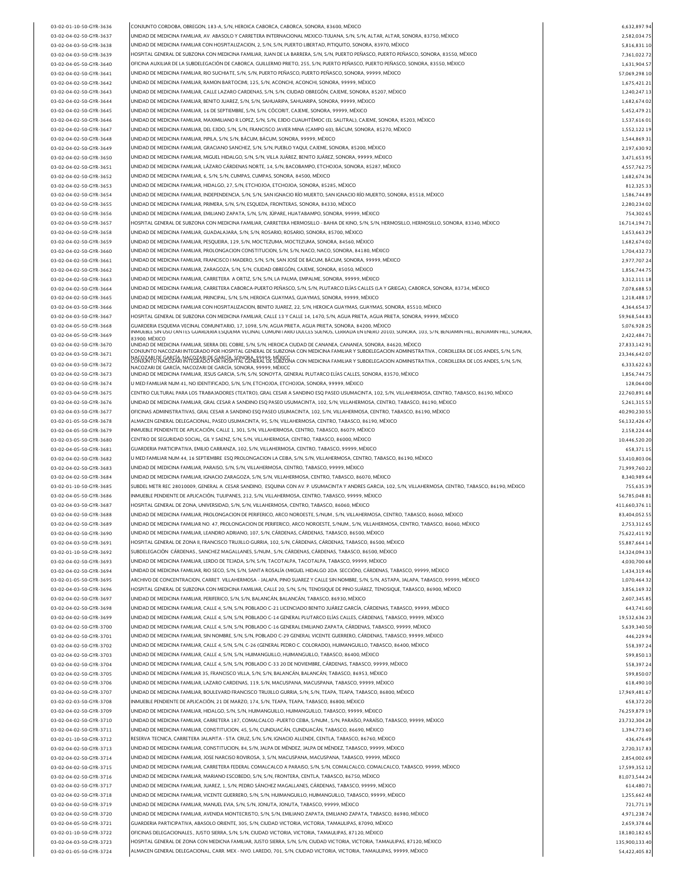| 03-02-01-10-50-GYR-3636 | CONJUNTO CORDOBA, OBREGON, 183-A, S/N, HEROICA CABORCA, CABORCA, SONORA, 83600, MÉXICO                                                                                                                      | 6,632,897.94   |
|-------------------------|-------------------------------------------------------------------------------------------------------------------------------------------------------------------------------------------------------------|----------------|
| 03-02-04-02-50-GYR-3637 | UNIDAD DE MEDICINA FAMILIAR, AV. ABASOLO Y CARRETERA INTERNACIONAL MEXICO-TIJUANA, S/N, S/N, ALTAR, ALTAR, SONORA, 83750, MÊXICO                                                                            | 2,582,034.75   |
| 03-02-04-03-50-GYR-3638 | UNIDAD DE MEDICINA FAMILIAR CON HOSPITALIZACION, 2, S/N, S/N, PUERTO LIBERTAD, PITIQUITO, SONORA, 83970, MÉXICO                                                                                             | 5,816,831.10   |
|                         |                                                                                                                                                                                                             |                |
| 03-02-04-03-50-GYR-3639 | HOSPITAL GENERAL DE SUBZONA CON MEDICINA FAMILIAR, JUAN DE LA BARRERA, S/N, S/N, PUERTO PEÑASCO, PUERTO PEÑASCO, SONORA, 83550, MÉXICO                                                                      | 7,361,022.72   |
| 03-02-04-05-50-GYR-3640 | OFICINA AUXILIAR DE LA SUBDELEGACIÓN DE CABORCA, GUILLERMO PRIETO, 255, S/N, PUERTO PEÑASCO, PUERTO PEÑASCO, SONORA, 83550, MÉXICO                                                                          | 1,631,904.5    |
| 03-02-04-02-50-GYR-3641 | UNIDAD DE MEDICINA FAMILIAR, RIO SUCHIATE, S/N, S/N, PUERTO PEÑASCO, PUERTO PEÑASCO, SONORA, 99999, MÉXICO                                                                                                  | 57,069,298.10  |
| 03-02-04-02-50-GYR-3642 | UNIDAD DE MEDICINA FAMILIAR, RAMON BARTOCIMI, 125, S/N, ACONCHI, ACONCHI, SONORA, 99999, MÉXICO                                                                                                             | 1,675,421.21   |
| 03-02-04-02-50-GYR-3643 | UNIDAD DE MEDICINA FAMILIAR, CALLE LAZARO CARDENAS, S/N, S/N, CIUDAD OBREGÓN, CAJEME, SONORA, 85207, MÉXICO                                                                                                 | 1,240,247.13   |
| 03-02-04-02-50-GYR-3644 | UNIDAD DE MEDICINA FAMILIAR, BENITO JUAREZ, S/N, S/N, SAHUARIPA, SAHUARIPA, SONORA, 99999, MÉXICO                                                                                                           | 1.682.674.02   |
| 03-02-04-02-50-GYR-3645 | UNIDAD DE MEDICINA FAMILIAR, 16 DE SEPTIEMBRE, S/N, S/N, CÓCORIT, CAJEME, SONORA, 99999, MÉXICO                                                                                                             | 5,452,479.21   |
|                         |                                                                                                                                                                                                             |                |
| 03-02-04-02-50-GYR-3646 | UNIDAD DE MEDICINA FAMILIAR, MAXIMILIANO R LOPEZ, S/N, S/N, EJIDO CUAUHTÉMOC (EL SALITRAL), CAJEME, SONORA, 85203, MÉXICO                                                                                   | 1,537,616.01   |
| 03-02-04-02-50-GYR-3647 | UNIDAD DE MEDICINA FAMILIAR, DEL EJIDO, S/N, S/N, FRANCISCO JAVIER MINA (CAMPO 60), BĂCUM, SONORA, 85270, MÊXICO                                                                                            | 1,552,122.19   |
| 03-02-04-02-50-GYR-3648 | UNIDAD DE MEDICINA FAMILIAR, PIPILA, S/N, S/N, BÁCUM, BÁCUM, SONORA, 99999, MÉXICO                                                                                                                          | 1.544.869.31   |
| 03-02-04-02-50-GYR-3649 | UNIDAD DE MEDICINA FAMILIAR, GRACIANO SANCHEZ, S/N, S/N, PUEBLO YAQUI, CAJEME, SONORA, 85200, MÉXICO                                                                                                        | 2,197,630.92   |
| 03-02-04-02-50-GYR-3650 | UNIDAD DE MEDICINA FAMILIAR, MIGUEL HIDALGO, S/N, S/N, VILLA JUÁREZ, BENITO JUÁREZ, SONORA, 99999, MÉXICO                                                                                                   | 3,471,653.95   |
| 03-02-04-02-50-GYR-3651 | UNIDAD DE MEDICINA FAMILIAR. LÁZARO CÁRDENAS NORTE. 14. S/N. BACOBAMPO, ETCHOJOA, SONORA, 85287, MÉXICO                                                                                                     | 4,557,762.75   |
| 03-02-04-02-50-GYR-3652 | UNIDAD DE MEDICINA FAMILIAR, 6, S/N, S/N, CUMPAS, CUMPAS, SONORA, 84500, MÊXICO                                                                                                                             | 1,682,674.36   |
|                         |                                                                                                                                                                                                             |                |
| 03-02-04-02-50-GYR-3653 | UNIDAD DE MEDICINA FAMILIAR, HIDALGO, 27, S/N, ETCHOJOA, ETCHOJOA, SONORA, 85285, MÉXICO                                                                                                                    | 812,325.33     |
| 03-02-04-02-50-GYR-3654 | UNIDAD DE MEDICINA FAMILIAR, INDEPENDENCIA, S/N, S/N, SAN IGNACIO RÍO MUERTO, SAN IGNACIO RÍO MUERTO, SONORA, 85518, MÉXICO                                                                                 | 1,586,744.89   |
| 03-02-04-02-50-GYR-3655 | UNIDAD DE MEDICINA FAMILIAR, PRIMERA, S/N, S/N, ESQUEDA, FRONTERAS, SONORA, 84330, MÉXICO                                                                                                                   | 2,280,234.02   |
| 03-02-04-02-50-GYR-3656 | UNIDAD DE MEDICINA FAMILIAR, EMILIANO ZAPATA, S/N, S/N, JÚPARE, HUATABAMPO, SONORA, 99999, MÉXICO                                                                                                           | 754,302.65     |
| 03-02-04-03-50-GYR-3657 | HOSPITAL GENERAL DE SUBZONA CON MEDICINA FAMILIAR, CARRETERA HERMOSILLO - BAHIA DE KINO, S/N, S/N, HERMOSILLO, HERMOSILLO, SONORA, 83340, MÈXICO                                                            | 16,714,194.71  |
| 03-02-04-02-50-GYR-3658 | UNIDAD DE MEDICINA FAMILIAR, GUADALAJARA, S/N, S/N, ROSARIO, ROSARIO, SONORA, 85700, MÉXICO                                                                                                                 | 1,653,663.29   |
| 03-02-04-02-50-GYR-3659 | UNIDAD DE MEDICINA FAMILIAR, PESQUEIRA, 129, S/N, MOCTEZUMA, MOCTEZUMA, SONORA, 84560, MÊXICO                                                                                                               | 1,682,674.02   |
|                         |                                                                                                                                                                                                             |                |
| 03-02-04-02-50-GYR-3660 | UNIDAD DE MEDICINA FAMILIAR, PROLONGACION CONSTITUCION, S/N, S/N, NACO, NACO, SONORA, 84180, MÉXICO                                                                                                         | 1,704,432.73   |
| 03-02-04-02-50-GYR-3661 | UNIDAD DE MEDICINA FAMILIAR, FRANCISCO I MADERO, S/N, S/N, SAN JOSÉ DE BÁCUM, BÁCUM, SONORA, 99999, MÉXICO                                                                                                  | 2.977.707.24   |
| 03-02-04-02-50-GYR-3662 | UNIDAD DE MEDICINA FAMILIAR, ZARAGOZA, S/N, S/N, CIUDAD OBREGÓN, CAJEME, SONORA, 85050, MÉXICO                                                                                                              | 1,856,744.75   |
| 03-02-04-02-50-GYR-3663 | UNIDAD DE MEDICINA FAMILIAR, CARRETERA A ORTIZ, S/N, S/N, LA PALMA, EMPALME, SONORA, 99999, MÉXICO                                                                                                          | 3,312,111.18   |
| 03-02-04-02-50-GYR-3664 | UNIDAD DE MEDICINA FAMILIAR, CARRETERA CABORCA-PUERTO PEÑASCO, S/N, S/N, PLUTARCO ELÍAS CALLES (LA Y GRIEGA), CABORCA, SONORA, 83734, MÉXICO                                                                | 7,078,688.53   |
| 03-02-04-02-50-GYR-3665 | UNIDAD DE MEDICINA FAMILIAR, PRINCIPAL, S/N, S/N, HEROICA GUAYMAS, GUAYMAS, SONORA, 99999, MÉXICO                                                                                                           | 1,218,488.17   |
| 03-02-04-03-50-GYR-3666 | UNIDAD DE MEDICINA FAMILIAR CON HOSPITALIZACION, BENITO JUAREZ, 22, S/N, HEROICA GUAYMAS, GUAYMAS, SONORA, 85510, MÉXICO                                                                                    |                |
|                         |                                                                                                                                                                                                             | 4,364,654.37   |
| 03-02-04-03-50-GYR-3667 | HOSPITAL GENERAL DE SUBZONA CON MEDICINA FAMILIAR, CALLE 13 Y CALLE 14, 1470, S/N, AGUA PRIETA, AGUA PRIETA, SONORA, 99999, MÊXICO                                                                          | 59,968,544.83  |
| 03-02-04-05-50-GYR-3668 | GUARDERIA ESQUEMA VECINAL COMUNITARIO, 17, 1098, S/N, AGUA PRIETA, AGUA PRIETA, SONORA, 84200, MÉXICO                                                                                                       | 5,076,928.25   |
| 03-02-04-05-50-GYR-3669 | INMUEBLE SIN USO (ANTES GUARDERIA ESQUEMA VECINAL COMUNITARIO DULCES SUENOS, CERRADA EN ENERO 2010), SONORA, 103, S/N, BENJAMIN HILL, BENJAMIN HILL, SONORA,<br>83900. MĚXICO                               | 2,422,484.71   |
| 03-02-04-02-50-GYR-3670 | UNIDAD DE MEDICINA FAMILIAR, SIERRA DEL COBRE, S/N, S/N, HEROICA CIUDAD DE CANANEA, CANANEA, SONORA, 84620, MÉXICO                                                                                          | 27,833,142.91  |
| 03-02-04-03-50-GYR-3671 | CONJUNTO NACOZARI INTEGRADO POR HOSPITAL GENERAL DE SUBZONA CON MEDICINA FAMILIAR Y SUBDELEGACION ADMINISTRATIVA., CORDILLERA DE LOS ANDES, S/N, S/N,                                                       | 23,346,642.07  |
| 03-02-04-03-50-GYR-3672 | RI DE GARCÍA, NACOZARI DE GARCÍA, SONORA, 99999, MÉXICO.<br>IO NACOZARI INTEGRADO POR HOSPITAL GENERAL DE SUBZONA CON MEDICINA FAMILIAR Y SUBDELEGACION ADMINISTRATIVA., CORDILLERA DE LOS ANDES, S/N, S/N, |                |
|                         | NACOZARI DE GARCÍA, NACOZARI DE GARCÍA, SONORA, 99999, MÉXICO                                                                                                                                               | 6,333,622.63   |
| 03-02-04-02-50-GYR-3673 | UNIDAD DE MEDICINA FAMILIAR, JESUS GARCIA, S/N, S/N, SONOYTA, GENERAL PLUTARCO ELÍAS CALLES, SONORA, 83570, MÉXICO                                                                                          | 1,856,744.7    |
| 03-02-04-02-50-GYR-3674 | U MED FAMILIAR NUM 41, NO IDENTIFICADO, S/N, S/N, ETCHOJOA, ETCHOJOA, SONORA, 99999, MÉXICO                                                                                                                 | 128,064.00     |
| 03-02-03-04-50-GYR-3675 | CENTRO CULTURAL PARA LOS TRABAJADORES (TEATRO), GRAL CESAR A SANDINO ESQ PASEO USUMACINTA, 102, S/N, VILLAHERMOSA, CENTRO, TABASCO, 86190, MÉXICO                                                           | 22,760,891.68  |
| 03-02-04-02-50-GYR-3676 | UNIDAD DE MEDICINA FAMILIAR, GRAL CESAR A SANDINO ESO PASEO USUMACINTA, 102, S/N, VILLAHERMOSA, CENTRO, TABASCO, 86190, MÉXICO                                                                              | 5.261.315.53   |
| 03-02-04-03-50-GYR-3677 | OFICINAS ADMINISTRATIVAS, GRAL CESAR A SANDINO ESQ PASEO USUMACINTA, 102, S/N, VILLAHERMOSA, CENTRO, TABASCO, 86190, MEXICO                                                                                 | 40,290,230.55  |
| 03-02-01-05-50-GYR-3678 | ALMACEN GENERAL DELEGACIONAL, PASEO USUMACINTA, 95, S/N, VILLAHERMOSA, CENTRO, TABASCO, 86190, MÉXICO                                                                                                       | 56,132,426.47  |
|                         |                                                                                                                                                                                                             |                |
| 03-02-04-05-50-GYR-3679 | INMUEBLE PENDIENTE DE APLICACIÓN, CALLE 1, 301, S/N, VILLAHERMOSA, CENTRO, TABASCO, 86079, MÉXICO                                                                                                           | 2,158,224.44   |
| 03-02-03-05-50-GYR-3680 | CENTRO DE SEGURIDAD SOCIAL, GIL Y SAENZ, S/N, S/N, VILLAHERMOSA, CENTRO, TABASCO, 86000, MÉXICO                                                                                                             | 10,446,520.20  |
| 03-02-04-05-50-GYR-3681 | GUARDERIA PARTICIPATIVA, EMILIO CARRANZA, 102, S/N, VILLAHERMOSA, CENTRO, TABASCO, 99999, MÉXICO                                                                                                            | 658,371.15     |
| 03-02-04-02-50-GYR-3682 | U MED FAMILIAR NUM 44, 16 SEPTIEMBRE ESQ PROLONGACION LA CEIBA, S/N, S/N, VILLAHERMOSA, CENTRO, TABASCO, 86190, MÊXICO                                                                                      | 53,410,803.06  |
| 03-02-04-02-50-GYR-3683 | UNIDAD DE MEDICINA FAMILIAR, PARAISO, S/N, S/N, VILLAHERMOSA, CENTRO, TABASCO, 99999, MÉXICO                                                                                                                | 71,999,760.22  |
| 03-02-04-02-50-GYR-3684 | UNIDAD DE MEDICINA FAMILIAR, IGNACIO ZARAGOZA, S/N, S/N, VILLAHERMOSA, CENTRO, TABASCO, 86070, MÉXICO                                                                                                       | 8,340,989.64   |
| 03-02-01-10-50-GYR-3685 | SUBDEL METR REC 28010009, GENERAL A. CESAR SANDINO, ESQUINA CON AV. P. USUMACINTA Y ANDRES GARCIA, 102, S/N, VILLAHERMOSA, CENTRO, TABASCO, 86190, MÉXICO                                                   | 755,635.39     |
| 03-02-04-05-50-GYR-3686 | INMUEBLE PENDIENTE DE APLICACIÓN. TULIPANES. 212. S/N. VILLAHERMOSA. CENTRO. TABASCO. 99999. MÉXICO                                                                                                         | 56,785,048.81  |
|                         |                                                                                                                                                                                                             |                |
| 03-02-04-03-50-GYR-3687 | HOSPITAL GENERAL DE ZONA, UNIVERSIDAD, S/N, S/N, VILLAHERMOSA, CENTRO, TABASCO, 86060, MÉXICO                                                                                                               | 411,660,376.11 |
| 03-02-04-02-50-GYR-3688 | UNIDAD DE MEDICINA FAMILIAR, PROLONGACION DE PERIFERICO, ARCO NOROESTE, S/NUM., S/N, VILLAHERMOSA, CENTRO, TABASCO, 86060, MÉXICO                                                                           | 83,404,052.55  |
| 03-02-04-02-50-GYR-3689 | UNIDAD DE MEDICINA FAMILIAR NO. 47, PROLONGACION DE PERIFERICO, ARCO NOROESTE, S/NUM., S/N, VILLAHERMOSA, CENTRO, TABASCO, 86060, MÉXICO                                                                    | 2,753,312.65   |
| 03-02-04-02-50-GYR-3690 | UNIDAD DE MEDICINA FAMILIAR, LEANDRO ADRIANO, 107, S/N, CÁRDENAS, CÁRDENAS, TABASCO, 86500, MÉXICO                                                                                                          | 75,622,411.92  |
| 03-02-04-03-50-GYR-3691 | HOSPITAL GENERAL DE ZONA II, FRANCISCO TRUJILLO GURRIA, 102, S/N, CÁRDENAS, CÁRDENAS, TABASCO, 86500, MÉXICO                                                                                                | 55,887,664.14  |
| 03-02-01-10-50-GYR-3692 | SUBDELEGACIÓN CÁRDENAS., SANCHEZ MAGALLANES, S/NUM., S/N, CÁRDENAS, CÁRDENAS, TABASCO, 86500, MÉXICO                                                                                                        | 14,324,094.33  |
|                         | UNIDAD DE MEDICINA FAMILIAR, LERDO DE TEJADA, S/N, S/N, TACOTALPA, TACOTALPA, TABASCO, 99999, MÉXICO                                                                                                        |                |
| 03-02-04-02-50-GYR-3693 |                                                                                                                                                                                                             | 4,030,700.68   |
| 03-02-04-02-50-GYR-3694 | UNIDAD DE MEDICINA FAMILIAR, RIO SECO, S/N, S/N, SANTA ROSALÍA (MIGUEL HIDALGO 2DA. SECCIÓN), CÁRDENAS, TABASCO, 99999, MÉXICO                                                                              | 1,434,319.46   |
| 03-02-01-05-50-GYR-3695 | ARCHIVO DE CONCENTRACION, CARRET. VILLAHERMOSA - JALAPA, PINO SUAREZ Y CALLE SIN NOMBRE, S/N, S/N, ASTAPA, JALAPA, TABASCO, 99999, MÉXICO                                                                   | 1,070,464.32   |
| 03-02-04-03-50-GYR-3696 | HOSPITAL GENERAL DE SUBZONA CON MEDICINA FAMILIAR, CALLE 20, S/N, S/N, TENOSIQUE DE PINO SUÁREZ, TENOSIQUE, TABASCO, 86900, MÉXICO                                                                          | 3,856,169.32   |
| 03-02-04-02-50-GYR-3697 | UNIDAD DE MEDICINA FAMILIAR, PERIFERICO, S/N, S/N, BALANCÁN, BALANCÁN, TABASCO, 86930, MÉXICO                                                                                                               | 2,607,345.85   |
| 03-02-04-02-50-GYR-3698 | UNIDAD DE MEDICINA FAMILIAR, CALLE 4, S/N, S/N, POBLADO C-21 LICENCIADO BENITO JUÁREZ GARCÍA, CÁRDENAS, TABASCO, 99999, MÉXICO                                                                              | 643,741.60     |
| 03-02-04-02-50-GYR-3699 | UNIDAD DE MEDICINA FAMILIAR, CALLE 4, S/N, S/N, POBLADO C-14 GENERAL PLUTARCO ELÍAS CALLES, CÁRDENAS, TABASCO, 99999, MÉXICO                                                                                | 19,532,636.23  |
|                         | UNIDAD DE MEDICINA FAMILIAR, CALLE 4, S/N, S/N, POBLADO C-16 GENERAL EMILIANO ZAPATA, CÁRDENAS, TABASCO, 99999, MÉXICO                                                                                      |                |
| 03-02-04-02-50-GYR-3700 |                                                                                                                                                                                                             | 5,639,340.50   |
| 03-02-04-02-50-GYR-3701 | UNIDAD DE MEDICINA FAMILIAR, SIN NOMBRE, S/N, S/N, POBLADO C-29 GENERAL VICENTE GUERRERO, CÁRDENAS, TABASCO, 99999, MÉXICO                                                                                  | 446,229.94     |
| 03-02-04-02-50-GYR-3702 | UNIDAD DE MEDICINA FAMILIAR, CALLE 4, S/N, S/N, C-26 (GENERAL PEDRO C. COLORADO), HUIMANGUILLO, TABASCO, 86400, MÊXICO                                                                                      | 558,397.24     |
| 03-02-04-02-50-GYR-3703 | UNIDAD DE MEDICINA FAMILIAR, CALLE 4, S/N, S/N, HUIMANGUILLO, HUIMANGUILLO, TABASCO, 86400, MÉXICO                                                                                                          | 599,850.13     |
| 03-02-04-02-50-GYR-3704 | UNIDAD DE MEDICINA FAMILIAR, CALLE 4, S/N, S/N, POBLADO C-33 20 DE NOVIEMBRE, CÁRDENAS, TABASCO, 99999, MÉXICO                                                                                              | 558,397.24     |
| 03-02-04-02-50-GYR-3705 | UNIDAD DE MEDICINA FAMILIAR 35, FRANCISCO VILLA, S/N, S/N, BALANCÁN, BALANCÁN, TABASCO, 86953, MÉXICO                                                                                                       | 599,850.07     |
| 03-02-04-02-50-GYR-3706 | UNIDAD DE MEDICINA FAMILIAR, LAZARO CARDENAS, 119, S/N, MACUSPANA, MACUSPANA, TABASCO, 99999, MÉXICO                                                                                                        | 618,490.10     |
|                         |                                                                                                                                                                                                             |                |
| 03-02-04-02-50-GYR-3707 | UNIDAD DE MEDICINA FAMILIAR, BOULEVARD FRANCISCO TRUJILLO GURRIA, S/N, S/N, TEAPA, TEAPA, TABASCO, 86800, MÉXICO                                                                                            | 17,969,481.67  |
| 03-02-02-03-50-GYR-3708 | INMUEBLE PENDIENTE DE APLICACIÓN, 21 DE MARZO, 174, S/N, TEAPA, TEAPA, TABASCO, 86800, MÉXICO                                                                                                               | 658,372.20     |
| 03-02-04-02-50-GYR-3709 | UNIDAD DE MEDICINA FAMILIAR, HIDALGO, S/N, S/N, HUIMANGUILLO, HUIMANGUILLO, TABASCO, 99999, MÉXICO                                                                                                          | 76,259,879.19  |
| 03-02-04-02-50-GYR-3710 | UNIDAD DE MEDICINA FAMILIAR, CARRETERA 187, COMALCALCO -PUERTO CEIBA, S/NUM., S/N, PARAÍSO, PARAÍSO, TABASCO, 99999, MÉXICO                                                                                 | 23,732,304.28  |
| 03-02-04-02-50-GYR-3711 | UNIDAD DE MEDICINA FAMILIAR, CONSTITUCION, 45, S/N, CUNDUACÁN, CUNDUACÁN, TABASCO, 86690, MÉXICO                                                                                                            | 1,394,773.60   |
| 03-02-01-10-50-GYR-3712 | RESERVA TECNICA, CARRETERA JALAPITA - STA. CRUZ, S/N, S/N, IGNACIO ALLENDE, CENTLA, TABASCO, 86760, MÉXICO                                                                                                  | 436,476.49     |
| 03-02-04-02-50-GYR-3713 | UNIDAD DE MEDICINA FAMILIAR, CONSTITUCION, 84, S/N, JALPA DE MÉNDEZ, JALPA DE MÉNDEZ, TABASCO, 99999, MÉXICO                                                                                                | 2,720,317.83   |
|                         |                                                                                                                                                                                                             |                |
| 03-02-04-02-50-GYR-3714 | UNIDAD DE MEDICINA FAMILIAR, JOSE NARCISO ROVIROSA, 3, S/N, MACUSPANA, MACUSPANA, TABASCO, 99999, MÉXICO                                                                                                    | 2,854,002.69   |
| 03-02-04-02-50-GYR-3715 | UNIDAD DE MEDICINA FAMILIAR, CARRETERA FEDERAL COMALCALCO A PARAISO, S/N, S/N, COMALCALCO, COMALCALCO, TABASCO, 99999, MÊXICO                                                                               | 17,599,352.12  |
| 03-02-04-02-50-GYR-3716 | UNIDAD DE MEDICINA FAMILIAR, MARIANO ESCOBEDO, S/N, S/N, FRONTERA, CENTLA, TABASCO, 86750, MÉXICO                                                                                                           | 81,073,544.24  |
| 03-02-04-02-50-GYR-3717 | UNIDAD DE MEDICINA FAMILIAR, JUAREZ, 1, S/N, PEDRO SÂNCHEZ MAGALLANES, CÂRDENAS, TABASCO, 99999, MÊXICO                                                                                                     | 614,480.71     |
| 03-02-04-02-50-GYR-3718 | UNIDAD DE MEDICINA FAMILIAR, VICENTE GUERRERO, S/N, S/N, HUIMANGUILLO, HUIMANGUILLO, TABASCO, 99999, MÉXICO                                                                                                 | 1,255,662.48   |
| 03-02-04-02-50-GYR-3719 | UNIDAD DE MEDICINA FAMILIAR, MANUEL EVIA, S/N, S/N, JONUTA, JONUTA, TABASCO, 99999, MÉXICO                                                                                                                  |                |
|                         |                                                                                                                                                                                                             | 721,771.19     |
| 03-02-04-02-50-GYR-3720 | UNIDAD DE MEDICINA FAMILIAR, AVENIDA MONTECRISTO, S/N, S/N, EMILIANO ZAPATA, EMILIANO ZAPATA, TABASCO, 86980, MÉXICO                                                                                        | 4,971,238.74   |
| 03-02-04-05-50-GYR-3721 | GUARDERIA PARTICIPATIVA, ABASOLO ORIENTE, 305, S/N, CIUDAD VICTORIA, VICTORIA, TAMAULIPAS, 87090, MÉXICO                                                                                                    | 2,659,378.66   |
| 03-02-01-10-50-GYR-3722 | OFICINAS DELEGACIONALES., JUSTO SIERRA, S/N, S/N, CIUDAD VICTORIA, VICTORIA, TAMAULIPAS, 87120, MÉXICO                                                                                                      | 18,180,182.65  |
| 03-02-04-03-50-GYR-3723 | HOSPITAL GENERAL DE ZONA CON MEDICNA FAMILIAR, JUSTO SIERRA, S/N, S/N, CIUDAD VICTORIA, VICTORIA, TAMAULIPAS, 87120, MÉXICO                                                                                 | 135,900,133.40 |
| 03-02-01-05-50-GYR-3724 | ALMACEN GENERAL DELEGACIONAL, CARR. MEX - NVO. LAREDO, 701, S/N, CIUDAD VICTORIA, VICTORIA, TAMAULIPAS, 99999, MÉXICO                                                                                       | 54,422,405.82  |
|                         |                                                                                                                                                                                                             |                |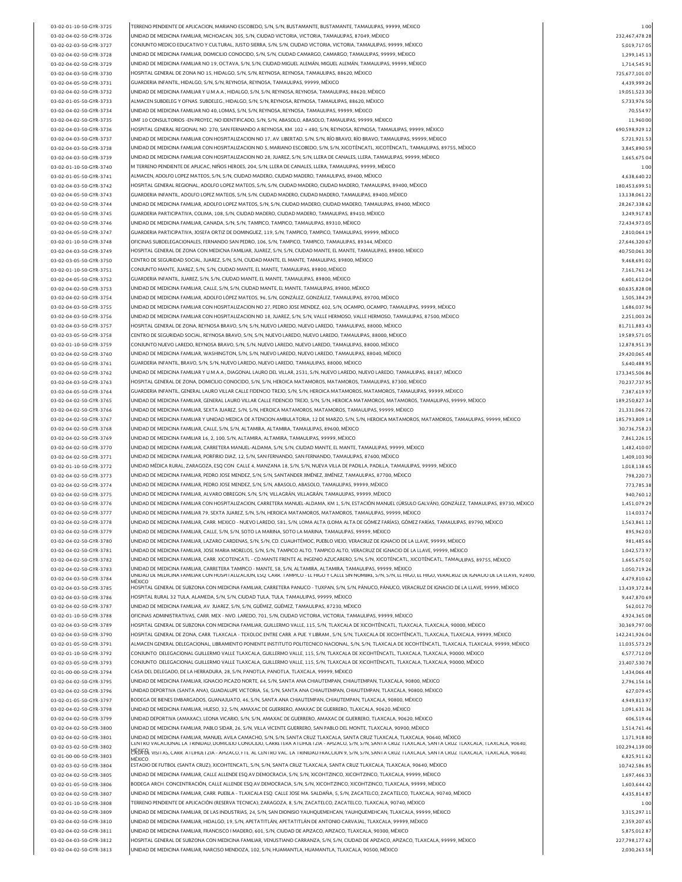| 03-02-01-10-50-GYR-3725 | TERRENO PENDIENTE DE APLICACION, MARIANO ESCOBEDO, S/N, S/N, BUSTAMANTE, BUSTAMANTE, TAMAULIPAS, 99999, MÊXICO                                                                                                                                                                          | 1.00           |
|-------------------------|-----------------------------------------------------------------------------------------------------------------------------------------------------------------------------------------------------------------------------------------------------------------------------------------|----------------|
|                         |                                                                                                                                                                                                                                                                                         |                |
| 03-02-04-02-50-GYR-3726 | UNIDAD DE MEDICINA FAMILIAR, MICHOACAN, 305, S/N, CIUDAD VICTORIA, VICTORIA, TAMAULIPAS, 87049, MÉXICO                                                                                                                                                                                  | 232,467,478.28 |
| 03-02-02-03-50-GYR-3727 | CONJUNTO MEDICO EDUCATIVO Y CULTURAL, JUSTO SIERRA, S/N, S/N, CIUDAD VICTORIA, VICTORIA, TAMAULIPAS, 99999, MÉXICO                                                                                                                                                                      | 5,019,717.05   |
| 03-02-04-02-50-GYR-3728 | UNIDAD DE MEDICINA FAMILIAR, DOMICILIO CONOCIDO, S/N, S/N, CIUDAD CAMARGO, CAMARGO, TAMAULIPAS, 99999, MÉXICO                                                                                                                                                                           | 1,299,145.13   |
| 03-02-04-02-50-GYR-3729 | UNIDAD DE MEDICINA FAMILIAR NO 19, OCTAVA, S/N, S/N, CIUDAD MIGUEL ALEMÁN, MIGUEL ALEMÁN, TAMAULIPAS, 99999, MÉXICO                                                                                                                                                                     | 1,714,545.91   |
| 03-02-04-03-50-GYR-3730 | HOSPITAL GENERAL DE ZONA NO 15, HIDALGO, S/N, S/N, REYNOSA, REYNOSA, TAMAULIPAS, 88620, MÉXICO                                                                                                                                                                                          | 725,677,101.07 |
| 03-02-04-05-50-GYR-3731 | GUARDERIA INFANTIL, HIDALGO, S/N, S/N, REYNOSA, REYNOSA, TAMAULIPAS, 99999, MÉXICO                                                                                                                                                                                                      | 4,439,999.26   |
| 03-02-04-02-50-GYR-3732 | UNIDAD DE MEDICINA FAMILIAR Y U.M.A.A., HIDALGO, S/N, S/N, REYNOSA, REYNOSA, TAMAULIPAS, 88620, MÊXICO                                                                                                                                                                                  | 19,051,523.30  |
|                         | ALMACEN SUBDELEG Y OFNAS. SUBDELEG., HIDALGO, S/N, S/N, REYNOSA, REYNOSA, TAMAULIPAS, 88620, MÊXICO                                                                                                                                                                                     |                |
| 03-02-01-05-50-GYR-3733 |                                                                                                                                                                                                                                                                                         | 5,733,976.50   |
| 03-02-04-02-50-GYR-3734 | UNIDAD DE MEDICINA FAMILIAR NO 40, LOMAS, S/N, S/N, REYNOSA, REYNOSA, TAMAULIPAS, 99999, MÉXICO                                                                                                                                                                                         | 70,554.97      |
| 03-02-04-02-50-GYR-3735 | UMF 10 CONSULTORIOS -EN PROYEC, NO IDENTIFICADO, S/N, S/N, ABASOLO, ABASOLO, TAMAULIPAS, 99999, MÉXICO                                                                                                                                                                                  | 11,960.00      |
| 03-02-04-03-50-GYR-3736 | HOSPITAL GENERAL REGIONAL NO. 270, SAN FERNANDO A REYNOSA, KM. 102 + 480, S/N, REYNOSA, REYNOSA, TAMAULIPAS, 99999, MÉXICO                                                                                                                                                              | 690,598,929.12 |
| 03-02-04-03-50-GYR-3737 | UNIDAD DE MEDICINA FAMILIAR CON HOSPITALIZACION NO 17, AV. LIBERTAD, S/N, S/N, RÍO BRAVO, RÍO BRAVO, TAMAULIPAS, 99999, MÉXICO                                                                                                                                                          | 5,721,921.53   |
| 03-02-04-03-50-GYR-3738 | UNIDAD DE MEDICINA FAMILIAR CON HOSPITALIZACION NO 5, MARIANO ESCOBEDO, S/N, S/N, XICOTÉNCATL, XICOTÉNCATL, TAMAULIPAS, 89755, MÉXICO                                                                                                                                                   | 3,845,890.59   |
| 03-02-04-03-50-GYR-3739 | UNIDAD DE MEDICINA FAMILIAR CON HOSPITALIZACION NO 28, JUAREZ, S/N, S/N, LLERA DE CANALES, LLERA, TAMAULIPAS, 99999, MÉXICO                                                                                                                                                             | 1.665.675.04   |
|                         |                                                                                                                                                                                                                                                                                         |                |
| 03-02-01-10-50-GYR-3740 | M TERRENO PENDIENTE DE APLICAC, NIÑOS HEROES, 204, S/N, LLERA DE CANALES, LLERA, TAMAULIPAS, 99999, MÊXICO                                                                                                                                                                              | 1.00           |
| 03-02-01-05-50-GYR-3741 | ALMACEN, ADOLFO LOPEZ MATEOS, S/N, S/N, CIUDAD MADERO, CIUDAD MADERO, TAMAULIPAS, 89400, MÉXICO                                                                                                                                                                                         | 4,638,640.22   |
| 03-02-04-03-50-GYR-3742 | HOSPITAL GENERAL REGIONAL, ADOLFO LOPEZ MATEOS, S/N, S/N, CIUDAD MADERO, CIUDAD MADERO, TAMAULIPAS, 89400, MÉXICO                                                                                                                                                                       | 180,453,699.51 |
| 03-02-04-05-50-GYR-3743 | GUARDERIA INFANTIL, ADOLFO LOPEZ MATEOS, S/N, S/N, CIUDAD MADERO, CIUDAD MADERO, TAMAULIPAS, 89400, MÉXICO                                                                                                                                                                              | 13,138,061.22  |
| 03-02-04-02-50-GYR-3744 | UNIDAD DE MEDICINA FAMILIAR, ADOLFO LOPEZ MATEOS, S/N, S/N, CIUDAD MADERO, CIUDAD MADERO, TAMAULIPAS, 89400, MÉXICO                                                                                                                                                                     | 28,267,338.62  |
| 03-02-04-05-50-GYR-3745 | GUARDERIA PARTICIPATIVA, COLIMA, 108, S/N, CIUDAD MADERO, CIUDAD MADERO, TAMAULIPAS, 89410, MEXICO                                                                                                                                                                                      | 3,249,917.83   |
| 03-02-04-02-50-GYR-3746 | UNIDAD DE MEDICINA FAMILIAR, CANADA, S/N, S/N, TAMPICO, TAMPICO, TAMAULIPAS, 89310, MÉXICO                                                                                                                                                                                              | 72,434,973.05  |
| 03-02-04-05-50-GYR-3747 | GUARDERIA PARTICIPATIVA, JOSEFA ORTIZ DE DOMINGUEZ, 119, S/N, TAMPICO, TAMPICO, TAMAULIPAS, 99999, MÉXICO                                                                                                                                                                               | 2,810,064.19   |
|                         |                                                                                                                                                                                                                                                                                         |                |
| 03-02-01-10-50-GYR-3748 | OFICINAS SUBDELEGACIONALES, FERNANDO SAN PEDRO, 106, S/N, TAMPICO, TAMPICO, TAMAULIPAS, 89344, MÉXICO                                                                                                                                                                                   | 27,646,320.67  |
| 03-02-04-03-50-GYR-3749 | HOSPITAL GENERAL DE ZONA CON MEDICNA FAMILIAR, JUAREZ, S/N, S/N, CIUDAD MANTE, EL MANTE, TAMAULIPAS, 89800, MÉXICO                                                                                                                                                                      | 40,750,061.30  |
| 03-02-03-05-50-GYR-3750 | CENTRO DE SEGURIDAD SOCIAL, JUAREZ, S/N, S/N, CIUDAD MANTE, EL MANTE, TAMAULIPAS, 89800, MÉXICO                                                                                                                                                                                         | 9,468,691.02   |
| 03-02-01-10-50-GYR-3751 | CONJUNTO MANTE, JUAREZ, S/N, S/N, CIUDAD MANTE, EL MANTE, TAMAULIPAS, 89800, MÉXICO                                                                                                                                                                                                     | 7,161,761.24   |
| 03-02-04-05-50-GYR-3752 | GUARDERIA INFANTIL, JUAREZ, S/N, S/N, CIUDAD MANTE, EL MANTE, TAMAULIPAS, 89800, MÉXICO                                                                                                                                                                                                 | 6,601,612.04   |
| 03-02-04-02-50-GYR-3753 | UNIDAD DE MEDICINA FAMILIAR, CALLE, S/N, S/N, CIUDAD MANTE, EL MANTE, TAMAULIPAS, 89800, MÉXICO                                                                                                                                                                                         | 60,635,828.08  |
|                         | UNIDAD DE MEDICINA FAMILIAR, ADOLFO LÓPEZ MATEOS, 96, S/N, GONZÁLEZ, GONZÁLEZ, TAMAULIPAS, 89700, MÉXICO                                                                                                                                                                                |                |
| 03-02-04-02-50-GYR-3754 |                                                                                                                                                                                                                                                                                         | 1,505,384.29   |
| 03-02-04-03-50-GYR-3755 | UNIDAD DE MEDICINA FAMILIAR CON HOSPITALIZACION NO 27, PEDRO JOSE MENDEZ, 602, S/N, OCAMPO, OCAMPO, TAMAULIPAS, 99999, MÉXICO                                                                                                                                                           | 1,686,037.96   |
| 03-02-04-03-50-GYR-3756 | UNIDAD DE MEDICINA FAMILIAR CON HOSPITALIZACION NO 18, JUAREZ, S/N, S/N, VALLE HERMOSO, VALLE HERMOSO, TAMAULIPAS, 87500, MÉXICO                                                                                                                                                        | 2,251,003.26   |
| 03-02-04-03-50-GYR-3757 | HOSPITAL GENERAL DE ZONA, REYNOSA BRAVO, S/N, S/N, NUEVO LAREDO, NUEVO LAREDO, TAMAULIPAS, 88000, MÉXICO                                                                                                                                                                                | 81,711,883.43  |
| 03-02-03-05-50-GYR-3758 | CENTRO DE SEGURIDAD SOCIAL, REYNOSA BRAVO, S/N, S/N, NUEVO LAREDO, NUEVO LAREDO, TAMAULIPAS, 88000, MÉXICO                                                                                                                                                                              | 19,589,571.05  |
| 03-02-01-10-50-GYR-3759 | CONJUNTO NUEVO LAREDO, REYNOSA BRAVO, S/N, S/N, NUEVO LAREDO, NUEVO LAREDO, TAMAULIPAS, 88000, MÉXICO                                                                                                                                                                                   | 12,878,951.39  |
| 03-02-04-02-50-GYR-3760 | UNIDAD DE MEDICINA FAMILIAR, WASHINGTON, S/N, S/N, NUEVO LAREDO, NUEVO LAREDO, TAMAULIPAS, 88040, MÊXICO                                                                                                                                                                                | 29,420,065.48  |
| 03-02-04-05-50-GYR-3761 | GUARDERIA INFANTIL, BRAVO, S/N, S/N, NUEVO LAREDO, NUEVO LAREDO, TAMAULIPAS, 88000, MÉXICO                                                                                                                                                                                              |                |
|                         |                                                                                                                                                                                                                                                                                         | 5,640,488.95   |
| 03-02-04-02-50-GYR-3762 | UNIDAD DE MEDICINA FAMILIAR Y U.M.A.A., DIAGONAL LAURO DEL VILLAR, 2531, S/N, NUEVO LAREDO, NUEVO LAREDO, TAMAULIPAS, 88187, MÉXICO                                                                                                                                                     | 173,345,506.86 |
| 03-02-04-03-50-GYR-3763 | HOSPITAL GENERAL DE ZONA, DOMICILIO CONOCIDO, S/N, S/N, HEROICA MATAMOROS, MATAMOROS, TAMAULIPAS, 87300, MÊXICO                                                                                                                                                                         | 70,237,737.95  |
| 03-02-04-05-50-GYR-3764 | GUARDERIA INFANTIL, GENERAL LAURO VILLAR CALLE FIDENCIO TREJO, S/N, S/N, HEROICA MATAMOROS, MATAMOROS, TAMAULIPAS, 99999, MÉXICO                                                                                                                                                        | 7,387,619.97   |
| 03-02-04-02-50-GYR-3765 | UNIDAD DE MEDICINA FAMILIAR, GENERAL LAURO VILLAR CALLE FIDENCIO TREJO, S/N, S/N, HEROICA MATAMOROS, MATAMOROS, TAMAULIPAS, 99999, MÉXICO                                                                                                                                               | 189,250,827.34 |
| 03-02-04-02-50-GYR-3766 | UNIDAD DE MEDICINA FAMILIAR, SEXTA JUAREZ, S/N, S/N, HEROICA MATAMOROS, MATAMOROS, TAMAULIPAS, 99999, MÉXICO                                                                                                                                                                            | 21,331,066.72  |
| 03-02-04-02-50-GYR-3767 | UNIDAD DE MEDICINA FAMILIAR Y UNIDAD MEDICA DE ATENCION AMBULATORIA, 12 DE MARZO, S/N, S/N, HEROICA MATAMOROS, MATAMOROS, TAMAULIPAS, 99999, MÉXICO                                                                                                                                     | 185,793,809.14 |
|                         | UNIDAD DE MEDICINA FAMILIAR, CALLE, S/N, S/N, ALTAMIRA, ALTAMIRA, TAMAULIPAS, 89600, MÉXICO                                                                                                                                                                                             |                |
| 03-02-04-02-50-GYR-3768 |                                                                                                                                                                                                                                                                                         | 30,736,758.23  |
| 03-02-04-02-50-GYR-3769 | UNIDAD DE MEDICINA FAMILIAR 16, 2, 100, S/N, ALTAMIRA, ALTAMIRA, TAMAULIPAS, 99999, MÉXICO                                                                                                                                                                                              | 7,861,226.15   |
| 03-02-04-02-50-GYR-3770 | UNIDAD DE MEDICINA FAMILIAR, CARRETERA MANUEL-ALDAMA, S/N, S/N, CIUDAD MANTE, EL MANTE, TAMAULIPAS, 99999, MÉXICO                                                                                                                                                                       | 1,482,410.07   |
| 03-02-04-02-50-GYR-3771 | UNIDAD DE MEDICINA FAMILIAR. PORFIRIO DIAZ. 12. S/N. SAN FERNANDO. SAN FERNANDO. TAMAULIPAS. 87600. MÉXICO                                                                                                                                                                              | 1,409,103.90   |
| 03-02-01-10-50-GYR-3772 | UNIDAD MÉDICA RURAL, ZARAGOZA, ESO CON CALLE 4, MANZANA 18, S/N, S/N, NUEVA VILLA DE PADILLA, PADILLA, TAMAULIPAS, 99999, MÉXICO                                                                                                                                                        | 1,018,138.65   |
| 03-02-04-02-50-GYR-3773 | UNIDAD DE MEDICINA FAMILIAR. PEDRO JOSE MENDEZ, S/N, S/N, SANTANDER JIMÉNEZ, JIMÉNEZ, TAMAULIPAS, 87700, MÉXICO                                                                                                                                                                         | 798,220.73     |
| 03-02-04-02-50-GYR-3774 | UNIDAD DE MEDICINA FAMILIAR, PEDRO JOSE MENDEZ, S/N, S/N, ABASOLO, ABASOLO, TAMAULIPAS, 99999, MÉXICO                                                                                                                                                                                   | 773.785.38     |
| 03-02-04-02-50-GYR-3775 | UNIDAD DE MEDICINA FAMILIAR, ALVARO OBREGON, S/N, S/N, VILLAGRÁN, VILLAGRÁN, TAMAULIPAS, 99999, MÉXICO                                                                                                                                                                                  | 940,760.12     |
| 03-02-04-03-50-GYR-3776 | UNIDAD DE MEDICINA FAMILIAR CON HOSPITALIZACION, CARRETERA MANUEL-ALDAMA, KM 1. S/N. ESTACIÓN MANUEL (ÚRSULO GALVÁN), GONZÁLEZ, TAMAULIPAS, 89730, MÉXICO                                                                                                                               |                |
|                         |                                                                                                                                                                                                                                                                                         | 1,451,079.29   |
| 03-02-04-02-50-GYR-3777 | UNIDAD DE MEDICINA FAMILIAR 79, SEXTA JUAREZ, S/N, S/N, HEROICA MATAMOROS, MATAMOROS, TAMAULIPAS, 99999, MÉXICO                                                                                                                                                                         | 114,033.74     |
| 03-02-04-02-50-GYR-3778 | UNIDAD DE MEDICINA FAMILIAR, CARR. MEXICO - NUEVO LAREDO, 581, S/N, LOMA ALTA (LOMA ALTA DE GÓMEZ FARÍAS), GÓMEZ FARÍAS, TAMAULIPAS, 89790, MÉXICO                                                                                                                                      | 1,563,861.12   |
| 03-02-04-02-50-GYR-3779 | UNIDAD DE MEDICINA FAMILIAR, CALLE, S/N, S/N, SOTO LA MARINA, SOTO LA MARINA, TAMAULIPAS, 99999, MÉXICO                                                                                                                                                                                 | 895,962.03     |
| 03-02-04-02-50-GYR-3780 | UNIDAD DE MEDICINA FAMILIAR, LAZARO CARDENAS, S/N, S/N, CD. CUAUHTÊMOC, PUEBLO VIEJO, VERACRUZ DE IGNACIO DE LA LLAVE, 99999, MÊXICO                                                                                                                                                    | 981,485.66     |
| 03-02-04-02-50-GYR-3781 | UNIDAD DE MEDICINA FAMILIAR, JOSE MARIA MORELOS, S/N, S/N, TAMPICO ALTO, TAMPICO ALTO, VERACRUZ DE IGNACIO DE LA LLAVE, 99999, MÉXICO                                                                                                                                                   | 1,042,573.97   |
| 03-02-04-02-50-GYR-3782 | UNIDAD DE MEDICINA FAMILIAR, CARR. XICOTENCATL - CD.MANTE FRENTE AL INGENIO AZUCARERO, S/N, S/N, XICOTÉNCATL, XICOTÉNCATL, TAMAULIPAS, 89755, MÉXICO                                                                                                                                    | 1,665,675.02   |
|                         |                                                                                                                                                                                                                                                                                         |                |
| 03-02-04-02-50-GYR-3783 | UNIDAD DE MEDICINA FAMILIAR, CARRETERA TAMPICO - MANTE, 58, S/N, ALTAMIRA, ALTAMIRA, TAMAULIPAS, 99999, MÉXICO<br>UNIDAD DE MEDICINA FAMILIAR CON HOSPITALIZACION, ESQ. CARR. TAMPICO - EL HIGO Y CALLE SIN NOMBRE, S/N, S/N, EL HIGO, EL HIGO, VERACRUZ DE IGNACIO DE LA LLAVE, 92400, | 1,050,719.26   |
| 03-02-04-03-50-GYR-3784 | MÉXICO                                                                                                                                                                                                                                                                                  | 4,479,810.62   |
| 03-02-04-03-50-GYR-3785 | HOSPITAL GENERAL DE SUBZONA CON MEDICINA FAMILIAR, CARRETERA PANUCO - TUXPAN, S/N, S/N, PÂNUCO, PÂNUCO, VERACRUZ DE IGNACIO DE LA LLAVE, 99999, MÊXICO                                                                                                                                  | 13,439,372.84  |
| 03-02-04-03-50-GYR-3786 | HOSPITAL RURAL 32 TULA, ALAMEDA, S/N, S/N, CIUDAD TULA, TULA, TAMAULIPAS, 99999, MÉXICO                                                                                                                                                                                                 | 9,447,870.69   |
| 03-02-04-02-50-GYR-3787 | UNIDAD DE MEDICINA FAMILIAR, AV. JUAREZ, S/N, S/N, GÜÉMEZ, GÜÉMEZ, TAMAULIPAS, 87230, MÉXICO                                                                                                                                                                                            | 562,012.70     |
| 03-02-01-10-50-GYR-3788 | OFICINAS ADMINISTRATIVAS, CARR. MEX - NVO. LAREDO, 701, S/N, CIUDAD VICTORIA, VICTORIA, TAMAULIPAS, 99999, MÉXICO                                                                                                                                                                       | 4,924,365.08   |
| 03-02-04-03-50-GYR-3789 | HOSPITAL GENERAL DE SUBZONA CON MEDICINA FAMILIAR, GUILLERMO VALLE, 115, S/N, TLAXCALA DE XICOHTÉNCATL, TLAXCALA, TLAXCALA, 90000, MÉXICO                                                                                                                                               | 30,369,797.00  |
| 03-02-04-03-50-GYR-3790 | HOSPITAL GENERAL DE ZONA, CARR. TLAXCALA - TEXOLOC ENTRE CARR. A PUE. Y LIBRAM., S/N, S/N, TLAXCALA DE XICOHTÉNCATL, TLAXCALA, TLAXCALA, 99999, MÉXICO                                                                                                                                  | 142,241,926.04 |
|                         |                                                                                                                                                                                                                                                                                         |                |
| 03-02-01-05-50-GYR-3791 | ALMACEN GENERAL DELEGACIONAL, LIBRAMIENTO PONIENTE INSTITUTO POLITECNICO NACIONAL, S/N, S/N, TLAXCALA DE XICOHTÉNCATL, TLAXCALA, TLAXCALA, 99999, MÉXICO                                                                                                                                | 11,035,573.29  |
| 03-02-01-10-50-GYR-3792 | CONJUNTO DELEGACIONAL GUILLERMO VALLE TLAXCALA, GUILLERMO VALLE, 115, S/N, TLAXCALA DE XICOHTÉNCATL, TLAXCALA, TLAXCALA, 90000, MÉXICO                                                                                                                                                  | 6,577,712.09   |
| 03-02-03-05-50-GYR-3793 | CONJUNTO DELEGACIONAL GUILLERMO VALLE TLAXCALA, GUILLERMO VALLE, 115, S/N, TLAXCALA DE XICOHTÉNCATL, TLAXCALA, TLAXCALA, 90000, MÉXICO                                                                                                                                                  | 23,407,530.78  |
| 02-01-00-00-50-GYR-3794 | CASA DEL DELEGADO, DE LA HERRADURA, 28, S/N, PANOTLA, PANOTLA, TLAXCALA, 99999, MÉXICO                                                                                                                                                                                                  | 1,434,066.48   |
| 03-02-04-02-50-GYR-3795 | UNIDAD DE MEDICINA FAMILIAR, IGNACIO PICAZO NORTE, 64, S/N, SANTA ANA CHIAUTEMPAN, CHIAUTEMPAN, TLAXCALA, 90800, MÊXICO                                                                                                                                                                 | 2,796,156.16   |
| 03-02-04-02-50-GYR-3796 | UNIDAD DEPORTIVA (SANTA ANA), GUADALUPE VICTORIA, 56, S/N, SANTA ANA CHIAUTEMPAN, CHIAUTEMPAN, TLAXCALA, 90800, MÉXICO                                                                                                                                                                  | 627,079.45     |
| 03-02-01-05-50-GYR-3797 | BODEGA DE BIENES EMBARGADOS, GUANAJUATO, 46, S/N, SANTA ANA CHIAUTEMPAN, CHIAUTEMPAN, TLAXCALA, 90800, MÉXICO                                                                                                                                                                           | 4,949,813.97   |
|                         |                                                                                                                                                                                                                                                                                         |                |
| 03-02-04-02-50-GYR-3798 | UNIDAD DE MEDICINA FAMILIAR, HUESO, 32, S/N, AMAXAC DE GUERRERO, AMAXAC DE GUERRERO, TLAXCALA, 90620, MÊXICO                                                                                                                                                                            | 1,091,631.36   |
| 03-02-04-02-50-GYR-3799 | UNIDAD DEPORTIVA (AMAXAC), LEONA VICARIO, S/N, S/N, AMAXAC DE GUERRERO, AMAXAC DE GUERRERO, TLAXCALA, 90620, MÉXICO                                                                                                                                                                     | 606,519.46     |
| 03-02-04-02-50-GYR-3800 | UNIDAD DE MEDICINA FAMILIAR, PABLO SIDAR, 26, S/N, VILLA VICENTE GUERRERO, SAN PABLO DEL MONTE, TLAXCALA, 90900, MÈXICO                                                                                                                                                                 | 1,514,761.46   |
| 03-02-04-02-50-GYR-3801 | UNIDAD DE MEDICINA FAMILIAR, MANUEL AVILA CAMACHO, S/N, S/N, SANTA CRUZ TLAXCALA, SANTA CRUZ TLAXCALA, TLAXCALA, 90640, MÉXICO                                                                                                                                                          | 1,171,918.80   |
| 03-02-03-02-50-GYR-3802 | CENTRO VACACIONAL LA TRINIDAD, DOMICILIO CONOCIDO, CARRETERA ATLIHUETZIA - APIZACO, S/N, S/N, SANTA CRUZ TLAXCALA, SANTA CRUZ TLAXCALA, TLAXCALA, 10640,                                                                                                                                | 102,294,139.00 |
| 02-01-00-00-50-GYR-3803 | MASKOE visitas, carr, atlihuetzia - apizacu, fte, al centro vac. la trinidad fraccion 9, s/n, s/n, santa cruz tlaxcala, santa cruz tlaxcala, tlaxcala, 90640,                                                                                                                           | 6,825,911.62   |
|                         | <b>MÉXICO</b><br>ESTADIO DE FUTBOL (SANTA CRUZ), XICOHTENCATL, S/N, S/N, SANTA CRUZ TLAXCALA, SANTA CRUZ TLAXCALA, TLAXCALA, 90640, MÉXICO                                                                                                                                              |                |
| 03-02-03-02-50-GYR-3804 |                                                                                                                                                                                                                                                                                         | 10,742,586.85  |
| 03-02-04-02-50-GYR-3805 | UNIDAD DE MEDICINA FAMILIAR, CALLE ALLENDE ESQ.AV.DEMOCRACIA, S/N, S/N, XICOHTZINCO, XICOHTZINCO, TLAXCALA, 99999, MÊXICO                                                                                                                                                               | 1,697,466.33   |
| 03-02-01-05-50-GYR-3806 | BODEGA ARCH. CONCENTRACIÓN, CALLE ALLENDE ESQ.AV.DEMOCRACIA, S/N, S/N, XICOHTZINCO, XICOHTZINCO, TLAXCALA, 99999, MÉXICO                                                                                                                                                                | 1,603,644.42   |
| 03-02-04-02-50-GYR-3807 | UNIDAD DE MEDICINA FAMILIAR, CARR. PUEBLA - TLAXCALA ESQ. CALLE JOSE MA. SALDAÑA, 5, S/N, ZACATELCO, ZACATELCO, TLAXCALA, 90740, MÉXICO                                                                                                                                                 | 4,435,814.87   |
| 03-02-01-10-50-GYR-3808 | TERRENO PENDIENTE DE APLICACIÓN (RESERVA TECNICA), ZARAGOZA, 8, S/N, ZACATELCO, ZACATELCO, TLAXCALA, 90740, MÉXICO                                                                                                                                                                      | 1.00           |
| 03-02-04-02-50-GYR-3809 | UNIDAD DE MEDICINA FAMILIAR, DE LAS INDUSTRIAS, 24, S/N, SAN DIONISIO YAUHQUEMEHCAN, YAUHQUEMEHCAN, TLAXCALA, 99999, MÉXICO                                                                                                                                                             | 3,315,297.11   |
| 03-02-04-02-50-GYR-3810 | UNIDAD DE MEDICINA FAMILIAR, HIDALGO, 19, S/N, APETATITLÂN, APETATITLÂN DE ANTONIO CARVAJAL, TLAXCALA, 99999, MÊXICO                                                                                                                                                                    | 2,359,207.65   |
|                         | UNIDAD DE MEDICINA FAMILIAR, FRANCISCO I MADERO, 601, S/N, CIUDAD DE APIZACO, APIZACO, TLAXCALA, 90300, MÉXICO                                                                                                                                                                          |                |
| 03-02-04-02-50-GYR-3811 |                                                                                                                                                                                                                                                                                         | 5,875,012.87   |
| 03-02-04-03-50-GYR-3812 | HOSPITAL GENERAL DE SUBZONA CON MEDICINA FAMILIAR, VENUSTIANO CARRANZA, S/N, S/N, CIUDAD DE APIZACO, APIZACO, TLAXCALA, 99999, MÊXICO                                                                                                                                                   | 227,798,177.62 |
| 03-02-04-02-50-GYR-3813 | UNIDAD DE MEDICINA FAMILIAR, NARCISO MENDOZA, 102, S/N, HUAMANTLA, HUAMANTLA, TLAXCALA, 90500, MÊXICO                                                                                                                                                                                   | 2,030,263.58   |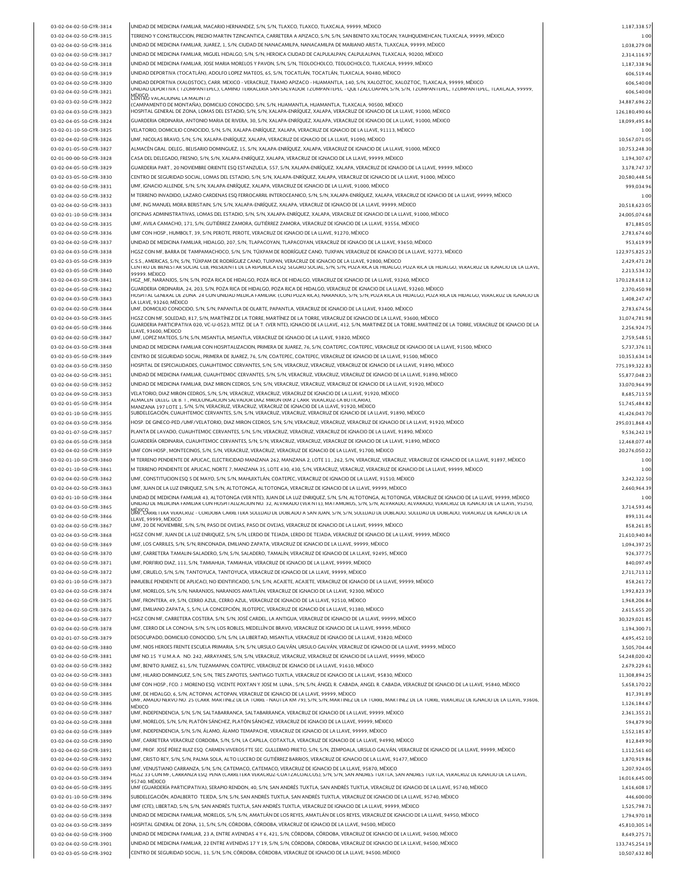| 03-02-04-02-50-GYR-3814 | UNIDAD DE MEDICINA FAMILIAR, MACARIO HERNANDEZ, S/N, S/N, TLAXCO, TLAXCO, TLAXCALA, 99999, MÉXICO                                                                                                                                                                                              | 1,187,338.57   |
|-------------------------|------------------------------------------------------------------------------------------------------------------------------------------------------------------------------------------------------------------------------------------------------------------------------------------------|----------------|
| 03-02-04-02-50-GYR-3815 | TERRENO Y CONSTRUCCION. PREDIO MARTIN TZINCANTICA. CARRETERA A APIZACO. S/N. S/N. SAN BENITO XALTOCAN. YAUHOUEMEHCAN. TLAXCALA. 99999. MĚXICO                                                                                                                                                  | 1.00           |
|                         |                                                                                                                                                                                                                                                                                                |                |
| 03-02-04-02-50-GYR-3816 | UNIDAD DE MEDICINA FAMILIAR, JUAREZ, 1, S/N, CIUDAD DE NANACAMILPA, NANACAMILPA DE MARIANO ARISTA, TLAXCALA, 99999, MÉXICO                                                                                                                                                                     | 1,038,279.08   |
| 03-02-04-02-50-GYR-3817 | UNIDAD DE MEDICINA FAMILIAR, MIGUEL HIDALGO, S/N, S/N, HEROICA CIUDAD DE CALPULALPAN, CALPULALPAN, TLAXCALA, 90200, MÊXICO                                                                                                                                                                     | 2,314,116.97   |
| 03-02-04-02-50-GYR-3818 | UNIDAD DE MEDICINA FAMILIAR, JOSE MARIA MORELOS Y PAVON, S/N, S/N, TEOLOCHOLCO, TEOLOCHOLCO, TLAXCALA, 99999, MÉXICO                                                                                                                                                                           | 1,187,338.96   |
| 03-02-04-02-50-GYR-3819 | UNIDAD DEPORTIVA (TOCATLÁN), ADOLFO LOPEZ MATEOS, 65, S/N, TOCATLÁN, TOCATLÁN, TLAXCALA, 90480, MÉXICO                                                                                                                                                                                         | 606,519.46     |
|                         |                                                                                                                                                                                                                                                                                                |                |
| 03-02-04-02-50-GYR-3820 | UNIDAD DEPORTIVA (XALOSTOC), CARR. MEXICO - VERACRUZ, TRAMO APIZACO - HUAMANTLA, 140, S/N, XALOZTOC, XALOZTOC, TLAXCALA, 99999, MÉXICO<br>UNIDAD DEPORTIVA (TZOMPANTEPEC), CAMINO TERRACERIA SAN SALVADOR TZOMPANTEPEC - QUETZALCOAPAN, S/N, S/N, TZOMPANTEPEC, TZOMPANTEPEC, TLAXCALA, 99999, | 606,540.08     |
| 03-02-04-02-50-GYR-3821 |                                                                                                                                                                                                                                                                                                | 606,540.08     |
| 03-02-03-02-50-GYR-3822 | <b>MENTRO VACACIONAL LA MALINTZI</b>                                                                                                                                                                                                                                                           | 34,887,696.22  |
|                         | (CAMPAMENTO DE MONTAÑA), DOMICILIO CONOCIDO, S/N, S/N, HUAMANTLA, HUAMANTLA, TLAXCALA, 90500, MÉXICO                                                                                                                                                                                           |                |
| 03-02-04-03-50-GYR-3823 | HOSPITAL GENERAL DE ZONA, LOMAS DEL ESTADIO, S/N, S/N, XALAPA-ENRÍQUEZ, XALAPA, VERACRUZ DE IGNACIO DE LA LLAVE, 91000, MÊXICO                                                                                                                                                                 | 126,180,490.66 |
| 03-02-04-05-50-GYR-3824 | GUARDERIA ORDINARIA, ANTONIO MARIA DE RIVERA, 30, S/N, XALAPA-ENRÍQUEZ, XALAPA, VERACRUZ DE IGNACIO DE LA LLAVE, 91000, MÉXICO                                                                                                                                                                 | 18,099,495.84  |
| 03-02-01-10-50-GYR-3825 | VELATORIO, DOMICILIO CONOCIDO, S/N, S/N, XALAPA-ENRÍQUEZ, XALAPA, VERACRUZ DE IGNACIO DE LA LLAVE, 91113, MÉXICO                                                                                                                                                                               | 1.00           |
| 03-02-04-02-50-GYR-3826 | UMF, NICOLAS BRAVO, S/N, S/N, XALAPA-ENRÍQUEZ, XALAPA, VERACRUZ DE IGNACIO DE LA LLAVE, 91090, MÉXICO                                                                                                                                                                                          | 10,567,071.05  |
|                         |                                                                                                                                                                                                                                                                                                |                |
| 03-02-01-05-50-GYR-3827 | ALMACÉN GRAL. DELEG., BELISARIO DOMINGUEZ, 15, S/N, XALAPA-ENRÍQUEZ, XALAPA, VERACRUZ DE IGNACIO DE LA LLAVE, 91000, MÉXICO                                                                                                                                                                    | 10.753.248.30  |
| 02-01-00-00-50-GYR-3828 | CASA DEL DELEGADO, FRESNO, S/N, S/N, XALAPA-ENRÍQUEZ, XALAPA, VERACRUZ DE IGNACIO DE LA LLAVE, 99999, MÉXICO                                                                                                                                                                                   | 1,194,307.67   |
| 03-02-04-05-50-GYR-3829 | GUARDERIA PART., 20 NOVIEMBRE ORIENTE ESQ ESTANZUELA, 557, S/N, XALAPA-ENRÍQUEZ, XALAPA, VERACRUZ DE IGNACIO DE LA LLAVE, 99999, MÉXICO                                                                                                                                                        | 3,178,747.37   |
| 03-02-03-05-50-GYR-3830 | CENTRO DE SEGURIDAD SOCIAL, LOMAS DEL ESTADIO, S/N, S/N, XALAPA-ENRÍQUEZ, XALAPA, VERACRUZ DE IGNACIO DE LA LLAVE, 91000, MÉXICO                                                                                                                                                               | 20.580.448.56  |
|                         |                                                                                                                                                                                                                                                                                                |                |
| 03-02-04-02-50-GYR-3831 | UMF, IGNACIO ALLENDE, S/N, S/N, XALAPA-ENRÍQUEZ, XALAPA, VERACRUZ DE IGNACIO DE LA LLAVE, 91000, MÉXICO                                                                                                                                                                                        | 999,034.96     |
| 03-02-04-02-50-GYR-3832 | M TERRENO INVADIDO, LAZARO CARDENAS ESO FERROCARRIL INTEROCEANICO, S/N, S/N, XALAPA-ENRÍQUEZ, XALAPA, VERACRUZ DE IGNACIO DE LA LLAVE, 99999, MÉXICO                                                                                                                                           | 1.00           |
| 03-02-04-02-50-GYR-3833 | UMF, ING MANUEL MORA BERISTAIN, S/N, S/N, XALAPA-ENRIQUEZ, XALAPA, VERACRUZ DE IGNACIO DE LA LLAVE, 99999, MÉXICO                                                                                                                                                                              | 20,518,623.05  |
| 03-02-01-10-50-GYR-3834 | OFICINAS ADMINISTRATIVAS, LOMAS DEL ESTADIO, S/N, S/N, XALAPA-ENRÍQUEZ, XALAPA, VERACRUZ DE IGNACIO DE LA LLAVE, 91000, MÉXICO                                                                                                                                                                 | 24,005,074.68  |
|                         |                                                                                                                                                                                                                                                                                                |                |
| 03-02-04-02-50-GYR-3835 | UMF, AVILA CAMACHO, 171, S/N, GUTIÉRREZ ZAMORA, GUTIÉRREZ ZAMORA, VERACRUZ DE IGNACIO DE LA LLAVE, 93556, MÉXICO                                                                                                                                                                               | 871.885.05     |
| 03-02-04-02-50-GYR-3836 | UMF CON HOSP., HUMBOLT, 39, S/N, PEROTE, PEROTE, VERACRUZ DE IGNACIO DE LA LLAVE, 91270, MÉXICO                                                                                                                                                                                                | 2,783,674.60   |
| 03-02-04-02-50-GYR-3837 | UNIDAD DE MEDICINA FAMILIAR, HIDALGO, 207, S/N, TLAPACOYAN, TLAPACOYAN, VERACRUZ DE IGNACIO DE LA LLAVE, 93650, MÉXICO                                                                                                                                                                         | 953.619.99     |
| 03-02-04-03-50-GYR-3838 | HGSZ CON MF, BARRA DE TAMPAMACHOCO, S/N, S/N, TÚXPAM DE RODRÍGUEZ CANO, TUXPAN, VERACRUZ DE IGNACIO DE LA LLAVE, 92773, MÊXICO                                                                                                                                                                 | 122,975,825.23 |
|                         |                                                                                                                                                                                                                                                                                                |                |
| 03-02-03-05-50-GYR-3839 | C.S.S., AMERICAS, S/N, S/N, TÚXPAM DE RODRÍGUEZ CANO, TUXPAN, VERACRUZ DE IGNACIO DE LA LLAVE, 92800, MÉXICO                                                                                                                                                                                   | 2,429,471.28   |
| 03-02-03-05-50-GYR-3840 | CENTRO DE BIENESTAR SOCIAL CEB, PRESIDENTE DE LA REPUBLICA ESQ. SEGURO SOCIAL, S/N, S/N, POZA RICA DE HIDALGO, POZA RICA DE HIDALGO, VERACROZ DE IGNACIO DE LA LLAVE,<br>99999. MĚXICC                                                                                                         | 2.213.534.32   |
| 03-02-04-03-50-GYR-3841 | HGZ_MF, NARANJOS, S/N, S/N, POZA RICA DE HIDALGO, POZA RICA DE HIDALGO, VERACRUZ DE IGNACIO DE LA LLAVE, 93260, MÉXICO                                                                                                                                                                         | 170,128,618.12 |
|                         | GUARDERIA ORDINARIA, 24, 203, S/N, POZA RICA DE HIDALGO, POZA RICA DE HIDALGO, VERACRUZ DE IGNACIO DE LA LLAVE, 93260, MÉXICO                                                                                                                                                                  |                |
| 03-02-04-05-50-GYR-3842 | HOSPITAL GENERAL DE ZONA. 24 CON UNIDAD MEDICA FAMILIAR. (CONJ POZA RICA), NARANJOS, S/N, S/N, POZA RICA DE HIDALGO, POZA RICA DE HIDALGO, VERACRUZ DE IGNACIO DE                                                                                                                              | 2.370.450.98   |
| 03-02-04-03-50-GYR-3843 | LA LLAVE 93260 MÉXICO                                                                                                                                                                                                                                                                          | 1,408,247.47   |
| 03-02-04-02-50-GYR-3844 | UMF, DOMICILIO CONOCIDO, S/N, S/N, PAPANTLA DE OLARTE, PAPANTLA, VERACRUZ DE IGNACIO DE LA LLAVE, 93400, MÉXICO                                                                                                                                                                                | 2,783,674.56   |
|                         | HGSZ CON MF, SOLEDAD, 817, S/N, MARTÍNEZ DE LA TORRE, MARTÍNEZ DE LA TORRE, VERACRUZ DE IGNACIO DE LA LLAVE, 93600, MÉXICO                                                                                                                                                                     |                |
| 03-02-04-03-50-GYR-3845 | GUARDERIA PARTICIPATIVA 020, VC-U-0523; MTEZ. DE LA T. (VER NTE), IGNACIO DE LA LLAVE, 412, S/N, MARTINEZ DE LA TORRE, MARTINEZ DE LA TORRE, VERACRUZ DE IGNACIO DE LA                                                                                                                         | 31,074,781.98  |
| 03-02-04-05-50-GYR-3846 | LLAVE 93600 MÉXICO                                                                                                                                                                                                                                                                             | 2.256.924.75   |
| 03-02-04-02-50-GYR-3847 | UMF. LOPEZ MATEOS, S/N, S/N, MISANTLA, MISANTLA, VERACRUZ DE IGNACIO DE LA LLAVE, 93820, MÉXICO                                                                                                                                                                                                | 2,759,548.51   |
| 03-02-04-03-50-GYR-3848 | UNIDAD DE MEDICINA FAMILIAR CON HOSPITALIZACION, PRIMERA DE JUAREZ, 76, S/N, COATEPEC, COATEPEC, VERACRUZ DE IGNACIO DE LA LLAVE, 91500, MÉXICO                                                                                                                                                | 5,737,376.11   |
|                         |                                                                                                                                                                                                                                                                                                |                |
| 03-02-03-05-50-GYR-3849 | CENTRO DE SEGURIDAD SOCIAL, PRIMERA DE JUAREZ, 76, S/N, COATEPEC, COATEPEC, VERACRUZ DE IGNACIO DE LA LLAVE, 91500, MÉXICO                                                                                                                                                                     | 10.353.634.14  |
| 03-02-04-03-50-GYR-3850 | HOSPITAL DE ESPECIALIDADES, CUAUHTEMOC CERVANTES, S/N, S/N, VERACRUZ, VERACRUZ, VERACRUZ DE IGNACIO DE LA LLAVE, 91890, MÉXICO                                                                                                                                                                 | 775,199,322.83 |
| 03-02-04-02-50-GYR-3851 | UNIDAD DE MEDICINA FAMILIAR, CUAUHTEMOC CERVANTES, S/N, S/N, VERACRUZ, VERACRUZ, VERACRUZ DE IGNACIO DE LA LLAVE, 91890, MÉXICO                                                                                                                                                                | 55,877,048.23  |
| 03-02-04-02-50-GYR-3852 | UNIDAD DE MEDICINA FAMILIAR, DIAZ MIRON CEDROS, S/N, S/N, VERACRUZ, VERACRUZ, VERACRUZ DE IGNACIO DE LA LLAVE, 91920, MÉXICO                                                                                                                                                                   | 33.070.964.99  |
|                         |                                                                                                                                                                                                                                                                                                |                |
| 03-02-04-09-50-GYR-3853 | VELATORIO, DIAZ MIRON CEDROS, S/N, S/N, VERACRUZ, VERACRUZ, VERACRUZ DE IGNACIO DE LA LLAVE, 91920, MÉXICO                                                                                                                                                                                     | 8.685.713.59   |
| 03-02-01-05-50-GYR-3854 | ALMACEN DELEG. DE B. T., PROLONGACION SALVADOR DIAZ MIRON (KM 2 CARR. VERACRUZ-LA BOTICARIA),<br>MANZANA 197 LOTE 1, S/N, S/N, VERACRUZ, VERACRUZ, VERACRUZ DE IGNACIO DE LA LLAVE, 91920, MÉXICO                                                                                              | 51,745,484.82  |
| 03-02-01-10-50-GYR-3855 | SUBDELEGACIÓN, CUAUHTEMOC CERVANTES, S/N, S/N, VERACRUZ, VERACRUZ, VERACRUZ DE IGNACIO DE LA LLAVE, 91890, MÉXICO                                                                                                                                                                              | 41,426,043.70  |
|                         |                                                                                                                                                                                                                                                                                                |                |
| 03-02-04-03-50-GYR-3856 | HOSP. DE GINECO-PED./UMF/VELATORIO, DIAZ MIRON CEDROS, S/N, S/N, VERACRUZ, VERACRUZ, VERACRUZ DE IGNACIO DE LA LLAVE, 91920, MÉXICO                                                                                                                                                            | 295,031,868.43 |
|                         |                                                                                                                                                                                                                                                                                                |                |
| 03-02-01-07-50-GYR-3857 | PLANTA DE LAVADO, CUAUHTEMOC CERVANTES, S/N, S/N, VERACRUZ, VERACRUZ, VERACRUZ DE IGNACIO DE LA LLAVE, 91890, MÊXICO                                                                                                                                                                           | 9,536,242.19   |
| 03-02-04-05-50-GYR-3858 | GUARDERÍA ORDINARIA, CUAUHTEMOC CERVANTES, S/N, S/N, VERACRUZ, VERACRUZ, VERACRUZ DE IGNACIO DE LA LLAVE, 91890, MÉXICO                                                                                                                                                                        | 12.468.077.48  |
|                         |                                                                                                                                                                                                                                                                                                |                |
| 03-02-04-02-50-GYR-3859 | UMF CON HOSP., MONTECINOS, S/N, S/N, VERACRUZ, VERACRUZ, VERACRUZ DE IGNACIO DE LA LLAVE, 91700, MÉXICO                                                                                                                                                                                        | 20.276.050.22  |
| 03-02-01-10-50-GYR-3860 | M TERRENO PENDIENTE DE APLICAC, ELECTRICIDAD MANZANA 262, MANZANA 2, LOTE 11., 262, S/N, VERACRUZ, VERACRUZ, VERACRUZ DE IGNACIO DE LA LLAVE, 91897, MÉXICO                                                                                                                                    | 1.00           |
| 03-02-01-10-50-GYR-3861 | M TERRENO PENDIENTE DE APLICAC, NORTE 7, MANZANA 35, LOTE 430, 430, S/N, VERACRUZ, VERACRUZ, VERACRUZ DE IGNACIO DE LA LLAVE, 99999, MÉXICO                                                                                                                                                    | 1.00           |
|                         |                                                                                                                                                                                                                                                                                                |                |
| 03-02-04-02-50-GYR-3862 | UMF, CONSTITUCION ESQ 5 DE MAYO, S/N, S/N, MAHUIXTLÂN, COATEPEC, VERACRUZ DE IGNACIO DE LA LLAVE, 91510, MÊXICO                                                                                                                                                                                | 3,242,322.50   |
| 03-02-04-02-50-GYR-3863 | UMF. JUAN DE LA LUZ ENRIOUEZ. S/N. S/N. ALTOTONGA. ALTOTONGA. VERACRUZ DE IGNACIO DE LA LLAVE. 99999. MÉXICO                                                                                                                                                                                   | 2,660,964.39   |
| 03-02-01-10-50-GYR-3864 | UNIDAD DE MEDICINA FAMILIAR 43, ALTOTONGA (VER NTE), JUAN DE LA LUZ ENRIQUEZ, S/N, S/N, ALTOTONGA, ALTOTONGA, VERACRUZ DE IGNACIO DE LA LLAVE, 99999, MÉXICO                                                                                                                                   | 1.00           |
| 03-02-04-03-50-GYR-3865 | UNIDAD DE MEDICINA FAMILIAR CON HOSPITALIZACION NO. 32, ALVARADO (VER NTE), MATAMOROS, S/N, S/N, ALVARADO, ALVARADO, VERACROZ DE IGNACIO DE LA LLAVE, 95250,                                                                                                                                   | 3,714,593.46   |
|                         | MAY.CARRETERA VERACRUZ - CORDOBA CARRETERA SOLEDAD DE DOBLADO A SAN JUAN, S/N, S/N, SOLEDAD DE DOBLADO, SOLEDAD DE DOBLADO, VERACRUZ DE IGNACIO DE LA                                                                                                                                          |                |
| 03-02-04-02-50-GYR-3866 | LLAVE 99999 MÉXICO                                                                                                                                                                                                                                                                             | 899.131.44     |
| 03-02-04-02-50-GYR-3867 | UMF, 20 DE NOVIEMBRE, S/N, S/N, PASO DE OVEJAS, PASO DE OVEJAS, VERACRUZ DE IGNACIO DE LA LLAVE, 99999, MÉXICO                                                                                                                                                                                 | 858,261.85     |
| 03-02-04-03-50-GYR-3868 | HGSZ CON MF, JUAN DE LA LUZ ENRIQUEZ, S/N, S/N, LERDO DE TEJADA, LERDO DE TEJADA, VERACRUZ DE IGNACIO DE LA LLAVE, 99999, MÉXICO                                                                                                                                                               | 21,610,940.84  |
| 03-02-04-02-50-GYR-3869 | UMF, LOS CARRILES, S/N, S/N, RINCONADA, EMILIANO ZAPATA, VERACRUZ DE IGNACIO DE LA LLAVE, 99999, MÉXICO                                                                                                                                                                                        | 1,094,397.25   |
|                         |                                                                                                                                                                                                                                                                                                |                |
| 03-02-04-02-50-GYR-3870 | UMF, CARRETERA TAMALIN-SALADERO, S/N, S/N, SALADERO, TAMALÍN, VERACRUZ DE IGNACIO DE LA LLAVE, 92495, MÉXICO                                                                                                                                                                                   | 926,377.75     |
| 03-02-04-02-50-GYR-3871 | UMF, PORFIRIO DIAZ, 111, S/N, TAMIAHUA, TAMIAHUA, VERACRUZ DE IGNACIO DE LA LLAVE, 99999, MÉXICO                                                                                                                                                                                               | 840,097.49     |
| 03-02-04-02-50-GYR-3872 | UMF, CIRUELO, S/N, S/N, TANTOYUCA, TANTOYUCA, VERACRUZ DE IGNACIO DE LA LLAVE, 99999, MÉXICO                                                                                                                                                                                                   | 2,711,713.12   |
| 03-02-01-10-50-GYR-3873 | INMUEBLE PENDIENTE DE APLICACI, NO IDENTIFICADO, S/N, S/N, ACAJETE, ACAJETE, VERACRUZ DE IGNACIO DE LA LLAVE, 99999, MÉXICO                                                                                                                                                                    |                |
|                         |                                                                                                                                                                                                                                                                                                | 858,261.72     |
| 03-02-04-02-50-GYR-3874 | UMF, MORELOS, S/N, S/N, NARANJOS, NARANJOS AMATLÁN, VERACRUZ DE IGNACIO DE LA LLAVE, 92300, MÉXICO                                                                                                                                                                                             | 1,992,823.39   |
| 03-02-04-02-50-GYR-3875 | UMF, FRONTERA, 49, S/N, CERRO AZUL, CERRO AZUL, VERACRUZ DE IGNACIO DE LA LLAVE, 92510, MÉXICO                                                                                                                                                                                                 | 1,968,206.84   |
| 03-02-04-02-50-GYR-3876 | UMF, EMILIANO ZAPATA, 5, S/N, LA CONCEPCIÓN, JILOTEPEC, VERACRUZ DE IGNACIO DE LA LLAVE, 91380, MÉXICO                                                                                                                                                                                         | 2,615,655.20   |
|                         |                                                                                                                                                                                                                                                                                                |                |
| 03-02-04-03-50-GYR-3877 | HGSZ CON MF, CARRETERA COSTERA, S/N, S/N, JOSE CARDEL, LA ANTIGUA, VERACRUZ DE IGNACIO DE LA LLAVE, 99999, MÉXICO                                                                                                                                                                              | 30,329,021.85  |
| 03-02-04-02-50-GYR-3878 | UMF, CERRO DE LA CONCHA, S/N, S/N, LOS ROBLES, MEDELLÍN DE BRAVO, VERACRUZ DE IGNACIO DE LA LLAVE, 99999, MÉXICO                                                                                                                                                                               | 1,194,300.71   |
| 03-02-01-07-50-GYR-3879 | DESOCUPADO, DOMICILIO CONOCIDO, S/N, S/N, LA LIBERTAD, MISANTLA, VERACRUZ DE IGNACIO DE LA LLAVE, 93820, MÉXICO                                                                                                                                                                                | 4,695,452.10   |
| 03-02-04-02-50-GYR-3880 | UMF, NIOS HEROES FRENTE ESCUELA PRIMARIA, S/N, S/N, URSULO GALVÁN, URSULO GALVÁN, VERACRUZ DE IGNACIO DE LA LLAVE, 99999, MÉXICO                                                                                                                                                               | 3,505,704.44   |
|                         |                                                                                                                                                                                                                                                                                                |                |
| 03-02-04-02-50-GYR-3881 | UMF NO.15 Y U.M.A.A. NO. 242, ARRAYANES, S/N, S/N, VERACRUZ, VERACRUZ, VERACRUZ DE IGNACIO DE LA LLAVE, 99999, MÉXICO                                                                                                                                                                          | 54,248,020.42  |
| 03-02-04-02-50-GYR-3882 | UMF, BENITO JUAREZ, 61, S/N, TUZAMAPAN, COATEPEC, VERACRUZ DE IGNACIO DE LA LLAVE, 91610, MÉXICO                                                                                                                                                                                               | 2,679,229.61   |
| 03-02-04-02-50-GYR-3883 | UMF, HILARIO DOMINGUEZ, S/N, S/N, TRES ZAPOTES, SANTIAGO TUXTLA, VERACRUZ DE IGNACIO DE LA LLAVE, 95830, MÉXICO                                                                                                                                                                                | 11,308,894.25  |
| 03-02-04-02-50-GYR-3884 | UMF CON HOSP., FCO. J. MORENO ESQ. VICENTE POXTAN Y JOSE M. LUNA., S/N, S/N, ÁNGEL R. CABADA, ANGEL R. CABADA, VERACRUZ DE IGNACIO DE LA LLAVE, 95840, MÉXICO                                                                                                                                  | 5,658,170.22   |
|                         |                                                                                                                                                                                                                                                                                                |                |
| 03-02-04-02-50-GYR-3885 | UMF, DE HIDALGO, 6, S/N, ACTOPAN, ACTOPAN, VERACRUZ DE IGNACIO DE LA LLAVE, 99999, MÉXICO                                                                                                                                                                                                      | 817,391.89     |
| 03-02-04-02-50-GYR-3886 | UMF, AMADO NERVO NO. 25 (CARR. MARTINEZ DE LA TORRE - NAUTLA KM 79), S/N, S/N, MARTINEZ DE LA TORRE, MARTINEZ DE LA TORRE, VERACRUZ DE IGNACIO DE LA LLAVE, 93606,<br>MÉXICO                                                                                                                   | 1,126,184.67   |
| 03-02-04-02-50-GYR-3887 | UMF, INDEPENDENCIA, S/N, S/N, SALTABARRANCA, SALTABARRANCA, VERACRUZ DE IGNACIO DE LA LLAVE, 99999, MÉXICO                                                                                                                                                                                     | 2,361,355.21   |
| 03-02-04-02-50-GYR-3888 | UMF, MORELOS, S/N, S/N, PLATÓN SÁNCHEZ, PLATÓN SÁNCHEZ, VERACRUZ DE IGNACIO DE LA LLAVE, 99999, MÉXICO                                                                                                                                                                                         |                |
|                         |                                                                                                                                                                                                                                                                                                | 594,879.90     |
| 03-02-04-02-50-GYR-3889 | UMF, INDEPENDENCIA, S/N, S/N, ÁLAMO, ÁLAMO TEMAPACHE, VERACRUZ DE IGNACIO DE LA LLAVE, 99999, MÉXICO                                                                                                                                                                                           | 1,552,185.87   |
| 03-02-04-02-50-GYR-3890 | UMF, CARRETERA VERACRUZ CORDOBA, S/N, S/N, LA CAPILLA, COTAXTLA, VERACRUZ DE IGNACIO DE LA LLAVE, 94990, MÉXICO                                                                                                                                                                                | 812,849.90     |
| 03-02-04-02-50-GYR-3891 | UMF, PROF. JOSÉ PÉREZ RUIZ ESQ. CARMEN VIVEROS FTE SEC. GULLERMO PRIETO, S/N, S/N, ZEMPOALA, URSULO GALVÁN, VERACRUZ DE IGNACIO DE LA LLAVE, 99999, MÉXICO                                                                                                                                     | 1,112,561.60   |
|                         |                                                                                                                                                                                                                                                                                                |                |
| 03-02-04-02-50-GYR-3892 | UMF, CRISTO REY, S/N, S/N, PALMA SOLA, ALTO LUCERO DE GUTIÉRREZ BARRIOS, VERACRUZ DE IGNACIO DE LA LLAVE, 91477, MÉXICO                                                                                                                                                                        | 1,870,919.86   |
| 03-02-04-02-50-GYR-3893 | UMF, VENUSTIANO CARRANZA, S/N, S/N, CATEMACO, CATEMACO, VERACRUZ DE IGNACIO DE LA LLAVE, 95870, MÉXICO                                                                                                                                                                                         | 1,207,924.05   |
| 03-02-04-03-50-GYR-3894 | HGSZ 33 CON MF, CARRANZA ESQ. PENA (CARRETERA VERACRUZ-COATZACOALCOS), S/N, S/N, SAN ANDRES TUXTLA, SAN ANDRES TUXTLA, VERACRUZ DE IGNACIO DE LA LLAVE,                                                                                                                                        | 16,016,645.00  |
| 03-02-04-05-50-GYR-3895 | 95740. MÉXICO<br>UMF (GUARDERÍA PARTICIPATIVA), SERAPIO RENDON, 40, S/N, SAN ANDRÉS TUXTLA, SAN ANDRÉS TUXTLA, VERACRUZ DE IGNACIO DE LA LLAVE, 95740, MÉXICO                                                                                                                                  | 1,616,608.17   |
|                         |                                                                                                                                                                                                                                                                                                |                |
| 03-02-01-10-50-GYR-3896 | SUBDELEGACIÓN, ADALBERTO TEJEDA, S/N, S/N, SAN ANDRÉS TUXTLA, SAN ANDRÉS TUXTLA, VERACRUZ DE IGNACIO DE LA LLAVE, 95740, MÉXICO                                                                                                                                                                | 446,600.00     |
| 03-02-04-02-50-GYR-3897 | UMF (CFE), LIBERTAD, S/N, S/N, SAN ANDRÉS TUXTLA, SAN ANDRÉS TUXTLA, VERACRUZ DE IGNACIO DE LA LLAVE, 99999, MÉXICO                                                                                                                                                                            | 1,525,798.71   |
| 03-02-04-02-50-GYR-3898 | UNIDAD DE MEDICINA FAMILIAR, MORELOS, S/N, S/N, AMATLÁN DE LOS REYES, AMATLÁN DE LOS REYES, VERACRUZ DE IGNACIO DE LA LLAVE, 94950, MÉXICO                                                                                                                                                     |                |
|                         |                                                                                                                                                                                                                                                                                                | 1,794,970.18   |
| 03-02-04-03-50-GYR-3899 | HOSPITAL GENERAL DE ZONA, 11, S/N, S/N, CÓRDOBA, CÓRDOBA, VERACRUZ DE IGNACIO DE LA LLAVE, 94500, MÉXICO                                                                                                                                                                                       | 45,810,305.14  |
| 03-02-04-02-50-GYR-3900 | UNIDAD DE MEDICINA FAMILIAR, 23 A, ENTRE AVENIDAS 4 Y 6, 421, S/N, CÓRDOBA, CÓRDOBA, VERACRUZ DE IGNACIO DE LA LLAVE, 94500, MÉXICO                                                                                                                                                            | 8,649,275.71   |
| 03-02-04-02-50-GYR-3901 | UNIDAD DE MEDICINA FAMILIAR, 22 ENTRE AVENIDAS 17 Y 19, S/N, S/N, CÓRDOBA, CÓRDOBA, VERACRUZ DE IGNACIO DE LA LLAVE, 94500, MÉXICO                                                                                                                                                             | 133,745,254.19 |
| 03-02-03-05-50-GYR-3902 | CENTRO DE SEGURIDAD SOCIAL, 11, S/N, S/N, CÓRDOBA, CÓRDOBA, VERACRUZ DE IGNACIO DE LA LLAVE, 94500, MÉXICO                                                                                                                                                                                     | 10,507,632.80  |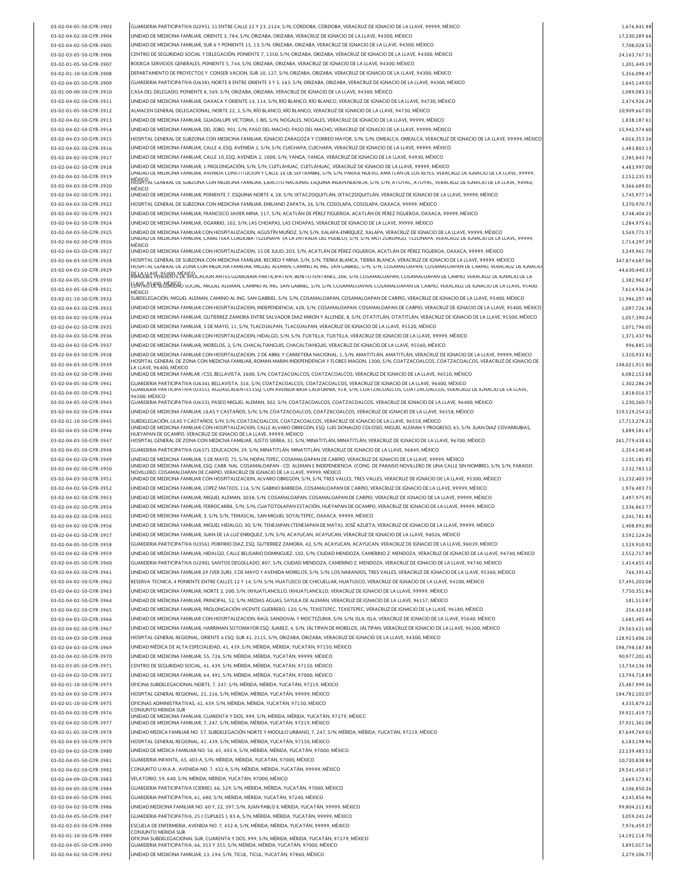03-02-04-05-50-GYR-3903 1,676,841.88 GUARDERIA PARTICIPATIVA (U295), 11 ENTRE CALLE 21 Y 23, 2124, S/N, CÓRDOBA, CÓRDOBA, VERACRUZ DE IGNACIO DE LA LLAVE, 99999, MÉXICO 03-02-04-02-50-GYR-3904 UNIDAD DE MEDICINA FAMILIAR, ORIENTE 3, 784, S/N, ORIZABA, ORIZABA, VERACRUZ DE IGNACIO DE LA LLAVE, 94300, MEXICO NATURA AND ANNO 17,230,289.66 17,230,289.66 17,230,289.66 03-02-04-02-50-GYR-3905 7,708,028.55 UNIDAD DE MEDICINA FAMILIAR, SUR 6 Y PONIENTE 15, 13, S/N, ORIZABA, ORIZABA, VERACRUZ DE IGNACIO DE LA LLAVE, 94300, MÉXICO 03-02-03-05-50-GYR-3906 CENTRO DE SEGURIDAD SOCIAL Y DELEGACIÓN, PONIENTE 7, 1350, S/N, ORIZABA, ORIZABA, VERACRUZ DE IGNACIO DE LA LLAVE, 94300, MEXICO PERMENTE 2, 163,767.51 24,163,767.51 03-02-01-05-50-GYR-3907 1,201,449.19 BODEGA SERVICIOS GENERALES, PONIENTE 5, 744, S/N, ORIZABA, ORIZABA, VERACRUZ DE IGNACIO DE LA LLAVE, 94300, MÉXICO 03-02-01-10-50-GYR-3908 5,356,098.47 DEPARTAMENTO DE PROYECTOS Y CONSER VACION, SUR 10, 127, S/N, ORIZABA, ORIZABA, VERACRUZ DE IGNACIO DE LA LLAVE, 94300, MÉXICO 03-02-04-05-50-GYR-3909 1,645,149.03 GUARDERIA PARTICIPATIVA (U638), NORTE 8 ENTRE ORIENTE 3 Y 5, 163, S/N, ORIZABA, ORIZABA, VERACRUZ DE IGNACIO DE LA LLAVE, 94300, MÉXICO 02-01-00-00-50-GYR-3910 1,089,083.25 CASA DEL DELEGADO, PONIENTE 8, 569, S/N, ORIZABA, ORIZABA, VERACRUZ DE IGNACIO DE LA LLAVE, 94300, MÉXICO 03-02-04-02-50-GYR-3911 UNIDAD DE MEDICINA FAMILIAR, OAXACA Y ORIENTE 14, 114, S/N, RIO BLANCO, RIO BLANCO, VERACRUZ DE IGNACIO DE LA LLAVE, 94730, MEXICO NALLANCO NALLA DE SOLO ANTENIDAD DE LA LAVE, 94730, MÉXICO NALLA DE 03-02-01-05-50-GYR-3912 10,909,667.05 ALMACEN GENERAL DELEGACIONAL, NORTE 22, 2, S/N, RÍO BLANCO, RÍO BLANCO, VERACRUZ DE IGNACIO DE LA LLAVE, 94730, MÉXICO 03-02-04-02-50-GYR-3913 UNIDAD DE MEDICINA FAMILIAR, GUADALUPE VICTORIA, 1-BIS, S/N, NOGALES, NOGALES, VERACRUZ DE IGNACIO DE LA LLAVE, 99999, MEXICO 1,838,187.61 03-02-04-02-50-GYR-3914 15,942,974.60 UNIDAD DE MEDICINA FAMILIAR, DEL JOBO, 901, S/N, PASO DEL MACHO, PASO DEL MACHO, VERACRUZ DE IGNACIO DE LA LLAVE, 99999, MÉXICO 03-02-04-03-50-GYR-3915 HOSPITAL GENERAL DE SUBZONA CON MEDICINA FAMILIAR, IGNACIO ZARAGOZA Y CORREO MAYOR, S/N, S/N, OMEALCA, OMEALCA, VERACRUZ DE IGNACIO DE LA LLAVE, 99999, MEXICO NA ANILIAR, 16,353.26 03-02-04-02-50-GYR-3916 UNIDAD DE MEDICINA FAMILIAR, CALLE 4, ESQ. AVENIDA 1, S/N, S/N, CUICHAPA, CUICHAPA, VERACRUZ DE IGNACIO DE LA LLAVE, 99999, MEXICO 1,483,803.13 03-02-04-02-50-GYR-3917 UNIDAD DE MEDICINA FAMILIAR, CALLE 10, ESQ. AVENIDA 2, 1000, S/N, YANGA, YANGA, YARACRUZ DE IGNACIO DE LA LLAVE, 94930, MEXICO 1,385,843.76 03-02-04-02-50-GYR-3918 UNIDAD DE MEDICINA FAMILIAR, 1 PROLONGACION, S/N, CUITLAHUAC, VERACRUZ DE IGNACIO DE LA LLAVE, 9999, SACCO DE LA LLAVE, 9999, UNIDAD DE MEDICINA FAMILIAR, AVENIDA CONSTITUCION Y CALLE 16 DE SEPTIEMB 03-02-04-02-50-GYR-3919 2,152,235.33 03-02-04-03-50-GYR-3920 9,366,689.01 MÉXICO HOSPITAL GENERAL DE SUBZONA CON MEDICINA FAMILIAR, EJERCITO NACIONAL ESQUINA INDEPENDENCIA, S/N, S/N, ATOYAC, ATOYAC, VERACRUZ DE IGNACIO DE LA LLAVE, 94960, 03-02-04-02-50-GYR-3921 UNIDAD DE MEDICINA FAMILIAR, PONIENTE 7, ESQUINA NORTE 4, 28, S/N, IXTACZOQUITLAN, IXTACZOQUITLAN, VERACRUZ DE IGNACIO DE LA LLAVE, 99999, MEXICO [1] [145,977.14] UNIDAD DE MEDICINA FAMILIAR, PONIEN 03-02-04-03-50-GYR-3922 3,370,970.73 HOSPITAL GENERAL DE SUBZONA CON MEDICINA FAMILIAR, EMILIANO ZAPATA, 26, S/N, COSOLAPA, COSOLAPA, OAXACA, 99999, MÉXICO 03-02-04-02-50-GYR-3923 UNIDAD DE MEDICINA FAMILIAR, FRANCISCO JAVIER MINA, 117, S/N, ACATLAN DE PEREZ FIGUEROA, ACATLAN DE PEREZ FIGUEROA, OAXACA, 99999, MEXICO 3,748,404.25 03-02-04-02-50-GYR-3924 1,284,975.61 UNIDAD DE MEDICINA FAMILIAR, OGARRIO, 102, S/N, LAS CHOAPAS, LAS CHOAPAS, VERACRUZ DE IGNACIO DE LA LLAVE, 99999, MÉXICO 03-02-04-03-50-GYR-3925 UNIDAD DE MEDICINA FAMILIAR CON HOSPITALIZACION, AGUSTIN MUNOZ, S/N, S/N, XALAPA-ENRIQUEZ, XALAPA, VERACRUZ DE IGNACIO DE LA LLAVE, 99999, MEXICO UNIDAD DE MEDICINA FAMILIAR CON HOSPITALIZACION, AGU O3-02-04-02-50-GYR-3926 UNIDAD DE MEDICINA FAMILIAR, CARRETERA CORDOBA-TEZONAPA (A LA ENTRADA DEL PUEBLO), S/N, S/N, MOTZORONGO, TEZONAPA, VERACRUZ DE IGNACIO DE LA LLAVE, 99999, UNIDAD DE MA ALAVE, 99999, UNIDAD DE MA ALA 03-02-04-03-50-GYR-3927 UNIDAD DE MEDICINA FAMILIAR CON HOSPITALIZACION, 15 DE JULIO, 203, S/N, ACATLAN DE PEREZ FIGUEROA, ACATLAN DE PEREZ FIGUEROA, OAXACA, 99999, MEXICO 3,249,961.70 03-02-04-03-50-GYR-3928 347,874,687.06 HOSPITAL GENERAL DE SUBZONA CON MEDICINA FAMILIAR, RECREO Y MINA, S/N, S/N, TIERRA BLANCA, TIERRA BLANCA, VERACRUZ DE IGNACIO DE LA LLAVE, 99999, MÉXICO 03-02-04-03-50-GYR-3929 RELAULAVE, STADON MÉXICO IN MÉXICO INMUSICACIÓN EN ENTRES 206, S/N, COSAMALOAPAN, COSAMALOAPAN DE CARPIO, VERACRUZ DE IGNACIO DE LA 14.500,440.33<br>O 2004 DE 2004 DE 2006 RELACIÓN EN ENCACION ANTES GU 03-02-04-05-50-GYR-3930 1,382,962.87 03-02-03-05-50-GYR-3931 7,614,936.24 LLAVE, 95400, MÉXICO CENTRO DE SEGURIDAD SOCIAL, MIGUEL ALEMAN, CAMINO AL ING. SAN GABRIEL, S/N, S/N, COSAMALOAPAN, COSAMALOAPAN DE CARPIO, VERACRUZ DE IGNACIO DE LA LLAVE, 95400, 03-02-01-10-50-GYR-3932 SUBDELEGACION, MIGUEL ALEMAN, CAMINO AL ING. SAN GABRIEL, S/N, S/N, COSAMALOAPAN, COSAMALOAPAN DE CARPIO, VERACRUZ DE IGNACIO DE LA LLAVE, 95400, MEXICO 11,986,297.48 03-02-04-03-50-GYR-3933 UNIDAD DE MEDICINA FAMILIAR CON HOSPITALIZACION, INDEPENDENCIA, 420, S/N, COSAMALOAPAN, COSAMALOAPAN DE CARPIO, VERACRUZ DE IGNACIO DE LA LLAVE, 95400, MEXICO INTENTO DE LA LLAVE, 95400, MÉXICO INTE 03-02-04-02-50-GYR-3934 1,057,390.24 UNIDAD DE MEDICINA FAMILIAR, GUTIERREZ ZAMORA ENTRE SALVADOR DIAZ MIRON Y ALLENDE, 8, S/N, OTATITLÁN, OTATITLÁN, VERACRUZ DE IGNACIO DE LA LLAVE, 95500, MÉXICO 03-02-04-02-50-GYR-3935 1,071,796.05 UNIDAD DE MEDICINA FAMILIAR, 5 DE MAYO, 11, S/N, TLACOJALPAN, TLACOJALPAN, VERACRUZ DE IGNACIO DE LA LLAVE, 95520, MÉXICO 03-02-04-03-50-GYR-3936 1,371,437.96 UNIDAD DE MEDICINA FAMILIAR CON HOSPITALIZACION, HIDALGO, S/N, S/N, TUXTILLA, TUXTILLA, VERACRUZ DE IGNACIO DE LA LLAVE, 99999, MÉXICO 03-02-04-02-50-GYR-3937 UNIDAD DE MEDICINA FAMILIAR, MORELOS, 2, S/N, CHACALTIANGUIS, CHACALTIANGUIS, VERACRUZ DE IGNACIO DE LA LLAVE, 95560, MEXICO NATURAL EN 20096,885.10 996,885.10 03-02-04-03-50-GYR-3938 1,310,932.82 UNIDAD DE MEDICINA FAMILIAR CON HOSPITALIZACION, 2 DE ABRIL Y CARRETERA NACIONAL, 1, S/N, AMATITLÁN, AMATITLÁN, VERACRUZ DE IGNACIO DE LA LLAVE, 99999, MÉXICO 03-02-04-03-50-GYR-3939 | HOSPITAL GENERAL DE ZONA CON MEDICNA FAMILIAR, ROMAN MARIN-INDEPENDENCIA Y FLORES MAGON, 1300, S/N, COATZACOALCOS, COATZACOALCOS, VERACRUZ DE IGNACIO DE | 148,021,915.80<br>03-02-04-03-50-GYR-3939 | 03-02-04-02-50-GYR-3940 6,082,152.68 UNIDAD DE MEDICINA FAMILAR /CSS, BELLAVISTA, 2600, S/N, COATZACOALCOS, COATZACOALCOS, VERACRUZ DE IGNACIO DE LA LLAVE, 96510, MÉXICO 03-02-04-05-50-GYR-3941 1,302,286.29 GUARDERIA PARTICIPATIVA (U634), BELLAVISTA, 316, S/N, COATZACOALCOS, COATZACOALCOS, VERACRUZ DE IGNACIO DE LA LLAVE, 96400, MÉXICO 03-02-04-05-50-GYR-3942 Present March 1,818,016.57 Present March 2007 Present March 2007 Present March 2007 Present March 2007 Present March 2007 Present March 2007 Present March 2007 Present March 2007 Present March 2007 03-02-04-05-50-GYR-3943 1,230,260.73 GUARDERIA PARTICIPATIVA (U633), PASEO MIGUEL ALEMAN, 302, S/N, COATZACOALCOS, COATZACOALCOS, VERACRUZ DE IGNACIO DE LA LLAVE, 96400, MÉXICO 03-02-04-02-50-GYR-3944 319,529,254.22 UNIDAD DE MEDICINA FAMILIAR, LILAS Y CASTAÑOS, S/N, S/N, COATZACOALCOS, COATZACOALCOS, VERACRUZ DE IGNACIO DE LA LLAVE, 96558, MÉXICO 03-02-01-10-50-GYR-3945 17,713,278.23 SUBDELEGACIÓN, LILAS Y CASTAÑOS, S/N, S/N, COATZACOALCOS, COATZACOALCOS, VERACRUZ DE IGNACIO DE LA LLAVE, 96558, MÉXICO 03-02-04-03-50-GYR-3946 HUEYAPAN DE OCAMPO, VERACRUZ DE IGNACIO DE LA LLAVE, 99999, MÉXICO AND ALLAVE, 99999, MÉXICO 03-02-04-03-50-GYR-3947 261,779,438.61 HOSPITAL GENERAL DE ZONA CON MEDICNA FAMILIAR, JUSTO SIERRA, 31, S/N, MINATITLÁN, MINATITLÁN, VERACRUZ DE IGNACIO DE LA LLAVE, 96700, MÉXICO 03-02-04-05-50-GYR-3948 1,354,140.68 GUARDERIA PARTICIPATIVA (U637), EDUCACION, 29, S/N, MINATITLÁN, MINATITLÁN, VERACRUZ DE IGNACIO DE LA LLAVE, 96849, MÉXICO 03-02-04-02-50-GYR-3949 UNIDAD DE MEDICINA FAMILIAR, 5 DE MAYO, 75, S/N, NOPALTEPEC, COSAMALOAPAN DE CARPIO, VERACRUZ DE IGNACIO DE LA LLAVE, 99999, MEXICO 1,135,181.85 03-02-04-02-50-GYR-3950 NOVILLED COSAMALO RANDE CARRIO VERACINE DE CARACIO DE LA UNIC OCOO MÉVICO. 03-02-04-03-50-GYR-3951 11,232,403.59 NOVILLERO, COSAMALOAPAN DE CARPIO, VERACRUZ DE IGNACIO DE LA LLAVE, 99999, MÉXICO UNIDAD DE MEDICINA FAMILIAR CON HOSPITALIZACION, ALVARO OBREGON, S/N, S/N, TRES VALLES, TRES VALLES, VERACRUZ DE IGNACIO DE LA LLAVE, 95300, MÉXICO 03-02-04-02-50-GYR-3952 1,976,483.73 UNIDAD DE MEDICINA FAMILIAR, LOPEZ MATEOS, 116, S/N, GABINO BARREDA, COSAMALOAPAN DE CARPIO, VERACRUZ DE IGNACIO DE LA LLAVE, 99999, MÉXICO 03-02-04-02-50-GYR-3953 2,497,975.95 UNIDAD DE MEDICINA FAMILIAR, MIGUEL ALEMAN, 3038, S/N, COSAMALOAPAN, COSAMALOAPAN DE CARPIO, VERACRUZ DE IGNACIO DE LA LLAVE, 99999, MÉXICO 03-02-04-02-50-GYR-3954 UNIDAD DE MEDICINA FAMILIAR, FERROCARRIL, S/N, S/N, CUATOTOLAPAN ESTACION, HUEYAPAN DE OCAMPO, VERACRUZ DE IGNACIO DE LA LLAVE, 99999, MEXICO 1,336,863.77 03-02-04-02-50-GYR-3955 1,241,781.83 UNIDAD DE MEDICINA FAMILIAR, 3, S/N, S/N, TEMASCAL, SAN MIGUEL SOYALTEPEC, OAXACA, 99999, MÉXICO 03-02-04-02-50-GYR-3956 UNIDAD DE MEDICINA FAMILIAR, MIGUEL HIDALGO, 30, S/N, TENEJAPAN (TENEJAPAN DE MATA), JOSE AZUETA, VERACRUZ DE IGNACIO DE LA LLAVE, 99999, MEXICO 1,408,892.80 03-02-04-02-50-GYR-3957 UNIDAD DE MEDICINA FAMILIAR, JUAN DE LA LUZ ENRIQUEZ, S/N, S/N, ACAYUCAN, ACAYUCAN, VERACRUZ DE IGNACIO DE LA LLAVE, 96026, MEXICO \$ \$592,524.26 \$592,524.26 \$ 03-02-04-05-50-GYR-3958 1,529,910.92 GUARDERIA PARTICIPATIVA (U356), PORFIRIO DIAZ, ESQ. GUTIERREZ ZAMORA, 42, S/N, ACAYUCAN, ACAYUCAN, VERACRUZ DE IGNACIO DE LA LLAVE, 96039, MÉXICO 03-02-04-02-50-GYR-3959 UNIDAD DE MEDICINA FAMILIAR, HIDALGO, CALLE BELISARIO DOMINGUEZ, 102, S/N, CIUDAD MENDOZA, CAMERINO Z. MENDOZA, VERACRUZ DE IGNACIO DE LA LLAVE, 94740, MEXICO | 2,552,717.89 UNIDAD DE MEDICINA FAMIL 03-02-04-05-50-GYR-3960 1,414,655.43 GUARDERIA PARTICIPATIVA (U290), SANTOS DEGOLLADO, 807, S/N, CIUDAD MENDOZA, CAMERINO Z. MENDOZA, VERACRUZ DE IGNACIO DE LA LLAVE, 94740, MÉXICO 03-02-04-02-50-GYR-3961 UNIDAD DE MEDICINA FAMILIAR 29 (VER SUR), 5 DE MAYO Y AVENIDA MORELOS, S/N, S/N, LOS NARANJOS, TRES VALLES, VERACRUZ DE IGNACIO DE LA LLAVE, 95360, MEXICO 766,391.62 03-02-04-02-50-GYR-3962 RESERVA TECNICA, 4 PONIENTE ENTRE CALLES 12 Y 14, S/N, S/N, HUATUSCO DE CHICUELLAR, HUATUSCO, VERACRUZ DE IGNACIO DE LA LLAVE, 94100, MEXICO NATUSCO NATUSCO, NE S7,495,203.08 03-02-04-02-50-GYR-3963 7,750,351.84 UNIDAD DE MEDICINA FAMILIAR, NORTE 2, 200, S/N, IXHUATLANCILLO, IXHUATLANCILLO, VERACRUZ DE IGNACIO DE LA LLAVE, 99999, MÉXICO 03-02-04-02-50-GYR-3964 181,513.87 UNIDAD DE MEDICINA FAMILIAR, PRINCIPAL, 52, S/N, MEDIAS AGUAS, SAYULA DE ALEMÁN, VERACRUZ DE IGNACIO DE LA LLAVE, 96157, MÉXICO 03-02-04-02-50-GYR-3965 256,423.88 UNIDAD DE MEDICINA FAMILIAR, PROLONGACIÓN VICENTE GUERRERO, 120, S/N, TEXISTEPEC, TEXISTEPEC, VERACRUZ DE IGNACIO DE LA LLAVE, 96180, MÉXICO 03-02-04-03-50-GYR-3966 UNIDAD DE MEDICINA FAMILIAR CON HOSPITALIZACION, RAUL SANDOVAL Y MOCTEZUMA, S/N, S/N, ISLA, ISLA, UERACRUZ DE IGNACIO DE LA LLAVE, 95640, MEXICO 1,685,485.44 03-02-04-02-50-GYR-3967 UNIDAD DE MEDICINA FAMILIAR, HARRIMAN SOTOMAYOR ESQ. JUAREZ, 4, S/N, JALTIPAN DE MORELOS, JALTIPAN, VERACRUZ DE IGNACIO DE LA LLAVE, 96200, MEXICO 29,563,621.60 03-02-04-03-50-GYR-3968 128,923,606.10 HOSPITAL GENERAL REGIONAL, ORIENTE 6 ESQ. SUR 41, 2115, S/N, ORIZABA, ORIZABA, VERACRUZ DE IGNACIO DE LA LLAVE, 94300, MÉXICO 03-02-04-03-50-GYR-3969 598,798,587.88 UNIDAD MÉDICA DE ALTA ESPECIALIDAD, 41, 439, S/N, MÉRIDA, MÉRIDA, YUCATÁN, 97150, MÉXICO 03-02-04-02-50-GYR-3970 UNIDAD DE MEDICINA FAMILIAR, 55, 726, S/N, MERIDA, MERIDA, YUCATÁN, 99999, MEXICO UNIDAD DE MERIDA, FORMA EN DA MERIDA, MERIDA, YUCATÁN, 99999, MÉXICO UNIDAD DE MERIDA, FORMA EN DA MERIDA, MERIDA, Y 03-02-03-05-50-GYR-3971 13,734,136.38 CENTRO DE SEGURIDAD SOCIAL, 41, 439, S/N, MÉRIDA, MÉRIDA, YUCATÁN, 97150, MÉXICO 03-02-04-02-50-GYR-3972 |UNIDAD DE MEDICINA FAMILIAR, 64, 491, S/N, MERIDA, MERIDA, YUCATÁN, 97000, MÉXICO | 13,794,718.89 | 13,794,718.89 | 13,794,718.89 | 13,794,718.89 | 13,794,718.89 03-02-01-10-50-GYR-3973 25,487,999.26 OFICINA SUBDELEGACIONAL NORTE, 7, 247, S/N, MÉRIDA, MÉRIDA, YUCATÁN, 97219, MÉXICO 03-02-04-03-50-GYR-3974 HOSPITAL GENERAL REGIONAL, 21, 216, S/N, MERIDA, MERIDA, YUCATÁN, 99999, MÉXICO A A MÉRIDA A SANTO A MÉRIDA A MÉRIDA, DELA TRADITIONAL A MÉRIDA A MÉRIDA A MÉRIDA A MÉRIDA A MÉRIDA A MÉRIDA A MÉRIDA 03-02-01-10-50-GYR-3975 4,335,879.22 OFICINAS ADMINISTRATIVAS, 41, 439, S/N, MÉRIDA, MÉRIDA, YUCATÁN, 97150, MÉXICO 03-02-04-02-50-GYR-3976 UNIDAD DE MEDICINA FAMILIAR, CUARENTA Y DOS, 999, S/N, MÉRIDA, MÉRIDA, YUCATÁN, 97279, MÉXICO 03-02-04-02-50-GYR-3977 | UNIDAD DE MEDICINA FAMILIAR, 7, 247, S/N, MERIDA, MERIDA, YUCATÁN, 97219, MÉXICO | 1970 | 1970 | 1970 | 1970 | 1970 | 1970 | 1970 | 1970 | 1970 | 1970 | 1970 | 1970 | 1970 | 1970 | 1970 | 1970 | 1 03-02-01-05-50-GYR-3978 87,649,769.03 UNIDAD MEDICA FAMILIAR NO. 57, SUBDELEGACIÓN NORTE Y MODULO URBANO, 7, 247, S/N, MÉRIDA, MÉRIDA, YUCATÁN, 97219, MÉXICO 03-02-04-03-50-GYR-3979 6,183,198.96 HOSPITAL GENERAL REGIONAL, 41, 439, S/N, MÉRIDA, MÉRIDA, YUCATÁN, 97150, MÉXICO 03-02-04-02-50-GYR-3980 22,139,483.52 UNIDAD DE MEDICA FAMILIAR NO. 56, 65, 403 A, S/N, MÉRIDA, MÉRIDA, YUCATÁN, 97000, MÉXICO 03-02-04-05-50-GYR-3981 10,720,838.84 GUARDERIA INFANTIL, 65, 403 A, S/N, MÉRIDA, MÉRIDA, YUCATÁN, 97000, MÉXICO 03-02-04-02-50-GYR-3982 CONJUNTO U.M.A.A., AVENIDA NO. 7, 432 A, S/N, MERIDA, MERIDA, YUCATÁN, 99999, MEXICO NA ANGLES ANGLES ANGLES ANGLES ANGLES ANGLES ANGLES ANGLES ANGLES ANGLES ANGLES ANGLES ANGLES ANGLES ANGLES ANGLE 03-02-04-09-50-GYR-3983 2,669,173.81 VELATORIO, 59, 640, S/N, MÉRIDA, MÉRIDA, YUCATÁN, 97000, MÉXICO 03-02-04-05-50-GYR-3984 4,106,850.26 GUARDERIA PARTICIPATIVA (CIERRE), 66, 529, S/N, MÉRIDA, MÉRIDA, YUCATÁN, 97000, MÉXICO 03-02-04-05-50-GYR-3985 GUARDERIA PARTICIPATIVA, 61, 680, S/N, MERIDA, MERIDA, YUCATÁN, 97240, MEXICO 4.02-04-05-60. A MEXICO 4.145,856.96 (10:06) 4.145,856.96 (10:06) 4.145,856.96 (10:06) 4.145,856.96 (10:06) 4.145,856.96 03-02-04-02-50-GYR-3986 99,804,212.82 UNIDAD MEDICINA FAMILIAR NO. 60 Y, 22, 397, S/N, JUAN PABLO II, MÉRIDA, YUCATÁN, 99999, MÉXICO 03-02-04-05-50-GYR-3987 3,059,241.24 GUARDERIA PARTICIPATIVA, 25 ( CUPULES ), 83 A, S/N, MÉRIDA, MÉRIDA, YUCATÁN, 99999, MÉXICO 03-02-02-03-50-GYR-3988 7,976,459.27 ESCUELA DE ENFERMERIA, AVENIDA NO. 7, 432 A, S/N, MÉRIDA, MÉRIDA, YUCATÁN, 99999, MÉXICO 03-02-01-10-50-GYR-3989 CONJUNTO MÉRIDA SUR<br>OFICINA SUBDELEGACIONAL SUR, CUARENTA Y DOS, 999, S/N, MÉRIDA, MÉRIDA, YUCATÁN, 97279, MÉXICO 03-02-04-05-50-GYR-3990 3,895,017.56 GUARDERIA PARTICIPATIVA, 66, 353 Y 355, S/N, MÉRIDA, MÉRIDA, YUCATÁN, 97000, MÉXICO 03-02-04-02-50-GYR-3992 2,279,106.77 UNIDAD DE MEDICINA FAMILIAR, 13, 194, S/N, TICUL, TICUL, YUCATÁN, 97860, MÉXICOUNIDAD DE MEDICINA FAMILIAR, 1 PROLONGACIÓN, S/N, S/N, CUITLÁHUAC, CUITLÁHUAC, VERACRUZ DE IGNACIO DE LA LLAVE, 99999, MÉXICO MÉXICO MÉXICO HOSPITAL GENERAL DE ZONA CON MEDICNA FAMILIAR, MIGUEL ALEMAN, CAMINO AL ING. SAN GABRIEL, S/N, S/N, COSAMALOAPAN, COSAMALOAPAN DE CARPIO, VERACRUZ DE IGNACIO MÉXICO LA LLAVE, 96400, MÉXICO GUARDERIA PARTICIPATIVA (U355), AGUASCALIENTES ESQ. CON AVENIDA BAJA CALIFORNIA, 918, S/N, COATZACOALCOS, COATZACOALCOS, VERACRUZ DE IGNACIO DE LA LLAVE, 96500, MÉXICO UNIDAD DE MEDICINA FAMILIAR CON HOSPITALIZACION, CALLE ALVARO OBREGON, ESQ. LUIS DONALDO COLOSIO, MIGUEL ALEMAN Y PROGRESO, 65, S/N, JUAN DÍAZ COVARRUBIAS, UNIDAD DE MEDICINA FAMILIAR, ESQ. CARR. NAL. COSAMALOAPAN - CD. ALEMAN E INDEPENDENCIA. (CONG. DE PARAISO NOVILLERO DE UNA CALLE SIN NOMBRE), S/N, S/N, PARAÍSO CONJUNTO MÉRIDA SUR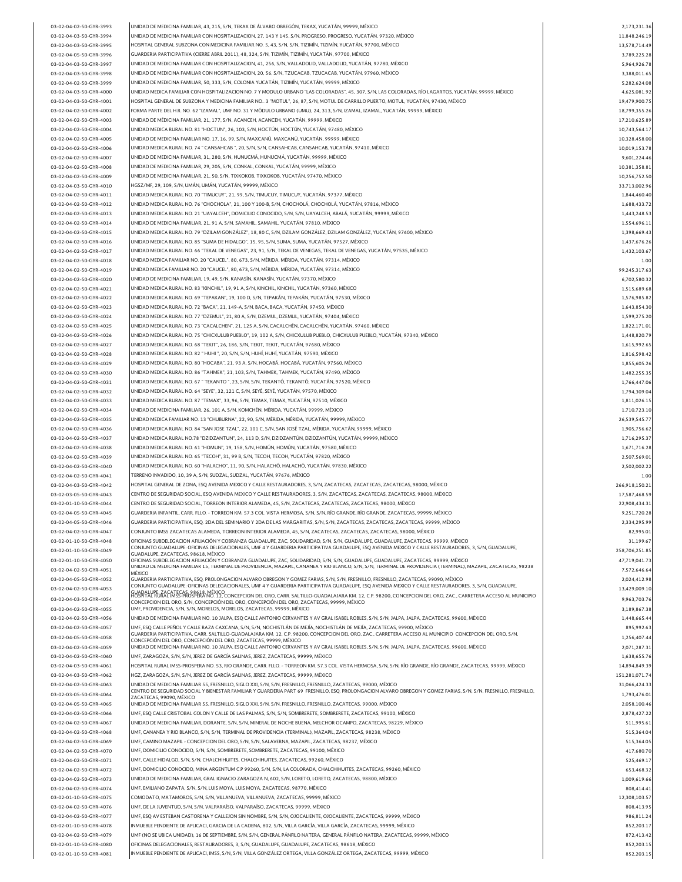| 03-02-04-02-50-GYR-3993                            | UNIDAD DE MEDICINA FAMILIAR, 43, 215, S/N, TEKAX DE ÁLVARO OBREGÓN, TEKAX, YUCATÁN, 99999, MÉXICO                                                                                                                                                                                                    | 2,173,231.36                  |
|----------------------------------------------------|------------------------------------------------------------------------------------------------------------------------------------------------------------------------------------------------------------------------------------------------------------------------------------------------------|-------------------------------|
| 03-02-04-03-50-GYR-3994                            | UNIDAD DE MEDICINA FAMILIAR CON HOSPITALIZACION, 27, 143 Y 145, S/N, PROGRESO, PROGRESO, YUCATÁN, 97320, MÉXICO                                                                                                                                                                                      | 11,848,246.19                 |
| 03-02-04-03-50-GYR-3995                            | HOSPITAL GENERAL SUBZONA CON MEDICINA FAMILIAR NO. 5, 43, S/N, S/N, TIZIMÍN, TIZIMÍN, YUCATÁN, 97700, MÉXICO                                                                                                                                                                                         | 13,578,714.49                 |
| 03-02-04-05-50-GYR-3996                            | GUARDERIA PARTICIPATIVA (CIERRE ABRIL 2011), 48, 324, S/N, TIZIMÍN, TIZIMÍN, YUCATÁN, 97700, MÉXICO                                                                                                                                                                                                  | 3,789,225.28                  |
| 03-02-04-03-50-GYR-3997                            | UNIDAD DE MEDICINA FAMILIAR CON HOSPITALIZACION, 41, 256, S/N, VALLADOLID, VALLADOLID, YUCATÁN, 97780, MÉXICO                                                                                                                                                                                        | 5,964,926.78                  |
| 03-02-04-03-50-GYR-3998                            | UNIDAD DE MEDICINA FAMILIAR CON HOSPITALIZACION, 20, 56, S/N, TZUCACAB, TZUCACAB, YUCATÁN, 97960, MÉXICO<br>UNIDAD DE MEDICINA FAMILIAR. 50. 333. S/N. COLONIA YUCATÁN. TIZIMÍN. YUCATÁN. 99999. MÉXICO                                                                                              | 3,388,011.65                  |
| 03-02-04-02-50-GYR-3999<br>03-02-04-03-50-GYR-4000 | UNIDAD MEDICA FAMILIAR CON HOSPITALIZACION NO. 7 Y MODULO URBANO "LAS COLORADAS", 45, 307, S/N, LAS COLORADAS, RÍO LAGARTOS, YUCATÁN, 99999, MÉXICO                                                                                                                                                  | 5,282,624.08<br>4,625,081.92  |
| 03-02-04-03-50-GYR-4001                            | HOSPITAL GENERAL DE SUBZONA Y MEDICINA FAMILIAR NO 3 "MOTUL", 26, 87, S/N, MOTUL DE CARRILLO PUERTO, MOTUL, YUCATÁN, 97430, MÉXICO                                                                                                                                                                   | 19,479,900.75                 |
| 03-02-04-02-50-GYR-4002                            | FORMA PARTE DEL H.R. NO. 62 "IZAMAL", UMF NO. 31 Y MÓDULO URBANO (UMU), 24, 313, S/N, IZAMAL, IZAMAL, YUCATÁN, 99999, MÉXICO                                                                                                                                                                         | 18,799,355.26                 |
| 03-02-04-02-50-GYR-4003                            | UNIDAD DE MÉDICINA FAMILIAR, 21, 177, S/N, ACANCEH, ACANCEH, YUCATÁN, 99999, MÉXICO                                                                                                                                                                                                                  | 17,210,625.89                 |
| 03-02-04-02-50-GYR-4004                            | UNIDAD MEDICA RURAL NO. 81 "HOCTUN", 26, 103, S/N, HOCTÚN, HOCTÚN, YUCATÁN, 97480, MÉXICO                                                                                                                                                                                                            | 10,743,564.17                 |
| 03-02-04-02-50-GYR-4005                            | UNIDAD DE MEDICINA FAMILIAR NO. 17, 16, 99, S/N, MAXCANÚ, MAXCANÚ, YUCATÁN, 99999, MÉXICO                                                                                                                                                                                                            | 10,328,458.00                 |
| 03-02-04-02-50-GYR-4006                            | UNIDAD MEDICA RURAL NO. 74 " CANSAHCAB ", 20, S/N, S/N, CANSAHCAB, CANSAHCAB, YUCATÁN, 97410, MÉXICO<br>UNIDAD DE MEDICINA FAMILIAR, 31, 280, S/N, HUNUCMÁ, HUNUCMÁ, YUCATÁN, 99999, MÉXICO                                                                                                          | 10,019,153.78                 |
| 03-02-04-02-50-GYR-4007<br>03-02-04-02-50-GYR-4008 | UNIDAD DE MEDICINA FAMILIAR, 29, 205, S/N, CONKAL, CONKAL, YUCATÁN, 99999, MÉXICO                                                                                                                                                                                                                    | 9.601.224.46<br>10,381,358.81 |
| 03-02-04-02-50-GYR-4009                            | UNIDAD DE MEDICINA FAMILIAR, 21, 50, S/N, TIXKOKOB, TIXKOKOB, YUCATÁN, 97470, MÉXICO                                                                                                                                                                                                                 | 10,256,752.50                 |
| 03-02-04-03-50-GYR-4010                            | HGSZ/MF, 29, 109, S/N, UMÁN, UMÁN, YUCATÁN, 99999, MÉXICO                                                                                                                                                                                                                                            | 33,713,002.96                 |
| 03-02-04-02-50-GYR-4011                            | UNIDAD MEDICA RURAL NO. 70 "TIMUCUY", 21, 99, S/N, TIMUCUY, TIMUCUY, YUCATÂN, 97377, MÊXICO                                                                                                                                                                                                          | 1,844,460.40                  |
| 03-02-04-02-50-GYR-4012                            | UNIDAD MEDICA RURAL NO. 76 "CHOCHOLA", 21, 100 Y 100-B, S/N, CHOCHOLÁ, CHOCHOLÁ, YUCATÁN, 97816, MÉXICO                                                                                                                                                                                              | 1,688,433.72                  |
| 03-02-04-02-50-GYR-4013                            | UNIDAD MEDICA RURAL NO. 21 "UAYALCEH", DOMICILIO CONOCIDO, S/N, S/N, UAYALCEH, ABALĂ, YUCATÂN, 99999, MÊXICO                                                                                                                                                                                         | 1,443,248.53                  |
| 03-02-04-02-50-GYR-4014                            | UNIDAD DE MEDICINA FAMILIAR, 21, 91 A, S/N, SAMAHIL, SAMAHIL, YUCATÁN, 97810, MÉXICO                                                                                                                                                                                                                 | 1,554,696.11                  |
| 03-02-04-02-50-GYR-4015                            | UNIDAD MEDICA RURAL NO. 79 "DZILAM GONZÁLEZ", 18, 80 C, S/N, DZILAM GONZÁLEZ, DZILAM GONZÁLEZ, YUCATÁN, 97600, MÉXICO<br>UNIDAD MEDICA RURAL NO. 85 "SUMA DE HIDALGO", 15, 95, S/N, SUMA, SUMA, YUCATÂN, 97527, MÊXICO                                                                               | 1,398,669.43<br>1,437,676.26  |
| 03-02-04-02-50-GYR-4016<br>03-02-04-02-50-GYR-4017 | UNIDAD MEDICA RURAL NO. 66 "TEKAL DE VENEGAS", 23, 91, S/N, TEKAL DE VENEGAS, TEKAL DE VENEGAS, YUCATÂN, 97535, MÊXICO                                                                                                                                                                               | 1.432.103.67                  |
| 03-02-04-02-50-GYR-4018                            | UNIDAD MEDICA FAMILIAR NO. 20 "CAUCEL", 80, 673, S/N, MÊRIDA, MÊRIDA, YUCATÂN, 97314, MÊXICO                                                                                                                                                                                                         | 1.00                          |
| 03-02-04-02-50-GYR-4019                            | UNIDAD MEDICA FAMILIAR NO. 20 "CAUCEL", 80, 673, S/N, MÉRIDA, MÉRIDA, YUCATÁN, 97314, MÉXICO                                                                                                                                                                                                         | 99,245,317.63                 |
| 03-02-04-02-50-GYR-4020                            | UNIDAD DE MEDICINA FAMILIAR, 19, 49, S/N, KANASÍN, KANASÍN, YUCATÁN, 97370, MÉXICO                                                                                                                                                                                                                   | 6,702,580.32                  |
| 03-02-04-02-50-GYR-4021                            | UNIDAD MEDICA RURAL NO. 83 "KINCHIL", 19, 91 A, S/N, KINCHIL, KINCHIL, YUCATÁN, 97360, MÉXICO                                                                                                                                                                                                        | 1,515,689.68                  |
| 03-02-04-02-50-GYR-4022                            | UNIDAD MEDICA RURAL NO. 69 "TEPAKAN", 19, 100 D, S/N, TEPAKÁN, TEPAKÁN, YUCATÁN, 97530, MÉXICO                                                                                                                                                                                                       | 1.576.985.82                  |
| 03-02-04-02-50-GYR-4023<br>03-02-04-02-50-GYR-4024 | UNIDAD MEDICA RURAL NO. 72 "BACA", 21, 149-A, S/N, BACA, BACA, YUCATÁN, 97450, MÉXICO<br>UNIDAD MEDICA RURAL NO. 77 "DZEMUL", 21, 80 A. S/N. DZEMUL, DZEMUL, YUCATÁN, 97404, MÉXICO                                                                                                                  | 1,643,854.30<br>1,599,275.20  |
| 03-02-04-02-50-GYR-4025                            | UNIDAD MEDICA RURAL NO. 73 "CACALCHEN", 21, 125 A, S/N, CACALCHÉN, CACALCHÉN, YUCATÁN, 97460, MÉXICO                                                                                                                                                                                                 | 1,822,171.01                  |
| 03-02-04-02-50-GYR-4026                            | UNIDAD MEDICA RURAL NO. 75 "CHICXULUB PUEBLO", 19, 102 A, S/N, CHICXULUB PUEBLO, CHICXULUB PUEBLO, YUCATÁN, 97340, MÉXICO                                                                                                                                                                            | 1,448,820.79                  |
| 03-02-04-02-50-GYR-4027                            | UNIDAD MEDICA RURAL NO. 68 "TEKIT", 26, 186, S/N, TEKIT, TEKIT, YUCATÁN, 97680, MÉXICO                                                                                                                                                                                                               | 1,615,992.65                  |
| 03-02-04-02-50-GYR-4028                            | UNIDAD MEDICA RURAL NO. 82 "HUHI ", 20, S/N, S/N, HUHÍ, HUHÍ, YUCATÁN, 97590, MÉXICO                                                                                                                                                                                                                 | 1,816,598.42                  |
| 03-02-04-02-50-GYR-4029                            | UNIDAD MEDICA RURAL NO. 80 "HOCABA", 21, 93 A, S/N, HOCABÁ, HOCABÁ, YUCATÁN, 97560, MÉXICO                                                                                                                                                                                                           | 1,855,605.26                  |
| 03-02-04-02-50-GYR-4030                            | UNIDAD MEDICA RURAL NO. 86 "TAHMEK", 21, 103, S/N, TAHMEK, TAHMEK, YUCATÁN, 97490, MÉXICO                                                                                                                                                                                                            | 1,482,255.35                  |
| 03-02-04-02-50-GYR-4031<br>03-02-04-02-50-GYR-4032 | UNIDAD MEDICA RURAL NO. 67 " TEKANTO ", 23, S/N, S/N, TEKANTÓ, TEKANTÓ, YUCATÁN, 97520, MÉXICO<br>UNIDAD MEDICA RURAL NO. 64 "SEYE", 32, 121 C, S/N, SEYÉ, SEYÉ, YUCATÁN, 97570, MÉXICO                                                                                                              | 1,766,447.06<br>1,794,309.04  |
| 03-02-04-02-50-GYR-4033                            | UNIDAD MEDICA RURAL NO. 87 "TEMAX", 33, 96, S/N, TEMAX, TEMAX, YUCATÂN, 97510, MÊXICO                                                                                                                                                                                                                | 1,811,026.15                  |
| 03-02-04-02-50-GYR-4034                            | UNIDAD DE MEDICINA FAMILIAR, 26, 101 A, S/N, KOMCHÉN, MÉRIDA, YUCATÁN, 99999, MÉXICO                                                                                                                                                                                                                 | 1,710,723.10                  |
| 03-02-04-02-50-GYR-4035                            | UNIDAD MEDICA FAMILIAR NO. 13 "CHUBURNA", 22, 90, S/N, MÉRIDA, MÉRIDA, YUCATÁN, 99999, MÉXICO                                                                                                                                                                                                        | 26,539,545.77                 |
| 03-02-04-02-50-GYR-4036                            | UNIDAD MEDICA RURAL NO. 84 "SAN JOSE TZAL", 22, 101 C, S/N, SAN JOSÉ TZAL, MÉRIDA, YUCATÁN, 99999, MÉXICO                                                                                                                                                                                            | 1,905,756.62                  |
| 03-02-04-02-50-GYR-4037                            | UNIDAD MEDICA RURAL NO.78 "DZIDZANTUN", 24, 113 D, S/N, DZIDZANTÚN, DZIDZANTÚN, YUCATÁN, 99999, MÉXICO                                                                                                                                                                                               | 1,716,295.37                  |
| 03-02-04-02-50-GYR-4038                            | UNIDAD MEDICA RURAL NO. 61 "HOMUN", 19, 158, S/N, HOMÚN, HOMÚN, YUCATÁN, 97580, MÉXICO                                                                                                                                                                                                               | 1,671,716.28                  |
| 03-02-04-02-50-GYR-4039<br>03-02-04-02-50-GYR-4040 | UNIDAD MEDICA RURAL NO. 65 "TECOH", 31, 99 B, S/N, TECOH, TECOH, YUCATÁN, 97820, MÉXICO<br>UNIDAD MEDICA RURAL NO. 60 "HALACHO", 11, 90, S/N, HALACHÓ, HALACHÓ, YUCATÁN, 97830, MÉXICO                                                                                                               | 2,507,569.01<br>2,502,002.22  |
| 03-02-04-02-50-GYR-4041                            | TERRENO INVADIDO, 10, 39 A, S/N, SUDZAL, SUDZAL, YUCATĂN, 97676, MÊXICO                                                                                                                                                                                                                              | 1.00                          |
| 03-02-04-03-50-GYR-4042                            | HOSPITAL GENERAL DE ZONA, ESQ AVENIDA MEXICO Y CALLE RESTAURADORES, 3, S/N, ZACATECAS, ZACATECAS, ZACATECAS, 98000, MÉXICO                                                                                                                                                                           | 266,918,150.21                |
| 03-02-03-05-50-GYR-4043                            | CENTRO DE SEGURIDAD SOCIAL, ESQ AVENIDA MEXICO Y CALLE RESTAURADORES, 3, S/N, ZACATECAS, ZACATECAS, ZACATECAS, 98000, MÊXICO                                                                                                                                                                         | 17,587,468.59                 |
| 03-02-01-10-50-GYR-4044                            | CENTRO DE SEGURIDAD SOCIAL, TORREON INTERIOR ALAMEDA, 45, S/N, ZACATECAS, ZACATECAS, ZACATECAS, 98000, MÉXICO                                                                                                                                                                                        | 22,908,434.31                 |
| 03-02-04-05-50-GYR-4045                            | GUARDERIA INFANTIL, CARR. FLLO. - TORREON KM. 57.3 COL. VISTA HERMOSA, S/N, S/N, RÍO GRANDE, RÍO GRANDE, ZACATECAS, 99999, MÉXICO                                                                                                                                                                    | 9,251,720.28                  |
| 03-02-04-05-50-GYR-4046                            | GUARDERIA PARTICIPATIVA, ESQ. 2DA DEL SEMINARIO Y 2DA DE LAS MARGARITAS, S/N, S/N, ZACATECAS, ZACATECAS, ZACATECAS, 99999, MÉXICO                                                                                                                                                                    | 2,334,295.99                  |
| 03-02-04-02-50-GYR-4047<br>03-02-01-10-50-GYR-4048 | CONJUNTO IMSS ZACATECAS ALAMEDA, TORREON INTERIOR ALAMEDA, 45, S/N, ZACATECAS, ZACATECAS, ZACATECAS, 98000, MÉXICO<br>OFICINAS SUBDELEGACION AFILIACIÓN Y COBRANZA GUADALUPE, ZAC, SOLIDARIDAD, S/N, S/N, GUADALUPE, GUADALUPE, ZACATECAS, 99999, MÉXICO                                             | 82.995.01<br>31,199.67        |
| 03-02-01-10-50-GYR-4049                            | CONJUNTO GUADALUPE: OFICINAS DELEGACIONALES, UMF 4 Y GUARDERIA PARTICIPATIVA GUADALUPE, ESQ AVENIDA MEXICO Y CALLE RESTAURADORES, 3, S/N, GUADALUPE,                                                                                                                                                 | 258,706,251.85                |
| 03-02-01-10-50-GYR-4050                            | GUADALUPE. ZACATECAS. 98618. MĚXICO<br>OFICINAS SUBDELEGACION AFILIACIÓN Y COBRANZA GUADALUPE, ZAC, SOLIDARIDAD, S/N, S/N, GUADALUPE, GUADALUPE, ZACATECAS, 99999, MÉXICO                                                                                                                            | 47.719.041.73                 |
| 03-02-04-02-50-GYR-4051                            | UNIDAD DE MEDICINA FAMILIAR 15, I ERMINAL DE PROVIDENCIA, MAZAPIL, CANANEA Y RIO BLANCO, S/N, S/N, I ERMINAL DE PROVIDENCIA (TERMINAL), MAZAPIL, ZACATECAS, 98238<br>MÉXICO                                                                                                                          | 7.572.646.64                  |
| 03-02-04-05-50-GYR-4052                            | GUARDERIA PARTICIPATIVA, ESQ. PROLONGACION ALVARO OBREGON Y GOMEZ FARIAS, S/N, S/N, FRESNILLO, FRESNILLO, ZACATECAS, 99090, MÉXICO                                                                                                                                                                   | 2,024,412.98                  |
| 03-02-04-02-50-GYR-4053                            | CONJUNTO GUADALUPE: OFICINAS DELEGACIONALES, UMF 4 Y GUARDERIA PARTICIPATIVA GUADALUPE, ESQ AVENIDA MEXICO Y CALLE RESTAURADORES, 3, S/N, GUADALUPE,                                                                                                                                                 | 13,429,009.10                 |
| 03-02-04-03-50-GYR-4054                            | GUADALUPE, ZACATECAS, 98618, MÉXICO.<br>HOSPITAL RURAL MASS-PROSPERA NO. 12, CONCEPCION DEL ORO, CARR. SALTILLO-GUADALAJARA KM. 12, C.P. 98200, CONCEPCION DEL ORO, ZAC., CARRETERA ACCESO AL MUNICIPIO<br>CONCEPCION DEL ORO, S/N, CONCEPCIÓN DEL ORO, CONCEPCIÓN DEL ORO, ZACATECAS, 99999, MÉXICO | 9,963,703.76                  |
| 03-02-04-02-50-GYR-4055                            | UMF. PROVIDENCIA. S/N. S/N. MORELOS. MORELOS. ZACATECAS. 99999. MÉXICO                                                                                                                                                                                                                               | 3,189,867.38                  |
| 03-02-04-02-50-GYR-4056                            | UNIDAD DE MEDICINA FAMILIAR NO. 10 JALPA, ESQ CALLE ANTONIO CERVANTES Y AV GRAL ISABEL ROBLES, S/N, S/N, JALPA, JALPA, ZACATECAS, 99600, MÉXICO<br>UMF, ESQ CALLE PEÑOL Y CALLE RAZA CAXCANA, S/N, S/N, NOCHISTLÁN DE MEJÍA, NOCHISTLÁN DE MEJÍA, ZACATECAS, 99900, MÉXICO                           | 1,448,665.44                  |
| 03-02-04-02-50-GYR-4057<br>03-02-04-05-50-GYR-4058 | GUARDERIA PARTICIPATIVA, CARR. SALTILLO-GUADALAJARA KM. 12, C.P. 98200, CONCEPCION DEL ORO, ZAC., CARRETERA ACCESO AL MUNICIPIO CONCEPCION DEL ORO, S/N,                                                                                                                                             | 895,992.63<br>1,256,407.44    |
| 03-02-04-02-50-GYR-4059                            | CONCEPCIÓN DEL ORO, CONCEPCIÓN DEL ORO, ZACATECAS, 99999, MÉXICO<br>UNIDAD DE MEDICINA FAMILIAR NO. 10 JALPA, ESQ CALLE ANTONIO CERVANTES Y AV GRAL ISABEL ROBLES, S/N, S/N, JALPA, JALPA, ZACATECAS, 99600, MÉXICO                                                                                  | 2.071.287.31                  |
| 03-02-04-02-50-GYR-4060                            | UMF, ZARAGOZA, S/N, S/N, JEREZ DE GARCÍA SALINAS, JEREZ, ZACATECAS, 99999, MÉXICO                                                                                                                                                                                                                    | 1,638,655.76                  |
| 03-02-04-03-50-GYR-4061                            | HOSPITAL RURAL IMSS-PROSPERA NO. 53, RIO GRANDE, CARR. FLLO. - TORREON KM. 57.3 COL. VISTA HERMOSA, S/N, S/N, RÍO GRANDE, RÍO GRANDE, ZACATECAS, 99999, MÉXICO                                                                                                                                       | 14,894,849.39                 |
| 03-02-04-03-50-GYR-4062                            | HGZ, ZARAGOZA, S/N, S/N, JEREZ DE GARCÍA SALINAS, JEREZ, ZACATECAS, 99999, MÉXICO                                                                                                                                                                                                                    | 151,281,071.74                |
| 03-02-04-02-50-GYR-4063                            | UNIDAD DE MEDICINA FAMILIAR 55, FRESNILLO, SIGLO XXI, S/N, S/N, FRESNILLO, FRESNILLO, ZACATECAS, 99000, MÉXICO<br>CENTRO DE SEGURIDAD SOCIAL Y BIENESTAR FAMILIAR Y GUARDERIA PART 69 FRESNILLO, ESQ. PROLONGACION ALVARO OBREGON Y GOMEZ FARIAS, S/N, S/N, FRESNILLO, FRESNILLO,                    | 31,066,424.33                 |
| 03-02-03-05-50-GYR-4064                            | ZACATECAS, 99090, MĚXICO                                                                                                                                                                                                                                                                             | 1,793,476.01                  |
| 03-02-04-05-50-GYR-4065                            | UNIDAD DE MEDICINA FAMILIAR 55, FRESNILLO, SIGLO XXI, S/N, S/N, FRESNILLO, FRESNILLO, ZACATECAS, 99000, MÉXICO                                                                                                                                                                                       | 2,058,100.46                  |
| 03-02-04-02-50-GYR-4066<br>03-02-04-02-50-GYR-4067 | UMF, ESQ CALLE CRISTOBAL COLON Y CALLE DE LAS PALMAS, S/N, S/N, SOMBRERETE, SOMBRERETE, ZACATECAS, 99100, MÉXICO<br>UNIDAD DE MEDICINA FAMILIAR, DORANTE, S/N, S/N, MINERAL DE NOCHE BUENA, MELCHOR OCAMPO, ZACATECAS, 98229, MÉXICO                                                                 | 2,878,427.22<br>511,995.61    |
| 03-02-04-02-50-GYR-4068                            | UMF, CANANEA Y RIO BLANCO, S/N, S/N, TERMINAL DE PROVIDENCIA (TERMINAL), MAZAPIL, ZACATECAS, 98238, MÉXICO                                                                                                                                                                                           | 515,364.04                    |
| 03-02-04-02-50-GYR-4069                            | UMF, CAMINO MAZAPIL - CONCEPCION DEL ORO, S/N, S/N, SALAVERNA, MAZAPIL, ZACATECAS, 98237, MEXICO                                                                                                                                                                                                     | 515,364.05                    |
| 03-02-04-02-50-GYR-4070                            | UMF, DOMICILIO CONOCIDO, S/N, S/N, SOMBRERETE, SOMBRERETE, ZACATECAS, 99100, MÉXICO                                                                                                                                                                                                                  | 417,680.70                    |
| 03-02-04-02-50-GYR-4071                            | UMF, CALLE HIDALGO, S/N, S/N, CHALCHIHUITES, CHALCHIHUITES, ZACATECAS, 99260, MÉXICO                                                                                                                                                                                                                 | 525,469.17                    |
| 03-02-04-02-50-GYR-4072                            | UMF, DOMICILIO CONOCIDO, MINA ARGENTUM C.P 99260, S/N, S/N, LA COLORADA, CHALCHIHUITES, ZACATECAS, 99260, MÉXICO                                                                                                                                                                                     | 653,468.32                    |
| 03-02-04-02-50-GYR-4073                            | UNIDAD DE MEDICINA FAMILIAR, GRAL IGNACIO ZARAGOZA N, 602, S/N, LORETO, LORETO, ZACATECAS, 98800, MÉXICO                                                                                                                                                                                             | 1,009,619.66                  |
| 03-02-04-02-50-GYR-4074<br>03-02-01-10-50-GYR-4075 | UMF, EMILIANO ZAPATA, S/N, S/N, LUIS MOYA, LUIS MOYA, ZACATECAS, 98770, MÉXICO<br>COMODATO, MATAMOROS, S/N, S/N, VILLANUEVA, VILLANUEVA, ZACATECAS, 99999, MÉXICO                                                                                                                                    | 808,414.41<br>12,308,103.57   |
| 03-02-04-02-50-GYR-4076                            | UMF, DE LA JUVENTUD, S/N, S/N, VALPARAÍSO, VALPARAÍSO, ZACATECAS, 99999, MÉXICO                                                                                                                                                                                                                      | 808,413.95                    |
| 03-02-04-02-50-GYR-4077                            | UMF, ESQ AV ESTEBAN CASTORENA Y CALLEJON SIN NOMBRE, S/N, S/N, OJOCALIENTE, OJOCALIENTE, ZACATECAS, 99999, MÉXICO                                                                                                                                                                                    | 986,811.24                    |
| 03-02-01-10-50-GYR-4078                            | INMUEBLE PENDIENTE DE APLICACI, GARCIA DE LA CADENA, 802, S/N, VILLA GARCÍA, VILLA GARCÍA, ZACATECAS, 99999, MÉXICO                                                                                                                                                                                  | 852,203.17                    |
| 03-02-04-02-50-GYR-4079                            | UMF (NO SE UBICA UNIDAD), 16 DE SEPTIEMBRE, S/N, S/N, GENERAL PÂNFILO NATERA, GENERAL PÂNFILO NATERA, ZACATECAS, 99999, MÊXICO                                                                                                                                                                       | 872,413.42                    |
| 03-02-01-10-50-GYR-4080                            | OFICINAS DELEGACIONALES, RESTAURADORES, 3, S/N, GUADALUPE, GUADALUPE, ZACATECAS, 98618, MÉXICO                                                                                                                                                                                                       | 852,203.15                    |
| 03-02-01-10-50-GYR-4081                            | NMUEBLE PENDIENTE DE APLICACI, IMSS, S/N, S/N, VILLA GONZÁLEZ ORTEGA, VILLA GONZÁLEZ ORTEGA, ZACATECAS, 99999, MÉXICO                                                                                                                                                                                | 852,203.15                    |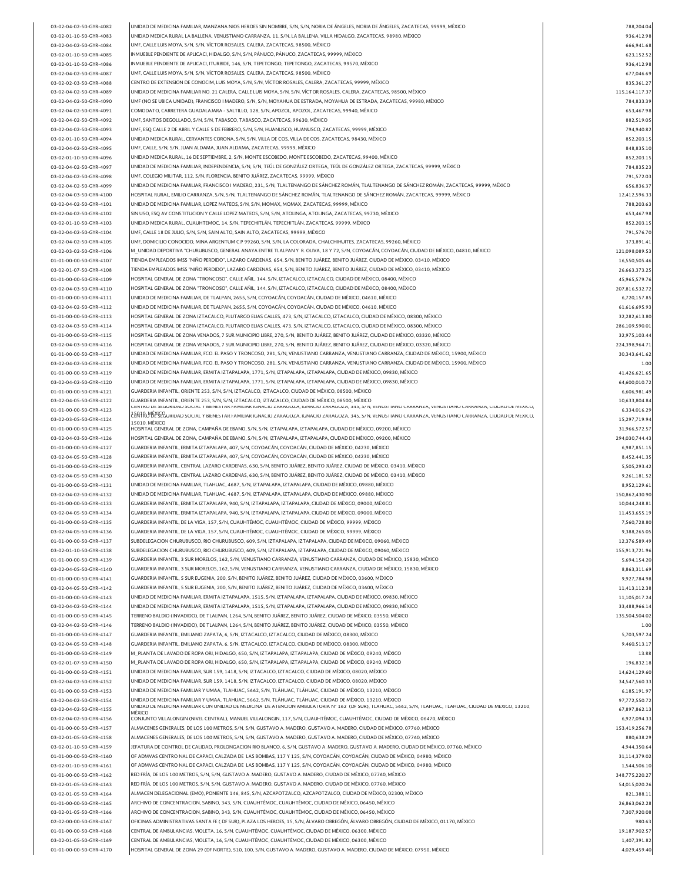| 03-02-04-02-50-GYR-4082                            | UNIDAD DE MEDICINA FAMILIAR, MANZANA NIOS HEROES SIN NOMBRE, S/N, S/N, NORIA DE ÁNGELES, NORIA DE ÁNGELES, ZACATECAS, 99999, MÉXICO                                                                                                                           | 788,204.04                   |
|----------------------------------------------------|---------------------------------------------------------------------------------------------------------------------------------------------------------------------------------------------------------------------------------------------------------------|------------------------------|
| 03-02-01-10-50-GYR-4083                            | UNIDAD MEDICA RURAL LA BALLENA, VENUSTIANO CARRANZA, 11, S/N, LA BALLENA, VILLA HIDALGO, ZACATECAS, 98980, MÉXICO                                                                                                                                             | 936,412.98                   |
| 03-02-04-02-50-GYR-4084                            | UMF, CALLE LUIS MOYA, S/N, S/N, VÍCTOR ROSALES, CALERA, ZACATECAS, 98500, MÉXICO                                                                                                                                                                              | 666,941.68                   |
| 03-02-01-10-50-GYR-4085                            | INMUEBLE PENDIENTE DE APLICACI, HIDALGO, S/N, S/N, PÁNUCO, PÁNUCO, ZACATECAS, 99999, MÉXICO                                                                                                                                                                   | 623,152.52                   |
| 03-02-01-10-50-GYR-4086                            | INMUEBLE PENDIENTE DE APLICACI, ITURBIDE, 146, S/N, TEPETONGO, TEPETONGO, ZACATECAS, 99570, MÉXICO                                                                                                                                                            | 936,412.98                   |
| 03-02-04-02-50-GYR-4087                            | UMF, CALLE LUIS MOYA, S/N, S/N, VÍCTOR ROSALES, CALERA, ZACATECAS, 98500, MÉXICO                                                                                                                                                                              | 677,046.69                   |
| 03-02-02-03-50-GYR-4088                            | CENTRO DE EXTENSION DE CONOCIM, LUIS MOYA, S/N, S/N, VÍCTOR ROSALES, CALERA, ZACATECAS, 99999, MÊXICO                                                                                                                                                         | 835.361.27                   |
| 03-02-04-02-50-GYR-4089                            | UNIDAD DE MEDICINA FAMILIAR NO. 21 CALERA, CALLE LUIS MOYA, S/N, S/N, VÍCTOR ROSALES, CALERA, ZACATECAS, 98500, MÉXICO                                                                                                                                        | 115,164,117.37               |
| 03-02-04-02-50-GYR-4090                            | UMF (NO SE UBICA UNIDAD), FRANCISCO I MADERO, S/N, S/N, MOYAHUA DE ESTRADA, MOYAHUA DE ESTRADA, ZACATECAS, 99980, MÉXICO                                                                                                                                      | 784,833.39                   |
|                                                    | COMODATO, CARRETERA GUADALAJARA - SALTILLO, 128, S/N, APOZOL, APOZOL, ZACATECAS, 99940, MÉXICO                                                                                                                                                                |                              |
| 03-02-04-02-50-GYR-4091                            |                                                                                                                                                                                                                                                               | 653,467.98                   |
| 03-02-04-02-50-GYR-4092                            | UMF, SANTOS DEGOLLADO, S/N, S/N, TABASCO, TABASCO, ZACATECAS, 99630, MÉXICO                                                                                                                                                                                   | 882,519.05                   |
| 03-02-04-02-50-GYR-4093                            | UMF, ESQ CALLE 2 DE ABRIL Y CALLE 5 DE FEBRERO, S/N, S/N, HUANUSCO, HUANUSCO, ZACATECAS, 99999, MÊXICO                                                                                                                                                        | 794,940.82                   |
| 03-02-01-10-50-GYR-4094                            | UNIDAD MEDICA RURAL, CERVANTES CORONA, S/N, S/N, VILLA DE COS, VILLA DE COS, ZACATECAS, 98430, MÉXICO                                                                                                                                                         | 852,203.15                   |
| 03-02-04-02-50-GYR-4095                            | UMF, CALLE, S/N, S/N, JUAN ALDAMA, JUAN ALDAMA, ZACATECAS, 99999, MÉXICO                                                                                                                                                                                      | 848,835.10                   |
| 03-02-01-10-50-GYR-4096                            | UNIDAD MEDICA RURAL, 16 DE SEPTIEMBRE, 2, S/N, MONTE ESCOBEDO, MONTE ESCOBEDO, ZACATECAS, 99400, MÉXICO                                                                                                                                                       | 852,203.15                   |
| 03-02-04-02-50-GYR-4097                            | UNIDAD DE MEDICINA FAMILIAR, INDEPENDENCIA, S/N, S/N, TEÚL DE GONZÁLEZ ORTEGA, TEÚL DE GONZÁLEZ ORTEGA, ZACATECAS, 99999, MÉXICO                                                                                                                              | 784,835.23                   |
| 03-02-04-02-50-GYR-4098                            | UMF, COLEGIO MILITAR, 112, S/N, FLORENCIA, BENITO JUÁREZ, ZACATECAS, 99999, MÉXICO                                                                                                                                                                            | 791,572.03                   |
| 03-02-04-02-50-GYR-4099                            | UNIDAD DE MEDICINA FAMILIAR, FRANCISCO I MADERO, 231, S/N, TLALTENANGO DE SÁNCHEZ ROMÁN, TLALTENANGO DE SÁNCHEZ ROMÁN, ZACATECAS, 99999, MÉXICO                                                                                                               | 656,836.37                   |
| 03-02-04-03-50-GYR-4100                            | HOSPITAL RURAL, EMILIO CARRANZA, S/N, S/N, TLALTENANGO DE SÁNCHEZ ROMÁN, TLALTENANGO DE SÁNCHEZ ROMÁN, ZACATECAS, 99999, MÉXICO                                                                                                                               | 12,412,596.33                |
| 03-02-04-02-50-GYR-4101                            | UNIDAD DE MEDICINA FAMILIAR, LOPEZ MATEOS, S/N, S/N, MOMAX, MOMAX, ZACATECAS, 99999, MÉXICO                                                                                                                                                                   | 788,203.63                   |
| 03-02-04-02-50-GYR-4102                            | SIN USO, ESQ AV CONSTITUCION Y CALLE LOPEZ MATEOS, S/N, S/N, ATOLINGA, ATOLINGA, ZACATECAS, 99730, MÉXICO                                                                                                                                                     | 653,467.98                   |
| 03-02-01-10-50-GYR-4103                            | UNIDAD MEDICA RURAL, CUAUHTEMOC, 14, S/N, TEPECHITLÁN, TEPECHITLÁN, ZACATECAS, 99999, MÉXICO                                                                                                                                                                  | 852,203.15                   |
| 03-02-04-02-50-GYR-4104                            | UMF, CALLE 18 DE JULIO, S/N, S/N, SAIN ALTO, SAIN ALTO, ZACATECAS, 99999, MÉXICO                                                                                                                                                                              | 791,576.70                   |
| 03-02-04-02-50-GYR-4105                            | UMF, DOMICILIO CONOCIDO, MINA ARGENTUM C.P 99260, S/N, S/N, LA COLORADA, CHALCHIHUITES, ZACATECAS, 99260, MÉXICO                                                                                                                                              | 373,891.41                   |
| 03-02-03-02-50-GYR-4106                            | M UNIDAD DEPORTIVA "CHURUBUSCO, GENERAL ANAYA ENTRE TLALPAN Y R. OLIVA, 18 Y 72, S/N, COYOACÁN, COYOACÁN, CIUDAD DE MÉXICO, 04810, MÉXICO                                                                                                                     | 121,098,089.53               |
| 01-01-00-00-50-GYR-4107                            | TIENDA EMPLEADOS IMSS "NIÑO PERDIDO", LAZARO CARDENAS, 654, S/N, BENITO JUÁREZ, BENITO JUÁREZ, CIUDAD DE MÉXICO, 03410, MÉXICO                                                                                                                                | 16,550,505.46                |
| 03-02-01-07-50-GYR-4108                            | TIENDA EMPLEADOS IMSS "NIÑO PERDIDO", LAZARO CARDENAS, 654, S/N, BENITO JUÁREZ, BENITO JUÁREZ, CIUDAD DE MÉXICO, 03410, MÉXICO                                                                                                                                | 26,663,373.25                |
| 01-01-00-00-50-GYR-4109                            | HOSPITAL GENERAL DE ZONA "TRONCOSO", CALLE AÑIL, 144, S/N, IZTACALCO, IZTACALCO, CIUDAD DE MÉXICO, 08400, MÉXICO                                                                                                                                              | 45,965,579.76                |
| 03-02-04-03-50-GYR-4110                            | HOSPITAL GENERAL DE ZONA "TRONCOSO", CALLE AÑIL, 144, S/N, IZTACALCO, IZTACALCO, CIUDAD DE MÉXICO, 08400, MÉXICO                                                                                                                                              | 207,816,532.72               |
| 01-01-00-00-50-GYR-4111                            | UNIDAD DE MEDICINA FAMILIAR, DE TLALPAN, 2655, S/N, COYOACÁN, COYOACÁN, CIUDAD DE MÉXICO, 04610, MÉXICO                                                                                                                                                       | 6,720,157.85                 |
| 03-02-04-02-50-GYR-4112                            | UNIDAD DE MEDICINA FAMILIAR, DE TLALPAN, 2655, S/N, COYOACÁN, COYOACÁN, CIUDAD DE MÉXICO, 04610, MÉXICO                                                                                                                                                       | 61,616,695.93                |
| 01-01-00-00-50-GYR-4113                            | HOSPITAL GENERAL DE ZONA IZTACALCO, PLUTARCO ELIAS CALLES, 473, S/N, IZTACALCO, IZTACALCO, CIUDAD DE MÉXICO, 08300, MÉXICO                                                                                                                                    | 32,282,613.80                |
| 03-02-04-03-50-GYR-4114                            | HOSPITAL GENERAL DE ZONA IZTACALCO, PLUTARCO ELIAS CALLES, 473, S/N, IZTACALCO, IZTACALCO, CIUDAD DE MÉXICO, 08300, MÉXICO                                                                                                                                    | 286,109,590.01               |
| 01-01-00-00-50-GYR-4115                            | HOSPITAL GENERAL DE ZONA VENADOS, 7 SUR MUNICIPIO LIBRE, 270, S/N, BENITO JUÁREZ, BENITO JUÁREZ, CIUDAD DE MÉXICO, 03320, MÉXICO                                                                                                                              | 32,975,103.44                |
| 03-02-04-03-50-GYR-4116                            | HOSPITAL GENERAL DE ZONA VENADOS, 7 SUR MUNICIPIO LIBRE, 270, S/N, BENITO JUÁREZ, BENITO JUÁREZ, CIUDAD DE MÉXICO, 03320, MÉXICO                                                                                                                              | 224,398,964.71               |
| 01-01-00-00-50-GYR-4117                            | UNIDAD DE MEDICINA FAMILIAR, FCO. EL PASO Y TRONCOSO, 281, S/N, VENUSTIANO CARRANZA, VENUSTIANO CARRANZA, CIUDAD DE MÉXICO, 15900, MÉXICO                                                                                                                     | 30,343,641.62                |
|                                                    |                                                                                                                                                                                                                                                               |                              |
| 03-02-04-02-50-GYR-4118                            | UNIDAD DE MEDICINA FAMILIAR, FCO. EL PASO Y TRONCOSO, 281, S/N, VENUSTIANO CARRANZA, VENUSTIANO CARRANZA, CIUDAD DE MÉXICO, 15900, MÉXICO                                                                                                                     | 1.00                         |
| 01-01-00-00-50-GYR-4119                            | UNIDAD DE MEDICINA FAMILIAR, ERMITA IZTAPALAPA, 1771, S/N, IZTAPALAPA, IZTAPALAPA, CIUDAD DE MÉXICO, 09830, MÉXICO                                                                                                                                            | 41,426,621.65                |
| 03-02-04-02-50-GYR-4120                            | UNIDAD DE MEDICINA FAMILIAR, ERMITA IZTAPALAPA, 1771, S/N, IZTAPALAPA, IZTAPALAPA, CIUDAD DE MÉXICO, 09830, MÉXICO                                                                                                                                            | 64,600,010.72                |
| 01-01-00-00-50-GYR-4121                            | GUARDERIA INFANTIL, ORIENTE 253, S/N, S/N, IZTACALCO, IZTACALCO, CIUDAD DE MÉXICO, 08500, MÉXICO                                                                                                                                                              | 6,606,981.49                 |
| 03-02-04-05-50-GYR-4122                            | GUARDERIA INFANTIL, ORIENTE 253, S/N, S/N, IZTACALCO, IZTACALCO, CIUDAD DE MÉXICO, 08500, MÉXICO<br>CENTRO DE SEGURIDAD SOCIAL Y BIENESTAR FAMILIAR IGNACIO ZARAGOZA, IGNACIO ZARAGOZA, 345, S/N, VENUSTIANO CARRANZA, VENUSTIANO CARRANZA, CIUDAD DE MEXICO, | 10,633,804.84                |
| 01-01-00-00-50-GYR-4123                            | <sup>1</sup> ERHRO <sup>M</sup> BE <sup>r</sup> SEGURIDAD SOCIAL Y BIENESTAR FAMILIAR IGNACIO ZARAGOZA, IGNACIO ZARAGOZA, 345, S/N, VENUSTIANO CARRANZA, VENUSTIANO CARRANZA, CIUDAD DE MEXICO,                                                               | 6,334,016.29                 |
| 03-02-03-05-50-GYR-4124                            | 15010. MÉXICO                                                                                                                                                                                                                                                 | 15,297,719.94                |
| 01-01-00-00-50-GYR-4125                            | HOSPITAL GENERAL DE ZONA, CAMPAÑA DE EBANO, S/N, S/N, IZTAPALAPA, IZTAPALAPA, CIUDAD DE MÉXICO, 09200, MÉXICO                                                                                                                                                 | 31,966,572.57                |
| 03-02-04-03-50-GYR-4126                            | HOSPITAL GENERAL DE ZONA, CAMPAÑA DE EBANO, S/N, S/N, IZTAPALAPA, IZTAPALAPA, CIUDAD DE MÉXICO, 09200, MÉXICO                                                                                                                                                 | 294,030,744.43               |
| 01-01-00-00-50-GYR-4127                            | GUARDERIA INFANTIL, ERMITA IZTAPALAPA, 407, S/N, COYOACÁN, COYOACÁN, CIUDAD DE MÉXICO, 04230, MÉXICO                                                                                                                                                          | 6,987,851.15                 |
| 03-02-04-05-50-GYR-4128                            | GUARDERIA INFANTIL, ERMITA IZTAPALAPA, 407, S/N, COYOACÁN, COYOACÁN, CIUDAD DE MÉXICO, 04230, MÉXICO                                                                                                                                                          | 8,452,441.35                 |
| 01-01-00-00-50-GYR-4129                            | GUARDERIA INFANTIL, CENTRAL LAZARO CARDENAS, 630, S/N, BENITO JUÁREZ, BENITO JUÁREZ, CIUDAD DE MÉXICO, 03410, MÉXICO                                                                                                                                          | 5,505,293.42                 |
| 03-02-04-05-50-GYR-4130                            | GUARDERIA INFANTIL, CENTRAL LAZARO CARDENAS, 630, S/N, BENITO JUÁREZ, BENITO JUÁREZ, CIUDAD DE MÉXICO, 03410, MÉXICO                                                                                                                                          | 9.261.181.52                 |
|                                                    |                                                                                                                                                                                                                                                               |                              |
| 01-01-00-00-50-GYR-4131                            | UNIDAD DE MEDICINA FAMILIAR, TLAHUAC, 4687, S/N, IZTAPALAPA, IZTAPALAPA, CIUDAD DE MÉXICO, 09880, MÉXICO                                                                                                                                                      | 8,952,129.61                 |
| 03-02-04-02-50-GYR-4132                            | UNIDAD DE MEDICINA FAMILIAR, TLAHUAC, 4687, S/N, IZTAPALAPA, IZTAPALAPA, CIUDAD DE MÉXICO, 09880, MÉXICO                                                                                                                                                      | 150.862.430.90               |
| 01-01-00-00-50-GYR-4133                            | GUARDERIA INFANTIL, ERMITA IZTAPALAPA, 940, S/N, IZTAPALAPA, IZTAPALAPA, CIUDAD DE MÉXICO, 09000, MÉXICO                                                                                                                                                      | 10,044,248.81                |
| 03-02-04-05-50-GYR-4134                            | GUARDERIA INFANTIL, ERMITA IZTAPALAPA, 940, S/N, IZTAPALAPA, IZTAPALAPA, CIUDAD DE MÉXICO, 09000, MÉXICO                                                                                                                                                      | 11,453,655.19                |
| 01-01-00-00-50-GYR-4135                            | GUARDERIA INFANTIL, DE LA VIGA, 157, S/N, CUAUHTÉMOC, CUAUHTÉMOC, CIUDAD DE MÉXICO, 99999, MÉXICO                                                                                                                                                             | 7,560,728.80                 |
| 03-02-04-05-50-GYR-4136                            | GUARDERIA INFANTIL, DE LA VIGA, 157, S/N, CUAUHTÉMOC, CUAUHTÉMOC, CIUDAD DE MÉXICO, 99999, MÉXICO                                                                                                                                                             | 9,388,265.05                 |
| 01-01-00-00-50-GYR-4137                            |                                                                                                                                                                                                                                                               |                              |
|                                                    | SUBDELEGACION CHURUBUSCO, RIO CHURUBUSCO, 609, S/N, IZTAPALAPA, IZTAPALAPA, CIUDAD DE MÉXICO, 09060, MÉXICO                                                                                                                                                   | 12,376,589.49                |
| 03-02-01-10-50-GYR-4138                            | SUBDELEGACION CHURUBUSCO, RIO CHURUBUSCO, 609, S/N, IZTAPALAPA, IZTAPALAPA, CIUDAD DE MÉXICO, 09060, MÉXICO                                                                                                                                                   | 155,913,721.96               |
| 01-01-00-00-50-GYR-4139                            | GUARDERIA INFANTIL, 3 SUR MORELOS, 162, S/N, VENUSTIANO CARRANZA, VENUSTIANO CARRANZA, CIUDAD DE MÉXICO, 15830, MÉXICO                                                                                                                                        | 5,694,154.20                 |
| 03-02-04-05-50-GYR-4140                            | GUARDERIA INFANTIL, 3 SUR MORELOS, 162, S/N, VENUSTIANO CARRANZA, VENUSTIANO CARRANZA, CIUDAD DE MÉXICO, 15830, MÉXICO                                                                                                                                        | 8,863,311.69                 |
| 01-01-00-00-50-GYR-4141                            | GUARDERIA INFANTIL, 5 SUR EUGENIA, 200, S/N, BENITO JUÁREZ, BENITO JUÁREZ, CIUDAD DE MÉXICO, 03600, MÉXICO                                                                                                                                                    | 9,927,784.98                 |
| 03-02-04-05-50-GYR-4142                            | GUARDERIA INFANTIL, 5 SUR EUGENIA, 200, S/N, BENITO JUÁREZ, BENITO JUÁREZ, CIUDAD DE MÉXICO, 03600, MÉXICO                                                                                                                                                    | 11.413.112.38                |
| 01-01-00-00-50-GYR-4143                            | UNIDAD DE MEDICINA FAMILIAR, ERMITA IZTAPALAPA, 1515, S/N, IZTAPALAPA, IZTAPALAPA, CIUDAD DE MÊXICO, 09830, MÊXICO                                                                                                                                            | 11,105,017.24                |
| 03-02-04-02-50-GYR-4144                            | UNIDAD DE MEDICINA FAMILIAR, ERMITA IZTAPALAPA, 1515, S/N, IZTAPALAPA, IZTAPALAPA, CIUDAD DE MÉXICO, 09830, MÉXICO                                                                                                                                            | 33,488,966.14                |
| 01-01-00-00-50-GYR-4145                            | TERRENO BALDIO (INVADIDO), DE TLALPAN, 1264, S/N, BENITO JUÁREZ, BENITO JUÁREZ, CIUDAD DE MÉXICO, 03550, MÉXICO                                                                                                                                               | 135,504,504.02               |
| 03-02-04-02-50-GYR-4146                            | TERRENO BALDIO (INVADIDO), DE TLALPAN, 1264, S/N, BENITO JUÁREZ, BENITO JUÁREZ, CIUDAD DE MÉXICO, 03550, MÉXICO                                                                                                                                               | 1.00                         |
| 01-01-00-00-50-GYR-4147                            | GUARDERIA INFANTIL, EMILIANO ZAPATA, 6, S/N, IZTACALCO, IZTACALCO, CIUDAD DE MÉXICO, 08300, MÉXICO                                                                                                                                                            | 5,703,597.24                 |
| 03-02-04-05-50-GYR-4148                            | GUARDERIA INFANTIL, EMILIANO ZAPATA, 6, S/N, IZTACALCO, IZTACALCO, CIUDAD DE MÉXICO, 08300, MÉXICO                                                                                                                                                            | 9,460,513.17                 |
| 01-01-00-00-50-GYR-4149                            | M PLANTA DE LAVADO DE ROPA ORI, HIDALGO, 650, S/N, IZTAPALAPA, IZTAPALAPA, CIUDAD DE MÉXICO, 09240, MÉXICO                                                                                                                                                    | 13.88                        |
| 03-02-01-07-50-GYR-4150                            | M_PLANTA DE LAVADO DE ROPA ORI, HIDALGO, 650, S/N, IZTAPALAPA, IZTAPALAPA, CIUDAD DE MÉXICO, 09240, MÉXICO                                                                                                                                                    | 196.832.18                   |
| 01-01-00-00-50-GYR-4151                            | UNIDAD DE MEDICINA FAMILIAR, SUR 159, 1418, S/N, IZTACALCO, IZTACALCO, CIUDAD DE MÉXICO, 08020, MÉXICO                                                                                                                                                        | 14,624,129.60                |
| 03-02-04-02-50-GYR-4152                            | UNIDAD DE MEDICINA FAMILIAR, SUR 159, 1418, S/N, IZTACALCO, IZTACALCO, CIUDAD DE MÉXICO, 08020, MÉXICO                                                                                                                                                        | 34,547,560.33                |
| 01-01-00-00-50-GYR-4153                            | UNIDAD DE MEDICINA FAMILIAR Y UMAA, TLAHUAC, 5662, S/N, TLÁHUAC, TLÁHUAC, CIUDAD DE MÉXICO, 13210, MÉXICO                                                                                                                                                     | 6,185,191.97                 |
| 03-02-04-02-50-GYR-4154                            | UNIDAD DE MEDICINA FAMILIAR Y UMAA, TLAHUAC, 5662, S/N, TLÁHUAC, TLÁHUAC, CIUDAD DE MÉXICO, 13210, MÉXICO                                                                                                                                                     | 97,772,550.72                |
| 03-02-04-02-50-GYR-4155                            | UNIDAD DE MEDICINA FAMILIAR CON UNIDAD DE MEDICINA DE ATENCION AMBULATORIA Nº 162 (DF SUR), TLAHUAC, 5662, S/N, TLAHUAC, TLAHUAC, CIUDAD DE MEXICO, 13210,<br>MÉXICO                                                                                          | 67,897,862.13                |
| 03-02-04-02-50-GYR-4156                            | CONJUNTO VILLALONGIN (NIVEL CENTRAL), MANUEL VILLALONGIN, 117, S/N, CUAUHTÉMOC, CUAUHTÉMOC, CIUDAD DE MÉXICO, 06470, MÉXICO                                                                                                                                   | 6,927,094.33                 |
| 01-01-00-00-50-GYR-4157                            | ALMACENES GENERALES, DE LOS 100 METROS, S/N, S/N, GUSTAVO A. MADERO, GUSTAVO A. MADERO, CIUDAD DE MÉXICO, 07760, MÉXICO                                                                                                                                       | 153,419,256.78               |
| 03-02-01-05-50-GYR-4158                            | ALMACENES GENERALES, DE LOS 100 METROS, S/N, S/N, GUSTAVO A. MADERO, GUSTAVO A. MADERO, CIUDAD DE MÈXICO, 07760, MÈXICO                                                                                                                                       | 880,638.29                   |
| 03-02-01-10-50-GYR-4159                            | JEFATURA DE CONTROL DE CALIDAD, PROLONGACION RIO BLANCO, 6, S/N, GUSTAVO A. MADERO, GUSTAVO A. MADERO, CIUDAD DE MÉXICO, 07760, MÉXICO                                                                                                                        | 4,944,350.64                 |
| 01-01-00-00-50-GYR-4160                            | OF ADMVAS CENTRO NAL DE CAPACI, CALZADA DE LAS BOMBAS, 117 Y 125, S/N, COYOACÁN, COYOACÁN, CIUDAD DE MÉXICO, 04980, MÉXICO                                                                                                                                    | 31,114,379.02                |
| 03-02-01-10-50-GYR-4161                            | OF ADMVAS CENTRO NAL DE CAPACI, CALZADA DE LAS BOMBAS, 117 Y 125, S/N, COYOACÁN, COYOACÁN, CIUDAD DE MÉXICO, 04980, MÉXICO                                                                                                                                    | 1,544,506.10                 |
| 01-01-00-00-50-GYR-4162                            | RED FRÍA, DE LOS 100 METROS, S/N, S/N, GUSTAVO A. MADERO, GUSTAVO A. MADERO, CIUDAD DE MÉXICO, 07760, MÉXICO                                                                                                                                                  | 348,775,220.27               |
| 03-02-01-05-50-GYR-4163                            | RED FRÍA, DE LOS 100 METROS, S/N, S/N, GUSTAVO A. MADERO, GUSTAVO A. MADERO, CIUDAD DE MÉXICO, 07760, MÉXICO                                                                                                                                                  | 54,015,020.26                |
| 03-02-01-05-50-GYR-4164                            | ALMACEN DELEGACIONAL (EMO), PONIENTE 146, 845, S/N, AZCAPOTZALCO, AZCAPOTZALCO, CIUDAD DE MÉXICO, 02300, MÉXICO                                                                                                                                               | 821,388.11                   |
| 01-01-00-00-50-GYR-4165                            | ARCHIVO DE CONCENTRACION, SABINO, 343, S/N, CUAUHTÉMOC, CUAUHTÉMOC, CIUDAD DE MÉXICO, 06450, MÉXICO                                                                                                                                                           | 26,863,062.28                |
|                                                    | ARCHIVO DE CONCENTRACION, SABINO, 343, S/N, CUAUHTÉMOC, CUAUHTÉMOC, CIUDAD DE MÉXICO, 06450, MÉXICO                                                                                                                                                           |                              |
| 03-02-01-05-50-GYR-4166                            |                                                                                                                                                                                                                                                               | 7,307,920.08                 |
| 02-02-00-00-50-GYR-4167                            | OFICINAS ADMINISTRATIVAS SANTA FE (DF SUR), PLAZA LOS HEROES, 15, S/N, ÁLVARO OBREGÓN, ÁLVARO OBREGÓN, CIUDAD DE MÉXICO, 01170, MÉXICO                                                                                                                        | 980.63                       |
| 01-01-00-00-50-GYR-4168                            | CENTRAL DE AMBULANCIAS, VIOLETA, 16, S/N, CUAUHTÉMOC, CUAUHTÉMOC, CIUDAD DE MÉXICO, 06300, MÉXICO                                                                                                                                                             | 19,187,902.57                |
| 03-02-01-05-50-GYR-4169<br>01-01-00-00-50-GYR-4170 | CENTRAL DE AMBULANCIAS, VIOLETA, 16, S/N, CUAUHTÉMOC, CUAUHTÉMOC, CIUDAD DE MÉXICO, 06300, MÉXICO<br>HOSPITAL GENERAL DE ZONA 29 (DF NORTE), 510, 100, S/N, GUSTAVO A. MADERO, GUSTAVO A. MADERO, CIUDAD DE MÉXICO, 07950, MÉXICO                             | 1,407,391.82<br>4,029,459.40 |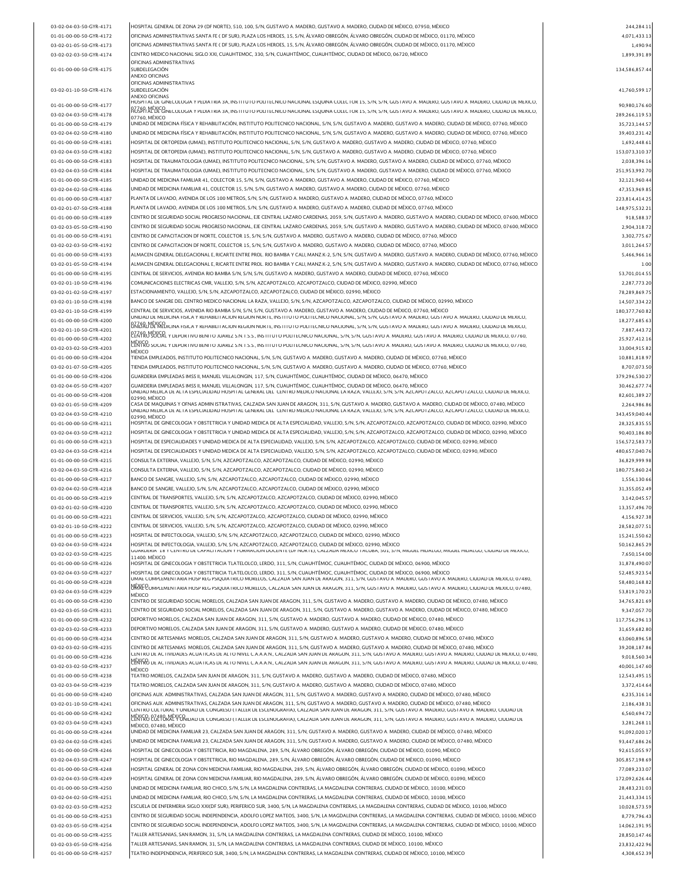| 03-02-04-03-50-GYR-4171 | HOSPITAL GENERAL DE ZONA 29 (DF NORTE), 510, 100, S/N, GUSTAVO A. MADERO, GUSTAVO A. MADERO, CIUDAD DE MÉXICO, 07950, MÉXICO                                                                                                                                         | 244,284.11       |
|-------------------------|----------------------------------------------------------------------------------------------------------------------------------------------------------------------------------------------------------------------------------------------------------------------|------------------|
| 01-01-00-00-50-GYR-4172 | OFICINAS ADMINISTRATIVAS SANTA FE (DF SUR), PLAZA LOS HEROES, 15, S/N, ÁLVARO OBREGÓN, ÁLVARO OBREGÓN, CIUDAD DE MÉXICO, 01170, MÉXICO                                                                                                                               | 4,071,433.13     |
| 03-02-01-05-50-GYR-4173 | OFICINAS ADMINISTRATIVAS SANTA FE (DF SUR), PLAZA LOS HEROES, 15, S/N, ÁLVARO OBREGÓN, ÁLVARO OBREGÓN, CIUDAD DE MÉXICO, 01170, MÉXICO                                                                                                                               | 1,490.94         |
| 03-02-02-03-50-GYR-4174 | CENTRO MEDICO NACIONAL SIGLO XXI, CUAUHTEMOC, 330, S/N, CUAUHTÉMOC, CUAUHTÉMOC, CIUDAD DE MÉXICO, 06720, MÉXICO                                                                                                                                                      | 1,899,391.89     |
| 01-01-00-00-50-GYR-4175 | OFICINAS ADMINISTRATIVAS<br>SUBDELEGACIÓN                                                                                                                                                                                                                            | 134,586,857.44   |
|                         | ANEXO OFICINAS<br>OFICINAS ADMINISTRATIVAS                                                                                                                                                                                                                           |                  |
| 03-02-01-10-50-GYR-4176 | SUBDELEGACIÓN<br>ANEXO OFICINAS                                                                                                                                                                                                                                      | 41.760.599.17    |
| 01-01-00-00-50-GYR-4177 | HOSPITAL DE GINECOLOGIA Y PEDIATRIA 3A, INSTITUTO POLITECNICO NACIONAL ESQUINA COLECTOR 15, S/N, S/N, GUSTAVO A. MADERO, GUSTAVO A. MADERO, CIUDAD DE MEXICO,                                                                                                        | 90,980,176.60    |
| 03-02-04-03-50-GYR-4178 | <u>AGGAR NÉDEGNECOLOGIA Y PEDIATRIA 3A, INSTITUTO POLITECNICO NACIONAL ESQUINA COLECTOR 15, S/N, S/N, GUSTAVO A. MADERO, GUSTAVO A. MADERO, CIUDAD DE MEXICO, </u>                                                                                                   | 289,266,119.53   |
| 01-01-00-00-50-GYR-4179 | 07760. MÉXICO<br>UNIDAD DE MEDICINA FÍSICA Y REHABILITACIÓN, INSTITUTO POLITECNICO NACIONAL, S/N, S/N, GUSTAVO A. MADERO, GUSTAVO A. MADERO, CIUDAD DE MÉXICO, 07760, MÉXICO                                                                                         | 35,723,144.57    |
|                         |                                                                                                                                                                                                                                                                      |                  |
| 03-02-04-02-50-GYR-4180 | UNIDAD DE MEDICINA FÍSICA Y REHABILITACIÓN, INSTITUTO POLITECNICO NACIONAL, S/N, S/N, GUSTAVO A. MADERO, GUSTAVO A. MADERO, CIUDAD DE MÉXICO, 07760, MÉXICO                                                                                                          | 39,403,231.42    |
| 01-01-00-00-50-GYR-4181 | HOSPITAL DE ORTOPEDIA (UMAE), INSTITUTO POLITECNICO NACIONAL, S/N, S/N, GUSTAVO A. MADERO, GUSTAVO A. MADERO, CIUDAD DE MÉXICO, 07760, MÉXICO                                                                                                                        | 1,692,448.61     |
| 03-02-04-03-50-GYR-4182 | HOSPITAL DE ORTOPEDIA (UMAE), INSTITUTO POLITECNICO NACIONAL, S/N, S/N, GUSTAVO A. MADERO, GUSTAVO A. MADERO, CIUDAD DE MÉXICO, 07760, MÉXICO                                                                                                                        | 153,073,310.37   |
| 01-01-00-00-50-GYR-4183 | HOSPITAL DE TRAUMATOLOGIA (UMAE), INSTITUTO POLITECNICO NACIONAL, S/N, S/N, GUSTAVO A. MADERO, GUSTAVO A. MADERO, CIUDAD DE MÉXICO, 07760, MÉXICO                                                                                                                    | 2,038,396.16     |
|                         |                                                                                                                                                                                                                                                                      |                  |
| 03-02-04-03-50-GYR-4184 | HOSPITAL DE TRAUMATOLOGIA (UMAE), INSTITUTO POLITECNICO NACIONAL, S/N, S/N, GUSTAVO A. MADERO, GUSTAVO A. MADERO, CIUDAD DE MÉXICO, 07760, MÉXICO                                                                                                                    | 251.953.992.70   |
| 01-01-00-00-50-GYR-4185 | UNIDAD DE MEDICINA FAMILIAR 41, COLECTOR 15, S/N, S/N, GUSTAVO A. MADERO, GUSTAVO A. MADERO, CIUDAD DE MÊXICO, 07760, MÊXICO                                                                                                                                         | 32,121,960.44    |
| 03-02-04-02-50-GYR-4186 | UNIDAD DE MEDICINA FAMILIAR 41, COLECTOR 15, S/N, S/N, GUSTAVO A. MADERO, GUSTAVO A. MADERO, CIUDAD DE MÉXICO, 07760, MÉXICO                                                                                                                                         | 47,353,969.85    |
| 01-01-00-00-50-GYR-4187 | PLANTA DE LAVADO, AVENIDA DE LOS 100 METROS, S/N, S/N, GUSTAVO A. MADERO, GUSTAVO A. MADERO, CIUDAD DE MÉXICO, 07760, MÉXICO                                                                                                                                         | 223,814,414.25   |
|                         |                                                                                                                                                                                                                                                                      |                  |
| 03-02-01-07-50-GYR-4188 | PLANTA DE LAVADO, AVENIDA DE LOS 100 METROS, S/N, S/N, GUSTAVO A. MADERO, GUSTAVO A. MADERO, CIUDAD DE MÉXICO, 07760, MÉXICO                                                                                                                                         | 148,975,532.21   |
| 01-01-00-00-50-GYR-4189 | CENTRO DE SEGURIDAD SOCIAL PROGRESO NACIONAL, EJE CENTRAL LAZARO CARDENAS, 2059, S/N, GUSTAVO A. MADERO, GUSTAVO A. MADERO, CIUDAD DE MÉXICO, 07600, MÉXICO                                                                                                          | 918,588.37       |
| 03-02-03-05-50-GYR-4190 | CENTRO DE SEGURIDAD SOCIAL PROGRESO NACIONAL, EJE CENTRAL LAZARO CARDENAS, 2059, S/N, GUSTAVO A. MADERO, GUSTAVO A. MADERO, CIUDAD DE MÉXICO, 07600, MÉXICO                                                                                                          | 2,904,318.72     |
| 01-01-00-00-50-GYR-4191 | CENTRO DE CAPACITACION DF NORTE, COLECTOR 15, S/N, S/N, GUSTAVO A. MADERO, GUSTAVO A. MADERO, CIUDAD DE MÉXICO, 07760, MÉXICO                                                                                                                                        | 3,302,775.67     |
|                         |                                                                                                                                                                                                                                                                      |                  |
| 03-02-02-03-50-GYR-4192 | CENTRO DE CAPACITACION DF NORTE, COLECTOR 15, S/N, S/N, GUSTAVO A. MADERO, GUSTAVO A. MADERO, CIUDAD DE MÉXICO, 07760, MÉXICO                                                                                                                                        | 3,011,264.57     |
| 01-01-00-00-50-GYR-4193 | ALMACEN GENERAL DELEGACIONAL E, RICARTE ENTRE PROL. RIO BAMBA Y CALI, MANZ.K-2, S/N, S/N, GUSTAVO A. MADERO, GUSTAVO A. MADERO, CIUDAD DE MÉXICO, 07760, MÉXICO                                                                                                      | 5,466,966.16     |
| 03-02-01-05-50-GYR-4194 | ALMACEN GENERAL DELEGACIONAL E, RICARTE ENTRE PROL. RIO BAMBA Y CALI, MANZ.K-2, S/N, S/N, GUSTAVO A. MADERO, GUSTAVO A. MADERO, CIUDAD DE MÉXICO, 07760, MÉXICO                                                                                                      | 1.00             |
| 01-01-00-00-50-GYR-4195 | CENTRAL DE SERVICIOS, AVENIDA RIO BAMBA S/N, S/N, S/N, GUSTAVO A. MADERO, GUSTAVO A. MADERO, CIUDAD DE MÉXICO, 07760, MÉXICO                                                                                                                                         | 53,701,014.55    |
| 03-02-01-10-50-GYR-4196 | COMUNICACIONES ELECTRICAS CMR, VALLEJO, S/N, S/N, AZCAPOTZALCO, AZCAPOTZALCO, CIUDAD DE MÉXICO, 02990, MÉXICO                                                                                                                                                        | 2,287,773.20     |
| 03-02-01-02-50-GYR-4197 |                                                                                                                                                                                                                                                                      |                  |
|                         | ESTACIONAMIENTO, VALLEJO, S/N, S/N, AZCAPOTZALCO, AZCAPOTZALCO, CIUDAD DE MÉXICO, 02990, MÉXICO                                                                                                                                                                      | 78,289,869.75    |
| 03-02-01-10-50-GYR-4198 | BANCO DE SANGRE DEL CENTRO MEDICO NACIONAL LA RAZA, VALLEJO, S/N, S/N, AZCAPOTZALCO, AZCAPOTZALCO, CIUDAD DE MÉXICO, 02990, MÉXICO                                                                                                                                   | 14,507,334.22    |
| 03-02-01-10-50-GYR-4199 | CENTRAL DE SERVICIOS, AVENIDA RIO BAMBA S/N, S/N, S/N, GUSTAVO A. MADERO, GUSTAVO A. MADERO, CIUDAD DE MÉXICO, 07760, MÉXICO                                                                                                                                         | 180, 377, 760.82 |
| 01-01-00-00-50-GYR-4200 | UNIDAD DE MEDICINA FISICA Y REHABILITACION REGION NORTE, INSTITUTO POLITECNICO NACIONAL, S/N, S/N, GUSTAVO A. MADERO, GUSTAVO A. MADERO, CIUDAD DE MEXICO,                                                                                                           | 18,277,685.63    |
|                         | BRIBRU BENGE DI A FISICA Y REHABILITACION REGION NORTE, INSTITUTO POLITECNICO NACIONAL, S/N, S/N, GUSTAVO A. MADERO, GUSTAVO A. MADERO, CIUDAD DE MEXICO,                                                                                                            |                  |
| 03-02-01-10-50-GYR-4201 | <u>(PZZGRJASSICA, y deportivo benito juarez s.n.t.s.s., instituto politecnico nacional, s/n, s/n, gostavo a. madero, gustavo a. madero, ciudad de mexico, 07760,</u>                                                                                                 | 7,887,443.72     |
| 01-01-00-00-50-GYR-4202 | MENTRO SOCIAL Y DEPORTIVO BENITO JUAREZ S.N.T.S.S., INSTITUTO POLITECNICO NACIONAL, S/N, S/N, GUSTAVO A. MADERO, GUSTAVO A. MADERO, CIUDAD DE MEXICO, 07760,                                                                                                         | 25.927.412.16    |
| 03-02-03-02-50-GYR-4203 | <b>MÉXICO</b>                                                                                                                                                                                                                                                        | 33,004,915.82    |
| 01-01-00-00-50-GYR-4204 | TIENDA EMPLEADOS, INSTITUTO POLITECNICO NACIONAL, S/N, S/N, GUSTAVO A. MADERO, GUSTAVO A. MADERO, CIUDAD DE MÉXICO, 07760, MÉXICO                                                                                                                                    | 10,881,818.97    |
| 03-02-01-07-50-GYR-4205 | TIENDA EMPLEADOS, INSTITUTO POLITECNICO NACIONAL, S/N, S/N, GUSTAVO A. MADERO, GUSTAVO A. MADERO, CIUDAD DE MÉXICO, 07760, MÉXICO                                                                                                                                    | 8,707,073.50     |
|                         |                                                                                                                                                                                                                                                                      |                  |
| 01-01-00-00-50-GYR-4206 | GUARDERIA EMPLEADAS IMSS II, MANUEL VILLALONGIN, 117, S/N, CUAUHTÉMOC, CUAUHTÉMOC, CIUDAD DE MÉXICO, 06470, MÉXICO                                                                                                                                                   | 379,296,530.27   |
| 03-02-04-05-50-GYR-4207 | GUARDERIA EMPLEADAS IMSS II, MANUEL VILLALONGIN, 117, S/N, CUAUHTÉMOC, CUAUHTÉMOC, CIUDAD DE MÉXICO, 06470, MÉXICO                                                                                                                                                   | 30,462,677.74    |
| 01-01-00-00-50-GYR-4208 | UNIDAD MEDICA DE ALTA ESPECIALIDAD HOSPITAL GENERAL DEL CENTRO MEDICO NACIONAL LA RAZA, VALLEJO, S/N, S/N, AZCAPOTZALCO, AZCAPOTZALCO, CIUDAD DE MEXICO,<br>02990. MÉXICO                                                                                            | 82,601,389.27    |
| 03-02-01-05-50-GYR-4209 | CASA DE MAQUINAS Y OFNAS ADMIN ISTRATIVAS, CALZADA SAN JUAN DE ARAGON, 311, S/N, GUSTAVO A. MADERO, GUSTAVO A. MADERO, CIUDAD DE MÉXICO, 07480, MÉXICO                                                                                                               | 2,264,986.86     |
|                         | UNIDAD MEDICA DE ALTA ESPECIALIDAD HOSPITAL GENERAL DEL CENTRO MEDICO NACIONAL LA RAZA, VALLEJO, S/N, S/N, AZCAPOTZALCO, AZCAPOTZALCO, CIUDAD DE MEXICO,                                                                                                             |                  |
| 03-02-04-03-50-GYR-4210 | 02990. MÉXICO                                                                                                                                                                                                                                                        | 343,459,040.44   |
| 01-01-00-00-50-GYR-4211 | HOSPITAL DE GINECOLOGIA Y OBSTETRICIA Y UNIDAD MEDICA DE ALTA ESPECIALIDAD, VALLEJO, S/N, S/N, AZCAPOTZALCO, AZCAPOTZALCO, CIUDAD DE MÉXICO, 02990, MÉXICO                                                                                                           | 28,325,835.55    |
| 03-02-04-03-50-GYR-4212 | HOSPITAL DE GINECOLOGIA Y OBSTETRICIA Y UNIDAD MEDICA DE ALTA ESPECIALIDAD, VALLEJO, S/N, S/N, AZCAPOTZALCO, AZCAPOTZALCO, CIUDAD DE MÉXICO, 02990, MÉXICO                                                                                                           | 90.403.186.80    |
| 01-01-00-00-50-GYR-4213 | HOSPITAL DE ESPECIALIDADES Y UNIDAD MEDICA DE ALTA ESPECIALIDAD, VALLEJO, S/N, S/N, AZCAPOTZALCO, AZCAPOTZALCO, CIUDAD DE MÉXICO, 02990, MÉXICO                                                                                                                      | 156,572,583.73   |
| 03-02-04-03-50-GYR-4214 | HOSPITAL DE ESPECIALIDADES Y UNIDAD MEDICA DE ALTA ESPECIALIDAD, VALLEJO, S/N, S/N, AZCAPOTZALCO, AZCAPOTZALCO, CIUDAD DE MÉXICO, 02990, MÉXICO                                                                                                                      | 480,657,040.76   |
|                         |                                                                                                                                                                                                                                                                      |                  |
| 01-01-00-00-50-GYR-4215 | CONSULTA EXTERNA, VALLEJO, S/N, S/N, AZCAPOTZALCO, AZCAPOTZALCO, CIUDAD DE MÉXICO, 02990, MÉXICO                                                                                                                                                                     | 36,829,999.98    |
| 03-02-04-03-50-GYR-4216 | CONSULTA EXTERNA, VALLEJO, S/N, S/N, AZCAPOTZALCO, AZCAPOTZALCO, CIUDAD DE MÉXICO, 02990, MÉXICO                                                                                                                                                                     | 180,775,860.24   |
| 01-01-00-00-50-GYR-4217 | BANCO DE SANGRE, VALLEJO, S/N, S/N, AZCAPOTZALCO, AZCAPOTZALCO, CIUDAD DE MÉXICO, 02990, MÉXICO                                                                                                                                                                      | 1.556.130.66     |
| 03-02-04-02-50-GYR-4218 | BANCO DE SANGRE, VALLEJO, S/N, S/N, AZCAPOTZALCO, AZCAPOTZALCO, CIUDAD DE MÉXICO, 02990, MÉXICO                                                                                                                                                                      | 31,355,052.49    |
|                         |                                                                                                                                                                                                                                                                      |                  |
| 01-01-00-00-50-GYR-4219 | CENTRAL DE TRANSPORTES, VALLEJO, S/N, S/N, AZCAPOTZALCO, AZCAPOTZALCO, CIUDAD DE MÉXICO, 02990, MÉXICO                                                                                                                                                               | 3,142,045.57     |
| 03-02-01-02-50-GYR-4220 | CENTRAL DE TRANSPORTES, VALLEJO, S/N, S/N, AZCAPOTZALCO, AZCAPOTZALCO, CIUDAD DE MÉXICO, 02990, MÉXICO                                                                                                                                                               | 13,357,496.70    |
| 01-01-00-00-50-GYR-422  | CENTRAL DE SERVICIOS, VALLEJO, S/N, S/N, AZCAPOTZALCO, AZCAPOTZALCO, CIUDAD DE MÉXICO, 02990, MÉXICO                                                                                                                                                                 | 4,156,927.38     |
| 03-02-01-10-50-GYR-4222 | CENTRAL DE SERVICIOS, VALLEJO, S/N, S/N, AZCAPOTZALCO, AZCAPOTZALCO, CIUDAD DE MÉXICO, 02990, MÉXICO                                                                                                                                                                 | 28.582.077.51    |
| 01-01-00-00-50-GYR-4223 | HOSPITAL DE INFECTOLOGIA, VALLEJO, S/N, S/N, AZCAPOTZALCO, AZCAPOTZALCO, CIUDAD DE MÉXICO, 02990, MÉXICO                                                                                                                                                             |                  |
|                         |                                                                                                                                                                                                                                                                      | 15,241,550.62    |
| 03-02-04-03-50-GYR-4224 | HOSPITAL DE INFECTOLOGIA, VALLEJO, S/N, S/N, AZCAPOTZALCO, AZCAPOTZALCO, CIUDAD DE MÉXICO, 02990, MÉXICO<br>GUARDERIA 18 Y CENTRO DE CAPACITACION Y FORMACION DOCENTE (DF NORTE), CALZADA MEXICO TACUBA, 501, S/N, MIGUEL HIDALGO, MIGUEL HIDALGO, CIUDAD DE MEXICO, | 50,162,865.29    |
| 03-02-02-03-50-GYR-4225 | 11400 MÉXICO                                                                                                                                                                                                                                                         | 7,650,154.00     |
| 01-01-00-00-50-GYR-4226 | HOSPITAL DE GINECOLOGIA Y OBSTETRICIA TLATELOLCO, LERDO, 311, S/N, CUAUHTÉMOC, CUAUHTÉMOC, CIUDAD DE MÉXICO, 06900, MÉXICO                                                                                                                                           | 31,878,490.07    |
| 03-02-04-03-50-GYR-4227 | HOSPITAL DE GINECOLOGIA Y OBSTETRICIA TLATELOLCO, LERDO, 311, S/N, CUAUHTÉMOC, CUAUHTÉMOC, CIUDAD DE MÉXICO, 06900, MÉXICO                                                                                                                                           | 52.485.923.54    |
|                         | UMAE COMPLEMENTARIA HOSP REG PSIQUIATRICO MORELOS, CALZADA SAN JUAN DE ARAGON, 311, S/N, GUSTAVO A. MADERO, GUSTAVO A. MADERO, CIUDAD DE MEXICO, 07480,                                                                                                              | 58,480,168.82    |
| 01-01-00-00-50-GYR-4228 | MRAEPOMPLEMENTARIA HOSP REG PSIQUIATRICO MORELOS, CALZADA SAN JUAN DE ARAGON, 311, S/N, GUSTAVO A. MADERO, GUSTAVO A. MADERO, CIUDAD DE MEXICO, 07480,                                                                                                               |                  |
| 03-02-04-03-50-GYR-4229 | MÉXICO                                                                                                                                                                                                                                                               | 53,819,170.23    |
| 01-01-00-00-50-GYR-4230 | CENTRO DE SEGURIDAD SOCIAL MORELOS, CALZADA SAN JUAN DE ARAGON, 311, S/N, GUSTAVO A. MADERO, GUSTAVO A. MADERO, CIUDAD DE MÊXICO, 07480, MÊXICO                                                                                                                      | 34,765,821.69    |
| 03-02-03-05-50-GYR-4231 | CENTRO DE SEGURIDAD SOCIAL MORELOS, CALZADA SAN JUAN DE ARAGON, 311, S/N, GUSTAVO A. MADERO, GUSTAVO A. MADERO, CIUDAD DE MÉXICO, 07480, MÉXICO                                                                                                                      | 9,347,057.70     |
| 01-01-00-00-50-GYR-4232 | DEPORTIVO MORELOS, CALZADA SAN JUAN DE ARAGON, 311, S/N, GUSTAVO A. MADERO, GUSTAVO A. MADERO, CIUDAD DE MÉXICO, 07480, MÉXICO                                                                                                                                       | 117,756,296.13   |
| 03-02-03-02-50-GYR-4233 | DEPORTIVO MORELOS, CALZADA SAN JUAN DE ARAGON, 311, S/N, GUSTAVO A. MADERO, GUSTAVO A. MADERO, CIUDAD DE MÉXICO, 07480, MÉXICO                                                                                                                                       | 31,659,682.80    |
|                         |                                                                                                                                                                                                                                                                      |                  |
| 01-01-00-00-50-GYR-4234 | CENTRO DE ARTESANIAS MORELOS, CALZADA SAN JUAN DE ARAGON, 311, S/N, GUSTAVO A. MADERO, GUSTAVO A. MADERO, CIUDAD DE MÉXICO, 07480, MÉXICO                                                                                                                            | 63,060,896.58    |
| 03-02-03-02-50-GYR-4235 | CENTRO DE ARTESANIAS MORELOS, CALZADA SAN JUAN DE ARAGON, 311, S/N, GUSTAVO A. MADERO, GUSTAVO A. MADERO, CIUDAD DE MÉXICO, 07480, MÉXICO                                                                                                                            | 39,208,187.86    |
| 01-01-00-00-50-GYR-4236 | CENTRO DE ACTIVIDADES ACUATICAS DE ALTO NIVEL C.A.A.A.N., CALZADA SAN JUAN DE ARAGON, 311, S/N, GUSTAVO A. MADERO, GUSTAVO A. MADERO, CIUDAD DE MEXICO, 07480,                                                                                                       | 9,018,560.34     |
| 03-02-03-02-50-GYR-4237 | MENIRO DE ACTIVIDADES ACUATICAS DE ALTO NIVEL C.A.A.A.N., CALZADA SAN JUAN DE ARAGON, 311, S/N, GUSTAVO A. MADERO, GUSTAVO A. MADERO, CIUDAD DE MEXICO, 07480,                                                                                                       | 40,001,147.60    |
| 01-01-00-00-50-GYR-4238 | MÉXICO<br>TEATRO MORELOS, CALZADA SAN JUAN DE ARAGON, 311, S/N, GUSTAVO A. MADERO, GUSTAVO A. MADERO, CIUDAD DE MÉXICO, 07480, MÉXICO                                                                                                                                | 12,543,495.15    |
|                         |                                                                                                                                                                                                                                                                      |                  |
| 03-02-03-04-50-GYR-4239 | TEATRO MORELOS, CALZADA SAN JUAN DE ARAGON, 311, S/N, GUSTAVO A. MADERO, GUSTAVO A. MADERO, CIUDAD DE MÉXICO, 07480, MÉXICO                                                                                                                                          | 3,372,414.64     |
| 01-01-00-00-50-GYR-4240 | OFICINAS AUX. ADMINISTRATIVAS, CALZADA SAN JUAN DE ARAGON, 311, S/N, GUSTAVO A. MADERO, GUSTAVO A. MADERO, CIUDAD DE MÊXICO, 07480, MÊXICO                                                                                                                           | 6,235,316.14     |
| 03-02-01-10-50-GYR-4241 | OFICINAS AUX. ADMINISTRATIVAS, CALZADA SAN JUAN DE ARAGON, 311, S/N, GUSTAVO A. MADERO, GUSTAVO A. MADERO, CIUDAD DE MÉXICO, 07480, MÉXICO                                                                                                                           | 2,186,438.31     |
| 01-01-00-00-50-GYR-4242 | CENTRO CULTURAL Y UNIDAD DE CONGRESO (TALLER DE ESCENOGRAFIA), CALZADA SAN JUAN DE ARAGON, 311, S/N, GUSTAVO A. MADERO, GUSTAVO A. MADERO, CIUDAD DE                                                                                                                 | 6,560,694.72     |
|                         | MENFRO POLARAL VERIDAD DE CONGRESO (TALLER DE ESCENOGRAFIA), CALZADA SAN JUAN DE ARAGON, 311, S/N, GUSTAVO A. MADERO, GUSTAVO A. MADERO, CIUDAD DE                                                                                                                   |                  |
| 03-02-03-04-50-GYR-4243 | MÉXICO. 07480. MÉXICO                                                                                                                                                                                                                                                | 3,281,268.11     |
| 01-01-00-00-50-GYR-4244 | UNIDAD DE MEDICINA FAMILIAR 23, CALZADA SAN JUAN DE ARAGON, 311, S/N, GUSTAVO A. MADERO, GUSTAVO A. MADERO, CIUDAD DE MÉXICO, 07480, MÉXICO                                                                                                                          | 91,092,020.17    |
| 03-02-04-02-50-GYR-4245 | UNIDAD DE MEDICINA FAMILIAR 23, CALZADA SAN JUAN DE ARAGON, 311, S/N, GUSTAVO A. MADERO, GUSTAVO A. MADERO, CIUDAD DE MÊXICO, 07480, MÊXICO                                                                                                                          | 93,447,686.26    |
| 01-01-00-00-50-GYR-4246 | HOSPITAL DE GINECOLOGIA Y OBSTETRICIA, RIO MAGDALENA, 289, S/N, ÁLVARO OBREGÓN, ÁLVARO OBREGÓN, CIUDAD DE MÉXICO, 01090, MÉXICO                                                                                                                                      | 92,615,055.97    |
|                         | HOSPITAL DE GINECOLOGIA Y OBSTETRICIA, RIO MAGDALENA, 289, S/N, ÁLVARO OBREGÓN, ÁLVARO OBREGÓN, CIUDAD DE MÉXICO, 01090, MÉXICO                                                                                                                                      |                  |
| 03-02-04-03-50-GYR-4247 |                                                                                                                                                                                                                                                                      | 305,857,198.69   |
| 01-01-00-00-50-GYR-4248 | HOSPITAL GENERAL DE ZONA CON MEDICNA FAMILIAR, RIO MAGDALENA, 289, S/N, ÁLVARO OBREGÓN, ÁLVARO OBREGÓN, CIUDAD DE MÉXICO, 01090, MÉXICO                                                                                                                              | 77,089,233.07    |
| 03-02-04-03-50-GYR-4249 | HOSPITAL GENERAL DE ZONA CON MEDICNA FAMILIAR, RIO MAGDALENA, 289, S/N, ÁLVARO OBREGÓN, ÁLVARO OBREGÓN, CIUDAD DE MÉXICO, 01090, MÉXICO                                                                                                                              | 172,092,626.44   |
| 01-01-00-00-50-GYR-4250 | UNIDAD DE MEDICINA FAMILIAR, RIO CHICO, S/N, S/N, LA MAGDALENA CONTRERAS, LA MAGDALENA CONTRERAS, CIUDAD DE MÉXICO, 10100, MÉXICO                                                                                                                                    | 28,483,231.03    |
| 03-02-04-02-50-GYR-4251 | UNIDAD DE MEDICINA FAMILIAR, RIO CHICO, S/N, S/N, LA MAGDALENA CONTRERAS, LA MAGDALENA CONTRERAS, CIUDAD DE MÉXICO, 10100, MÉXICO                                                                                                                                    | 21,443,334.15    |
|                         |                                                                                                                                                                                                                                                                      |                  |
| 03-02-02-03-50-GYR-4252 | ESCUELA DE ENFERMERIA SIGLO XXI(DF SUR), PERIFERICO SUR, 3400, S/N, LA MAGDALENA CONTRERAS, LA MAGDALENA CONTRERAS, CIUDAD DE MÉXICO, 10100, MÉXICO                                                                                                                  | 10,028,573.59    |
| 01-01-00-00-50-GYR-4253 | CENTRO DE SEGURIDAD SOCIAL INDEPENDENCIA, ADOLFO LOPEZ MATEOS, 3400, S/N, LA MAGDALENA CONTRERAS, LA MAGDALENA CONTRERAS, CIUDAD DE MÉXICO, 10100, MÉXICO                                                                                                            | 8,779,796.43     |
| 03-02-03-05-50-GYR-4254 | CENTRO DE SEGURIDAD SOCIAL INDEPENDENCIA, ADOLFO LOPEZ MATEOS, 3400, S/N, LA MAGDALENA CONTRERAS, LA MAGDALENA CONTRERAS, CIUDAD DE MÉXICO, 10100, MÉXICO                                                                                                            | 14,062,191.95    |
| 01-01-00-00-50-GYR-4255 | TALLER ARTESANIAS, SAN RAMON, 31, S/N, LA MAGDALENA CONTRERAS, LA MAGDALENA CONTRERAS, CIUDAD DE MÉXICO, 10100, MÉXICO                                                                                                                                               | 28,850,147.46    |
|                         |                                                                                                                                                                                                                                                                      |                  |
| 03-02-03-05-50-GYR-4256 | TALLER ARTESANIAS, SAN RAMON, 31, S/N, LA MAGDALENA CONTRERAS, LA MAGDALENA CONTRERAS, CIUDAD DE MÉXICO, 10100, MÉXICO                                                                                                                                               | 23,832,422.96    |
| 01-01-00-00-50-GYR-4257 | TEATRO INDEPENDENCIA, PERIFERICO SUR, 3400, S/N, LA MAGDALENA CONTRERAS, LA MAGDALENA CONTRERAS, CIUDAD DE MÉXICO, 10100, MÉXICO                                                                                                                                     | 4.308.652.39     |
|                         |                                                                                                                                                                                                                                                                      |                  |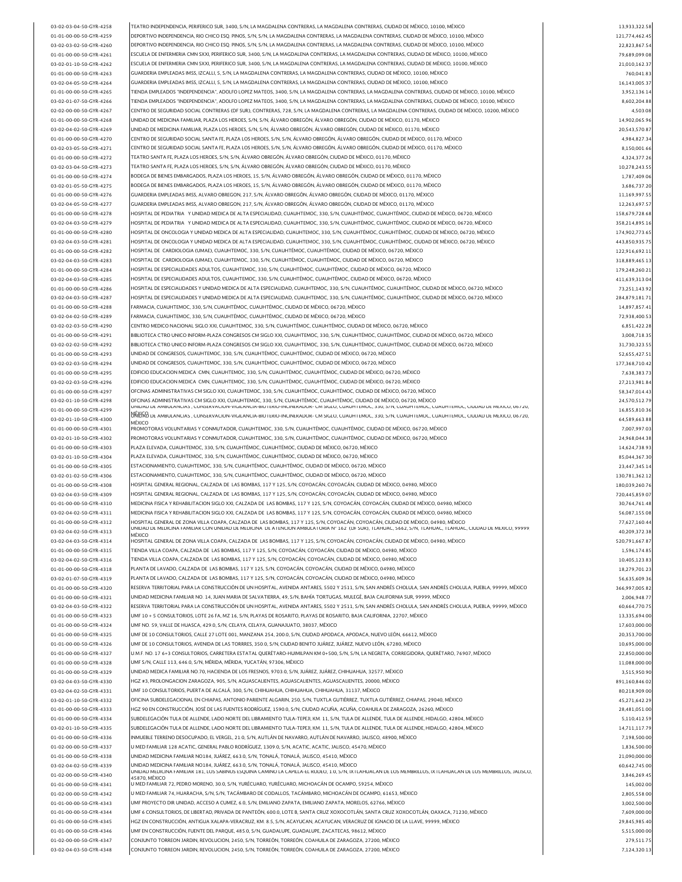03-02-03-04-50-GYR-4258 TEATRO INDEPENDENCIA, PERIFERICO SUR, 3400, S/N, LA MAGDALENA CONTRERAS, LA MAGDALENA CONTRERAS, CIUDAD DE MEXICO, 10100, MEXICO 13,933,322.58 01-01-00-00-50-GYR-4259 121,774,462.45 DEPORTIVO INDEPENDENCIA, RIO CHICO ESQ. PINOS, S/N, S/N, LA MAGDALENA CONTRERAS, LA MAGDALENA CONTRERAS, CIUDAD DE MÉXICO, 10100, MÉXICO 03-02-03-02-50-GYR-4260 22,823,867.54 DEPORTIVO INDEPENDENCIA, RIO CHICO ESQ. PINOS, S/N, S/N, LA MAGDALENA CONTRERAS, LA MAGDALENA CONTRERAS, CIUDAD DE MÉXICO, 10100, MÉXICO 01-01-00-00-50-GYR-4261 79,689,099.08 ESCUELA DE ENFERMERIA CMN SXXI, PERIFERICO SUR, 3400, S/N, LA MAGDALENA CONTRERAS, LA MAGDALENA CONTRERAS, CIUDAD DE MÉXICO, 10100, MÉXICO 03-02-01-10-50-GYR-4262 21,010,162.37 ESCUELA DE ENFERMERIA CMN SXXI, PERIFERICO SUR, 3400, S/N, LA MAGDALENA CONTRERAS, LA MAGDALENA CONTRERAS, CIUDAD DE MÉXICO, 10100, MÉXICO 01-01-00-00-50-GYR-4263 760,041.83 GUARDERIA EMPLEADAS IMSS, IZCALLI, 5, S/N, LA MAGDALENA CONTRERAS, LA MAGDALENA CONTRERAS, CIUDAD DE MÉXICO, 10100, MÉXICO 03-02-04-05-50-GYR-4264 16,143,005.37 GUARDERIA EMPLEADAS IMSS, IZCALLI, 5, S/N, LA MAGDALENA CONTRERAS, LA MAGDALENA CONTRERAS, CIUDAD DE MÉXICO, 10100, MÉXICO 01-01-00-00-50-GYR-4265 TIENDA EMPLEADOS "INDEPENDENCIA", ADOLFO LOPEZ MATEOS, 3400, S/N, LA MAGDALENA CONTRERAS, LA MAGDALENA CONTRERAS, CIUDAD DE MEXICO, 10100, MEXICO 3,952,136.14 03-02-01-07-50-GYR-4266 TIENDA EMPLEADOS "INDEPENDENCIA", ADOLFO LOPEZ MATEOS, 3400, S/N, LA MAGDALENA CONTRERAS, LA MAGDALENA CONTRERAS, CIUDAD DE MEXICO, 10100, MEXICO 8,602,204.88 02-02-00-00-50-GYR-4267 【CENTRO DE SEGURIDAD SOCIAL CONTRERAS (DF SUR), CONTRERAS, 728, S/N, LA MAGDALENA CONTRERAS, LA MAGDALENA CONTRERAS, CIUDAD DE MEXICO, 10200, MEXICO 4,503.08 01-01-00-00-50-GYR-4268 14,902,065.96 UNIDAD DE MEDICINA FAMILIAR, PLAZA LOS HEROES, S/N, S/N, ÁLVARO OBREGÓN, ÁLVARO OBREGÓN, CIUDAD DE MÉXICO, 01170, MÉXICO 03-02-04-02-50-GYR-4269 UNIDAD DE MEDICINA FAMILIAR, PLAZA LOS HEROES, S/N, S/N, ALVARO OBREGÓN, ALVARO OBREGÓN, CIUDAD DE MÉXICO, 01170, MÉXICO ANTENDE ANA ANTENDE ANA ANGLÉA ANG ANGLÉA ANGLÉA ANGLÉA ANGLÉA ANGLÉA ANGLÉA 01-01-00-00-50-GYR-4270 CENTRO DE SEGURIDAD SOCIAL SANTA FE, PLAZA LOS HEROES, S/N, S/N, ALVARO OBREGON, ALVARO OBREGON, CIUDAD DE MEXICO, 01170, MEXICO ANTA ANTA ANTA A 1984,827.34 (4,984,827.34) A 2984,827.34 03-02-03-05-50-GYR-4271 CENTRO DE SEGURIDAD SOCIAL SANTA FE, PLAZA LOS HEROES, S/N, S/N, ALVARO OBREGÓN, ALVARO OBREGÓN, CIUDAD DE MEXICO, 01170, MÉXICO CHERO ANTELO ANTELO ANTELO ANTELO ANTELO ANTELO ANTELO ANTELO ANTELO 01-01-00-00-50-GYR-4272 4,324,377.26 TEATRO SANTA FE, PLAZA LOS HEROES, S/N, S/N, ÁLVARO OBREGÓN, ÁLVARO OBREGÓN, CIUDAD DE MÉXICO, 01170, MÉXICO 03-02-03-04-50-GYR-4273 10,278,243.55 TEATRO SANTA FE, PLAZA LOS HEROES, S/N, S/N, ÁLVARO OBREGÓN, ÁLVARO OBREGÓN, CIUDAD DE MÉXICO, 01170, MÉXICO 01-01-00-00-50-GYR-4274 1,787,409.06 BODEGA DE BIENES EMBARGADOS, PLAZA LOS HEROES, 15, S/N, ÁLVARO OBREGÓN, ÁLVARO OBREGÓN, CIUDAD DE MÉXICO, 01170, MÉXICO 03-02-01-05-50-GYR-4275 3,686,737.20 BODEGA DE BIENES EMBARGADOS, PLAZA LOS HEROES, 15, S/N, ÁLVARO OBREGÓN, ÁLVARO OBREGÓN, CIUDAD DE MÉXICO, 01170, MÉXICO 01-01-00-00-50-GYR-4276 11,169,997.55 GUARDERIA EMPLEADAS IMSS, ALVARO OBREGON, 217, S/N, ÁLVARO OBREGÓN, ÁLVARO OBREGÓN, CIUDAD DE MÉXICO, 01170, MÉXICO 03-02-04-05-50-GYR-4277 12,263,697.57 GUARDERIA EMPLEADAS IMSS, ALVARO OBREGON, 217, S/N, ÁLVARO OBREGÓN, ÁLVARO OBREGÓN, CIUDAD DE MÉXICO, 01170, MÉXICO 01-01-00-00-50-GYR-4278 158,679,728.68 HOSPITAL DE PEDIATRIA Y UNIDAD MEDICA DE ALTA ESPECIALIDAD, CUAUHTEMOC, 330, S/N, CUAUHTÉMOC, CUAUHTÉMOC, CIUDAD DE MÉXICO, 06720, MÉXICO 03-02-04-03-50-GYR-4279 358,214,895.16 HOSPITAL DE PEDIATRIA Y UNIDAD MEDICA DE ALTA ESPECIALIDAD, CUAUHTEMOC, 330, S/N, CUAUHTÉMOC, CUAUHTÉMOC, CIUDAD DE MÉXICO, 06720, MÉXICO 01-01-00-00-50-GYR-4280 HOSPITAL DE ONCOLOGIA Y UNIDAD MEDICA DE ALTA ESPECIALIDAD, CUAUHTEMOC, 330, S/N, CUAUHTEMOC, CUAUHTEMOC, CUDAD DE MEXICO, 06720, MEXICO 1999 1999 114,902,773.65 03-02-04-03-50-GYR-4281 443,850,935.75 HOSPITAL DE ONCOLOGIA Y UNIDAD MEDICA DE ALTA ESPECIALIDAD, CUAUHTEMOC, 330, S/N, CUAUHTÉMOC, CUAUHTÉMOC, CIUDAD DE MÉXICO, 06720, MÉXICO 01-01-00-00-50-GYR-4282 HOSPITAL DE CARDIOLOGIA (UMAE), CUAUHTEMOC, 330, S/N, CUAUHTEMOC, CUAUHTEMOC, CIUDAD DE MEXICO, 06720, MEXICO 03-02-04-03-50-GYR-4283 318,889,465.13 HOSPITAL DE CARDIOLOGIA (UMAE), CUAUHTEMOC, 330, S/N, CUAUHTÉMOC, CUAUHTÉMOC, CIUDAD DE MÉXICO, 06720, MÉXICO 01-01-00-00-50-GYR-4284 HOSPITAL DE ESPECIALIDADES ADULTOS, CUAUHTEMOC, 330, S/N, CUAUHTEMOC, CUAUHTEMOC, CIUDAD DE MEXICO, 06720, MEXICO ANNO 179, 2000 179,248,260.21 179,248,260.21 03-02-04-03-50-GYR-4285 HOSPITAL DE ESPECIALIDADES ADULTOS, CUAUHTEMOC, 330, S/N, CUAUHTEMOC, CUAUHTEMOC, CUAUHTEMOC, CUAUHTEMOC, CUDAD DE MEXICO, 06720, MEXICO 01-01-00-00-50-GYR-4286 73,251,143.92 HOSPITAL DE ESPECIALIDADES Y UNIDAD MEDICA DE ALTA ESPECIALIDAD, CUAUHTEMOC, 330, S/N, CUAUHTÉMOC, CUAUHTÉMOC, CIUDAD DE MÉXICO, 06720, MÉXICO 03-02-04-03-50-GYR-4287 284,879,181.71 HOSPITAL DE ESPECIALIDADES Y UNIDAD MEDICA DE ALTA ESPECIALIDAD, CUAUHTEMOC, 330, S/N, CUAUHTÉMOC, CUAUHTÉMOC, CIUDAD DE MÉXICO, 06720, MÉXICO 01-01-00-00-50-GYR-4288 FARMACIA, CUAUHTEMOC, 330, S/N, CUAUHTEMOC, CUAUHTEMOC, CIUDAD DE MEXICO, 06720, MEXICO 03-02-04-02-50-GYR-4289 FARMACIA, CUAUHTEMOC, 330, S/N, CUAUHTEMOC, CUAUHTEMOC, CUAUHTEMOC, CUAUHTEMOC, CUAUHTEMOC, CUAUHTEMOC, CUADAD DE MEXICO, 06720, MEXICO to the state of the state of the state of the state of the sta 03-02-02-03-50-GYR-4290 6,851,422.28 CENTRO MEDICO NACIONAL SIGLO XXI, CUAUHTEMOC, 330, S/N, CUAUHTÉMOC, CUAUHTÉMOC, CIUDAD DE MÉXICO, 06720, MÉXICO 01-01-00-00-50-GYR-4291 3,008,718.35 BIBLIOTECA CTRO UNICO INFORM-PLAZA CONGRESOS CM SIGLO XXI, CUAUHTEMOC, 330, S/N, CUAUHTÉMOC, CUAUHTÉMOC, CIUDAD DE MÉXICO, 06720, MÉXICO 03-02-02-02-50-GYR-4292 31,730,323.55 BIBLIOTECA CTRO UNICO INFORM-PLAZA CONGRESOS CM SIGLO XXI, CUAUHTEMOC, 330, S/N, CUAUHTÉMOC, CUAUHTÉMOC, CIUDAD DE MÉXICO, 06720, MÉXICO 01-01-00-00-50-GYR-4293 UNIDAD DE CONGRESOS, CUAUHTEMOC, 330, S/N, CUAUHTEMOC, CUAUHTEMOC, CUAUHTEMOC, CUDAD DE MEXICO, 06720, MEXICO 03-02-02-03-50-GYR-4294 177,368,710.42 UNIDAD DE CONGRESOS, CUAUHTEMOC, 330, S/N, CUAUHTÉMOC, CUAUHTÉMOC, CIUDAD DE MÉXICO, 06720, MÉXICO 01-01-00-00-50-GYR-4295 7,638,383.73 EDIFICIO EDUCACION MEDICA CMN, CUAUHTEMOC, 330, S/N, CUAUHTÉMOC, CUAUHTÉMOC, CIUDAD DE MÉXICO, 06720, MÉXICO 03-02-02-03-50-GYR-4296 EDIFICIO EDUCACION MEDICA CMN, CUAUHTEMOC, 330, S/N, CUAUHTEMOC, CUAUHTEMOC, CUADHD DE MEXICO, 06720, MEXICO ANTELO ANTELO ANTELO ANTELO ANTELO ANTELO ANTELO ANTELO ANTELO ANTELO ANTELO ANTELO ANTEL 01-01-00-00-50-GYR-4297 58,347,014.43 OFCINAS ADMINISTRATIVAS CM SIGLO XXI, CUAUHTEMOC, 330, S/N, CUAUHTÉMOC, CUAUHTÉMOC, CIUDAD DE MÉXICO, 06720, MÉXICO 03-02-01-10-50-GYR-4298 24,570,512.79 OFCINAS ADMINISTRATIVAS CM SIGLO XXI, CUAUHTEMOC, 330, S/N, CUAUHTÉMOC, CUAUHTÉMOC, CIUDAD DE MÉXICO, 06720, MÉXICO 01-01-00-00-50-GYR-4299 16,855,810.36 16,855,810.36 03-02-01-10-50-GYR-4300 64,589,663.88 MÉXICO UNIDAD DE AMBULANCIAS , CONSERVACION-VIGILANCIA-BIOTERIO-INCINERADOR- CM SIGLO, CUAUHTEMOC, 330, S/N, CUAUHTÉMOC, CUAUHTÉMOC, CIUDAD DE MÉXICO, 06720, 01-01-00-00-50-GYR-4301 7,007,997.03 PROMOTORAS VOLUNTARIAS Y CONMUTADOR, CUAUHTEMOC, 330, S/N, CUAUHTÉMOC, CUAUHTÉMOC, CIUDAD DE MÉXICO, 06720, MÉXICO 03-02-01-10-50-GYR-4302 PROMOTORAS VOLUNTARIAS Y CONMUTADOR, CUAUHTEMOC, 330, S/N, CUAUHTEMOC, CUAUHTEMOC, CUDAD DE MEXICO, 06720, MEXICO 24,968,044.38 01-01-00-00-50-GYR-4303 14,624,738.93 PLAZA ELEVADA, CUAUHTEMOC, 330, S/N, CUAUHTÉMOC, CUAUHTÉMOC, CIUDAD DE MÉXICO, 06720, MÉXICO 03-02-01-10-50-GYR-4304 85,044,367.30 PLAZA ELEVADA, CUAUHTEMOC, 330, S/N, CUAUHTÉMOC, CUAUHTÉMOC, CIUDAD DE MÉXICO, 06720, MÉXICO 01-01-00-00-50-GYR-4305 23,447,345.14 ESTACIONAMIENTO, CUAUHTEMOC, 330, S/N, CUAUHTÉMOC, CUAUHTÉMOC, CIUDAD DE MÉXICO, 06720, MÉXICO 03-02-01-02-50-GYR-4306 130,781,362.12 ESTACIONAMIENTO, CUAUHTEMOC, 330, S/N, CUAUHTÉMOC, CUAUHTÉMOC, CIUDAD DE MÉXICO, 06720, MÉXICO 01-01-00-00-50-GYR-4308 180,039,260.76 HOSPITAL GENERAL REGIONAL, CALZADA DE LAS BOMBAS, 117 Y 125, S/N, COYOACÁN, COYOACÁN, CIUDAD DE MÉXICO, 04980, MÉXICO 03-02-04-03-50-GYR-4309 720,445,859.07 HOSPITAL GENERAL REGIONAL, CALZADA DE LAS BOMBAS, 117 Y 125, S/N, COYOACÁN, COYOACÁN, CIUDAD DE MÉXICO, 04980, MÉXICO 01-01-00-00-50-GYR-4310 30,764,761.48 MEDICINA FISICA Y REHABILITACION SIGLO XXI, CALZADA DE LAS BOMBAS, 117 Y 125, S/N, COYOACÁN, COYOACÁN, CIUDAD DE MÉXICO, 04980, MÉXICO 03-02-04-02-50-GYR-4311 MEDICINA FISICA Y REHABILITACION SIGLO XXI, CALZADA DE LAS BOMBAS, 117 Y 125, S/N, COYOACAN, COYOACAN, CIUDAD DE MEXICO, 04980, MEXICO ANTILES ANTELES ANTILES ANTELES ANTELES ANTELES ANTELES ANTELES 01-01-00-00-50-GYR-4312 77,627,160.44 HOSPITAL GENERAL DE ZONA VILLA COAPA, CALZADA DE LAS BOMBAS, 117 Y 125, S/N, COYOACÁN, COYOACÁN, CIUDAD DE MÉXICO, 04980, MÉXICO 03-02-04-02-50-GYR-4313 40,209,372.38 03-02-04-03-50-GYR-4314 520,791,667.87 MÉXICO HOSPITAL GENERAL DE ZONA VILLA COAPA, CALZADA DE LAS BOMBAS, 117 Y 125, S/N, COYOACÁN, COYOACÁN, CIUDAD DE MÉXICO, 04980, MÉXICO 01-01-00-00-50-GYR-4315 1,596,174.85 TIENDA VILLA COAPA, CALZADA DE LAS BOMBAS, 117 Y 125, S/N, COYOACÁN, COYOACÁN, CIUDAD DE MÉXICO, 04980, MÉXICO 03-02-04-02-50-GYR-4316 10,405,123.83 TIENDA VILLA COAPA, CALZADA DE LAS BOMBAS, 117 Y 125, S/N, COYOACÁN, COYOACÁN, CIUDAD DE MÉXICO, 04980, MÉXICO 01-01-00-00-50-GYR-4318 PLANTA DE LAVADO, CALZADA DE LAS BOMBAS, 117 Y 125, S/N, COYOACAN, COYOACAN, CIUDAD DE MEXICO, 04980, MEXICO (1998), NEXICO (1998), NEXICO (1998), 279, 701.23 (1998), 279, 701.23 (1998), 279, 701.23 03-02-01-07-50-GYR-4319 PLANTA DE LAVADO, CALZADA DE LAS BOMBAS, 117 Y 125, S/N, COYOACAN, CUOACAN, CIUDAD DE MEXICO, 04980, MEXICO CHANNA DE RESPONDER AND RESPONDER AND RESPONDER AND RESPONDER AND RESPONDER AND RESPONDER 01-01-00-00-50-GYR-4320 RESERVA TERRITORIAL PARA LA CONSTRUCCIÓN DE UN HOSPITAL, AVENIDA ANTARES, 5502 Y 2511, S/N, SAN ANDRES CHOLULA, SAN ANDRES CHOLULA, PUEBLA, 99999, MEXICO | 366,997,005.82 01-01-00-00-50-GYR-4321 2,006,948.77 UNIDAD MEDICINA FAMILIAR NO. 14, JUAN MARIA DE SALVATIERRA, 49, S/N, BAHÍA TORTUGAS, MULEGÉ, BAJA CALIFORNIA SUR, 99999, MÉXICO 03-02-04-03-50-GYR-4322 RESERVA TERRITORIAL PARA LA CONSTRUCCIÓN DE UN HOSPITAL, AVENIDA ANTARES, 5502 Y 2511, S/N, SAN ANDRES CHOLULA, SAN ANDRES CHOLULA, PUEBLA, 99999, MEXICO | 60,664,770.75 01-01-00-00-50-GYR-4323 13,335,694.00 UMF 10 + 5 CONSULTORIOS, LOTE 26 FA, MZ 16, S/N, PLAYAS DE ROSARITO, PLAYAS DE ROSARITO, BAJA CALIFORNIA, 22707, MÉXICO 01-01-00-00-50-GYR-4324 17,603,000.00 UMF NO. 59, VALLE DE HUASCA, 429.0, S/N, CELAYA, CELAYA, GUANAJUATO, 38037, MÉXICO 01-01-00-00-50-GYR-4325 20,353,700.00 UMF DE 10 CONSULTORIOS, CALLE 27 LOTE 001, MANZANA 254, 200.0, S/N, CIUDAD APODACA, APODACA, NUEVO LEÓN, 66612, MÉXICO 01-01-00-00-50-GYR-4326 10,695,000.00 UMF DE 10 CONSULTORIOS, AVENIDA DE LAS TORRRES, 350.0, S/N, CIUDAD BENITO JUÁREZ, JUÁREZ, NUEVO LEÓN, 67280, MÉXICO 01-01-00-00-50-GYR-4327 22,850,000.00 U.M.F. NO. 17 6+3 CONSULTORIOS, CARRETERA ESTATAL QUERÉTARO-HUIMILPAN KM 0+500, S/N, S/N, LA NEGRETA, CORREGIDORA, QUERÉTARO, 76907, MÉXICO 01-01-00-00-50-GYR-4328 11,088,000.00 UMF S/N, CALLE 113, 646.0, S/N, MÉRIDA, MÉRIDA, YUCATÁN, 97306, MÉXICO 01-01-00-00-50-GYR-4329 3,515,950.90 UNIDAD MEDICA FAMILIAR NO.70, HACIENDA DE LOS FRESNOS, 9703.0, S/N, JUÁREZ, JUÁREZ, CHIHUAHUA, 32577, MÉXICO 03-02-04-03-50-GYR-4330 891,160,846.02 HGZ #3, PROLONGACION ZARAGOZA, 905, S/N, AGUASCALIENTES, AGUASCALIENTES, AGUASCALIENTES, 20000, MÉXICO 03-02-04-02-50-GYR-4331 80,218,909.00 UMF 10 CONSULTORIOS, PUERTA DE ALCALÁ, 300, S/N, CHIHUAHUA, CHIHUAHUA, CHIHUAHUA, 31137, MÉXICO 03-02-01-10-50-GYR-4332 45,271,642.29 OFICINA SUBDELEGACIONAL EN CHIAPAS, ANTONIO PARIENTE ALGARIN, 250, S/N, TUXTLA GUTIÉRREZ, TUXTLA GUTIÉRREZ, CHIAPAS, 29040, MÉXICO 01-01-00-00-50-GYR-4333 HGZ 90 EN CONSTRUCCION, JOSÉ DE LAS FUENTES RODRÍGUEZ, 1590.0, S/N, CIUDAD ACUÑA, ACUÑA, COAHUILA DE ZARAGOZA, 26260, MÉXICO 28,481,051.00 28,481,051.00 01-01-00-00-50-GYR-4334 SUBDELEGACIÓN TULA DE ALLENDE, LADO NORTE DEL LIBRAMIENTO TULA-TEPEJI, KM. 11, S/N, TULA DE ALLENDE, TULA DE ALLENDE, HIDALGO, 42804, MEXICO 5,110,412.59 03-02-01-10-50-GYR-4335 14,711,117.79 SUBDELEGACIÓN TULA DE ALLENDE, LADO NORTE DEL LIBRAMIENTO TULA-TEPEJI, KM. 11, S/N, TULA DE ALLENDE, TULA DE ALLENDE, HIDALGO, 42804, MÉXICO 01-01-00-00-50-GYR-4336 7,198,500.00 INMUEBLE TERRENO DESOCUPADO, EL VERGEL, 21.0, S/N, AUTLÁN DE NAVARRO, AUTLÁN DE NAVARRO, JALISCO, 48900, MÉXICO 01-02-00-00-50-GYR-4337 1,836,500.00 U MED FAMILIAR 128 ACATIC, GENERAL PABLO RODRÍGUEZ, 1309.0, S/N, ACATIC, ACATIC, JALISCO, 45470, MÉXICO 01-01-00-00-50-GYR-4338 UNIDAD MEDICINA FAMILIAR NO184, JUAREZ, 663.0, S/N, TONALA, TONALA, JALISCO, 45410, MEXICO ANNEXADO ANNEXADO ANNEXADO ANNEXADO ANNEXADO ANNEXADO ANNEXADO ANNEXADO ANNEXADO ANNEXADO ANNEXADO ANNEXADO 03-02-04-02-50-GYR-4339 60,642,745.00 UNIDAD MEDICINA FAMILIAR NO184, JUÁREZ, 663.0, S/N, TONALÁ, TONALÁ, JALISCO, 45410, MÉXICO 01-02-00-00-50-GYR-4340 cross-visues and the set of the set of the set of the set of the set of the set of the set of the set of the set of the set of the set of the set of the set of the set of the set of the set of the s 01-01-00-00-50-GYR-4341 U MED FAMILIAR 72, PEDRO MORENO, 30.0, S/N, YURECUARO, YURECUARO, MICHOACAN DE OCAMPO, 59254, MEXICO AND A SAN AND ANN AND A SAN A SAN A SAN A SAN A SAN A SAN A SAN A SAN A SAN A SAN A SAN A SAN A S 01-02-00-00-50-GYR-4342 2,805,558.00 U MED FAMILIAR 74, HUARACHA, S/N, S/N, TACÁMBARO DE CODALLOS, TACÁMBARO, MICHOACÁN DE OCAMPO, 61653, MÉXICO 01-01-00-00-50-GYR-4343 3,002,500.00 UMF PROYECTO DIR UNIDAD, ACCESO A CUMEZ, 6.0, S/N, EMILIANO ZAPATA, EMILIANO ZAPATA, MORELOS, 62766, MÉXICO 01-01-00-00-50-GYR-4344 7,609,000.00 UMF 6 CONSULTORIOS, DE LIBERTAD, PRIVADA DE PANTEÓN, 600.0, LOTE B, SANTA CRUZ XOXOCOTLÁN, SANTA CRUZ XOXOCOTLÁN, OAXACA, 71230, MÉXICO 01-01-00-00-50-GYR-4345 HGZ EN CONSTRUCCIÓN, ANTIGUA XALAPA-VERACRUZ, KM. 8.5, S/N, ACAYUCAN, ACAYUCAN, VERACRUZ DE IGNACIO DE LA LLAVE, 99999, MEXICO 29,845,985.40 01-01-00-00-50-GYR-4346 5,515,000.00 UMF EN CONSTRUCCIÓN, FUENTE DEL PARQUE, 485.0, S/N, GUADALUPE, GUADALUPE, ZACATECAS, 98612, MÉXICO 01-02-00-00-50-GYR-4347 279,511.75 CONJUNTO TORREON JARDIN, REVOLUCION, 2450, S/N, TORREÓN, TORREÓN, COAHUILA DE ZARAGOZA, 27200, MÉXICO 03-02-04-03-50-GYR-4348 CONJUNTO TORREON JARDIN, REVOLUCION, 2450, S/N, TORREON, TORREON, COAHUILA DE ZARAGOZA, 27200, MEXICO CHEMICALE AND SAN ARREON AND TORREON AND TO A 24,320.13 (24,320.13) The control of the control o UNIDAD DE AMBULANCIAS , CONSERVACION-VIGILANCIA-BIOTERIO-INCINERADOR- CM SIGLO, CUAUHTEMOC, 330, S/N, CUAUHTÉMOC, CUAUHTÉMOC, CIUDAD DE MÉXICO, 06720, **MÉXICO** UNIDAD DE MEDICINA FAMILIAR CON UNIDAD DE MEDICINA DE ATENCION AMBULATORIA N° 162 (DF SUR), TLAHUAC, 5662, S/N, TLÁHUAC, TLÁHUAC, CIUDAD DE MÉXICO, 99999, UNIDAD MEDICINA FAMILIAR 181, LOS SABINOS ESQUINA CAMINO LA CAPILLA-EL RODEO, 1.0, S/N, IXTLAHUACÁN DE LOS MEMBRILLOS, IXTLAHUACÁN DE LOS MEMBRILLOS, JALISCO, 45870, MÉXICO